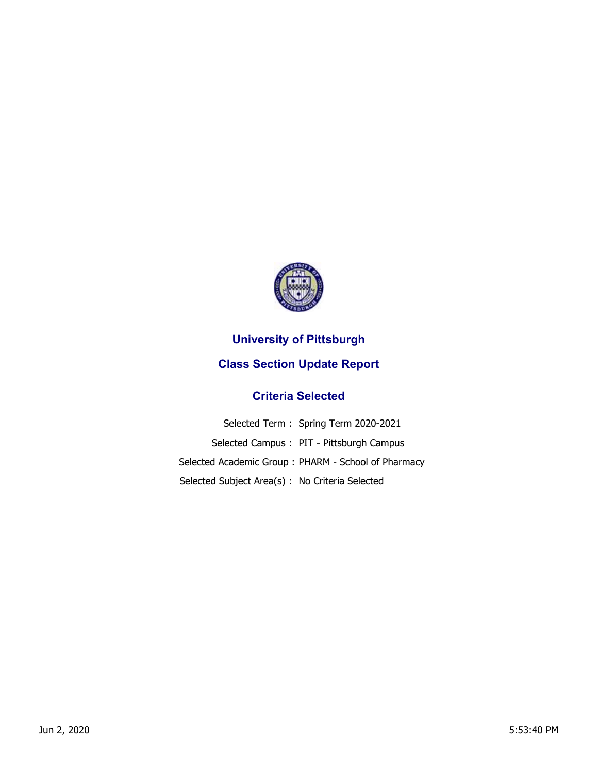

## **University of Pittsburgh**

## **Class Section Update Report**

## **Criteria Selected**

|                                                 | Selected Term: Spring Term 2020-2021                |
|-------------------------------------------------|-----------------------------------------------------|
|                                                 | Selected Campus: PIT - Pittsburgh Campus            |
|                                                 | Selected Academic Group: PHARM - School of Pharmacy |
| Selected Subject Area(s) : No Criteria Selected |                                                     |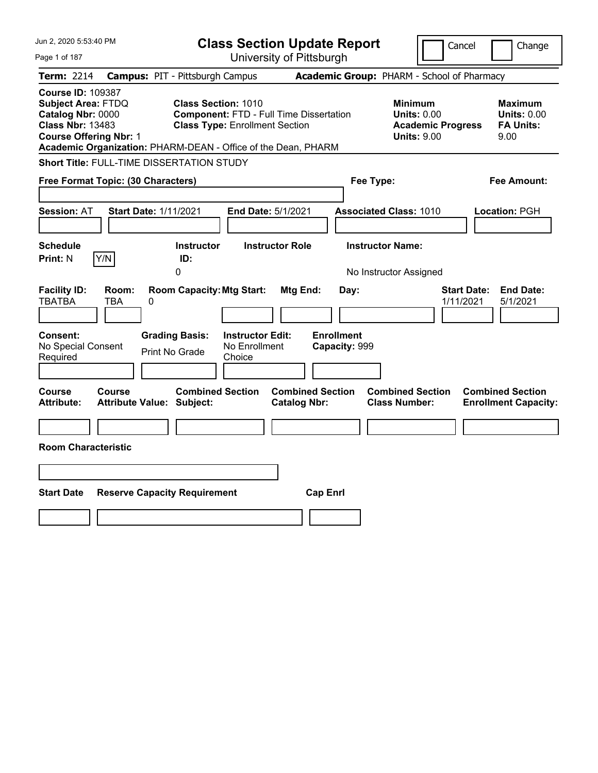| Jun 2, 2020 5:53:40 PM                                                                                                                                                                                  |                                                                                                                       | <b>Class Section Update Report</b>             | Cancel                                                                                 | Change                                                           |
|---------------------------------------------------------------------------------------------------------------------------------------------------------------------------------------------------------|-----------------------------------------------------------------------------------------------------------------------|------------------------------------------------|----------------------------------------------------------------------------------------|------------------------------------------------------------------|
| Page 1 of 187                                                                                                                                                                                           |                                                                                                                       | University of Pittsburgh                       |                                                                                        |                                                                  |
| Term: 2214                                                                                                                                                                                              | <b>Campus: PIT - Pittsburgh Campus</b>                                                                                |                                                | Academic Group: PHARM - School of Pharmacy                                             |                                                                  |
| <b>Course ID: 109387</b><br><b>Subject Area: FTDQ</b><br>Catalog Nbr: 0000<br><b>Class Nbr: 13483</b><br><b>Course Offering Nbr: 1</b><br>Academic Organization: PHARM-DEAN - Office of the Dean, PHARM | <b>Class Section: 1010</b><br><b>Component: FTD - Full Time Dissertation</b><br><b>Class Type: Enrollment Section</b> |                                                | <b>Minimum</b><br><b>Units: 0.00</b><br><b>Academic Progress</b><br><b>Units: 9.00</b> | <b>Maximum</b><br><b>Units: 0.00</b><br><b>FA Units:</b><br>9.00 |
| Short Title: FULL-TIME DISSERTATION STUDY                                                                                                                                                               |                                                                                                                       |                                                |                                                                                        |                                                                  |
| Free Format Topic: (30 Characters)                                                                                                                                                                      |                                                                                                                       |                                                | Fee Type:                                                                              | Fee Amount:                                                      |
| <b>Start Date: 1/11/2021</b><br><b>Session: AT</b><br><b>Schedule</b>                                                                                                                                   | <b>Instructor</b>                                                                                                     | End Date: 5/1/2021<br><b>Instructor Role</b>   | <b>Associated Class: 1010</b><br><b>Instructor Name:</b>                               | Location: PGH                                                    |
| Y/N<br><b>Print: N</b>                                                                                                                                                                                  | ID:                                                                                                                   |                                                |                                                                                        |                                                                  |
|                                                                                                                                                                                                         | 0                                                                                                                     |                                                | No Instructor Assigned                                                                 |                                                                  |
| <b>Facility ID:</b><br>Room:<br><b>TBATBA</b><br>TBA<br>0                                                                                                                                               | <b>Room Capacity: Mtg Start:</b>                                                                                      | Mtg End:<br>Day:                               | 1/11/2021                                                                              | <b>Start Date:</b><br><b>End Date:</b><br>5/1/2021               |
| Consent:<br>No Special Consent<br>Required                                                                                                                                                              | <b>Grading Basis:</b><br><b>Instructor Edit:</b><br>No Enrollment<br><b>Print No Grade</b><br>Choice                  | <b>Enrollment</b><br>Capacity: 999             |                                                                                        |                                                                  |
| Course<br><b>Course</b><br><b>Attribute Value: Subject:</b><br><b>Attribute:</b>                                                                                                                        | <b>Combined Section</b>                                                                                               | <b>Combined Section</b><br><b>Catalog Nbr:</b> | <b>Combined Section</b><br><b>Class Number:</b>                                        | <b>Combined Section</b><br><b>Enrollment Capacity:</b>           |
|                                                                                                                                                                                                         |                                                                                                                       |                                                |                                                                                        |                                                                  |
| <b>Room Characteristic</b>                                                                                                                                                                              |                                                                                                                       |                                                |                                                                                        |                                                                  |
|                                                                                                                                                                                                         |                                                                                                                       |                                                |                                                                                        |                                                                  |
| <b>Start Date</b>                                                                                                                                                                                       | <b>Reserve Capacity Requirement</b>                                                                                   | <b>Cap Enrl</b>                                |                                                                                        |                                                                  |
|                                                                                                                                                                                                         |                                                                                                                       |                                                |                                                                                        |                                                                  |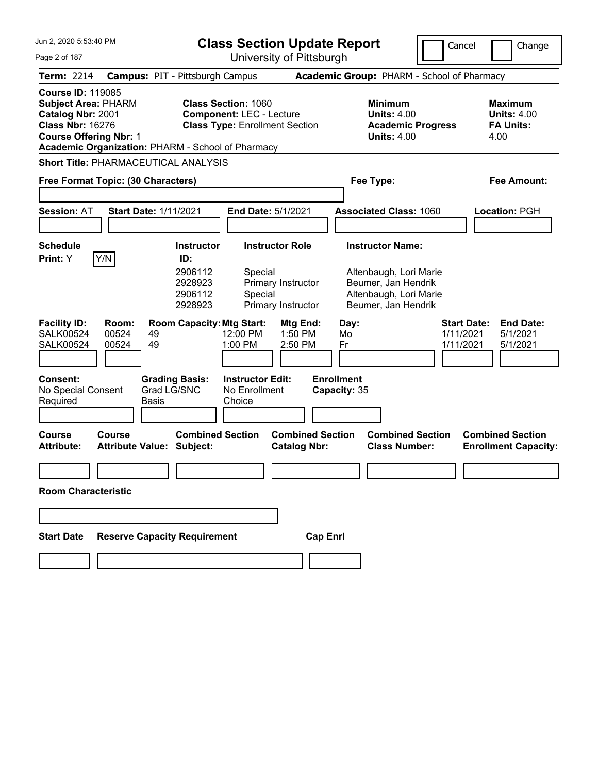| Jun 2, 2020 5:53:40 PM                                                                                                                      | <b>Class Section Update Report</b>                                                                                                                                                                                  | Cancel                                                                                                                    | Change                                                           |
|---------------------------------------------------------------------------------------------------------------------------------------------|---------------------------------------------------------------------------------------------------------------------------------------------------------------------------------------------------------------------|---------------------------------------------------------------------------------------------------------------------------|------------------------------------------------------------------|
| Page 2 of 187                                                                                                                               | University of Pittsburgh                                                                                                                                                                                            |                                                                                                                           |                                                                  |
| Term: 2214                                                                                                                                  | <b>Campus: PIT - Pittsburgh Campus</b>                                                                                                                                                                              | Academic Group: PHARM - School of Pharmacy                                                                                |                                                                  |
| <b>Course ID: 119085</b><br><b>Subject Area: PHARM</b><br>Catalog Nbr: 2001<br><b>Class Nbr: 16276</b><br><b>Course Offering Nbr: 1</b>     | <b>Class Section: 1060</b><br><b>Component: LEC - Lecture</b><br><b>Class Type: Enrollment Section</b><br>Academic Organization: PHARM - School of Pharmacy                                                         | <b>Minimum</b><br><b>Units: 4.00</b><br><b>Academic Progress</b><br><b>Units: 4.00</b>                                    | <b>Maximum</b><br><b>Units: 4.00</b><br><b>FA Units:</b><br>4.00 |
| <b>Short Title: PHARMACEUTICAL ANALYSIS</b>                                                                                                 |                                                                                                                                                                                                                     |                                                                                                                           |                                                                  |
| Free Format Topic: (30 Characters)                                                                                                          |                                                                                                                                                                                                                     | Fee Type:                                                                                                                 | Fee Amount:                                                      |
| <b>Session: AT</b>                                                                                                                          | <b>Start Date: 1/11/2021</b><br><b>End Date: 5/1/2021</b>                                                                                                                                                           | <b>Associated Class: 1060</b>                                                                                             | Location: PGH                                                    |
| <b>Schedule</b><br>Y/N<br>Print: Y                                                                                                          | <b>Instructor Role</b><br><b>Instructor</b><br>ID:<br>2906112<br>Special<br>2928923<br>Primary Instructor<br>2906112<br>Special<br>2928923<br>Primary Instructor                                                    | <b>Instructor Name:</b><br>Altenbaugh, Lori Marie<br>Beumer, Jan Hendrik<br>Altenbaugh, Lori Marie<br>Beumer, Jan Hendrik |                                                                  |
| <b>Facility ID:</b><br>Room:<br><b>SALK00524</b><br>00524<br><b>SALK00524</b><br>00524<br><b>Consent:</b><br>No Special Consent<br>Required | <b>Room Capacity: Mtg Start:</b><br>Mtg End:<br>12:00 PM<br>1:50 PM<br>49<br>49<br>1:00 PM<br>2:50 PM<br><b>Instructor Edit:</b><br><b>Grading Basis:</b><br>Grad LG/SNC<br>No Enrollment<br><b>Basis</b><br>Choice | <b>Start Date:</b><br>Day:<br>1/11/2021<br>Mo<br>1/11/2021<br>Fr<br><b>Enrollment</b><br>Capacity: 35                     | <b>End Date:</b><br>5/1/2021<br>5/1/2021                         |
| <b>Course</b><br>Course<br><b>Attribute:</b>                                                                                                | <b>Combined Section</b><br><b>Combined Section</b><br><b>Attribute Value: Subject:</b><br><b>Catalog Nbr:</b>                                                                                                       | <b>Combined Section</b><br><b>Class Number:</b>                                                                           | <b>Combined Section</b><br><b>Enrollment Capacity:</b>           |
| <b>Room Characteristic</b>                                                                                                                  |                                                                                                                                                                                                                     |                                                                                                                           |                                                                  |
|                                                                                                                                             |                                                                                                                                                                                                                     |                                                                                                                           |                                                                  |
| <b>Start Date</b>                                                                                                                           | <b>Reserve Capacity Requirement</b><br><b>Cap Enrl</b>                                                                                                                                                              |                                                                                                                           |                                                                  |
|                                                                                                                                             |                                                                                                                                                                                                                     |                                                                                                                           |                                                                  |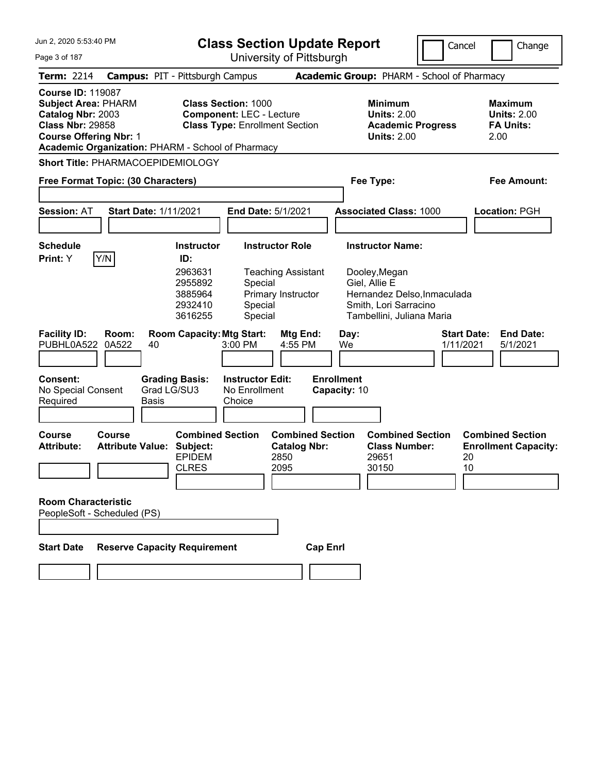| Jun 2, 2020 5:53:40 PM                                                                                                                                                                       | <b>Class Section Update Report</b>                                                                                                  |                                                                        |                                                                                                                                   | Cancel                          | Change                                                           |
|----------------------------------------------------------------------------------------------------------------------------------------------------------------------------------------------|-------------------------------------------------------------------------------------------------------------------------------------|------------------------------------------------------------------------|-----------------------------------------------------------------------------------------------------------------------------------|---------------------------------|------------------------------------------------------------------|
| Page 3 of 187                                                                                                                                                                                |                                                                                                                                     | University of Pittsburgh                                               |                                                                                                                                   |                                 |                                                                  |
| <b>Term: 2214</b>                                                                                                                                                                            | <b>Campus: PIT - Pittsburgh Campus</b>                                                                                              |                                                                        | <b>Academic Group: PHARM - School of Pharmacy</b>                                                                                 |                                 |                                                                  |
| <b>Course ID: 119087</b><br><b>Subject Area: PHARM</b><br>Catalog Nbr: 2003<br><b>Class Nbr: 29858</b><br><b>Course Offering Nbr: 1</b><br>Academic Organization: PHARM - School of Pharmacy | <b>Class Section: 1000</b><br><b>Component: LEC - Lecture</b><br><b>Class Type: Enrollment Section</b>                              |                                                                        | <b>Minimum</b><br><b>Units: 2.00</b><br><b>Academic Progress</b><br><b>Units: 2.00</b>                                            |                                 | <b>Maximum</b><br><b>Units: 2.00</b><br><b>FA Units:</b><br>2.00 |
| <b>Short Title: PHARMACOEPIDEMIOLOGY</b>                                                                                                                                                     |                                                                                                                                     |                                                                        |                                                                                                                                   |                                 |                                                                  |
| Free Format Topic: (30 Characters)                                                                                                                                                           |                                                                                                                                     |                                                                        | Fee Type:                                                                                                                         |                                 | <b>Fee Amount:</b>                                               |
|                                                                                                                                                                                              |                                                                                                                                     |                                                                        |                                                                                                                                   |                                 |                                                                  |
| <b>Start Date: 1/11/2021</b><br><b>Session: AT</b>                                                                                                                                           | <b>End Date: 5/1/2021</b>                                                                                                           |                                                                        | <b>Associated Class: 1000</b>                                                                                                     |                                 | Location: PGH                                                    |
|                                                                                                                                                                                              |                                                                                                                                     |                                                                        |                                                                                                                                   |                                 |                                                                  |
| <b>Schedule</b><br>Y/N<br><b>Print:</b> Y                                                                                                                                                    | <b>Instructor Role</b><br><b>Instructor</b><br>ID:                                                                                  |                                                                        | <b>Instructor Name:</b>                                                                                                           |                                 |                                                                  |
| <b>Facility ID:</b><br>Room:<br>PUBHL0A522<br>0A522<br>40                                                                                                                                    | 2963631<br>2955892<br>Special<br>3885964<br>2932410<br>Special<br>3616255<br>Special<br><b>Room Capacity: Mtg Start:</b><br>3:00 PM | <b>Teaching Assistant</b><br>Primary Instructor<br>Mtg End:<br>4:55 PM | Dooley, Megan<br>Giel, Allie E<br>Hernandez Delso, Inmaculada<br>Smith, Lori Sarracino<br>Tambellini, Juliana Maria<br>Day:<br>We | <b>Start Date:</b><br>1/11/2021 | <b>End Date:</b><br>5/1/2021                                     |
| <b>Consent:</b><br><b>Grading Basis:</b><br>Grad LG/SU3<br>No Special Consent<br><b>Basis</b><br>Required                                                                                    | <b>Instructor Edit:</b><br>No Enrollment<br>Choice                                                                                  |                                                                        | <b>Enrollment</b><br>Capacity: 10                                                                                                 |                                 |                                                                  |
| <b>Course</b><br>Course<br><b>Attribute Value: Subject:</b><br><b>Attribute:</b><br><b>Room Characteristic</b><br>PeopleSoft - Scheduled (PS)                                                | <b>Combined Section</b><br><b>EPIDEM</b><br><b>CLRES</b>                                                                            | <b>Combined Section</b><br><b>Catalog Nbr:</b><br>2850<br>2095         | <b>Combined Section</b><br><b>Class Number:</b><br>29651<br>30150                                                                 | 20<br>10                        | <b>Combined Section</b><br><b>Enrollment Capacity:</b>           |
| <b>Reserve Capacity Requirement</b><br><b>Start Date</b>                                                                                                                                     |                                                                                                                                     | <b>Cap Enrl</b>                                                        |                                                                                                                                   |                                 |                                                                  |
|                                                                                                                                                                                              |                                                                                                                                     |                                                                        |                                                                                                                                   |                                 |                                                                  |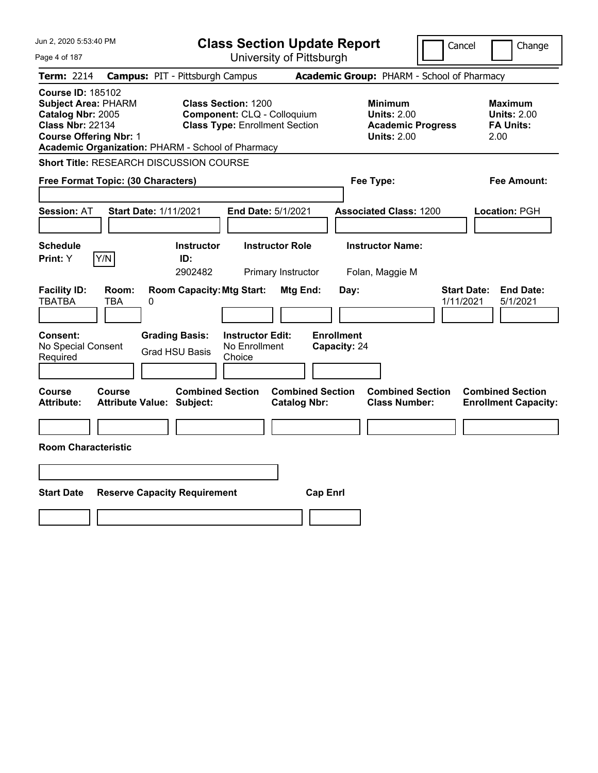| Jun 2, 2020 5:53:40 PM                                                                                                                                                                       | <b>Class Section Update Report</b>                                                                   |                                                                                        | Cancel<br>Change                                                 |
|----------------------------------------------------------------------------------------------------------------------------------------------------------------------------------------------|------------------------------------------------------------------------------------------------------|----------------------------------------------------------------------------------------|------------------------------------------------------------------|
| Page 4 of 187                                                                                                                                                                                | University of Pittsburgh                                                                             |                                                                                        |                                                                  |
| <b>Term: 2214</b>                                                                                                                                                                            | <b>Campus: PIT - Pittsburgh Campus</b>                                                               | Academic Group: PHARM - School of Pharmacy                                             |                                                                  |
| <b>Course ID: 185102</b><br><b>Subject Area: PHARM</b><br>Catalog Nbr: 2005<br><b>Class Nbr: 22134</b><br><b>Course Offering Nbr: 1</b><br>Academic Organization: PHARM - School of Pharmacy | <b>Class Section: 1200</b><br>Component: CLQ - Colloquium<br><b>Class Type: Enrollment Section</b>   | <b>Minimum</b><br><b>Units: 2.00</b><br><b>Academic Progress</b><br><b>Units: 2.00</b> | <b>Maximum</b><br><b>Units: 2.00</b><br><b>FA Units:</b><br>2.00 |
| Short Title: RESEARCH DISCUSSION COURSE                                                                                                                                                      |                                                                                                      |                                                                                        |                                                                  |
| Free Format Topic: (30 Characters)                                                                                                                                                           |                                                                                                      | Fee Type:                                                                              | Fee Amount:                                                      |
| <b>Start Date: 1/11/2021</b><br><b>Session: AT</b>                                                                                                                                           | End Date: 5/1/2021                                                                                   | <b>Associated Class: 1200</b>                                                          | Location: PGH                                                    |
| <b>Schedule</b><br>Print: Y<br>Y/N                                                                                                                                                           | <b>Instructor Role</b><br><b>Instructor</b><br>ID:<br>2902482<br>Primary Instructor                  | <b>Instructor Name:</b><br>Folan, Maggie M                                             |                                                                  |
| <b>Facility ID:</b><br>Room:<br>TBATBA<br>TBA<br>0                                                                                                                                           | <b>Room Capacity: Mtg Start:</b><br>Mtg End:                                                         | Day:                                                                                   | <b>Start Date:</b><br><b>End Date:</b><br>1/11/2021<br>5/1/2021  |
| Consent:<br>No Special Consent<br>Required                                                                                                                                                   | <b>Grading Basis:</b><br><b>Instructor Edit:</b><br>No Enrollment<br><b>Grad HSU Basis</b><br>Choice | <b>Enrollment</b><br>Capacity: 24                                                      |                                                                  |
| Course<br>Course<br><b>Attribute Value: Subject:</b><br><b>Attribute:</b>                                                                                                                    | <b>Combined Section</b><br><b>Catalog Nbr:</b>                                                       | <b>Combined Section</b><br><b>Combined Section</b><br><b>Class Number:</b>             | <b>Combined Section</b><br><b>Enrollment Capacity:</b>           |
|                                                                                                                                                                                              |                                                                                                      |                                                                                        |                                                                  |
| <b>Room Characteristic</b>                                                                                                                                                                   |                                                                                                      |                                                                                        |                                                                  |
|                                                                                                                                                                                              |                                                                                                      |                                                                                        |                                                                  |
| <b>Start Date</b><br><b>Reserve Capacity Requirement</b>                                                                                                                                     |                                                                                                      | <b>Cap Enrl</b>                                                                        |                                                                  |
|                                                                                                                                                                                              |                                                                                                      |                                                                                        |                                                                  |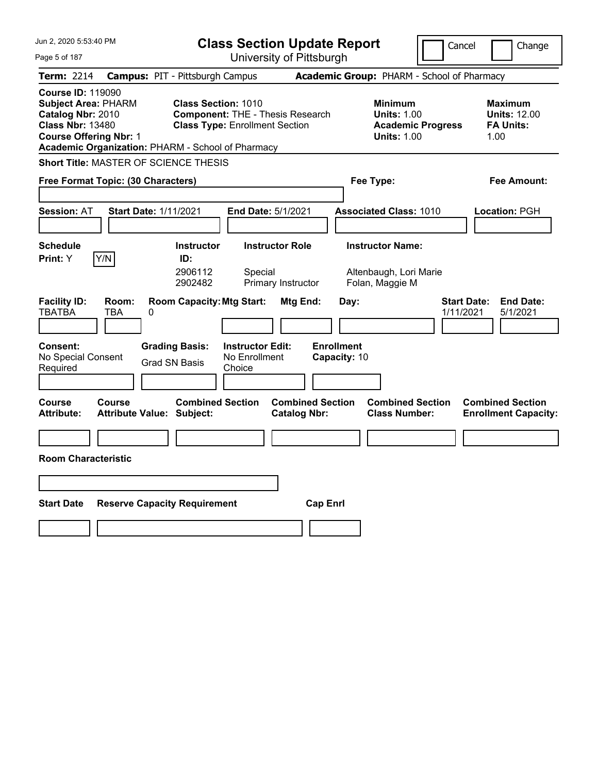| Jun 2, 2020 5:53:40 PM<br>Page 5 of 187                                                                                                                                                                                                                      | <b>Class Section Update Report</b><br>University of Pittsburgh                                                                    | Cancel<br>Change                                                  |
|--------------------------------------------------------------------------------------------------------------------------------------------------------------------------------------------------------------------------------------------------------------|-----------------------------------------------------------------------------------------------------------------------------------|-------------------------------------------------------------------|
| <b>Term: 2214</b><br><b>Campus: PIT - Pittsburgh Campus</b>                                                                                                                                                                                                  | Academic Group: PHARM - School of Pharmacy                                                                                        |                                                                   |
| <b>Course ID: 119090</b><br><b>Subject Area: PHARM</b><br>Class Section: 1010<br>Catalog Nbr: 2010<br><b>Class Nbr: 13480</b><br><b>Class Type: Enrollment Section</b><br><b>Course Offering Nbr: 1</b><br>Academic Organization: PHARM - School of Pharmacy | <b>Minimum</b><br><b>Component: THE - Thesis Research</b><br><b>Units: 1.00</b><br><b>Academic Progress</b><br><b>Units: 1.00</b> | <b>Maximum</b><br><b>Units: 12.00</b><br><b>FA Units:</b><br>1.00 |
| <b>Short Title: MASTER OF SCIENCE THESIS</b>                                                                                                                                                                                                                 |                                                                                                                                   |                                                                   |
| Free Format Topic: (30 Characters)                                                                                                                                                                                                                           | Fee Type:                                                                                                                         | Fee Amount:                                                       |
| <b>Session: AT</b><br><b>Start Date: 1/11/2021</b>                                                                                                                                                                                                           | <b>Associated Class: 1010</b><br><b>End Date: 5/1/2021</b>                                                                        | Location: PGH                                                     |
| <b>Schedule</b><br><b>Instructor</b><br>Y/N<br>Print: Y<br>ID:<br>2906112<br>2902482                                                                                                                                                                         | <b>Instructor Role</b><br><b>Instructor Name:</b><br>Special<br>Altenbaugh, Lori Marie<br>Primary Instructor<br>Folan, Maggie M   |                                                                   |
| <b>Room Capacity: Mtg Start:</b><br><b>Facility ID:</b><br>Room:<br><b>TBATBA</b><br><b>TBA</b><br>0<br><b>Consent:</b><br><b>Grading Basis:</b><br>No Special Consent<br><b>Grad SN Basis</b><br>Required<br>Choice                                         | Mtg End:<br>Day:<br><b>Enrollment</b><br><b>Instructor Edit:</b><br>No Enrollment<br>Capacity: 10                                 | <b>Start Date:</b><br><b>End Date:</b><br>5/1/2021<br>1/11/2021   |
| <b>Combined Section</b><br><b>Course</b><br>Course<br>Attribute Value: Subject:<br><b>Attribute:</b>                                                                                                                                                         | <b>Combined Section</b><br><b>Combined Section</b><br><b>Class Number:</b><br><b>Catalog Nbr:</b>                                 | <b>Combined Section</b><br><b>Enrollment Capacity:</b>            |
|                                                                                                                                                                                                                                                              |                                                                                                                                   |                                                                   |
| <b>Room Characteristic</b>                                                                                                                                                                                                                                   |                                                                                                                                   |                                                                   |
|                                                                                                                                                                                                                                                              |                                                                                                                                   |                                                                   |
| <b>Start Date</b><br><b>Reserve Capacity Requirement</b>                                                                                                                                                                                                     | <b>Cap Enrl</b>                                                                                                                   |                                                                   |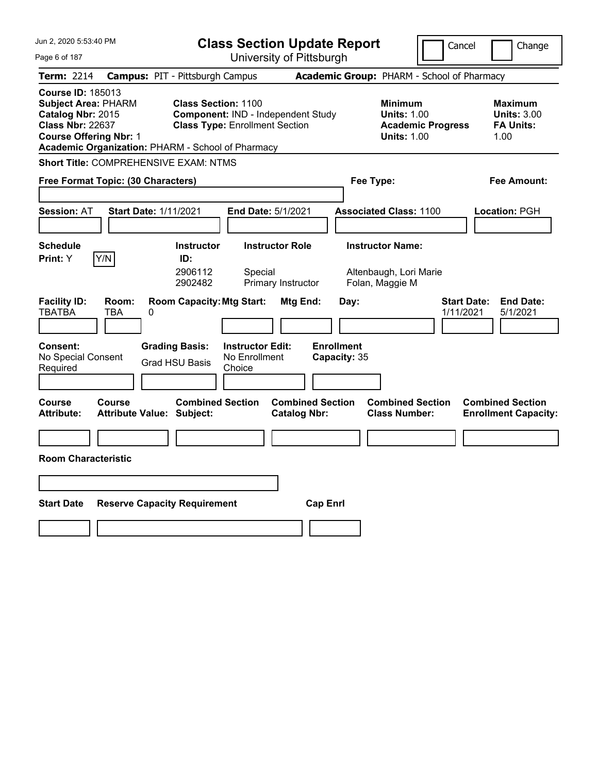| Jun 2, 2020 5:53:40 PM                                                                                                                                                                       |                                                                     | <b>Class Section Update Report</b>                      |                                                                      | Cancel                                         | Change                                                           |
|----------------------------------------------------------------------------------------------------------------------------------------------------------------------------------------------|---------------------------------------------------------------------|---------------------------------------------------------|----------------------------------------------------------------------|------------------------------------------------|------------------------------------------------------------------|
| Page 6 of 187                                                                                                                                                                                |                                                                     | University of Pittsburgh                                |                                                                      |                                                |                                                                  |
| <b>Term: 2214</b>                                                                                                                                                                            | <b>Campus: PIT - Pittsburgh Campus</b>                              |                                                         | Academic Group: PHARM - School of Pharmacy                           |                                                |                                                                  |
| <b>Course ID: 185013</b><br><b>Subject Area: PHARM</b><br>Catalog Nbr: 2015<br><b>Class Nbr: 22637</b><br><b>Course Offering Nbr: 1</b><br>Academic Organization: PHARM - School of Pharmacy | <b>Class Section: 1100</b><br><b>Class Type: Enrollment Section</b> | Component: IND - Independent Study                      | <b>Minimum</b><br><b>Units: 1.00</b>                                 | <b>Units: 1.00</b><br><b>Academic Progress</b> | <b>Maximum</b><br><b>Units: 3.00</b><br><b>FA Units:</b><br>1.00 |
| <b>Short Title: COMPREHENSIVE EXAM: NTMS</b>                                                                                                                                                 |                                                                     |                                                         |                                                                      |                                                |                                                                  |
| Free Format Topic: (30 Characters)                                                                                                                                                           |                                                                     |                                                         | Fee Type:                                                            |                                                | Fee Amount:                                                      |
| <b>Session: AT</b>                                                                                                                                                                           | <b>Start Date: 1/11/2021</b>                                        | End Date: 5/1/2021                                      | <b>Associated Class: 1100</b>                                        |                                                | Location: PGH                                                    |
| <b>Schedule</b><br>Y/N<br>Print: Y                                                                                                                                                           | <b>Instructor</b><br>ID:<br>2906112<br>2902482                      | <b>Instructor Role</b><br>Special<br>Primary Instructor | <b>Instructor Name:</b><br>Altenbaugh, Lori Marie<br>Folan, Maggie M |                                                |                                                                  |
| <b>Facility ID:</b><br>Room:<br><b>TBATBA</b><br>TBA<br><b>Consent:</b>                                                                                                                      | <b>Room Capacity: Mtg Start:</b><br>0<br><b>Grading Basis:</b>      | Mtg End:<br><b>Instructor Edit:</b>                     | Day:<br><b>Enrollment</b>                                            | <b>Start Date:</b><br>1/11/2021                | <b>End Date:</b><br>5/1/2021                                     |
| No Special Consent<br>Required                                                                                                                                                               | <b>Grad HSU Basis</b><br>Choice                                     | No Enrollment                                           | Capacity: 35                                                         |                                                |                                                                  |
|                                                                                                                                                                                              |                                                                     |                                                         |                                                                      |                                                |                                                                  |
| Course<br><b>Course</b><br>Attribute:                                                                                                                                                        | <b>Combined Section</b><br><b>Attribute Value: Subject:</b>         | <b>Combined Section</b><br><b>Catalog Nbr:</b>          | <b>Class Number:</b>                                                 | <b>Combined Section</b>                        | <b>Combined Section</b><br><b>Enrollment Capacity:</b>           |
|                                                                                                                                                                                              |                                                                     |                                                         |                                                                      |                                                |                                                                  |
| <b>Room Characteristic</b>                                                                                                                                                                   |                                                                     |                                                         |                                                                      |                                                |                                                                  |
|                                                                                                                                                                                              |                                                                     |                                                         |                                                                      |                                                |                                                                  |
| <b>Start Date</b>                                                                                                                                                                            | <b>Reserve Capacity Requirement</b>                                 | <b>Cap Enrl</b>                                         |                                                                      |                                                |                                                                  |
|                                                                                                                                                                                              |                                                                     |                                                         |                                                                      |                                                |                                                                  |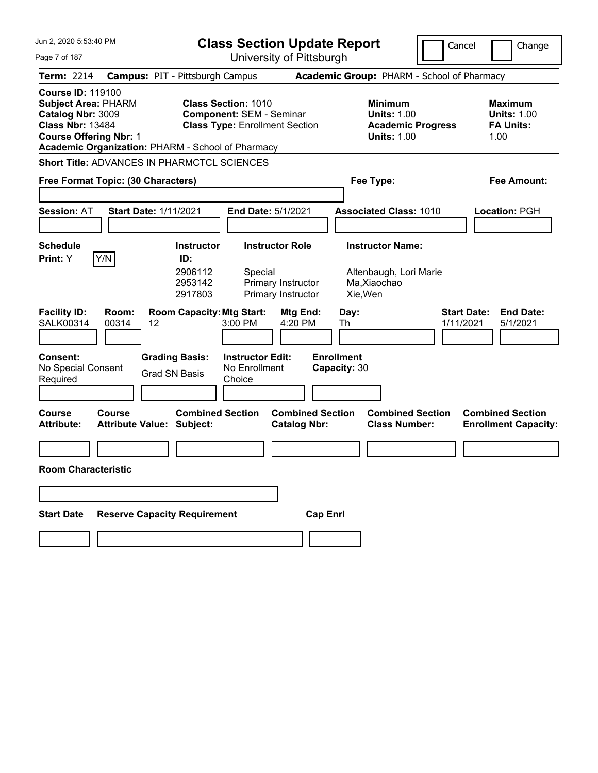| Jun 2. 2020 5:53:40 PM                                                                                                                                                                       | <b>Class Section Update Report</b>                                                                     |                                                                                        | Cancel<br>Change                                                 |
|----------------------------------------------------------------------------------------------------------------------------------------------------------------------------------------------|--------------------------------------------------------------------------------------------------------|----------------------------------------------------------------------------------------|------------------------------------------------------------------|
| Page 7 of 187                                                                                                                                                                                | University of Pittsburgh                                                                               |                                                                                        |                                                                  |
| <b>Term: 2214</b>                                                                                                                                                                            | <b>Campus: PIT - Pittsburgh Campus</b>                                                                 | Academic Group: PHARM - School of Pharmacy                                             |                                                                  |
| <b>Course ID: 119100</b><br><b>Subject Area: PHARM</b><br>Catalog Nbr: 3009<br><b>Class Nbr: 13484</b><br><b>Course Offering Nbr: 1</b><br>Academic Organization: PHARM - School of Pharmacy | <b>Class Section: 1010</b><br><b>Component: SEM - Seminar</b><br><b>Class Type: Enrollment Section</b> | <b>Minimum</b><br><b>Units: 1.00</b><br><b>Academic Progress</b><br><b>Units: 1.00</b> | <b>Maximum</b><br><b>Units: 1.00</b><br><b>FA Units:</b><br>1.00 |
| <b>Short Title: ADVANCES IN PHARMCTCL SCIENCES</b>                                                                                                                                           |                                                                                                        |                                                                                        |                                                                  |
| Free Format Topic: (30 Characters)                                                                                                                                                           |                                                                                                        | Fee Type:                                                                              | <b>Fee Amount:</b>                                               |
|                                                                                                                                                                                              |                                                                                                        |                                                                                        |                                                                  |
| <b>Start Date: 1/11/2021</b><br><b>Session: AT</b>                                                                                                                                           | End Date: 5/1/2021                                                                                     | <b>Associated Class: 1010</b>                                                          | Location: PGH                                                    |
|                                                                                                                                                                                              |                                                                                                        |                                                                                        |                                                                  |
| <b>Schedule</b>                                                                                                                                                                              | <b>Instructor Role</b><br><b>Instructor</b>                                                            | <b>Instructor Name:</b>                                                                |                                                                  |
| Y/N<br>Print: Y                                                                                                                                                                              | ID:<br>2906112<br>Special<br>2953142<br>Primary Instructor<br>2917803<br>Primary Instructor            | Altenbaugh, Lori Marie<br>Ma, Xiaochao<br>Xie, Wen                                     |                                                                  |
| <b>Facility ID:</b><br>Room:<br><b>SALK00314</b><br>00314<br>12                                                                                                                              | <b>Room Capacity: Mtg Start:</b><br>Mtg End:<br>3:00 PM<br>4:20 PM                                     | Day:<br>Th                                                                             | <b>Start Date:</b><br><b>End Date:</b><br>1/11/2021<br>5/1/2021  |
| <b>Consent:</b><br>No Special Consent<br>Required                                                                                                                                            | <b>Instructor Edit:</b><br><b>Grading Basis:</b><br>No Enrollment<br><b>Grad SN Basis</b><br>Choice    | <b>Enrollment</b><br>Capacity: 30                                                      |                                                                  |
| <b>Course</b><br>Course<br><b>Attribute:</b><br><b>Attribute Value: Subject:</b>                                                                                                             | <b>Combined Section</b><br><b>Catalog Nbr:</b>                                                         | <b>Combined Section</b><br><b>Combined Section</b><br><b>Class Number:</b>             | <b>Combined Section</b><br><b>Enrollment Capacity:</b>           |
|                                                                                                                                                                                              |                                                                                                        |                                                                                        |                                                                  |
| <b>Room Characteristic</b>                                                                                                                                                                   |                                                                                                        |                                                                                        |                                                                  |
|                                                                                                                                                                                              |                                                                                                        |                                                                                        |                                                                  |
| <b>Start Date</b>                                                                                                                                                                            | <b>Reserve Capacity Requirement</b>                                                                    | <b>Cap Enrl</b>                                                                        |                                                                  |
|                                                                                                                                                                                              |                                                                                                        |                                                                                        |                                                                  |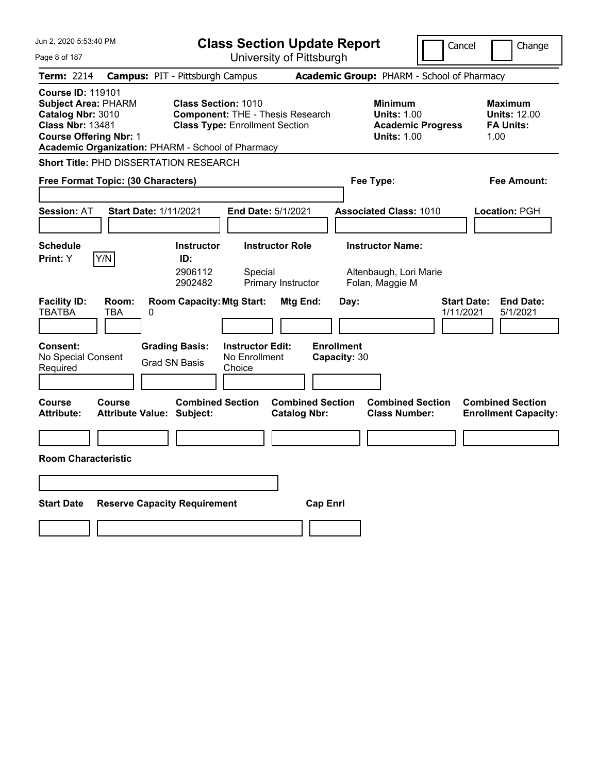| Jun 2, 2020 5:53:40 PM                                                                                                                                                                       | <b>Class Section Update Report</b>                                                                                                              | Cancel                                                                                 | Change                                                            |
|----------------------------------------------------------------------------------------------------------------------------------------------------------------------------------------------|-------------------------------------------------------------------------------------------------------------------------------------------------|----------------------------------------------------------------------------------------|-------------------------------------------------------------------|
| Page 8 of 187                                                                                                                                                                                | University of Pittsburgh                                                                                                                        |                                                                                        |                                                                   |
| Term: 2214<br><b>Campus: PIT - Pittsburgh Campus</b>                                                                                                                                         |                                                                                                                                                 | <b>Academic Group: PHARM - School of Pharmacy</b>                                      |                                                                   |
| <b>Course ID: 119101</b><br><b>Subject Area: PHARM</b><br>Catalog Nbr: 3010<br><b>Class Nbr: 13481</b><br><b>Course Offering Nbr: 1</b><br>Academic Organization: PHARM - School of Pharmacy | <b>Class Section: 1010</b><br><b>Component: THE - Thesis Research</b><br><b>Class Type: Enrollment Section</b>                                  | <b>Minimum</b><br><b>Units: 1.00</b><br><b>Academic Progress</b><br><b>Units: 1.00</b> | <b>Maximum</b><br><b>Units: 12.00</b><br><b>FA Units:</b><br>1.00 |
| <b>Short Title: PHD DISSERTATION RESEARCH</b>                                                                                                                                                |                                                                                                                                                 |                                                                                        |                                                                   |
| Free Format Topic: (30 Characters)                                                                                                                                                           |                                                                                                                                                 | Fee Type:                                                                              | Fee Amount:                                                       |
| <b>Session: AT</b><br><b>Start Date: 1/11/2021</b>                                                                                                                                           | <b>End Date: 5/1/2021</b>                                                                                                                       | <b>Associated Class: 1010</b>                                                          | Location: PGH                                                     |
| <b>Schedule</b><br>Y/N<br>Print: Y<br>ID:                                                                                                                                                    | <b>Instructor Role</b><br><b>Instructor</b><br>2906112<br>Special<br>2902482<br>Primary Instructor                                              | <b>Instructor Name:</b><br>Altenbaugh, Lori Marie<br>Folan, Maggie M                   |                                                                   |
| <b>Facility ID:</b><br>Room:<br><b>TBATBA</b><br><b>TBA</b><br>0<br><b>Consent:</b><br><b>Grading Basis:</b><br>No Special Consent<br><b>Grad SN Basis</b><br>Required                       | <b>Room Capacity: Mtg Start:</b><br>Mtg End:<br>Day:<br><b>Enrollment</b><br><b>Instructor Edit:</b><br>No Enrollment<br>Capacity: 30<br>Choice | <b>Start Date:</b><br>1/11/2021                                                        | <b>End Date:</b><br>5/1/2021                                      |
| Course<br>Course<br><b>Attribute Value: Subject:</b><br><b>Attribute:</b>                                                                                                                    | <b>Combined Section</b><br><b>Combined Section</b><br><b>Catalog Nbr:</b>                                                                       | <b>Combined Section</b><br><b>Class Number:</b>                                        | <b>Combined Section</b><br><b>Enrollment Capacity:</b>            |
|                                                                                                                                                                                              |                                                                                                                                                 |                                                                                        |                                                                   |
| <b>Room Characteristic</b>                                                                                                                                                                   |                                                                                                                                                 |                                                                                        |                                                                   |
|                                                                                                                                                                                              |                                                                                                                                                 |                                                                                        |                                                                   |
|                                                                                                                                                                                              |                                                                                                                                                 |                                                                                        |                                                                   |
| <b>Reserve Capacity Requirement</b><br><b>Start Date</b>                                                                                                                                     | <b>Cap Enrl</b>                                                                                                                                 |                                                                                        |                                                                   |
|                                                                                                                                                                                              |                                                                                                                                                 |                                                                                        |                                                                   |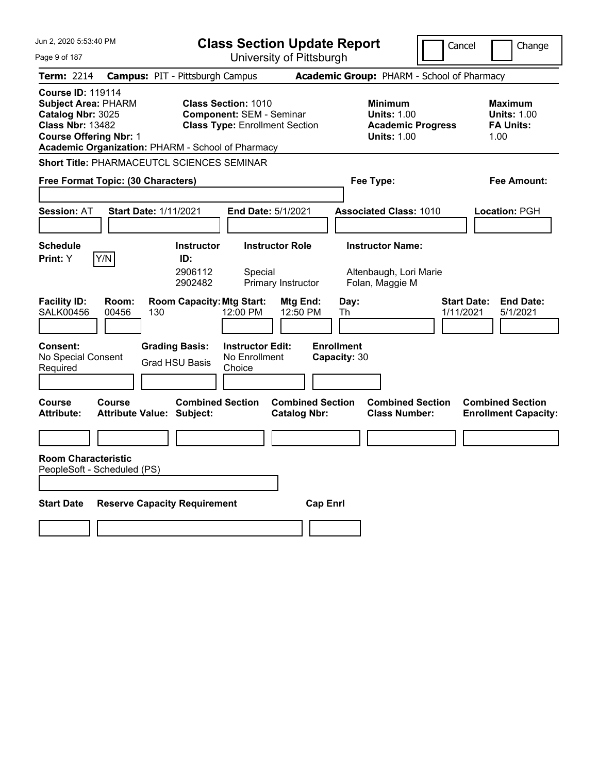| Jun 2, 2020 5:53:40 PM                                                                                                                                                                       | <b>Class Section Update Report</b>                                                                     |                                                | Cancel                                                                                 | Change                                                           |
|----------------------------------------------------------------------------------------------------------------------------------------------------------------------------------------------|--------------------------------------------------------------------------------------------------------|------------------------------------------------|----------------------------------------------------------------------------------------|------------------------------------------------------------------|
| Page 9 of 187                                                                                                                                                                                |                                                                                                        | University of Pittsburgh                       |                                                                                        |                                                                  |
| <b>Term: 2214</b>                                                                                                                                                                            | <b>Campus: PIT - Pittsburgh Campus</b>                                                                 |                                                | Academic Group: PHARM - School of Pharmacy                                             |                                                                  |
| <b>Course ID: 119114</b><br><b>Subject Area: PHARM</b><br>Catalog Nbr: 3025<br><b>Class Nbr: 13482</b><br><b>Course Offering Nbr: 1</b><br>Academic Organization: PHARM - School of Pharmacy | <b>Class Section: 1010</b><br><b>Component: SEM - Seminar</b><br><b>Class Type: Enrollment Section</b> |                                                | <b>Minimum</b><br><b>Units: 1.00</b><br><b>Academic Progress</b><br><b>Units: 1.00</b> | <b>Maximum</b><br><b>Units: 1.00</b><br><b>FA Units:</b><br>1.00 |
| <b>Short Title: PHARMACEUTCL SCIENCES SEMINAR</b>                                                                                                                                            |                                                                                                        |                                                |                                                                                        |                                                                  |
| Free Format Topic: (30 Characters)                                                                                                                                                           |                                                                                                        |                                                | Fee Type:                                                                              | Fee Amount:                                                      |
| <b>Start Date: 1/11/2021</b><br><b>Session: AT</b>                                                                                                                                           | End Date: 5/1/2021                                                                                     |                                                | <b>Associated Class: 1010</b>                                                          | Location: PGH                                                    |
| <b>Schedule</b>                                                                                                                                                                              | <b>Instructor Role</b><br><b>Instructor</b>                                                            |                                                | <b>Instructor Name:</b>                                                                |                                                                  |
| Print: Y<br>Y/N<br><b>Facility ID:</b><br>Room:                                                                                                                                              | ID:<br>2906112<br>Special<br>2902482<br>Primary Instructor<br><b>Room Capacity: Mtg Start:</b>         | Day:<br>Mtg End:                               | Altenbaugh, Lori Marie<br>Folan, Maggie M                                              | <b>End Date:</b><br><b>Start Date:</b>                           |
| <b>SALK00456</b><br>00456<br>130                                                                                                                                                             | 12:00 PM                                                                                               | 12:50 PM<br>Th                                 |                                                                                        | 1/11/2021<br>5/1/2021                                            |
| <b>Consent:</b><br>No Special Consent<br>Required                                                                                                                                            | <b>Grading Basis:</b><br><b>Instructor Edit:</b><br>No Enrollment<br>Grad HSU Basis<br>Choice          | <b>Enrollment</b><br>Capacity: 30              |                                                                                        |                                                                  |
| <b>Course</b><br>Course<br><b>Attribute:</b><br><b>Attribute Value: Subject:</b>                                                                                                             | <b>Combined Section</b>                                                                                | <b>Combined Section</b><br><b>Catalog Nbr:</b> | <b>Combined Section</b><br><b>Class Number:</b>                                        | <b>Combined Section</b><br><b>Enrollment Capacity:</b>           |
|                                                                                                                                                                                              |                                                                                                        |                                                |                                                                                        |                                                                  |
| <b>Room Characteristic</b><br>PeopleSoft - Scheduled (PS)                                                                                                                                    |                                                                                                        |                                                |                                                                                        |                                                                  |
| <b>Start Date</b>                                                                                                                                                                            | <b>Reserve Capacity Requirement</b>                                                                    | <b>Cap Enrl</b>                                |                                                                                        |                                                                  |
|                                                                                                                                                                                              |                                                                                                        |                                                |                                                                                        |                                                                  |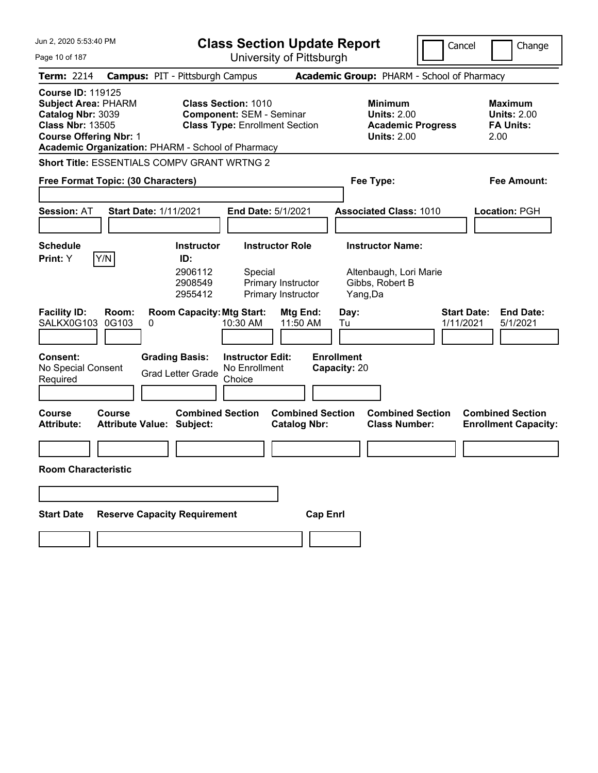| Jun 2, 2020 5:53:40 PM                                                                                                                                                                       | <b>Class Section Update Report</b>                                                                      | Cancel                                                                          | Change                                                    |
|----------------------------------------------------------------------------------------------------------------------------------------------------------------------------------------------|---------------------------------------------------------------------------------------------------------|---------------------------------------------------------------------------------|-----------------------------------------------------------|
| Page 10 of 187                                                                                                                                                                               | University of Pittsburgh                                                                                |                                                                                 |                                                           |
| <b>Term: 2214</b>                                                                                                                                                                            | <b>Campus: PIT - Pittsburgh Campus</b>                                                                  | Academic Group: PHARM - School of Pharmacy                                      |                                                           |
| <b>Course ID: 119125</b><br><b>Subject Area: PHARM</b><br>Catalog Nbr: 3039<br><b>Class Nbr: 13505</b><br><b>Course Offering Nbr: 1</b><br>Academic Organization: PHARM - School of Pharmacy | <b>Class Section: 1010</b><br><b>Component: SEM - Seminar</b><br><b>Class Type: Enrollment Section</b>  | Minimum<br><b>Units: 2.00</b><br><b>Academic Progress</b><br><b>Units: 2.00</b> | Maximum<br><b>Units: 2.00</b><br><b>FA Units:</b><br>2.00 |
| <b>Short Title: ESSENTIALS COMPV GRANT WRTNG 2</b>                                                                                                                                           |                                                                                                         |                                                                                 |                                                           |
| Free Format Topic: (30 Characters)                                                                                                                                                           |                                                                                                         | Fee Type:                                                                       | Fee Amount:                                               |
|                                                                                                                                                                                              |                                                                                                         |                                                                                 |                                                           |
| <b>Session: AT</b><br><b>Start Date: 1/11/2021</b>                                                                                                                                           | End Date: 5/1/2021                                                                                      | <b>Associated Class: 1010</b>                                                   | Location: PGH                                             |
|                                                                                                                                                                                              |                                                                                                         |                                                                                 |                                                           |
| <b>Schedule</b>                                                                                                                                                                              | <b>Instructor</b><br><b>Instructor Role</b>                                                             | <b>Instructor Name:</b>                                                         |                                                           |
| Y/N<br>Print: Y                                                                                                                                                                              | ID:<br>2906112<br>Special<br>2908549<br>Primary Instructor<br>2955412<br>Primary Instructor             | Altenbaugh, Lori Marie<br>Gibbs, Robert B<br>Yang,Da                            |                                                           |
| <b>Facility ID:</b><br>Room:<br>SALKX0G103<br>0G103<br>0                                                                                                                                     | <b>Room Capacity: Mtg Start:</b><br>Mtg End:<br>11:50 AM<br>10:30 AM                                    | <b>Start Date:</b><br>Day:<br>1/11/2021<br>Tu                                   | <b>End Date:</b><br>5/1/2021                              |
| <b>Consent:</b><br>No Special Consent<br>Required                                                                                                                                            | <b>Instructor Edit:</b><br><b>Grading Basis:</b><br>No Enrollment<br><b>Grad Letter Grade</b><br>Choice | <b>Enrollment</b><br>Capacity: 20                                               |                                                           |
| <b>Course</b><br>Course<br><b>Attribute:</b><br><b>Attribute Value: Subject:</b>                                                                                                             | <b>Combined Section</b><br><b>Combined Section</b><br><b>Catalog Nbr:</b>                               | <b>Combined Section</b><br><b>Class Number:</b>                                 | <b>Combined Section</b><br><b>Enrollment Capacity:</b>    |
|                                                                                                                                                                                              |                                                                                                         |                                                                                 |                                                           |
| <b>Room Characteristic</b>                                                                                                                                                                   |                                                                                                         |                                                                                 |                                                           |
|                                                                                                                                                                                              |                                                                                                         |                                                                                 |                                                           |
| <b>Start Date</b>                                                                                                                                                                            | <b>Reserve Capacity Requirement</b>                                                                     | <b>Cap Enrl</b>                                                                 |                                                           |
|                                                                                                                                                                                              |                                                                                                         |                                                                                 |                                                           |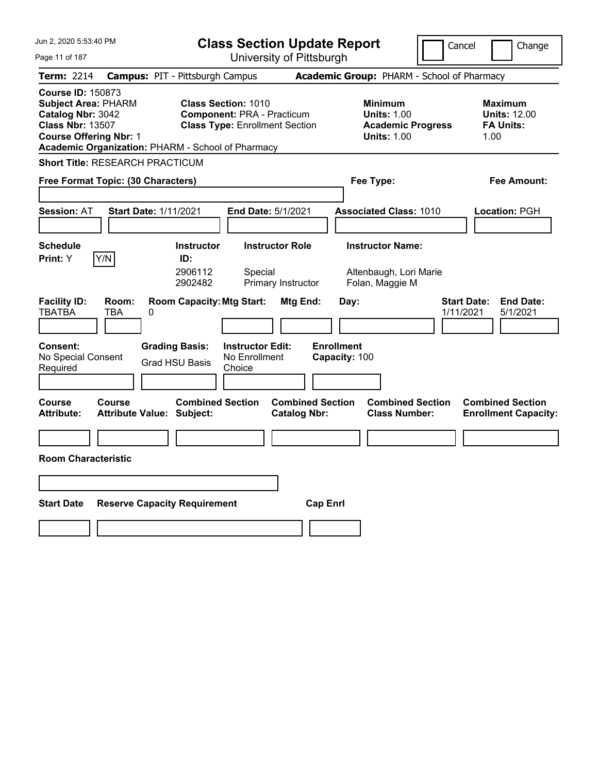| Jun 2, 2020 5:53:40 PM                                                                                                                                                                       | <b>Class Section Update Report</b>                                                                                                       |                                                                      | Cancel                                          | Change                                                            |
|----------------------------------------------------------------------------------------------------------------------------------------------------------------------------------------------|------------------------------------------------------------------------------------------------------------------------------------------|----------------------------------------------------------------------|-------------------------------------------------|-------------------------------------------------------------------|
| Page 11 of 187                                                                                                                                                                               | University of Pittsburgh                                                                                                                 |                                                                      |                                                 |                                                                   |
| <b>Term: 2214</b>                                                                                                                                                                            | <b>Campus: PIT - Pittsburgh Campus</b>                                                                                                   | Academic Group: PHARM - School of Pharmacy                           |                                                 |                                                                   |
| <b>Course ID: 150873</b><br><b>Subject Area: PHARM</b><br>Catalog Nbr: 3042<br><b>Class Nbr: 13507</b><br><b>Course Offering Nbr: 1</b><br>Academic Organization: PHARM - School of Pharmacy | <b>Class Section: 1010</b><br><b>Component: PRA - Practicum</b><br><b>Class Type: Enrollment Section</b>                                 | <b>Minimum</b><br><b>Units: 1.00</b><br><b>Units: 1.00</b>           | <b>Academic Progress</b>                        | <b>Maximum</b><br><b>Units: 12.00</b><br><b>FA Units:</b><br>1.00 |
| <b>Short Title: RESEARCH PRACTICUM</b>                                                                                                                                                       |                                                                                                                                          |                                                                      |                                                 |                                                                   |
| Free Format Topic: (30 Characters)                                                                                                                                                           |                                                                                                                                          | Fee Type:                                                            |                                                 | Fee Amount:                                                       |
| <b>Session: AT</b><br><b>Start Date: 1/11/2021</b>                                                                                                                                           | End Date: 5/1/2021                                                                                                                       | <b>Associated Class: 1010</b>                                        |                                                 | Location: PGH                                                     |
| <b>Schedule</b><br>Y/N<br>Print: Y                                                                                                                                                           | <b>Instructor Role</b><br><b>Instructor</b><br>ID:<br>2906112<br>Special<br>2902482<br>Primary Instructor                                | <b>Instructor Name:</b><br>Altenbaugh, Lori Marie<br>Folan, Maggie M |                                                 |                                                                   |
| <b>Facility ID:</b><br>Room:<br><b>TBATBA</b><br>TBA<br>0<br><b>Consent:</b><br>No Special Consent<br>Required                                                                               | <b>Room Capacity: Mtg Start:</b><br><b>Grading Basis:</b><br><b>Instructor Edit:</b><br>No Enrollment<br><b>Grad HSU Basis</b><br>Choice | Mtg End:<br>Day:<br><b>Enrollment</b><br>Capacity: 100               | <b>Start Date:</b><br>1/11/2021                 | <b>End Date:</b><br>5/1/2021                                      |
| Course<br>Course<br><b>Attribute:</b><br><b>Attribute Value: Subject:</b><br><b>Room Characteristic</b>                                                                                      | <b>Combined Section</b>                                                                                                                  | <b>Combined Section</b><br><b>Catalog Nbr:</b>                       | <b>Combined Section</b><br><b>Class Number:</b> | <b>Combined Section</b><br><b>Enrollment Capacity:</b>            |
|                                                                                                                                                                                              |                                                                                                                                          |                                                                      |                                                 |                                                                   |
| <b>Start Date</b><br><b>Reserve Capacity Requirement</b>                                                                                                                                     |                                                                                                                                          | <b>Cap Enrl</b>                                                      |                                                 |                                                                   |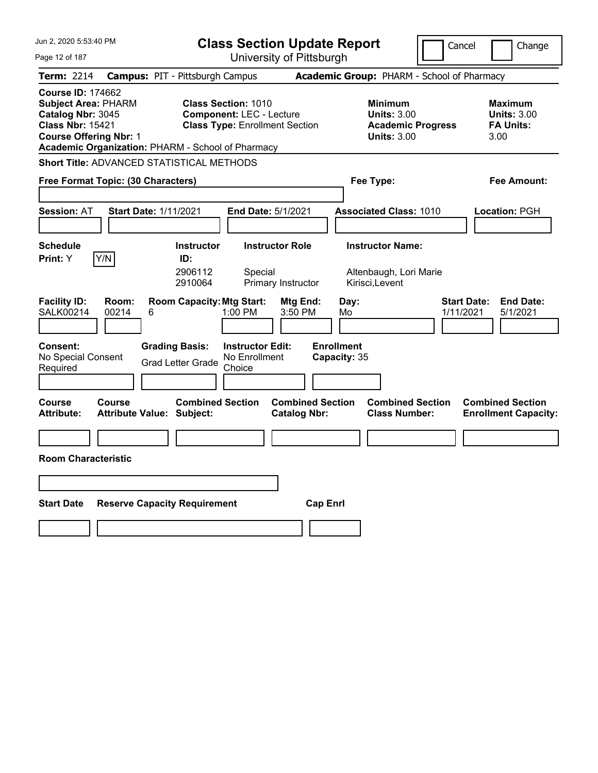| Jun 2, 2020 5:53:40 PM                                                                                                                  | <b>Class Section Update Report</b><br>Cancel                                                                                                                |                                                                                        |                                                                  |
|-----------------------------------------------------------------------------------------------------------------------------------------|-------------------------------------------------------------------------------------------------------------------------------------------------------------|----------------------------------------------------------------------------------------|------------------------------------------------------------------|
| Page 12 of 187                                                                                                                          | University of Pittsburgh                                                                                                                                    |                                                                                        | Change                                                           |
| <b>Term: 2214</b>                                                                                                                       | <b>Campus: PIT - Pittsburgh Campus</b>                                                                                                                      | Academic Group: PHARM - School of Pharmacy                                             |                                                                  |
| <b>Course ID: 174662</b><br><b>Subject Area: PHARM</b><br>Catalog Nbr: 3045<br><b>Class Nbr: 15421</b><br><b>Course Offering Nbr: 1</b> | <b>Class Section: 1010</b><br><b>Component: LEC - Lecture</b><br><b>Class Type: Enrollment Section</b><br>Academic Organization: PHARM - School of Pharmacy | <b>Minimum</b><br><b>Units: 3.00</b><br><b>Academic Progress</b><br><b>Units: 3.00</b> | <b>Maximum</b><br><b>Units: 3.00</b><br><b>FA Units:</b><br>3.00 |
| <b>Short Title: ADVANCED STATISTICAL METHODS</b>                                                                                        |                                                                                                                                                             |                                                                                        |                                                                  |
| Free Format Topic: (30 Characters)                                                                                                      |                                                                                                                                                             | Fee Type:                                                                              | Fee Amount:                                                      |
| <b>Session: AT</b>                                                                                                                      | <b>Start Date: 1/11/2021</b><br>End Date: 5/1/2021                                                                                                          | <b>Associated Class: 1010</b>                                                          | Location: PGH                                                    |
| <b>Schedule</b>                                                                                                                         | <b>Instructor Role</b><br><b>Instructor</b>                                                                                                                 | <b>Instructor Name:</b>                                                                |                                                                  |
| Y/N<br>Print: Y<br><b>Facility ID:</b><br>Room:                                                                                         | ID:<br>2906112<br>Special<br>2910064<br>Primary Instructor<br><b>Room Capacity: Mtg Start:</b><br>Mtg End:                                                  | Altenbaugh, Lori Marie<br>Kirisci, Levent<br>Day:                                      | <b>Start Date:</b><br><b>End Date:</b>                           |
| <b>SALK00214</b><br>00214<br>6                                                                                                          | 1:00 PM<br>3:50 PM                                                                                                                                          | 1/11/2021<br>Mo                                                                        | 5/1/2021                                                         |
| <b>Consent:</b><br>No Special Consent<br>Required                                                                                       | <b>Grading Basis:</b><br><b>Instructor Edit:</b><br>No Enrollment<br><b>Grad Letter Grade</b><br>Choice                                                     | <b>Enrollment</b><br>Capacity: 35                                                      |                                                                  |
| <b>Course</b><br><b>Course</b><br>Attribute:                                                                                            | <b>Combined Section</b><br><b>Combined Section</b><br><b>Attribute Value: Subject:</b><br><b>Catalog Nbr:</b>                                               | <b>Combined Section</b><br><b>Class Number:</b>                                        | <b>Combined Section</b><br><b>Enrollment Capacity:</b>           |
|                                                                                                                                         |                                                                                                                                                             |                                                                                        |                                                                  |
| <b>Room Characteristic</b>                                                                                                              |                                                                                                                                                             |                                                                                        |                                                                  |
|                                                                                                                                         |                                                                                                                                                             |                                                                                        |                                                                  |
| <b>Start Date</b>                                                                                                                       | <b>Reserve Capacity Requirement</b>                                                                                                                         | <b>Cap Enrl</b>                                                                        |                                                                  |
|                                                                                                                                         |                                                                                                                                                             |                                                                                        |                                                                  |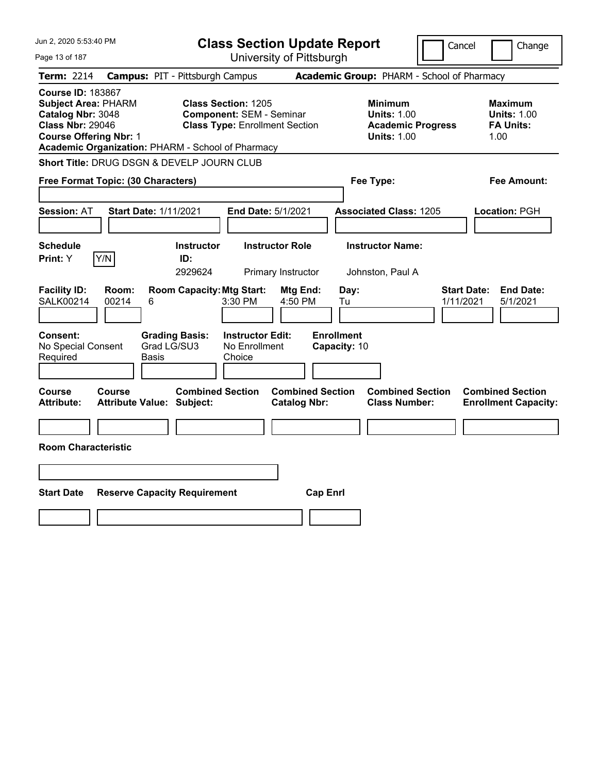| Jun 2, 2020 5:53:40 PM                                                                                                                                                                       | <b>Class Section Update Report</b><br>Cancel                                                           |                                                                                        |                                                                  |
|----------------------------------------------------------------------------------------------------------------------------------------------------------------------------------------------|--------------------------------------------------------------------------------------------------------|----------------------------------------------------------------------------------------|------------------------------------------------------------------|
| Page 13 of 187                                                                                                                                                                               | University of Pittsburgh                                                                               |                                                                                        | Change                                                           |
| Term: 2214                                                                                                                                                                                   | <b>Campus: PIT - Pittsburgh Campus</b>                                                                 | Academic Group: PHARM - School of Pharmacy                                             |                                                                  |
| <b>Course ID: 183867</b><br><b>Subject Area: PHARM</b><br>Catalog Nbr: 3048<br><b>Class Nbr: 29046</b><br><b>Course Offering Nbr: 1</b><br>Academic Organization: PHARM - School of Pharmacy | <b>Class Section: 1205</b><br><b>Component: SEM - Seminar</b><br><b>Class Type: Enrollment Section</b> | <b>Minimum</b><br><b>Units: 1.00</b><br><b>Academic Progress</b><br><b>Units: 1.00</b> | <b>Maximum</b><br><b>Units: 1.00</b><br><b>FA Units:</b><br>1.00 |
| Short Title: DRUG DSGN & DEVELP JOURN CLUB                                                                                                                                                   |                                                                                                        |                                                                                        |                                                                  |
| Free Format Topic: (30 Characters)                                                                                                                                                           |                                                                                                        | Fee Type:                                                                              | Fee Amount:                                                      |
| <b>Session: AT</b><br>Start Date: 1/11/2021                                                                                                                                                  | End Date: 5/1/2021                                                                                     | <b>Associated Class: 1205</b>                                                          | Location: PGH                                                    |
| <b>Schedule</b><br>Y/N<br>Print: Y                                                                                                                                                           | <b>Instructor Role</b><br><b>Instructor</b><br>ID:<br>2929624<br>Primary Instructor                    | <b>Instructor Name:</b><br>Johnston, Paul A                                            |                                                                  |
| <b>Facility ID:</b><br>Room:<br>SALK00214<br>00214<br>6                                                                                                                                      | <b>Room Capacity: Mtg Start:</b><br>Mtg End:<br>3:30 PM<br>4:50 PM                                     | <b>Start Date:</b><br>Day:<br>1/11/2021<br>Tu                                          | <b>End Date:</b><br>5/1/2021                                     |
| Consent:<br><b>Grading Basis:</b><br>Grad LG/SU3<br>No Special Consent<br>Required<br>Basis                                                                                                  | <b>Instructor Edit:</b><br>No Enrollment<br>Choice                                                     | <b>Enrollment</b><br>Capacity: 10                                                      |                                                                  |
| Course<br>Course<br><b>Attribute:</b><br><b>Attribute Value: Subject:</b>                                                                                                                    | <b>Combined Section</b><br><b>Combined Section</b><br><b>Catalog Nbr:</b>                              | <b>Combined Section</b><br><b>Class Number:</b>                                        | <b>Combined Section</b><br><b>Enrollment Capacity:</b>           |
|                                                                                                                                                                                              |                                                                                                        |                                                                                        |                                                                  |
| <b>Room Characteristic</b>                                                                                                                                                                   |                                                                                                        |                                                                                        |                                                                  |
|                                                                                                                                                                                              |                                                                                                        |                                                                                        |                                                                  |
| <b>Start Date</b><br><b>Reserve Capacity Requirement</b>                                                                                                                                     | <b>Cap Enrl</b>                                                                                        |                                                                                        |                                                                  |
|                                                                                                                                                                                              |                                                                                                        |                                                                                        |                                                                  |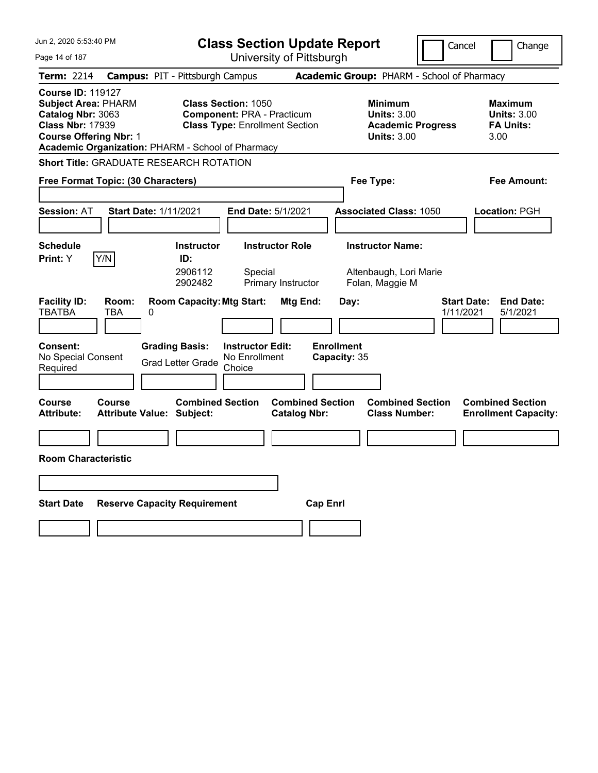| Jun 2, 2020 5:53:40 PM                                                                                                                                                                       | <b>Class Section Update Report</b><br>Cancel                                                                                   |                                                                                                                                             |                                                                                                           | Change                                                                                                       |  |  |
|----------------------------------------------------------------------------------------------------------------------------------------------------------------------------------------------|--------------------------------------------------------------------------------------------------------------------------------|---------------------------------------------------------------------------------------------------------------------------------------------|-----------------------------------------------------------------------------------------------------------|--------------------------------------------------------------------------------------------------------------|--|--|
| Page 14 of 187                                                                                                                                                                               | University of Pittsburgh                                                                                                       |                                                                                                                                             |                                                                                                           |                                                                                                              |  |  |
| <b>Term: 2214</b>                                                                                                                                                                            | <b>Campus: PIT - Pittsburgh Campus</b>                                                                                         |                                                                                                                                             | Academic Group: PHARM - School of Pharmacy                                                                |                                                                                                              |  |  |
| <b>Course ID: 119127</b><br><b>Subject Area: PHARM</b><br>Catalog Nbr: 3063<br><b>Class Nbr: 17939</b><br><b>Course Offering Nbr: 1</b><br>Academic Organization: PHARM - School of Pharmacy |                                                                                                                                | <b>Class Section: 1050</b><br><b>Component: PRA - Practicum</b><br><b>Class Type: Enrollment Section</b>                                    | <b>Minimum</b><br><b>Units: 3.00</b><br><b>Academic Progress</b><br><b>Units: 3.00</b>                    | <b>Maximum</b><br><b>Units: 3.00</b><br><b>FA Units:</b><br>3.00                                             |  |  |
| Short Title: GRADUATE RESEARCH ROTATION                                                                                                                                                      |                                                                                                                                |                                                                                                                                             |                                                                                                           |                                                                                                              |  |  |
| Free Format Topic: (30 Characters)                                                                                                                                                           |                                                                                                                                |                                                                                                                                             | Fee Type:                                                                                                 | Fee Amount:                                                                                                  |  |  |
| <b>Session: AT</b>                                                                                                                                                                           | <b>Start Date: 1/11/2021</b>                                                                                                   | <b>End Date: 5/1/2021</b>                                                                                                                   | <b>Associated Class: 1050</b>                                                                             | <b>Location: PGH</b>                                                                                         |  |  |
| <b>Schedule</b>                                                                                                                                                                              | <b>Instructor</b>                                                                                                              | <b>Instructor Role</b>                                                                                                                      | <b>Instructor Name:</b>                                                                                   |                                                                                                              |  |  |
| Y/N<br>Print: Y                                                                                                                                                                              | ID:                                                                                                                            |                                                                                                                                             |                                                                                                           |                                                                                                              |  |  |
|                                                                                                                                                                                              | 2906112<br>2902482                                                                                                             | Special<br>Primary Instructor                                                                                                               | Altenbaugh, Lori Marie<br>Folan, Maggie M                                                                 |                                                                                                              |  |  |
| <b>Facility ID:</b><br>Room:<br><b>TBATBA</b><br>TBA<br>Consent:<br>No Special Consent<br>Required<br>Course<br><b>Course</b><br><b>Attribute:</b>                                           | <b>Room Capacity: Mtg Start:</b><br>0<br><b>Grading Basis:</b><br><b>Grad Letter Grade</b><br><b>Attribute Value: Subject:</b> | Mtg End:<br><b>Instructor Edit:</b><br>No Enrollment<br>Choice<br><b>Combined Section</b><br><b>Combined Section</b><br><b>Catalog Nbr:</b> | Day:<br>1/11/2021<br><b>Enrollment</b><br>Capacity: 35<br><b>Combined Section</b><br><b>Class Number:</b> | <b>Start Date:</b><br><b>End Date:</b><br>5/1/2021<br><b>Combined Section</b><br><b>Enrollment Capacity:</b> |  |  |
| <b>Room Characteristic</b>                                                                                                                                                                   |                                                                                                                                |                                                                                                                                             |                                                                                                           |                                                                                                              |  |  |
|                                                                                                                                                                                              |                                                                                                                                |                                                                                                                                             |                                                                                                           |                                                                                                              |  |  |
|                                                                                                                                                                                              |                                                                                                                                |                                                                                                                                             |                                                                                                           |                                                                                                              |  |  |
| <b>Start Date</b>                                                                                                                                                                            | <b>Reserve Capacity Requirement</b>                                                                                            |                                                                                                                                             | <b>Cap Enrl</b>                                                                                           |                                                                                                              |  |  |
|                                                                                                                                                                                              |                                                                                                                                |                                                                                                                                             |                                                                                                           |                                                                                                              |  |  |
|                                                                                                                                                                                              |                                                                                                                                |                                                                                                                                             |                                                                                                           |                                                                                                              |  |  |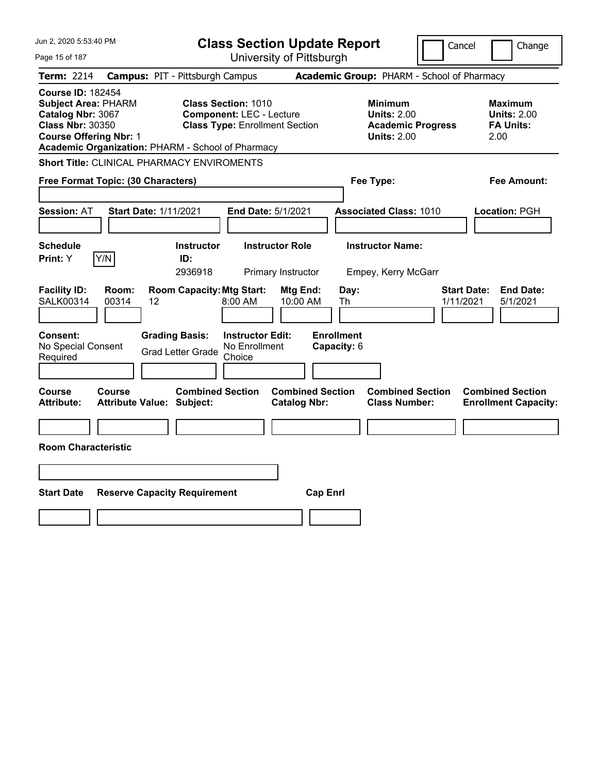| Jun 2, 2020 5:53:40 PM                                                                                                                                                                       | <b>Class Section Update Report</b><br>Cancel                                                            |                                                                                        |                                                                  |
|----------------------------------------------------------------------------------------------------------------------------------------------------------------------------------------------|---------------------------------------------------------------------------------------------------------|----------------------------------------------------------------------------------------|------------------------------------------------------------------|
| Page 15 of 187                                                                                                                                                                               | University of Pittsburgh                                                                                |                                                                                        | Change                                                           |
| <b>Term: 2214</b>                                                                                                                                                                            | <b>Campus: PIT - Pittsburgh Campus</b>                                                                  | Academic Group: PHARM - School of Pharmacy                                             |                                                                  |
| <b>Course ID: 182454</b><br><b>Subject Area: PHARM</b><br>Catalog Nbr: 3067<br><b>Class Nbr: 30350</b><br><b>Course Offering Nbr: 1</b><br>Academic Organization: PHARM - School of Pharmacy | <b>Class Section: 1010</b><br><b>Component: LEC - Lecture</b><br><b>Class Type: Enrollment Section</b>  | <b>Minimum</b><br><b>Units: 2.00</b><br><b>Academic Progress</b><br><b>Units: 2.00</b> | <b>Maximum</b><br><b>Units: 2.00</b><br><b>FA Units:</b><br>2.00 |
| <b>Short Title: CLINICAL PHARMACY ENVIROMENTS</b>                                                                                                                                            |                                                                                                         |                                                                                        |                                                                  |
| Free Format Topic: (30 Characters)                                                                                                                                                           |                                                                                                         | Fee Type:                                                                              | Fee Amount:                                                      |
| <b>Session: AT</b><br>Start Date: 1/11/2021                                                                                                                                                  | End Date: 5/1/2021                                                                                      | <b>Associated Class: 1010</b>                                                          | Location: PGH                                                    |
| <b>Schedule</b><br>Y/N<br>Print: Y                                                                                                                                                           | <b>Instructor Role</b><br><b>Instructor</b><br>ID:<br>2936918<br>Primary Instructor                     | <b>Instructor Name:</b><br>Empey, Kerry McGarr                                         |                                                                  |
| <b>Facility ID:</b><br>Room:<br>SALK00314<br>00314<br>12                                                                                                                                     | <b>Room Capacity: Mtg Start:</b><br>Mtg End:<br>10:00 AM<br>8:00 AM                                     | Day:<br>Th                                                                             | <b>Start Date:</b><br><b>End Date:</b><br>1/11/2021<br>5/1/2021  |
| Consent:<br>No Special Consent<br>Required                                                                                                                                                   | <b>Instructor Edit:</b><br><b>Grading Basis:</b><br>No Enrollment<br><b>Grad Letter Grade</b><br>Choice | <b>Enrollment</b><br>Capacity: 6                                                       |                                                                  |
| <b>Course</b><br>Course<br><b>Attribute Value: Subject:</b><br><b>Attribute:</b>                                                                                                             | <b>Combined Section</b><br><b>Combined Section</b><br><b>Catalog Nbr:</b>                               | <b>Combined Section</b><br><b>Class Number:</b>                                        | <b>Combined Section</b><br><b>Enrollment Capacity:</b>           |
| <b>Room Characteristic</b>                                                                                                                                                                   |                                                                                                         |                                                                                        |                                                                  |
|                                                                                                                                                                                              |                                                                                                         |                                                                                        |                                                                  |
| <b>Start Date</b><br><b>Reserve Capacity Requirement</b>                                                                                                                                     |                                                                                                         | <b>Cap Enrl</b>                                                                        |                                                                  |
|                                                                                                                                                                                              |                                                                                                         |                                                                                        |                                                                  |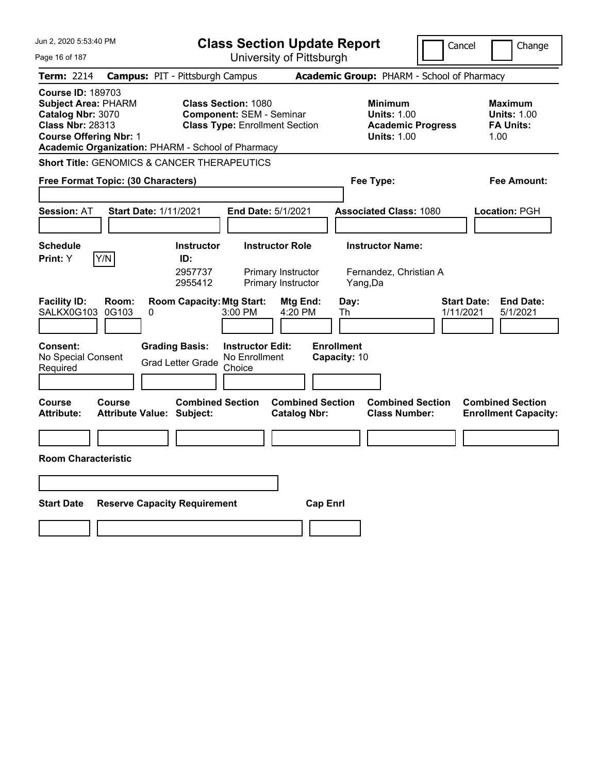| Jun 2, 2020 5:53:40 PM                                                                                                                                                                       | <b>Class Section Update Report</b>                                                                                   | Cancel                                                                                 | Change                                                    |
|----------------------------------------------------------------------------------------------------------------------------------------------------------------------------------------------|----------------------------------------------------------------------------------------------------------------------|----------------------------------------------------------------------------------------|-----------------------------------------------------------|
| Page 16 of 187                                                                                                                                                                               | University of Pittsburgh                                                                                             |                                                                                        |                                                           |
| <b>Term: 2214</b>                                                                                                                                                                            | <b>Campus: PIT - Pittsburgh Campus</b>                                                                               | Academic Group: PHARM - School of Pharmacy                                             |                                                           |
| <b>Course ID: 189703</b><br><b>Subject Area: PHARM</b><br>Catalog Nbr: 3070<br><b>Class Nbr: 28313</b><br><b>Course Offering Nbr: 1</b><br>Academic Organization: PHARM - School of Pharmacy | <b>Class Section: 1080</b><br><b>Component: SEM - Seminar</b><br><b>Class Type: Enrollment Section</b>               | <b>Minimum</b><br><b>Units: 1.00</b><br><b>Academic Progress</b><br><b>Units: 1.00</b> | Maximum<br><b>Units: 1.00</b><br><b>FA Units:</b><br>1.00 |
| <b>Short Title: GENOMICS &amp; CANCER THERAPEUTICS</b>                                                                                                                                       |                                                                                                                      |                                                                                        |                                                           |
| Free Format Topic: (30 Characters)                                                                                                                                                           |                                                                                                                      | Fee Type:                                                                              | Fee Amount:                                               |
| <b>Session: AT</b><br><b>Start Date: 1/11/2021</b>                                                                                                                                           | End Date: 5/1/2021                                                                                                   | <b>Associated Class: 1080</b>                                                          | Location: PGH                                             |
| <b>Schedule</b><br>Y/N<br>Print: Y                                                                                                                                                           | <b>Instructor Role</b><br><b>Instructor</b><br>ID:<br>2957737<br>Primary Instructor<br>Primary Instructor<br>2955412 | <b>Instructor Name:</b><br>Fernandez, Christian A<br>Yang, Da                          |                                                           |
| <b>Facility ID:</b><br>Room:<br>SALKX0G103<br>0G103<br>0                                                                                                                                     | <b>Room Capacity: Mtg Start:</b><br>Mtg End:<br>3:00 PM<br>4:20 PM                                                   | <b>Start Date:</b><br>Day:<br>1/11/2021<br>Th                                          | <b>End Date:</b><br>5/1/2021                              |
| <b>Grading Basis:</b><br><b>Consent:</b><br>No Special Consent<br>Required                                                                                                                   | <b>Instructor Edit:</b><br>No Enrollment<br><b>Grad Letter Grade</b><br>Choice                                       | <b>Enrollment</b><br>Capacity: 10                                                      |                                                           |
| Course<br>Course<br><b>Attribute:</b><br><b>Attribute Value: Subject:</b>                                                                                                                    | <b>Combined Section</b><br><b>Combined Section</b><br><b>Catalog Nbr:</b>                                            | <b>Combined Section</b><br><b>Class Number:</b>                                        | <b>Combined Section</b><br><b>Enrollment Capacity:</b>    |
|                                                                                                                                                                                              |                                                                                                                      |                                                                                        |                                                           |
| <b>Room Characteristic</b>                                                                                                                                                                   |                                                                                                                      |                                                                                        |                                                           |
|                                                                                                                                                                                              |                                                                                                                      |                                                                                        |                                                           |
| <b>Start Date</b><br><b>Reserve Capacity Requirement</b>                                                                                                                                     | <b>Cap Enrl</b>                                                                                                      |                                                                                        |                                                           |
|                                                                                                                                                                                              |                                                                                                                      |                                                                                        |                                                           |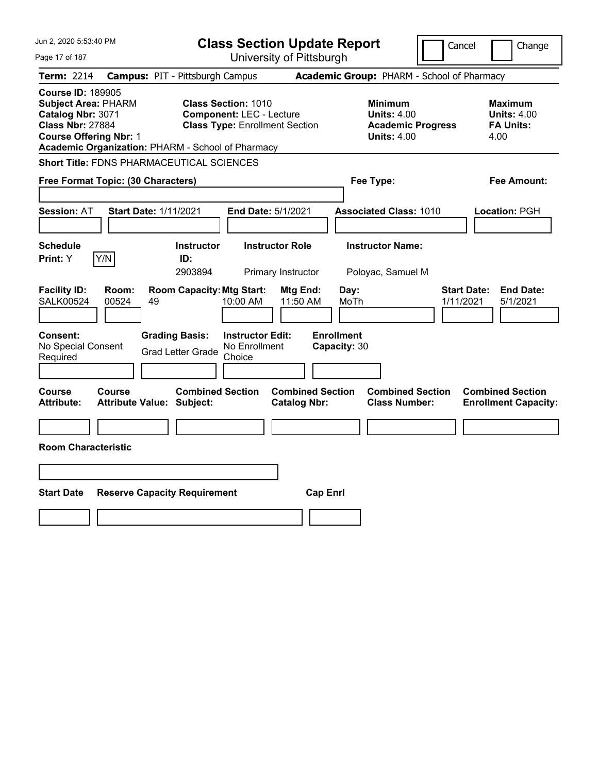| Jun 2, 2020 5:53:40 PM                                                                                                                                                                       | <b>Class Section Update Report</b>                                                                     |                                                                                        | Cancel<br>Change                                                 |
|----------------------------------------------------------------------------------------------------------------------------------------------------------------------------------------------|--------------------------------------------------------------------------------------------------------|----------------------------------------------------------------------------------------|------------------------------------------------------------------|
| Page 17 of 187                                                                                                                                                                               | University of Pittsburgh                                                                               |                                                                                        |                                                                  |
| <b>Term: 2214</b>                                                                                                                                                                            | <b>Campus: PIT - Pittsburgh Campus</b>                                                                 | Academic Group: PHARM - School of Pharmacy                                             |                                                                  |
| <b>Course ID: 189905</b><br><b>Subject Area: PHARM</b><br>Catalog Nbr: 3071<br><b>Class Nbr: 27884</b><br><b>Course Offering Nbr: 1</b><br>Academic Organization: PHARM - School of Pharmacy | <b>Class Section: 1010</b><br><b>Component: LEC - Lecture</b><br><b>Class Type: Enrollment Section</b> | <b>Minimum</b><br><b>Units: 4.00</b><br><b>Academic Progress</b><br><b>Units: 4.00</b> | <b>Maximum</b><br><b>Units: 4.00</b><br><b>FA Units:</b><br>4.00 |
| <b>Short Title: FDNS PHARMACEUTICAL SCIENCES</b>                                                                                                                                             |                                                                                                        |                                                                                        |                                                                  |
| Free Format Topic: (30 Characters)                                                                                                                                                           |                                                                                                        | Fee Type:                                                                              | Fee Amount:                                                      |
| <b>Session: AT</b><br>Start Date: 1/11/2021                                                                                                                                                  | End Date: 5/1/2021                                                                                     | <b>Associated Class: 1010</b>                                                          | Location: PGH                                                    |
| <b>Schedule</b><br>Y/N<br>Print: Y                                                                                                                                                           | <b>Instructor Role</b><br><b>Instructor</b><br>ID:<br>2903894<br>Primary Instructor                    | <b>Instructor Name:</b><br>Poloyac, Samuel M                                           |                                                                  |
| <b>Facility ID:</b><br>Room:<br><b>SALK00524</b><br>00524<br>49                                                                                                                              | <b>Room Capacity: Mtg Start:</b><br>Mtg End:<br>11:50 AM<br>10:00 AM                                   | Day:<br>MoTh                                                                           | <b>Start Date:</b><br><b>End Date:</b><br>1/11/2021<br>5/1/2021  |
| Consent:<br><b>Grading Basis:</b><br>No Special Consent<br>Required                                                                                                                          | <b>Instructor Edit:</b><br>No Enrollment<br><b>Grad Letter Grade</b><br>Choice                         | <b>Enrollment</b><br>Capacity: 30                                                      |                                                                  |
| <b>Course</b><br>Course<br><b>Attribute Value: Subject:</b><br><b>Attribute:</b>                                                                                                             | <b>Combined Section</b><br><b>Catalog Nbr:</b>                                                         | <b>Combined Section</b><br><b>Combined Section</b><br><b>Class Number:</b>             | <b>Combined Section</b><br><b>Enrollment Capacity:</b>           |
| <b>Room Characteristic</b>                                                                                                                                                                   |                                                                                                        |                                                                                        |                                                                  |
|                                                                                                                                                                                              |                                                                                                        |                                                                                        |                                                                  |
| <b>Start Date</b><br><b>Reserve Capacity Requirement</b>                                                                                                                                     |                                                                                                        | <b>Cap Enrl</b>                                                                        |                                                                  |
|                                                                                                                                                                                              |                                                                                                        |                                                                                        |                                                                  |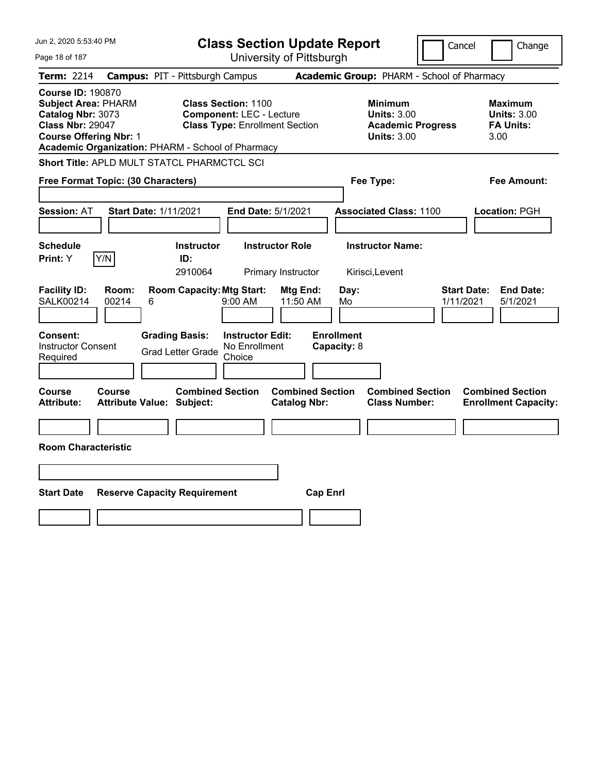| Jun 2, 2020 5:53:40 PM                                                                                                                                                                       | <b>Class Section Update Report</b>                                                                      | Cancel                                                                                 | Change                                                           |
|----------------------------------------------------------------------------------------------------------------------------------------------------------------------------------------------|---------------------------------------------------------------------------------------------------------|----------------------------------------------------------------------------------------|------------------------------------------------------------------|
| Page 18 of 187                                                                                                                                                                               | University of Pittsburgh                                                                                |                                                                                        |                                                                  |
| <b>Term: 2214</b>                                                                                                                                                                            | <b>Campus: PIT - Pittsburgh Campus</b>                                                                  | Academic Group: PHARM - School of Pharmacy                                             |                                                                  |
| <b>Course ID: 190870</b><br><b>Subject Area: PHARM</b><br>Catalog Nbr: 3073<br><b>Class Nbr: 29047</b><br><b>Course Offering Nbr: 1</b><br>Academic Organization: PHARM - School of Pharmacy | <b>Class Section: 1100</b><br><b>Component: LEC - Lecture</b><br><b>Class Type: Enrollment Section</b>  | <b>Minimum</b><br><b>Units: 3.00</b><br><b>Academic Progress</b><br><b>Units: 3.00</b> | <b>Maximum</b><br><b>Units: 3.00</b><br><b>FA Units:</b><br>3.00 |
| <b>Short Title: APLD MULT STATCL PHARMCTCL SCI</b>                                                                                                                                           |                                                                                                         |                                                                                        |                                                                  |
| Free Format Topic: (30 Characters)                                                                                                                                                           |                                                                                                         | Fee Type:                                                                              | Fee Amount:                                                      |
| <b>Session: AT</b><br><b>Start Date: 1/11/2021</b>                                                                                                                                           | End Date: 5/1/2021                                                                                      | <b>Associated Class: 1100</b>                                                          | Location: PGH                                                    |
| <b>Schedule</b><br>Y/N<br>Print: Y                                                                                                                                                           | <b>Instructor</b><br><b>Instructor Role</b><br>ID:<br>2910064<br>Primary Instructor                     | <b>Instructor Name:</b><br>Kirisci,Levent                                              |                                                                  |
| <b>Facility ID:</b><br>Room:<br>SALK00214<br>00214<br>6                                                                                                                                      | <b>Room Capacity: Mtg Start:</b><br>Mtg End:<br>11:50 AM<br>$9:00$ AM                                   | Day:<br>1/11/2021<br>Mo                                                                | <b>Start Date:</b><br><b>End Date:</b><br>5/1/2021               |
| Consent:<br><b>Instructor Consent</b><br>Required                                                                                                                                            | <b>Grading Basis:</b><br><b>Instructor Edit:</b><br>No Enrollment<br><b>Grad Letter Grade</b><br>Choice | <b>Enrollment</b><br>Capacity: 8                                                       |                                                                  |
| Course<br><b>Course</b><br><b>Attribute:</b><br><b>Attribute Value: Subject:</b>                                                                                                             | <b>Combined Section</b><br><b>Combined Section</b><br><b>Catalog Nbr:</b>                               | <b>Combined Section</b><br><b>Class Number:</b>                                        | <b>Combined Section</b><br><b>Enrollment Capacity:</b>           |
| <b>Room Characteristic</b>                                                                                                                                                                   |                                                                                                         |                                                                                        |                                                                  |
|                                                                                                                                                                                              |                                                                                                         |                                                                                        |                                                                  |
|                                                                                                                                                                                              |                                                                                                         |                                                                                        |                                                                  |
| <b>Start Date</b><br><b>Reserve Capacity Requirement</b>                                                                                                                                     |                                                                                                         | <b>Cap Enrl</b>                                                                        |                                                                  |
|                                                                                                                                                                                              |                                                                                                         |                                                                                        |                                                                  |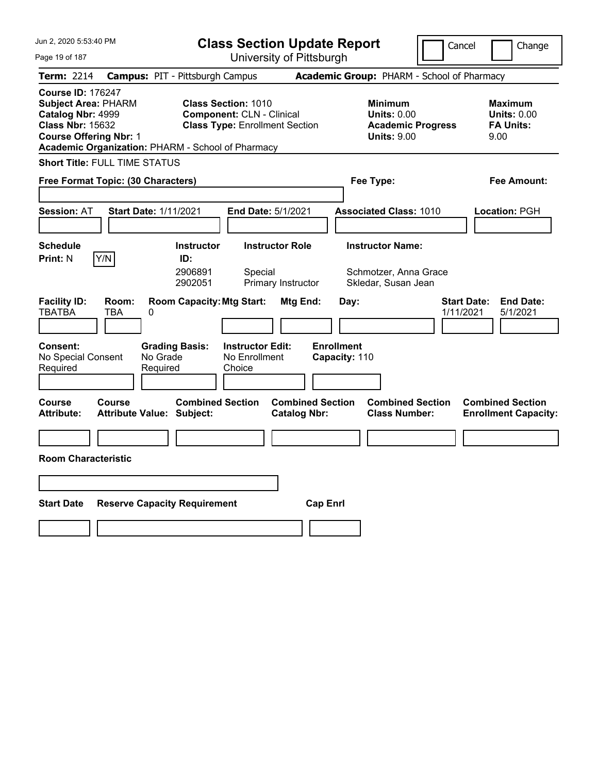| Jun 2, 2020 5:53:40 PM<br><b>Class Section Update Report</b>                                                                                                                                 |                                                                                                         |                                                |                                                                                        | Cancel<br>Change                                                 |
|----------------------------------------------------------------------------------------------------------------------------------------------------------------------------------------------|---------------------------------------------------------------------------------------------------------|------------------------------------------------|----------------------------------------------------------------------------------------|------------------------------------------------------------------|
| Page 19 of 187                                                                                                                                                                               |                                                                                                         | University of Pittsburgh                       |                                                                                        |                                                                  |
| <b>Term: 2214</b>                                                                                                                                                                            | <b>Campus: PIT - Pittsburgh Campus</b>                                                                  |                                                | Academic Group: PHARM - School of Pharmacy                                             |                                                                  |
| <b>Course ID: 176247</b><br><b>Subject Area: PHARM</b><br>Catalog Nbr: 4999<br><b>Class Nbr: 15632</b><br><b>Course Offering Nbr: 1</b><br>Academic Organization: PHARM - School of Pharmacy | <b>Class Section: 1010</b><br><b>Component: CLN - Clinical</b><br><b>Class Type: Enrollment Section</b> |                                                | <b>Minimum</b><br><b>Units: 0.00</b><br><b>Academic Progress</b><br><b>Units: 9.00</b> | <b>Maximum</b><br><b>Units: 0.00</b><br><b>FA Units:</b><br>9.00 |
| <b>Short Title: FULL TIME STATUS</b>                                                                                                                                                         |                                                                                                         |                                                |                                                                                        |                                                                  |
| Free Format Topic: (30 Characters)                                                                                                                                                           |                                                                                                         |                                                | Fee Type:                                                                              | <b>Fee Amount:</b>                                               |
| <b>Session: AT</b><br><b>Start Date: 1/11/2021</b>                                                                                                                                           | End Date: 5/1/2021                                                                                      |                                                | <b>Associated Class: 1010</b>                                                          | <b>Location: PGH</b>                                             |
| <b>Schedule</b>                                                                                                                                                                              | <b>Instructor</b><br><b>Instructor Role</b>                                                             |                                                | <b>Instructor Name:</b>                                                                |                                                                  |
| Y/N<br><b>Print: N</b>                                                                                                                                                                       | ID:<br>2906891<br>Special<br>2902051<br>Primary Instructor                                              |                                                | Schmotzer, Anna Grace<br>Skledar, Susan Jean                                           |                                                                  |
| <b>Facility ID:</b><br>Room:<br><b>TBATBA</b><br><b>TBA</b><br>0                                                                                                                             | <b>Room Capacity: Mtg Start:</b>                                                                        | Mtg End:<br>Day:                               |                                                                                        | <b>Start Date:</b><br><b>End Date:</b><br>1/11/2021<br>5/1/2021  |
| Consent:<br>No Special Consent<br>No Grade<br>Required<br>Required                                                                                                                           | <b>Grading Basis:</b><br><b>Instructor Edit:</b><br>No Enrollment<br>Choice                             | <b>Enrollment</b><br>Capacity: 110             |                                                                                        |                                                                  |
| <b>Course</b><br>Course<br><b>Attribute:</b><br><b>Attribute Value: Subject:</b>                                                                                                             | <b>Combined Section</b>                                                                                 | <b>Combined Section</b><br><b>Catalog Nbr:</b> | <b>Combined Section</b><br><b>Class Number:</b>                                        | <b>Combined Section</b><br><b>Enrollment Capacity:</b>           |
|                                                                                                                                                                                              |                                                                                                         |                                                |                                                                                        |                                                                  |
| <b>Room Characteristic</b>                                                                                                                                                                   |                                                                                                         |                                                |                                                                                        |                                                                  |
|                                                                                                                                                                                              |                                                                                                         |                                                |                                                                                        |                                                                  |
| <b>Start Date</b><br><b>Reserve Capacity Requirement</b>                                                                                                                                     |                                                                                                         | <b>Cap Enri</b>                                |                                                                                        |                                                                  |
|                                                                                                                                                                                              |                                                                                                         |                                                |                                                                                        |                                                                  |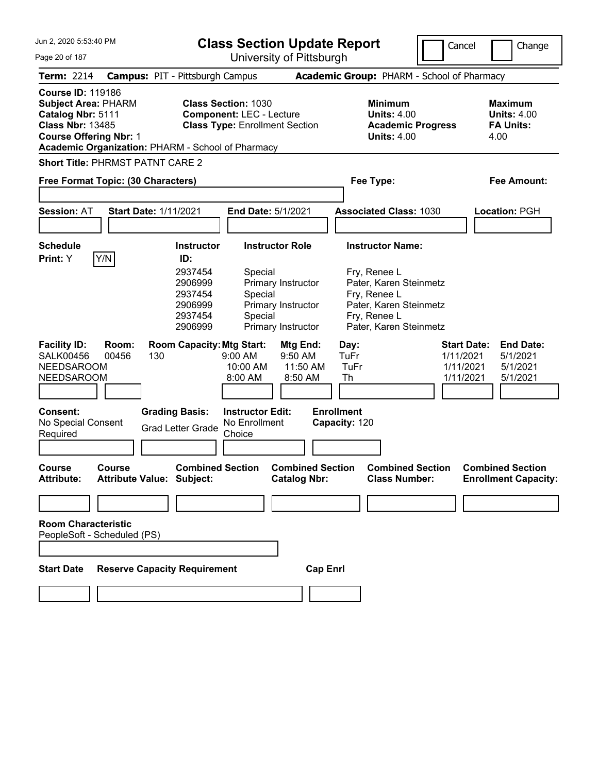| Jun 2, 2020 5:53:40 PM                                                                                                                                                                       |                | <b>Class Section Update Report</b><br>Cancel                                                                     |                                                                                                        |                                                                                                              | Change                                                                                                                                                   |                                                           |                                                                  |
|----------------------------------------------------------------------------------------------------------------------------------------------------------------------------------------------|----------------|------------------------------------------------------------------------------------------------------------------|--------------------------------------------------------------------------------------------------------|--------------------------------------------------------------------------------------------------------------|----------------------------------------------------------------------------------------------------------------------------------------------------------|-----------------------------------------------------------|------------------------------------------------------------------|
| Page 20 of 187                                                                                                                                                                               |                | University of Pittsburgh                                                                                         |                                                                                                        |                                                                                                              |                                                                                                                                                          |                                                           |                                                                  |
| <b>Term: 2214</b>                                                                                                                                                                            |                | <b>Campus: PIT - Pittsburgh Campus</b>                                                                           |                                                                                                        |                                                                                                              | Academic Group: PHARM - School of Pharmacy                                                                                                               |                                                           |                                                                  |
| <b>Course ID: 119186</b><br><b>Subject Area: PHARM</b><br>Catalog Nbr: 5111<br><b>Class Nbr: 13485</b><br><b>Course Offering Nbr: 1</b><br>Academic Organization: PHARM - School of Pharmacy |                |                                                                                                                  | <b>Class Section: 1030</b><br><b>Component: LEC - Lecture</b><br><b>Class Type: Enrollment Section</b> |                                                                                                              | <b>Minimum</b><br><b>Units: 4.00</b><br><b>Academic Progress</b><br><b>Units: 4.00</b>                                                                   |                                                           | <b>Maximum</b><br><b>Units: 4.00</b><br><b>FA Units:</b><br>4.00 |
| <b>Short Title: PHRMST PATNT CARE 2</b>                                                                                                                                                      |                |                                                                                                                  |                                                                                                        |                                                                                                              |                                                                                                                                                          |                                                           |                                                                  |
| Free Format Topic: (30 Characters)                                                                                                                                                           |                |                                                                                                                  |                                                                                                        |                                                                                                              | Fee Type:                                                                                                                                                |                                                           | <b>Fee Amount:</b>                                               |
|                                                                                                                                                                                              |                |                                                                                                                  |                                                                                                        |                                                                                                              |                                                                                                                                                          |                                                           |                                                                  |
| <b>Session: AT</b>                                                                                                                                                                           |                | <b>Start Date: 1/11/2021</b>                                                                                     | End Date: 5/1/2021                                                                                     |                                                                                                              | <b>Associated Class: 1030</b>                                                                                                                            |                                                           | Location: PGH                                                    |
|                                                                                                                                                                                              |                |                                                                                                                  |                                                                                                        |                                                                                                              |                                                                                                                                                          |                                                           |                                                                  |
| <b>Schedule</b>                                                                                                                                                                              |                | <b>Instructor</b>                                                                                                | <b>Instructor Role</b>                                                                                 |                                                                                                              | <b>Instructor Name:</b>                                                                                                                                  |                                                           |                                                                  |
| Y/N<br>Print: Y<br><b>Facility ID:</b><br><b>SALK00456</b><br><b>NEEDSAROOM</b><br><b>NEEDSAROOM</b>                                                                                         | Room:<br>00456 | ID:<br>2937454<br>2906999<br>2937454<br>2906999<br>2937454<br>2906999<br><b>Room Capacity: Mtg Start:</b><br>130 | Special<br>Special<br>Special<br>9:00 AM<br>10:00 AM<br>8:00 AM                                        | Primary Instructor<br>Primary Instructor<br>Primary Instructor<br>Mtg End:<br>9:50 AM<br>11:50 AM<br>8:50 AM | Fry, Renee L<br>Pater, Karen Steinmetz<br>Fry, Renee L<br>Pater, Karen Steinmetz<br>Fry, Renee L<br>Pater, Karen Steinmetz<br>Day:<br>TuFr<br>TuFr<br>Th | <b>Start Date:</b><br>1/11/2021<br>1/11/2021<br>1/11/2021 | <b>End Date:</b><br>5/1/2021<br>5/1/2021<br>5/1/2021             |
| Consent:<br>No Special Consent<br>Required                                                                                                                                                   |                | <b>Grading Basis:</b><br><b>Grad Letter Grade</b>                                                                | <b>Instructor Edit:</b><br>No Enrollment<br>Choice                                                     |                                                                                                              | <b>Enrollment</b><br>Capacity: 120                                                                                                                       |                                                           |                                                                  |
| Course<br><b>Attribute:</b>                                                                                                                                                                  | Course         | <b>Combined Section</b><br><b>Attribute Value: Subject:</b>                                                      |                                                                                                        | <b>Combined Section</b><br><b>Catalog Nbr:</b>                                                               | <b>Combined Section</b><br><b>Class Number:</b>                                                                                                          |                                                           | <b>Combined Section</b><br><b>Enrollment Capacity:</b>           |
|                                                                                                                                                                                              |                |                                                                                                                  |                                                                                                        |                                                                                                              |                                                                                                                                                          |                                                           |                                                                  |
| <b>Room Characteristic</b><br>PeopleSoft - Scheduled (PS)<br><b>Start Date</b>                                                                                                               |                | <b>Reserve Capacity Requirement</b>                                                                              |                                                                                                        | <b>Cap Enrl</b>                                                                                              |                                                                                                                                                          |                                                           |                                                                  |
|                                                                                                                                                                                              |                |                                                                                                                  |                                                                                                        |                                                                                                              |                                                                                                                                                          |                                                           |                                                                  |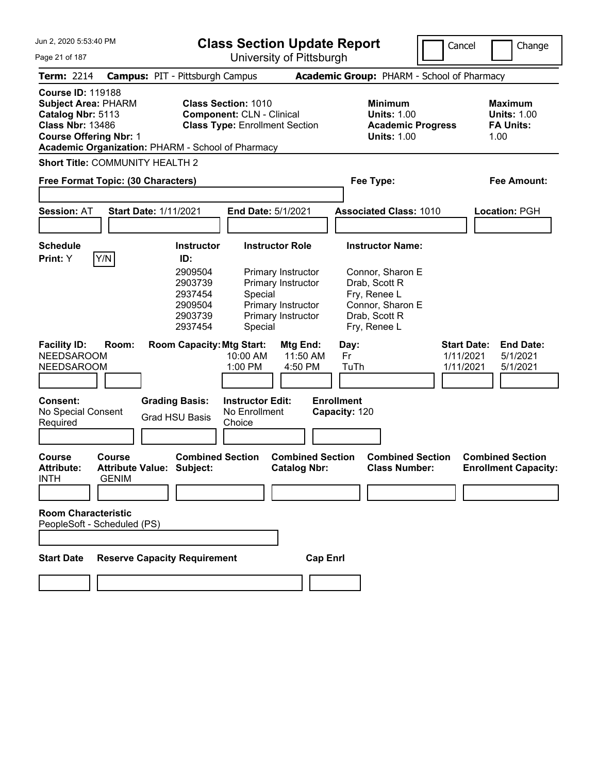| Jun 2, 2020 5:53:40 PM<br>Page 21 of 187                                                                                                                                                     | <b>Class Section Update Report</b><br>University of Pittsburgh                             |                                                                                                         |                                                                                      |                                                                                                                                   | Cancel                                       | Change                                                    |
|----------------------------------------------------------------------------------------------------------------------------------------------------------------------------------------------|--------------------------------------------------------------------------------------------|---------------------------------------------------------------------------------------------------------|--------------------------------------------------------------------------------------|-----------------------------------------------------------------------------------------------------------------------------------|----------------------------------------------|-----------------------------------------------------------|
| <b>Term: 2214</b>                                                                                                                                                                            | <b>Campus: PIT - Pittsburgh Campus</b>                                                     |                                                                                                         |                                                                                      | Academic Group: PHARM - School of Pharmacy                                                                                        |                                              |                                                           |
| <b>Course ID: 119188</b><br><b>Subject Area: PHARM</b><br>Catalog Nbr: 5113<br><b>Class Nbr: 13486</b><br><b>Course Offering Nbr: 1</b><br>Academic Organization: PHARM - School of Pharmacy |                                                                                            | <b>Class Section: 1010</b><br><b>Component: CLN - Clinical</b><br><b>Class Type: Enrollment Section</b> |                                                                                      | <b>Minimum</b><br><b>Units: 1.00</b><br><b>Academic Progress</b><br><b>Units: 1.00</b>                                            |                                              | Maximum<br><b>Units: 1.00</b><br><b>FA Units:</b><br>1.00 |
| <b>Short Title: COMMUNITY HEALTH 2</b>                                                                                                                                                       |                                                                                            |                                                                                                         |                                                                                      |                                                                                                                                   |                                              |                                                           |
| Free Format Topic: (30 Characters)                                                                                                                                                           |                                                                                            |                                                                                                         |                                                                                      | Fee Type:                                                                                                                         |                                              | Fee Amount:                                               |
| <b>Session: AT</b>                                                                                                                                                                           | <b>Start Date: 1/11/2021</b>                                                               | <b>End Date: 5/1/2021</b>                                                                               |                                                                                      | <b>Associated Class: 1010</b>                                                                                                     |                                              | Location: PGH                                             |
| <b>Schedule</b><br>Y/N<br>Print: Y                                                                                                                                                           | <b>Instructor</b><br>ID:<br>2909504<br>2903739<br>2937454<br>2909504<br>2903739<br>2937454 | <b>Instructor Role</b><br>Special<br>Special                                                            | Primary Instructor<br>Primary Instructor<br>Primary Instructor<br>Primary Instructor | <b>Instructor Name:</b><br>Connor, Sharon E<br>Drab, Scott R<br>Fry, Renee L<br>Connor, Sharon E<br>Drab, Scott R<br>Fry, Renee L |                                              |                                                           |
| <b>Facility ID:</b><br>Room:<br><b>NEEDSAROOM</b><br><b>NEEDSAROOM</b><br>Consent:<br>No Special Consent<br>Required                                                                         | <b>Room Capacity: Mtg Start:</b><br><b>Grading Basis:</b><br><b>Grad HSU Basis</b>         | 10:00 AM<br>1:00 PM<br><b>Instructor Edit:</b><br>No Enrollment<br>Choice                               | Mtg End:<br>11:50 AM<br>4:50 PM                                                      | Day:<br>Fr<br>TuTh<br><b>Enrollment</b><br>Capacity: 120                                                                          | <b>Start Date:</b><br>1/11/2021<br>1/11/2021 | <b>End Date:</b><br>5/1/2021<br>5/1/2021                  |
| <b>Course</b><br><b>Course</b><br><b>Attribute:</b><br><b>INTH</b><br><b>GENIM</b><br><b>Room Characteristic</b><br>PeopleSoft - Scheduled (PS)                                              | <b>Combined Section</b><br><b>Attribute Value: Subject:</b>                                |                                                                                                         | <b>Combined Section</b><br><b>Catalog Nbr:</b>                                       | <b>Combined Section</b><br><b>Class Number:</b>                                                                                   |                                              | <b>Combined Section</b><br><b>Enrollment Capacity:</b>    |
| <b>Start Date</b>                                                                                                                                                                            | <b>Reserve Capacity Requirement</b>                                                        |                                                                                                         | <b>Cap Enrl</b>                                                                      |                                                                                                                                   |                                              |                                                           |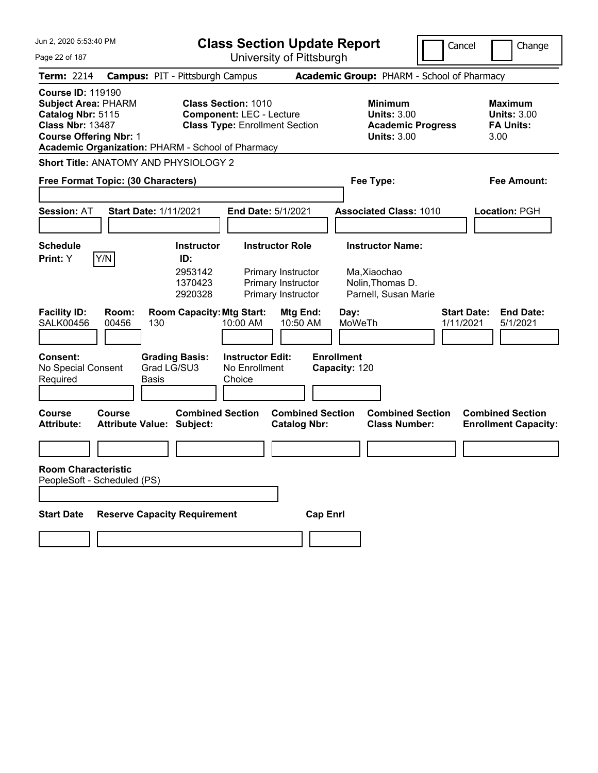| Jun 2, 2020 5:53:40 PM                                                                                                                  | <b>Class Section Update Report</b>                |                                      |                                                                                                        |                                                |                                                                                        | Cancel                          | Change                                                           |
|-----------------------------------------------------------------------------------------------------------------------------------------|---------------------------------------------------|--------------------------------------|--------------------------------------------------------------------------------------------------------|------------------------------------------------|----------------------------------------------------------------------------------------|---------------------------------|------------------------------------------------------------------|
| Page 22 of 187                                                                                                                          |                                                   |                                      | University of Pittsburgh                                                                               |                                                |                                                                                        |                                 |                                                                  |
| <b>Term: 2214</b>                                                                                                                       | <b>Campus: PIT - Pittsburgh Campus</b>            |                                      |                                                                                                        |                                                | Academic Group: PHARM - School of Pharmacy                                             |                                 |                                                                  |
| <b>Course ID: 119190</b><br><b>Subject Area: PHARM</b><br>Catalog Nbr: 5115<br><b>Class Nbr: 13487</b><br><b>Course Offering Nbr: 1</b> | Academic Organization: PHARM - School of Pharmacy |                                      | <b>Class Section: 1010</b><br><b>Component: LEC - Lecture</b><br><b>Class Type: Enrollment Section</b> |                                                | <b>Minimum</b><br><b>Units: 3.00</b><br><b>Academic Progress</b><br><b>Units: 3.00</b> |                                 | <b>Maximum</b><br><b>Units: 3.00</b><br><b>FA Units:</b><br>3.00 |
|                                                                                                                                         | <b>Short Title: ANATOMY AND PHYSIOLOGY 2</b>      |                                      |                                                                                                        |                                                |                                                                                        |                                 |                                                                  |
|                                                                                                                                         | Free Format Topic: (30 Characters)                |                                      |                                                                                                        |                                                | Fee Type:                                                                              |                                 | Fee Amount:                                                      |
|                                                                                                                                         |                                                   |                                      |                                                                                                        |                                                |                                                                                        |                                 |                                                                  |
| <b>Session: AT</b>                                                                                                                      | <b>Start Date: 1/11/2021</b>                      |                                      | <b>End Date: 5/1/2021</b>                                                                              |                                                | <b>Associated Class: 1010</b>                                                          |                                 | Location: PGH                                                    |
|                                                                                                                                         |                                                   |                                      |                                                                                                        |                                                |                                                                                        |                                 |                                                                  |
| <b>Schedule</b>                                                                                                                         |                                                   | <b>Instructor</b>                    | <b>Instructor Role</b>                                                                                 |                                                | <b>Instructor Name:</b>                                                                |                                 |                                                                  |
| Print: Y                                                                                                                                | Y/N                                               | ID:<br>2953142<br>1370423<br>2920328 | Primary Instructor<br>Primary Instructor<br>Primary Instructor                                         |                                                | Ma, Xiaochao<br>Nolin, Thomas D.<br>Parnell, Susan Marie                               |                                 |                                                                  |
| <b>Facility ID:</b><br><b>SALK00456</b>                                                                                                 | Room:<br>00456<br>130                             | <b>Room Capacity: Mtg Start:</b>     | 10:00 AM                                                                                               | Mtg End:<br>10:50 AM                           | Day:<br>MoWeTh                                                                         | <b>Start Date:</b><br>1/11/2021 | <b>End Date:</b><br>5/1/2021                                     |
| Consent:<br>No Special Consent<br>Required                                                                                              | <b>Basis</b>                                      | <b>Grading Basis:</b><br>Grad LG/SU3 | <b>Instructor Edit:</b><br>No Enrollment<br>Choice                                                     |                                                | <b>Enrollment</b><br>Capacity: 120                                                     |                                 |                                                                  |
| <b>Course</b><br><b>Attribute:</b>                                                                                                      | Course<br><b>Attribute Value: Subject:</b>        | <b>Combined Section</b>              |                                                                                                        | <b>Combined Section</b><br><b>Catalog Nbr:</b> | <b>Combined Section</b><br><b>Class Number:</b>                                        |                                 | <b>Combined Section</b><br><b>Enrollment Capacity:</b>           |
|                                                                                                                                         |                                                   |                                      |                                                                                                        |                                                |                                                                                        |                                 |                                                                  |
| Room Characteristic                                                                                                                     | PeopleSoft - Scheduled (PS)                       |                                      |                                                                                                        |                                                |                                                                                        |                                 |                                                                  |
| <b>Start Date</b>                                                                                                                       | <b>Reserve Capacity Requirement</b>               |                                      |                                                                                                        | <b>Cap Enrl</b>                                |                                                                                        |                                 |                                                                  |
|                                                                                                                                         |                                                   |                                      |                                                                                                        |                                                |                                                                                        |                                 |                                                                  |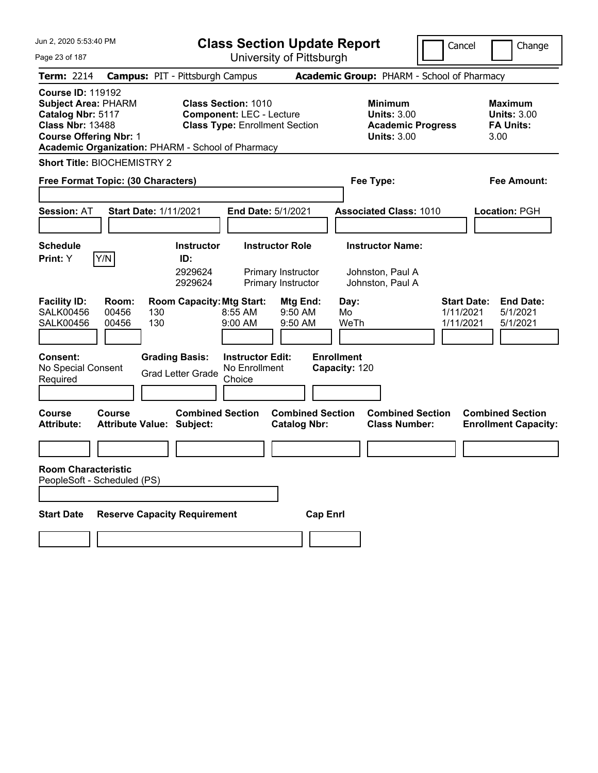| Jun 2, 2020 5:53:40 PM                                                                                                                  | <b>Class Section Update Report</b>                                                                                                                          |                                                                                                   | Cancel<br>Change                                                                         |
|-----------------------------------------------------------------------------------------------------------------------------------------|-------------------------------------------------------------------------------------------------------------------------------------------------------------|---------------------------------------------------------------------------------------------------|------------------------------------------------------------------------------------------|
| Page 23 of 187                                                                                                                          | University of Pittsburgh                                                                                                                                    |                                                                                                   |                                                                                          |
| <b>Term: 2214</b>                                                                                                                       | <b>Campus: PIT - Pittsburgh Campus</b>                                                                                                                      | Academic Group: PHARM - School of Pharmacy                                                        |                                                                                          |
| <b>Course ID: 119192</b><br><b>Subject Area: PHARM</b><br>Catalog Nbr: 5117<br><b>Class Nbr: 13488</b><br><b>Course Offering Nbr: 1</b> | <b>Class Section: 1010</b><br><b>Component: LEC - Lecture</b><br><b>Class Type: Enrollment Section</b><br>Academic Organization: PHARM - School of Pharmacy | <b>Minimum</b><br><b>Units: 3.00</b><br><b>Academic Progress</b><br><b>Units: 3.00</b>            | <b>Maximum</b><br><b>Units: 3.00</b><br><b>FA Units:</b><br>3.00                         |
| <b>Short Title: BIOCHEMISTRY 2</b>                                                                                                      |                                                                                                                                                             |                                                                                                   |                                                                                          |
| Free Format Topic: (30 Characters)                                                                                                      |                                                                                                                                                             | Fee Type:                                                                                         | <b>Fee Amount:</b>                                                                       |
| <b>Session: AT</b><br><b>Start Date: 1/11/2021</b>                                                                                      | End Date: 5/1/2021                                                                                                                                          | <b>Associated Class: 1010</b>                                                                     | Location: PGH                                                                            |
| <b>Schedule</b>                                                                                                                         | <b>Instructor</b><br><b>Instructor Role</b>                                                                                                                 | <b>Instructor Name:</b>                                                                           |                                                                                          |
| Y/N<br>Print: Y                                                                                                                         | ID:<br>2929624<br>Primary Instructor<br>2929624<br>Primary Instructor                                                                                       | Johnston, Paul A<br>Johnston, Paul A                                                              |                                                                                          |
| <b>Facility ID:</b><br>Room:<br><b>SALK00456</b><br>00456<br>130<br>130<br><b>SALK00456</b><br>00456                                    | <b>Room Capacity: Mtg Start:</b><br>8:55 AM<br>$9:00$ AM                                                                                                    | Mtg End:<br>Day:<br>9:50 AM<br>Mo<br>WeTh<br>9:50 AM                                              | <b>Start Date:</b><br><b>End Date:</b><br>1/11/2021<br>5/1/2021<br>1/11/2021<br>5/1/2021 |
| <b>Consent:</b><br>No Special Consent<br>Required                                                                                       | <b>Grading Basis:</b><br><b>Instructor Edit:</b><br>No Enrollment<br><b>Grad Letter Grade</b><br>Choice                                                     | <b>Enrollment</b><br>Capacity: 120                                                                |                                                                                          |
| <b>Course</b><br>Course<br><b>Attribute Value: Subject:</b><br><b>Attribute:</b>                                                        | <b>Combined Section</b>                                                                                                                                     | <b>Combined Section</b><br><b>Combined Section</b><br><b>Class Number:</b><br><b>Catalog Nbr:</b> | <b>Combined Section</b><br><b>Enrollment Capacity:</b>                                   |
|                                                                                                                                         |                                                                                                                                                             |                                                                                                   |                                                                                          |
| <b>Room Characteristic</b><br>PeopleSoft - Scheduled (PS)                                                                               |                                                                                                                                                             |                                                                                                   |                                                                                          |
| <b>Start Date</b>                                                                                                                       | <b>Reserve Capacity Requirement</b>                                                                                                                         | <b>Cap Enrl</b>                                                                                   |                                                                                          |
|                                                                                                                                         |                                                                                                                                                             |                                                                                                   |                                                                                          |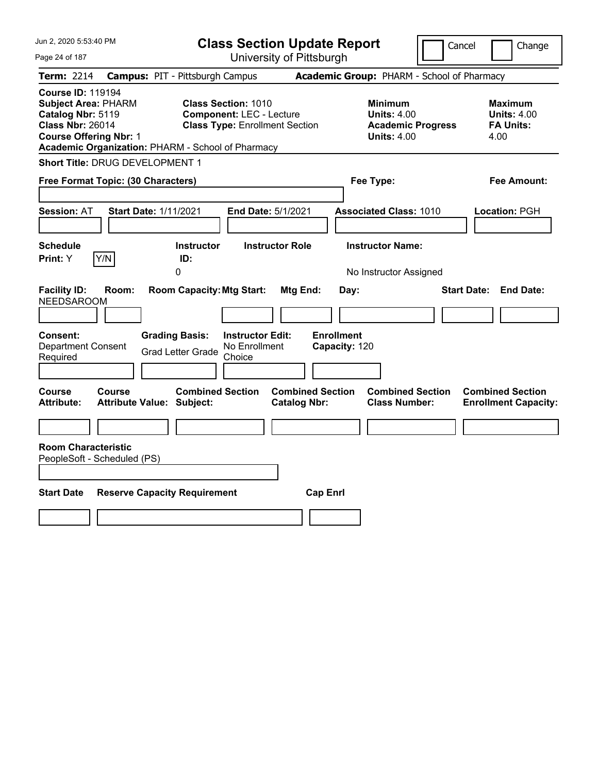| Jun 2, 2020 5:53:40 PM                                                                                                                                                                       | <b>Class Section Update Report</b>                                                                     |                                                                                        | Cancel<br>Change                                                 |
|----------------------------------------------------------------------------------------------------------------------------------------------------------------------------------------------|--------------------------------------------------------------------------------------------------------|----------------------------------------------------------------------------------------|------------------------------------------------------------------|
| Page 24 of 187                                                                                                                                                                               | University of Pittsburgh                                                                               |                                                                                        |                                                                  |
| <b>Term: 2214</b>                                                                                                                                                                            | <b>Campus: PIT - Pittsburgh Campus</b>                                                                 | Academic Group: PHARM - School of Pharmacy                                             |                                                                  |
| <b>Course ID: 119194</b><br><b>Subject Area: PHARM</b><br>Catalog Nbr: 5119<br><b>Class Nbr: 26014</b><br><b>Course Offering Nbr: 1</b><br>Academic Organization: PHARM - School of Pharmacy | <b>Class Section: 1010</b><br><b>Component: LEC - Lecture</b><br><b>Class Type: Enrollment Section</b> | <b>Minimum</b><br><b>Units: 4.00</b><br><b>Academic Progress</b><br><b>Units: 4.00</b> | <b>Maximum</b><br><b>Units: 4.00</b><br><b>FA Units:</b><br>4.00 |
| <b>Short Title: DRUG DEVELOPMENT 1</b>                                                                                                                                                       |                                                                                                        |                                                                                        |                                                                  |
| Free Format Topic: (30 Characters)                                                                                                                                                           |                                                                                                        | Fee Type:                                                                              | Fee Amount:                                                      |
| <b>Session: AT</b><br><b>Start Date: 1/11/2021</b>                                                                                                                                           | End Date: 5/1/2021                                                                                     | <b>Associated Class: 1010</b>                                                          | Location: PGH                                                    |
| <b>Schedule</b><br>Print: Y<br>Y/N                                                                                                                                                           | <b>Instructor Role</b><br><b>Instructor</b><br>ID:<br>0                                                | <b>Instructor Name:</b><br>No Instructor Assigned                                      |                                                                  |
| <b>Facility ID:</b><br>Room:<br><b>NEEDSAROOM</b><br>Consent:                                                                                                                                | <b>Room Capacity: Mtg Start:</b><br>Mtg End:<br><b>Grading Basis:</b><br><b>Instructor Edit:</b>       | Day:<br><b>Enrollment</b>                                                              | <b>Start Date:</b><br><b>End Date:</b>                           |
| Department Consent<br>Required                                                                                                                                                               | No Enrollment<br><b>Grad Letter Grade</b><br>Choice                                                    | Capacity: 120                                                                          |                                                                  |
| Course<br>Course<br><b>Attribute:</b><br><b>Attribute Value: Subject:</b>                                                                                                                    | <b>Combined Section</b><br><b>Catalog Nbr:</b>                                                         | <b>Combined Section</b><br><b>Combined Section</b><br><b>Class Number:</b>             | <b>Combined Section</b><br><b>Enrollment Capacity:</b>           |
| <b>Room Characteristic</b><br>PeopleSoft - Scheduled (PS)                                                                                                                                    |                                                                                                        |                                                                                        |                                                                  |
| <b>Start Date</b><br><b>Reserve Capacity Requirement</b>                                                                                                                                     |                                                                                                        | <b>Cap Enrl</b>                                                                        |                                                                  |
|                                                                                                                                                                                              |                                                                                                        |                                                                                        |                                                                  |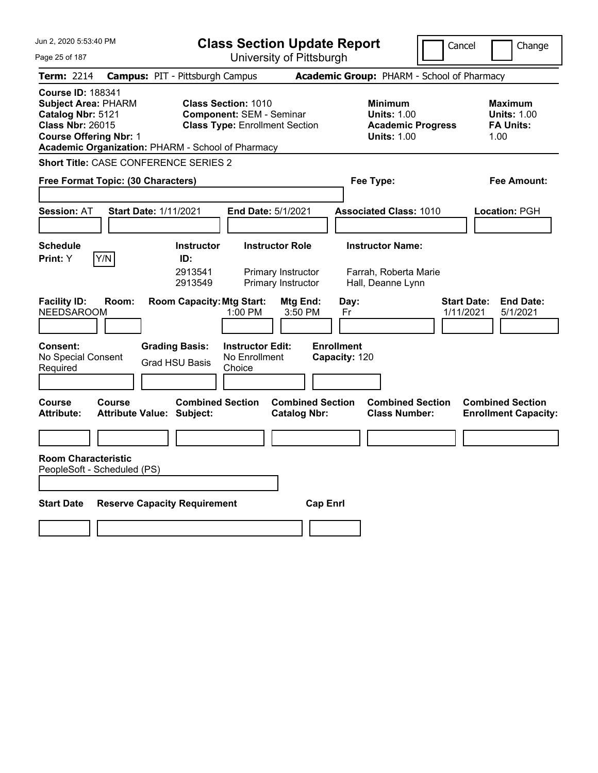| Jun 2, 2020 5:53:40 PM                                                                                                                                                                       | <b>Class Section Update Report</b>                                                                     |                                                            | Cancel                                          | Change                                                           |
|----------------------------------------------------------------------------------------------------------------------------------------------------------------------------------------------|--------------------------------------------------------------------------------------------------------|------------------------------------------------------------|-------------------------------------------------|------------------------------------------------------------------|
| Page 25 of 187                                                                                                                                                                               | University of Pittsburgh                                                                               |                                                            |                                                 |                                                                  |
| Term: 2214                                                                                                                                                                                   | <b>Campus: PIT - Pittsburgh Campus</b>                                                                 | Academic Group: PHARM - School of Pharmacy                 |                                                 |                                                                  |
| <b>Course ID: 188341</b><br><b>Subject Area: PHARM</b><br>Catalog Nbr: 5121<br><b>Class Nbr: 26015</b><br><b>Course Offering Nbr: 1</b><br>Academic Organization: PHARM - School of Pharmacy | <b>Class Section: 1010</b><br><b>Component: SEM - Seminar</b><br><b>Class Type: Enrollment Section</b> | <b>Minimum</b><br><b>Units: 1.00</b><br><b>Units: 1.00</b> | <b>Academic Progress</b>                        | <b>Maximum</b><br><b>Units: 1.00</b><br><b>FA Units:</b><br>1.00 |
| Short Title: CASE CONFERENCE SERIES 2                                                                                                                                                        |                                                                                                        |                                                            |                                                 |                                                                  |
| Free Format Topic: (30 Characters)                                                                                                                                                           |                                                                                                        | Fee Type:                                                  |                                                 | Fee Amount:                                                      |
| <b>Session: AT</b><br><b>Start Date: 1/11/2021</b>                                                                                                                                           | End Date: 5/1/2021                                                                                     | <b>Associated Class: 1010</b>                              |                                                 | Location: PGH                                                    |
| <b>Schedule</b>                                                                                                                                                                              | <b>Instructor Role</b><br><b>Instructor</b>                                                            | <b>Instructor Name:</b>                                    |                                                 |                                                                  |
| Y/N<br>Print: Y                                                                                                                                                                              | ID:<br>2913541<br>Primary Instructor<br>2913549<br>Primary Instructor                                  | Farrah, Roberta Marie<br>Hall, Deanne Lynn                 |                                                 |                                                                  |
| <b>Facility ID:</b><br>Room:<br><b>NEEDSAROOM</b>                                                                                                                                            | <b>Room Capacity: Mtg Start:</b><br>1:00 PM                                                            | Mtg End:<br>Day:<br>3:50 PM<br>Fr                          | <b>Start Date:</b><br>1/11/2021                 | <b>End Date:</b><br>5/1/2021                                     |
| <b>Consent:</b><br>No Special Consent<br>Required                                                                                                                                            | <b>Grading Basis:</b><br><b>Instructor Edit:</b><br>No Enrollment<br><b>Grad HSU Basis</b><br>Choice   | <b>Enrollment</b><br>Capacity: 120                         |                                                 |                                                                  |
| Course<br>Course<br><b>Attribute:</b><br>Attribute Value: Subject:                                                                                                                           | <b>Combined Section</b>                                                                                | <b>Combined Section</b><br><b>Catalog Nbr:</b>             | <b>Combined Section</b><br><b>Class Number:</b> | <b>Combined Section</b><br><b>Enrollment Capacity:</b>           |
|                                                                                                                                                                                              |                                                                                                        |                                                            |                                                 |                                                                  |
| <b>Room Characteristic</b><br>PeopleSoft - Scheduled (PS)                                                                                                                                    |                                                                                                        |                                                            |                                                 |                                                                  |
| <b>Start Date</b><br><b>Reserve Capacity Requirement</b><br><b>Cap Enrl</b>                                                                                                                  |                                                                                                        |                                                            |                                                 |                                                                  |
|                                                                                                                                                                                              |                                                                                                        |                                                            |                                                 |                                                                  |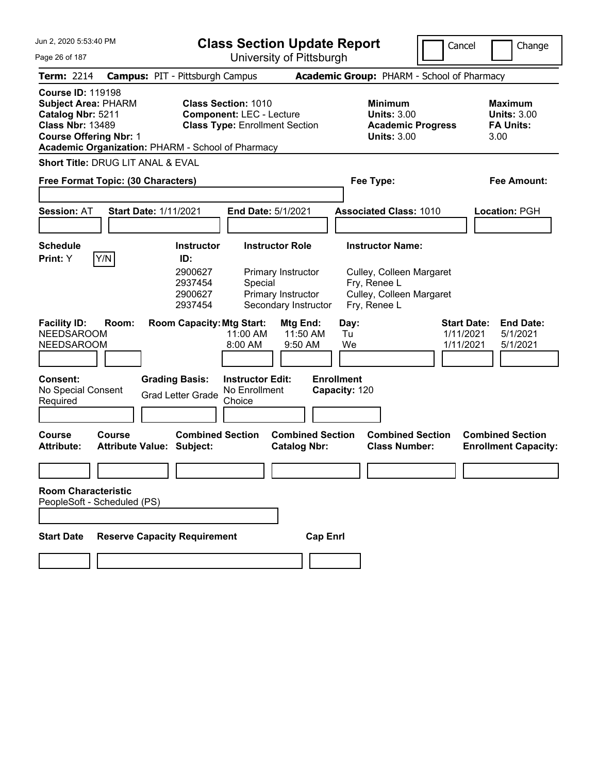| Jun 2, 2020 5:53:40 PM                                                                                                                                                                       |                                                                                                                            | <b>Class Section Update Report</b>                                                                                            |                                                                                                                 | Cancel                                       | Change                                                              |
|----------------------------------------------------------------------------------------------------------------------------------------------------------------------------------------------|----------------------------------------------------------------------------------------------------------------------------|-------------------------------------------------------------------------------------------------------------------------------|-----------------------------------------------------------------------------------------------------------------|----------------------------------------------|---------------------------------------------------------------------|
| Page 26 of 187                                                                                                                                                                               |                                                                                                                            | University of Pittsburgh                                                                                                      |                                                                                                                 |                                              |                                                                     |
| <b>Term: 2214</b>                                                                                                                                                                            | <b>Campus: PIT - Pittsburgh Campus</b>                                                                                     |                                                                                                                               | Academic Group: PHARM - School of Pharmacy                                                                      |                                              |                                                                     |
| <b>Course ID: 119198</b><br><b>Subject Area: PHARM</b><br>Catalog Nbr: 5211<br><b>Class Nbr: 13489</b><br><b>Course Offering Nbr: 1</b><br>Academic Organization: PHARM - School of Pharmacy | <b>Class Section: 1010</b>                                                                                                 | <b>Component: LEC - Lecture</b><br><b>Class Type: Enrollment Section</b>                                                      | <b>Minimum</b><br><b>Units: 3.00</b><br><b>Academic Progress</b><br><b>Units: 3.00</b>                          |                                              | <b>Maximum</b><br><b>Units: 3.00</b><br><b>FA Units:</b><br>3.00    |
| <b>Short Title: DRUG LIT ANAL &amp; EVAL</b>                                                                                                                                                 |                                                                                                                            |                                                                                                                               |                                                                                                                 |                                              |                                                                     |
| Free Format Topic: (30 Characters)                                                                                                                                                           |                                                                                                                            |                                                                                                                               | Fee Type:                                                                                                       |                                              | Fee Amount:                                                         |
| <b>Session: AT</b>                                                                                                                                                                           | <b>Start Date: 1/11/2021</b>                                                                                               | End Date: 5/1/2021                                                                                                            | <b>Associated Class: 1010</b>                                                                                   |                                              | Location: PGH                                                       |
| <b>Schedule</b><br>Y/N<br>Print: Y                                                                                                                                                           | <b>Instructor</b><br>ID:<br>2900627<br>2937454<br>2900627<br>2937454                                                       | <b>Instructor Role</b><br>Primary Instructor<br>Special<br>Primary Instructor<br>Secondary Instructor                         | <b>Instructor Name:</b><br>Culley, Colleen Margaret<br>Fry, Renee L<br>Culley, Colleen Margaret<br>Fry, Renee L |                                              |                                                                     |
| <b>Facility ID:</b><br>Room:<br><b>NEEDSAROOM</b><br><b>NEEDSAROOM</b><br><b>Consent:</b><br>No Special Consent<br>Required<br>Course<br>Course                                              | <b>Room Capacity: Mtg Start:</b><br><b>Grading Basis:</b><br><b>Grad Letter Grade</b><br>Choice<br><b>Combined Section</b> | Mtg End:<br>11:50 AM<br>11:00 AM<br>8:00 AM<br>9:50 AM<br><b>Instructor Edit:</b><br>No Enrollment<br><b>Combined Section</b> | Day:<br>Tu<br>We<br><b>Enrollment</b><br>Capacity: 120<br><b>Combined Section</b>                               | <b>Start Date:</b><br>1/11/2021<br>1/11/2021 | <b>End Date:</b><br>5/1/2021<br>5/1/2021<br><b>Combined Section</b> |
| <b>Attribute:</b>                                                                                                                                                                            | <b>Attribute Value: Subject:</b>                                                                                           | <b>Catalog Nbr:</b>                                                                                                           | <b>Class Number:</b>                                                                                            |                                              | <b>Enrollment Capacity:</b>                                         |
| <b>Room Characteristic</b>                                                                                                                                                                   |                                                                                                                            |                                                                                                                               |                                                                                                                 |                                              |                                                                     |
| PeopleSoft - Scheduled (PS)                                                                                                                                                                  |                                                                                                                            |                                                                                                                               |                                                                                                                 |                                              |                                                                     |
| <b>Reserve Capacity Requirement</b><br><b>Start Date</b><br><b>Cap Enrl</b>                                                                                                                  |                                                                                                                            |                                                                                                                               |                                                                                                                 |                                              |                                                                     |
|                                                                                                                                                                                              |                                                                                                                            |                                                                                                                               |                                                                                                                 |                                              |                                                                     |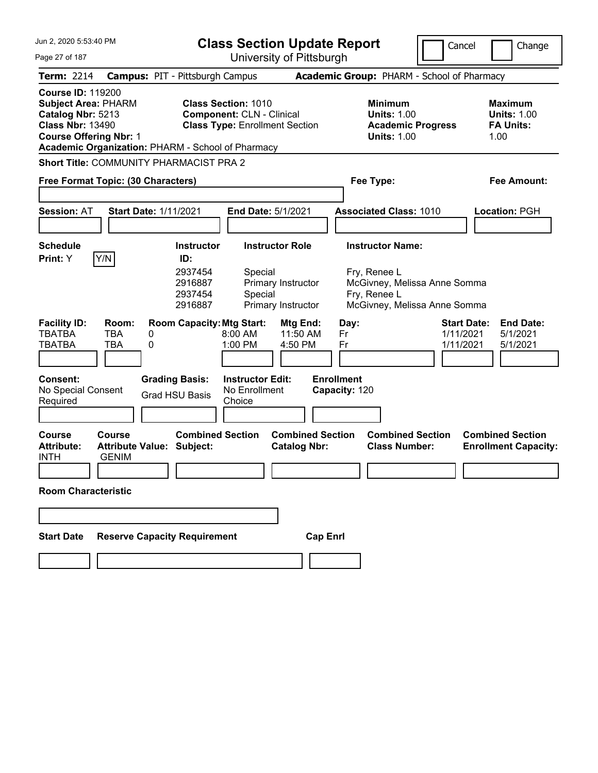| Jun 2, 2020 5:53:40 PM                                                                                                                  |                               |                                                                      | <b>Class Section Update Report</b>                                                                      |                                                                                 | Cancel                                                       | Change                                                    |
|-----------------------------------------------------------------------------------------------------------------------------------------|-------------------------------|----------------------------------------------------------------------|---------------------------------------------------------------------------------------------------------|---------------------------------------------------------------------------------|--------------------------------------------------------------|-----------------------------------------------------------|
| Page 27 of 187                                                                                                                          |                               |                                                                      | University of Pittsburgh                                                                                |                                                                                 |                                                              |                                                           |
| Term: 2214                                                                                                                              |                               | <b>Campus: PIT - Pittsburgh Campus</b>                               |                                                                                                         | Academic Group: PHARM - School of Pharmacy                                      |                                                              |                                                           |
| <b>Course ID: 119200</b><br><b>Subject Area: PHARM</b><br>Catalog Nbr: 5213<br><b>Class Nbr: 13490</b><br><b>Course Offering Nbr: 1</b> |                               | Academic Organization: PHARM - School of Pharmacy                    | <b>Class Section: 1010</b><br><b>Component: CLN - Clinical</b><br><b>Class Type: Enrollment Section</b> | Minimum<br><b>Units: 1.00</b><br><b>Academic Progress</b><br><b>Units: 1.00</b> |                                                              | Maximum<br><b>Units: 1.00</b><br><b>FA Units:</b><br>1.00 |
|                                                                                                                                         |                               | Short Title: COMMUNITY PHARMACIST PRA 2                              |                                                                                                         |                                                                                 |                                                              |                                                           |
| Free Format Topic: (30 Characters)                                                                                                      |                               |                                                                      |                                                                                                         | Fee Type:                                                                       |                                                              | Fee Amount:                                               |
| <b>Session: AT</b>                                                                                                                      |                               | <b>Start Date: 1/11/2021</b>                                         | <b>End Date: 5/1/2021</b>                                                                               | <b>Associated Class: 1010</b>                                                   |                                                              | Location: PGH                                             |
| <b>Schedule</b><br>Print: Y                                                                                                             | Y/N                           | <b>Instructor</b><br>ID:<br>2937454<br>2916887<br>2937454<br>2916887 | <b>Instructor Role</b><br>Special<br>Primary Instructor<br>Special<br>Primary Instructor                | <b>Instructor Name:</b><br>Fry, Renee L<br>Fry, Renee L                         | McGivney, Melissa Anne Somma<br>McGivney, Melissa Anne Somma |                                                           |
| <b>Facility ID:</b><br>TBATBA<br>TBATBA                                                                                                 | Room:<br>TBA<br>0<br>TBA<br>0 | <b>Room Capacity: Mtg Start:</b>                                     | Mtg End:<br>11:50 AM<br>$8:00 \, \text{AM}$<br>1:00 PM<br>4:50 PM                                       | Day:<br>Fr<br>Fr                                                                | <b>Start Date:</b><br>1/11/2021<br>1/11/2021                 | <b>End Date:</b><br>5/1/2021<br>5/1/2021                  |
| <b>Consent:</b><br>No Special Consent<br>Required                                                                                       |                               | <b>Grading Basis:</b><br><b>Grad HSU Basis</b>                       | <b>Instructor Edit:</b><br>No Enrollment<br>Choice                                                      | <b>Enrollment</b><br>Capacity: 120                                              |                                                              |                                                           |
| Course<br><b>Attribute:</b><br><b>INTH</b>                                                                                              | Course<br><b>GENIM</b>        | <b>Combined Section</b><br><b>Attribute Value: Subject:</b>          | <b>Combined Section</b><br><b>Catalog Nbr:</b>                                                          | <b>Combined Section</b><br><b>Class Number:</b>                                 |                                                              | <b>Combined Section</b><br><b>Enrollment Capacity:</b>    |
| <b>Room Characteristic</b>                                                                                                              |                               |                                                                      |                                                                                                         |                                                                                 |                                                              |                                                           |
|                                                                                                                                         |                               |                                                                      |                                                                                                         |                                                                                 |                                                              |                                                           |
| <b>Reserve Capacity Requirement</b><br><b>Start Date</b><br><b>Cap Enrl</b>                                                             |                               |                                                                      |                                                                                                         |                                                                                 |                                                              |                                                           |
|                                                                                                                                         |                               |                                                                      |                                                                                                         |                                                                                 |                                                              |                                                           |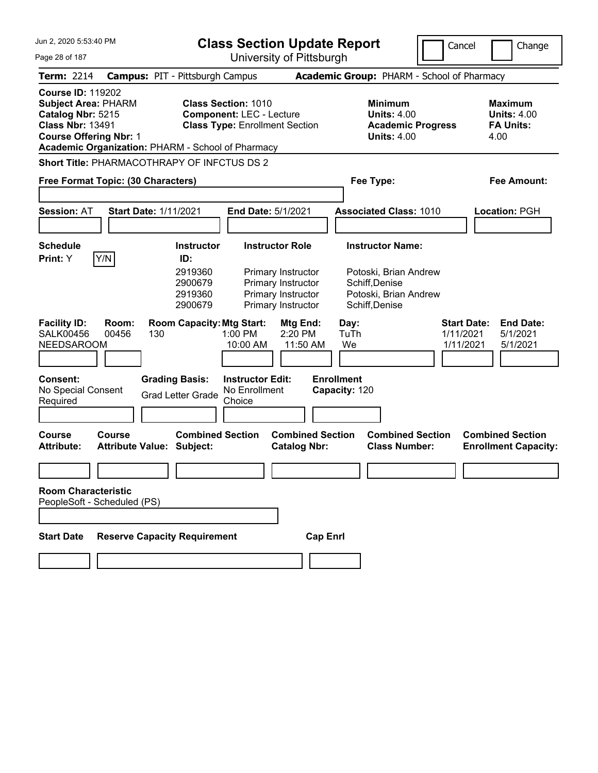| Jun 2, 2020 5:53:40 PM                                                                                                                                                                       | <b>Class Section Update Report</b>                                                                                                                                                                    | Cancel                                                                                                        | Change                                                           |
|----------------------------------------------------------------------------------------------------------------------------------------------------------------------------------------------|-------------------------------------------------------------------------------------------------------------------------------------------------------------------------------------------------------|---------------------------------------------------------------------------------------------------------------|------------------------------------------------------------------|
| Page 28 of 187                                                                                                                                                                               | University of Pittsburgh                                                                                                                                                                              |                                                                                                               |                                                                  |
| Term: 2214                                                                                                                                                                                   | <b>Campus: PIT - Pittsburgh Campus</b>                                                                                                                                                                | Academic Group: PHARM - School of Pharmacy                                                                    |                                                                  |
| <b>Course ID: 119202</b><br><b>Subject Area: PHARM</b><br>Catalog Nbr: 5215<br><b>Class Nbr: 13491</b><br><b>Course Offering Nbr: 1</b><br>Academic Organization: PHARM - School of Pharmacy | <b>Class Section: 1010</b><br><b>Component: LEC - Lecture</b><br><b>Class Type: Enrollment Section</b>                                                                                                | <b>Minimum</b><br><b>Units: 4.00</b><br><b>Academic Progress</b><br><b>Units: 4.00</b>                        | <b>Maximum</b><br><b>Units: 4.00</b><br><b>FA Units:</b><br>4.00 |
| <b>Short Title: PHARMACOTHRAPY OF INFCTUS DS 2</b>                                                                                                                                           |                                                                                                                                                                                                       |                                                                                                               |                                                                  |
| Free Format Topic: (30 Characters)                                                                                                                                                           |                                                                                                                                                                                                       | Fee Type:                                                                                                     | Fee Amount:                                                      |
| <b>Session: AT</b><br><b>Start Date: 1/11/2021</b>                                                                                                                                           | End Date: 5/1/2021                                                                                                                                                                                    | <b>Associated Class: 1010</b>                                                                                 | Location: PGH                                                    |
| <b>Schedule</b><br>Y/N<br>Print: Y                                                                                                                                                           | <b>Instructor Role</b><br><b>Instructor</b><br>ID:<br>2919360<br>Primary Instructor<br>2900679<br>Primary Instructor<br>2919360<br>Primary Instructor<br>2900679<br>Primary Instructor                | <b>Instructor Name:</b><br>Potoski, Brian Andrew<br>Schiff, Denise<br>Potoski, Brian Andrew<br>Schiff, Denise |                                                                  |
| <b>Facility ID:</b><br>Room:<br><b>SALK00456</b><br>00456<br>130<br><b>NEEDSAROOM</b><br><b>Consent:</b><br>No Special Consent<br>Required                                                   | <b>Room Capacity: Mtg Start:</b><br>Mtg End:<br>1:00 PM<br>2:20 PM<br>11:50 AM<br>10:00 AM<br><b>Grading Basis:</b><br><b>Instructor Edit:</b><br>No Enrollment<br><b>Grad Letter Grade</b><br>Choice | Day:<br><b>Start Date:</b><br>TuTh<br>1/11/2021<br>We<br>1/11/2021<br><b>Enrollment</b><br>Capacity: 120      | <b>End Date:</b><br>5/1/2021<br>5/1/2021                         |
| Course<br>Course<br><b>Attribute Value: Subject:</b><br><b>Attribute:</b>                                                                                                                    | <b>Combined Section</b><br><b>Combined Section</b><br><b>Catalog Nbr:</b>                                                                                                                             | <b>Combined Section</b><br><b>Class Number:</b>                                                               | <b>Combined Section</b><br><b>Enrollment Capacity:</b>           |
| <b>Room Characteristic</b><br>PeopleSoft - Scheduled (PS)                                                                                                                                    |                                                                                                                                                                                                       |                                                                                                               |                                                                  |
| <b>Start Date</b>                                                                                                                                                                            | <b>Reserve Capacity Requirement</b><br><b>Cap Enrl</b>                                                                                                                                                |                                                                                                               |                                                                  |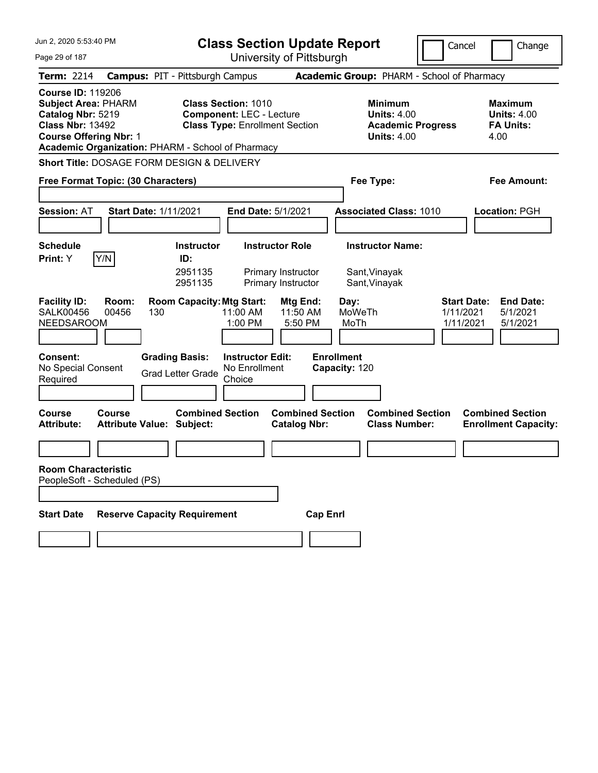| <b>Class Section Update Report</b>                                                                                                                          | Cancel                                                                                 | Change                                                                                                                                                     |
|-------------------------------------------------------------------------------------------------------------------------------------------------------------|----------------------------------------------------------------------------------------|------------------------------------------------------------------------------------------------------------------------------------------------------------|
|                                                                                                                                                             |                                                                                        |                                                                                                                                                            |
| <b>Campus: PIT - Pittsburgh Campus</b>                                                                                                                      |                                                                                        |                                                                                                                                                            |
| <b>Class Section: 1010</b><br><b>Component: LEC - Lecture</b><br><b>Class Type: Enrollment Section</b><br>Academic Organization: PHARM - School of Pharmacy | <b>Minimum</b><br><b>Units: 4.00</b><br><b>Academic Progress</b><br><b>Units: 4.00</b> | Maximum<br><b>Units: 4.00</b><br><b>FA Units:</b><br>4.00                                                                                                  |
| <b>Short Title: DOSAGE FORM DESIGN &amp; DELIVERY</b>                                                                                                       |                                                                                        |                                                                                                                                                            |
| Free Format Topic: (30 Characters)                                                                                                                          | Fee Type:                                                                              | <b>Fee Amount:</b>                                                                                                                                         |
|                                                                                                                                                             |                                                                                        |                                                                                                                                                            |
| Start Date: 1/11/2021<br>End Date: 5/1/2021                                                                                                                 | <b>Associated Class: 1010</b>                                                          | Location: PGH                                                                                                                                              |
|                                                                                                                                                             |                                                                                        |                                                                                                                                                            |
| <b>Instructor Role</b><br><b>Instructor</b>                                                                                                                 | <b>Instructor Name:</b>                                                                |                                                                                                                                                            |
| ID:<br>2951135<br>Primary Instructor<br>2951135<br>Primary Instructor                                                                                       | Sant, Vinayak<br>Sant, Vinayak                                                         |                                                                                                                                                            |
| <b>Room Capacity: Mtg Start:</b><br>Mtg End:<br>11:00 AM<br>11:50 AM<br>1:00 PM<br>5:50 PM                                                                  | <b>Start Date:</b><br>Day:<br>MoWeTh<br>1/11/2021<br>MoTh<br>1/11/2021                 | <b>End Date:</b><br>5/1/2021<br>5/1/2021                                                                                                                   |
| <b>Grading Basis:</b><br><b>Instructor Edit:</b><br>No Enrollment<br><b>Grad Letter Grade</b><br>Choice                                                     |                                                                                        |                                                                                                                                                            |
| <b>Combined Section</b><br><b>Attribute Value: Subject:</b><br><b>Catalog Nbr:</b>                                                                          | <b>Combined Section</b><br><b>Class Number:</b>                                        | <b>Combined Section</b><br><b>Enrollment Capacity:</b>                                                                                                     |
|                                                                                                                                                             |                                                                                        |                                                                                                                                                            |
|                                                                                                                                                             |                                                                                        |                                                                                                                                                            |
|                                                                                                                                                             |                                                                                        |                                                                                                                                                            |
|                                                                                                                                                             |                                                                                        |                                                                                                                                                            |
|                                                                                                                                                             |                                                                                        |                                                                                                                                                            |
|                                                                                                                                                             | <b>Reserve Capacity Requirement</b>                                                    | University of Pittsburgh<br>Academic Group: PHARM - School of Pharmacy<br><b>Enrollment</b><br>Capacity: 120<br><b>Combined Section</b><br><b>Cap Enrl</b> |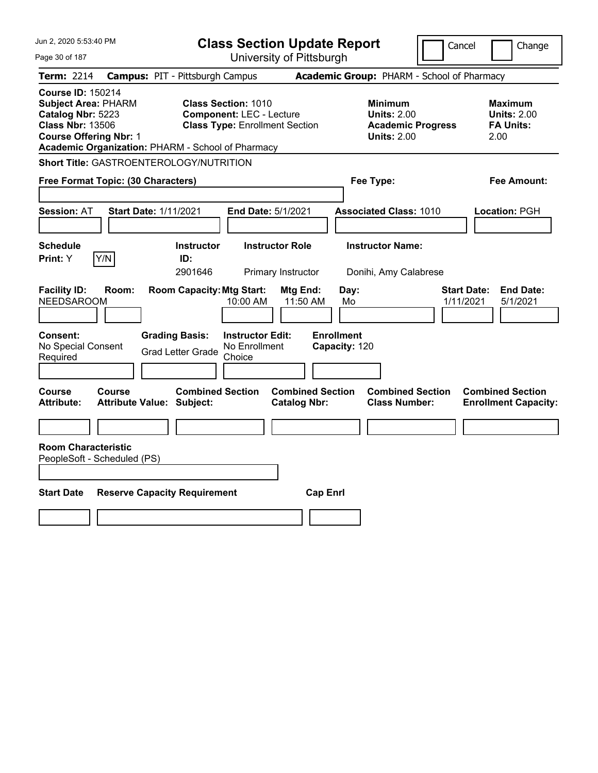| Jun 2, 2020 5:53:40 PM                                                                                                                                                                                    | <b>Class Section Update Report</b>                                                                                                                                              |                                                                                        | Cancel<br>Change                                                 |
|-----------------------------------------------------------------------------------------------------------------------------------------------------------------------------------------------------------|---------------------------------------------------------------------------------------------------------------------------------------------------------------------------------|----------------------------------------------------------------------------------------|------------------------------------------------------------------|
| Page 30 of 187                                                                                                                                                                                            | University of Pittsburgh                                                                                                                                                        |                                                                                        |                                                                  |
| Term: 2214                                                                                                                                                                                                | <b>Campus: PIT - Pittsburgh Campus</b>                                                                                                                                          | Academic Group: PHARM - School of Pharmacy                                             |                                                                  |
| <b>Course ID: 150214</b><br><b>Subject Area: PHARM</b><br>Catalog Nbr: 5223<br><b>Class Nbr: 13506</b><br><b>Course Offering Nbr: 1</b><br>Academic Organization: PHARM - School of Pharmacy              | <b>Class Section: 1010</b><br><b>Component: LEC - Lecture</b><br><b>Class Type: Enrollment Section</b>                                                                          | <b>Minimum</b><br><b>Units: 2.00</b><br><b>Academic Progress</b><br><b>Units: 2.00</b> | <b>Maximum</b><br><b>Units: 2.00</b><br><b>FA Units:</b><br>2.00 |
| <b>Short Title: GASTROENTEROLOGY/NUTRITION</b>                                                                                                                                                            |                                                                                                                                                                                 |                                                                                        |                                                                  |
| Free Format Topic: (30 Characters)                                                                                                                                                                        |                                                                                                                                                                                 | Fee Type:                                                                              | Fee Amount:                                                      |
| <b>Session: AT</b><br>Start Date: 1/11/2021<br><b>Schedule</b><br>Print: Y<br>Y/N                                                                                                                         | <b>End Date: 5/1/2021</b><br><b>Instructor Role</b><br><b>Instructor</b><br>ID:<br>2901646<br>Primary Instructor                                                                | <b>Associated Class: 1010</b><br><b>Instructor Name:</b><br>Donihi, Amy Calabrese      | Location: PGH                                                    |
| <b>Facility ID:</b><br>Room:<br>NEEDSAROOM<br>Consent:<br>No Special Consent<br>Required                                                                                                                  | <b>Room Capacity: Mtg Start:</b><br>Mtg End:<br>10:00 AM<br>11:50 AM<br><b>Grading Basis:</b><br><b>Instructor Edit:</b><br>No Enrollment<br><b>Grad Letter Grade</b><br>Choice | Day:<br>Mo<br><b>Enrollment</b><br>Capacity: 120                                       | <b>Start Date:</b><br><b>End Date:</b><br>1/11/2021<br>5/1/2021  |
| <b>Course</b><br>Course<br><b>Attribute:</b><br><b>Attribute Value: Subject:</b><br><b>Room Characteristic</b><br>PeopleSoft - Scheduled (PS)<br><b>Start Date</b><br><b>Reserve Capacity Requirement</b> | <b>Combined Section</b><br><b>Combined Section</b><br><b>Catalog Nbr:</b>                                                                                                       | <b>Combined Section</b><br><b>Class Number:</b><br><b>Cap Enrl</b>                     | <b>Combined Section</b><br><b>Enrollment Capacity:</b>           |
|                                                                                                                                                                                                           |                                                                                                                                                                                 |                                                                                        |                                                                  |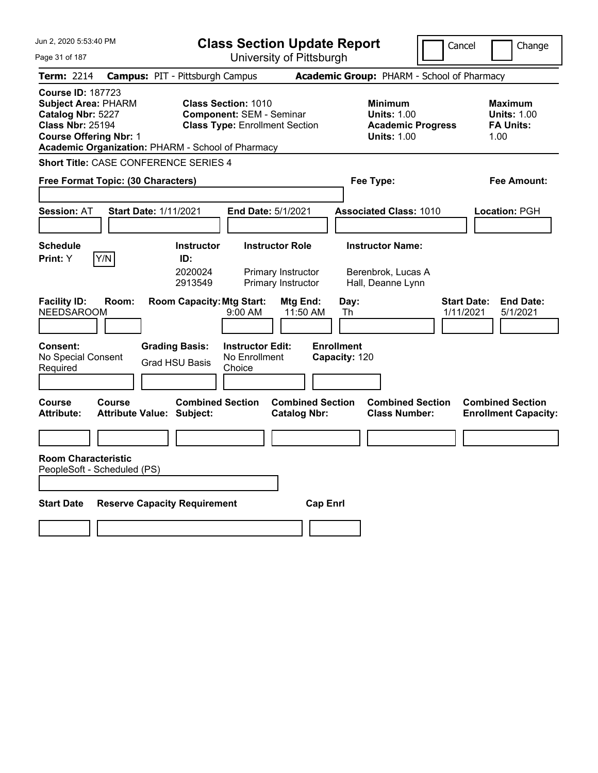| Jun 2, 2020 5:53:40 PM                                                                                                                                                                       | <b>Class Section Update Report</b>                                                                     |                                                                                        | Cancel<br>Change                                                 |  |
|----------------------------------------------------------------------------------------------------------------------------------------------------------------------------------------------|--------------------------------------------------------------------------------------------------------|----------------------------------------------------------------------------------------|------------------------------------------------------------------|--|
| Page 31 of 187                                                                                                                                                                               | University of Pittsburgh                                                                               |                                                                                        |                                                                  |  |
| <b>Term: 2214</b>                                                                                                                                                                            | <b>Campus: PIT - Pittsburgh Campus</b>                                                                 | Academic Group: PHARM - School of Pharmacy                                             |                                                                  |  |
| <b>Course ID: 187723</b><br><b>Subject Area: PHARM</b><br>Catalog Nbr: 5227<br><b>Class Nbr: 25194</b><br><b>Course Offering Nbr: 1</b><br>Academic Organization: PHARM - School of Pharmacy | <b>Class Section: 1010</b><br><b>Component: SEM - Seminar</b><br><b>Class Type: Enrollment Section</b> | <b>Minimum</b><br><b>Units: 1.00</b><br><b>Academic Progress</b><br><b>Units: 1.00</b> | <b>Maximum</b><br><b>Units: 1.00</b><br><b>FA Units:</b><br>1.00 |  |
| <b>Short Title: CASE CONFERENCE SERIES 4</b>                                                                                                                                                 |                                                                                                        |                                                                                        |                                                                  |  |
| Free Format Topic: (30 Characters)                                                                                                                                                           |                                                                                                        | Fee Type:                                                                              | Fee Amount:                                                      |  |
| <b>Start Date: 1/11/2021</b><br><b>Session: AT</b>                                                                                                                                           | End Date: 5/1/2021                                                                                     | <b>Associated Class: 1010</b>                                                          | <b>Location: PGH</b>                                             |  |
| <b>Schedule</b>                                                                                                                                                                              | <b>Instructor</b><br><b>Instructor Role</b>                                                            | <b>Instructor Name:</b>                                                                |                                                                  |  |
| Y/N<br>Print: Y                                                                                                                                                                              | ID:<br>2020024<br>Primary Instructor<br>2913549<br>Primary Instructor                                  | Berenbrok, Lucas A<br>Hall, Deanne Lynn                                                |                                                                  |  |
| <b>Facility ID:</b><br>Room:<br><b>NEEDSAROOM</b>                                                                                                                                            | <b>Room Capacity: Mtg Start:</b><br>Mtg End:<br>9:00 AM                                                | Day:<br>11:50 AM<br>Th                                                                 | <b>Start Date:</b><br><b>End Date:</b><br>5/1/2021<br>1/11/2021  |  |
| <b>Consent:</b><br>No Special Consent<br>Required                                                                                                                                            | <b>Grading Basis:</b><br><b>Instructor Edit:</b><br>No Enrollment<br><b>Grad HSU Basis</b><br>Choice   | <b>Enrollment</b><br>Capacity: 120                                                     |                                                                  |  |
| <b>Course</b><br>Course<br><b>Attribute:</b><br><b>Attribute Value: Subject:</b>                                                                                                             | <b>Combined Section</b><br><b>Catalog Nbr:</b>                                                         | <b>Combined Section</b><br><b>Combined Section</b><br><b>Class Number:</b>             | <b>Combined Section</b><br><b>Enrollment Capacity:</b>           |  |
|                                                                                                                                                                                              |                                                                                                        |                                                                                        |                                                                  |  |
| <b>Room Characteristic</b><br>PeopleSoft - Scheduled (PS)                                                                                                                                    |                                                                                                        |                                                                                        |                                                                  |  |
| <b>Reserve Capacity Requirement</b><br><b>Cap Enrl</b><br><b>Start Date</b>                                                                                                                  |                                                                                                        |                                                                                        |                                                                  |  |
|                                                                                                                                                                                              |                                                                                                        |                                                                                        |                                                                  |  |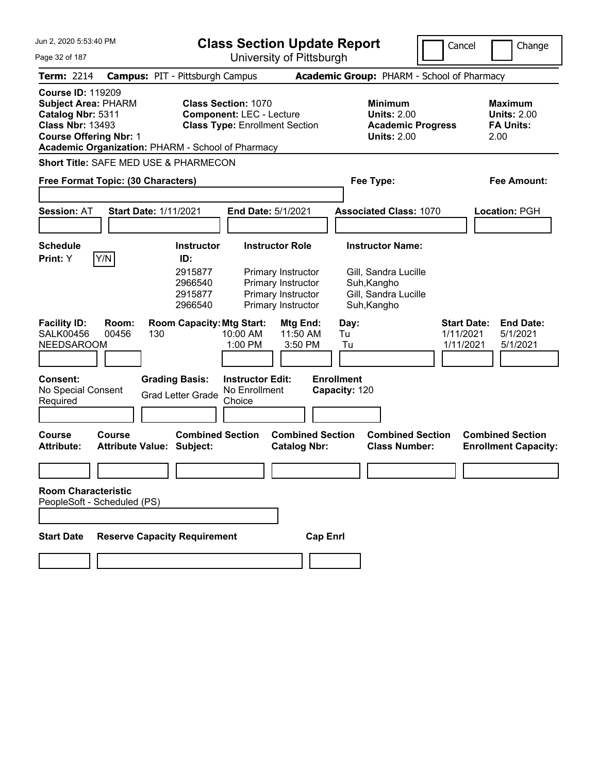| Jun 2, 2020 5:53:40 PM                                                                                                                                                                       | <b>Class Section Update Report</b>                                                                                                                                                     | Cancel                                                                                                 | Change                                                    |
|----------------------------------------------------------------------------------------------------------------------------------------------------------------------------------------------|----------------------------------------------------------------------------------------------------------------------------------------------------------------------------------------|--------------------------------------------------------------------------------------------------------|-----------------------------------------------------------|
| Page 32 of 187                                                                                                                                                                               | University of Pittsburgh                                                                                                                                                               |                                                                                                        |                                                           |
| <b>Term: 2214</b>                                                                                                                                                                            | <b>Campus: PIT - Pittsburgh Campus</b>                                                                                                                                                 | Academic Group: PHARM - School of Pharmacy                                                             |                                                           |
| <b>Course ID: 119209</b><br><b>Subject Area: PHARM</b><br>Catalog Nbr: 5311<br><b>Class Nbr: 13493</b><br><b>Course Offering Nbr: 1</b><br>Academic Organization: PHARM - School of Pharmacy | <b>Class Section: 1070</b><br><b>Component: LEC - Lecture</b><br><b>Class Type: Enrollment Section</b>                                                                                 | <b>Minimum</b><br><b>Units: 2.00</b><br><b>Academic Progress</b><br><b>Units: 2.00</b>                 | Maximum<br><b>Units: 2.00</b><br><b>FA Units:</b><br>2.00 |
| <b>Short Title: SAFE MED USE &amp; PHARMECON</b>                                                                                                                                             |                                                                                                                                                                                        |                                                                                                        |                                                           |
| Free Format Topic: (30 Characters)                                                                                                                                                           |                                                                                                                                                                                        | Fee Type:                                                                                              | Fee Amount:                                               |
| <b>Session: AT</b><br><b>Start Date: 1/11/2021</b>                                                                                                                                           | <b>End Date: 5/1/2021</b>                                                                                                                                                              | <b>Associated Class: 1070</b>                                                                          | Location: PGH                                             |
| <b>Schedule</b><br>Y/N<br>Print: Y                                                                                                                                                           | <b>Instructor Role</b><br><b>Instructor</b><br>ID:<br>2915877<br>Primary Instructor<br>2966540<br>Primary Instructor<br>Primary Instructor<br>2915877<br>2966540<br>Primary Instructor | <b>Instructor Name:</b><br>Gill, Sandra Lucille<br>Suh, Kangho<br>Gill, Sandra Lucille<br>Suh, Kangho  |                                                           |
| <b>Facility ID:</b><br>Room:<br><b>SALK00456</b><br>00456<br>130<br><b>NEEDSAROOM</b><br>Consent:<br>No Special Consent                                                                      | <b>Room Capacity: Mtg Start:</b><br><b>Mtg End:</b><br>10:00 AM<br>11:50 AM<br>1:00 PM<br>3:50 PM<br><b>Grading Basis:</b><br><b>Instructor Edit:</b><br>No Enrollment                 | <b>Start Date:</b><br>Day:<br>Tu<br>1/11/2021<br>Tu<br>1/11/2021<br><b>Enrollment</b><br>Capacity: 120 | <b>End Date:</b><br>5/1/2021<br>5/1/2021                  |
| Required                                                                                                                                                                                     | <b>Grad Letter Grade</b><br>Choice                                                                                                                                                     |                                                                                                        |                                                           |
|                                                                                                                                                                                              |                                                                                                                                                                                        |                                                                                                        |                                                           |
| <b>Course</b><br><b>Course</b><br><b>Attribute Value: Subject:</b><br><b>Attribute:</b>                                                                                                      | <b>Combined Section</b><br><b>Combined Section</b><br><b>Catalog Nbr:</b>                                                                                                              | <b>Combined Section</b><br><b>Class Number:</b>                                                        | <b>Combined Section</b><br><b>Enrollment Capacity:</b>    |
|                                                                                                                                                                                              |                                                                                                                                                                                        |                                                                                                        |                                                           |
| <b>Room Characteristic</b><br>PeopleSoft - Scheduled (PS)                                                                                                                                    |                                                                                                                                                                                        |                                                                                                        |                                                           |
| <b>Reserve Capacity Requirement</b><br><b>Start Date</b>                                                                                                                                     | <b>Cap Enrl</b>                                                                                                                                                                        |                                                                                                        |                                                           |
|                                                                                                                                                                                              |                                                                                                                                                                                        |                                                                                                        |                                                           |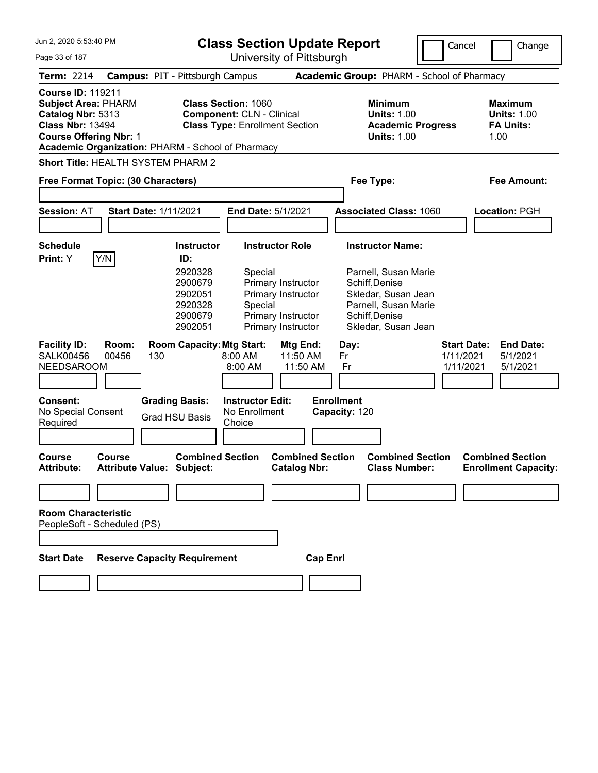Jun 2, 2020 5:53:40 PM Page 33 of 187 **Class Section Update Report** University of Pittsburgh Cancel Change **Term:** 2214 **Campus:** PIT - Pittsburgh Campus **Academic Group:** PHARM - School of Pharmacy **Course ID:** 119211 **Subject Area:** PHARM **Class Section:** 1060 **Minimum Maximum Catalog Nbr:** 5313 **Component:** CLN - Clinical **Units:** 1.00 **Units:** 1.00 **Class Nbr:** 13494 **Class Type:** Enrollment Section **Academic Progress FA Units: Course Offering Nbr:** 1 **Units:** 1.00 1.00 **Academic Organization:** PHARM - School of Pharmacy **Short Title:** HEALTH SYSTEM PHARM 2 **Free Format Topic: (30 Characters) Fee Type: Fee Amount: Session:** AT **Start Date:** 1/11/2021 **End Date:** 5/1/2021 **Associated Class:** 1060 **Location:** PGH **Schedule Instructor Instructor Role Instructor Name: Print:**  $Y$   $|Y/N|$  **ID:** 2920328 Special Parnell, Susan Marie 2900679 Primary Instructor Schiff,Denise 2902051 Primary Instructor Skledar, Susan Jean 2920328 Special Parnell, Susan Marie 2900679 Primary Instructor Schiff,Denise 2902051 Primary Instructor Skledar, Susan Jean **Facility ID: Room: Room Capacity:Mtg Start: Mtg End: Day: Start Date: End Date:** SALK00456 00456 130 8:00 AM 11:50 AM Fr 1/11/2021 5/1/2021 NEEDSAROOM 8:00 AM 11:50 AM Fr 1/11/2021 5/1/2021 **Consent: Grading Basis: Instructor Edit: Enrollment** No Special Consent Required Grad HSU Basis No Enrollment **Choice Capacity:** 120 **Course Course Combined Section Combined Section Combined Section Combined Section Attribute: Attribute Value: Subject: Catalog Nbr: Class Number: Enrollment Capacity: Room Characteristic** PeopleSoft - Scheduled (PS) **Start Date Reserve Capacity Requirement Cap Enrl**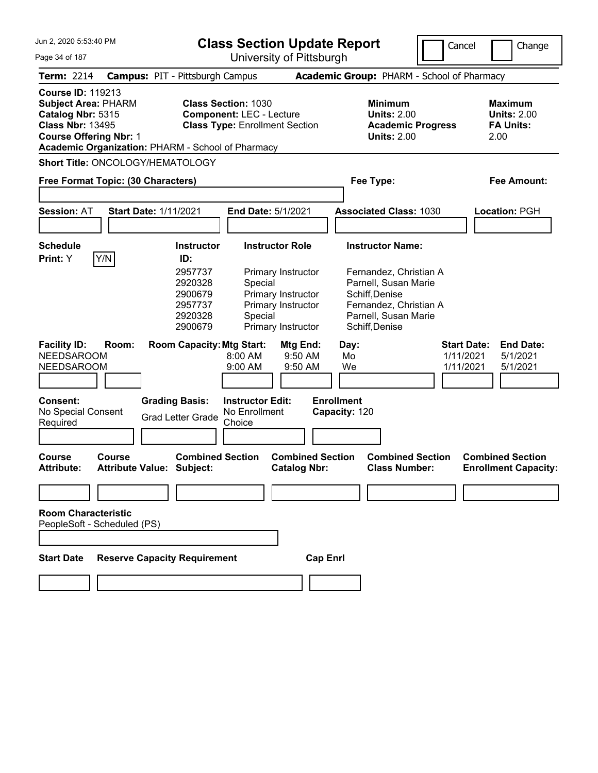| Jun 2, 2020 5:53:40 PM                                                                                                                                                                       |       |                                                                |                                                                                                        | <b>Class Section Update Report</b>                                                   |                                                                                                                                      | Cancel                                       | Change                                                    |
|----------------------------------------------------------------------------------------------------------------------------------------------------------------------------------------------|-------|----------------------------------------------------------------|--------------------------------------------------------------------------------------------------------|--------------------------------------------------------------------------------------|--------------------------------------------------------------------------------------------------------------------------------------|----------------------------------------------|-----------------------------------------------------------|
| Page 34 of 187                                                                                                                                                                               |       |                                                                |                                                                                                        | University of Pittsburgh                                                             |                                                                                                                                      |                                              |                                                           |
| <b>Term: 2214</b>                                                                                                                                                                            |       | <b>Campus: PIT - Pittsburgh Campus</b>                         |                                                                                                        |                                                                                      | Academic Group: PHARM - School of Pharmacy                                                                                           |                                              |                                                           |
| <b>Course ID: 119213</b><br><b>Subject Area: PHARM</b><br>Catalog Nbr: 5315<br><b>Class Nbr: 13495</b><br><b>Course Offering Nbr: 1</b><br>Academic Organization: PHARM - School of Pharmacy |       |                                                                | <b>Class Section: 1030</b><br><b>Component: LEC - Lecture</b><br><b>Class Type: Enrollment Section</b> |                                                                                      | <b>Minimum</b><br><b>Units: 2.00</b><br><b>Academic Progress</b><br><b>Units: 2.00</b>                                               |                                              | Maximum<br><b>Units: 2.00</b><br><b>FA Units:</b><br>2.00 |
| <b>Short Title: ONCOLOGY/HEMATOLOGY</b>                                                                                                                                                      |       |                                                                |                                                                                                        |                                                                                      |                                                                                                                                      |                                              |                                                           |
| Free Format Topic: (30 Characters)                                                                                                                                                           |       |                                                                |                                                                                                        |                                                                                      | Fee Type:                                                                                                                            |                                              | Fee Amount:                                               |
|                                                                                                                                                                                              |       |                                                                |                                                                                                        |                                                                                      |                                                                                                                                      |                                              |                                                           |
| <b>Session: AT</b>                                                                                                                                                                           |       | <b>Start Date: 1/11/2021</b>                                   | End Date: 5/1/2021                                                                                     |                                                                                      | <b>Associated Class: 1030</b>                                                                                                        |                                              | Location: PGH                                             |
|                                                                                                                                                                                              |       |                                                                |                                                                                                        |                                                                                      |                                                                                                                                      |                                              |                                                           |
| <b>Schedule</b><br> Y/N <br>Print: Y                                                                                                                                                         |       | <b>Instructor</b>                                              |                                                                                                        | <b>Instructor Role</b>                                                               | <b>Instructor Name:</b>                                                                                                              |                                              |                                                           |
|                                                                                                                                                                                              |       | 2957737<br>2920328<br>2900679<br>2957737<br>2920328<br>2900679 | Special<br>Special                                                                                     | Primary Instructor<br>Primary Instructor<br>Primary Instructor<br>Primary Instructor | Fernandez, Christian A<br>Parnell, Susan Marie<br>Schiff, Denise<br>Fernandez, Christian A<br>Parnell, Susan Marie<br>Schiff, Denise |                                              |                                                           |
| <b>Facility ID:</b><br><b>NEEDSAROOM</b><br><b>NEEDSAROOM</b>                                                                                                                                | Room: | <b>Room Capacity: Mtg Start:</b>                               | 8:00 AM<br>9:00 AM                                                                                     | Mtg End:<br>9:50 AM<br>9:50 AM                                                       | Day:<br>Mo<br>We                                                                                                                     | <b>Start Date:</b><br>1/11/2021<br>1/11/2021 | <b>End Date:</b><br>5/1/2021<br>5/1/2021                  |
| Consent:                                                                                                                                                                                     |       | <b>Grading Basis:</b>                                          | <b>Instructor Edit:</b>                                                                                |                                                                                      | <b>Enrollment</b>                                                                                                                    |                                              |                                                           |
| No Special Consent<br>Required                                                                                                                                                               |       | <b>Grad Letter Grade</b>                                       | No Enrollment<br>Choice                                                                                |                                                                                      | Capacity: 120                                                                                                                        |                                              |                                                           |
|                                                                                                                                                                                              |       |                                                                |                                                                                                        |                                                                                      |                                                                                                                                      |                                              |                                                           |
| <b>Course</b><br>Course<br><b>Attribute:</b>                                                                                                                                                 |       | <b>Combined Section</b><br><b>Attribute Value: Subject:</b>    |                                                                                                        | <b>Combined Section</b><br><b>Catalog Nbr:</b>                                       | <b>Combined Section</b><br><b>Class Number:</b>                                                                                      |                                              | <b>Combined Section</b><br><b>Enrollment Capacity:</b>    |
|                                                                                                                                                                                              |       |                                                                |                                                                                                        |                                                                                      |                                                                                                                                      |                                              |                                                           |
| <b>Room Characteristic</b><br>PeopleSoft - Scheduled (PS)<br><b>Start Date</b>                                                                                                               |       | <b>Reserve Capacity Requirement</b>                            |                                                                                                        | <b>Cap Enrl</b>                                                                      |                                                                                                                                      |                                              |                                                           |
|                                                                                                                                                                                              |       |                                                                |                                                                                                        |                                                                                      |                                                                                                                                      |                                              |                                                           |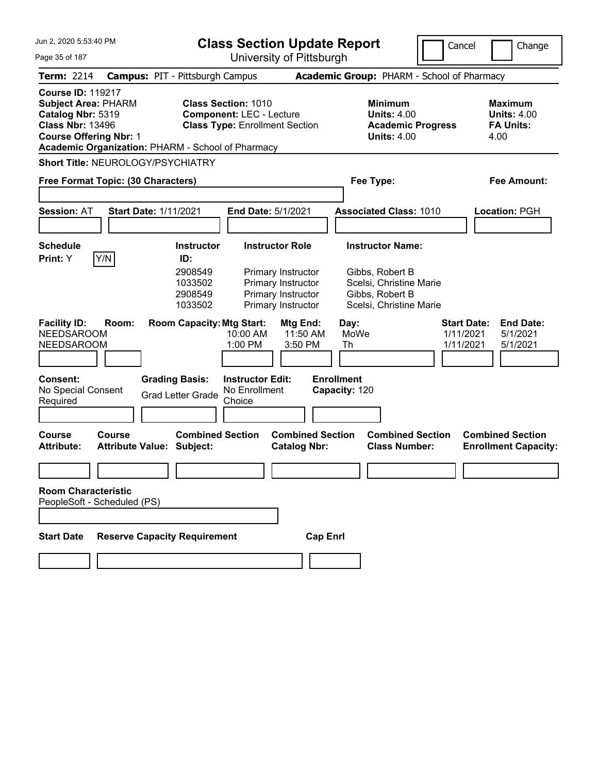| Jun 2, 2020 5:53:40 PM                                                                                                                  | <b>Class Section Update Report</b>                                                                                                                                                                    | Cancel                                                                                                              | Change                                                           |
|-----------------------------------------------------------------------------------------------------------------------------------------|-------------------------------------------------------------------------------------------------------------------------------------------------------------------------------------------------------|---------------------------------------------------------------------------------------------------------------------|------------------------------------------------------------------|
| Page 35 of 187                                                                                                                          | University of Pittsburgh                                                                                                                                                                              |                                                                                                                     |                                                                  |
| Term: 2214                                                                                                                              | <b>Campus: PIT - Pittsburgh Campus</b>                                                                                                                                                                | Academic Group: PHARM - School of Pharmacy                                                                          |                                                                  |
| <b>Course ID: 119217</b><br><b>Subject Area: PHARM</b><br>Catalog Nbr: 5319<br><b>Class Nbr: 13496</b><br><b>Course Offering Nbr: 1</b> | <b>Class Section: 1010</b><br><b>Component: LEC - Lecture</b><br><b>Class Type: Enrollment Section</b><br>Academic Organization: PHARM - School of Pharmacy                                           | <b>Minimum</b><br><b>Units: 4.00</b><br><b>Academic Progress</b><br><b>Units: 4.00</b>                              | <b>Maximum</b><br><b>Units: 4.00</b><br><b>FA Units:</b><br>4.00 |
| Short Title: NEUROLOGY/PSYCHIATRY                                                                                                       |                                                                                                                                                                                                       |                                                                                                                     |                                                                  |
| Free Format Topic: (30 Characters)                                                                                                      |                                                                                                                                                                                                       | Fee Type:                                                                                                           | Fee Amount:                                                      |
| <b>Session: AT</b>                                                                                                                      | <b>Start Date: 1/11/2021</b><br><b>End Date: 5/1/2021</b>                                                                                                                                             | <b>Associated Class: 1010</b>                                                                                       | Location: PGH                                                    |
| <b>Schedule</b><br>Y/N<br>Print: Y                                                                                                      | <b>Instructor Role</b><br><b>Instructor</b><br>ID:<br>2908549<br>Primary Instructor<br>1033502<br>Primary Instructor<br>2908549<br>Primary Instructor<br>1033502<br>Primary Instructor                | <b>Instructor Name:</b><br>Gibbs, Robert B<br>Scelsi, Christine Marie<br>Gibbs, Robert B<br>Scelsi, Christine Marie |                                                                  |
| <b>Facility ID:</b><br>Room:<br><b>NEEDSAROOM</b><br><b>NEEDSAROOM</b><br><b>Consent:</b><br>No Special Consent<br>Required             | <b>Room Capacity: Mtg Start:</b><br>Mtg End:<br>10:00 AM<br>11:50 AM<br>1:00 PM<br>3:50 PM<br><b>Instructor Edit:</b><br><b>Grading Basis:</b><br>No Enrollment<br><b>Grad Letter Grade</b><br>Choice | Day:<br>MoWe<br>1/11/2021<br>1/11/2021<br>Th<br><b>Enrollment</b><br>Capacity: 120                                  | <b>End Date:</b><br><b>Start Date:</b><br>5/1/2021<br>5/1/2021   |
| Course<br>Course<br><b>Attribute:</b>                                                                                                   | <b>Combined Section</b><br><b>Combined Section</b><br><b>Attribute Value: Subject:</b><br><b>Catalog Nbr:</b>                                                                                         | <b>Combined Section</b><br><b>Class Number:</b>                                                                     | <b>Combined Section</b><br><b>Enrollment Capacity:</b>           |
| <b>Room Characteristic</b><br>PeopleSoft - Scheduled (PS)<br><b>Start Date</b>                                                          | <b>Reserve Capacity Requirement</b><br><b>Cap Enrl</b>                                                                                                                                                |                                                                                                                     |                                                                  |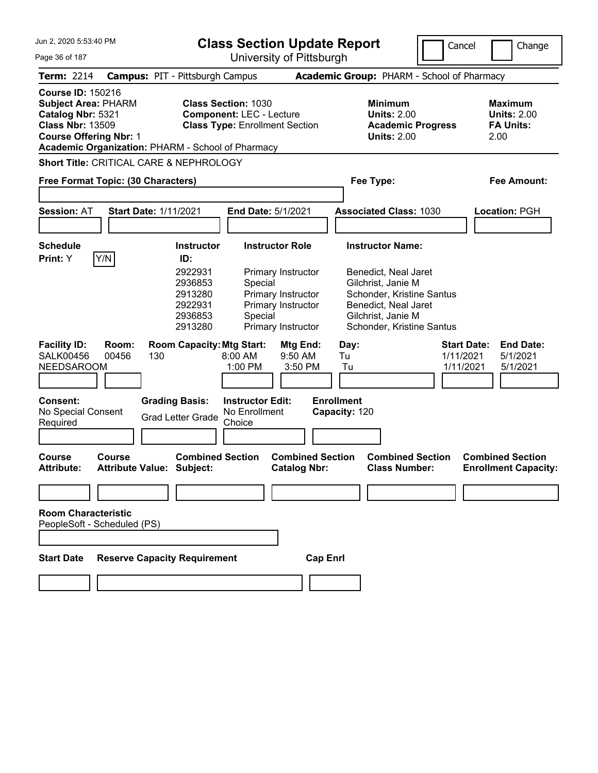| Jun 2, 2020 5:53:40 PM                                                                                                                  |                |                                                                | <b>Class Section Update Report</b>                                                                     |                                                                                      |                                                                                                                                                    | Cancel                                       | Change                                                           |
|-----------------------------------------------------------------------------------------------------------------------------------------|----------------|----------------------------------------------------------------|--------------------------------------------------------------------------------------------------------|--------------------------------------------------------------------------------------|----------------------------------------------------------------------------------------------------------------------------------------------------|----------------------------------------------|------------------------------------------------------------------|
| Page 36 of 187                                                                                                                          |                |                                                                |                                                                                                        | University of Pittsburgh                                                             |                                                                                                                                                    |                                              |                                                                  |
| <b>Term: 2214</b>                                                                                                                       |                | <b>Campus: PIT - Pittsburgh Campus</b>                         |                                                                                                        |                                                                                      | Academic Group: PHARM - School of Pharmacy                                                                                                         |                                              |                                                                  |
| <b>Course ID: 150216</b><br><b>Subject Area: PHARM</b><br>Catalog Nbr: 5321<br><b>Class Nbr: 13509</b><br><b>Course Offering Nbr: 1</b> |                | Academic Organization: PHARM - School of Pharmacy              | <b>Class Section: 1030</b><br><b>Component: LEC - Lecture</b><br><b>Class Type: Enrollment Section</b> |                                                                                      | <b>Minimum</b><br><b>Units: 2.00</b><br><b>Academic Progress</b><br><b>Units: 2.00</b>                                                             |                                              | <b>Maximum</b><br><b>Units: 2.00</b><br><b>FA Units:</b><br>2.00 |
|                                                                                                                                         |                | <b>Short Title: CRITICAL CARE &amp; NEPHROLOGY</b>             |                                                                                                        |                                                                                      |                                                                                                                                                    |                                              |                                                                  |
| Free Format Topic: (30 Characters)                                                                                                      |                |                                                                |                                                                                                        |                                                                                      | Fee Type:                                                                                                                                          |                                              | <b>Fee Amount:</b>                                               |
| <b>Session: AT</b>                                                                                                                      |                | <b>Start Date: 1/11/2021</b>                                   | <b>End Date: 5/1/2021</b>                                                                              |                                                                                      | <b>Associated Class: 1030</b>                                                                                                                      |                                              | <b>Location: PGH</b>                                             |
| <b>Schedule</b><br> Y/N <br>Print: Y                                                                                                    |                | <b>Instructor</b><br>ID:                                       |                                                                                                        | <b>Instructor Role</b>                                                               | <b>Instructor Name:</b>                                                                                                                            |                                              |                                                                  |
|                                                                                                                                         |                | 2922931<br>2936853<br>2913280<br>2922931<br>2936853<br>2913280 | Special<br>Special                                                                                     | Primary Instructor<br>Primary Instructor<br>Primary Instructor<br>Primary Instructor | Benedict, Neal Jaret<br>Gilchrist, Janie M<br>Schonder, Kristine Santus<br>Benedict, Neal Jaret<br>Gilchrist, Janie M<br>Schonder, Kristine Santus |                                              |                                                                  |
| <b>Facility ID:</b><br><b>SALK00456</b><br><b>NEEDSAROOM</b>                                                                            | Room:<br>00456 | <b>Room Capacity: Mtg Start:</b><br>130                        | 8:00 AM<br>1:00 PM                                                                                     | Mtg End:<br>9:50 AM<br>3:50 PM                                                       | Day:<br>Tu<br>Tu                                                                                                                                   | <b>Start Date:</b><br>1/11/2021<br>1/11/2021 | <b>End Date:</b><br>5/1/2021<br>5/1/2021                         |
| <b>Consent:</b><br>No Special Consent<br>Required                                                                                       |                | <b>Grading Basis:</b><br><b>Grad Letter Grade</b>              | <b>Instructor Edit:</b><br>No Enrollment<br>Choice                                                     |                                                                                      | <b>Enrollment</b><br>Capacity: 120                                                                                                                 |                                              |                                                                  |
| <b>Course</b><br><b>Attribute:</b>                                                                                                      | <b>Course</b>  | <b>Combined Section</b><br><b>Attribute Value: Subject:</b>    |                                                                                                        | <b>Combined Section</b><br><b>Catalog Nbr:</b>                                       | <b>Combined Section</b><br><b>Class Number:</b>                                                                                                    |                                              | <b>Combined Section</b><br><b>Enrollment Capacity:</b>           |
|                                                                                                                                         |                |                                                                |                                                                                                        |                                                                                      |                                                                                                                                                    |                                              |                                                                  |
| <b>Room Characteristic</b><br>PeopleSoft - Scheduled (PS)<br><b>Start Date</b>                                                          |                | <b>Reserve Capacity Requirement</b>                            |                                                                                                        | <b>Cap Enrl</b>                                                                      |                                                                                                                                                    |                                              |                                                                  |
|                                                                                                                                         |                |                                                                |                                                                                                        |                                                                                      |                                                                                                                                                    |                                              |                                                                  |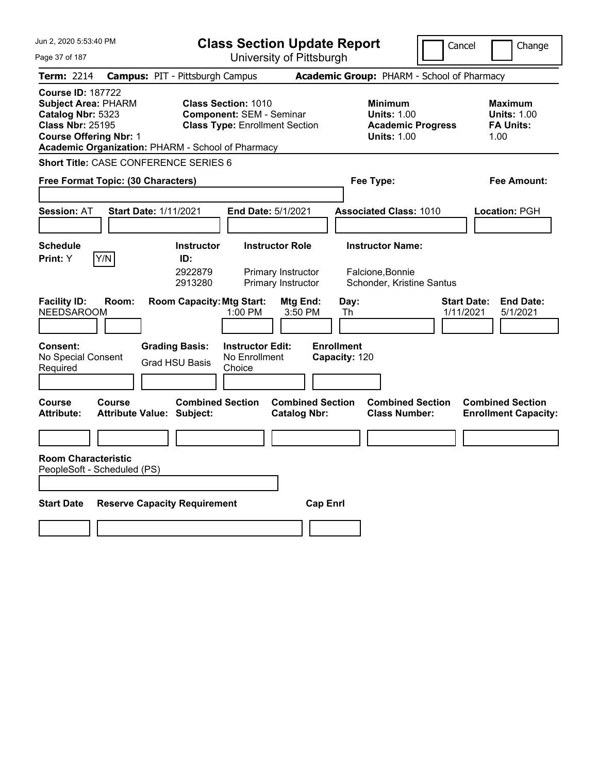| Jun 2. 2020 5:53:40 PM                                                                                                                                                                       | <b>Class Section Update Report</b>                                                                     |                                                                                                   | Cancel<br>Change                                                 |
|----------------------------------------------------------------------------------------------------------------------------------------------------------------------------------------------|--------------------------------------------------------------------------------------------------------|---------------------------------------------------------------------------------------------------|------------------------------------------------------------------|
| Page 37 of 187                                                                                                                                                                               | University of Pittsburgh                                                                               |                                                                                                   |                                                                  |
| <b>Term: 2214</b>                                                                                                                                                                            | <b>Campus: PIT - Pittsburgh Campus</b>                                                                 | Academic Group: PHARM - School of Pharmacy                                                        |                                                                  |
| <b>Course ID: 187722</b><br><b>Subject Area: PHARM</b><br>Catalog Nbr: 5323<br><b>Class Nbr: 25195</b><br><b>Course Offering Nbr: 1</b><br>Academic Organization: PHARM - School of Pharmacy | <b>Class Section: 1010</b><br><b>Component: SEM - Seminar</b><br><b>Class Type: Enrollment Section</b> | <b>Minimum</b><br><b>Units: 1.00</b><br><b>Academic Progress</b><br><b>Units: 1.00</b>            | <b>Maximum</b><br><b>Units: 1.00</b><br><b>FA Units:</b><br>1.00 |
| <b>Short Title: CASE CONFERENCE SERIES 6</b>                                                                                                                                                 |                                                                                                        |                                                                                                   |                                                                  |
| Free Format Topic: (30 Characters)                                                                                                                                                           |                                                                                                        | Fee Type:                                                                                         | <b>Fee Amount:</b>                                               |
| <b>Start Date: 1/11/2021</b><br><b>Session: AT</b>                                                                                                                                           | End Date: 5/1/2021                                                                                     | <b>Associated Class: 1010</b>                                                                     | <b>Location: PGH</b>                                             |
| <b>Schedule</b>                                                                                                                                                                              | <b>Instructor</b><br><b>Instructor Role</b>                                                            | <b>Instructor Name:</b>                                                                           |                                                                  |
| Y/N<br>Print: Y                                                                                                                                                                              | ID:<br>2922879<br>Primary Instructor<br>2913280<br>Primary Instructor                                  | Falcione, Bonnie<br>Schonder, Kristine Santus                                                     |                                                                  |
| <b>Facility ID:</b><br>Room:<br><b>NEEDSAROOM</b>                                                                                                                                            | <b>Room Capacity: Mtg Start:</b><br>1:00 PM                                                            | Mtg End:<br>Day:<br>3:50 PM<br>Th                                                                 | <b>Start Date:</b><br><b>End Date:</b><br>1/11/2021<br>5/1/2021  |
| <b>Consent:</b><br>No Special Consent<br>Required                                                                                                                                            | <b>Grading Basis:</b><br><b>Instructor Edit:</b><br>No Enrollment<br><b>Grad HSU Basis</b><br>Choice   | <b>Enrollment</b><br>Capacity: 120                                                                |                                                                  |
| <b>Course</b><br>Course<br><b>Attribute:</b><br><b>Attribute Value: Subject:</b>                                                                                                             | <b>Combined Section</b>                                                                                | <b>Combined Section</b><br><b>Combined Section</b><br><b>Catalog Nbr:</b><br><b>Class Number:</b> | <b>Combined Section</b><br><b>Enrollment Capacity:</b>           |
|                                                                                                                                                                                              |                                                                                                        |                                                                                                   |                                                                  |
| <b>Room Characteristic</b><br>PeopleSoft - Scheduled (PS)                                                                                                                                    |                                                                                                        |                                                                                                   |                                                                  |
| <b>Reserve Capacity Requirement</b><br><b>Start Date</b>                                                                                                                                     |                                                                                                        | <b>Cap Enrl</b>                                                                                   |                                                                  |
|                                                                                                                                                                                              |                                                                                                        |                                                                                                   |                                                                  |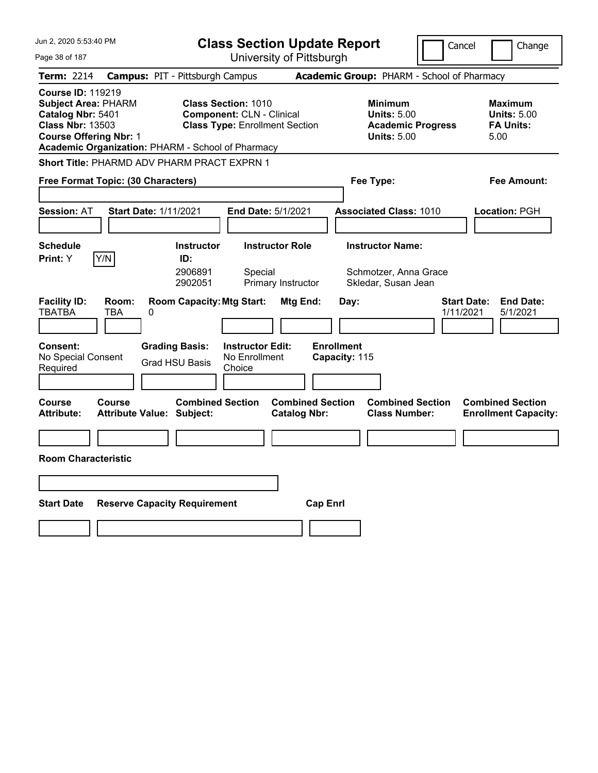| Jun 2, 2020 5:53:40 PM                                                                                                                  | <b>Class Section Update Report</b>                                                                                                                           | Cancel                                                                                 | Change                                                           |
|-----------------------------------------------------------------------------------------------------------------------------------------|--------------------------------------------------------------------------------------------------------------------------------------------------------------|----------------------------------------------------------------------------------------|------------------------------------------------------------------|
| Page 38 of 187                                                                                                                          | University of Pittsburgh                                                                                                                                     |                                                                                        |                                                                  |
| <b>Term: 2214</b>                                                                                                                       | <b>Campus: PIT - Pittsburgh Campus</b>                                                                                                                       | Academic Group: PHARM - School of Pharmacy                                             |                                                                  |
| <b>Course ID: 119219</b><br><b>Subject Area: PHARM</b><br>Catalog Nbr: 5401<br><b>Class Nbr: 13503</b><br><b>Course Offering Nbr: 1</b> | <b>Class Section: 1010</b><br><b>Component: CLN - Clinical</b><br><b>Class Type: Enrollment Section</b><br>Academic Organization: PHARM - School of Pharmacy | <b>Minimum</b><br><b>Units: 5.00</b><br><b>Academic Progress</b><br><b>Units: 5.00</b> | <b>Maximum</b><br><b>Units: 5.00</b><br><b>FA Units:</b><br>5.00 |
|                                                                                                                                         | <b>Short Title: PHARMD ADV PHARM PRACT EXPRN 1</b>                                                                                                           |                                                                                        |                                                                  |
| Free Format Topic: (30 Characters)                                                                                                      |                                                                                                                                                              | Fee Type:                                                                              | Fee Amount:                                                      |
| <b>Session: AT</b>                                                                                                                      | <b>Start Date: 1/11/2021</b><br><b>End Date: 5/1/2021</b>                                                                                                    | <b>Associated Class: 1010</b>                                                          | Location: PGH                                                    |
| <b>Schedule</b><br>Print: Y<br>Y/N                                                                                                      | <b>Instructor Role</b><br><b>Instructor</b><br>ID:<br>2906891<br>Special<br>2902051<br>Primary Instructor                                                    | <b>Instructor Name:</b><br>Schmotzer, Anna Grace<br>Skledar, Susan Jean                |                                                                  |
| <b>Facility ID:</b><br>Room:<br><b>TBATBA</b><br>TBA<br><b>Consent:</b><br>No Special Consent<br>Required                               | <b>Room Capacity: Mtg Start:</b><br>Mtg End:<br>0<br><b>Grading Basis:</b><br><b>Instructor Edit:</b><br>No Enrollment<br><b>Grad HSU Basis</b><br>Choice    | Day:<br>1/11/2021<br><b>Enrollment</b><br>Capacity: 115                                | <b>Start Date:</b><br><b>End Date:</b><br>5/1/2021               |
| Course<br>Course<br><b>Attribute:</b>                                                                                                   | <b>Combined Section</b><br>Attribute Value: Subject:<br><b>Catalog Nbr:</b>                                                                                  | <b>Combined Section</b><br><b>Combined Section</b><br><b>Class Number:</b>             | <b>Combined Section</b><br><b>Enrollment Capacity:</b>           |
|                                                                                                                                         |                                                                                                                                                              |                                                                                        |                                                                  |
| <b>Room Characteristic</b>                                                                                                              |                                                                                                                                                              |                                                                                        |                                                                  |
|                                                                                                                                         |                                                                                                                                                              |                                                                                        |                                                                  |
| <b>Start Date</b>                                                                                                                       | <b>Reserve Capacity Requirement</b>                                                                                                                          | <b>Cap Enrl</b>                                                                        |                                                                  |
|                                                                                                                                         |                                                                                                                                                              |                                                                                        |                                                                  |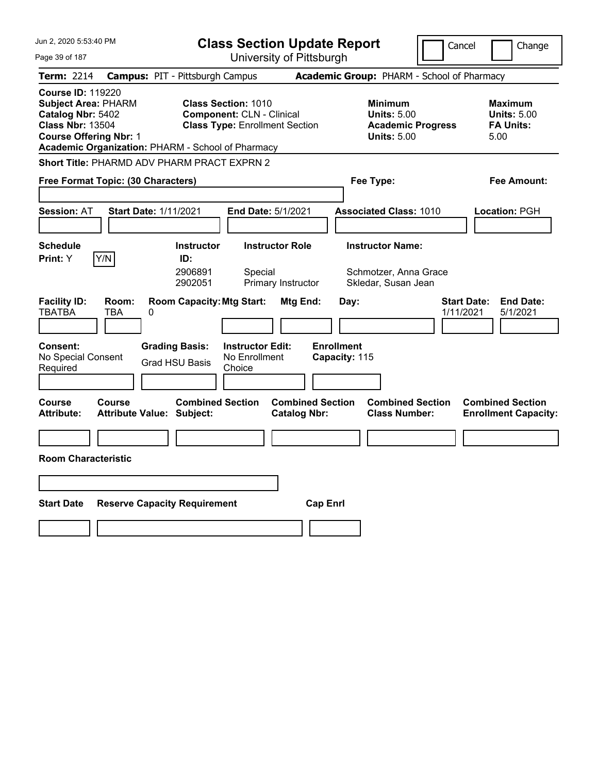| Jun 2, 2020 5:53:40 PM                                                                                                                  | <b>Class Section Update Report</b>                                                                                                                           | Cancel                                                                                 | Change                                                           |
|-----------------------------------------------------------------------------------------------------------------------------------------|--------------------------------------------------------------------------------------------------------------------------------------------------------------|----------------------------------------------------------------------------------------|------------------------------------------------------------------|
| Page 39 of 187                                                                                                                          | University of Pittsburgh                                                                                                                                     |                                                                                        |                                                                  |
| <b>Term: 2214</b>                                                                                                                       | <b>Campus: PIT - Pittsburgh Campus</b>                                                                                                                       | Academic Group: PHARM - School of Pharmacy                                             |                                                                  |
| <b>Course ID: 119220</b><br><b>Subject Area: PHARM</b><br>Catalog Nbr: 5402<br><b>Class Nbr: 13504</b><br><b>Course Offering Nbr: 1</b> | <b>Class Section: 1010</b><br><b>Component: CLN - Clinical</b><br><b>Class Type: Enrollment Section</b><br>Academic Organization: PHARM - School of Pharmacy | <b>Minimum</b><br><b>Units: 5.00</b><br><b>Academic Progress</b><br><b>Units: 5.00</b> | <b>Maximum</b><br><b>Units: 5.00</b><br><b>FA Units:</b><br>5.00 |
|                                                                                                                                         | Short Title: PHARMD ADV PHARM PRACT EXPRN 2                                                                                                                  |                                                                                        |                                                                  |
| Free Format Topic: (30 Characters)                                                                                                      |                                                                                                                                                              | Fee Type:                                                                              | Fee Amount:                                                      |
| <b>Session: AT</b>                                                                                                                      | <b>Start Date: 1/11/2021</b><br><b>End Date: 5/1/2021</b>                                                                                                    | <b>Associated Class: 1010</b>                                                          | Location: PGH                                                    |
| <b>Schedule</b><br>Print: Y<br>Y/N                                                                                                      | <b>Instructor Role</b><br><b>Instructor</b><br>ID:<br>2906891<br>Special<br>2902051<br>Primary Instructor                                                    | <b>Instructor Name:</b><br>Schmotzer, Anna Grace<br>Skledar, Susan Jean                |                                                                  |
| <b>Facility ID:</b><br>Room:<br><b>TBATBA</b><br>TBA<br><b>Consent:</b><br>No Special Consent<br>Required                               | <b>Room Capacity: Mtg Start:</b><br>Mtg End:<br>0<br><b>Grading Basis:</b><br><b>Instructor Edit:</b><br>No Enrollment<br><b>Grad HSU Basis</b><br>Choice    | Day:<br>1/11/2021<br><b>Enrollment</b><br>Capacity: 115                                | <b>Start Date:</b><br><b>End Date:</b><br>5/1/2021               |
| Course<br>Course<br><b>Attribute:</b>                                                                                                   | <b>Combined Section</b><br>Attribute Value: Subject:<br><b>Catalog Nbr:</b>                                                                                  | <b>Combined Section</b><br><b>Combined Section</b><br><b>Class Number:</b>             | <b>Combined Section</b><br><b>Enrollment Capacity:</b>           |
| <b>Room Characteristic</b>                                                                                                              |                                                                                                                                                              |                                                                                        |                                                                  |
|                                                                                                                                         |                                                                                                                                                              |                                                                                        |                                                                  |
|                                                                                                                                         |                                                                                                                                                              |                                                                                        |                                                                  |
| <b>Start Date</b>                                                                                                                       | <b>Reserve Capacity Requirement</b>                                                                                                                          | <b>Cap Enrl</b>                                                                        |                                                                  |
|                                                                                                                                         |                                                                                                                                                              |                                                                                        |                                                                  |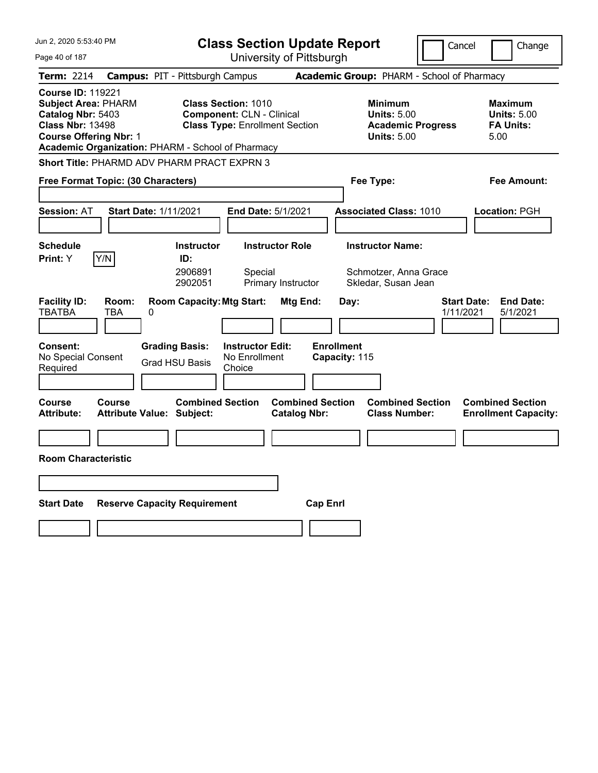| Jun 2, 2020 5:53:40 PM                                                                                                                  | <b>Class Section Update Report</b>                                                                                                                                                    | Cancel                                                                                               | Change                                                           |
|-----------------------------------------------------------------------------------------------------------------------------------------|---------------------------------------------------------------------------------------------------------------------------------------------------------------------------------------|------------------------------------------------------------------------------------------------------|------------------------------------------------------------------|
| Page 40 of 187                                                                                                                          | University of Pittsburgh                                                                                                                                                              |                                                                                                      |                                                                  |
| <b>Term: 2214</b>                                                                                                                       | <b>Campus: PIT - Pittsburgh Campus</b>                                                                                                                                                | Academic Group: PHARM - School of Pharmacy                                                           |                                                                  |
| <b>Course ID: 119221</b><br><b>Subject Area: PHARM</b><br>Catalog Nbr: 5403<br><b>Class Nbr: 13498</b><br><b>Course Offering Nbr: 1</b> | <b>Class Section: 1010</b><br><b>Component: CLN - Clinical</b><br><b>Class Type: Enrollment Section</b><br>Academic Organization: PHARM - School of Pharmacy                          | <b>Minimum</b><br><b>Units: 5.00</b><br><b>Academic Progress</b><br><b>Units: 5.00</b>               | <b>Maximum</b><br><b>Units: 5.00</b><br><b>FA Units:</b><br>5.00 |
|                                                                                                                                         | <b>Short Title: PHARMD ADV PHARM PRACT EXPRN 3</b>                                                                                                                                    |                                                                                                      |                                                                  |
| Free Format Topic: (30 Characters)                                                                                                      |                                                                                                                                                                                       | Fee Type:                                                                                            | Fee Amount:                                                      |
| <b>Session: AT</b>                                                                                                                      | <b>Start Date: 1/11/2021</b><br>End Date: 5/1/2021                                                                                                                                    | <b>Associated Class: 1010</b>                                                                        | Location: PGH                                                    |
| <b>Schedule</b><br>Y/N<br>Print: Y                                                                                                      | <b>Instructor Role</b><br><b>Instructor</b><br>ID:<br>2906891<br>Special                                                                                                              | <b>Instructor Name:</b><br>Schmotzer, Anna Grace                                                     |                                                                  |
| <b>Facility ID:</b><br>Room:<br><b>TBATBA</b><br>TBA<br>0<br><b>Consent:</b><br>No Special Consent<br>Required                          | 2902051<br>Primary Instructor<br><b>Room Capacity: Mtg Start:</b><br>Mtg End:<br><b>Grading Basis:</b><br><b>Instructor Edit:</b><br>No Enrollment<br><b>Grad HSU Basis</b><br>Choice | Skledar, Susan Jean<br><b>Start Date:</b><br>Day:<br>1/11/2021<br><b>Enrollment</b><br>Capacity: 115 | <b>End Date:</b><br>5/1/2021                                     |
| Course<br><b>Course</b><br><b>Attribute:</b>                                                                                            | <b>Combined Section</b><br><b>Combined Section</b><br><b>Attribute Value: Subject:</b><br><b>Catalog Nbr:</b>                                                                         | <b>Combined Section</b><br><b>Class Number:</b>                                                      | <b>Combined Section</b><br><b>Enrollment Capacity:</b>           |
|                                                                                                                                         |                                                                                                                                                                                       |                                                                                                      |                                                                  |
| <b>Room Characteristic</b>                                                                                                              |                                                                                                                                                                                       |                                                                                                      |                                                                  |
|                                                                                                                                         |                                                                                                                                                                                       |                                                                                                      |                                                                  |
|                                                                                                                                         |                                                                                                                                                                                       |                                                                                                      |                                                                  |
| <b>Start Date</b>                                                                                                                       | <b>Reserve Capacity Requirement</b>                                                                                                                                                   | <b>Cap Enrl</b>                                                                                      |                                                                  |
|                                                                                                                                         |                                                                                                                                                                                       |                                                                                                      |                                                                  |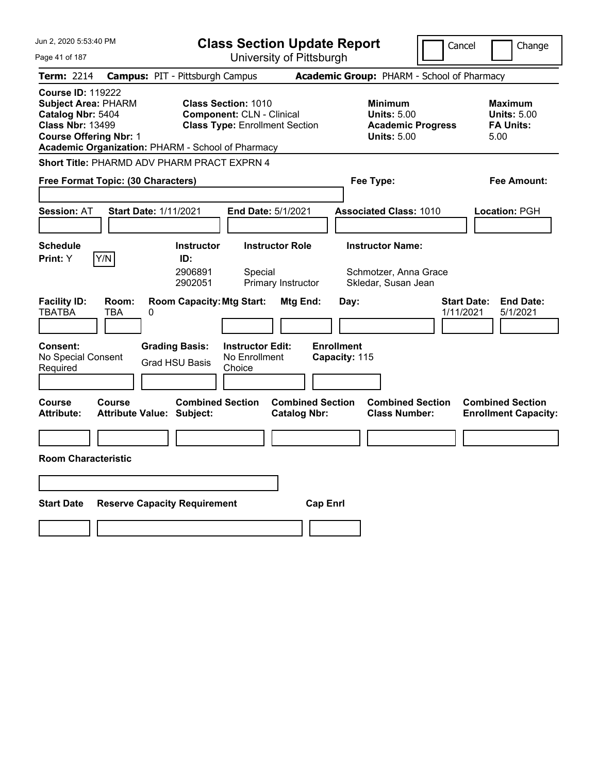| Jun 2, 2020 5:53:40 PM                                                                                                                  | <b>Class Section Update Report</b>                                                                                                                           |                                                                        | Cancel                          | Change                                                           |
|-----------------------------------------------------------------------------------------------------------------------------------------|--------------------------------------------------------------------------------------------------------------------------------------------------------------|------------------------------------------------------------------------|---------------------------------|------------------------------------------------------------------|
| Page 41 of 187                                                                                                                          | University of Pittsburgh                                                                                                                                     |                                                                        |                                 |                                                                  |
| <b>Term: 2214</b>                                                                                                                       | <b>Campus: PIT - Pittsburgh Campus</b>                                                                                                                       | Academic Group: PHARM - School of Pharmacy                             |                                 |                                                                  |
| <b>Course ID: 119222</b><br><b>Subject Area: PHARM</b><br>Catalog Nbr: 5404<br><b>Class Nbr: 13499</b><br><b>Course Offering Nbr: 1</b> | <b>Class Section: 1010</b><br><b>Component: CLN - Clinical</b><br><b>Class Type: Enrollment Section</b><br>Academic Organization: PHARM - School of Pharmacy | <b>Minimum</b><br><b>Units: 5.00</b><br><b>Units: 5.00</b>             | <b>Academic Progress</b>        | <b>Maximum</b><br><b>Units: 5.00</b><br><b>FA Units:</b><br>5.00 |
|                                                                                                                                         | Short Title: PHARMD ADV PHARM PRACT EXPRN 4                                                                                                                  |                                                                        |                                 |                                                                  |
| Free Format Topic: (30 Characters)                                                                                                      |                                                                                                                                                              | Fee Type:                                                              |                                 | Fee Amount:                                                      |
| <b>Session: AT</b>                                                                                                                      | <b>Start Date: 1/11/2021</b><br><b>End Date: 5/1/2021</b>                                                                                                    | <b>Associated Class: 1010</b>                                          |                                 | Location: PGH                                                    |
| <b>Schedule</b>                                                                                                                         | <b>Instructor Role</b><br><b>Instructor</b>                                                                                                                  | <b>Instructor Name:</b>                                                |                                 |                                                                  |
| Print: Y<br>Y/N                                                                                                                         | ID:<br>2906891<br>Special<br>2902051<br>Primary Instructor                                                                                                   | Schmotzer, Anna Grace<br>Skledar, Susan Jean                           |                                 |                                                                  |
| <b>Facility ID:</b><br>Room:<br><b>TBATBA</b><br>TBA                                                                                    | <b>Room Capacity: Mtg Start:</b><br>0                                                                                                                        | Mtg End:<br>Day:                                                       | <b>Start Date:</b><br>1/11/2021 | <b>End Date:</b><br>5/1/2021                                     |
| <b>Consent:</b><br>No Special Consent<br>Required                                                                                       | <b>Grading Basis:</b><br><b>Instructor Edit:</b><br>No Enrollment<br><b>Grad HSU Basis</b><br>Choice                                                         | <b>Enrollment</b><br>Capacity: 115                                     |                                 |                                                                  |
| Course<br>Course<br><b>Attribute:</b>                                                                                                   | <b>Combined Section</b><br>Attribute Value: Subject:                                                                                                         | <b>Combined Section</b><br><b>Catalog Nbr:</b><br><b>Class Number:</b> | <b>Combined Section</b>         | <b>Combined Section</b><br><b>Enrollment Capacity:</b>           |
|                                                                                                                                         |                                                                                                                                                              |                                                                        |                                 |                                                                  |
| <b>Room Characteristic</b>                                                                                                              |                                                                                                                                                              |                                                                        |                                 |                                                                  |
|                                                                                                                                         |                                                                                                                                                              |                                                                        |                                 |                                                                  |
|                                                                                                                                         |                                                                                                                                                              |                                                                        |                                 |                                                                  |
| <b>Start Date</b>                                                                                                                       | <b>Reserve Capacity Requirement</b>                                                                                                                          | <b>Cap Enrl</b>                                                        |                                 |                                                                  |
|                                                                                                                                         |                                                                                                                                                              |                                                                        |                                 |                                                                  |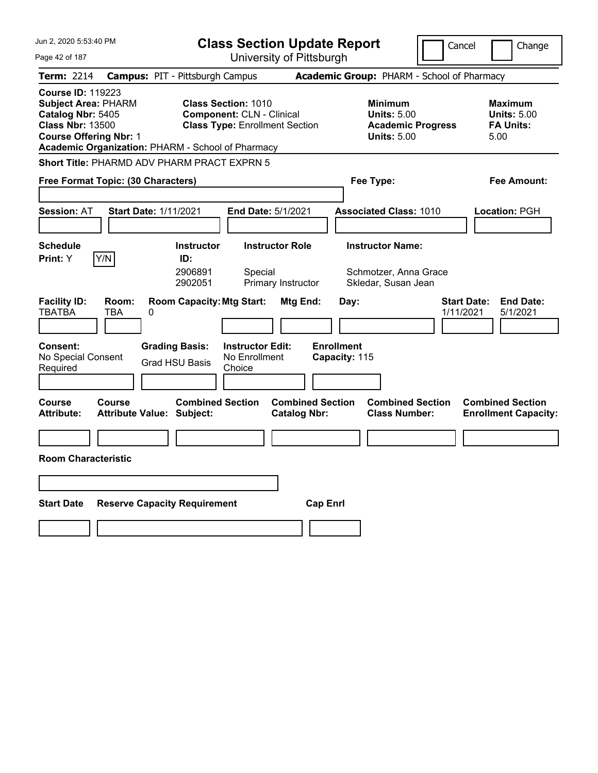| Jun 2, 2020 5:53:40 PM                                                                                                                  | <b>Class Section Update Report</b>                                                                                                                           |                                                                                        | Cancel<br>Change                                                 |
|-----------------------------------------------------------------------------------------------------------------------------------------|--------------------------------------------------------------------------------------------------------------------------------------------------------------|----------------------------------------------------------------------------------------|------------------------------------------------------------------|
| Page 42 of 187                                                                                                                          | University of Pittsburgh                                                                                                                                     |                                                                                        |                                                                  |
| <b>Term: 2214</b>                                                                                                                       | <b>Campus: PIT - Pittsburgh Campus</b>                                                                                                                       | Academic Group: PHARM - School of Pharmacy                                             |                                                                  |
| <b>Course ID: 119223</b><br><b>Subject Area: PHARM</b><br>Catalog Nbr: 5405<br><b>Class Nbr: 13500</b><br><b>Course Offering Nbr: 1</b> | <b>Class Section: 1010</b><br><b>Component: CLN - Clinical</b><br><b>Class Type: Enrollment Section</b><br>Academic Organization: PHARM - School of Pharmacy | <b>Minimum</b><br><b>Units: 5.00</b><br><b>Academic Progress</b><br><b>Units: 5.00</b> | <b>Maximum</b><br><b>Units: 5.00</b><br><b>FA Units:</b><br>5.00 |
|                                                                                                                                         | <b>Short Title: PHARMD ADV PHARM PRACT EXPRN 5</b>                                                                                                           |                                                                                        |                                                                  |
| Free Format Topic: (30 Characters)                                                                                                      |                                                                                                                                                              | Fee Type:                                                                              | Fee Amount:                                                      |
| <b>Session: AT</b>                                                                                                                      | <b>Start Date: 1/11/2021</b><br>End Date: 5/1/2021                                                                                                           | <b>Associated Class: 1010</b>                                                          | Location: PGH                                                    |
| <b>Schedule</b><br>Y/N<br>Print: Y                                                                                                      | <b>Instructor Role</b><br><b>Instructor</b><br>ID:<br>2906891<br>Special<br>2902051<br>Primary Instructor                                                    | <b>Instructor Name:</b><br>Schmotzer, Anna Grace<br>Skledar, Susan Jean                |                                                                  |
| <b>Facility ID:</b><br>Room:<br><b>TBATBA</b><br>TBA<br>0<br><b>Consent:</b>                                                            | <b>Room Capacity: Mtg Start:</b><br>Mtg End:<br><b>Grading Basis:</b><br><b>Instructor Edit:</b>                                                             | Day:<br><b>Enrollment</b>                                                              | <b>End Date:</b><br><b>Start Date:</b><br>1/11/2021<br>5/1/2021  |
| No Special Consent<br>Required                                                                                                          | No Enrollment<br><b>Grad HSU Basis</b><br>Choice                                                                                                             | Capacity: 115                                                                          |                                                                  |
|                                                                                                                                         |                                                                                                                                                              |                                                                                        |                                                                  |
| <b>Course</b><br><b>Course</b><br><b>Attribute:</b>                                                                                     | <b>Combined Section</b><br><b>Attribute Value: Subject:</b><br><b>Catalog Nbr:</b>                                                                           | <b>Combined Section</b><br><b>Combined Section</b><br><b>Class Number:</b>             | <b>Combined Section</b><br><b>Enrollment Capacity:</b>           |
|                                                                                                                                         |                                                                                                                                                              |                                                                                        |                                                                  |
| <b>Room Characteristic</b>                                                                                                              |                                                                                                                                                              |                                                                                        |                                                                  |
|                                                                                                                                         |                                                                                                                                                              |                                                                                        |                                                                  |
| <b>Start Date</b>                                                                                                                       | <b>Reserve Capacity Requirement</b>                                                                                                                          | <b>Cap Enrl</b>                                                                        |                                                                  |
|                                                                                                                                         |                                                                                                                                                              |                                                                                        |                                                                  |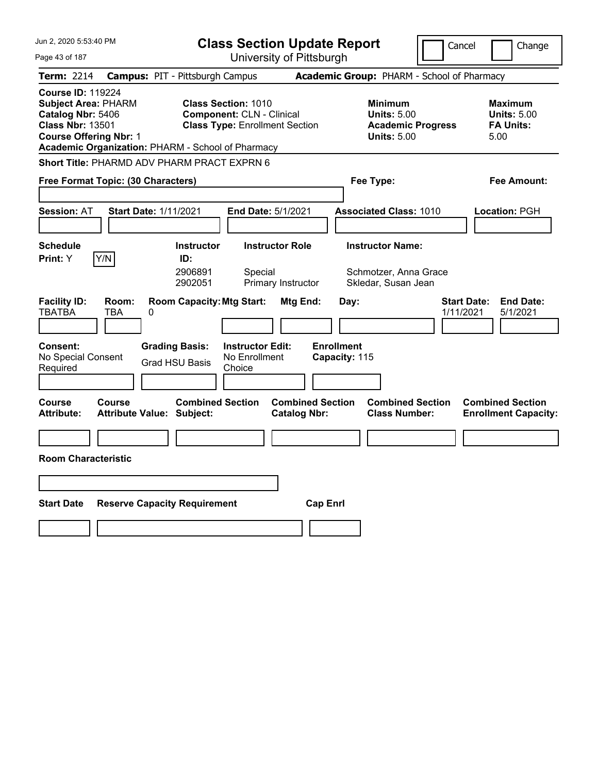| Jun 2, 2020 5:53:40 PM                                                                                                                  | <b>Class Section Update Report</b>                                                                                                                           | Cancel                                                                                 | Change                                                           |
|-----------------------------------------------------------------------------------------------------------------------------------------|--------------------------------------------------------------------------------------------------------------------------------------------------------------|----------------------------------------------------------------------------------------|------------------------------------------------------------------|
| Page 43 of 187                                                                                                                          | University of Pittsburgh                                                                                                                                     |                                                                                        |                                                                  |
| <b>Term: 2214</b>                                                                                                                       | <b>Campus: PIT - Pittsburgh Campus</b>                                                                                                                       | Academic Group: PHARM - School of Pharmacy                                             |                                                                  |
| <b>Course ID: 119224</b><br><b>Subject Area: PHARM</b><br>Catalog Nbr: 5406<br><b>Class Nbr: 13501</b><br><b>Course Offering Nbr: 1</b> | <b>Class Section: 1010</b><br><b>Component: CLN - Clinical</b><br><b>Class Type: Enrollment Section</b><br>Academic Organization: PHARM - School of Pharmacy | <b>Minimum</b><br><b>Units: 5.00</b><br><b>Academic Progress</b><br><b>Units: 5.00</b> | <b>Maximum</b><br><b>Units: 5.00</b><br><b>FA Units:</b><br>5.00 |
|                                                                                                                                         | <b>Short Title: PHARMD ADV PHARM PRACT EXPRN 6</b>                                                                                                           |                                                                                        |                                                                  |
| Free Format Topic: (30 Characters)                                                                                                      |                                                                                                                                                              | Fee Type:                                                                              | Fee Amount:                                                      |
| <b>Session: AT</b>                                                                                                                      | <b>Start Date: 1/11/2021</b><br>End Date: 5/1/2021                                                                                                           | <b>Associated Class: 1010</b>                                                          | Location: PGH                                                    |
| <b>Schedule</b><br>Y/N<br>Print: Y                                                                                                      | <b>Instructor Role</b><br><b>Instructor</b><br>ID:<br>2906891<br>Special<br>2902051<br>Primary Instructor                                                    | <b>Instructor Name:</b><br>Schmotzer, Anna Grace<br>Skledar, Susan Jean                |                                                                  |
| <b>Facility ID:</b><br>Room:<br><b>TBATBA</b><br>TBA<br>0<br><b>Consent:</b><br>No Special Consent<br>Required                          | <b>Room Capacity: Mtg Start:</b><br>Mtg End:<br><b>Grading Basis:</b><br><b>Instructor Edit:</b><br>No Enrollment<br><b>Grad HSU Basis</b><br>Choice         | Day:<br>1/11/2021<br><b>Enrollment</b><br>Capacity: 115                                | <b>End Date:</b><br><b>Start Date:</b><br>5/1/2021               |
| <b>Course</b><br><b>Course</b><br><b>Attribute:</b>                                                                                     | <b>Combined Section</b><br><b>Attribute Value: Subject:</b><br><b>Catalog Nbr:</b>                                                                           | <b>Combined Section</b><br><b>Combined Section</b><br><b>Class Number:</b>             | <b>Combined Section</b><br><b>Enrollment Capacity:</b>           |
|                                                                                                                                         |                                                                                                                                                              |                                                                                        |                                                                  |
| <b>Room Characteristic</b>                                                                                                              |                                                                                                                                                              |                                                                                        |                                                                  |
|                                                                                                                                         |                                                                                                                                                              |                                                                                        |                                                                  |
|                                                                                                                                         |                                                                                                                                                              |                                                                                        |                                                                  |
| <b>Start Date</b>                                                                                                                       | <b>Reserve Capacity Requirement</b>                                                                                                                          | <b>Cap Enrl</b>                                                                        |                                                                  |
|                                                                                                                                         |                                                                                                                                                              |                                                                                        |                                                                  |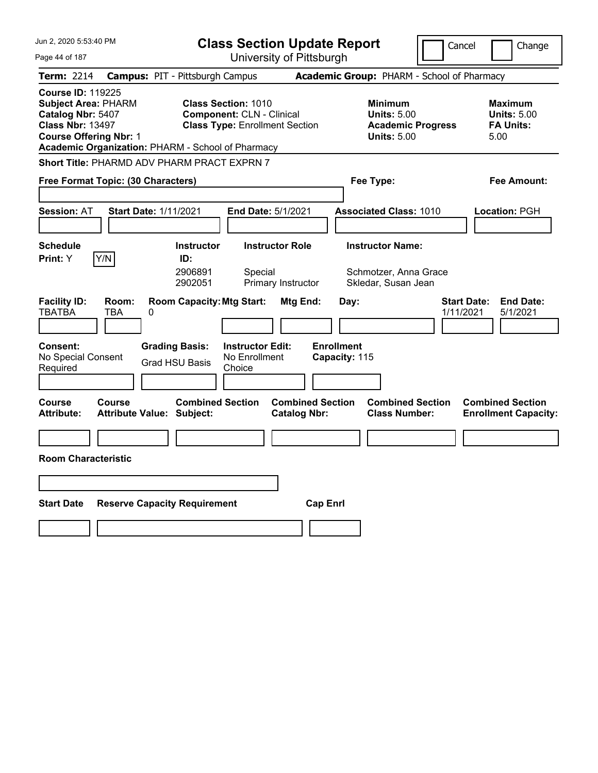| Jun 2, 2020 5:53:40 PM                                                                                                                  | <b>Class Section Update Report</b>                                                                                                                           |                                                                                        | Cancel<br>Change                                                 |
|-----------------------------------------------------------------------------------------------------------------------------------------|--------------------------------------------------------------------------------------------------------------------------------------------------------------|----------------------------------------------------------------------------------------|------------------------------------------------------------------|
| Page 44 of 187                                                                                                                          | University of Pittsburgh                                                                                                                                     |                                                                                        |                                                                  |
| <b>Term: 2214</b>                                                                                                                       | <b>Campus: PIT - Pittsburgh Campus</b>                                                                                                                       | Academic Group: PHARM - School of Pharmacy                                             |                                                                  |
| <b>Course ID: 119225</b><br><b>Subject Area: PHARM</b><br>Catalog Nbr: 5407<br><b>Class Nbr: 13497</b><br><b>Course Offering Nbr: 1</b> | <b>Class Section: 1010</b><br><b>Component: CLN - Clinical</b><br><b>Class Type: Enrollment Section</b><br>Academic Organization: PHARM - School of Pharmacy | <b>Minimum</b><br><b>Units: 5.00</b><br><b>Academic Progress</b><br><b>Units: 5.00</b> | <b>Maximum</b><br><b>Units: 5.00</b><br><b>FA Units:</b><br>5.00 |
|                                                                                                                                         | <b>Short Title: PHARMD ADV PHARM PRACT EXPRN 7</b>                                                                                                           |                                                                                        |                                                                  |
| Free Format Topic: (30 Characters)                                                                                                      |                                                                                                                                                              | Fee Type:                                                                              | Fee Amount:                                                      |
| <b>Session: AT</b>                                                                                                                      | <b>Start Date: 1/11/2021</b><br>End Date: 5/1/2021                                                                                                           | <b>Associated Class: 1010</b>                                                          | Location: PGH                                                    |
| <b>Schedule</b><br>Y/N<br>Print: Y                                                                                                      | <b>Instructor Role</b><br><b>Instructor</b><br>ID:<br>2906891<br>Special<br>2902051<br>Primary Instructor                                                    | <b>Instructor Name:</b><br>Schmotzer, Anna Grace<br>Skledar, Susan Jean                |                                                                  |
| <b>Facility ID:</b><br>Room:<br><b>TBATBA</b><br>TBA<br><b>Consent:</b>                                                                 | <b>Room Capacity: Mtg Start:</b><br>Mtg End:<br>0<br><b>Grading Basis:</b><br><b>Instructor Edit:</b>                                                        | Day:<br><b>Enrollment</b>                                                              | <b>End Date:</b><br><b>Start Date:</b><br>1/11/2021<br>5/1/2021  |
| No Special Consent<br>Required                                                                                                          | No Enrollment<br><b>Grad HSU Basis</b><br>Choice                                                                                                             | Capacity: 115                                                                          |                                                                  |
| <b>Course</b><br><b>Course</b><br><b>Attribute:</b>                                                                                     | <b>Combined Section</b><br><b>Attribute Value: Subject:</b><br><b>Catalog Nbr:</b>                                                                           | <b>Combined Section</b><br><b>Combined Section</b><br><b>Class Number:</b>             | <b>Combined Section</b><br><b>Enrollment Capacity:</b>           |
|                                                                                                                                         |                                                                                                                                                              |                                                                                        |                                                                  |
| <b>Room Characteristic</b>                                                                                                              |                                                                                                                                                              |                                                                                        |                                                                  |
|                                                                                                                                         |                                                                                                                                                              |                                                                                        |                                                                  |
| <b>Start Date</b>                                                                                                                       | <b>Reserve Capacity Requirement</b>                                                                                                                          | <b>Cap Enrl</b>                                                                        |                                                                  |
|                                                                                                                                         |                                                                                                                                                              |                                                                                        |                                                                  |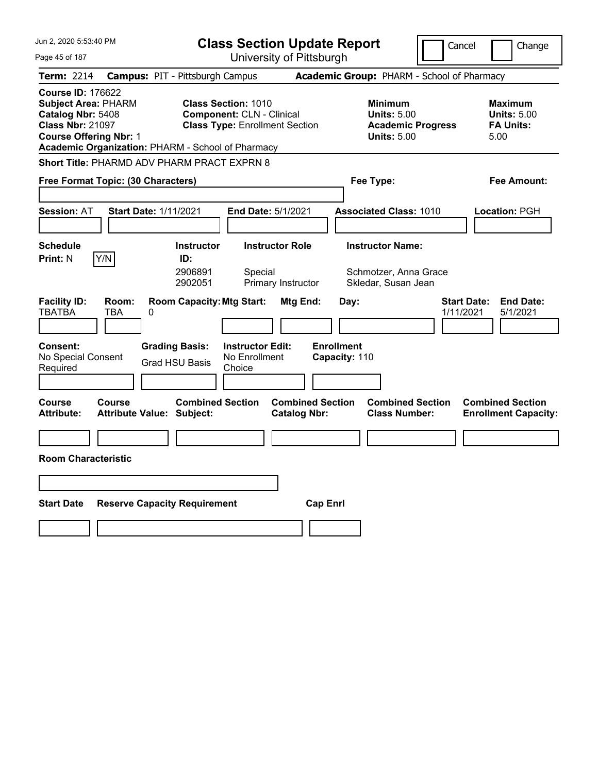| Jun 2, 2020 5:53:40 PM                                                                                                                  | <b>Class Section Update Report</b>                                                                                                                           |                                                                                        | Cancel<br>Change                                                 |
|-----------------------------------------------------------------------------------------------------------------------------------------|--------------------------------------------------------------------------------------------------------------------------------------------------------------|----------------------------------------------------------------------------------------|------------------------------------------------------------------|
| Page 45 of 187                                                                                                                          | University of Pittsburgh                                                                                                                                     |                                                                                        |                                                                  |
| <b>Term: 2214</b>                                                                                                                       | <b>Campus: PIT - Pittsburgh Campus</b>                                                                                                                       | Academic Group: PHARM - School of Pharmacy                                             |                                                                  |
| <b>Course ID: 176622</b><br><b>Subject Area: PHARM</b><br>Catalog Nbr: 5408<br><b>Class Nbr: 21097</b><br><b>Course Offering Nbr: 1</b> | <b>Class Section: 1010</b><br><b>Component: CLN - Clinical</b><br><b>Class Type: Enrollment Section</b><br>Academic Organization: PHARM - School of Pharmacy | <b>Minimum</b><br><b>Units: 5.00</b><br><b>Academic Progress</b><br><b>Units: 5.00</b> | <b>Maximum</b><br><b>Units: 5.00</b><br><b>FA Units:</b><br>5.00 |
|                                                                                                                                         | <b>Short Title: PHARMD ADV PHARM PRACT EXPRN 8</b>                                                                                                           |                                                                                        |                                                                  |
| Free Format Topic: (30 Characters)                                                                                                      |                                                                                                                                                              | Fee Type:                                                                              | Fee Amount:                                                      |
| <b>Session: AT</b>                                                                                                                      | <b>Start Date: 1/11/2021</b><br><b>End Date: 5/1/2021</b>                                                                                                    | <b>Associated Class: 1010</b>                                                          | Location: PGH                                                    |
| <b>Schedule</b>                                                                                                                         | <b>Instructor Role</b><br><b>Instructor</b>                                                                                                                  | <b>Instructor Name:</b>                                                                |                                                                  |
| Y/N<br><b>Print: N</b>                                                                                                                  | ID:                                                                                                                                                          |                                                                                        |                                                                  |
|                                                                                                                                         | 2906891<br>Special<br>2902051<br>Primary Instructor                                                                                                          | Schmotzer, Anna Grace<br>Skledar, Susan Jean                                           |                                                                  |
| <b>Facility ID:</b><br>Room:<br><b>TBATBA</b><br>TBA<br><b>Consent:</b><br>No Special Consent                                           | <b>Room Capacity: Mtg Start:</b><br>Mtg End:<br>0<br><b>Grading Basis:</b><br><b>Instructor Edit:</b><br>No Enrollment                                       | Day:<br><b>Enrollment</b><br>Capacity: 110                                             | <b>Start Date:</b><br><b>End Date:</b><br>1/11/2021<br>5/1/2021  |
| Required                                                                                                                                | <b>Grad HSU Basis</b><br>Choice                                                                                                                              |                                                                                        |                                                                  |
| Course<br>Course<br><b>Attribute:</b>                                                                                                   | <b>Combined Section</b><br>Attribute Value: Subject:<br><b>Catalog Nbr:</b>                                                                                  | <b>Combined Section</b><br><b>Combined Section</b><br><b>Class Number:</b>             | <b>Combined Section</b><br><b>Enrollment Capacity:</b>           |
|                                                                                                                                         |                                                                                                                                                              |                                                                                        |                                                                  |
| <b>Room Characteristic</b>                                                                                                              |                                                                                                                                                              |                                                                                        |                                                                  |
|                                                                                                                                         |                                                                                                                                                              |                                                                                        |                                                                  |
|                                                                                                                                         |                                                                                                                                                              |                                                                                        |                                                                  |
| <b>Start Date</b>                                                                                                                       | <b>Reserve Capacity Requirement</b>                                                                                                                          | <b>Cap Enrl</b>                                                                        |                                                                  |
|                                                                                                                                         |                                                                                                                                                              |                                                                                        |                                                                  |
|                                                                                                                                         |                                                                                                                                                              |                                                                                        |                                                                  |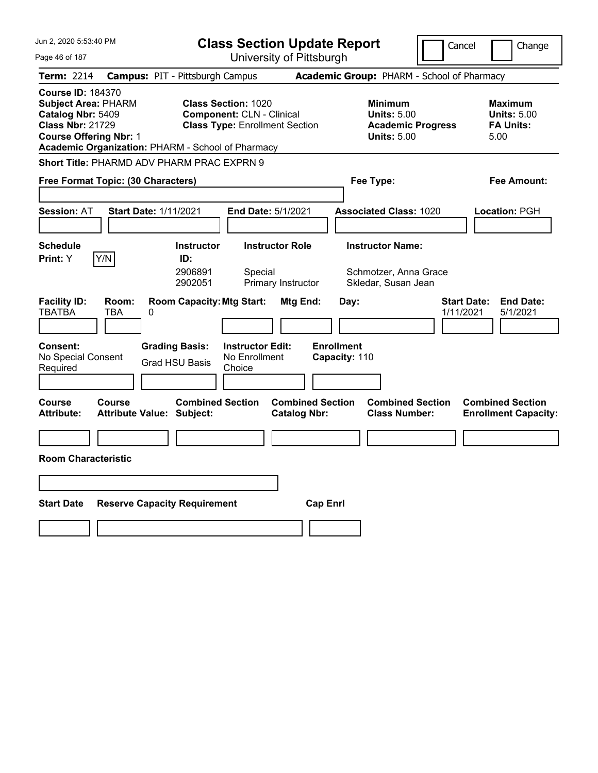| Jun 2, 2020 5:53:40 PM                                                                                                                                                                       | <b>Class Section Update Report</b>                                                                      | Cancel                                                                                 | Change                                                           |
|----------------------------------------------------------------------------------------------------------------------------------------------------------------------------------------------|---------------------------------------------------------------------------------------------------------|----------------------------------------------------------------------------------------|------------------------------------------------------------------|
| Page 46 of 187                                                                                                                                                                               | University of Pittsburgh                                                                                |                                                                                        |                                                                  |
| Term: 2214                                                                                                                                                                                   | <b>Campus: PIT - Pittsburgh Campus</b>                                                                  | Academic Group: PHARM - School of Pharmacy                                             |                                                                  |
| <b>Course ID: 184370</b><br><b>Subject Area: PHARM</b><br>Catalog Nbr: 5409<br><b>Class Nbr: 21729</b><br><b>Course Offering Nbr: 1</b><br>Academic Organization: PHARM - School of Pharmacy | <b>Class Section: 1020</b><br><b>Component: CLN - Clinical</b><br><b>Class Type: Enrollment Section</b> | <b>Minimum</b><br><b>Units: 5.00</b><br><b>Academic Progress</b><br><b>Units: 5.00</b> | <b>Maximum</b><br><b>Units: 5.00</b><br><b>FA Units:</b><br>5.00 |
| Short Title: PHARMD ADV PHARM PRAC EXPRN 9                                                                                                                                                   |                                                                                                         |                                                                                        |                                                                  |
| Free Format Topic: (30 Characters)                                                                                                                                                           |                                                                                                         | Fee Type:                                                                              | Fee Amount:                                                      |
| <b>Session: AT</b><br><b>Start Date: 1/11/2021</b>                                                                                                                                           | <b>End Date: 5/1/2021</b>                                                                               | <b>Associated Class: 1020</b>                                                          | <b>Location: PGH</b>                                             |
| <b>Schedule</b>                                                                                                                                                                              | <b>Instructor</b><br><b>Instructor Role</b>                                                             | <b>Instructor Name:</b>                                                                |                                                                  |
| Y/N<br>Print: Y                                                                                                                                                                              | ID:<br>2906891<br>Special<br>2902051<br>Primary Instructor                                              | Schmotzer, Anna Grace<br>Skledar, Susan Jean                                           |                                                                  |
| <b>Facility ID:</b><br>Room:<br><b>TBATBA</b><br>TBA<br>0                                                                                                                                    | <b>Room Capacity: Mtg Start:</b><br>Mtg End:                                                            | Day:<br><b>Start Date:</b><br>1/11/2021                                                | <b>End Date:</b><br>5/1/2021                                     |
| Consent:<br>No Special Consent<br>Required                                                                                                                                                   | <b>Grading Basis:</b><br><b>Instructor Edit:</b><br>No Enrollment<br><b>Grad HSU Basis</b><br>Choice    | <b>Enrollment</b><br>Capacity: 110                                                     |                                                                  |
| <b>Course</b><br>Course<br><b>Attribute:</b><br><b>Attribute Value: Subject:</b>                                                                                                             | <b>Combined Section</b><br><b>Combined Section</b><br><b>Catalog Nbr:</b>                               | <b>Combined Section</b><br><b>Class Number:</b>                                        | <b>Combined Section</b><br><b>Enrollment Capacity:</b>           |
|                                                                                                                                                                                              |                                                                                                         |                                                                                        |                                                                  |
| <b>Room Characteristic</b>                                                                                                                                                                   |                                                                                                         |                                                                                        |                                                                  |
|                                                                                                                                                                                              |                                                                                                         |                                                                                        |                                                                  |
| <b>Start Date</b><br><b>Reserve Capacity Requirement</b>                                                                                                                                     |                                                                                                         | <b>Cap Enri</b>                                                                        |                                                                  |
|                                                                                                                                                                                              |                                                                                                         |                                                                                        |                                                                  |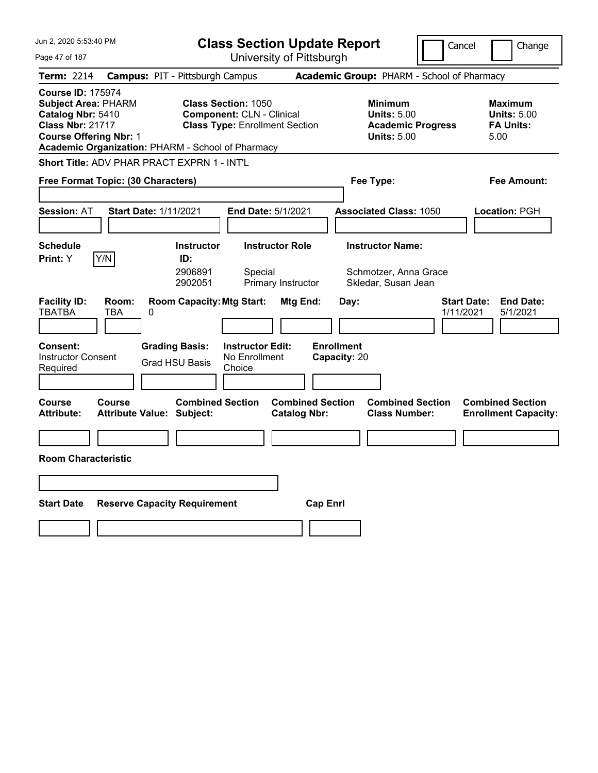| Jun 2, 2020 5:53:40 PM                                                                                                                                                                       |                                                             | <b>Class Section Update Report</b>                                                                      |                                                                                        | Cancel<br>Change                                                 |
|----------------------------------------------------------------------------------------------------------------------------------------------------------------------------------------------|-------------------------------------------------------------|---------------------------------------------------------------------------------------------------------|----------------------------------------------------------------------------------------|------------------------------------------------------------------|
| Page 47 of 187                                                                                                                                                                               |                                                             | University of Pittsburgh                                                                                |                                                                                        |                                                                  |
| <b>Term: 2214</b>                                                                                                                                                                            | <b>Campus: PIT - Pittsburgh Campus</b>                      |                                                                                                         | Academic Group: PHARM - School of Pharmacy                                             |                                                                  |
| <b>Course ID: 175974</b><br><b>Subject Area: PHARM</b><br>Catalog Nbr: 5410<br><b>Class Nbr: 21717</b><br><b>Course Offering Nbr: 1</b><br>Academic Organization: PHARM - School of Pharmacy |                                                             | <b>Class Section: 1050</b><br><b>Component: CLN - Clinical</b><br><b>Class Type: Enrollment Section</b> | <b>Minimum</b><br><b>Units: 5.00</b><br><b>Academic Progress</b><br><b>Units: 5.00</b> | <b>Maximum</b><br><b>Units: 5.00</b><br><b>FA Units:</b><br>5.00 |
| <b>Short Title: ADV PHAR PRACT EXPRN 1 - INT'L</b>                                                                                                                                           |                                                             |                                                                                                         |                                                                                        |                                                                  |
| Free Format Topic: (30 Characters)                                                                                                                                                           |                                                             |                                                                                                         | Fee Type:                                                                              | Fee Amount:                                                      |
| <b>Session: AT</b>                                                                                                                                                                           | <b>Start Date: 1/11/2021</b>                                | <b>End Date: 5/1/2021</b>                                                                               | <b>Associated Class: 1050</b>                                                          | <b>Location: PGH</b>                                             |
| <b>Schedule</b>                                                                                                                                                                              | <b>Instructor</b>                                           | <b>Instructor Role</b>                                                                                  | <b>Instructor Name:</b>                                                                |                                                                  |
| Y/N<br>Print: Y                                                                                                                                                                              | ID:                                                         |                                                                                                         |                                                                                        |                                                                  |
|                                                                                                                                                                                              | 2906891<br>2902051                                          | Special<br>Primary Instructor                                                                           | Schmotzer, Anna Grace<br>Skledar, Susan Jean                                           |                                                                  |
| <b>Facility ID:</b><br>Room:<br><b>TBATBA</b><br>TBA                                                                                                                                         | <b>Room Capacity: Mtg Start:</b><br>0                       | Mtg End:                                                                                                | Day:                                                                                   | <b>Start Date:</b><br><b>End Date:</b><br>1/11/2021<br>5/1/2021  |
| Consent:<br><b>Instructor Consent</b><br>Required                                                                                                                                            | <b>Grading Basis:</b><br><b>Grad HSU Basis</b>              | <b>Instructor Edit:</b><br>No Enrollment<br>Choice                                                      | <b>Enrollment</b><br>Capacity: 20                                                      |                                                                  |
| Course<br><b>Course</b><br><b>Attribute:</b>                                                                                                                                                 | <b>Combined Section</b><br><b>Attribute Value: Subject:</b> | <b>Combined Section</b><br><b>Catalog Nbr:</b>                                                          | <b>Combined Section</b><br><b>Class Number:</b>                                        | <b>Combined Section</b><br><b>Enrollment Capacity:</b>           |
|                                                                                                                                                                                              |                                                             |                                                                                                         |                                                                                        |                                                                  |
| <b>Room Characteristic</b>                                                                                                                                                                   |                                                             |                                                                                                         |                                                                                        |                                                                  |
|                                                                                                                                                                                              |                                                             |                                                                                                         |                                                                                        |                                                                  |
| <b>Start Date</b>                                                                                                                                                                            | <b>Reserve Capacity Requirement</b>                         |                                                                                                         | <b>Cap Enrl</b>                                                                        |                                                                  |
|                                                                                                                                                                                              |                                                             |                                                                                                         |                                                                                        |                                                                  |
|                                                                                                                                                                                              |                                                             |                                                                                                         |                                                                                        |                                                                  |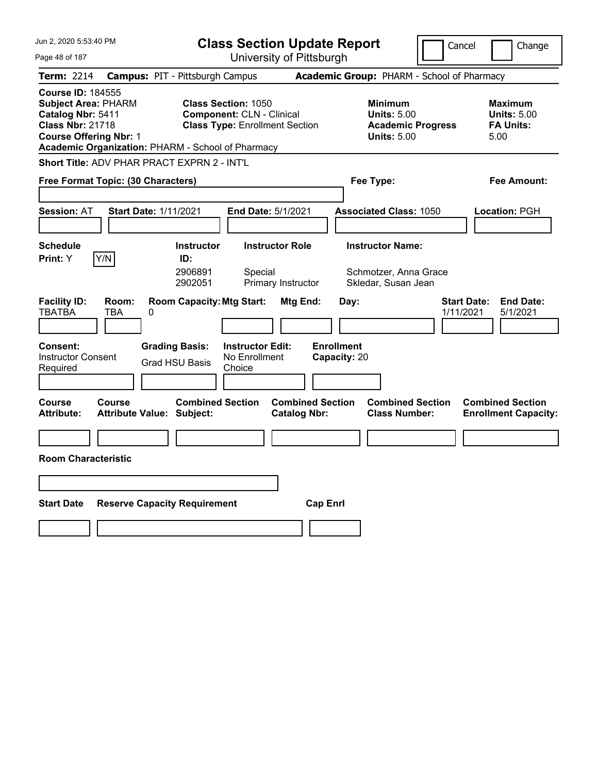| Jun 2, 2020 5:53:40 PM                                                                                                                                                                                    | <b>Class Section Update Report</b>                                                                                                                                                                                                | Cancel                                                                                                                          | Change                                                                                 |
|-----------------------------------------------------------------------------------------------------------------------------------------------------------------------------------------------------------|-----------------------------------------------------------------------------------------------------------------------------------------------------------------------------------------------------------------------------------|---------------------------------------------------------------------------------------------------------------------------------|----------------------------------------------------------------------------------------|
| Page 48 of 187                                                                                                                                                                                            | University of Pittsburgh                                                                                                                                                                                                          |                                                                                                                                 |                                                                                        |
| <b>Term: 2214</b>                                                                                                                                                                                         | <b>Campus: PIT - Pittsburgh Campus</b>                                                                                                                                                                                            | Academic Group: PHARM - School of Pharmacy                                                                                      |                                                                                        |
| <b>Course ID: 184555</b><br><b>Subject Area: PHARM</b><br>Catalog Nbr: 5411<br><b>Class Nbr: 21718</b><br><b>Course Offering Nbr: 1</b><br>Academic Organization: PHARM - School of Pharmacy              | <b>Class Section: 1050</b><br><b>Component: CLN - Clinical</b><br><b>Class Type: Enrollment Section</b>                                                                                                                           | <b>Minimum</b><br><b>Units: 5.00</b><br><b>Academic Progress</b><br><b>Units: 5.00</b>                                          | <b>Maximum</b><br><b>Units: 5.00</b><br><b>FA Units:</b><br>5.00                       |
| Short Title: ADV PHAR PRACT EXPRN 2 - INT'L                                                                                                                                                               |                                                                                                                                                                                                                                   |                                                                                                                                 |                                                                                        |
| Free Format Topic: (30 Characters)                                                                                                                                                                        |                                                                                                                                                                                                                                   | Fee Type:                                                                                                                       | Fee Amount:                                                                            |
|                                                                                                                                                                                                           |                                                                                                                                                                                                                                   |                                                                                                                                 |                                                                                        |
| <b>Session: AT</b><br><b>Start Date: 1/11/2021</b>                                                                                                                                                        | <b>End Date: 5/1/2021</b>                                                                                                                                                                                                         | <b>Associated Class: 1050</b>                                                                                                   | <b>Location: PGH</b>                                                                   |
|                                                                                                                                                                                                           |                                                                                                                                                                                                                                   |                                                                                                                                 |                                                                                        |
| <b>Schedule</b>                                                                                                                                                                                           | <b>Instructor</b><br><b>Instructor Role</b>                                                                                                                                                                                       | <b>Instructor Name:</b>                                                                                                         |                                                                                        |
| Print: Y<br>Y/N                                                                                                                                                                                           | ID:                                                                                                                                                                                                                               |                                                                                                                                 |                                                                                        |
|                                                                                                                                                                                                           | 2906891<br>Special<br>Primary Instructor<br>2902051                                                                                                                                                                               | Schmotzer, Anna Grace<br>Skledar, Susan Jean                                                                                    |                                                                                        |
| <b>Facility ID:</b><br>Room:<br><b>TBATBA</b><br>TBA<br>0<br>Consent:<br><b>Instructor Consent</b><br>Required<br><b>Course</b><br><b>Course</b><br><b>Attribute:</b><br><b>Attribute Value: Subject:</b> | <b>Room Capacity: Mtg Start:</b><br>Mtg End:<br><b>Grading Basis:</b><br><b>Instructor Edit:</b><br>No Enrollment<br><b>Grad HSU Basis</b><br>Choice<br><b>Combined Section</b><br><b>Combined Section</b><br><b>Catalog Nbr:</b> | <b>Start Date:</b><br>Day:<br>1/11/2021<br><b>Enrollment</b><br>Capacity: 20<br><b>Combined Section</b><br><b>Class Number:</b> | <b>End Date:</b><br>5/1/2021<br><b>Combined Section</b><br><b>Enrollment Capacity:</b> |
|                                                                                                                                                                                                           |                                                                                                                                                                                                                                   |                                                                                                                                 |                                                                                        |
| <b>Room Characteristic</b>                                                                                                                                                                                |                                                                                                                                                                                                                                   |                                                                                                                                 |                                                                                        |
|                                                                                                                                                                                                           |                                                                                                                                                                                                                                   |                                                                                                                                 |                                                                                        |
|                                                                                                                                                                                                           |                                                                                                                                                                                                                                   |                                                                                                                                 |                                                                                        |
| <b>Start Date</b><br><b>Reserve Capacity Requirement</b>                                                                                                                                                  |                                                                                                                                                                                                                                   | <b>Cap Enrl</b>                                                                                                                 |                                                                                        |
|                                                                                                                                                                                                           |                                                                                                                                                                                                                                   |                                                                                                                                 |                                                                                        |
|                                                                                                                                                                                                           |                                                                                                                                                                                                                                   |                                                                                                                                 |                                                                                        |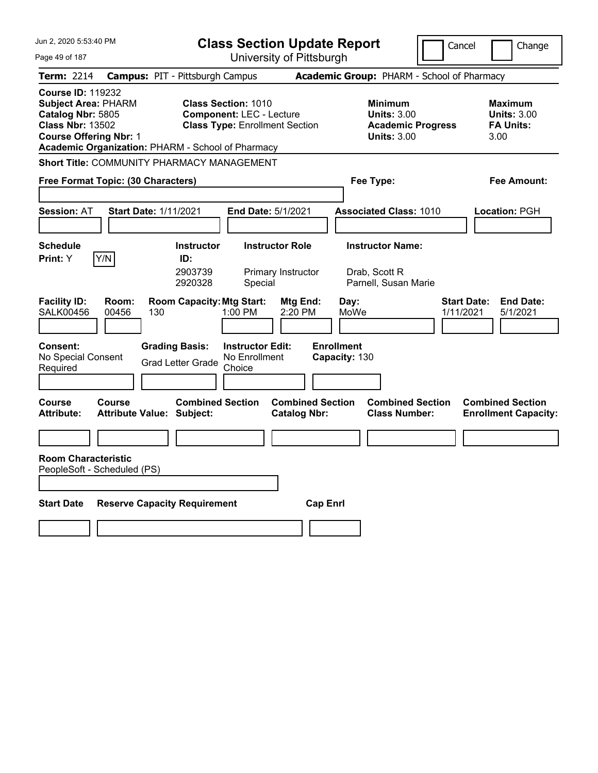| Jun 2, 2020 5:53:40 PM                                                                                                                                                                       | <b>Class Section Update Report</b>                                                                      |                                                                                        | Cancel<br>Change                                                 |
|----------------------------------------------------------------------------------------------------------------------------------------------------------------------------------------------|---------------------------------------------------------------------------------------------------------|----------------------------------------------------------------------------------------|------------------------------------------------------------------|
| Page 49 of 187                                                                                                                                                                               | University of Pittsburgh                                                                                |                                                                                        |                                                                  |
| <b>Term: 2214</b>                                                                                                                                                                            | <b>Campus: PIT - Pittsburgh Campus</b>                                                                  | Academic Group: PHARM - School of Pharmacy                                             |                                                                  |
| <b>Course ID: 119232</b><br><b>Subject Area: PHARM</b><br>Catalog Nbr: 5805<br><b>Class Nbr: 13502</b><br><b>Course Offering Nbr: 1</b><br>Academic Organization: PHARM - School of Pharmacy | <b>Class Section: 1010</b><br><b>Component: LEC - Lecture</b><br><b>Class Type: Enrollment Section</b>  | <b>Minimum</b><br><b>Units: 3.00</b><br><b>Academic Progress</b><br><b>Units: 3.00</b> | <b>Maximum</b><br><b>Units: 3.00</b><br><b>FA Units:</b><br>3.00 |
| Short Title: COMMUNITY PHARMACY MANAGEMENT                                                                                                                                                   |                                                                                                         |                                                                                        |                                                                  |
| Free Format Topic: (30 Characters)                                                                                                                                                           |                                                                                                         | Fee Type:                                                                              | Fee Amount:                                                      |
| <b>Session: AT</b><br><b>Start Date: 1/11/2021</b>                                                                                                                                           | End Date: 5/1/2021                                                                                      | <b>Associated Class: 1010</b>                                                          | Location: PGH                                                    |
| <b>Schedule</b>                                                                                                                                                                              | <b>Instructor Role</b><br><b>Instructor</b>                                                             | <b>Instructor Name:</b>                                                                |                                                                  |
| Print: Y<br>Y/N                                                                                                                                                                              | ID:<br>2903739<br>Primary Instructor<br>2920328<br>Special                                              | Drab, Scott R<br>Parnell, Susan Marie                                                  |                                                                  |
| <b>Facility ID:</b><br>Room:<br><b>SALK00456</b><br>00456<br>130                                                                                                                             | <b>Room Capacity: Mtg Start:</b><br>Mtg End:<br>1:00 PM<br>2:20 PM                                      | Day:<br>MoWe                                                                           | <b>Start Date:</b><br><b>End Date:</b><br>5/1/2021<br>1/11/2021  |
| <b>Consent:</b><br>No Special Consent<br>Required                                                                                                                                            | <b>Grading Basis:</b><br><b>Instructor Edit:</b><br>No Enrollment<br><b>Grad Letter Grade</b><br>Choice | <b>Enrollment</b><br>Capacity: 130                                                     |                                                                  |
| <b>Course</b><br>Course<br><b>Attribute Value: Subject:</b><br><b>Attribute:</b>                                                                                                             | <b>Combined Section</b><br><b>Catalog Nbr:</b>                                                          | <b>Combined Section</b><br><b>Combined Section</b><br><b>Class Number:</b>             | <b>Combined Section</b><br><b>Enrollment Capacity:</b>           |
|                                                                                                                                                                                              |                                                                                                         |                                                                                        |                                                                  |
| <b>Room Characteristic</b><br>PeopleSoft - Scheduled (PS)                                                                                                                                    |                                                                                                         |                                                                                        |                                                                  |
| <b>Start Date</b><br><b>Reserve Capacity Requirement</b><br><b>Cap Enrl</b>                                                                                                                  |                                                                                                         |                                                                                        |                                                                  |
|                                                                                                                                                                                              |                                                                                                         |                                                                                        |                                                                  |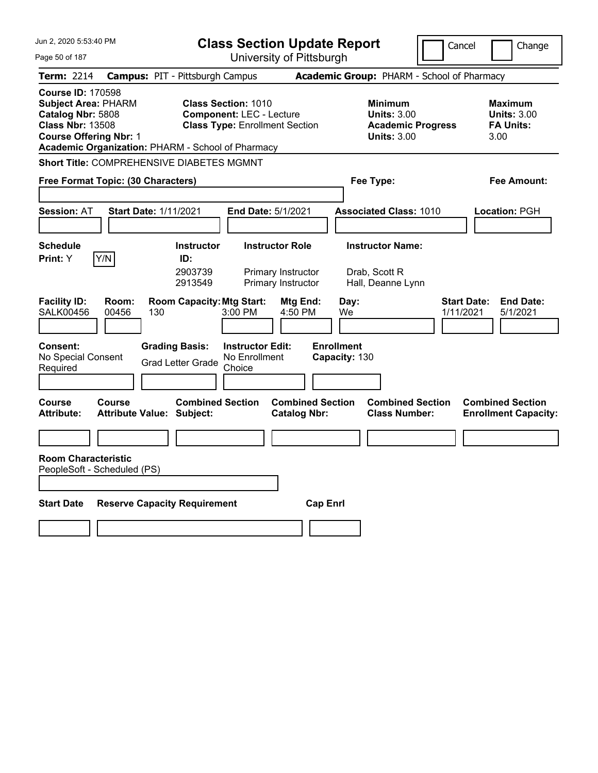| Jun 2, 2020 5:53:40 PM                                                                                                                  | <b>Class Section Update Report</b>                                                                                                                          | Cancel                                                                                 | Change                                                           |
|-----------------------------------------------------------------------------------------------------------------------------------------|-------------------------------------------------------------------------------------------------------------------------------------------------------------|----------------------------------------------------------------------------------------|------------------------------------------------------------------|
| Page 50 of 187                                                                                                                          | University of Pittsburgh                                                                                                                                    |                                                                                        |                                                                  |
| <b>Term: 2214</b>                                                                                                                       | <b>Campus: PIT - Pittsburgh Campus</b>                                                                                                                      | Academic Group: PHARM - School of Pharmacy                                             |                                                                  |
| <b>Course ID: 170598</b><br><b>Subject Area: PHARM</b><br>Catalog Nbr: 5808<br><b>Class Nbr: 13508</b><br><b>Course Offering Nbr: 1</b> | <b>Class Section: 1010</b><br><b>Component: LEC - Lecture</b><br><b>Class Type: Enrollment Section</b><br>Academic Organization: PHARM - School of Pharmacy | <b>Minimum</b><br><b>Units: 3.00</b><br><b>Academic Progress</b><br><b>Units: 3.00</b> | <b>Maximum</b><br><b>Units: 3.00</b><br><b>FA Units:</b><br>3.00 |
| Short Title: COMPREHENSIVE DIABETES MGMNT                                                                                               |                                                                                                                                                             |                                                                                        |                                                                  |
| Free Format Topic: (30 Characters)                                                                                                      |                                                                                                                                                             | Fee Type:                                                                              | Fee Amount:                                                      |
| <b>Session: AT</b>                                                                                                                      | <b>Start Date: 1/11/2021</b><br><b>End Date: 5/1/2021</b>                                                                                                   | <b>Associated Class: 1010</b>                                                          | Location: PGH                                                    |
| <b>Schedule</b>                                                                                                                         | <b>Instructor</b><br><b>Instructor Role</b>                                                                                                                 | <b>Instructor Name:</b>                                                                |                                                                  |
| Print: Y<br>Y/N<br>Room:                                                                                                                | ID:<br>2903739<br>Primary Instructor<br>2913549<br>Primary Instructor                                                                                       | Drab, Scott R<br>Hall, Deanne Lynn                                                     | <b>Start Date:</b><br><b>End Date:</b>                           |
| <b>Facility ID:</b><br><b>SALK00456</b><br>00456                                                                                        | <b>Room Capacity: Mtg Start:</b><br>Mtg End:<br>130<br>3:00 PM<br>4:50 PM                                                                                   | Day:<br>1/11/2021<br>We                                                                | 5/1/2021                                                         |
| Consent:<br>No Special Consent<br>Required                                                                                              | <b>Grading Basis:</b><br><b>Instructor Edit:</b><br>No Enrollment<br><b>Grad Letter Grade</b><br>Choice                                                     | <b>Enrollment</b><br>Capacity: 130                                                     |                                                                  |
| <b>Course</b><br>Course<br><b>Attribute:</b>                                                                                            | <b>Combined Section</b><br><b>Attribute Value: Subject:</b><br><b>Catalog Nbr:</b>                                                                          | <b>Combined Section</b><br><b>Combined Section</b><br><b>Class Number:</b>             | <b>Combined Section</b><br><b>Enrollment Capacity:</b>           |
|                                                                                                                                         |                                                                                                                                                             |                                                                                        |                                                                  |
| <b>Room Characteristic</b><br>PeopleSoft - Scheduled (PS)                                                                               |                                                                                                                                                             |                                                                                        |                                                                  |
| <b>Reserve Capacity Requirement</b><br><b>Cap Enrl</b><br><b>Start Date</b>                                                             |                                                                                                                                                             |                                                                                        |                                                                  |
|                                                                                                                                         |                                                                                                                                                             |                                                                                        |                                                                  |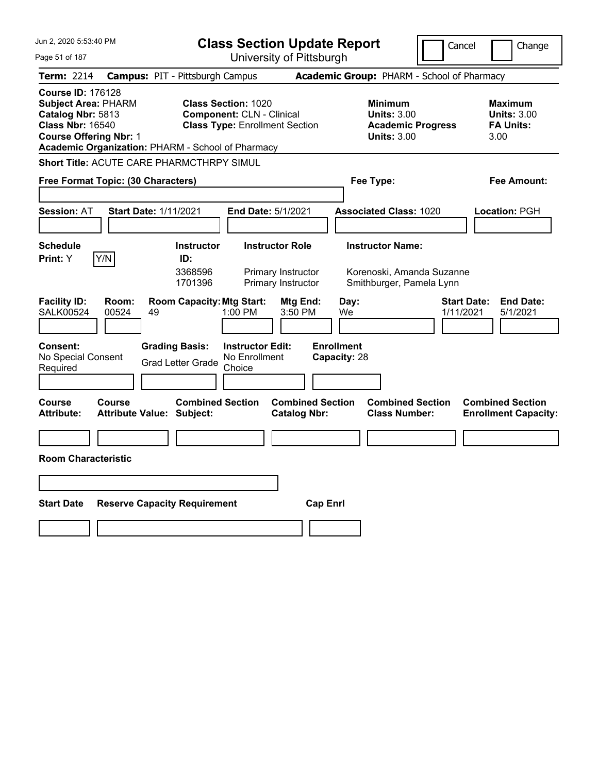| Jun 2, 2020 5:53:40 PM                                                                                                                                                                       | <b>Class Section Update Report</b>                                                                      | Cancel                                                                                 | Change                                                           |
|----------------------------------------------------------------------------------------------------------------------------------------------------------------------------------------------|---------------------------------------------------------------------------------------------------------|----------------------------------------------------------------------------------------|------------------------------------------------------------------|
| Page 51 of 187                                                                                                                                                                               | University of Pittsburgh                                                                                |                                                                                        |                                                                  |
| Term: 2214                                                                                                                                                                                   | <b>Campus: PIT - Pittsburgh Campus</b>                                                                  | Academic Group: PHARM - School of Pharmacy                                             |                                                                  |
| <b>Course ID: 176128</b><br><b>Subject Area: PHARM</b><br>Catalog Nbr: 5813<br><b>Class Nbr: 16540</b><br><b>Course Offering Nbr: 1</b><br>Academic Organization: PHARM - School of Pharmacy | <b>Class Section: 1020</b><br><b>Component: CLN - Clinical</b><br><b>Class Type: Enrollment Section</b> | <b>Minimum</b><br><b>Units: 3.00</b><br><b>Academic Progress</b><br><b>Units: 3.00</b> | <b>Maximum</b><br><b>Units: 3.00</b><br><b>FA Units:</b><br>3.00 |
| Short Title: ACUTE CARE PHARMCTHRPY SIMUL                                                                                                                                                    |                                                                                                         |                                                                                        |                                                                  |
| Free Format Topic: (30 Characters)                                                                                                                                                           |                                                                                                         | Fee Type:                                                                              | Fee Amount:                                                      |
|                                                                                                                                                                                              |                                                                                                         |                                                                                        |                                                                  |
| <b>Session: AT</b><br><b>Start Date: 1/11/2021</b>                                                                                                                                           | End Date: 5/1/2021                                                                                      | <b>Associated Class: 1020</b>                                                          | Location: PGH                                                    |
|                                                                                                                                                                                              |                                                                                                         |                                                                                        |                                                                  |
| <b>Schedule</b>                                                                                                                                                                              | <b>Instructor Role</b><br><b>Instructor</b>                                                             | <b>Instructor Name:</b>                                                                |                                                                  |
| Y/N<br><b>Print:</b> Y                                                                                                                                                                       | ID:<br>3368596<br>Primary Instructor<br>1701396<br>Primary Instructor                                   | Korenoski, Amanda Suzanne<br>Smithburger, Pamela Lynn                                  |                                                                  |
| <b>Facility ID:</b><br>Room:<br><b>SALK00524</b><br>00524<br>49                                                                                                                              | <b>Room Capacity: Mtg Start:</b><br>Mtg End:<br>$1:00$ PM<br>3:50 PM                                    | Day:<br><b>Start Date:</b><br>1/11/2021<br>We                                          | <b>End Date:</b><br>5/1/2021                                     |
| <b>Consent:</b><br>No Special Consent<br>Required                                                                                                                                            | <b>Grading Basis:</b><br><b>Instructor Edit:</b><br>No Enrollment<br><b>Grad Letter Grade</b><br>Choice | <b>Enrollment</b><br>Capacity: 28                                                      |                                                                  |
| Course<br><b>Course</b><br><b>Attribute:</b><br><b>Attribute Value: Subject:</b>                                                                                                             | <b>Combined Section</b><br><b>Catalog Nbr:</b>                                                          | <b>Combined Section</b><br><b>Combined Section</b><br><b>Class Number:</b>             | <b>Combined Section</b><br><b>Enrollment Capacity:</b>           |
|                                                                                                                                                                                              |                                                                                                         |                                                                                        |                                                                  |
| <b>Room Characteristic</b>                                                                                                                                                                   |                                                                                                         |                                                                                        |                                                                  |
|                                                                                                                                                                                              |                                                                                                         |                                                                                        |                                                                  |
| <b>Start Date</b><br><b>Reserve Capacity Requirement</b>                                                                                                                                     |                                                                                                         | <b>Cap Enri</b>                                                                        |                                                                  |
|                                                                                                                                                                                              |                                                                                                         |                                                                                        |                                                                  |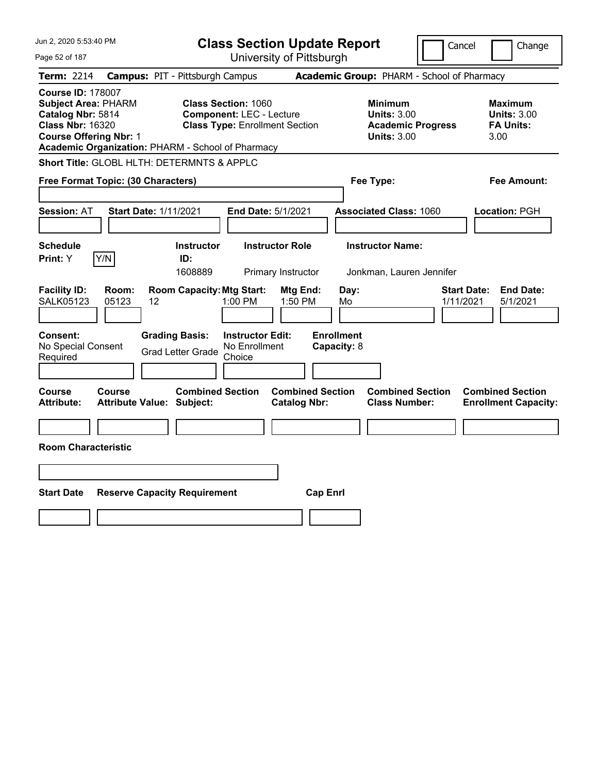| Jun 2, 2020 5:53:40 PM                                                                                                                                                                       | <b>Class Section Update Report</b>                                                                      | Cancel                                                                                 | Change                                                           |
|----------------------------------------------------------------------------------------------------------------------------------------------------------------------------------------------|---------------------------------------------------------------------------------------------------------|----------------------------------------------------------------------------------------|------------------------------------------------------------------|
| Page 52 of 187                                                                                                                                                                               | University of Pittsburgh                                                                                |                                                                                        |                                                                  |
| Term: 2214                                                                                                                                                                                   | <b>Campus: PIT - Pittsburgh Campus</b>                                                                  | Academic Group: PHARM - School of Pharmacy                                             |                                                                  |
| <b>Course ID: 178007</b><br><b>Subject Area: PHARM</b><br>Catalog Nbr: 5814<br><b>Class Nbr: 16320</b><br><b>Course Offering Nbr: 1</b><br>Academic Organization: PHARM - School of Pharmacy | <b>Class Section: 1060</b><br><b>Component: LEC - Lecture</b><br><b>Class Type: Enrollment Section</b>  | <b>Minimum</b><br><b>Units: 3.00</b><br><b>Academic Progress</b><br><b>Units: 3.00</b> | <b>Maximum</b><br><b>Units: 3.00</b><br><b>FA Units:</b><br>3.00 |
| Short Title: GLOBL HLTH: DETERMNTS & APPLC                                                                                                                                                   |                                                                                                         |                                                                                        |                                                                  |
| Free Format Topic: (30 Characters)                                                                                                                                                           |                                                                                                         | Fee Type:                                                                              | Fee Amount:                                                      |
| Start Date: 1/11/2021<br><b>Session: AT</b>                                                                                                                                                  | End Date: 5/1/2021                                                                                      | <b>Associated Class: 1060</b>                                                          | Location: PGH                                                    |
| <b>Schedule</b><br>Y/N<br>Print: Y                                                                                                                                                           | <b>Instructor Role</b><br><b>Instructor</b><br>ID:<br>1608889<br>Primary Instructor                     | <b>Instructor Name:</b><br>Jonkman, Lauren Jennifer                                    |                                                                  |
| <b>Facility ID:</b><br>Room:<br><b>SALK05123</b><br>05123<br>12                                                                                                                              | <b>Room Capacity: Mtg Start:</b><br>Mtg End:<br>1:00 PM<br>1:50 PM                                      | <b>Start Date:</b><br>Day:<br>Mo<br>1/11/2021                                          | <b>End Date:</b><br>5/1/2021                                     |
| Consent:<br>No Special Consent<br>Required                                                                                                                                                   | <b>Grading Basis:</b><br><b>Instructor Edit:</b><br>No Enrollment<br><b>Grad Letter Grade</b><br>Choice | <b>Enrollment</b><br>Capacity: 8                                                       |                                                                  |
| <b>Course</b><br><b>Course</b><br><b>Attribute Value: Subject:</b><br><b>Attribute:</b>                                                                                                      | <b>Combined Section</b><br><b>Combined Section</b><br><b>Catalog Nbr:</b>                               | <b>Combined Section</b><br><b>Class Number:</b>                                        | <b>Combined Section</b><br><b>Enrollment Capacity:</b>           |
| <b>Room Characteristic</b>                                                                                                                                                                   |                                                                                                         |                                                                                        |                                                                  |
| <b>Start Date</b><br><b>Reserve Capacity Requirement</b>                                                                                                                                     | <b>Cap Enrl</b>                                                                                         |                                                                                        |                                                                  |
|                                                                                                                                                                                              |                                                                                                         |                                                                                        |                                                                  |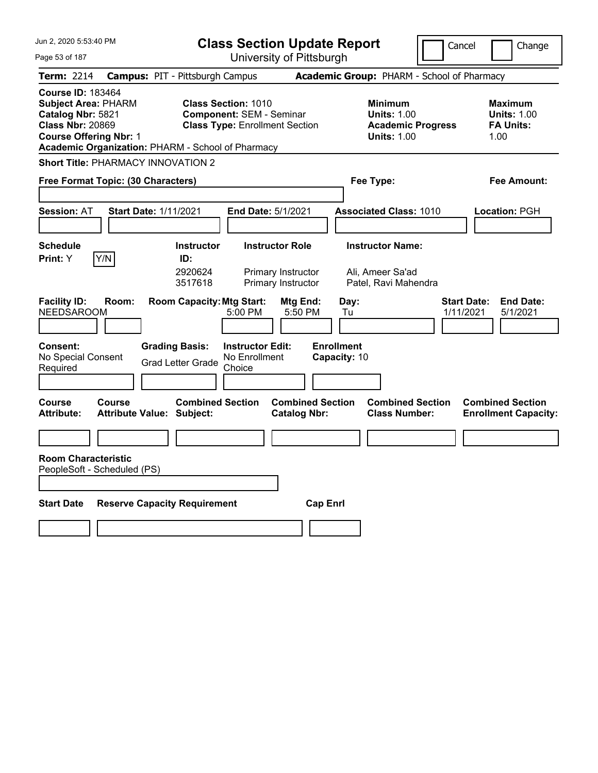| Jun 2, 2020 5:53:40 PM                                                                                                                                                                       | <b>Class Section Update Report</b>                                                                                                                                                      |                                                                        |                                                                                        | Cancel<br>Change                                                 |
|----------------------------------------------------------------------------------------------------------------------------------------------------------------------------------------------|-----------------------------------------------------------------------------------------------------------------------------------------------------------------------------------------|------------------------------------------------------------------------|----------------------------------------------------------------------------------------|------------------------------------------------------------------|
| Page 53 of 187                                                                                                                                                                               | University of Pittsburgh                                                                                                                                                                |                                                                        |                                                                                        |                                                                  |
| <b>Term: 2214</b>                                                                                                                                                                            | <b>Campus: PIT - Pittsburgh Campus</b>                                                                                                                                                  |                                                                        | Academic Group: PHARM - School of Pharmacy                                             |                                                                  |
| <b>Course ID: 183464</b><br><b>Subject Area: PHARM</b><br>Catalog Nbr: 5821<br><b>Class Nbr: 20869</b><br><b>Course Offering Nbr: 1</b><br>Academic Organization: PHARM - School of Pharmacy | <b>Class Section: 1010</b><br><b>Component: SEM - Seminar</b><br><b>Class Type: Enrollment Section</b>                                                                                  |                                                                        | <b>Minimum</b><br><b>Units: 1.00</b><br><b>Academic Progress</b><br><b>Units: 1.00</b> | <b>Maximum</b><br><b>Units: 1.00</b><br><b>FA Units:</b><br>1.00 |
| <b>Short Title: PHARMACY INNOVATION 2</b>                                                                                                                                                    |                                                                                                                                                                                         |                                                                        |                                                                                        |                                                                  |
| Free Format Topic: (30 Characters)                                                                                                                                                           |                                                                                                                                                                                         |                                                                        | Fee Type:                                                                              | Fee Amount:                                                      |
| <b>Session: AT</b><br><b>Start Date: 1/11/2021</b>                                                                                                                                           | End Date: 5/1/2021                                                                                                                                                                      |                                                                        | <b>Associated Class: 1010</b>                                                          | <b>Location: PGH</b>                                             |
| <b>Schedule</b><br>Y/N<br>Print: Y                                                                                                                                                           | <b>Instructor Role</b><br><b>Instructor</b><br>ID:<br>2920624<br>Primary Instructor                                                                                                     |                                                                        | <b>Instructor Name:</b><br>Ali, Ameer Sa'ad                                            |                                                                  |
| <b>Facility ID:</b><br>Room:<br><b>NEEDSAROOM</b><br><b>Consent:</b><br>No Special Consent<br>Required                                                                                       | Primary Instructor<br>3517618<br><b>Room Capacity: Mtg Start:</b><br>5:00 PM<br><b>Grading Basis:</b><br><b>Instructor Edit:</b><br>No Enrollment<br><b>Grad Letter Grade</b><br>Choice | Mtg End:<br>Day:<br>5:50 PM<br>Tu<br><b>Enrollment</b><br>Capacity: 10 | Patel, Ravi Mahendra                                                                   | <b>Start Date:</b><br><b>End Date:</b><br>1/11/2021<br>5/1/2021  |
| Course<br>Course<br><b>Attribute:</b><br><b>Attribute Value: Subject:</b>                                                                                                                    | <b>Combined Section</b>                                                                                                                                                                 | <b>Combined Section</b><br><b>Catalog Nbr:</b>                         | <b>Combined Section</b><br><b>Class Number:</b>                                        | <b>Combined Section</b><br><b>Enrollment Capacity:</b>           |
|                                                                                                                                                                                              |                                                                                                                                                                                         |                                                                        |                                                                                        |                                                                  |
| <b>Room Characteristic</b><br>PeopleSoft - Scheduled (PS)                                                                                                                                    |                                                                                                                                                                                         |                                                                        |                                                                                        |                                                                  |
| <b>Start Date</b><br><b>Reserve Capacity Requirement</b>                                                                                                                                     |                                                                                                                                                                                         | <b>Cap Enrl</b>                                                        |                                                                                        |                                                                  |
|                                                                                                                                                                                              |                                                                                                                                                                                         |                                                                        |                                                                                        |                                                                  |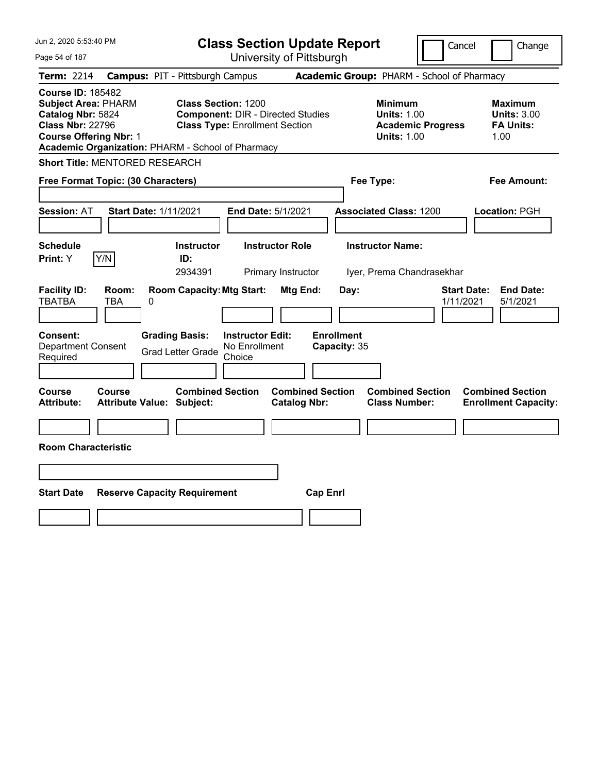| Jun 2, 2020 5:53:40 PM                                                                                                                                                                       |                                                                                                                 | <b>Class Section Update Report</b>             |                                                                                        | Cancel<br>Change                                                 |
|----------------------------------------------------------------------------------------------------------------------------------------------------------------------------------------------|-----------------------------------------------------------------------------------------------------------------|------------------------------------------------|----------------------------------------------------------------------------------------|------------------------------------------------------------------|
| Page 54 of 187                                                                                                                                                                               |                                                                                                                 | University of Pittsburgh                       |                                                                                        |                                                                  |
| <b>Term: 2214</b>                                                                                                                                                                            | <b>Campus: PIT - Pittsburgh Campus</b>                                                                          |                                                | Academic Group: PHARM - School of Pharmacy                                             |                                                                  |
| <b>Course ID: 185482</b><br><b>Subject Area: PHARM</b><br>Catalog Nbr: 5824<br><b>Class Nbr: 22796</b><br><b>Course Offering Nbr: 1</b><br>Academic Organization: PHARM - School of Pharmacy | <b>Class Section: 1200</b><br><b>Component: DIR - Directed Studies</b><br><b>Class Type: Enrollment Section</b> |                                                | <b>Minimum</b><br><b>Units: 1.00</b><br><b>Academic Progress</b><br><b>Units: 1.00</b> | <b>Maximum</b><br><b>Units: 3.00</b><br><b>FA Units:</b><br>1.00 |
| Short Title: MENTORED RESEARCH                                                                                                                                                               |                                                                                                                 |                                                |                                                                                        |                                                                  |
| Free Format Topic: (30 Characters)                                                                                                                                                           |                                                                                                                 |                                                | Fee Type:                                                                              | Fee Amount:                                                      |
| <b>Session: AT</b><br><b>Start Date: 1/11/2021</b>                                                                                                                                           | End Date: 5/1/2021                                                                                              |                                                | <b>Associated Class: 1200</b>                                                          | Location: PGH                                                    |
| <b>Schedule</b><br>Y/N<br><b>Print:</b> Y                                                                                                                                                    | <b>Instructor</b><br>ID:<br>2934391                                                                             | <b>Instructor Role</b><br>Primary Instructor   | <b>Instructor Name:</b><br>Iyer, Prema Chandrasekhar                                   |                                                                  |
| <b>Facility ID:</b><br>Room:<br><b>TBATBA</b><br>0<br>TBA                                                                                                                                    | <b>Room Capacity: Mtg Start:</b>                                                                                | Mtg End:<br>Day:                               |                                                                                        | <b>End Date:</b><br><b>Start Date:</b><br>1/11/2021<br>5/1/2021  |
| <b>Consent:</b><br><b>Department Consent</b><br>Required                                                                                                                                     | <b>Grading Basis:</b><br><b>Instructor Edit:</b><br>No Enrollment<br><b>Grad Letter Grade</b><br>Choice         | <b>Enrollment</b><br>Capacity: 35              |                                                                                        |                                                                  |
| Course<br>Course<br><b>Attribute Value: Subject:</b><br>Attribute:                                                                                                                           | <b>Combined Section</b>                                                                                         | <b>Combined Section</b><br><b>Catalog Nbr:</b> | <b>Combined Section</b><br><b>Class Number:</b>                                        | <b>Combined Section</b><br><b>Enrollment Capacity:</b>           |
| <b>Room Characteristic</b>                                                                                                                                                                   |                                                                                                                 |                                                |                                                                                        |                                                                  |
|                                                                                                                                                                                              |                                                                                                                 |                                                |                                                                                        |                                                                  |
| <b>Start Date</b><br><b>Reserve Capacity Requirement</b>                                                                                                                                     |                                                                                                                 | <b>Cap Enrl</b>                                |                                                                                        |                                                                  |
|                                                                                                                                                                                              |                                                                                                                 |                                                |                                                                                        |                                                                  |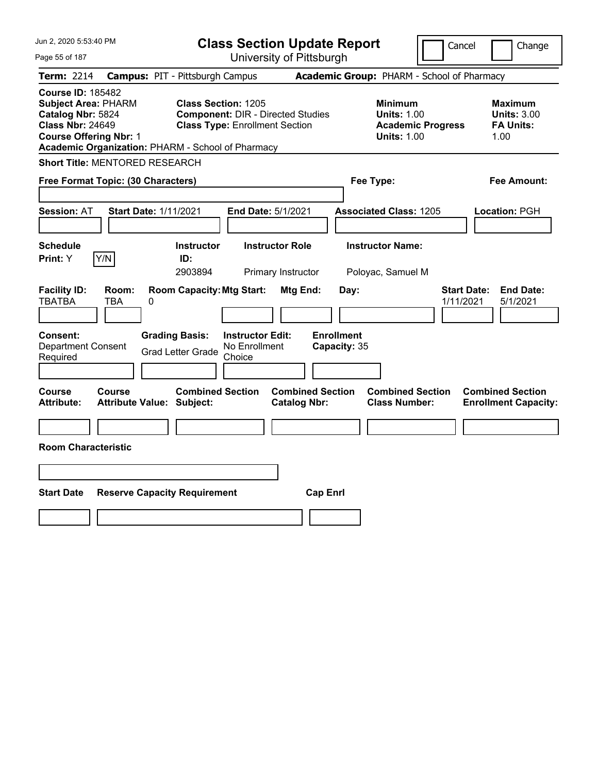| Jun 2, 2020 5:53:40 PM                                                                                                                                                                       | <b>Class Section Update Report</b>                                                                              |                                                |                                                                                        | Cancel<br>Change                                                 |
|----------------------------------------------------------------------------------------------------------------------------------------------------------------------------------------------|-----------------------------------------------------------------------------------------------------------------|------------------------------------------------|----------------------------------------------------------------------------------------|------------------------------------------------------------------|
| Page 55 of 187                                                                                                                                                                               | University of Pittsburgh                                                                                        |                                                |                                                                                        |                                                                  |
| Term: 2214                                                                                                                                                                                   | <b>Campus: PIT - Pittsburgh Campus</b>                                                                          |                                                | Academic Group: PHARM - School of Pharmacy                                             |                                                                  |
| <b>Course ID: 185482</b><br><b>Subject Area: PHARM</b><br>Catalog Nbr: 5824<br><b>Class Nbr: 24649</b><br><b>Course Offering Nbr: 1</b><br>Academic Organization: PHARM - School of Pharmacy | <b>Class Section: 1205</b><br><b>Component: DIR - Directed Studies</b><br><b>Class Type: Enrollment Section</b> |                                                | <b>Minimum</b><br><b>Units: 1.00</b><br><b>Academic Progress</b><br><b>Units: 1.00</b> | <b>Maximum</b><br><b>Units: 3.00</b><br><b>FA Units:</b><br>1.00 |
| Short Title: MENTORED RESEARCH                                                                                                                                                               |                                                                                                                 |                                                |                                                                                        |                                                                  |
| Free Format Topic: (30 Characters)                                                                                                                                                           |                                                                                                                 |                                                | Fee Type:                                                                              | Fee Amount:                                                      |
| <b>Start Date: 1/11/2021</b><br><b>Session: AT</b>                                                                                                                                           | End Date: 5/1/2021                                                                                              |                                                | <b>Associated Class: 1205</b>                                                          | Location: PGH                                                    |
| <b>Schedule</b><br>Y/N<br>Print: Y                                                                                                                                                           | <b>Instructor Role</b><br><b>Instructor</b><br>ID:<br>2903894<br>Primary Instructor                             |                                                | <b>Instructor Name:</b><br>Poloyac, Samuel M                                           |                                                                  |
| <b>Facility ID:</b><br>Room:<br><b>TBATBA</b><br>TBA<br>0                                                                                                                                    | <b>Room Capacity: Mtg Start:</b>                                                                                | Mtg End:<br>Day:                               |                                                                                        | <b>Start Date:</b><br><b>End Date:</b><br>1/11/2021<br>5/1/2021  |
| <b>Consent:</b><br>Department Consent<br>Required                                                                                                                                            | <b>Grading Basis:</b><br><b>Instructor Edit:</b><br>No Enrollment<br><b>Grad Letter Grade</b><br>Choice         | <b>Enrollment</b><br>Capacity: 35              |                                                                                        |                                                                  |
| Course<br>Course<br><b>Attribute Value: Subject:</b><br>Attribute:                                                                                                                           | <b>Combined Section</b>                                                                                         | <b>Combined Section</b><br><b>Catalog Nbr:</b> | <b>Combined Section</b><br><b>Class Number:</b>                                        | <b>Combined Section</b><br><b>Enrollment Capacity:</b>           |
| <b>Room Characteristic</b>                                                                                                                                                                   |                                                                                                                 |                                                |                                                                                        |                                                                  |
|                                                                                                                                                                                              |                                                                                                                 |                                                |                                                                                        |                                                                  |
| <b>Start Date</b><br><b>Reserve Capacity Requirement</b>                                                                                                                                     |                                                                                                                 | <b>Cap Enrl</b>                                |                                                                                        |                                                                  |
|                                                                                                                                                                                              |                                                                                                                 |                                                |                                                                                        |                                                                  |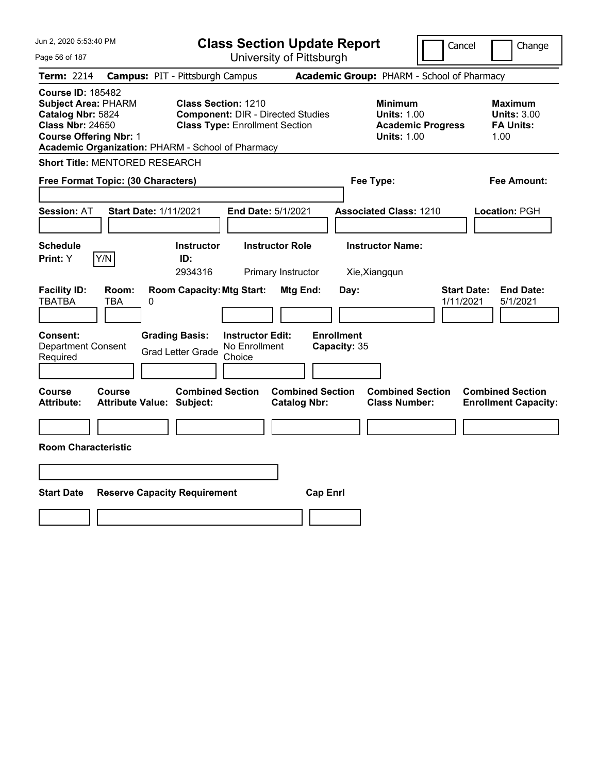| Jun 2, 2020 5:53:40 PM<br>Page 56 of 187                                                                                                                                                     | <b>Class Section Update Report</b><br>University of Pittsburgh                                                                               | Cancel                                                                                 | Change                                                           |
|----------------------------------------------------------------------------------------------------------------------------------------------------------------------------------------------|----------------------------------------------------------------------------------------------------------------------------------------------|----------------------------------------------------------------------------------------|------------------------------------------------------------------|
| <b>Term: 2214</b>                                                                                                                                                                            | <b>Campus: PIT - Pittsburgh Campus</b>                                                                                                       | Academic Group: PHARM - School of Pharmacy                                             |                                                                  |
| <b>Course ID: 185482</b><br><b>Subject Area: PHARM</b><br>Catalog Nbr: 5824<br><b>Class Nbr: 24650</b><br><b>Course Offering Nbr: 1</b><br>Academic Organization: PHARM - School of Pharmacy | <b>Class Section: 1210</b><br><b>Component: DIR - Directed Studies</b><br><b>Class Type: Enrollment Section</b>                              | <b>Minimum</b><br><b>Units: 1.00</b><br><b>Academic Progress</b><br><b>Units: 1.00</b> | <b>Maximum</b><br><b>Units: 3.00</b><br><b>FA Units:</b><br>1.00 |
| Short Title: MENTORED RESEARCH                                                                                                                                                               |                                                                                                                                              |                                                                                        |                                                                  |
| Free Format Topic: (30 Characters)                                                                                                                                                           |                                                                                                                                              | Fee Type:                                                                              | Fee Amount:                                                      |
| <b>Session: AT</b><br><b>Start Date: 1/11/2021</b>                                                                                                                                           | End Date: 5/1/2021                                                                                                                           | <b>Associated Class: 1210</b>                                                          | Location: PGH                                                    |
| <b>Schedule</b><br>Print: Y<br>Y/N                                                                                                                                                           | <b>Instructor Role</b><br><b>Instructor</b><br>ID:<br>2934316<br>Primary Instructor                                                          | <b>Instructor Name:</b><br>Xie, Xiangqun                                               |                                                                  |
| <b>Facility ID:</b><br>Room:<br>TBATBA<br>TBA<br>0                                                                                                                                           | <b>Room Capacity: Mtg Start:</b><br><b>Mtg End:</b>                                                                                          | Day:<br>1/11/2021                                                                      | <b>Start Date:</b><br><b>End Date:</b><br>5/1/2021               |
| Consent:<br><b>Department Consent</b><br>Required                                                                                                                                            | <b>Enrollment</b><br><b>Grading Basis:</b><br><b>Instructor Edit:</b><br>No Enrollment<br>Capacity: 35<br><b>Grad Letter Grade</b><br>Choice |                                                                                        |                                                                  |
| Course<br>Course<br><b>Attribute Value: Subject:</b><br><b>Attribute:</b>                                                                                                                    | <b>Combined Section</b><br><b>Combined Section</b><br><b>Catalog Nbr:</b>                                                                    | <b>Combined Section</b><br><b>Class Number:</b>                                        | <b>Combined Section</b><br><b>Enrollment Capacity:</b>           |
| <b>Room Characteristic</b>                                                                                                                                                                   |                                                                                                                                              |                                                                                        |                                                                  |
|                                                                                                                                                                                              |                                                                                                                                              |                                                                                        |                                                                  |
| <b>Start Date</b><br><b>Reserve Capacity Requirement</b>                                                                                                                                     | <b>Cap Enrl</b>                                                                                                                              |                                                                                        |                                                                  |
|                                                                                                                                                                                              |                                                                                                                                              |                                                                                        |                                                                  |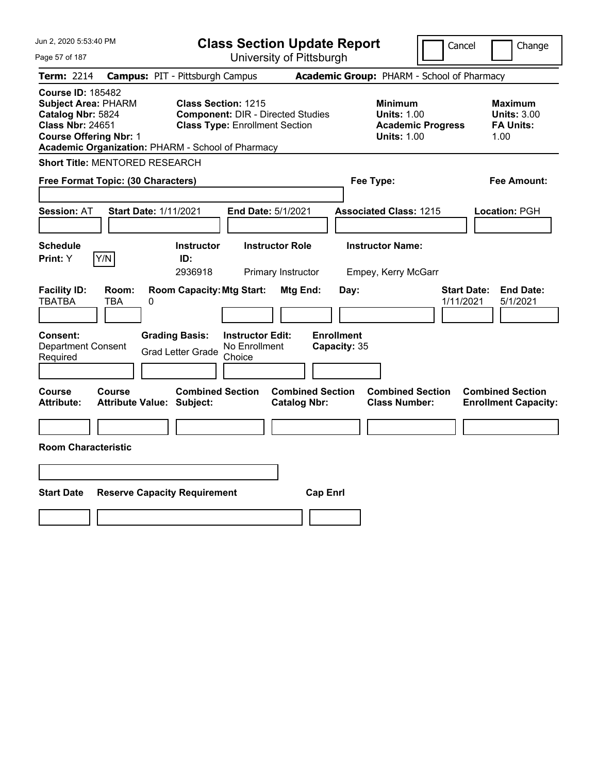| Jun 2, 2020 5:53:40 PM<br>Page 57 of 187                                                                                                                                                     | <b>Class Section Update Report</b><br>University of Pittsburgh                                                                               | Cancel                                                                                 | Change                                                           |
|----------------------------------------------------------------------------------------------------------------------------------------------------------------------------------------------|----------------------------------------------------------------------------------------------------------------------------------------------|----------------------------------------------------------------------------------------|------------------------------------------------------------------|
| <b>Term: 2214</b>                                                                                                                                                                            | <b>Campus: PIT - Pittsburgh Campus</b>                                                                                                       | Academic Group: PHARM - School of Pharmacy                                             |                                                                  |
| <b>Course ID: 185482</b><br><b>Subject Area: PHARM</b><br>Catalog Nbr: 5824<br><b>Class Nbr: 24651</b><br><b>Course Offering Nbr: 1</b><br>Academic Organization: PHARM - School of Pharmacy | <b>Class Section: 1215</b><br><b>Component: DIR - Directed Studies</b><br><b>Class Type: Enrollment Section</b>                              | <b>Minimum</b><br><b>Units: 1.00</b><br><b>Academic Progress</b><br><b>Units: 1.00</b> | <b>Maximum</b><br><b>Units: 3.00</b><br><b>FA Units:</b><br>1.00 |
| <b>Short Title: MENTORED RESEARCH</b>                                                                                                                                                        |                                                                                                                                              |                                                                                        |                                                                  |
| Free Format Topic: (30 Characters)                                                                                                                                                           |                                                                                                                                              | Fee Type:                                                                              | Fee Amount:                                                      |
| <b>Start Date: 1/11/2021</b><br><b>Session: AT</b>                                                                                                                                           | End Date: 5/1/2021                                                                                                                           | <b>Associated Class: 1215</b>                                                          | Location: PGH                                                    |
| <b>Schedule</b><br>Print: Y<br>Y/N                                                                                                                                                           | Instructor<br><b>Instructor Role</b><br>ID:<br>2936918<br>Primary Instructor                                                                 | <b>Instructor Name:</b><br>Empey, Kerry McGarr                                         |                                                                  |
| <b>Facility ID:</b><br>Room:<br>TBATBA<br>TBA<br>0                                                                                                                                           | <b>Room Capacity: Mtg Start:</b><br>Mtg End:                                                                                                 | Day:                                                                                   | <b>End Date:</b><br><b>Start Date:</b><br>1/11/2021<br>5/1/2021  |
| Consent:<br><b>Department Consent</b><br>Required                                                                                                                                            | <b>Enrollment</b><br><b>Grading Basis:</b><br><b>Instructor Edit:</b><br>No Enrollment<br>Capacity: 35<br><b>Grad Letter Grade</b><br>Choice |                                                                                        |                                                                  |
| Course<br>Course<br><b>Attribute Value: Subject:</b><br><b>Attribute:</b>                                                                                                                    | <b>Combined Section</b><br><b>Combined Section</b><br><b>Catalog Nbr:</b>                                                                    | <b>Combined Section</b><br><b>Class Number:</b>                                        | <b>Combined Section</b><br><b>Enrollment Capacity:</b>           |
| <b>Room Characteristic</b>                                                                                                                                                                   |                                                                                                                                              |                                                                                        |                                                                  |
|                                                                                                                                                                                              |                                                                                                                                              |                                                                                        |                                                                  |
| <b>Start Date</b><br><b>Reserve Capacity Requirement</b>                                                                                                                                     | <b>Cap Enrl</b>                                                                                                                              |                                                                                        |                                                                  |
|                                                                                                                                                                                              |                                                                                                                                              |                                                                                        |                                                                  |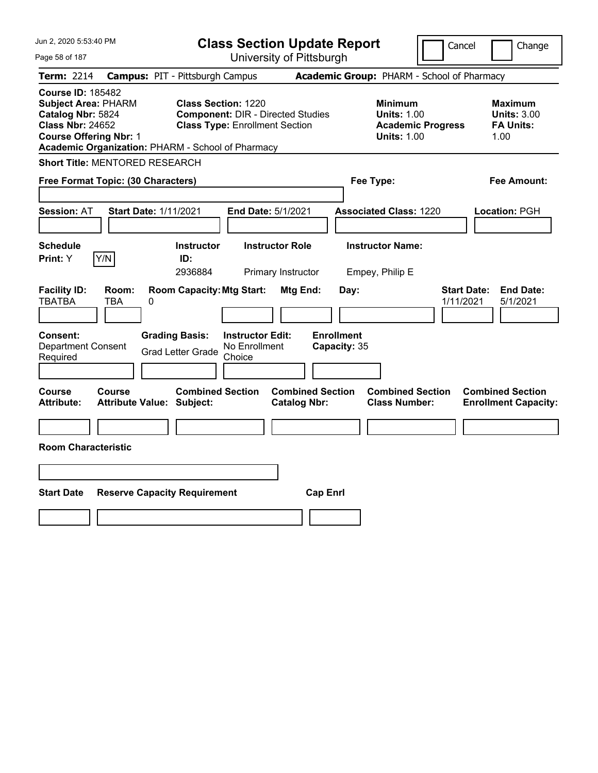| Jun 2, 2020 5:53:40 PM                                                                                                                                                                       | <b>Class Section Update Report</b>                                                                                                           | Cancel                                                                                 | Change                                                           |
|----------------------------------------------------------------------------------------------------------------------------------------------------------------------------------------------|----------------------------------------------------------------------------------------------------------------------------------------------|----------------------------------------------------------------------------------------|------------------------------------------------------------------|
| Page 58 of 187                                                                                                                                                                               | University of Pittsburgh                                                                                                                     |                                                                                        |                                                                  |
| Term: 2214                                                                                                                                                                                   | <b>Campus: PIT - Pittsburgh Campus</b>                                                                                                       | Academic Group: PHARM - School of Pharmacy                                             |                                                                  |
| <b>Course ID: 185482</b><br><b>Subject Area: PHARM</b><br>Catalog Nbr: 5824<br><b>Class Nbr: 24652</b><br><b>Course Offering Nbr: 1</b><br>Academic Organization: PHARM - School of Pharmacy | <b>Class Section: 1220</b><br><b>Component: DIR - Directed Studies</b><br><b>Class Type: Enrollment Section</b>                              | <b>Minimum</b><br><b>Units: 1.00</b><br><b>Academic Progress</b><br><b>Units: 1.00</b> | <b>Maximum</b><br><b>Units: 3.00</b><br><b>FA Units:</b><br>1.00 |
| Short Title: MENTORED RESEARCH                                                                                                                                                               |                                                                                                                                              |                                                                                        |                                                                  |
| Free Format Topic: (30 Characters)                                                                                                                                                           |                                                                                                                                              | Fee Type:                                                                              | Fee Amount:                                                      |
| <b>Session: AT</b><br>Start Date: 1/11/2021                                                                                                                                                  | End Date: 5/1/2021                                                                                                                           | <b>Associated Class: 1220</b>                                                          | Location: PGH                                                    |
| <b>Schedule</b><br>Y/N<br>Print: Y                                                                                                                                                           | <b>Instructor</b><br><b>Instructor Role</b><br>ID:<br>2936884<br>Primary Instructor                                                          | <b>Instructor Name:</b><br>Empey, Philip E                                             |                                                                  |
| <b>Facility ID:</b><br>Room:<br><b>TBATBA</b><br>TBA<br>0                                                                                                                                    | <b>Room Capacity: Mtg Start:</b><br>Mtg End:                                                                                                 | <b>Start Date:</b><br>Day:<br>1/11/2021                                                | <b>End Date:</b><br>5/1/2021                                     |
| Consent:<br><b>Department Consent</b><br>Required                                                                                                                                            | <b>Enrollment</b><br><b>Grading Basis:</b><br><b>Instructor Edit:</b><br>No Enrollment<br>Capacity: 35<br><b>Grad Letter Grade</b><br>Choice |                                                                                        |                                                                  |
| <b>Course</b><br>Course<br><b>Attribute Value: Subject:</b><br><b>Attribute:</b>                                                                                                             | <b>Combined Section</b><br><b>Combined Section</b><br><b>Catalog Nbr:</b>                                                                    | <b>Combined Section</b><br><b>Class Number:</b>                                        | <b>Combined Section</b><br><b>Enrollment Capacity:</b>           |
| <b>Room Characteristic</b>                                                                                                                                                                   |                                                                                                                                              |                                                                                        |                                                                  |
|                                                                                                                                                                                              |                                                                                                                                              |                                                                                        |                                                                  |
| <b>Start Date</b><br><b>Reserve Capacity Requirement</b>                                                                                                                                     | <b>Cap Enrl</b>                                                                                                                              |                                                                                        |                                                                  |
|                                                                                                                                                                                              |                                                                                                                                              |                                                                                        |                                                                  |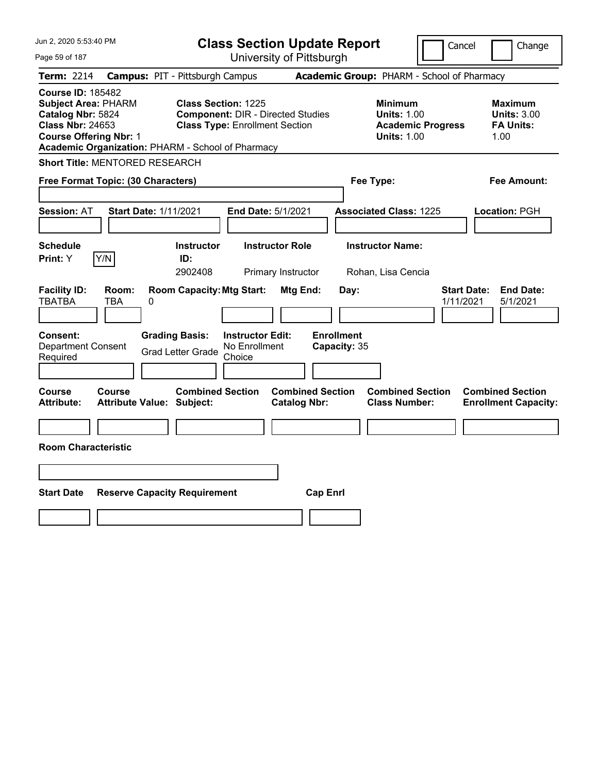| Jun 2, 2020 5:53:40 PM<br>Page 59 of 187                                                                                                                                                     | <b>Class Section Update Report</b><br>University of Pittsburgh                                                  | Cancel                                                                                 | Change                                                           |
|----------------------------------------------------------------------------------------------------------------------------------------------------------------------------------------------|-----------------------------------------------------------------------------------------------------------------|----------------------------------------------------------------------------------------|------------------------------------------------------------------|
| <b>Term: 2214</b>                                                                                                                                                                            | <b>Campus: PIT - Pittsburgh Campus</b>                                                                          | Academic Group: PHARM - School of Pharmacy                                             |                                                                  |
| <b>Course ID: 185482</b><br><b>Subject Area: PHARM</b><br>Catalog Nbr: 5824<br><b>Class Nbr: 24653</b><br><b>Course Offering Nbr: 1</b><br>Academic Organization: PHARM - School of Pharmacy | <b>Class Section: 1225</b><br><b>Component: DIR - Directed Studies</b><br><b>Class Type: Enrollment Section</b> | <b>Minimum</b><br><b>Units: 1.00</b><br><b>Academic Progress</b><br><b>Units: 1.00</b> | <b>Maximum</b><br><b>Units: 3.00</b><br><b>FA Units:</b><br>1.00 |
| <b>Short Title: MENTORED RESEARCH</b>                                                                                                                                                        |                                                                                                                 |                                                                                        |                                                                  |
| Free Format Topic: (30 Characters)                                                                                                                                                           |                                                                                                                 | Fee Type:                                                                              | Fee Amount:                                                      |
| <b>Start Date: 1/11/2021</b><br><b>Session: AT</b>                                                                                                                                           | End Date: 5/1/2021                                                                                              | <b>Associated Class: 1225</b>                                                          | Location: PGH                                                    |
| <b>Schedule</b><br>Print: Y<br>Y/N                                                                                                                                                           | <b>Instructor Role</b><br><b>Instructor</b><br>ID:<br>2902408<br>Primary Instructor                             | <b>Instructor Name:</b><br>Rohan, Lisa Cencia                                          |                                                                  |
| <b>Facility ID:</b><br>Room:<br>TBATBA<br>TBA<br>0                                                                                                                                           | <b>Room Capacity: Mtg Start:</b><br>Mtg End:                                                                    | Day:<br>1/11/2021                                                                      | <b>Start Date:</b><br><b>End Date:</b><br>5/1/2021               |
| Consent:<br>Department Consent<br>Required                                                                                                                                                   | <b>Grading Basis:</b><br><b>Instructor Edit:</b><br>No Enrollment<br><b>Grad Letter Grade</b><br>Choice         | <b>Enrollment</b><br>Capacity: 35                                                      |                                                                  |
| Course<br>Course<br><b>Attribute:</b><br><b>Attribute Value: Subject:</b>                                                                                                                    | <b>Combined Section</b><br><b>Combined Section</b><br><b>Catalog Nbr:</b>                                       | <b>Combined Section</b><br><b>Class Number:</b>                                        | <b>Combined Section</b><br><b>Enrollment Capacity:</b>           |
| <b>Room Characteristic</b>                                                                                                                                                                   |                                                                                                                 |                                                                                        |                                                                  |
|                                                                                                                                                                                              |                                                                                                                 |                                                                                        |                                                                  |
| <b>Start Date</b><br><b>Reserve Capacity Requirement</b>                                                                                                                                     | <b>Cap Enrl</b>                                                                                                 |                                                                                        |                                                                  |
|                                                                                                                                                                                              |                                                                                                                 |                                                                                        |                                                                  |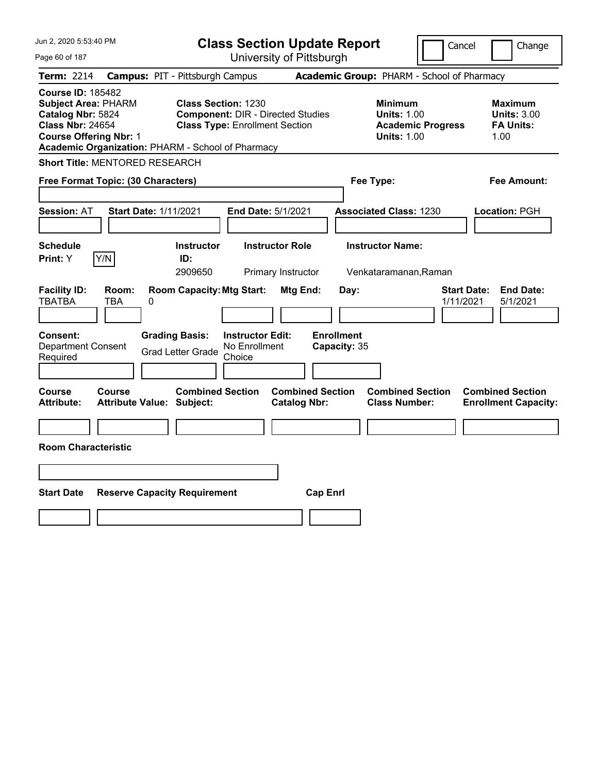| Jun 2, 2020 5:53:40 PM                                                                                                                                                                       | <b>Class Section Update Report</b>                                                                              | Cancel                                                                                 | Change                                                           |
|----------------------------------------------------------------------------------------------------------------------------------------------------------------------------------------------|-----------------------------------------------------------------------------------------------------------------|----------------------------------------------------------------------------------------|------------------------------------------------------------------|
| Page 60 of 187                                                                                                                                                                               | University of Pittsburgh                                                                                        |                                                                                        |                                                                  |
| <b>Term: 2214</b>                                                                                                                                                                            | <b>Campus: PIT - Pittsburgh Campus</b>                                                                          | Academic Group: PHARM - School of Pharmacy                                             |                                                                  |
| <b>Course ID: 185482</b><br><b>Subject Area: PHARM</b><br>Catalog Nbr: 5824<br><b>Class Nbr: 24654</b><br><b>Course Offering Nbr: 1</b><br>Academic Organization: PHARM - School of Pharmacy | <b>Class Section: 1230</b><br><b>Component: DIR - Directed Studies</b><br><b>Class Type: Enrollment Section</b> | <b>Minimum</b><br><b>Units: 1.00</b><br><b>Academic Progress</b><br><b>Units: 1.00</b> | <b>Maximum</b><br><b>Units: 3.00</b><br><b>FA Units:</b><br>1.00 |
| <b>Short Title: MENTORED RESEARCH</b>                                                                                                                                                        |                                                                                                                 |                                                                                        |                                                                  |
| Free Format Topic: (30 Characters)                                                                                                                                                           |                                                                                                                 | Fee Type:                                                                              | Fee Amount:                                                      |
| <b>Start Date: 1/11/2021</b><br><b>Session: AT</b>                                                                                                                                           | End Date: 5/1/2021                                                                                              | <b>Associated Class: 1230</b>                                                          | Location: PGH                                                    |
|                                                                                                                                                                                              |                                                                                                                 |                                                                                        |                                                                  |
| <b>Schedule</b><br>Print: Y<br> Y/N                                                                                                                                                          | <b>Instructor Role</b><br><b>Instructor</b><br>ID:<br>2909650<br>Primary Instructor                             | <b>Instructor Name:</b><br>Venkataramanan, Raman                                       |                                                                  |
| <b>Facility ID:</b><br>Room:<br><b>TBATBA</b><br>TBA<br>0                                                                                                                                    | <b>Room Capacity: Mtg Start:</b><br>Mtg End:                                                                    | Day:<br><b>Start Date:</b><br>1/11/2021                                                | <b>End Date:</b><br>5/1/2021                                     |
| Consent:<br><b>Department Consent</b><br>Required                                                                                                                                            | <b>Grading Basis:</b><br><b>Instructor Edit:</b><br>No Enrollment<br><b>Grad Letter Grade</b><br>Choice         | <b>Enrollment</b><br>Capacity: 35                                                      |                                                                  |
| Course<br><b>Course</b><br><b>Attribute Value: Subject:</b><br><b>Attribute:</b>                                                                                                             | <b>Combined Section</b><br><b>Combined Section</b><br><b>Catalog Nbr:</b>                                       | <b>Combined Section</b><br><b>Class Number:</b>                                        | <b>Combined Section</b><br><b>Enrollment Capacity:</b>           |
| <b>Room Characteristic</b>                                                                                                                                                                   |                                                                                                                 |                                                                                        |                                                                  |
|                                                                                                                                                                                              |                                                                                                                 |                                                                                        |                                                                  |
| <b>Start Date</b><br><b>Reserve Capacity Requirement</b>                                                                                                                                     | <b>Cap Enrl</b>                                                                                                 |                                                                                        |                                                                  |
|                                                                                                                                                                                              |                                                                                                                 |                                                                                        |                                                                  |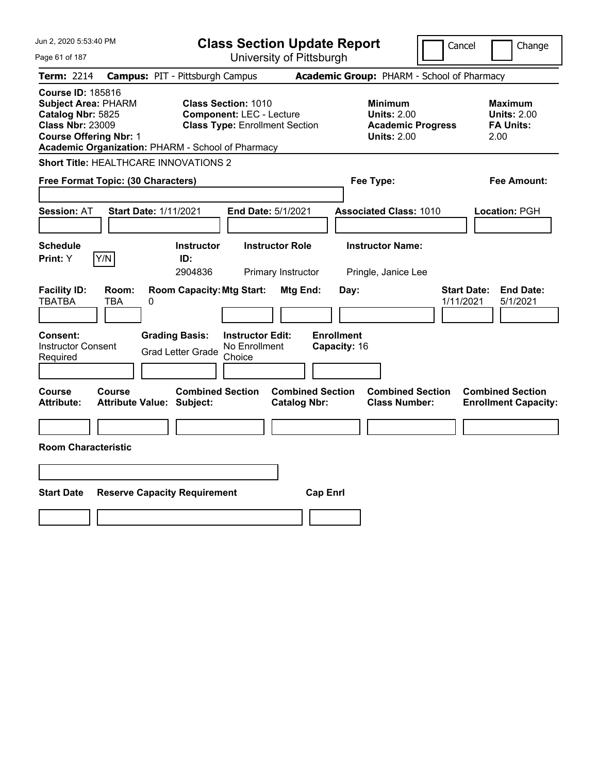| Jun 2, 2020 5:53:40 PM                                                                                                                                                                       | <b>Class Section Update Report</b>                                                                      | Cancel                                                                                 | Change                                                           |
|----------------------------------------------------------------------------------------------------------------------------------------------------------------------------------------------|---------------------------------------------------------------------------------------------------------|----------------------------------------------------------------------------------------|------------------------------------------------------------------|
| Page 61 of 187                                                                                                                                                                               | University of Pittsburgh                                                                                |                                                                                        |                                                                  |
| <b>Term: 2214</b>                                                                                                                                                                            | <b>Campus: PIT - Pittsburgh Campus</b>                                                                  | Academic Group: PHARM - School of Pharmacy                                             |                                                                  |
| <b>Course ID: 185816</b><br><b>Subject Area: PHARM</b><br>Catalog Nbr: 5825<br><b>Class Nbr: 23009</b><br><b>Course Offering Nbr: 1</b><br>Academic Organization: PHARM - School of Pharmacy | <b>Class Section: 1010</b><br><b>Component: LEC - Lecture</b><br><b>Class Type: Enrollment Section</b>  | <b>Minimum</b><br><b>Units: 2.00</b><br><b>Academic Progress</b><br><b>Units: 2.00</b> | <b>Maximum</b><br><b>Units: 2.00</b><br><b>FA Units:</b><br>2.00 |
| <b>Short Title: HEALTHCARE INNOVATIONS 2</b>                                                                                                                                                 |                                                                                                         |                                                                                        |                                                                  |
| Free Format Topic: (30 Characters)                                                                                                                                                           |                                                                                                         | Fee Type:                                                                              | Fee Amount:                                                      |
| Start Date: 1/11/2021<br><b>Session: AT</b>                                                                                                                                                  | End Date: 5/1/2021                                                                                      | <b>Associated Class: 1010</b>                                                          | Location: PGH                                                    |
| <b>Schedule</b><br>Y/N<br><b>Print:</b> Y                                                                                                                                                    | <b>Instructor Role</b><br><b>Instructor</b><br>ID:<br>2904836<br>Primary Instructor                     | <b>Instructor Name:</b><br>Pringle, Janice Lee                                         |                                                                  |
| <b>Facility ID:</b><br>Room:<br><b>TBATBA</b><br>TBA<br>0                                                                                                                                    | <b>Room Capacity: Mtg Start:</b><br>Mtg End:                                                            | Day:<br>1/11/2021                                                                      | <b>Start Date:</b><br><b>End Date:</b><br>5/1/2021               |
| Consent:<br><b>Instructor Consent</b><br>Required                                                                                                                                            | <b>Grading Basis:</b><br><b>Instructor Edit:</b><br>No Enrollment<br><b>Grad Letter Grade</b><br>Choice | <b>Enrollment</b><br>Capacity: 16                                                      |                                                                  |
| <b>Course</b><br><b>Course</b><br><b>Attribute Value: Subject:</b><br><b>Attribute:</b>                                                                                                      | <b>Combined Section</b><br><b>Combined Section</b><br><b>Catalog Nbr:</b>                               | <b>Combined Section</b><br><b>Class Number:</b>                                        | <b>Combined Section</b><br><b>Enrollment Capacity:</b>           |
| <b>Room Characteristic</b>                                                                                                                                                                   |                                                                                                         |                                                                                        |                                                                  |
|                                                                                                                                                                                              |                                                                                                         |                                                                                        |                                                                  |
| <b>Start Date</b><br><b>Reserve Capacity Requirement</b>                                                                                                                                     |                                                                                                         | <b>Cap Enrl</b>                                                                        |                                                                  |
|                                                                                                                                                                                              |                                                                                                         |                                                                                        |                                                                  |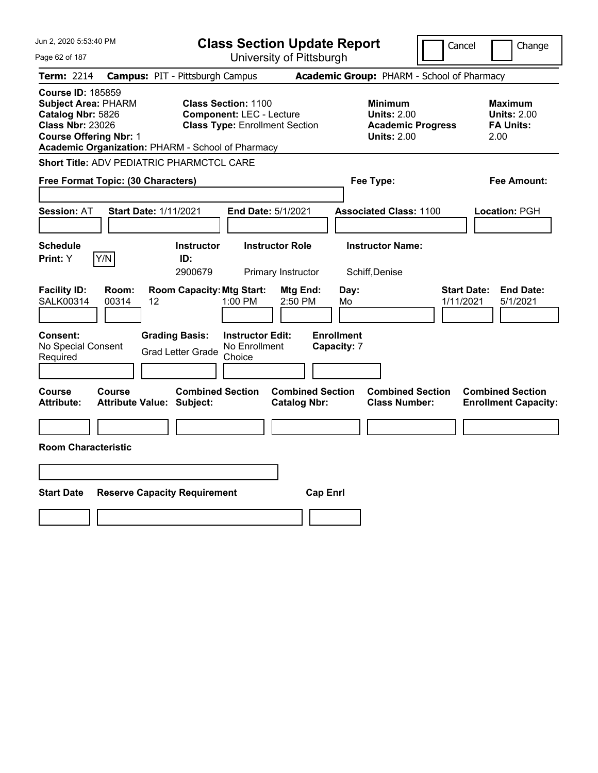| Jun 2, 2020 5:53:40 PM                                                                                                                  |                                                                                                                                                             | <b>Class Section Update Report</b>             |                                                                                        | Cancel<br>Change                                                 |
|-----------------------------------------------------------------------------------------------------------------------------------------|-------------------------------------------------------------------------------------------------------------------------------------------------------------|------------------------------------------------|----------------------------------------------------------------------------------------|------------------------------------------------------------------|
| Page 62 of 187                                                                                                                          |                                                                                                                                                             | University of Pittsburgh                       |                                                                                        |                                                                  |
| Term: 2214                                                                                                                              | <b>Campus: PIT - Pittsburgh Campus</b>                                                                                                                      |                                                | Academic Group: PHARM - School of Pharmacy                                             |                                                                  |
| <b>Course ID: 185859</b><br><b>Subject Area: PHARM</b><br>Catalog Nbr: 5826<br><b>Class Nbr: 23026</b><br><b>Course Offering Nbr: 1</b> | <b>Class Section: 1100</b><br><b>Component: LEC - Lecture</b><br><b>Class Type: Enrollment Section</b><br>Academic Organization: PHARM - School of Pharmacy |                                                | <b>Minimum</b><br><b>Units: 2.00</b><br><b>Academic Progress</b><br><b>Units: 2.00</b> | <b>Maximum</b><br><b>Units: 2.00</b><br><b>FA Units:</b><br>2.00 |
| Short Title: ADV PEDIATRIC PHARMCTCL CARE                                                                                               |                                                                                                                                                             |                                                |                                                                                        |                                                                  |
| Free Format Topic: (30 Characters)                                                                                                      |                                                                                                                                                             |                                                | Fee Type:                                                                              | Fee Amount:                                                      |
| <b>Session: AT</b><br>Start Date: 1/11/2021                                                                                             | End Date: 5/1/2021                                                                                                                                          |                                                | <b>Associated Class: 1100</b>                                                          | Location: PGH                                                    |
| <b>Schedule</b><br>Y/N<br>Print: Y                                                                                                      | <b>Instructor Role</b><br><b>Instructor</b><br>ID:<br>2900679<br>Primary Instructor                                                                         |                                                | <b>Instructor Name:</b><br>Schiff, Denise                                              |                                                                  |
| <b>Facility ID:</b><br>Room:<br>SALK00314<br>00314<br>12                                                                                | <b>Room Capacity: Mtg Start:</b><br>$1:00$ PM                                                                                                               | Mtg End:<br>Day:<br>2:50 PM<br>Mo              |                                                                                        | <b>Start Date:</b><br><b>End Date:</b><br>1/11/2021<br>5/1/2021  |
| Consent:<br>No Special Consent<br>Required                                                                                              | <b>Grading Basis:</b><br><b>Instructor Edit:</b><br>No Enrollment<br><b>Grad Letter Grade</b><br>Choice                                                     | <b>Enrollment</b><br>Capacity: 7               |                                                                                        |                                                                  |
| <b>Course</b><br><b>Course</b><br><b>Attribute:</b><br><b>Attribute Value: Subject:</b>                                                 | <b>Combined Section</b>                                                                                                                                     | <b>Combined Section</b><br><b>Catalog Nbr:</b> | <b>Combined Section</b><br><b>Class Number:</b>                                        | <b>Combined Section</b><br><b>Enrollment Capacity:</b>           |
| <b>Room Characteristic</b>                                                                                                              |                                                                                                                                                             |                                                |                                                                                        |                                                                  |
| <b>Start Date</b>                                                                                                                       | <b>Reserve Capacity Requirement</b>                                                                                                                         | <b>Cap Enrl</b>                                |                                                                                        |                                                                  |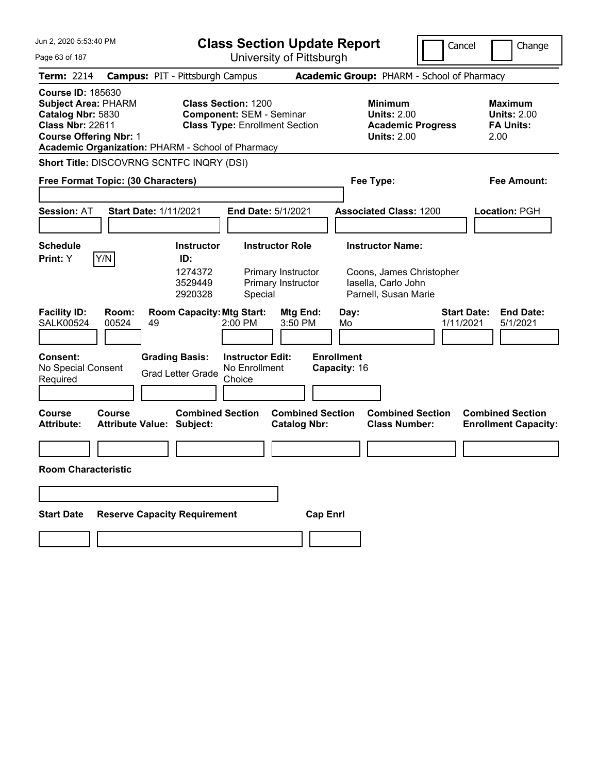| Jun 2, 2020 5:53:40 PM                                                                                                                                                                       | <b>Class Section Update Report</b><br>Cancel<br>Change      |                                                                          |                                                                                        |                                                                 |
|----------------------------------------------------------------------------------------------------------------------------------------------------------------------------------------------|-------------------------------------------------------------|--------------------------------------------------------------------------|----------------------------------------------------------------------------------------|-----------------------------------------------------------------|
| Page 63 of 187                                                                                                                                                                               |                                                             | University of Pittsburgh                                                 |                                                                                        |                                                                 |
| <b>Term: 2214</b>                                                                                                                                                                            | <b>Campus: PIT - Pittsburgh Campus</b>                      |                                                                          | Academic Group: PHARM - School of Pharmacy                                             |                                                                 |
| <b>Course ID: 185630</b><br><b>Subject Area: PHARM</b><br>Catalog Nbr: 5830<br><b>Class Nbr: 22611</b><br><b>Course Offering Nbr: 1</b><br>Academic Organization: PHARM - School of Pharmacy | Class Section: 1200                                         | <b>Component: SEM - Seminar</b><br><b>Class Type: Enrollment Section</b> | <b>Minimum</b><br><b>Units: 2.00</b><br><b>Academic Progress</b><br><b>Units: 2.00</b> | Maximum<br><b>Units: 2.00</b><br><b>FA Units:</b><br>2.00       |
| <b>Short Title: DISCOVRNG SCNTFC INQRY (DSI)</b>                                                                                                                                             |                                                             |                                                                          |                                                                                        |                                                                 |
| Free Format Topic: (30 Characters)                                                                                                                                                           |                                                             |                                                                          | Fee Type:                                                                              | Fee Amount:                                                     |
|                                                                                                                                                                                              |                                                             |                                                                          |                                                                                        |                                                                 |
| <b>Session: AT</b>                                                                                                                                                                           | <b>Start Date: 1/11/2021</b>                                | <b>End Date: 5/1/2021</b>                                                | <b>Associated Class: 1200</b>                                                          | Location: PGH                                                   |
|                                                                                                                                                                                              |                                                             |                                                                          |                                                                                        |                                                                 |
| <b>Schedule</b>                                                                                                                                                                              | <b>Instructor</b>                                           | <b>Instructor Role</b>                                                   | <b>Instructor Name:</b>                                                                |                                                                 |
| Y/N<br>Print: Y                                                                                                                                                                              | ID:                                                         |                                                                          |                                                                                        |                                                                 |
|                                                                                                                                                                                              | 1274372<br>3529449<br>2920328                               | Primary Instructor<br>Primary Instructor<br>Special                      | Coons, James Christopher<br>lasella, Carlo John<br>Parnell, Susan Marie                |                                                                 |
| <b>Facility ID:</b><br>Room:<br><b>SALK00524</b><br>00524                                                                                                                                    | <b>Room Capacity: Mtg Start:</b><br>49                      | Mtg End:<br>2:00 PM<br>3:50 PM                                           | Day:<br>Mo                                                                             | <b>Start Date:</b><br><b>End Date:</b><br>1/11/2021<br>5/1/2021 |
| Consent:                                                                                                                                                                                     | <b>Grading Basis:</b>                                       | <b>Instructor Edit:</b>                                                  | <b>Enrollment</b>                                                                      |                                                                 |
| No Special Consent                                                                                                                                                                           | <b>Grad Letter Grade</b>                                    | No Enrollment                                                            | Capacity: 16                                                                           |                                                                 |
| Required                                                                                                                                                                                     |                                                             | Choice                                                                   |                                                                                        |                                                                 |
| <b>Course</b><br>Course<br><b>Attribute:</b>                                                                                                                                                 | <b>Combined Section</b><br><b>Attribute Value: Subject:</b> | <b>Combined Section</b><br><b>Catalog Nbr:</b>                           | <b>Combined Section</b><br><b>Class Number:</b>                                        | <b>Combined Section</b><br><b>Enrollment Capacity:</b>          |
|                                                                                                                                                                                              |                                                             |                                                                          |                                                                                        |                                                                 |
| Room Characteristic                                                                                                                                                                          |                                                             |                                                                          |                                                                                        |                                                                 |
|                                                                                                                                                                                              |                                                             |                                                                          |                                                                                        |                                                                 |
| <b>Start Date</b>                                                                                                                                                                            | <b>Reserve Capacity Requirement</b>                         | <b>Cap Enrl</b>                                                          |                                                                                        |                                                                 |
|                                                                                                                                                                                              |                                                             |                                                                          |                                                                                        |                                                                 |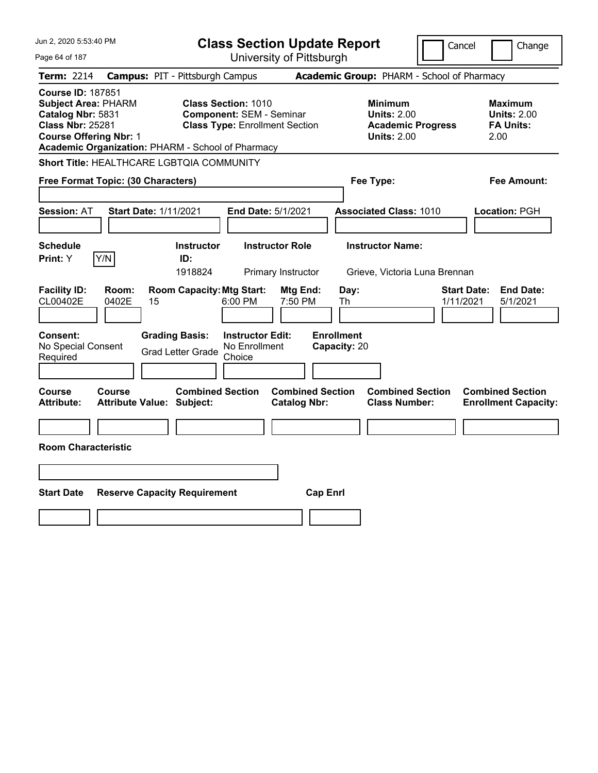|                                                                                                                                                             |                                                                                        | Cancel<br>Change                                                                                                                                                                                                                                            |
|-------------------------------------------------------------------------------------------------------------------------------------------------------------|----------------------------------------------------------------------------------------|-------------------------------------------------------------------------------------------------------------------------------------------------------------------------------------------------------------------------------------------------------------|
|                                                                                                                                                             |                                                                                        |                                                                                                                                                                                                                                                             |
| <b>Campus: PIT - Pittsburgh Campus</b>                                                                                                                      |                                                                                        |                                                                                                                                                                                                                                                             |
| <b>Class Section: 1010</b><br><b>Component: SEM - Seminar</b><br><b>Class Type: Enrollment Section</b><br>Academic Organization: PHARM - School of Pharmacy | <b>Minimum</b><br><b>Units: 2.00</b><br><b>Academic Progress</b><br><b>Units: 2.00</b> | <b>Maximum</b><br><b>Units: 2.00</b><br><b>FA Units:</b><br>2.00                                                                                                                                                                                            |
| <b>Short Title: HEALTHCARE LGBTQIA COMMUNITY</b>                                                                                                            |                                                                                        |                                                                                                                                                                                                                                                             |
|                                                                                                                                                             | Fee Type:                                                                              | Fee Amount:                                                                                                                                                                                                                                                 |
| End Date: 5/1/2021                                                                                                                                          | <b>Associated Class: 1010</b>                                                          | Location: PGH                                                                                                                                                                                                                                               |
|                                                                                                                                                             |                                                                                        |                                                                                                                                                                                                                                                             |
|                                                                                                                                                             |                                                                                        |                                                                                                                                                                                                                                                             |
| <b>Room Capacity: Mtg Start:</b><br>Mtg End:<br>6:00 PM<br>7:50 PM<br><b>Instructor Edit:</b><br>No Enrollment<br><b>Grad Letter Grade</b><br>Choice        | Day:<br>Th                                                                             | <b>Start Date:</b><br><b>End Date:</b><br>1/11/2021<br>5/1/2021                                                                                                                                                                                             |
| <b>Combined Section</b><br><b>Catalog Nbr:</b>                                                                                                              | <b>Combined Section</b><br><b>Class Number:</b>                                        | <b>Combined Section</b><br><b>Enrollment Capacity:</b>                                                                                                                                                                                                      |
|                                                                                                                                                             |                                                                                        |                                                                                                                                                                                                                                                             |
|                                                                                                                                                             |                                                                                        |                                                                                                                                                                                                                                                             |
| <b>Reserve Capacity Requirement</b>                                                                                                                         |                                                                                        |                                                                                                                                                                                                                                                             |
|                                                                                                                                                             |                                                                                        |                                                                                                                                                                                                                                                             |
|                                                                                                                                                             | <b>Instructor Role</b><br><b>Instructor</b><br>Primary Instructor                      | <b>Class Section Update Report</b><br>University of Pittsburgh<br>Academic Group: PHARM - School of Pharmacy<br><b>Instructor Name:</b><br>Grieve, Victoria Luna Brennan<br><b>Enrollment</b><br>Capacity: 20<br><b>Combined Section</b><br><b>Cap Enrl</b> |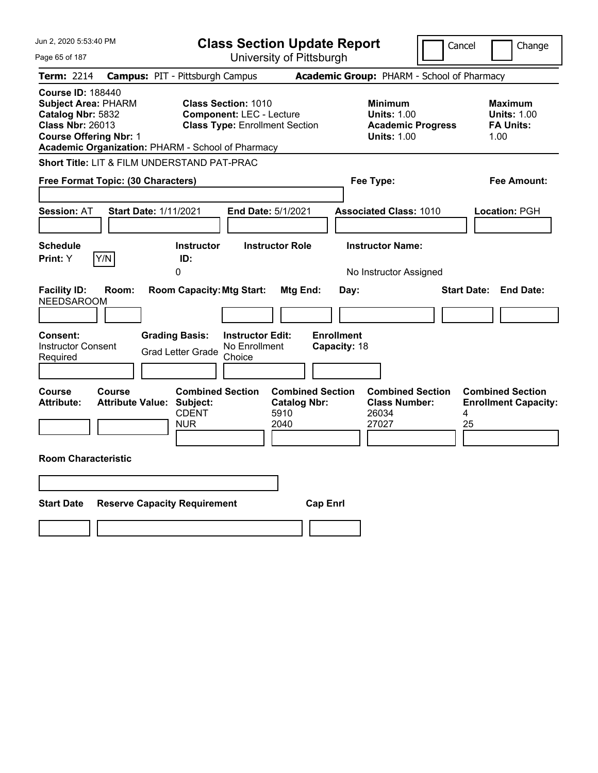| Jun 2, 2020 5:53:40 PM                                                                                                                                                                       | <b>Class Section Update Report</b>                                                                      |                                                                                              | Cancel<br>Change                                                  |
|----------------------------------------------------------------------------------------------------------------------------------------------------------------------------------------------|---------------------------------------------------------------------------------------------------------|----------------------------------------------------------------------------------------------|-------------------------------------------------------------------|
| Page 65 of 187                                                                                                                                                                               | University of Pittsburgh                                                                                |                                                                                              |                                                                   |
| <b>Term: 2214</b>                                                                                                                                                                            | <b>Campus: PIT - Pittsburgh Campus</b>                                                                  | Academic Group: PHARM - School of Pharmacy                                                   |                                                                   |
| <b>Course ID: 188440</b><br><b>Subject Area: PHARM</b><br>Catalog Nbr: 5832<br><b>Class Nbr: 26013</b><br><b>Course Offering Nbr: 1</b><br>Academic Organization: PHARM - School of Pharmacy | <b>Class Section: 1010</b><br><b>Component: LEC - Lecture</b><br><b>Class Type: Enrollment Section</b>  | <b>Minimum</b><br><b>Units: 1.00</b><br><b>Academic Progress</b><br><b>Units: 1.00</b>       | Maximum<br><b>Units: 1.00</b><br><b>FA Units:</b><br>1.00         |
| <b>Short Title: LIT &amp; FILM UNDERSTAND PAT-PRAC</b>                                                                                                                                       |                                                                                                         |                                                                                              |                                                                   |
| Free Format Topic: (30 Characters)                                                                                                                                                           |                                                                                                         | Fee Type:                                                                                    | Fee Amount:                                                       |
| <b>Session: AT</b><br><b>Start Date: 1/11/2021</b>                                                                                                                                           | <b>End Date: 5/1/2021</b>                                                                               | <b>Associated Class: 1010</b>                                                                | <b>Location: PGH</b>                                              |
| <b>Schedule</b>                                                                                                                                                                              | <b>Instructor</b><br><b>Instructor Role</b>                                                             | <b>Instructor Name:</b>                                                                      |                                                                   |
| Y/N<br>Print: Y                                                                                                                                                                              | ID:<br>0                                                                                                |                                                                                              |                                                                   |
| <b>Facility ID:</b><br>Room:<br><b>NEEDSAROOM</b>                                                                                                                                            | <b>Room Capacity: Mtg Start:</b><br>Mtg End:                                                            | No Instructor Assigned<br>Day:                                                               | <b>Start Date:</b><br><b>End Date:</b>                            |
| Consent:<br><b>Instructor Consent</b><br>Required                                                                                                                                            | <b>Grading Basis:</b><br><b>Instructor Edit:</b><br>No Enrollment<br><b>Grad Letter Grade</b><br>Choice | <b>Enrollment</b><br>Capacity: 18                                                            |                                                                   |
| Course<br>Course<br><b>Attribute:</b><br><b>Attribute Value: Subject:</b>                                                                                                                    | <b>Combined Section</b><br><b>Catalog Nbr:</b><br><b>CDENT</b><br>5910<br><b>NUR</b><br>2040            | <b>Combined Section</b><br><b>Combined Section</b><br><b>Class Number:</b><br>26034<br>27027 | <b>Combined Section</b><br><b>Enrollment Capacity:</b><br>4<br>25 |
| <b>Room Characteristic</b>                                                                                                                                                                   |                                                                                                         |                                                                                              |                                                                   |
|                                                                                                                                                                                              |                                                                                                         |                                                                                              |                                                                   |
| <b>Start Date</b><br><b>Reserve Capacity Requirement</b>                                                                                                                                     |                                                                                                         | <b>Cap Enrl</b>                                                                              |                                                                   |
|                                                                                                                                                                                              |                                                                                                         |                                                                                              |                                                                   |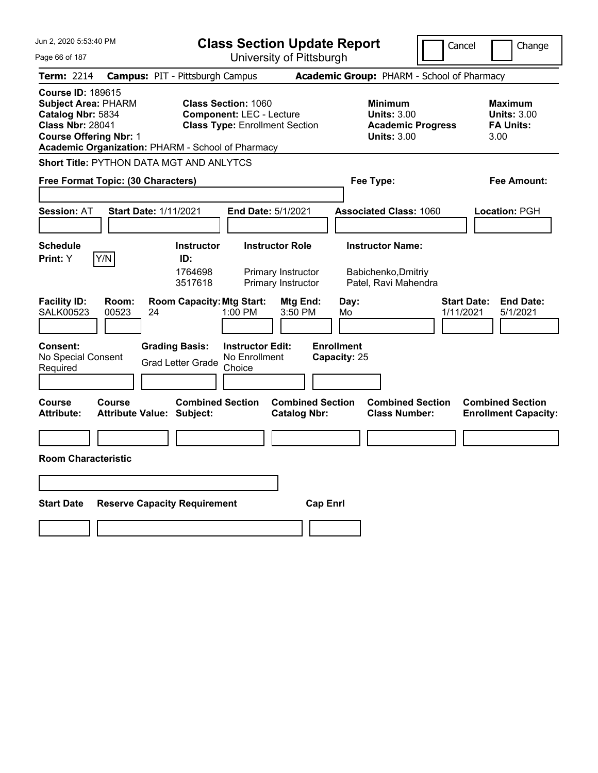| Jun 2, 2020 5:53:40 PM                                                                                                                  | <b>Class Section Update Report</b>                                                                                                                          | Cancel                                                                                 | Change                                                           |
|-----------------------------------------------------------------------------------------------------------------------------------------|-------------------------------------------------------------------------------------------------------------------------------------------------------------|----------------------------------------------------------------------------------------|------------------------------------------------------------------|
| Page 66 of 187                                                                                                                          | University of Pittsburgh                                                                                                                                    |                                                                                        |                                                                  |
| <b>Term: 2214</b>                                                                                                                       | <b>Campus: PIT - Pittsburgh Campus</b>                                                                                                                      | Academic Group: PHARM - School of Pharmacy                                             |                                                                  |
| <b>Course ID: 189615</b><br><b>Subject Area: PHARM</b><br>Catalog Nbr: 5834<br><b>Class Nbr: 28041</b><br><b>Course Offering Nbr: 1</b> | <b>Class Section: 1060</b><br><b>Component: LEC - Lecture</b><br><b>Class Type: Enrollment Section</b><br>Academic Organization: PHARM - School of Pharmacy | <b>Minimum</b><br><b>Units: 3.00</b><br><b>Academic Progress</b><br><b>Units: 3.00</b> | <b>Maximum</b><br><b>Units: 3.00</b><br><b>FA Units:</b><br>3.00 |
| <b>Short Title: PYTHON DATA MGT AND ANLYTCS</b>                                                                                         |                                                                                                                                                             |                                                                                        |                                                                  |
| Free Format Topic: (30 Characters)                                                                                                      |                                                                                                                                                             | Fee Type:                                                                              | Fee Amount:                                                      |
| <b>Session: AT</b>                                                                                                                      | <b>Start Date: 1/11/2021</b><br>End Date: 5/1/2021                                                                                                          | <b>Associated Class: 1060</b>                                                          | Location: PGH                                                    |
| <b>Schedule</b>                                                                                                                         | <b>Instructor Role</b><br><b>Instructor</b>                                                                                                                 | <b>Instructor Name:</b>                                                                |                                                                  |
| Y/N<br>Print: Y<br><b>Facility ID:</b><br>Room:                                                                                         | ID:<br>1764698<br>Primary Instructor<br>3517618<br>Primary Instructor<br><b>Room Capacity: Mtg Start:</b><br>Mtg End:                                       | Babichenko, Dmitriy<br>Patel, Ravi Mahendra<br>Day:                                    | <b>End Date:</b><br><b>Start Date:</b>                           |
| <b>SALK00523</b><br>00523                                                                                                               | 24<br>1:00 PM<br>3:50 PM                                                                                                                                    | 1/11/2021<br>Mo                                                                        | 5/1/2021                                                         |
| <b>Consent:</b><br>No Special Consent<br>Required                                                                                       | <b>Grading Basis:</b><br><b>Instructor Edit:</b><br>No Enrollment<br><b>Grad Letter Grade</b><br>Choice<br><b>Combined Section</b>                          | <b>Enrollment</b><br>Capacity: 25<br><b>Combined Section</b>                           |                                                                  |
| <b>Course</b><br><b>Course</b><br><b>Attribute:</b>                                                                                     | <b>Combined Section</b><br><b>Catalog Nbr:</b><br><b>Attribute Value: Subject:</b>                                                                          | <b>Class Number:</b>                                                                   | <b>Combined Section</b><br><b>Enrollment Capacity:</b>           |
|                                                                                                                                         |                                                                                                                                                             |                                                                                        |                                                                  |
| <b>Room Characteristic</b>                                                                                                              |                                                                                                                                                             |                                                                                        |                                                                  |
|                                                                                                                                         |                                                                                                                                                             |                                                                                        |                                                                  |
| <b>Start Date</b>                                                                                                                       | <b>Reserve Capacity Requirement</b>                                                                                                                         | <b>Cap Enrl</b>                                                                        |                                                                  |
|                                                                                                                                         |                                                                                                                                                             |                                                                                        |                                                                  |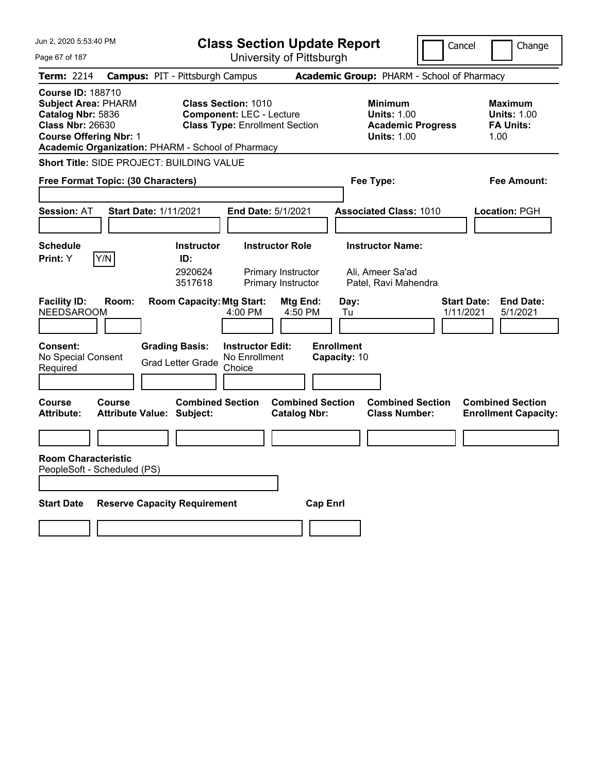| Jun 2, 2020 5:53:40 PM                                                                                                                  | <b>Class Section Update Report</b><br>Cancel                                                                                                                |                                                                                        |                                                                  |  |  |
|-----------------------------------------------------------------------------------------------------------------------------------------|-------------------------------------------------------------------------------------------------------------------------------------------------------------|----------------------------------------------------------------------------------------|------------------------------------------------------------------|--|--|
| Page 67 of 187                                                                                                                          | University of Pittsburgh                                                                                                                                    |                                                                                        |                                                                  |  |  |
| <b>Term: 2214</b>                                                                                                                       | <b>Campus: PIT - Pittsburgh Campus</b>                                                                                                                      | Academic Group: PHARM - School of Pharmacy                                             |                                                                  |  |  |
| <b>Course ID: 188710</b><br><b>Subject Area: PHARM</b><br>Catalog Nbr: 5836<br><b>Class Nbr: 26630</b><br><b>Course Offering Nbr: 1</b> | <b>Class Section: 1010</b><br><b>Component: LEC - Lecture</b><br><b>Class Type: Enrollment Section</b><br>Academic Organization: PHARM - School of Pharmacy | <b>Minimum</b><br><b>Units: 1.00</b><br><b>Academic Progress</b><br><b>Units: 1.00</b> | <b>Maximum</b><br><b>Units: 1.00</b><br><b>FA Units:</b><br>1.00 |  |  |
| Short Title: SIDE PROJECT: BUILDING VALUE                                                                                               |                                                                                                                                                             |                                                                                        |                                                                  |  |  |
| Free Format Topic: (30 Characters)                                                                                                      |                                                                                                                                                             | Fee Type:                                                                              | Fee Amount:                                                      |  |  |
| <b>Session: AT</b>                                                                                                                      | <b>Start Date: 1/11/2021</b><br><b>End Date: 5/1/2021</b>                                                                                                   | <b>Associated Class: 1010</b>                                                          | Location: PGH                                                    |  |  |
| <b>Schedule</b>                                                                                                                         | <b>Instructor</b><br><b>Instructor Role</b>                                                                                                                 | <b>Instructor Name:</b>                                                                |                                                                  |  |  |
| Print: Y<br>Y/N                                                                                                                         | ID:                                                                                                                                                         |                                                                                        |                                                                  |  |  |
|                                                                                                                                         | 2920624<br>Primary Instructor<br>3517618<br>Primary Instructor                                                                                              | Ali, Ameer Sa'ad<br>Patel, Ravi Mahendra                                               |                                                                  |  |  |
| <b>Facility ID:</b><br>Room:<br><b>NEEDSAROOM</b>                                                                                       | <b>Room Capacity: Mtg Start:</b><br>Mtg End:<br>4:00 PM<br>4:50 PM                                                                                          | Day:<br>Tu                                                                             | <b>Start Date:</b><br><b>End Date:</b><br>1/11/2021<br>5/1/2021  |  |  |
| Consent:<br>No Special Consent<br>Required                                                                                              | <b>Grading Basis:</b><br><b>Instructor Edit:</b><br>No Enrollment<br><b>Grad Letter Grade</b><br>Choice                                                     | <b>Enrollment</b><br>Capacity: 10                                                      |                                                                  |  |  |
| <b>Course</b><br>Course<br><b>Attribute:</b>                                                                                            | <b>Combined Section</b><br><b>Attribute Value: Subject:</b><br><b>Catalog Nbr:</b>                                                                          | <b>Combined Section</b><br><b>Combined Section</b><br><b>Class Number:</b>             | <b>Combined Section</b><br><b>Enrollment Capacity:</b>           |  |  |
|                                                                                                                                         |                                                                                                                                                             |                                                                                        |                                                                  |  |  |
| <b>Room Characteristic</b><br>PeopleSoft - Scheduled (PS)                                                                               |                                                                                                                                                             |                                                                                        |                                                                  |  |  |
| <b>Start Date</b>                                                                                                                       | <b>Reserve Capacity Requirement</b>                                                                                                                         | <b>Cap Enrl</b>                                                                        |                                                                  |  |  |
|                                                                                                                                         |                                                                                                                                                             |                                                                                        |                                                                  |  |  |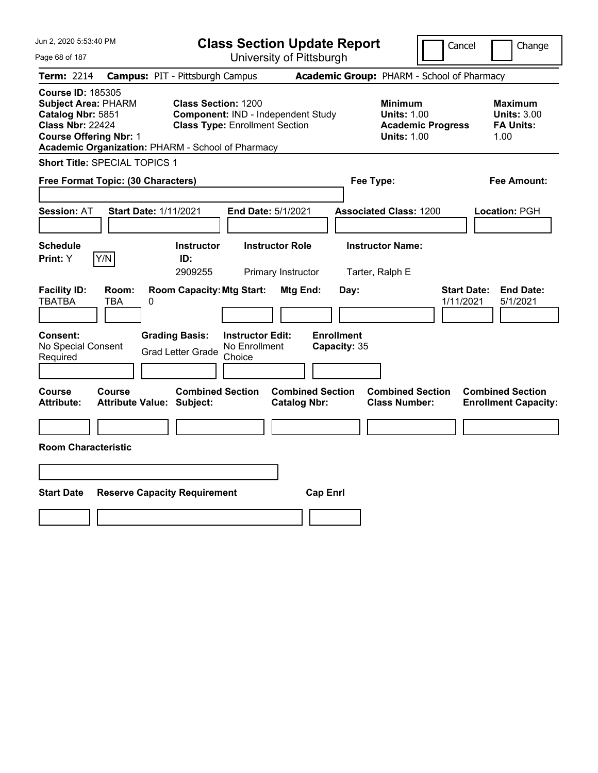| Jun 2, 2020 5:53:40 PM                                                                                                                                                                       |                                                             |                                                                             | <b>Class Section Update Report</b>             |                                                                                        | Cancel<br>Change                                                 |
|----------------------------------------------------------------------------------------------------------------------------------------------------------------------------------------------|-------------------------------------------------------------|-----------------------------------------------------------------------------|------------------------------------------------|----------------------------------------------------------------------------------------|------------------------------------------------------------------|
| Page 68 of 187                                                                                                                                                                               |                                                             | University of Pittsburgh                                                    |                                                |                                                                                        |                                                                  |
| <b>Term: 2214</b>                                                                                                                                                                            | <b>Campus: PIT - Pittsburgh Campus</b>                      |                                                                             |                                                | Academic Group: PHARM - School of Pharmacy                                             |                                                                  |
| <b>Course ID: 185305</b><br><b>Subject Area: PHARM</b><br>Catalog Nbr: 5851<br><b>Class Nbr: 22424</b><br><b>Course Offering Nbr: 1</b><br>Academic Organization: PHARM - School of Pharmacy | <b>Class Section: 1200</b>                                  | Component: IND - Independent Study<br><b>Class Type: Enrollment Section</b> |                                                | <b>Minimum</b><br><b>Units: 1.00</b><br><b>Academic Progress</b><br><b>Units: 1.00</b> | <b>Maximum</b><br><b>Units: 3.00</b><br><b>FA Units:</b><br>1.00 |
| Short Title: SPECIAL TOPICS 1                                                                                                                                                                |                                                             |                                                                             |                                                |                                                                                        |                                                                  |
| Free Format Topic: (30 Characters)                                                                                                                                                           |                                                             |                                                                             |                                                | Fee Type:                                                                              | Fee Amount:                                                      |
| <b>Session: AT</b>                                                                                                                                                                           | <b>Start Date: 1/11/2021</b>                                | End Date: 5/1/2021                                                          |                                                | <b>Associated Class: 1200</b>                                                          | Location: PGH                                                    |
| <b>Schedule</b><br>Y/N<br>Print: Y                                                                                                                                                           | <b>Instructor</b><br>ID:<br>2909255                         | <b>Instructor Role</b><br>Primary Instructor                                |                                                | <b>Instructor Name:</b><br>Tarter, Ralph E                                             |                                                                  |
| <b>Facility ID:</b><br>Room:<br><b>TBATBA</b><br>TBA                                                                                                                                         | <b>Room Capacity: Mtg Start:</b><br>0                       |                                                                             | Mtg End:<br>Day:                               |                                                                                        | <b>Start Date:</b><br><b>End Date:</b><br>1/11/2021<br>5/1/2021  |
| <b>Consent:</b><br>No Special Consent<br>Required                                                                                                                                            | <b>Grading Basis:</b><br><b>Grad Letter Grade</b>           | <b>Instructor Edit:</b><br>No Enrollment<br>Choice                          | <b>Enrollment</b><br>Capacity: 35              |                                                                                        |                                                                  |
| <b>Course</b><br><b>Course</b><br><b>Attribute:</b>                                                                                                                                          | <b>Combined Section</b><br><b>Attribute Value: Subject:</b> |                                                                             | <b>Combined Section</b><br><b>Catalog Nbr:</b> | <b>Combined Section</b><br><b>Class Number:</b>                                        | <b>Combined Section</b><br><b>Enrollment Capacity:</b>           |
| <b>Room Characteristic</b>                                                                                                                                                                   |                                                             |                                                                             |                                                |                                                                                        |                                                                  |
|                                                                                                                                                                                              |                                                             |                                                                             |                                                |                                                                                        |                                                                  |
| <b>Start Date</b>                                                                                                                                                                            | <b>Reserve Capacity Requirement</b>                         |                                                                             | <b>Cap Enrl</b>                                |                                                                                        |                                                                  |
|                                                                                                                                                                                              |                                                             |                                                                             |                                                |                                                                                        |                                                                  |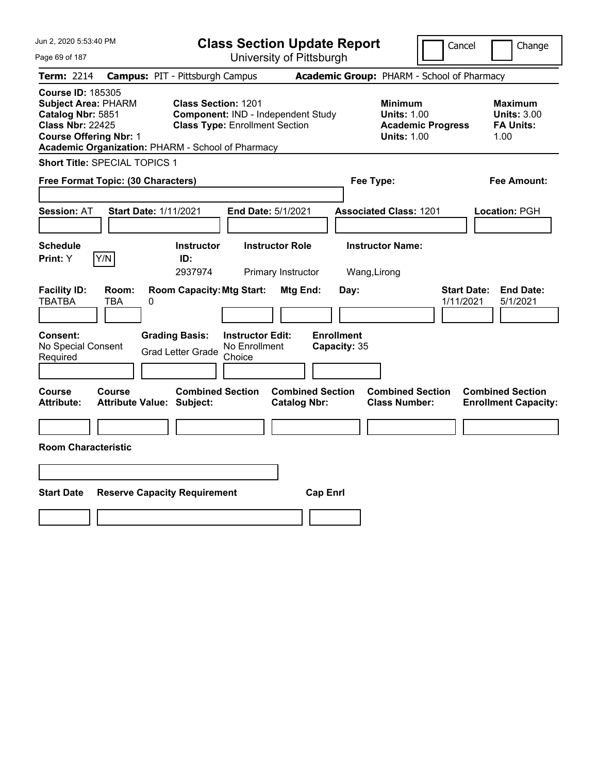| Jun 2, 2020 5:53:40 PM                                                                                                                                                                       |                                            |                                                                     |                                                    | <b>Class Section Update Report</b>             |                                   |                                                            | Cancel                   | Change                                                           |
|----------------------------------------------------------------------------------------------------------------------------------------------------------------------------------------------|--------------------------------------------|---------------------------------------------------------------------|----------------------------------------------------|------------------------------------------------|-----------------------------------|------------------------------------------------------------|--------------------------|------------------------------------------------------------------|
| Page 69 of 187                                                                                                                                                                               |                                            |                                                                     |                                                    | University of Pittsburgh                       |                                   |                                                            |                          |                                                                  |
| Term: 2214                                                                                                                                                                                   | <b>Campus: PIT - Pittsburgh Campus</b>     |                                                                     |                                                    |                                                |                                   | Academic Group: PHARM - School of Pharmacy                 |                          |                                                                  |
| <b>Course ID: 185305</b><br><b>Subject Area: PHARM</b><br>Catalog Nbr: 5851<br><b>Class Nbr: 22425</b><br><b>Course Offering Nbr: 1</b><br>Academic Organization: PHARM - School of Pharmacy |                                            | <b>Class Section: 1201</b><br><b>Class Type: Enrollment Section</b> |                                                    | Component: IND - Independent Study             |                                   | <b>Minimum</b><br><b>Units: 1.00</b><br><b>Units: 1.00</b> | <b>Academic Progress</b> | <b>Maximum</b><br><b>Units: 3.00</b><br><b>FA Units:</b><br>1.00 |
| Short Title: SPECIAL TOPICS 1                                                                                                                                                                |                                            |                                                                     |                                                    |                                                |                                   |                                                            |                          |                                                                  |
| Free Format Topic: (30 Characters)                                                                                                                                                           |                                            |                                                                     |                                                    |                                                |                                   | Fee Type:                                                  |                          | Fee Amount:                                                      |
| <b>Session: AT</b>                                                                                                                                                                           | <b>Start Date: 1/11/2021</b>               |                                                                     |                                                    | End Date: 5/1/2021                             |                                   | <b>Associated Class: 1201</b>                              |                          | Location: PGH                                                    |
| <b>Schedule</b><br>Y/N<br>Print: Y                                                                                                                                                           |                                            | <b>Instructor</b><br>ID:<br>2937974                                 |                                                    | <b>Instructor Role</b><br>Primary Instructor   |                                   | <b>Instructor Name:</b><br>Wang, Lirong                    |                          |                                                                  |
| <b>Facility ID:</b><br><b>TBATBA</b>                                                                                                                                                         | Room:<br>TBA<br>0                          | <b>Room Capacity: Mtg Start:</b>                                    |                                                    | Mtg End:                                       | Day:                              |                                                            |                          | <b>Start Date:</b><br><b>End Date:</b><br>1/11/2021<br>5/1/2021  |
| <b>Consent:</b><br>No Special Consent<br>Required                                                                                                                                            |                                            | <b>Grading Basis:</b><br><b>Grad Letter Grade</b>                   | <b>Instructor Edit:</b><br>No Enrollment<br>Choice |                                                | <b>Enrollment</b><br>Capacity: 35 |                                                            |                          |                                                                  |
| Course<br>Attribute:                                                                                                                                                                         | Course<br><b>Attribute Value: Subject:</b> | <b>Combined Section</b>                                             |                                                    | <b>Combined Section</b><br><b>Catalog Nbr:</b> |                                   | <b>Combined Section</b><br><b>Class Number:</b>            |                          | <b>Combined Section</b><br><b>Enrollment Capacity:</b>           |
|                                                                                                                                                                                              |                                            |                                                                     |                                                    |                                                |                                   |                                                            |                          |                                                                  |
| <b>Room Characteristic</b>                                                                                                                                                                   |                                            |                                                                     |                                                    |                                                |                                   |                                                            |                          |                                                                  |
|                                                                                                                                                                                              |                                            |                                                                     |                                                    |                                                |                                   |                                                            |                          |                                                                  |
| <b>Start Date</b>                                                                                                                                                                            | <b>Reserve Capacity Requirement</b>        |                                                                     |                                                    |                                                | <b>Cap Enrl</b>                   |                                                            |                          |                                                                  |
|                                                                                                                                                                                              |                                            |                                                                     |                                                    |                                                |                                   |                                                            |                          |                                                                  |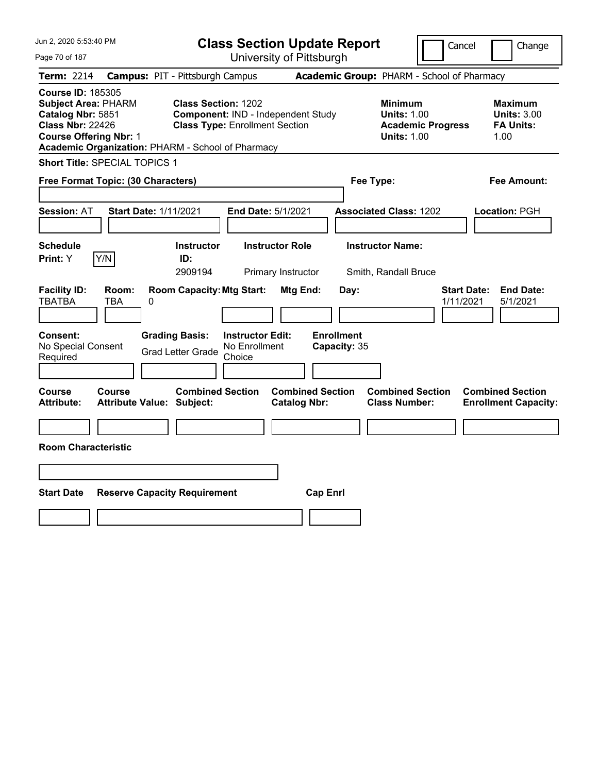| Jun 2, 2020 5:53:40 PM                                                                                                                                                                       |                                        |                                                                     |                                                    | <b>Class Section Update Report</b>             |                                   |                                                            | Cancel                   |                                 | Change                                                           |
|----------------------------------------------------------------------------------------------------------------------------------------------------------------------------------------------|----------------------------------------|---------------------------------------------------------------------|----------------------------------------------------|------------------------------------------------|-----------------------------------|------------------------------------------------------------|--------------------------|---------------------------------|------------------------------------------------------------------|
| Page 70 of 187                                                                                                                                                                               |                                        |                                                                     |                                                    | University of Pittsburgh                       |                                   |                                                            |                          |                                 |                                                                  |
| Term: 2214                                                                                                                                                                                   | <b>Campus: PIT - Pittsburgh Campus</b> |                                                                     |                                                    |                                                |                                   | Academic Group: PHARM - School of Pharmacy                 |                          |                                 |                                                                  |
| <b>Course ID: 185305</b><br><b>Subject Area: PHARM</b><br>Catalog Nbr: 5851<br><b>Class Nbr: 22426</b><br><b>Course Offering Nbr: 1</b><br>Academic Organization: PHARM - School of Pharmacy |                                        | <b>Class Section: 1202</b><br><b>Class Type: Enrollment Section</b> |                                                    | Component: IND - Independent Study             |                                   | <b>Minimum</b><br><b>Units: 1.00</b><br><b>Units: 1.00</b> | <b>Academic Progress</b> |                                 | <b>Maximum</b><br><b>Units: 3.00</b><br><b>FA Units:</b><br>1.00 |
| Short Title: SPECIAL TOPICS 1                                                                                                                                                                |                                        |                                                                     |                                                    |                                                |                                   |                                                            |                          |                                 |                                                                  |
| Free Format Topic: (30 Characters)                                                                                                                                                           |                                        |                                                                     |                                                    |                                                |                                   | Fee Type:                                                  |                          |                                 | Fee Amount:                                                      |
| <b>Session: AT</b>                                                                                                                                                                           | <b>Start Date: 1/11/2021</b>           |                                                                     |                                                    | End Date: 5/1/2021                             |                                   | <b>Associated Class: 1202</b>                              |                          |                                 | Location: PGH                                                    |
| <b>Schedule</b><br>Y/N<br>Print: Y                                                                                                                                                           |                                        | <b>Instructor</b><br>ID:<br>2909194                                 |                                                    | <b>Instructor Role</b><br>Primary Instructor   |                                   | <b>Instructor Name:</b><br>Smith, Randall Bruce            |                          |                                 |                                                                  |
| <b>Facility ID:</b><br><b>TBATBA</b><br>TBA                                                                                                                                                  | Room:<br>0                             | <b>Room Capacity: Mtg Start:</b>                                    |                                                    | Mtg End:                                       | Day:                              |                                                            |                          | <b>Start Date:</b><br>1/11/2021 | <b>End Date:</b><br>5/1/2021                                     |
| Consent:<br>No Special Consent<br>Required                                                                                                                                                   |                                        | <b>Grading Basis:</b><br><b>Grad Letter Grade</b>                   | <b>Instructor Edit:</b><br>No Enrollment<br>Choice |                                                | <b>Enrollment</b><br>Capacity: 35 |                                                            |                          |                                 |                                                                  |
| Course<br>Course<br><b>Attribute:</b>                                                                                                                                                        | <b>Attribute Value: Subject:</b>       | <b>Combined Section</b>                                             |                                                    | <b>Combined Section</b><br><b>Catalog Nbr:</b> |                                   | <b>Combined Section</b><br><b>Class Number:</b>            |                          |                                 | <b>Combined Section</b><br><b>Enrollment Capacity:</b>           |
| <b>Room Characteristic</b>                                                                                                                                                                   |                                        |                                                                     |                                                    |                                                |                                   |                                                            |                          |                                 |                                                                  |
|                                                                                                                                                                                              |                                        |                                                                     |                                                    |                                                |                                   |                                                            |                          |                                 |                                                                  |
| <b>Start Date</b>                                                                                                                                                                            | <b>Reserve Capacity Requirement</b>    |                                                                     |                                                    |                                                | <b>Cap Enrl</b>                   |                                                            |                          |                                 |                                                                  |
|                                                                                                                                                                                              |                                        |                                                                     |                                                    |                                                |                                   |                                                            |                          |                                 |                                                                  |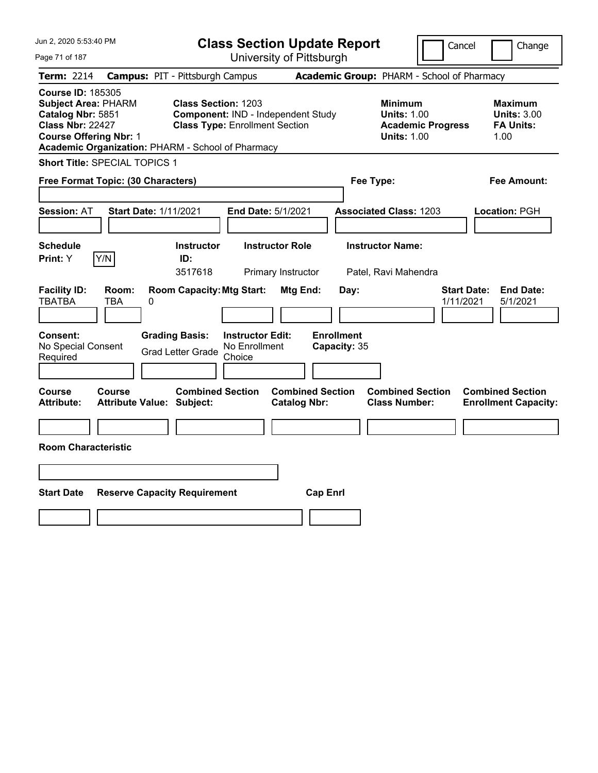| Jun 2, 2020 5:53:40 PM                                                                                                                                                                       |                                            |                                                                     |                                                    | <b>Class Section Update Report</b>             |                                   |                                                            | Cancel                   | Change                                                           |
|----------------------------------------------------------------------------------------------------------------------------------------------------------------------------------------------|--------------------------------------------|---------------------------------------------------------------------|----------------------------------------------------|------------------------------------------------|-----------------------------------|------------------------------------------------------------|--------------------------|------------------------------------------------------------------|
| Page 71 of 187                                                                                                                                                                               |                                            |                                                                     |                                                    | University of Pittsburgh                       |                                   |                                                            |                          |                                                                  |
| Term: 2214                                                                                                                                                                                   | <b>Campus: PIT - Pittsburgh Campus</b>     |                                                                     |                                                    |                                                |                                   | Academic Group: PHARM - School of Pharmacy                 |                          |                                                                  |
| <b>Course ID: 185305</b><br><b>Subject Area: PHARM</b><br>Catalog Nbr: 5851<br><b>Class Nbr: 22427</b><br><b>Course Offering Nbr: 1</b><br>Academic Organization: PHARM - School of Pharmacy |                                            | <b>Class Section: 1203</b><br><b>Class Type: Enrollment Section</b> |                                                    | Component: IND - Independent Study             |                                   | <b>Minimum</b><br><b>Units: 1.00</b><br><b>Units: 1.00</b> | <b>Academic Progress</b> | <b>Maximum</b><br><b>Units: 3.00</b><br><b>FA Units:</b><br>1.00 |
| Short Title: SPECIAL TOPICS 1                                                                                                                                                                |                                            |                                                                     |                                                    |                                                |                                   |                                                            |                          |                                                                  |
| Free Format Topic: (30 Characters)                                                                                                                                                           |                                            |                                                                     |                                                    |                                                |                                   | Fee Type:                                                  |                          | Fee Amount:                                                      |
| <b>Session: AT</b>                                                                                                                                                                           | <b>Start Date: 1/11/2021</b>               |                                                                     |                                                    | End Date: 5/1/2021                             |                                   | <b>Associated Class: 1203</b>                              |                          | Location: PGH                                                    |
| <b>Schedule</b><br>Y/N<br>Print: Y                                                                                                                                                           |                                            | <b>Instructor</b><br>ID:<br>3517618                                 |                                                    | <b>Instructor Role</b><br>Primary Instructor   |                                   | <b>Instructor Name:</b><br>Patel, Ravi Mahendra            |                          |                                                                  |
| <b>Facility ID:</b><br><b>TBATBA</b>                                                                                                                                                         | Room:<br>TBA<br>0                          | <b>Room Capacity: Mtg Start:</b>                                    |                                                    | Mtg End:                                       | Day:                              |                                                            |                          | <b>Start Date:</b><br><b>End Date:</b><br>1/11/2021<br>5/1/2021  |
| <b>Consent:</b><br>No Special Consent<br>Required                                                                                                                                            |                                            | <b>Grading Basis:</b><br><b>Grad Letter Grade</b>                   | <b>Instructor Edit:</b><br>No Enrollment<br>Choice |                                                | <b>Enrollment</b><br>Capacity: 35 |                                                            |                          |                                                                  |
| Course<br>Attribute:                                                                                                                                                                         | Course<br><b>Attribute Value: Subject:</b> | <b>Combined Section</b>                                             |                                                    | <b>Combined Section</b><br><b>Catalog Nbr:</b> |                                   | <b>Combined Section</b><br><b>Class Number:</b>            |                          | <b>Combined Section</b><br><b>Enrollment Capacity:</b>           |
| <b>Room Characteristic</b>                                                                                                                                                                   |                                            |                                                                     |                                                    |                                                |                                   |                                                            |                          |                                                                  |
|                                                                                                                                                                                              |                                            |                                                                     |                                                    |                                                |                                   |                                                            |                          |                                                                  |
| <b>Start Date</b>                                                                                                                                                                            | <b>Reserve Capacity Requirement</b>        |                                                                     |                                                    |                                                | <b>Cap Enrl</b>                   |                                                            |                          |                                                                  |
|                                                                                                                                                                                              |                                            |                                                                     |                                                    |                                                |                                   |                                                            |                          |                                                                  |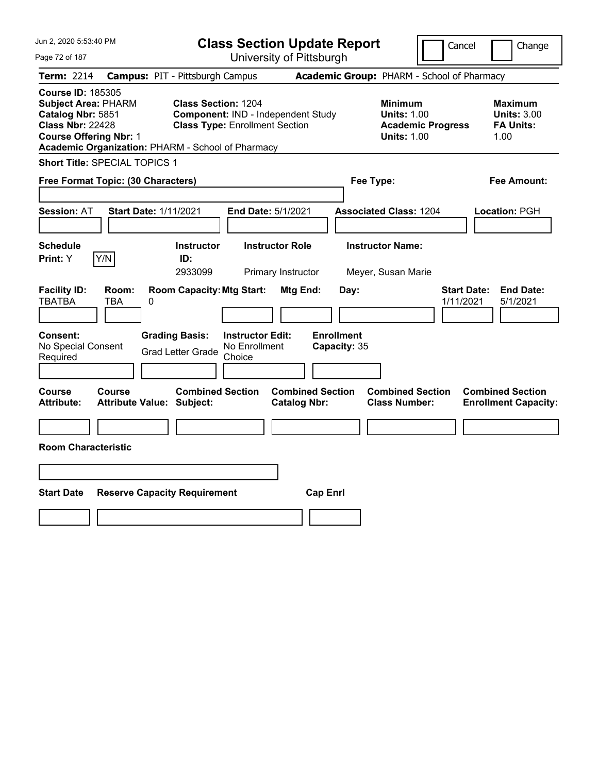| Jun 2, 2020 5:53:40 PM                                                                                                                                                                       |                                        |                                                                     |                                                    | <b>Class Section Update Report</b>             |                                            |                                                            | Cancel                   | Change                                                           |  |
|----------------------------------------------------------------------------------------------------------------------------------------------------------------------------------------------|----------------------------------------|---------------------------------------------------------------------|----------------------------------------------------|------------------------------------------------|--------------------------------------------|------------------------------------------------------------|--------------------------|------------------------------------------------------------------|--|
| Page 72 of 187                                                                                                                                                                               |                                        |                                                                     |                                                    | University of Pittsburgh                       |                                            |                                                            |                          |                                                                  |  |
| Term: 2214                                                                                                                                                                                   | <b>Campus: PIT - Pittsburgh Campus</b> |                                                                     |                                                    |                                                | Academic Group: PHARM - School of Pharmacy |                                                            |                          |                                                                  |  |
| <b>Course ID: 185305</b><br><b>Subject Area: PHARM</b><br>Catalog Nbr: 5851<br><b>Class Nbr: 22428</b><br><b>Course Offering Nbr: 1</b><br>Academic Organization: PHARM - School of Pharmacy |                                        | <b>Class Section: 1204</b><br><b>Class Type: Enrollment Section</b> |                                                    | Component: IND - Independent Study             |                                            | <b>Minimum</b><br><b>Units: 1.00</b><br><b>Units: 1.00</b> | <b>Academic Progress</b> | <b>Maximum</b><br><b>Units: 3.00</b><br><b>FA Units:</b><br>1.00 |  |
| Short Title: SPECIAL TOPICS 1                                                                                                                                                                |                                        |                                                                     |                                                    |                                                |                                            |                                                            |                          |                                                                  |  |
| Free Format Topic: (30 Characters)                                                                                                                                                           |                                        |                                                                     |                                                    |                                                | Fee Type:                                  |                                                            |                          | Fee Amount:                                                      |  |
| <b>Session: AT</b>                                                                                                                                                                           | <b>Start Date: 1/11/2021</b>           |                                                                     |                                                    | End Date: 5/1/2021                             |                                            | <b>Associated Class: 1204</b>                              |                          | Location: PGH                                                    |  |
| <b>Schedule</b><br>Y/N<br>Print: Y                                                                                                                                                           |                                        | <b>Instructor</b><br>ID:<br>2933099                                 |                                                    | <b>Instructor Role</b><br>Primary Instructor   |                                            | <b>Instructor Name:</b><br>Meyer, Susan Marie              |                          |                                                                  |  |
| <b>Facility ID:</b><br><b>TBATBA</b><br>TBA                                                                                                                                                  | Room:<br>0                             | <b>Room Capacity: Mtg Start:</b>                                    |                                                    | Mtg End:                                       | Day:                                       |                                                            | 1/11/2021                | <b>Start Date:</b><br><b>End Date:</b><br>5/1/2021               |  |
| Consent:<br>No Special Consent<br>Required                                                                                                                                                   |                                        | <b>Grading Basis:</b><br><b>Grad Letter Grade</b>                   | <b>Instructor Edit:</b><br>No Enrollment<br>Choice |                                                | <b>Enrollment</b><br>Capacity: 35          |                                                            |                          |                                                                  |  |
| Course<br>Course<br><b>Attribute:</b>                                                                                                                                                        | <b>Attribute Value: Subject:</b>       | <b>Combined Section</b>                                             |                                                    | <b>Combined Section</b><br><b>Catalog Nbr:</b> |                                            | <b>Combined Section</b><br><b>Class Number:</b>            |                          | <b>Combined Section</b><br><b>Enrollment Capacity:</b>           |  |
| <b>Room Characteristic</b>                                                                                                                                                                   |                                        |                                                                     |                                                    |                                                |                                            |                                                            |                          |                                                                  |  |
|                                                                                                                                                                                              |                                        |                                                                     |                                                    |                                                |                                            |                                                            |                          |                                                                  |  |
| <b>Start Date</b>                                                                                                                                                                            | <b>Reserve Capacity Requirement</b>    |                                                                     |                                                    |                                                | <b>Cap Enrl</b>                            |                                                            |                          |                                                                  |  |
|                                                                                                                                                                                              |                                        |                                                                     |                                                    |                                                |                                            |                                                            |                          |                                                                  |  |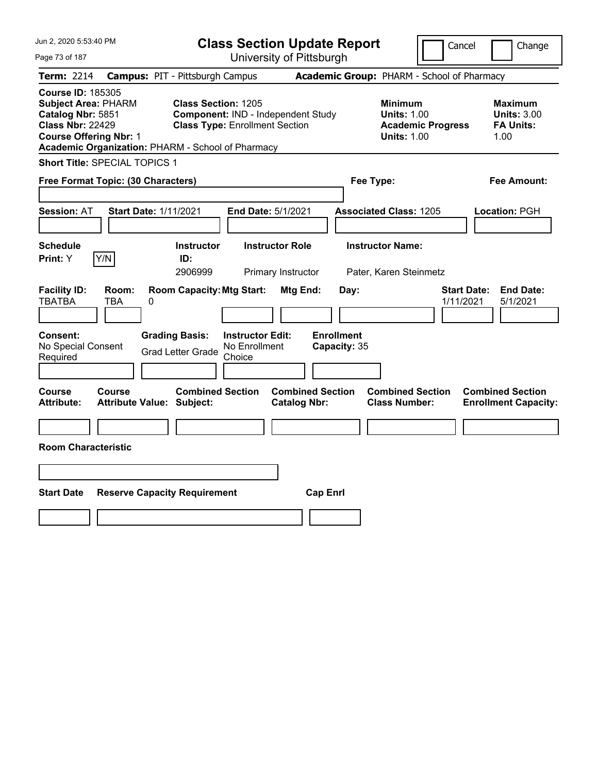|                         |                                                                                                                                                                                                                                                                                                                                                                                                                                                                 |                                                                                                                                                                                                                                                                        | Cancel<br>Change                                                                                                                                                                                                                       |
|-------------------------|-----------------------------------------------------------------------------------------------------------------------------------------------------------------------------------------------------------------------------------------------------------------------------------------------------------------------------------------------------------------------------------------------------------------------------------------------------------------|------------------------------------------------------------------------------------------------------------------------------------------------------------------------------------------------------------------------------------------------------------------------|----------------------------------------------------------------------------------------------------------------------------------------------------------------------------------------------------------------------------------------|
|                         |                                                                                                                                                                                                                                                                                                                                                                                                                                                                 |                                                                                                                                                                                                                                                                        |                                                                                                                                                                                                                                        |
|                         |                                                                                                                                                                                                                                                                                                                                                                                                                                                                 |                                                                                                                                                                                                                                                                        |                                                                                                                                                                                                                                        |
|                         |                                                                                                                                                                                                                                                                                                                                                                                                                                                                 | <b>Minimum</b><br><b>Units: 1.00</b><br><b>Academic Progress</b><br><b>Units: 1.00</b>                                                                                                                                                                                 | <b>Maximum</b><br><b>Units: 3.00</b><br><b>FA Units:</b><br>1.00                                                                                                                                                                       |
|                         |                                                                                                                                                                                                                                                                                                                                                                                                                                                                 |                                                                                                                                                                                                                                                                        |                                                                                                                                                                                                                                        |
|                         |                                                                                                                                                                                                                                                                                                                                                                                                                                                                 |                                                                                                                                                                                                                                                                        | Fee Amount:                                                                                                                                                                                                                            |
|                         |                                                                                                                                                                                                                                                                                                                                                                                                                                                                 |                                                                                                                                                                                                                                                                        | Location: PGH                                                                                                                                                                                                                          |
| ID:                     |                                                                                                                                                                                                                                                                                                                                                                                                                                                                 |                                                                                                                                                                                                                                                                        |                                                                                                                                                                                                                                        |
|                         |                                                                                                                                                                                                                                                                                                                                                                                                                                                                 |                                                                                                                                                                                                                                                                        |                                                                                                                                                                                                                                        |
|                         | Day:                                                                                                                                                                                                                                                                                                                                                                                                                                                            |                                                                                                                                                                                                                                                                        | <b>Start Date:</b><br><b>End Date:</b><br>1/11/2021<br>5/1/2021                                                                                                                                                                        |
| No Enrollment<br>Choice | <b>Enrollment</b><br>Capacity: 35                                                                                                                                                                                                                                                                                                                                                                                                                               |                                                                                                                                                                                                                                                                        |                                                                                                                                                                                                                                        |
|                         |                                                                                                                                                                                                                                                                                                                                                                                                                                                                 |                                                                                                                                                                                                                                                                        | <b>Combined Section</b><br><b>Enrollment Capacity:</b>                                                                                                                                                                                 |
|                         |                                                                                                                                                                                                                                                                                                                                                                                                                                                                 |                                                                                                                                                                                                                                                                        |                                                                                                                                                                                                                                        |
|                         |                                                                                                                                                                                                                                                                                                                                                                                                                                                                 |                                                                                                                                                                                                                                                                        |                                                                                                                                                                                                                                        |
|                         | <b>Cap Enrl</b>                                                                                                                                                                                                                                                                                                                                                                                                                                                 |                                                                                                                                                                                                                                                                        |                                                                                                                                                                                                                                        |
|                         |                                                                                                                                                                                                                                                                                                                                                                                                                                                                 |                                                                                                                                                                                                                                                                        |                                                                                                                                                                                                                                        |
|                         | <b>Campus: PIT - Pittsburgh Campus</b><br><b>Class Section: 1205</b><br>Academic Organization: PHARM - School of Pharmacy<br>Short Title: SPECIAL TOPICS 1<br>Free Format Topic: (30 Characters)<br><b>Start Date: 1/11/2021</b><br><b>Instructor</b><br>2906999<br><b>Room Capacity: Mtg Start:</b><br><b>Grading Basis:</b><br><b>Grad Letter Grade</b><br><b>Combined Section</b><br><b>Attribute Value: Subject:</b><br><b>Reserve Capacity Requirement</b> | University of Pittsburgh<br>Component: IND - Independent Study<br><b>Class Type: Enrollment Section</b><br>End Date: 5/1/2021<br><b>Instructor Role</b><br>Primary Instructor<br>Mtg End:<br><b>Instructor Edit:</b><br><b>Combined Section</b><br><b>Catalog Nbr:</b> | <b>Class Section Update Report</b><br>Academic Group: PHARM - School of Pharmacy<br>Fee Type:<br><b>Associated Class: 1205</b><br><b>Instructor Name:</b><br>Pater, Karen Steinmetz<br><b>Combined Section</b><br><b>Class Number:</b> |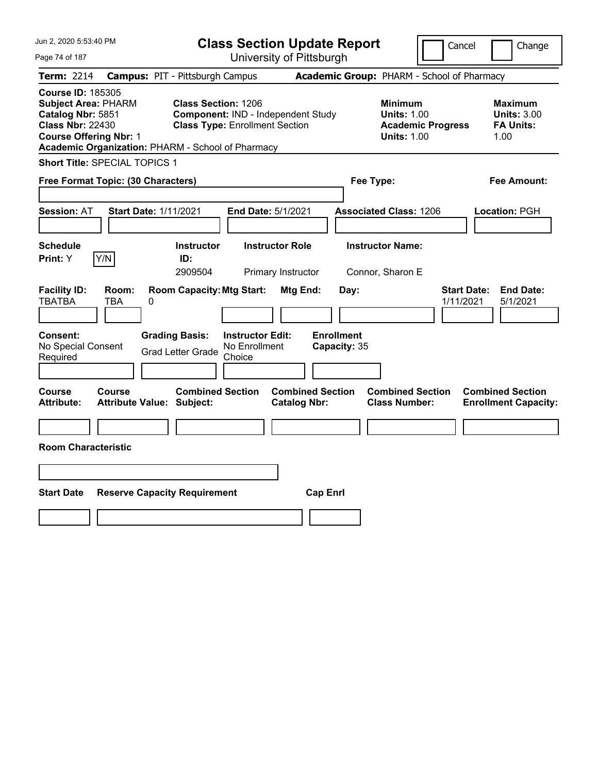| Jun 2, 2020 5:53:40 PM                                                                                                                                                                       |                                                                                                           | <b>Class Section Update Report</b>             |                                                                                        | Cancel<br>Change                                                 |
|----------------------------------------------------------------------------------------------------------------------------------------------------------------------------------------------|-----------------------------------------------------------------------------------------------------------|------------------------------------------------|----------------------------------------------------------------------------------------|------------------------------------------------------------------|
| Page 74 of 187                                                                                                                                                                               |                                                                                                           | University of Pittsburgh                       |                                                                                        |                                                                  |
| Term: 2214                                                                                                                                                                                   | <b>Campus: PIT - Pittsburgh Campus</b>                                                                    |                                                | Academic Group: PHARM - School of Pharmacy                                             |                                                                  |
| <b>Course ID: 185305</b><br><b>Subject Area: PHARM</b><br>Catalog Nbr: 5851<br><b>Class Nbr: 22430</b><br><b>Course Offering Nbr: 1</b><br>Academic Organization: PHARM - School of Pharmacy | <b>Class Section: 1206</b><br>Component: IND - Independent Study<br><b>Class Type: Enrollment Section</b> |                                                | <b>Minimum</b><br><b>Units: 1.00</b><br><b>Academic Progress</b><br><b>Units: 1.00</b> | <b>Maximum</b><br><b>Units: 3.00</b><br><b>FA Units:</b><br>1.00 |
| Short Title: SPECIAL TOPICS 1                                                                                                                                                                |                                                                                                           |                                                |                                                                                        |                                                                  |
| Free Format Topic: (30 Characters)                                                                                                                                                           |                                                                                                           |                                                | Fee Type:                                                                              | Fee Amount:                                                      |
| <b>Session: AT</b><br><b>Start Date: 1/11/2021</b>                                                                                                                                           | End Date: 5/1/2021                                                                                        |                                                | <b>Associated Class: 1206</b>                                                          | Location: PGH                                                    |
| <b>Schedule</b><br>Y/N<br>Print: Y                                                                                                                                                           | <b>Instructor</b><br>ID:<br>2909504                                                                       | <b>Instructor Role</b><br>Primary Instructor   | <b>Instructor Name:</b><br>Connor, Sharon E                                            |                                                                  |
| <b>Facility ID:</b><br>Room:<br><b>TBATBA</b><br>TBA<br>0                                                                                                                                    | <b>Room Capacity: Mtg Start:</b>                                                                          | Mtg End:<br>Day:                               |                                                                                        | <b>Start Date:</b><br><b>End Date:</b><br>1/11/2021<br>5/1/2021  |
| Consent:<br>No Special Consent<br>Required                                                                                                                                                   | <b>Grading Basis:</b><br><b>Instructor Edit:</b><br>No Enrollment<br><b>Grad Letter Grade</b><br>Choice   | <b>Enrollment</b><br>Capacity: 35              |                                                                                        |                                                                  |
| Course<br>Course<br><b>Attribute:</b><br><b>Attribute Value: Subject:</b>                                                                                                                    | <b>Combined Section</b>                                                                                   | <b>Combined Section</b><br><b>Catalog Nbr:</b> | <b>Combined Section</b><br><b>Class Number:</b>                                        | <b>Combined Section</b><br><b>Enrollment Capacity:</b>           |
| <b>Room Characteristic</b>                                                                                                                                                                   |                                                                                                           |                                                |                                                                                        |                                                                  |
|                                                                                                                                                                                              |                                                                                                           |                                                |                                                                                        |                                                                  |
| <b>Start Date</b>                                                                                                                                                                            | <b>Reserve Capacity Requirement</b>                                                                       | <b>Cap Enrl</b>                                |                                                                                        |                                                                  |
|                                                                                                                                                                                              |                                                                                                           |                                                |                                                                                        |                                                                  |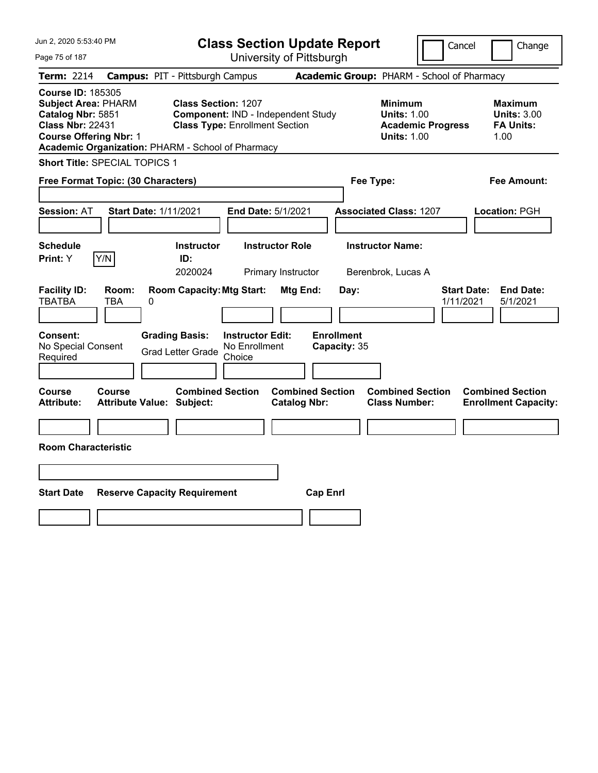| Jun 2, 2020 5:53:40 PM                                                                                                                                                                       |                                            |                                                                     |                                                    | <b>Class Section Update Report</b>             |                                   |                                                            | Cancel                   | Change                                                           |
|----------------------------------------------------------------------------------------------------------------------------------------------------------------------------------------------|--------------------------------------------|---------------------------------------------------------------------|----------------------------------------------------|------------------------------------------------|-----------------------------------|------------------------------------------------------------|--------------------------|------------------------------------------------------------------|
| Page 75 of 187                                                                                                                                                                               |                                            |                                                                     |                                                    | University of Pittsburgh                       |                                   |                                                            |                          |                                                                  |
| Term: 2214                                                                                                                                                                                   | <b>Campus: PIT - Pittsburgh Campus</b>     |                                                                     |                                                    |                                                |                                   | Academic Group: PHARM - School of Pharmacy                 |                          |                                                                  |
| <b>Course ID: 185305</b><br><b>Subject Area: PHARM</b><br>Catalog Nbr: 5851<br><b>Class Nbr: 22431</b><br><b>Course Offering Nbr: 1</b><br>Academic Organization: PHARM - School of Pharmacy |                                            | <b>Class Section: 1207</b><br><b>Class Type: Enrollment Section</b> |                                                    | Component: IND - Independent Study             |                                   | <b>Minimum</b><br><b>Units: 1.00</b><br><b>Units: 1.00</b> | <b>Academic Progress</b> | <b>Maximum</b><br><b>Units: 3.00</b><br><b>FA Units:</b><br>1.00 |
| <b>Short Title: SPECIAL TOPICS 1</b>                                                                                                                                                         |                                            |                                                                     |                                                    |                                                |                                   |                                                            |                          |                                                                  |
| Free Format Topic: (30 Characters)                                                                                                                                                           |                                            |                                                                     |                                                    |                                                |                                   | Fee Type:                                                  |                          | Fee Amount:                                                      |
| <b>Session: AT</b>                                                                                                                                                                           | <b>Start Date: 1/11/2021</b>               |                                                                     |                                                    | End Date: 5/1/2021                             |                                   | <b>Associated Class: 1207</b>                              |                          | Location: PGH                                                    |
| <b>Schedule</b><br>Y/N<br>Print: Y                                                                                                                                                           |                                            | <b>Instructor</b><br>ID:<br>2020024                                 |                                                    | <b>Instructor Role</b><br>Primary Instructor   |                                   | <b>Instructor Name:</b><br>Berenbrok, Lucas A              |                          |                                                                  |
| <b>Facility ID:</b><br><b>TBATBA</b>                                                                                                                                                         | Room:<br>TBA<br>0                          | <b>Room Capacity: Mtg Start:</b>                                    |                                                    | Mtg End:                                       | Day:                              |                                                            |                          | <b>Start Date:</b><br><b>End Date:</b><br>1/11/2021<br>5/1/2021  |
| <b>Consent:</b><br>No Special Consent<br>Required                                                                                                                                            |                                            | <b>Grading Basis:</b><br><b>Grad Letter Grade</b>                   | <b>Instructor Edit:</b><br>No Enrollment<br>Choice |                                                | <b>Enrollment</b><br>Capacity: 35 |                                                            |                          |                                                                  |
| Course<br>Attribute:                                                                                                                                                                         | Course<br><b>Attribute Value: Subject:</b> | <b>Combined Section</b>                                             |                                                    | <b>Combined Section</b><br><b>Catalog Nbr:</b> |                                   | <b>Combined Section</b><br><b>Class Number:</b>            |                          | <b>Combined Section</b><br><b>Enrollment Capacity:</b>           |
| <b>Room Characteristic</b>                                                                                                                                                                   |                                            |                                                                     |                                                    |                                                |                                   |                                                            |                          |                                                                  |
|                                                                                                                                                                                              |                                            |                                                                     |                                                    |                                                |                                   |                                                            |                          |                                                                  |
| <b>Start Date</b>                                                                                                                                                                            | <b>Reserve Capacity Requirement</b>        |                                                                     |                                                    |                                                | <b>Cap Enrl</b>                   |                                                            |                          |                                                                  |
|                                                                                                                                                                                              |                                            |                                                                     |                                                    |                                                |                                   |                                                            |                          |                                                                  |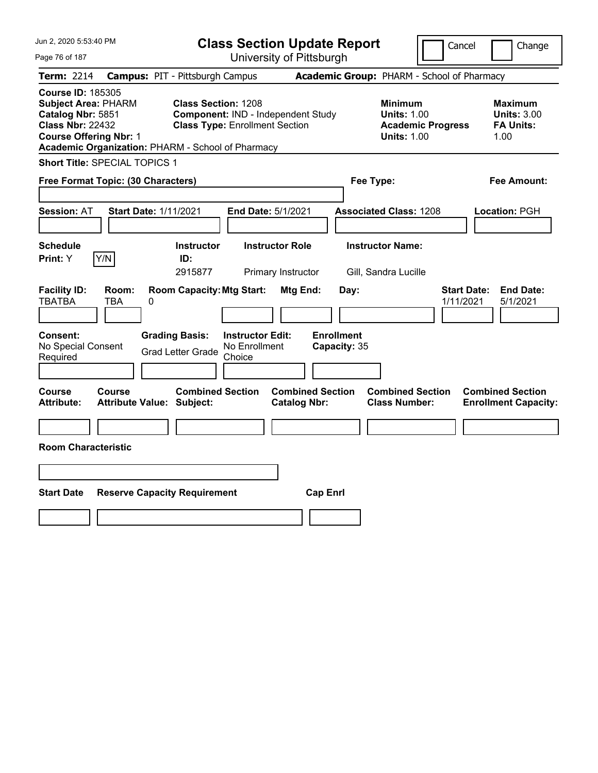| Jun 2, 2020 5:53:40 PM                                                                                                                                                                       |                                                                                                           | <b>Class Section Update Report</b>             |                                                                                        | Cancel<br>Change                                                 |
|----------------------------------------------------------------------------------------------------------------------------------------------------------------------------------------------|-----------------------------------------------------------------------------------------------------------|------------------------------------------------|----------------------------------------------------------------------------------------|------------------------------------------------------------------|
| Page 76 of 187                                                                                                                                                                               |                                                                                                           | University of Pittsburgh                       |                                                                                        |                                                                  |
| Term: 2214                                                                                                                                                                                   | <b>Campus: PIT - Pittsburgh Campus</b>                                                                    |                                                | Academic Group: PHARM - School of Pharmacy                                             |                                                                  |
| <b>Course ID: 185305</b><br><b>Subject Area: PHARM</b><br>Catalog Nbr: 5851<br><b>Class Nbr: 22432</b><br><b>Course Offering Nbr: 1</b><br>Academic Organization: PHARM - School of Pharmacy | <b>Class Section: 1208</b><br>Component: IND - Independent Study<br><b>Class Type: Enrollment Section</b> |                                                | <b>Minimum</b><br><b>Units: 1.00</b><br><b>Academic Progress</b><br><b>Units: 1.00</b> | <b>Maximum</b><br><b>Units: 3.00</b><br><b>FA Units:</b><br>1.00 |
| Short Title: SPECIAL TOPICS 1                                                                                                                                                                |                                                                                                           |                                                |                                                                                        |                                                                  |
| Free Format Topic: (30 Characters)                                                                                                                                                           |                                                                                                           |                                                | Fee Type:                                                                              | Fee Amount:                                                      |
| <b>Session: AT</b><br><b>Start Date: 1/11/2021</b>                                                                                                                                           | End Date: 5/1/2021                                                                                        |                                                | <b>Associated Class: 1208</b>                                                          | Location: PGH                                                    |
| <b>Schedule</b><br>Y/N<br>Print: Y                                                                                                                                                           | <b>Instructor</b><br>ID:<br>2915877                                                                       | <b>Instructor Role</b><br>Primary Instructor   | <b>Instructor Name:</b><br>Gill, Sandra Lucille                                        |                                                                  |
| <b>Facility ID:</b><br>Room:<br><b>TBATBA</b><br>TBA<br>0                                                                                                                                    | <b>Room Capacity: Mtg Start:</b>                                                                          | Mtg End:<br>Day:                               |                                                                                        | <b>Start Date:</b><br><b>End Date:</b><br>1/11/2021<br>5/1/2021  |
| Consent:<br>No Special Consent<br>Required                                                                                                                                                   | <b>Grading Basis:</b><br><b>Instructor Edit:</b><br>No Enrollment<br><b>Grad Letter Grade</b><br>Choice   | <b>Enrollment</b><br>Capacity: 35              |                                                                                        |                                                                  |
| Course<br>Course<br><b>Attribute:</b><br><b>Attribute Value: Subject:</b>                                                                                                                    | <b>Combined Section</b>                                                                                   | <b>Combined Section</b><br><b>Catalog Nbr:</b> | <b>Combined Section</b><br><b>Class Number:</b>                                        | <b>Combined Section</b><br><b>Enrollment Capacity:</b>           |
| <b>Room Characteristic</b>                                                                                                                                                                   |                                                                                                           |                                                |                                                                                        |                                                                  |
|                                                                                                                                                                                              |                                                                                                           |                                                |                                                                                        |                                                                  |
|                                                                                                                                                                                              |                                                                                                           |                                                |                                                                                        |                                                                  |
| <b>Start Date</b><br><b>Reserve Capacity Requirement</b>                                                                                                                                     |                                                                                                           | <b>Cap Enrl</b>                                |                                                                                        |                                                                  |
|                                                                                                                                                                                              |                                                                                                           |                                                |                                                                                        |                                                                  |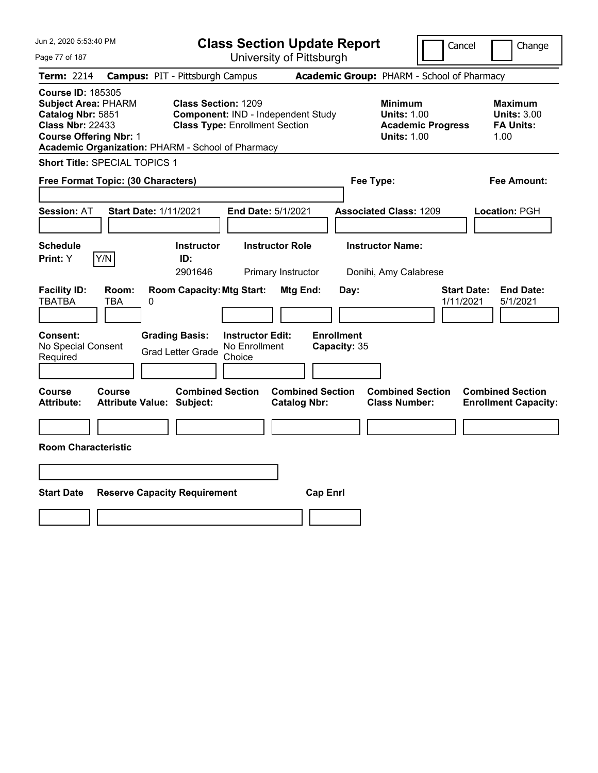| Jun 2, 2020 5:53:40 PM                                                                                                                                                                       |                                                             | <b>Class Section Update Report</b>                                          |                                                |                                                                                        | Cancel<br>Change                                                 |
|----------------------------------------------------------------------------------------------------------------------------------------------------------------------------------------------|-------------------------------------------------------------|-----------------------------------------------------------------------------|------------------------------------------------|----------------------------------------------------------------------------------------|------------------------------------------------------------------|
| Page 77 of 187                                                                                                                                                                               |                                                             | University of Pittsburgh                                                    |                                                |                                                                                        |                                                                  |
| Term: 2214                                                                                                                                                                                   | <b>Campus: PIT - Pittsburgh Campus</b>                      |                                                                             |                                                | Academic Group: PHARM - School of Pharmacy                                             |                                                                  |
| <b>Course ID: 185305</b><br><b>Subject Area: PHARM</b><br>Catalog Nbr: 5851<br><b>Class Nbr: 22433</b><br><b>Course Offering Nbr: 1</b><br>Academic Organization: PHARM - School of Pharmacy | <b>Class Section: 1209</b>                                  | Component: IND - Independent Study<br><b>Class Type: Enrollment Section</b> |                                                | <b>Minimum</b><br><b>Units: 1.00</b><br><b>Academic Progress</b><br><b>Units: 1.00</b> | <b>Maximum</b><br><b>Units: 3.00</b><br><b>FA Units:</b><br>1.00 |
| Short Title: SPECIAL TOPICS 1                                                                                                                                                                |                                                             |                                                                             |                                                |                                                                                        |                                                                  |
| Free Format Topic: (30 Characters)                                                                                                                                                           |                                                             |                                                                             |                                                | Fee Type:                                                                              | Fee Amount:                                                      |
| <b>Session: AT</b>                                                                                                                                                                           | <b>Start Date: 1/11/2021</b>                                | End Date: 5/1/2021                                                          |                                                | <b>Associated Class: 1209</b>                                                          | Location: PGH                                                    |
| <b>Schedule</b><br>Y/N<br>Print: Y                                                                                                                                                           | <b>Instructor</b><br>ID:<br>2901646                         | <b>Instructor Role</b><br>Primary Instructor                                |                                                | <b>Instructor Name:</b><br>Donihi, Amy Calabrese                                       |                                                                  |
| <b>Facility ID:</b><br>Room:<br><b>TBATBA</b><br>TBA                                                                                                                                         | <b>Room Capacity: Mtg Start:</b><br>0                       |                                                                             | Mtg End:<br>Day:                               |                                                                                        | <b>Start Date:</b><br><b>End Date:</b><br>1/11/2021<br>5/1/2021  |
| Consent:<br>No Special Consent<br>Required                                                                                                                                                   | <b>Grading Basis:</b><br><b>Grad Letter Grade</b>           | <b>Instructor Edit:</b><br>No Enrollment<br>Choice                          | <b>Enrollment</b><br>Capacity: 35              |                                                                                        |                                                                  |
| Course<br>Course<br><b>Attribute:</b>                                                                                                                                                        | <b>Combined Section</b><br><b>Attribute Value: Subject:</b> |                                                                             | <b>Combined Section</b><br><b>Catalog Nbr:</b> | <b>Combined Section</b><br><b>Class Number:</b>                                        | <b>Combined Section</b><br><b>Enrollment Capacity:</b>           |
| <b>Room Characteristic</b>                                                                                                                                                                   |                                                             |                                                                             |                                                |                                                                                        |                                                                  |
|                                                                                                                                                                                              |                                                             |                                                                             |                                                |                                                                                        |                                                                  |
| <b>Start Date</b>                                                                                                                                                                            | <b>Reserve Capacity Requirement</b>                         |                                                                             | <b>Cap Enrl</b>                                |                                                                                        |                                                                  |
|                                                                                                                                                                                              |                                                             |                                                                             |                                                |                                                                                        |                                                                  |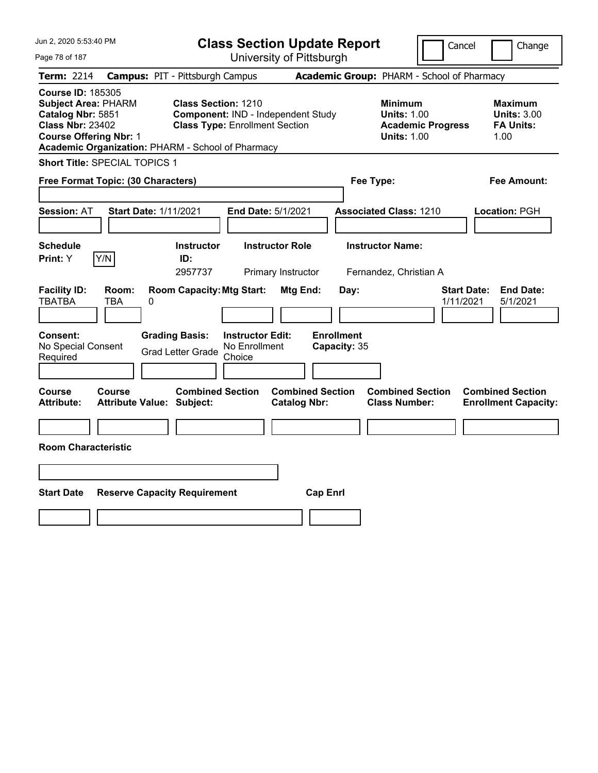| Jun 2, 2020 5:53:40 PM                                                                                                                                                                       |                                        |                                                              |                                                    | <b>Class Section Update Report</b>             |                                   |                                                            | Cancel                   | Change                                                           |
|----------------------------------------------------------------------------------------------------------------------------------------------------------------------------------------------|----------------------------------------|--------------------------------------------------------------|----------------------------------------------------|------------------------------------------------|-----------------------------------|------------------------------------------------------------|--------------------------|------------------------------------------------------------------|
| Page 78 of 187                                                                                                                                                                               |                                        |                                                              |                                                    | University of Pittsburgh                       |                                   |                                                            |                          |                                                                  |
| <b>Term: 2214</b>                                                                                                                                                                            | <b>Campus: PIT - Pittsburgh Campus</b> |                                                              |                                                    |                                                |                                   | Academic Group: PHARM - School of Pharmacy                 |                          |                                                                  |
| <b>Course ID: 185305</b><br><b>Subject Area: PHARM</b><br>Catalog Nbr: 5851<br><b>Class Nbr: 23402</b><br><b>Course Offering Nbr: 1</b><br>Academic Organization: PHARM - School of Pharmacy |                                        | Class Section: 1210<br><b>Class Type: Enrollment Section</b> |                                                    | Component: IND - Independent Study             |                                   | <b>Minimum</b><br><b>Units: 1.00</b><br><b>Units: 1.00</b> | <b>Academic Progress</b> | <b>Maximum</b><br><b>Units: 3.00</b><br><b>FA Units:</b><br>1.00 |
| Short Title: SPECIAL TOPICS 1                                                                                                                                                                |                                        |                                                              |                                                    |                                                |                                   |                                                            |                          |                                                                  |
| Free Format Topic: (30 Characters)                                                                                                                                                           |                                        |                                                              |                                                    |                                                |                                   | Fee Type:                                                  |                          | Fee Amount:                                                      |
| <b>Session: AT</b>                                                                                                                                                                           | <b>Start Date: 1/11/2021</b>           |                                                              |                                                    | End Date: 5/1/2021                             |                                   | <b>Associated Class: 1210</b>                              |                          | Location: PGH                                                    |
| <b>Schedule</b><br>Y/N<br>Print: Y                                                                                                                                                           |                                        | <b>Instructor</b><br>ID:<br>2957737                          |                                                    | <b>Instructor Role</b><br>Primary Instructor   |                                   | <b>Instructor Name:</b><br>Fernandez, Christian A          |                          |                                                                  |
| <b>Facility ID:</b><br><b>TBATBA</b><br>TBA                                                                                                                                                  | Room:<br>0                             | <b>Room Capacity: Mtg Start:</b>                             |                                                    | Mtg End:                                       | Day:                              |                                                            |                          | <b>Start Date:</b><br><b>End Date:</b><br>1/11/2021<br>5/1/2021  |
| <b>Consent:</b><br>No Special Consent<br>Required                                                                                                                                            | <b>Grading Basis:</b>                  | <b>Grad Letter Grade</b>                                     | <b>Instructor Edit:</b><br>No Enrollment<br>Choice |                                                | <b>Enrollment</b><br>Capacity: 35 |                                                            |                          |                                                                  |
| Course<br><b>Course</b><br><b>Attribute:</b>                                                                                                                                                 | <b>Attribute Value: Subject:</b>       | <b>Combined Section</b>                                      |                                                    | <b>Combined Section</b><br><b>Catalog Nbr:</b> |                                   | <b>Combined Section</b><br><b>Class Number:</b>            |                          | <b>Combined Section</b><br><b>Enrollment Capacity:</b>           |
| <b>Room Characteristic</b>                                                                                                                                                                   |                                        |                                                              |                                                    |                                                |                                   |                                                            |                          |                                                                  |
|                                                                                                                                                                                              |                                        |                                                              |                                                    |                                                |                                   |                                                            |                          |                                                                  |
| <b>Start Date</b>                                                                                                                                                                            | <b>Reserve Capacity Requirement</b>    |                                                              |                                                    |                                                | <b>Cap Enrl</b>                   |                                                            |                          |                                                                  |
|                                                                                                                                                                                              |                                        |                                                              |                                                    |                                                |                                   |                                                            |                          |                                                                  |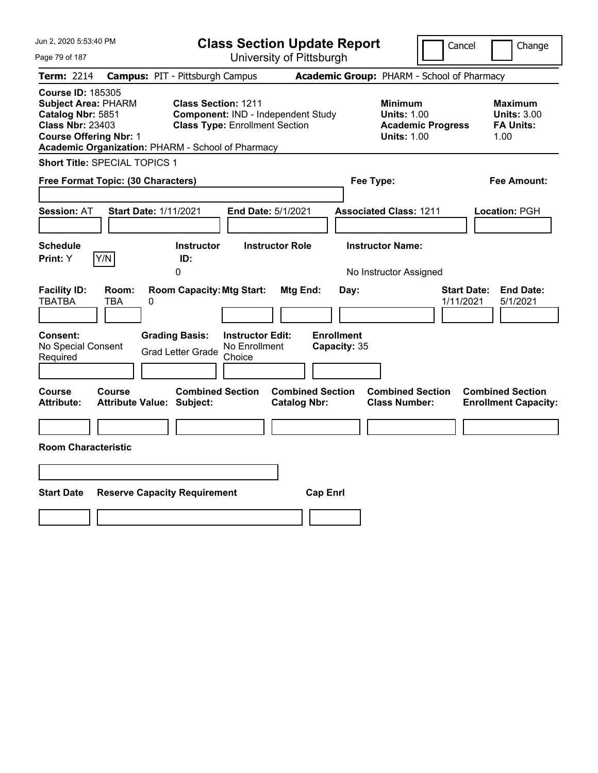| Jun 2, 2020 5:53:40 PM                                                                                                                                                                       |                                                   |                                                                                                           |                                                    | <b>Class Section Update Report</b>             |                                            |                                                                                    | Cancel                   | Change                                                           |
|----------------------------------------------------------------------------------------------------------------------------------------------------------------------------------------------|---------------------------------------------------|-----------------------------------------------------------------------------------------------------------|----------------------------------------------------|------------------------------------------------|--------------------------------------------|------------------------------------------------------------------------------------|--------------------------|------------------------------------------------------------------|
| Page 79 of 187                                                                                                                                                                               |                                                   |                                                                                                           |                                                    | University of Pittsburgh                       |                                            |                                                                                    |                          |                                                                  |
| <b>Term: 2214</b>                                                                                                                                                                            | <b>Campus: PIT - Pittsburgh Campus</b>            |                                                                                                           |                                                    |                                                | Academic Group: PHARM - School of Pharmacy |                                                                                    |                          |                                                                  |
| <b>Course ID: 185305</b><br><b>Subject Area: PHARM</b><br>Catalog Nbr: 5851<br><b>Class Nbr: 23403</b><br><b>Course Offering Nbr: 1</b><br>Academic Organization: PHARM - School of Pharmacy |                                                   | <b>Class Section: 1211</b><br>Component: IND - Independent Study<br><b>Class Type: Enrollment Section</b> |                                                    |                                                |                                            | Minimum<br><b>Units: 1.00</b><br><b>Units: 1.00</b>                                | <b>Academic Progress</b> | <b>Maximum</b><br><b>Units: 3.00</b><br><b>FA Units:</b><br>1.00 |
| <b>Short Title: SPECIAL TOPICS 1</b>                                                                                                                                                         |                                                   |                                                                                                           |                                                    |                                                |                                            |                                                                                    |                          |                                                                  |
| Free Format Topic: (30 Characters)                                                                                                                                                           |                                                   |                                                                                                           |                                                    |                                                | Fee Type:                                  |                                                                                    |                          | Fee Amount:                                                      |
| <b>Session: AT</b><br><b>Schedule</b><br>Print: Y                                                                                                                                            | <b>Start Date: 1/11/2021</b><br>Y/N               | Instructor<br>ID:<br>0                                                                                    | End Date: 5/1/2021                                 | <b>Instructor Role</b>                         |                                            | <b>Associated Class: 1211</b><br><b>Instructor Name:</b><br>No Instructor Assigned |                          | Location: PGH                                                    |
| <b>Facility ID:</b><br><b>TBATBA</b><br>Consent:<br>No Special Consent<br>Required                                                                                                           | Room:<br>TBA<br>0                                 | <b>Room Capacity: Mtg Start:</b><br><b>Grading Basis:</b><br><b>Grad Letter Grade</b>                     | <b>Instructor Edit:</b><br>No Enrollment<br>Choice | Mtg End:                                       | Day:<br><b>Enrollment</b><br>Capacity: 35  |                                                                                    | 1/11/2021                | <b>Start Date:</b><br><b>End Date:</b><br>5/1/2021               |
| Course<br><b>Attribute:</b><br><b>Room Characteristic</b>                                                                                                                                    | <b>Course</b><br><b>Attribute Value: Subject:</b> | <b>Combined Section</b>                                                                                   |                                                    | <b>Combined Section</b><br><b>Catalog Nbr:</b> |                                            | <b>Combined Section</b><br><b>Class Number:</b>                                    |                          | <b>Combined Section</b><br><b>Enrollment Capacity:</b>           |
| <b>Start Date</b>                                                                                                                                                                            | <b>Reserve Capacity Requirement</b>               |                                                                                                           |                                                    |                                                | <b>Cap Enrl</b>                            |                                                                                    |                          |                                                                  |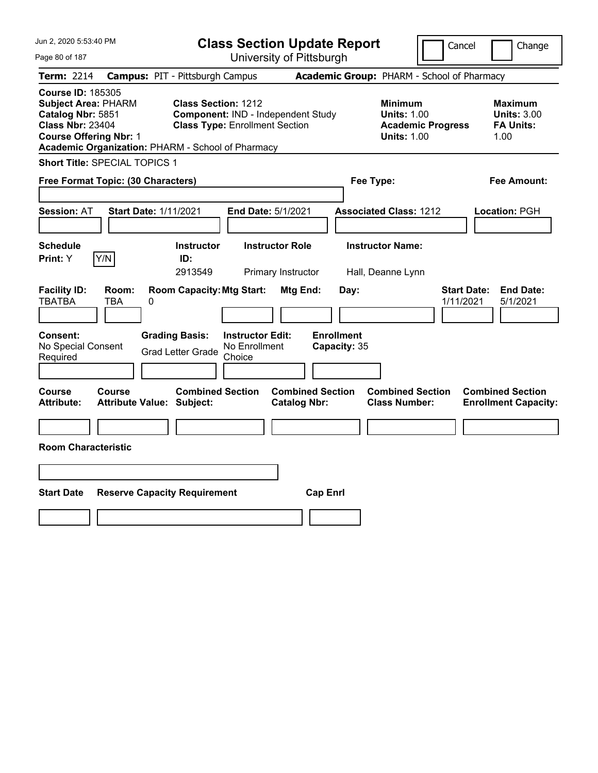| Jun 2, 2020 5:53:40 PM                                                                                                                                                                       |                                                             | <b>Class Section Update Report</b>                                          |                                                |                                                                                        | Cancel<br>Change                                                 |
|----------------------------------------------------------------------------------------------------------------------------------------------------------------------------------------------|-------------------------------------------------------------|-----------------------------------------------------------------------------|------------------------------------------------|----------------------------------------------------------------------------------------|------------------------------------------------------------------|
| Page 80 of 187                                                                                                                                                                               |                                                             | University of Pittsburgh                                                    |                                                |                                                                                        |                                                                  |
| Term: 2214                                                                                                                                                                                   | <b>Campus: PIT - Pittsburgh Campus</b>                      |                                                                             |                                                | Academic Group: PHARM - School of Pharmacy                                             |                                                                  |
| <b>Course ID: 185305</b><br><b>Subject Area: PHARM</b><br>Catalog Nbr: 5851<br><b>Class Nbr: 23404</b><br><b>Course Offering Nbr: 1</b><br>Academic Organization: PHARM - School of Pharmacy | <b>Class Section: 1212</b>                                  | Component: IND - Independent Study<br><b>Class Type: Enrollment Section</b> |                                                | <b>Minimum</b><br><b>Units: 1.00</b><br><b>Academic Progress</b><br><b>Units: 1.00</b> | <b>Maximum</b><br><b>Units: 3.00</b><br><b>FA Units:</b><br>1.00 |
| Short Title: SPECIAL TOPICS 1                                                                                                                                                                |                                                             |                                                                             |                                                |                                                                                        |                                                                  |
| Free Format Topic: (30 Characters)                                                                                                                                                           |                                                             |                                                                             |                                                | Fee Type:                                                                              | Fee Amount:                                                      |
| <b>Session: AT</b>                                                                                                                                                                           | <b>Start Date: 1/11/2021</b>                                | End Date: 5/1/2021                                                          |                                                | <b>Associated Class: 1212</b>                                                          | Location: PGH                                                    |
| <b>Schedule</b><br>Y/N<br>Print: Y                                                                                                                                                           | <b>Instructor</b><br>ID:<br>2913549                         | <b>Instructor Role</b><br>Primary Instructor                                |                                                | <b>Instructor Name:</b><br>Hall, Deanne Lynn                                           |                                                                  |
| <b>Facility ID:</b><br>Room:<br><b>TBATBA</b><br>TBA                                                                                                                                         | <b>Room Capacity: Mtg Start:</b><br>0                       |                                                                             | Mtg End:<br>Day:                               |                                                                                        | <b>Start Date:</b><br><b>End Date:</b><br>1/11/2021<br>5/1/2021  |
| <b>Consent:</b><br>No Special Consent<br>Required                                                                                                                                            | <b>Grading Basis:</b><br><b>Grad Letter Grade</b>           | <b>Instructor Edit:</b><br>No Enrollment<br>Choice                          | <b>Enrollment</b><br>Capacity: 35              |                                                                                        |                                                                  |
| Course<br>Course<br>Attribute:                                                                                                                                                               | <b>Combined Section</b><br><b>Attribute Value: Subject:</b> |                                                                             | <b>Combined Section</b><br><b>Catalog Nbr:</b> | <b>Combined Section</b><br><b>Class Number:</b>                                        | <b>Combined Section</b><br><b>Enrollment Capacity:</b>           |
| <b>Room Characteristic</b>                                                                                                                                                                   |                                                             |                                                                             |                                                |                                                                                        |                                                                  |
|                                                                                                                                                                                              |                                                             |                                                                             |                                                |                                                                                        |                                                                  |
| <b>Start Date</b>                                                                                                                                                                            | <b>Reserve Capacity Requirement</b>                         |                                                                             | <b>Cap Enrl</b>                                |                                                                                        |                                                                  |
|                                                                                                                                                                                              |                                                             |                                                                             |                                                |                                                                                        |                                                                  |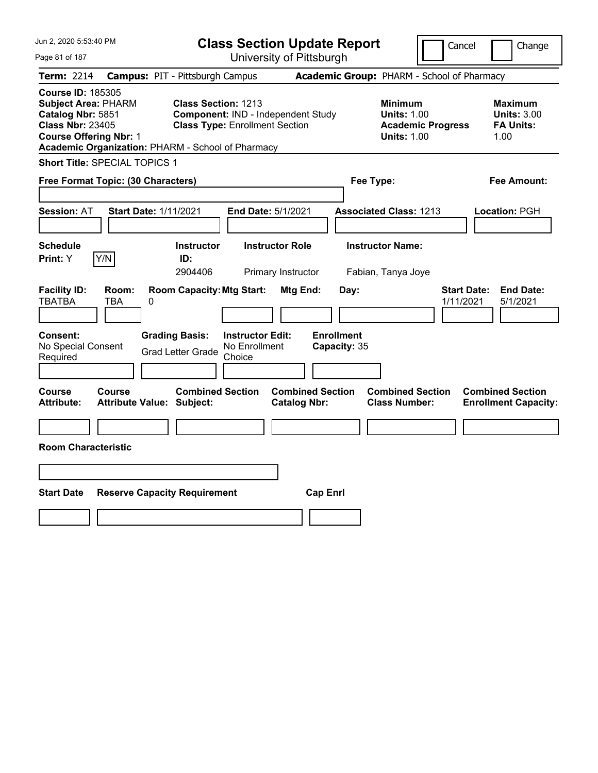| Jun 2, 2020 5:53:40 PM                                                                                                                                                                       |                                                                                                                                             | <b>Class Section Update Report</b>                    |                                                                                        | Cancel<br>Change                                                 |
|----------------------------------------------------------------------------------------------------------------------------------------------------------------------------------------------|---------------------------------------------------------------------------------------------------------------------------------------------|-------------------------------------------------------|----------------------------------------------------------------------------------------|------------------------------------------------------------------|
| Page 81 of 187                                                                                                                                                                               |                                                                                                                                             | University of Pittsburgh                              |                                                                                        |                                                                  |
| <b>Term: 2214</b>                                                                                                                                                                            | <b>Campus: PIT - Pittsburgh Campus</b>                                                                                                      |                                                       | Academic Group: PHARM - School of Pharmacy                                             |                                                                  |
| <b>Course ID: 185305</b><br><b>Subject Area: PHARM</b><br>Catalog Nbr: 5851<br><b>Class Nbr: 23405</b><br><b>Course Offering Nbr: 1</b><br>Academic Organization: PHARM - School of Pharmacy | <b>Class Section: 1213</b><br>Component: IND - Independent Study<br><b>Class Type: Enrollment Section</b>                                   |                                                       | <b>Minimum</b><br><b>Units: 1.00</b><br><b>Academic Progress</b><br><b>Units: 1.00</b> | <b>Maximum</b><br><b>Units: 3.00</b><br><b>FA Units:</b><br>1.00 |
| Short Title: SPECIAL TOPICS 1                                                                                                                                                                |                                                                                                                                             |                                                       |                                                                                        |                                                                  |
| Free Format Topic: (30 Characters)                                                                                                                                                           |                                                                                                                                             |                                                       | Fee Type:                                                                              | Fee Amount:                                                      |
| <b>Session: AT</b><br><b>Start Date: 1/11/2021</b>                                                                                                                                           | End Date: 5/1/2021                                                                                                                          |                                                       | <b>Associated Class: 1213</b>                                                          | Location: PGH                                                    |
| <b>Schedule</b>                                                                                                                                                                              | <b>Instructor</b>                                                                                                                           | <b>Instructor Role</b>                                | <b>Instructor Name:</b>                                                                |                                                                  |
| Y/N<br>Print: Y                                                                                                                                                                              | ID:<br>2904406                                                                                                                              | Primary Instructor                                    | Fabian, Tanya Joye                                                                     |                                                                  |
| <b>Facility ID:</b><br>Room:<br><b>TBATBA</b><br>TBA<br>0<br>Consent:<br>No Special Consent<br>Required                                                                                      | <b>Room Capacity: Mtg Start:</b><br><b>Grading Basis:</b><br><b>Instructor Edit:</b><br>No Enrollment<br><b>Grad Letter Grade</b><br>Choice | Mtg End:<br>Day:<br><b>Enrollment</b><br>Capacity: 35 |                                                                                        | <b>Start Date:</b><br><b>End Date:</b><br>1/11/2021<br>5/1/2021  |
| Course<br>Course<br><b>Attribute:</b><br><b>Attribute Value: Subject:</b><br><b>Room Characteristic</b>                                                                                      | <b>Combined Section</b>                                                                                                                     | <b>Combined Section</b><br><b>Catalog Nbr:</b>        | <b>Combined Section</b><br><b>Class Number:</b>                                        | <b>Combined Section</b><br><b>Enrollment Capacity:</b>           |
|                                                                                                                                                                                              |                                                                                                                                             |                                                       |                                                                                        |                                                                  |
| <b>Start Date</b>                                                                                                                                                                            | <b>Reserve Capacity Requirement</b>                                                                                                         | <b>Cap Enrl</b>                                       |                                                                                        |                                                                  |
|                                                                                                                                                                                              |                                                                                                                                             |                                                       |                                                                                        |                                                                  |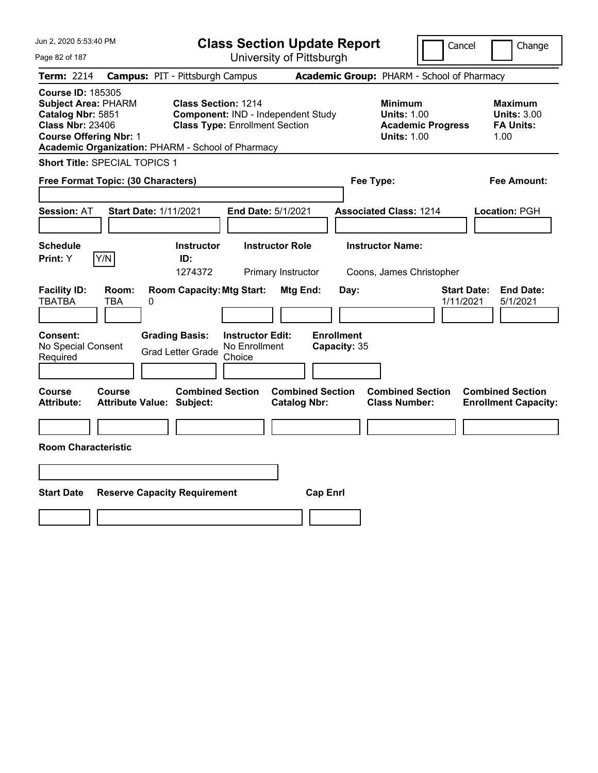| Jun 2, 2020 5:53:40 PM                                                                                                                                                                       |                                                             |                                                                             | <b>Class Section Update Report</b>             |                                                                                        | Cancel<br>Change                                                 |
|----------------------------------------------------------------------------------------------------------------------------------------------------------------------------------------------|-------------------------------------------------------------|-----------------------------------------------------------------------------|------------------------------------------------|----------------------------------------------------------------------------------------|------------------------------------------------------------------|
| Page 82 of 187                                                                                                                                                                               |                                                             | University of Pittsburgh                                                    |                                                |                                                                                        |                                                                  |
| <b>Term: 2214</b>                                                                                                                                                                            | <b>Campus: PIT - Pittsburgh Campus</b>                      |                                                                             |                                                | Academic Group: PHARM - School of Pharmacy                                             |                                                                  |
| <b>Course ID: 185305</b><br><b>Subject Area: PHARM</b><br>Catalog Nbr: 5851<br><b>Class Nbr: 23406</b><br><b>Course Offering Nbr: 1</b><br>Academic Organization: PHARM - School of Pharmacy | <b>Class Section: 1214</b>                                  | Component: IND - Independent Study<br><b>Class Type: Enrollment Section</b> |                                                | <b>Minimum</b><br><b>Units: 1.00</b><br><b>Academic Progress</b><br><b>Units: 1.00</b> | <b>Maximum</b><br><b>Units: 3.00</b><br><b>FA Units:</b><br>1.00 |
| Short Title: SPECIAL TOPICS 1                                                                                                                                                                |                                                             |                                                                             |                                                |                                                                                        |                                                                  |
| Free Format Topic: (30 Characters)                                                                                                                                                           |                                                             |                                                                             |                                                | Fee Type:                                                                              | Fee Amount:                                                      |
| <b>Session: AT</b>                                                                                                                                                                           | <b>Start Date: 1/11/2021</b>                                | End Date: 5/1/2021                                                          |                                                | <b>Associated Class: 1214</b>                                                          | Location: PGH                                                    |
| <b>Schedule</b><br>Y/N<br>Print: Y                                                                                                                                                           | <b>Instructor</b><br>ID:<br>1274372                         | <b>Instructor Role</b><br>Primary Instructor                                |                                                | <b>Instructor Name:</b><br>Coons, James Christopher                                    |                                                                  |
| <b>Facility ID:</b><br>Room:<br><b>TBATBA</b><br>TBA                                                                                                                                         | <b>Room Capacity: Mtg Start:</b><br>0                       |                                                                             | Mtg End:<br>Day:                               |                                                                                        | <b>Start Date:</b><br><b>End Date:</b><br>1/11/2021<br>5/1/2021  |
| <b>Consent:</b><br>No Special Consent<br>Required                                                                                                                                            | <b>Grading Basis:</b><br><b>Grad Letter Grade</b>           | <b>Instructor Edit:</b><br>No Enrollment<br>Choice                          | <b>Enrollment</b><br>Capacity: 35              |                                                                                        |                                                                  |
| Course<br><b>Course</b><br><b>Attribute:</b>                                                                                                                                                 | <b>Combined Section</b><br><b>Attribute Value: Subject:</b> |                                                                             | <b>Combined Section</b><br><b>Catalog Nbr:</b> | <b>Combined Section</b><br><b>Class Number:</b>                                        | <b>Combined Section</b><br><b>Enrollment Capacity:</b>           |
| <b>Room Characteristic</b>                                                                                                                                                                   |                                                             |                                                                             |                                                |                                                                                        |                                                                  |
|                                                                                                                                                                                              |                                                             |                                                                             |                                                |                                                                                        |                                                                  |
| <b>Start Date</b>                                                                                                                                                                            | <b>Reserve Capacity Requirement</b>                         |                                                                             | <b>Cap Enrl</b>                                |                                                                                        |                                                                  |
|                                                                                                                                                                                              |                                                             |                                                                             |                                                |                                                                                        |                                                                  |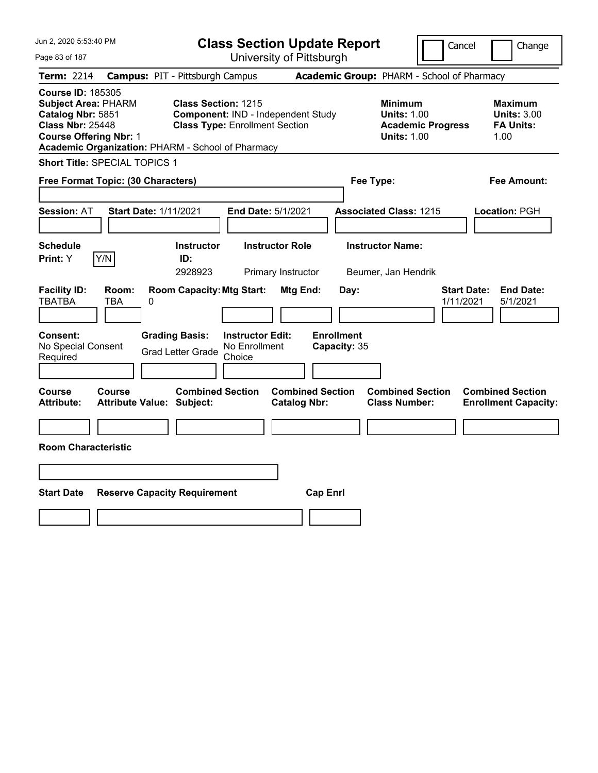| Jun 2, 2020 5:53:40 PM                                                                                                                                                                       |                                                                | <b>Class Section Update Report</b>                                          |                                                |                                                                                        | Cancel<br>Change                                                 |
|----------------------------------------------------------------------------------------------------------------------------------------------------------------------------------------------|----------------------------------------------------------------|-----------------------------------------------------------------------------|------------------------------------------------|----------------------------------------------------------------------------------------|------------------------------------------------------------------|
| Page 83 of 187                                                                                                                                                                               |                                                                | University of Pittsburgh                                                    |                                                |                                                                                        |                                                                  |
| <b>Term: 2214</b>                                                                                                                                                                            | <b>Campus: PIT - Pittsburgh Campus</b>                         |                                                                             |                                                | Academic Group: PHARM - School of Pharmacy                                             |                                                                  |
| <b>Course ID: 185305</b><br><b>Subject Area: PHARM</b><br>Catalog Nbr: 5851<br><b>Class Nbr: 25448</b><br><b>Course Offering Nbr: 1</b><br>Academic Organization: PHARM - School of Pharmacy | Class Section: 1215                                            | Component: IND - Independent Study<br><b>Class Type: Enrollment Section</b> |                                                | <b>Minimum</b><br><b>Units: 1.00</b><br><b>Academic Progress</b><br><b>Units: 1.00</b> | <b>Maximum</b><br><b>Units: 3.00</b><br><b>FA Units:</b><br>1.00 |
| Short Title: SPECIAL TOPICS 1                                                                                                                                                                |                                                                |                                                                             |                                                |                                                                                        |                                                                  |
| Free Format Topic: (30 Characters)                                                                                                                                                           |                                                                |                                                                             |                                                | Fee Type:                                                                              | Fee Amount:                                                      |
| <b>Session: AT</b>                                                                                                                                                                           | <b>Start Date: 1/11/2021</b>                                   | End Date: 5/1/2021                                                          |                                                | <b>Associated Class: 1215</b>                                                          | Location: PGH                                                    |
| <b>Schedule</b><br>Y/N<br>Print: Y                                                                                                                                                           | <b>Instructor</b><br>ID:                                       | <b>Instructor Role</b>                                                      |                                                | <b>Instructor Name:</b>                                                                |                                                                  |
|                                                                                                                                                                                              | 2928923                                                        | Primary Instructor                                                          |                                                | Beumer, Jan Hendrik                                                                    |                                                                  |
| <b>Facility ID:</b><br>Room:<br><b>TBATBA</b><br>TBA<br><b>Consent:</b>                                                                                                                      | <b>Room Capacity: Mtg Start:</b><br>0<br><b>Grading Basis:</b> | <b>Instructor Edit:</b>                                                     | Mtg End:<br>Day:<br><b>Enrollment</b>          |                                                                                        | <b>Start Date:</b><br><b>End Date:</b><br>1/11/2021<br>5/1/2021  |
| No Special Consent<br>Required                                                                                                                                                               | <b>Grad Letter Grade</b>                                       | No Enrollment<br>Choice                                                     | Capacity: 35                                   |                                                                                        |                                                                  |
|                                                                                                                                                                                              |                                                                |                                                                             |                                                |                                                                                        |                                                                  |
| Course<br><b>Course</b><br><b>Attribute:</b>                                                                                                                                                 | <b>Combined Section</b><br><b>Attribute Value: Subject:</b>    |                                                                             | <b>Combined Section</b><br><b>Catalog Nbr:</b> | <b>Combined Section</b><br><b>Class Number:</b>                                        | <b>Combined Section</b><br><b>Enrollment Capacity:</b>           |
|                                                                                                                                                                                              |                                                                |                                                                             |                                                |                                                                                        |                                                                  |
| <b>Room Characteristic</b>                                                                                                                                                                   |                                                                |                                                                             |                                                |                                                                                        |                                                                  |
|                                                                                                                                                                                              |                                                                |                                                                             |                                                |                                                                                        |                                                                  |
| <b>Start Date</b>                                                                                                                                                                            | <b>Reserve Capacity Requirement</b>                            |                                                                             | <b>Cap Enrl</b>                                |                                                                                        |                                                                  |
|                                                                                                                                                                                              |                                                                |                                                                             |                                                |                                                                                        |                                                                  |
|                                                                                                                                                                                              |                                                                |                                                                             |                                                |                                                                                        |                                                                  |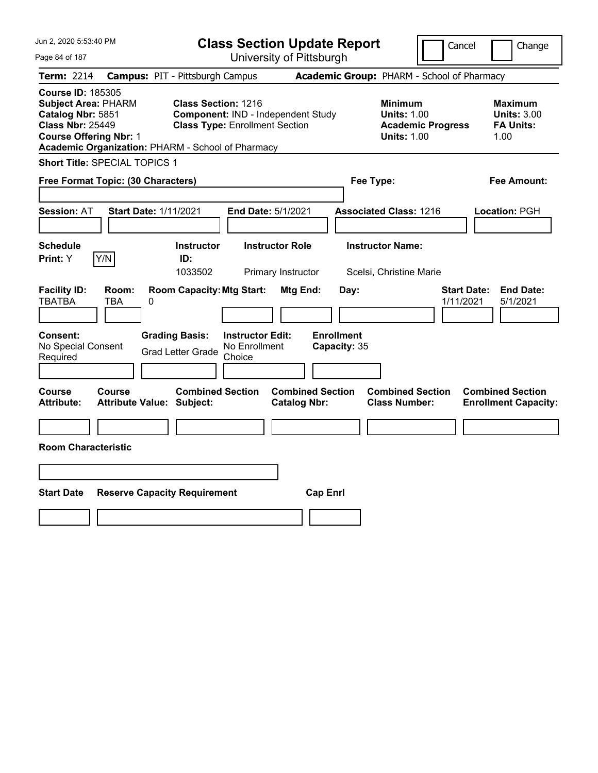| Jun 2, 2020 5:53:40 PM                                                                                                                                                                       |                                                                                                           | <b>Class Section Update Report</b>             |                                                                                        | Cancel<br>Change                                                 |
|----------------------------------------------------------------------------------------------------------------------------------------------------------------------------------------------|-----------------------------------------------------------------------------------------------------------|------------------------------------------------|----------------------------------------------------------------------------------------|------------------------------------------------------------------|
| Page 84 of 187                                                                                                                                                                               |                                                                                                           | University of Pittsburgh                       |                                                                                        |                                                                  |
| <b>Term: 2214</b>                                                                                                                                                                            | <b>Campus: PIT - Pittsburgh Campus</b>                                                                    |                                                | Academic Group: PHARM - School of Pharmacy                                             |                                                                  |
| <b>Course ID: 185305</b><br><b>Subject Area: PHARM</b><br>Catalog Nbr: 5851<br><b>Class Nbr: 25449</b><br><b>Course Offering Nbr: 1</b><br>Academic Organization: PHARM - School of Pharmacy | <b>Class Section: 1216</b><br>Component: IND - Independent Study<br><b>Class Type: Enrollment Section</b> |                                                | <b>Minimum</b><br><b>Units: 1.00</b><br><b>Academic Progress</b><br><b>Units: 1.00</b> | <b>Maximum</b><br><b>Units: 3.00</b><br><b>FA Units:</b><br>1.00 |
| Short Title: SPECIAL TOPICS 1                                                                                                                                                                |                                                                                                           |                                                |                                                                                        |                                                                  |
| Free Format Topic: (30 Characters)                                                                                                                                                           |                                                                                                           |                                                | Fee Type:                                                                              | Fee Amount:                                                      |
| <b>Session: AT</b><br><b>Start Date: 1/11/2021</b>                                                                                                                                           | End Date: 5/1/2021                                                                                        |                                                | <b>Associated Class: 1216</b>                                                          | Location: PGH                                                    |
| <b>Schedule</b>                                                                                                                                                                              | <b>Instructor</b>                                                                                         | <b>Instructor Role</b>                         | <b>Instructor Name:</b>                                                                |                                                                  |
| Y/N<br>Print: Y                                                                                                                                                                              | ID:<br>1033502                                                                                            | Primary Instructor                             | Scelsi, Christine Marie                                                                |                                                                  |
| <b>Facility ID:</b><br>Room:<br><b>TBATBA</b><br>TBA<br>0                                                                                                                                    | <b>Room Capacity: Mtg Start:</b>                                                                          | Mtg End:<br>Day:                               |                                                                                        | <b>Start Date:</b><br><b>End Date:</b><br>1/11/2021<br>5/1/2021  |
| Consent:<br>No Special Consent<br>Required                                                                                                                                                   | <b>Grading Basis:</b><br><b>Instructor Edit:</b><br>No Enrollment<br><b>Grad Letter Grade</b><br>Choice   | <b>Enrollment</b><br>Capacity: 35              |                                                                                        |                                                                  |
| Course<br>Course<br><b>Attribute:</b><br><b>Attribute Value: Subject:</b>                                                                                                                    | <b>Combined Section</b>                                                                                   | <b>Combined Section</b><br><b>Catalog Nbr:</b> | <b>Combined Section</b><br><b>Class Number:</b>                                        | <b>Combined Section</b><br><b>Enrollment Capacity:</b>           |
|                                                                                                                                                                                              |                                                                                                           |                                                |                                                                                        |                                                                  |
| <b>Room Characteristic</b>                                                                                                                                                                   |                                                                                                           |                                                |                                                                                        |                                                                  |
|                                                                                                                                                                                              |                                                                                                           |                                                |                                                                                        |                                                                  |
| <b>Start Date</b><br><b>Reserve Capacity Requirement</b>                                                                                                                                     |                                                                                                           | <b>Cap Enrl</b>                                |                                                                                        |                                                                  |
|                                                                                                                                                                                              |                                                                                                           |                                                |                                                                                        |                                                                  |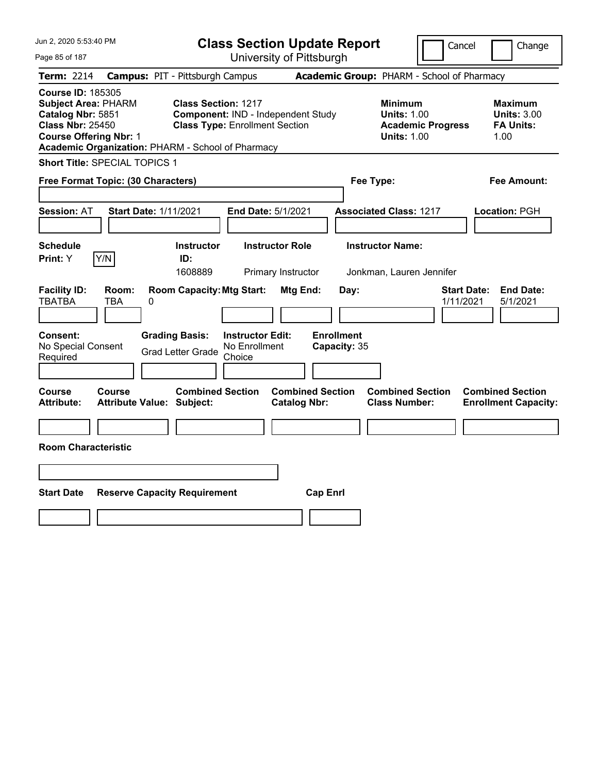| Jun 2, 2020 5:53:40 PM                                                                                                                                                                       |                                                             | <b>Class Section Update Report</b>                                          |                                                |                                            |                                                            |                          | Cancel<br>Change                                                |
|----------------------------------------------------------------------------------------------------------------------------------------------------------------------------------------------|-------------------------------------------------------------|-----------------------------------------------------------------------------|------------------------------------------------|--------------------------------------------|------------------------------------------------------------|--------------------------|-----------------------------------------------------------------|
| Page 85 of 187                                                                                                                                                                               |                                                             |                                                                             | University of Pittsburgh                       |                                            |                                                            |                          |                                                                 |
| Term: 2214                                                                                                                                                                                   | <b>Campus: PIT - Pittsburgh Campus</b>                      |                                                                             |                                                | Academic Group: PHARM - School of Pharmacy |                                                            |                          |                                                                 |
| <b>Course ID: 185305</b><br><b>Subject Area: PHARM</b><br>Catalog Nbr: 5851<br><b>Class Nbr: 25450</b><br><b>Course Offering Nbr: 1</b><br>Academic Organization: PHARM - School of Pharmacy | <b>Class Section: 1217</b>                                  | Component: IND - Independent Study<br><b>Class Type: Enrollment Section</b> |                                                |                                            | <b>Minimum</b><br><b>Units: 1.00</b><br><b>Units: 1.00</b> | <b>Academic Progress</b> | Maximum<br><b>Units: 3.00</b><br><b>FA Units:</b><br>1.00       |
| Short Title: SPECIAL TOPICS 1                                                                                                                                                                |                                                             |                                                                             |                                                |                                            |                                                            |                          |                                                                 |
| Free Format Topic: (30 Characters)                                                                                                                                                           |                                                             |                                                                             |                                                | Fee Type:                                  |                                                            |                          | Fee Amount:                                                     |
| <b>Session: AT</b><br><b>Schedule</b>                                                                                                                                                        | <b>Start Date: 1/11/2021</b><br><b>Instructor</b>           | End Date: 5/1/2021<br><b>Instructor Role</b>                                |                                                | <b>Associated Class: 1217</b>              | <b>Instructor Name:</b>                                    |                          | Location: PGH                                                   |
| Y/N<br>Print: Y                                                                                                                                                                              | ID:                                                         |                                                                             |                                                |                                            |                                                            |                          |                                                                 |
|                                                                                                                                                                                              | 1608889                                                     |                                                                             | Primary Instructor                             |                                            | Jonkman, Lauren Jennifer                                   |                          |                                                                 |
| <b>Facility ID:</b><br>Room:<br><b>TBATBA</b><br><b>TBA</b><br>0                                                                                                                             | <b>Room Capacity: Mtg Start:</b>                            |                                                                             | <b>Mtg End:</b>                                | Day:                                       |                                                            |                          | <b>Start Date:</b><br><b>End Date:</b><br>1/11/2021<br>5/1/2021 |
| <b>Consent:</b><br>No Special Consent<br>Required                                                                                                                                            | <b>Grading Basis:</b><br><b>Grad Letter Grade</b>           | <b>Instructor Edit:</b><br>No Enrollment<br>Choice                          |                                                | <b>Enrollment</b><br>Capacity: 35          |                                                            |                          |                                                                 |
| <b>Course</b><br><b>Course</b><br><b>Attribute:</b>                                                                                                                                          | <b>Combined Section</b><br><b>Attribute Value: Subject:</b> |                                                                             | <b>Combined Section</b><br><b>Catalog Nbr:</b> |                                            | <b>Combined Section</b><br><b>Class Number:</b>            |                          | <b>Combined Section</b><br><b>Enrollment Capacity:</b>          |
|                                                                                                                                                                                              |                                                             |                                                                             |                                                |                                            |                                                            |                          |                                                                 |
| <b>Room Characteristic</b>                                                                                                                                                                   |                                                             |                                                                             |                                                |                                            |                                                            |                          |                                                                 |
|                                                                                                                                                                                              |                                                             |                                                                             |                                                |                                            |                                                            |                          |                                                                 |
| <b>Start Date</b>                                                                                                                                                                            | <b>Reserve Capacity Requirement</b>                         |                                                                             | <b>Cap Enrl</b>                                |                                            |                                                            |                          |                                                                 |
|                                                                                                                                                                                              |                                                             |                                                                             |                                                |                                            |                                                            |                          |                                                                 |
|                                                                                                                                                                                              |                                                             |                                                                             |                                                |                                            |                                                            |                          |                                                                 |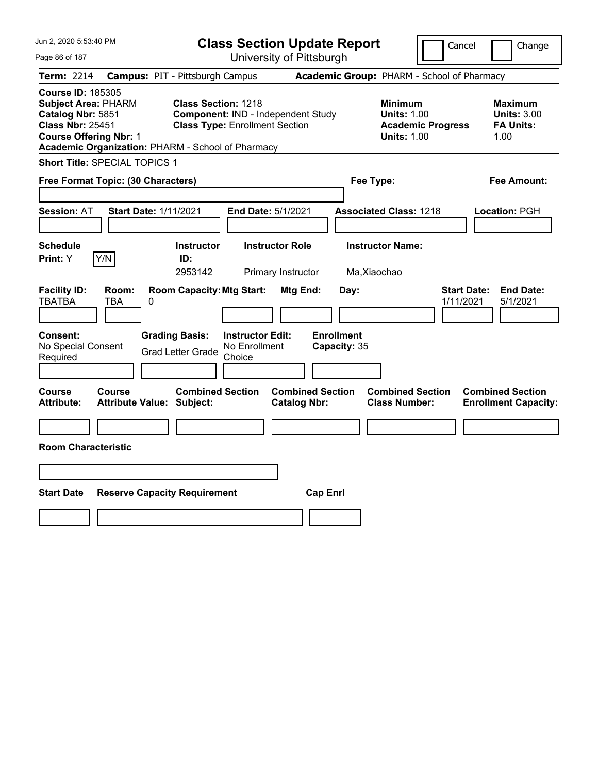| Jun 2, 2020 5:53:40 PM                                                                                                                                                                       |                                                                                                           | <b>Class Section Update Report</b>             | Cancel                                                                                 | Change                                                           |
|----------------------------------------------------------------------------------------------------------------------------------------------------------------------------------------------|-----------------------------------------------------------------------------------------------------------|------------------------------------------------|----------------------------------------------------------------------------------------|------------------------------------------------------------------|
| Page 86 of 187                                                                                                                                                                               |                                                                                                           | University of Pittsburgh                       |                                                                                        |                                                                  |
| Term: 2214                                                                                                                                                                                   | <b>Campus: PIT - Pittsburgh Campus</b>                                                                    |                                                | Academic Group: PHARM - School of Pharmacy                                             |                                                                  |
| <b>Course ID: 185305</b><br><b>Subject Area: PHARM</b><br>Catalog Nbr: 5851<br><b>Class Nbr: 25451</b><br><b>Course Offering Nbr: 1</b><br>Academic Organization: PHARM - School of Pharmacy | <b>Class Section: 1218</b><br>Component: IND - Independent Study<br><b>Class Type: Enrollment Section</b> |                                                | <b>Minimum</b><br><b>Units: 1.00</b><br><b>Academic Progress</b><br><b>Units: 1.00</b> | <b>Maximum</b><br><b>Units: 3.00</b><br><b>FA Units:</b><br>1.00 |
| Short Title: SPECIAL TOPICS 1                                                                                                                                                                |                                                                                                           |                                                |                                                                                        |                                                                  |
| Free Format Topic: (30 Characters)                                                                                                                                                           |                                                                                                           | Fee Type:                                      |                                                                                        | Fee Amount:                                                      |
| <b>Session: AT</b><br><b>Start Date: 1/11/2021</b>                                                                                                                                           | End Date: 5/1/2021                                                                                        |                                                | <b>Associated Class: 1218</b>                                                          | Location: PGH                                                    |
| <b>Schedule</b><br>Y/N<br>Print: Y                                                                                                                                                           | <b>Instructor</b><br><b>Instructor Role</b><br>ID:<br>2953142                                             | Primary Instructor<br>Ma, Xiaochao             | <b>Instructor Name:</b>                                                                |                                                                  |
| <b>Facility ID:</b><br>Room:<br><b>TBATBA</b><br>TBA<br>0                                                                                                                                    | <b>Room Capacity: Mtg Start:</b>                                                                          | Mtg End:<br>Day:                               | 1/11/2021                                                                              | <b>Start Date:</b><br><b>End Date:</b><br>5/1/2021               |
| Consent:<br>No Special Consent<br>Required                                                                                                                                                   | <b>Grading Basis:</b><br><b>Instructor Edit:</b><br>No Enrollment<br><b>Grad Letter Grade</b><br>Choice   | <b>Enrollment</b><br>Capacity: 35              |                                                                                        |                                                                  |
| Course<br>Course<br><b>Attribute:</b><br><b>Attribute Value: Subject:</b>                                                                                                                    | <b>Combined Section</b>                                                                                   | <b>Combined Section</b><br><b>Catalog Nbr:</b> | <b>Combined Section</b><br><b>Class Number:</b>                                        | <b>Combined Section</b><br><b>Enrollment Capacity:</b>           |
| <b>Room Characteristic</b>                                                                                                                                                                   |                                                                                                           |                                                |                                                                                        |                                                                  |
|                                                                                                                                                                                              |                                                                                                           |                                                |                                                                                        |                                                                  |
|                                                                                                                                                                                              |                                                                                                           |                                                |                                                                                        |                                                                  |
| <b>Start Date</b><br><b>Reserve Capacity Requirement</b>                                                                                                                                     |                                                                                                           | <b>Cap Enrl</b>                                |                                                                                        |                                                                  |
|                                                                                                                                                                                              |                                                                                                           |                                                |                                                                                        |                                                                  |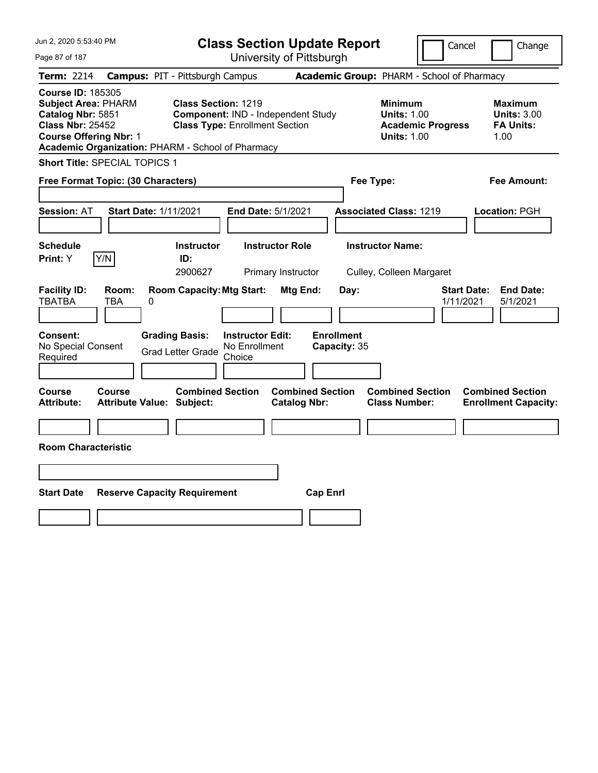| Jun 2, 2020 5:53:40 PM<br><b>Class Section Update Report</b>                                                                                                                                 |                                            |                                                                                                           |                                                    |                          |                                   |                         | Cancel                                                                                 | Change                          |                                                                  |
|----------------------------------------------------------------------------------------------------------------------------------------------------------------------------------------------|--------------------------------------------|-----------------------------------------------------------------------------------------------------------|----------------------------------------------------|--------------------------|-----------------------------------|-------------------------|----------------------------------------------------------------------------------------|---------------------------------|------------------------------------------------------------------|
| Page 87 of 187                                                                                                                                                                               |                                            |                                                                                                           |                                                    | University of Pittsburgh |                                   |                         |                                                                                        |                                 |                                                                  |
| Term: 2214                                                                                                                                                                                   | <b>Campus: PIT - Pittsburgh Campus</b>     |                                                                                                           |                                                    |                          |                                   |                         | Academic Group: PHARM - School of Pharmacy                                             |                                 |                                                                  |
| <b>Course ID: 185305</b><br><b>Subject Area: PHARM</b><br>Catalog Nbr: 5851<br><b>Class Nbr: 25452</b><br><b>Course Offering Nbr: 1</b><br>Academic Organization: PHARM - School of Pharmacy |                                            | <b>Class Section: 1219</b><br>Component: IND - Independent Study<br><b>Class Type: Enrollment Section</b> |                                                    |                          |                                   |                         | <b>Minimum</b><br><b>Units: 1.00</b><br><b>Academic Progress</b><br><b>Units: 1.00</b> |                                 | <b>Maximum</b><br><b>Units: 3.00</b><br><b>FA Units:</b><br>1.00 |
| Short Title: SPECIAL TOPICS 1                                                                                                                                                                |                                            |                                                                                                           |                                                    |                          |                                   |                         |                                                                                        |                                 |                                                                  |
| Free Format Topic: (30 Characters)                                                                                                                                                           |                                            |                                                                                                           |                                                    |                          |                                   | Fee Type:               |                                                                                        |                                 | Fee Amount:                                                      |
| <b>Session: AT</b>                                                                                                                                                                           | <b>Start Date: 1/11/2021</b>               |                                                                                                           |                                                    | End Date: 5/1/2021       |                                   |                         | <b>Associated Class: 1219</b>                                                          |                                 | Location: PGH                                                    |
| <b>Schedule</b><br>Y/N<br>Print: Y                                                                                                                                                           |                                            | <b>Instructor</b><br>ID:                                                                                  |                                                    | <b>Instructor Role</b>   |                                   | <b>Instructor Name:</b> |                                                                                        |                                 |                                                                  |
|                                                                                                                                                                                              |                                            | 2900627                                                                                                   |                                                    | Primary Instructor       |                                   |                         | Culley, Colleen Margaret                                                               |                                 |                                                                  |
| <b>Facility ID:</b><br><b>TBATBA</b>                                                                                                                                                         | Room:<br>TBA<br>0                          | <b>Room Capacity: Mtg Start:</b>                                                                          |                                                    | Mtg End:                 | Day:                              |                         |                                                                                        | <b>Start Date:</b><br>1/11/2021 | <b>End Date:</b><br>5/1/2021                                     |
| <b>Consent:</b><br>No Special Consent<br>Required                                                                                                                                            |                                            | <b>Grading Basis:</b><br><b>Grad Letter Grade</b>                                                         | <b>Instructor Edit:</b><br>No Enrollment<br>Choice |                          | <b>Enrollment</b><br>Capacity: 35 |                         |                                                                                        |                                 |                                                                  |
| Course<br><b>Attribute:</b>                                                                                                                                                                  | Course<br><b>Attribute Value: Subject:</b> | <b>Combined Section</b>                                                                                   |                                                    | <b>Catalog Nbr:</b>      | <b>Combined Section</b>           |                         | <b>Combined Section</b><br><b>Class Number:</b>                                        |                                 | <b>Combined Section</b><br><b>Enrollment Capacity:</b>           |
|                                                                                                                                                                                              |                                            |                                                                                                           |                                                    |                          |                                   |                         |                                                                                        |                                 |                                                                  |
| <b>Room Characteristic</b>                                                                                                                                                                   |                                            |                                                                                                           |                                                    |                          |                                   |                         |                                                                                        |                                 |                                                                  |
|                                                                                                                                                                                              |                                            |                                                                                                           |                                                    |                          |                                   |                         |                                                                                        |                                 |                                                                  |
| <b>Start Date</b>                                                                                                                                                                            | <b>Reserve Capacity Requirement</b>        |                                                                                                           |                                                    |                          | <b>Cap Enrl</b>                   |                         |                                                                                        |                                 |                                                                  |
|                                                                                                                                                                                              |                                            |                                                                                                           |                                                    |                          |                                   |                         |                                                                                        |                                 |                                                                  |
|                                                                                                                                                                                              |                                            |                                                                                                           |                                                    |                          |                                   |                         |                                                                                        |                                 |                                                                  |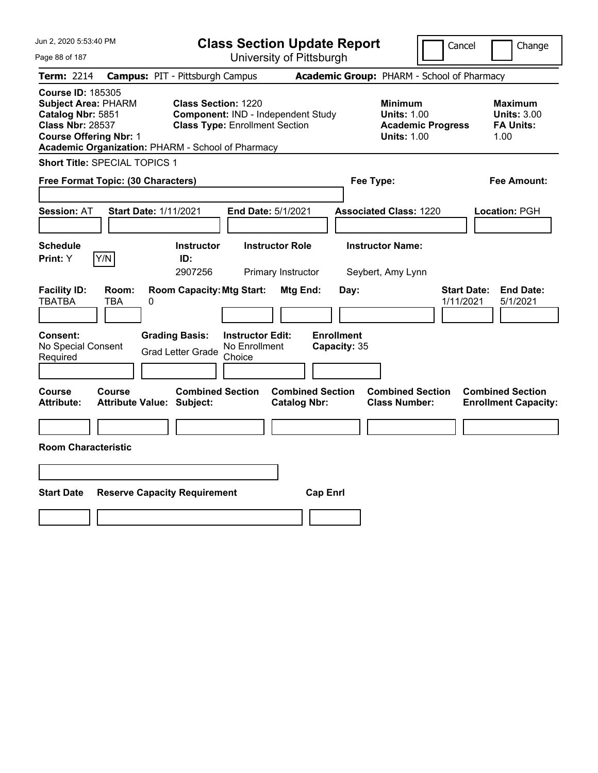| Jun 2, 2020 5:53:40 PM                                                                                                                                                                       |                                                                                                                                   | <b>Class Section Update Report</b>                    |                                                                                        | Cancel<br>Change                                                 |
|----------------------------------------------------------------------------------------------------------------------------------------------------------------------------------------------|-----------------------------------------------------------------------------------------------------------------------------------|-------------------------------------------------------|----------------------------------------------------------------------------------------|------------------------------------------------------------------|
| Page 88 of 187                                                                                                                                                                               |                                                                                                                                   | University of Pittsburgh                              |                                                                                        |                                                                  |
| <b>Term: 2214</b>                                                                                                                                                                            | <b>Campus: PIT - Pittsburgh Campus</b>                                                                                            |                                                       | Academic Group: PHARM - School of Pharmacy                                             |                                                                  |
| <b>Course ID: 185305</b><br><b>Subject Area: PHARM</b><br>Catalog Nbr: 5851<br><b>Class Nbr: 28537</b><br><b>Course Offering Nbr: 1</b><br>Academic Organization: PHARM - School of Pharmacy | <b>Class Section: 1220</b><br>Component: IND - Independent Study<br><b>Class Type: Enrollment Section</b>                         |                                                       | <b>Minimum</b><br><b>Units: 1.00</b><br><b>Academic Progress</b><br><b>Units: 1.00</b> | <b>Maximum</b><br><b>Units: 3.00</b><br><b>FA Units:</b><br>1.00 |
| Short Title: SPECIAL TOPICS 1                                                                                                                                                                |                                                                                                                                   |                                                       |                                                                                        |                                                                  |
| Free Format Topic: (30 Characters)                                                                                                                                                           |                                                                                                                                   |                                                       | Fee Type:                                                                              | Fee Amount:                                                      |
| <b>Start Date: 1/11/2021</b><br><b>Session: AT</b>                                                                                                                                           | End Date: 5/1/2021                                                                                                                |                                                       | <b>Associated Class: 1220</b>                                                          | Location: PGH                                                    |
| <b>Schedule</b><br>Y/N<br>Print: Y                                                                                                                                                           | <b>Instructor</b><br>ID:                                                                                                          | <b>Instructor Role</b>                                | <b>Instructor Name:</b>                                                                |                                                                  |
|                                                                                                                                                                                              | 2907256                                                                                                                           | Primary Instructor                                    | Seybert, Amy Lynn                                                                      |                                                                  |
| <b>Facility ID:</b><br>Room:<br><b>TBATBA</b><br>TBA<br>0<br><b>Consent:</b><br>No Special Consent                                                                                           | <b>Room Capacity: Mtg Start:</b><br><b>Grading Basis:</b><br><b>Instructor Edit:</b><br>No Enrollment<br><b>Grad Letter Grade</b> | Mtg End:<br>Day:<br><b>Enrollment</b><br>Capacity: 35 |                                                                                        | <b>Start Date:</b><br><b>End Date:</b><br>1/11/2021<br>5/1/2021  |
| Required                                                                                                                                                                                     | Choice                                                                                                                            |                                                       |                                                                                        |                                                                  |
| Course<br><b>Course</b><br><b>Attribute:</b><br><b>Attribute Value: Subject:</b><br><b>Room Characteristic</b>                                                                               | <b>Combined Section</b>                                                                                                           | <b>Combined Section</b><br><b>Catalog Nbr:</b>        | <b>Combined Section</b><br><b>Class Number:</b>                                        | <b>Combined Section</b><br><b>Enrollment Capacity:</b>           |
|                                                                                                                                                                                              |                                                                                                                                   |                                                       |                                                                                        |                                                                  |
| <b>Start Date</b><br><b>Reserve Capacity Requirement</b>                                                                                                                                     |                                                                                                                                   | <b>Cap Enrl</b>                                       |                                                                                        |                                                                  |
|                                                                                                                                                                                              |                                                                                                                                   |                                                       |                                                                                        |                                                                  |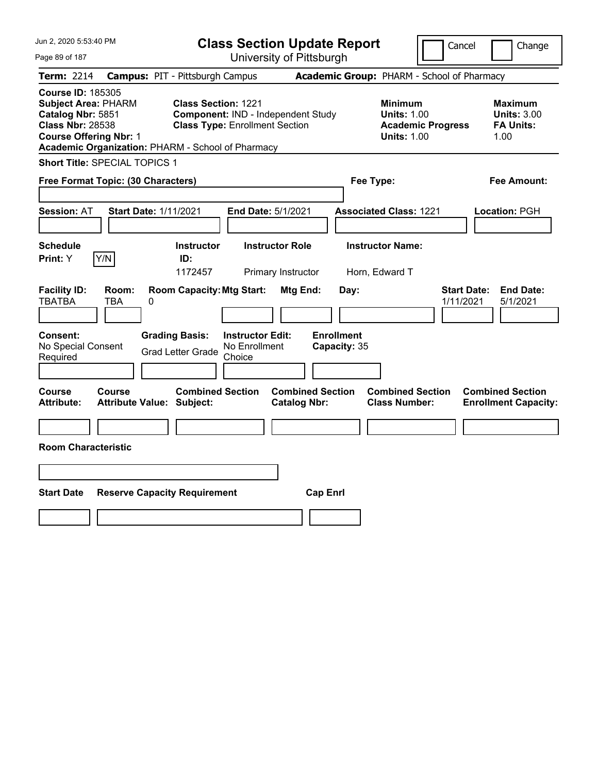| Jun 2, 2020 5:53:40 PM                                                                                                                                                                       |                                                                                                           | <b>Class Section Update Report</b>             |                                                                                        | Cancel<br>Change                                                 |
|----------------------------------------------------------------------------------------------------------------------------------------------------------------------------------------------|-----------------------------------------------------------------------------------------------------------|------------------------------------------------|----------------------------------------------------------------------------------------|------------------------------------------------------------------|
| Page 89 of 187                                                                                                                                                                               |                                                                                                           | University of Pittsburgh                       |                                                                                        |                                                                  |
| <b>Term: 2214</b>                                                                                                                                                                            | <b>Campus: PIT - Pittsburgh Campus</b>                                                                    |                                                | Academic Group: PHARM - School of Pharmacy                                             |                                                                  |
| <b>Course ID: 185305</b><br><b>Subject Area: PHARM</b><br>Catalog Nbr: 5851<br><b>Class Nbr: 28538</b><br><b>Course Offering Nbr: 1</b><br>Academic Organization: PHARM - School of Pharmacy | <b>Class Section: 1221</b><br>Component: IND - Independent Study<br><b>Class Type: Enrollment Section</b> |                                                | <b>Minimum</b><br><b>Units: 1.00</b><br><b>Academic Progress</b><br><b>Units: 1.00</b> | <b>Maximum</b><br><b>Units: 3.00</b><br><b>FA Units:</b><br>1.00 |
| Short Title: SPECIAL TOPICS 1                                                                                                                                                                |                                                                                                           |                                                |                                                                                        |                                                                  |
| Free Format Topic: (30 Characters)                                                                                                                                                           |                                                                                                           |                                                | Fee Type:                                                                              | Fee Amount:                                                      |
| <b>Session: AT</b><br><b>Start Date: 1/11/2021</b>                                                                                                                                           |                                                                                                           | End Date: 5/1/2021                             | <b>Associated Class: 1221</b>                                                          | Location: PGH                                                    |
| <b>Schedule</b>                                                                                                                                                                              | <b>Instructor</b>                                                                                         | <b>Instructor Role</b>                         | <b>Instructor Name:</b>                                                                |                                                                  |
| Y/N<br>Print: Y                                                                                                                                                                              | ID:<br>1172457                                                                                            | Primary Instructor                             | Horn, Edward T                                                                         |                                                                  |
| <b>Facility ID:</b><br>Room:<br><b>TBATBA</b><br>TBA<br>0                                                                                                                                    | <b>Room Capacity: Mtg Start:</b>                                                                          | Mtg End:<br>Day:                               |                                                                                        | <b>Start Date:</b><br><b>End Date:</b><br>1/11/2021<br>5/1/2021  |
| Consent:<br>No Special Consent<br>Required                                                                                                                                                   | <b>Grading Basis:</b><br><b>Instructor Edit:</b><br>No Enrollment<br><b>Grad Letter Grade</b><br>Choice   | <b>Enrollment</b><br>Capacity: 35              |                                                                                        |                                                                  |
| Course<br>Course<br><b>Attribute:</b><br><b>Attribute Value: Subject:</b>                                                                                                                    | <b>Combined Section</b>                                                                                   | <b>Combined Section</b><br><b>Catalog Nbr:</b> | <b>Combined Section</b><br><b>Class Number:</b>                                        | <b>Combined Section</b><br><b>Enrollment Capacity:</b>           |
|                                                                                                                                                                                              |                                                                                                           |                                                |                                                                                        |                                                                  |
| <b>Room Characteristic</b>                                                                                                                                                                   |                                                                                                           |                                                |                                                                                        |                                                                  |
|                                                                                                                                                                                              |                                                                                                           |                                                |                                                                                        |                                                                  |
| <b>Start Date</b>                                                                                                                                                                            | <b>Reserve Capacity Requirement</b>                                                                       | <b>Cap Enrl</b>                                |                                                                                        |                                                                  |
|                                                                                                                                                                                              |                                                                                                           |                                                |                                                                                        |                                                                  |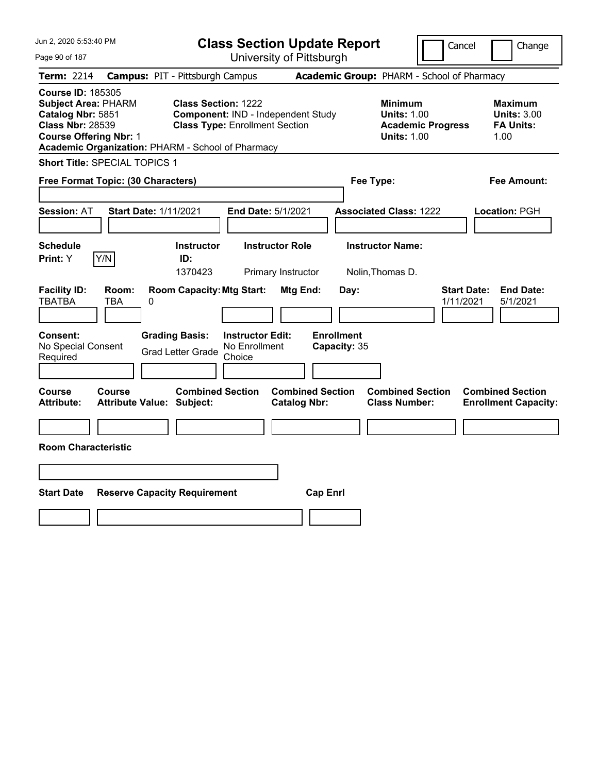| Jun 2, 2020 5:53:40 PM<br><b>Class Section Update Report</b>                                                                                                                                 |                                            |                                                                     |                                                    |                                                |                                   | Cancel                                                     | Change                   |                                                                  |
|----------------------------------------------------------------------------------------------------------------------------------------------------------------------------------------------|--------------------------------------------|---------------------------------------------------------------------|----------------------------------------------------|------------------------------------------------|-----------------------------------|------------------------------------------------------------|--------------------------|------------------------------------------------------------------|
| Page 90 of 187                                                                                                                                                                               |                                            |                                                                     |                                                    | University of Pittsburgh                       |                                   |                                                            |                          |                                                                  |
| Term: 2214                                                                                                                                                                                   | <b>Campus: PIT - Pittsburgh Campus</b>     |                                                                     |                                                    |                                                |                                   | Academic Group: PHARM - School of Pharmacy                 |                          |                                                                  |
| <b>Course ID: 185305</b><br><b>Subject Area: PHARM</b><br>Catalog Nbr: 5851<br><b>Class Nbr: 28539</b><br><b>Course Offering Nbr: 1</b><br>Academic Organization: PHARM - School of Pharmacy |                                            | <b>Class Section: 1222</b><br><b>Class Type: Enrollment Section</b> |                                                    | Component: IND - Independent Study             |                                   | <b>Minimum</b><br><b>Units: 1.00</b><br><b>Units: 1.00</b> | <b>Academic Progress</b> | <b>Maximum</b><br><b>Units: 3.00</b><br><b>FA Units:</b><br>1.00 |
| Short Title: SPECIAL TOPICS 1                                                                                                                                                                |                                            |                                                                     |                                                    |                                                |                                   |                                                            |                          |                                                                  |
| Free Format Topic: (30 Characters)                                                                                                                                                           |                                            |                                                                     |                                                    |                                                |                                   | Fee Type:                                                  |                          | Fee Amount:                                                      |
| <b>Session: AT</b>                                                                                                                                                                           | <b>Start Date: 1/11/2021</b>               |                                                                     |                                                    | End Date: 5/1/2021                             |                                   | <b>Associated Class: 1222</b>                              |                          | Location: PGH                                                    |
| <b>Schedule</b><br>Y/N<br>Print: Y                                                                                                                                                           |                                            | <b>Instructor</b><br>ID:<br>1370423                                 |                                                    | <b>Instructor Role</b><br>Primary Instructor   |                                   | <b>Instructor Name:</b><br>Nolin, Thomas D.                |                          |                                                                  |
| <b>Facility ID:</b><br><b>TBATBA</b>                                                                                                                                                         | Room:<br>TBA<br>0                          | <b>Room Capacity: Mtg Start:</b>                                    |                                                    | Mtg End:                                       | Day:                              |                                                            | 1/11/2021                | <b>Start Date:</b><br><b>End Date:</b><br>5/1/2021               |
| <b>Consent:</b><br>No Special Consent<br>Required                                                                                                                                            |                                            | <b>Grading Basis:</b><br><b>Grad Letter Grade</b>                   | <b>Instructor Edit:</b><br>No Enrollment<br>Choice |                                                | <b>Enrollment</b><br>Capacity: 35 |                                                            |                          |                                                                  |
| Course<br>Attribute:                                                                                                                                                                         | Course<br><b>Attribute Value: Subject:</b> | <b>Combined Section</b>                                             |                                                    | <b>Combined Section</b><br><b>Catalog Nbr:</b> |                                   | <b>Combined Section</b><br><b>Class Number:</b>            |                          | <b>Combined Section</b><br><b>Enrollment Capacity:</b>           |
| <b>Room Characteristic</b>                                                                                                                                                                   |                                            |                                                                     |                                                    |                                                |                                   |                                                            |                          |                                                                  |
|                                                                                                                                                                                              |                                            |                                                                     |                                                    |                                                |                                   |                                                            |                          |                                                                  |
| <b>Start Date</b>                                                                                                                                                                            | <b>Reserve Capacity Requirement</b>        |                                                                     |                                                    |                                                | <b>Cap Enrl</b>                   |                                                            |                          |                                                                  |
|                                                                                                                                                                                              |                                            |                                                                     |                                                    |                                                |                                   |                                                            |                          |                                                                  |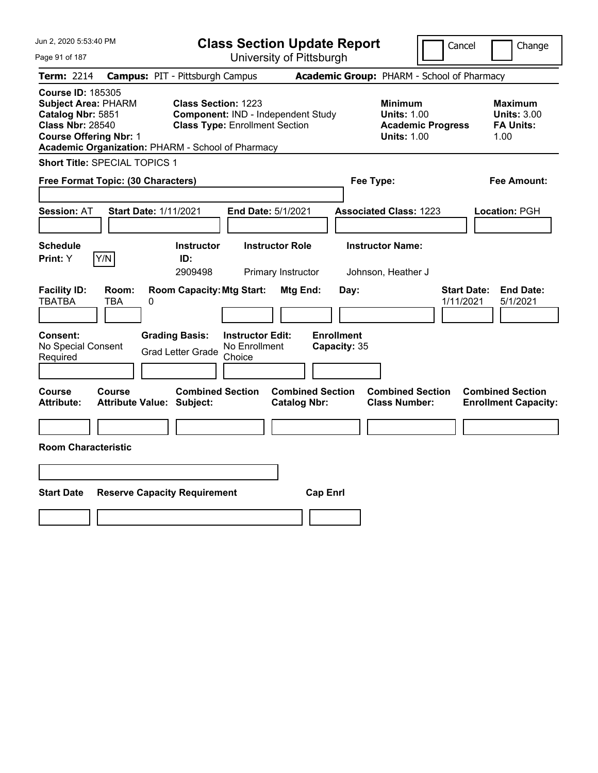| Jun 2, 2020 5:53:40 PM                                                                                                                                                                       |                                                                                                           | <b>Class Section Update Report</b>             |                                                                                        | Cancel<br>Change                                                 |
|----------------------------------------------------------------------------------------------------------------------------------------------------------------------------------------------|-----------------------------------------------------------------------------------------------------------|------------------------------------------------|----------------------------------------------------------------------------------------|------------------------------------------------------------------|
| Page 91 of 187                                                                                                                                                                               |                                                                                                           | University of Pittsburgh                       |                                                                                        |                                                                  |
| <b>Term: 2214</b>                                                                                                                                                                            | <b>Campus: PIT - Pittsburgh Campus</b>                                                                    |                                                | Academic Group: PHARM - School of Pharmacy                                             |                                                                  |
| <b>Course ID: 185305</b><br><b>Subject Area: PHARM</b><br>Catalog Nbr: 5851<br><b>Class Nbr: 28540</b><br><b>Course Offering Nbr: 1</b><br>Academic Organization: PHARM - School of Pharmacy | <b>Class Section: 1223</b><br>Component: IND - Independent Study<br><b>Class Type: Enrollment Section</b> |                                                | <b>Minimum</b><br><b>Units: 1.00</b><br><b>Academic Progress</b><br><b>Units: 1.00</b> | <b>Maximum</b><br><b>Units: 3.00</b><br><b>FA Units:</b><br>1.00 |
| <b>Short Title: SPECIAL TOPICS 1</b>                                                                                                                                                         |                                                                                                           |                                                |                                                                                        |                                                                  |
| Free Format Topic: (30 Characters)                                                                                                                                                           |                                                                                                           |                                                | Fee Type:                                                                              | Fee Amount:                                                      |
| <b>Session: AT</b><br><b>Start Date: 1/11/2021</b>                                                                                                                                           |                                                                                                           | End Date: 5/1/2021                             | <b>Associated Class: 1223</b>                                                          | Location: PGH                                                    |
| <b>Schedule</b><br>Y/N<br>Print: Y                                                                                                                                                           | <b>Instructor</b><br>ID:<br>2909498                                                                       | <b>Instructor Role</b><br>Primary Instructor   | <b>Instructor Name:</b><br>Johnson, Heather J                                          |                                                                  |
| <b>Facility ID:</b><br>Room:<br><b>TBATBA</b><br>TBA<br>0                                                                                                                                    | <b>Room Capacity: Mtg Start:</b>                                                                          | <b>Mtg End:</b><br>Day:                        |                                                                                        | <b>Start Date:</b><br><b>End Date:</b><br>1/11/2021<br>5/1/2021  |
| Consent:<br>No Special Consent<br>Required                                                                                                                                                   | <b>Grading Basis:</b><br><b>Instructor Edit:</b><br>No Enrollment<br><b>Grad Letter Grade</b><br>Choice   | <b>Enrollment</b><br>Capacity: 35              |                                                                                        |                                                                  |
| Course<br>Course<br><b>Attribute:</b><br><b>Attribute Value: Subject:</b>                                                                                                                    | <b>Combined Section</b>                                                                                   | <b>Combined Section</b><br><b>Catalog Nbr:</b> | <b>Combined Section</b><br><b>Class Number:</b>                                        | <b>Combined Section</b><br><b>Enrollment Capacity:</b>           |
| <b>Room Characteristic</b>                                                                                                                                                                   |                                                                                                           |                                                |                                                                                        |                                                                  |
|                                                                                                                                                                                              |                                                                                                           |                                                |                                                                                        |                                                                  |
| <b>Start Date</b>                                                                                                                                                                            | <b>Reserve Capacity Requirement</b>                                                                       | <b>Cap Enrl</b>                                |                                                                                        |                                                                  |
|                                                                                                                                                                                              |                                                                                                           |                                                |                                                                                        |                                                                  |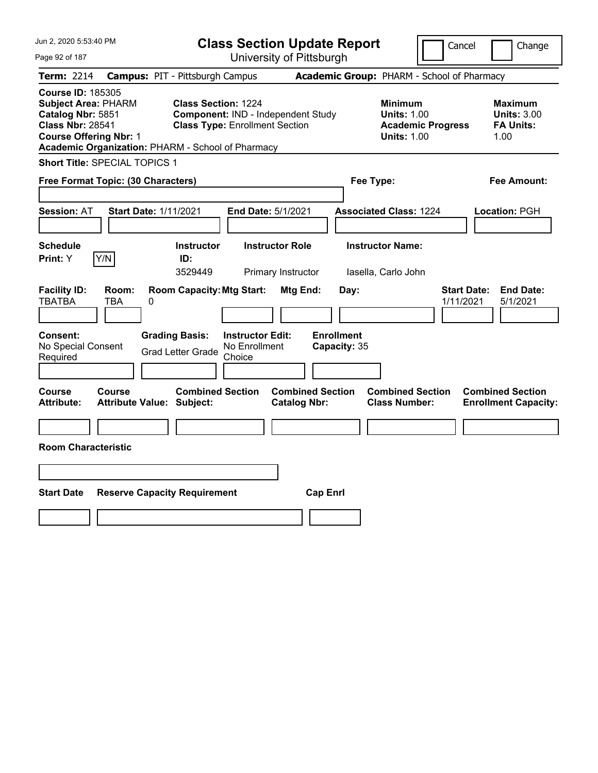| Jun 2, 2020 5:53:40 PM                                                                                                                                                                       |                                                                                                           | <b>Class Section Update Report</b>             |                                                                                        | Cancel<br>Change                                                 |
|----------------------------------------------------------------------------------------------------------------------------------------------------------------------------------------------|-----------------------------------------------------------------------------------------------------------|------------------------------------------------|----------------------------------------------------------------------------------------|------------------------------------------------------------------|
| Page 92 of 187                                                                                                                                                                               |                                                                                                           | University of Pittsburgh                       |                                                                                        |                                                                  |
| Term: 2214                                                                                                                                                                                   | <b>Campus: PIT - Pittsburgh Campus</b>                                                                    |                                                | Academic Group: PHARM - School of Pharmacy                                             |                                                                  |
| <b>Course ID: 185305</b><br><b>Subject Area: PHARM</b><br>Catalog Nbr: 5851<br><b>Class Nbr: 28541</b><br><b>Course Offering Nbr: 1</b><br>Academic Organization: PHARM - School of Pharmacy | <b>Class Section: 1224</b><br>Component: IND - Independent Study<br><b>Class Type: Enrollment Section</b> |                                                | <b>Minimum</b><br><b>Units: 1.00</b><br><b>Academic Progress</b><br><b>Units: 1.00</b> | <b>Maximum</b><br><b>Units: 3.00</b><br><b>FA Units:</b><br>1.00 |
| Short Title: SPECIAL TOPICS 1                                                                                                                                                                |                                                                                                           |                                                |                                                                                        |                                                                  |
| Free Format Topic: (30 Characters)                                                                                                                                                           |                                                                                                           |                                                | Fee Type:                                                                              | Fee Amount:                                                      |
| <b>Start Date: 1/11/2021</b><br><b>Session: AT</b>                                                                                                                                           |                                                                                                           | End Date: 5/1/2021                             | <b>Associated Class: 1224</b>                                                          | Location: PGH                                                    |
| <b>Schedule</b><br>Y/N<br><b>Print: Y</b>                                                                                                                                                    | <b>Instructor</b><br>ID:<br>3529449                                                                       | <b>Instructor Role</b><br>Primary Instructor   | <b>Instructor Name:</b><br>lasella, Carlo John                                         |                                                                  |
| <b>Facility ID:</b><br>Room:<br><b>TBATBA</b><br>TBA<br>0                                                                                                                                    | <b>Room Capacity: Mtg Start:</b>                                                                          | Mtg End:<br>Day:                               |                                                                                        | <b>Start Date:</b><br><b>End Date:</b><br>5/1/2021<br>1/11/2021  |
| Consent:<br>No Special Consent<br>Required                                                                                                                                                   | <b>Grading Basis:</b><br><b>Instructor Edit:</b><br>No Enrollment<br><b>Grad Letter Grade</b><br>Choice   | <b>Enrollment</b><br>Capacity: 35              |                                                                                        |                                                                  |
| Course<br><b>Course</b><br><b>Attribute:</b><br><b>Attribute Value: Subject:</b>                                                                                                             | <b>Combined Section</b>                                                                                   | <b>Combined Section</b><br><b>Catalog Nbr:</b> | <b>Combined Section</b><br><b>Class Number:</b>                                        | <b>Combined Section</b><br><b>Enrollment Capacity:</b>           |
| <b>Room Characteristic</b>                                                                                                                                                                   |                                                                                                           |                                                |                                                                                        |                                                                  |
|                                                                                                                                                                                              |                                                                                                           |                                                |                                                                                        |                                                                  |
| <b>Start Date</b>                                                                                                                                                                            | <b>Reserve Capacity Requirement</b>                                                                       | <b>Cap Enrl</b>                                |                                                                                        |                                                                  |
|                                                                                                                                                                                              |                                                                                                           |                                                |                                                                                        |                                                                  |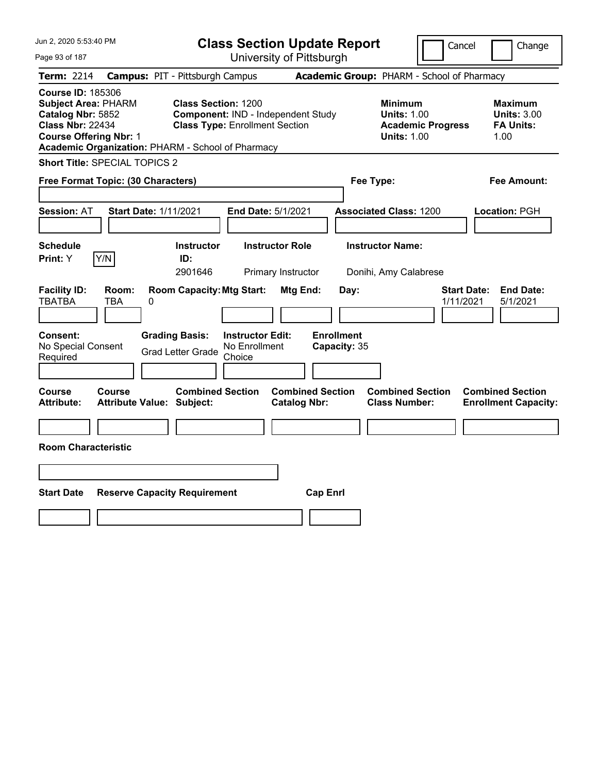| Jun 2, 2020 5:53:40 PM                                                                                                                                                                       |                                                                                                           | <b>Class Section Update Report</b>             |                                                                                        | Cancel<br>Change                                                 |
|----------------------------------------------------------------------------------------------------------------------------------------------------------------------------------------------|-----------------------------------------------------------------------------------------------------------|------------------------------------------------|----------------------------------------------------------------------------------------|------------------------------------------------------------------|
| Page 93 of 187                                                                                                                                                                               |                                                                                                           | University of Pittsburgh                       |                                                                                        |                                                                  |
| Term: 2214                                                                                                                                                                                   | <b>Campus: PIT - Pittsburgh Campus</b>                                                                    |                                                | Academic Group: PHARM - School of Pharmacy                                             |                                                                  |
| <b>Course ID: 185306</b><br><b>Subject Area: PHARM</b><br>Catalog Nbr: 5852<br><b>Class Nbr: 22434</b><br><b>Course Offering Nbr: 1</b><br>Academic Organization: PHARM - School of Pharmacy | <b>Class Section: 1200</b><br>Component: IND - Independent Study<br><b>Class Type: Enrollment Section</b> |                                                | <b>Minimum</b><br><b>Units: 1.00</b><br><b>Academic Progress</b><br><b>Units: 1.00</b> | <b>Maximum</b><br><b>Units: 3.00</b><br><b>FA Units:</b><br>1.00 |
| Short Title: SPECIAL TOPICS 2                                                                                                                                                                |                                                                                                           |                                                |                                                                                        |                                                                  |
| Free Format Topic: (30 Characters)                                                                                                                                                           |                                                                                                           |                                                | Fee Type:                                                                              | Fee Amount:                                                      |
| <b>Session: AT</b><br><b>Start Date: 1/11/2021</b>                                                                                                                                           |                                                                                                           | End Date: 5/1/2021                             | <b>Associated Class: 1200</b>                                                          | Location: PGH                                                    |
| <b>Schedule</b><br>Y/N<br>Print: Y                                                                                                                                                           | <b>Instructor</b><br>ID:<br>2901646                                                                       | <b>Instructor Role</b><br>Primary Instructor   | <b>Instructor Name:</b><br>Donihi, Amy Calabrese                                       |                                                                  |
| <b>Facility ID:</b><br>Room:<br><b>TBATBA</b><br>TBA<br>0                                                                                                                                    | <b>Room Capacity: Mtg Start:</b>                                                                          | Mtg End:<br>Day:                               |                                                                                        | <b>Start Date:</b><br><b>End Date:</b><br>1/11/2021<br>5/1/2021  |
| Consent:<br>No Special Consent<br>Required                                                                                                                                                   | <b>Grading Basis:</b><br><b>Instructor Edit:</b><br>No Enrollment<br><b>Grad Letter Grade</b><br>Choice   | <b>Enrollment</b><br>Capacity: 35              |                                                                                        |                                                                  |
| Course<br>Course<br><b>Attribute:</b><br><b>Attribute Value: Subject:</b>                                                                                                                    | <b>Combined Section</b>                                                                                   | <b>Combined Section</b><br><b>Catalog Nbr:</b> | <b>Combined Section</b><br><b>Class Number:</b>                                        | <b>Combined Section</b><br><b>Enrollment Capacity:</b>           |
| <b>Room Characteristic</b>                                                                                                                                                                   |                                                                                                           |                                                |                                                                                        |                                                                  |
|                                                                                                                                                                                              |                                                                                                           |                                                |                                                                                        |                                                                  |
| <b>Start Date</b>                                                                                                                                                                            | <b>Reserve Capacity Requirement</b>                                                                       | <b>Cap Enrl</b>                                |                                                                                        |                                                                  |
|                                                                                                                                                                                              |                                                                                                           |                                                |                                                                                        |                                                                  |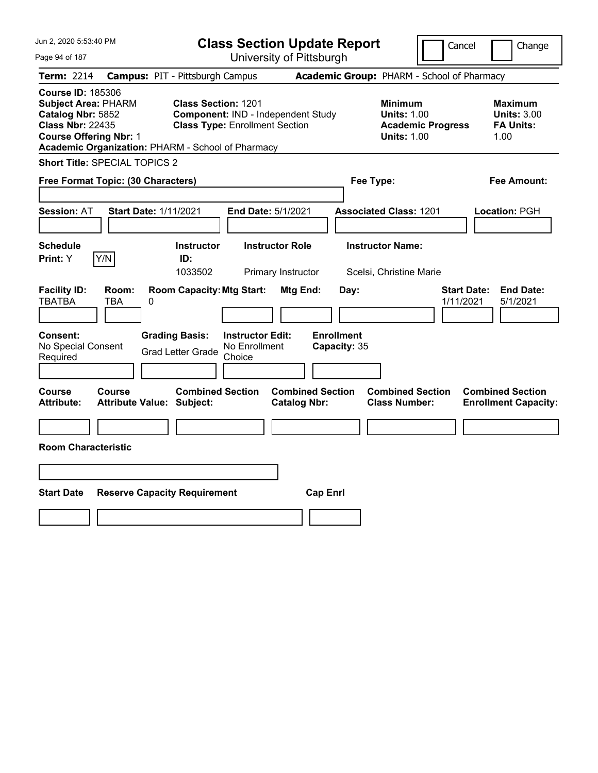| Jun 2, 2020 5:53:40 PM<br><b>Class Section Update Report</b>                                                                                                                                 |                                        |                                                                                                           |                                                    |                                                |                                   |                                                            | Cancel                   | Change                                                           |
|----------------------------------------------------------------------------------------------------------------------------------------------------------------------------------------------|----------------------------------------|-----------------------------------------------------------------------------------------------------------|----------------------------------------------------|------------------------------------------------|-----------------------------------|------------------------------------------------------------|--------------------------|------------------------------------------------------------------|
| Page 94 of 187                                                                                                                                                                               |                                        |                                                                                                           |                                                    | University of Pittsburgh                       |                                   |                                                            |                          |                                                                  |
| <b>Term: 2214</b>                                                                                                                                                                            | <b>Campus: PIT - Pittsburgh Campus</b> |                                                                                                           |                                                    |                                                |                                   | Academic Group: PHARM - School of Pharmacy                 |                          |                                                                  |
| <b>Course ID: 185306</b><br><b>Subject Area: PHARM</b><br>Catalog Nbr: 5852<br><b>Class Nbr: 22435</b><br><b>Course Offering Nbr: 1</b><br>Academic Organization: PHARM - School of Pharmacy |                                        | <b>Class Section: 1201</b><br>Component: IND - Independent Study<br><b>Class Type: Enrollment Section</b> |                                                    |                                                |                                   | <b>Minimum</b><br><b>Units: 1.00</b><br><b>Units: 1.00</b> | <b>Academic Progress</b> | <b>Maximum</b><br><b>Units: 3.00</b><br><b>FA Units:</b><br>1.00 |
| Short Title: SPECIAL TOPICS 2                                                                                                                                                                |                                        |                                                                                                           |                                                    |                                                |                                   |                                                            |                          |                                                                  |
| Free Format Topic: (30 Characters)                                                                                                                                                           |                                        |                                                                                                           |                                                    |                                                |                                   | Fee Type:                                                  |                          | Fee Amount:                                                      |
| <b>Session: AT</b>                                                                                                                                                                           | <b>Start Date: 1/11/2021</b>           |                                                                                                           |                                                    | End Date: 5/1/2021                             |                                   | <b>Associated Class: 1201</b>                              |                          | Location: PGH                                                    |
| <b>Schedule</b><br>Y/N<br>Print: Y                                                                                                                                                           |                                        | <b>Instructor</b><br>ID:<br>1033502                                                                       |                                                    | <b>Instructor Role</b><br>Primary Instructor   |                                   | <b>Instructor Name:</b><br>Scelsi, Christine Marie         |                          |                                                                  |
| <b>Facility ID:</b><br><b>TBATBA</b><br>TBA                                                                                                                                                  | Room:<br>0                             | <b>Room Capacity: Mtg Start:</b>                                                                          |                                                    | Mtg End:                                       | Day:                              |                                                            |                          | <b>Start Date:</b><br><b>End Date:</b><br>1/11/2021<br>5/1/2021  |
| <b>Consent:</b><br>No Special Consent<br>Required                                                                                                                                            |                                        | <b>Grading Basis:</b><br><b>Grad Letter Grade</b>                                                         | <b>Instructor Edit:</b><br>No Enrollment<br>Choice |                                                | <b>Enrollment</b><br>Capacity: 35 |                                                            |                          |                                                                  |
| Course<br><b>Course</b><br><b>Attribute:</b>                                                                                                                                                 | <b>Attribute Value: Subject:</b>       | <b>Combined Section</b>                                                                                   |                                                    | <b>Combined Section</b><br><b>Catalog Nbr:</b> |                                   | <b>Combined Section</b><br><b>Class Number:</b>            |                          | <b>Combined Section</b><br><b>Enrollment Capacity:</b>           |
| <b>Room Characteristic</b>                                                                                                                                                                   |                                        |                                                                                                           |                                                    |                                                |                                   |                                                            |                          |                                                                  |
|                                                                                                                                                                                              |                                        |                                                                                                           |                                                    |                                                |                                   |                                                            |                          |                                                                  |
| <b>Start Date</b>                                                                                                                                                                            | <b>Reserve Capacity Requirement</b>    |                                                                                                           |                                                    |                                                | <b>Cap Enrl</b>                   |                                                            |                          |                                                                  |
|                                                                                                                                                                                              |                                        |                                                                                                           |                                                    |                                                |                                   |                                                            |                          |                                                                  |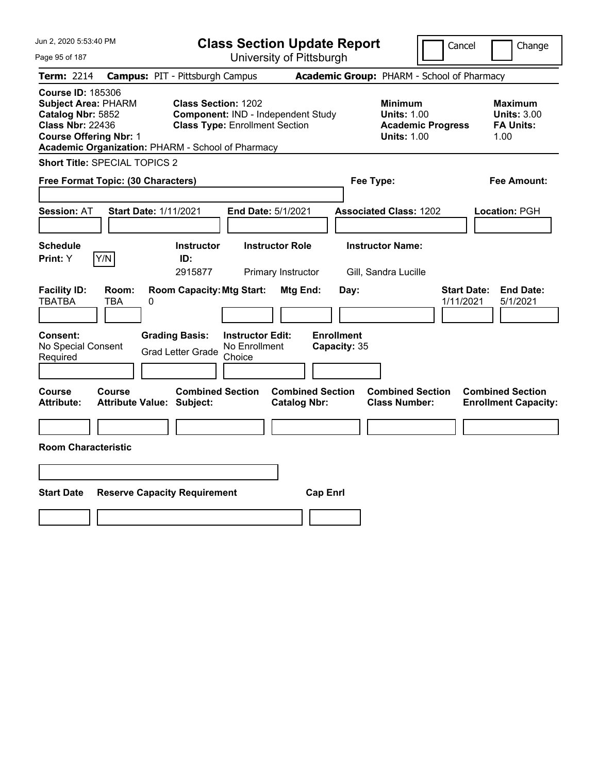| Jun 2, 2020 5:53:40 PM<br><b>Class Section Update Report</b>                                                                                                                                 |                                        |                                                                     |                                                    |                                                |                                            |                                                            | Cancel                   | Change                                                           |  |
|----------------------------------------------------------------------------------------------------------------------------------------------------------------------------------------------|----------------------------------------|---------------------------------------------------------------------|----------------------------------------------------|------------------------------------------------|--------------------------------------------|------------------------------------------------------------|--------------------------|------------------------------------------------------------------|--|
| Page 95 of 187                                                                                                                                                                               |                                        |                                                                     |                                                    | University of Pittsburgh                       |                                            |                                                            |                          |                                                                  |  |
| Term: 2214                                                                                                                                                                                   | <b>Campus: PIT - Pittsburgh Campus</b> |                                                                     |                                                    |                                                | Academic Group: PHARM - School of Pharmacy |                                                            |                          |                                                                  |  |
| <b>Course ID: 185306</b><br><b>Subject Area: PHARM</b><br>Catalog Nbr: 5852<br><b>Class Nbr: 22436</b><br><b>Course Offering Nbr: 1</b><br>Academic Organization: PHARM - School of Pharmacy |                                        | <b>Class Section: 1202</b><br><b>Class Type: Enrollment Section</b> |                                                    | Component: IND - Independent Study             |                                            | <b>Minimum</b><br><b>Units: 1.00</b><br><b>Units: 1.00</b> | <b>Academic Progress</b> | <b>Maximum</b><br><b>Units: 3.00</b><br><b>FA Units:</b><br>1.00 |  |
| Short Title: SPECIAL TOPICS 2                                                                                                                                                                |                                        |                                                                     |                                                    |                                                |                                            |                                                            |                          |                                                                  |  |
| Free Format Topic: (30 Characters)                                                                                                                                                           |                                        |                                                                     |                                                    |                                                | Fee Type:                                  |                                                            |                          | Fee Amount:                                                      |  |
| <b>Session: AT</b>                                                                                                                                                                           | <b>Start Date: 1/11/2021</b>           |                                                                     | End Date: 5/1/2021                                 |                                                |                                            | <b>Associated Class: 1202</b>                              |                          | Location: PGH                                                    |  |
| <b>Schedule</b><br>Y/N<br>Print: Y                                                                                                                                                           |                                        | <b>Instructor</b><br>ID:<br>2915877                                 |                                                    | <b>Instructor Role</b><br>Primary Instructor   |                                            | <b>Instructor Name:</b><br>Gill, Sandra Lucille            |                          |                                                                  |  |
| <b>Facility ID:</b><br><b>TBATBA</b><br>TBA                                                                                                                                                  | Room:<br>0                             | <b>Room Capacity: Mtg Start:</b>                                    |                                                    | Mtg End:                                       | Day:                                       |                                                            | 1/11/2021                | <b>Start Date:</b><br><b>End Date:</b><br>5/1/2021               |  |
| Consent:<br>No Special Consent<br>Required                                                                                                                                                   | <b>Grading Basis:</b>                  | <b>Grad Letter Grade</b>                                            | <b>Instructor Edit:</b><br>No Enrollment<br>Choice |                                                | <b>Enrollment</b><br>Capacity: 35          |                                                            |                          |                                                                  |  |
| Course<br>Course<br><b>Attribute:</b>                                                                                                                                                        | <b>Attribute Value: Subject:</b>       | <b>Combined Section</b>                                             |                                                    | <b>Combined Section</b><br><b>Catalog Nbr:</b> |                                            | <b>Combined Section</b><br><b>Class Number:</b>            |                          | <b>Combined Section</b><br><b>Enrollment Capacity:</b>           |  |
| <b>Room Characteristic</b>                                                                                                                                                                   |                                        |                                                                     |                                                    |                                                |                                            |                                                            |                          |                                                                  |  |
|                                                                                                                                                                                              |                                        |                                                                     |                                                    |                                                |                                            |                                                            |                          |                                                                  |  |
| <b>Start Date</b>                                                                                                                                                                            | <b>Reserve Capacity Requirement</b>    |                                                                     |                                                    | <b>Cap Enrl</b>                                |                                            |                                                            |                          |                                                                  |  |
|                                                                                                                                                                                              |                                        |                                                                     |                                                    |                                                |                                            |                                                            |                          |                                                                  |  |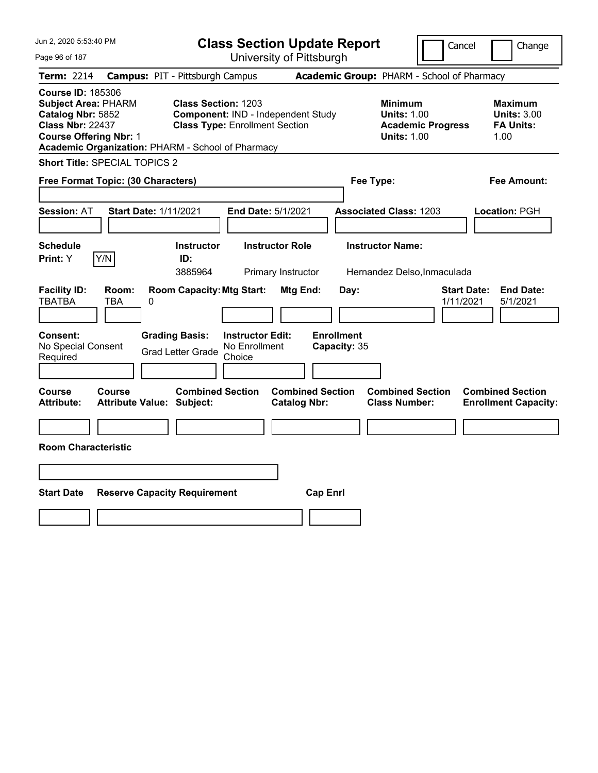| Jun 2, 2020 5:53:40 PM                                                                                                                                                                       |                                            |                                                                                                           |                                                    |                                              | <b>Class Section Update Report</b> |                                                            | Cancel                   |                                                                  | Change |
|----------------------------------------------------------------------------------------------------------------------------------------------------------------------------------------------|--------------------------------------------|-----------------------------------------------------------------------------------------------------------|----------------------------------------------------|----------------------------------------------|------------------------------------|------------------------------------------------------------|--------------------------|------------------------------------------------------------------|--------|
| Page 96 of 187                                                                                                                                                                               |                                            |                                                                                                           |                                                    | University of Pittsburgh                     |                                    |                                                            |                          |                                                                  |        |
| Term: 2214                                                                                                                                                                                   | <b>Campus: PIT - Pittsburgh Campus</b>     |                                                                                                           |                                                    |                                              |                                    | Academic Group: PHARM - School of Pharmacy                 |                          |                                                                  |        |
| <b>Course ID: 185306</b><br><b>Subject Area: PHARM</b><br>Catalog Nbr: 5852<br><b>Class Nbr: 22437</b><br><b>Course Offering Nbr: 1</b><br>Academic Organization: PHARM - School of Pharmacy |                                            | <b>Class Section: 1203</b><br>Component: IND - Independent Study<br><b>Class Type: Enrollment Section</b> |                                                    |                                              |                                    | <b>Minimum</b><br><b>Units: 1.00</b><br><b>Units: 1.00</b> | <b>Academic Progress</b> | <b>Maximum</b><br><b>Units: 3.00</b><br><b>FA Units:</b><br>1.00 |        |
| <b>Short Title: SPECIAL TOPICS 2</b>                                                                                                                                                         |                                            |                                                                                                           |                                                    |                                              |                                    |                                                            |                          |                                                                  |        |
| Free Format Topic: (30 Characters)                                                                                                                                                           |                                            |                                                                                                           |                                                    |                                              |                                    | Fee Type:                                                  |                          | Fee Amount:                                                      |        |
| <b>Session: AT</b>                                                                                                                                                                           | <b>Start Date: 1/11/2021</b>               |                                                                                                           |                                                    | End Date: 5/1/2021                           |                                    | <b>Associated Class: 1203</b>                              |                          | Location: PGH                                                    |        |
| <b>Schedule</b><br>Y/N<br>Print: Y                                                                                                                                                           |                                            | <b>Instructor</b><br>ID:<br>3885964                                                                       |                                                    | <b>Instructor Role</b><br>Primary Instructor |                                    | <b>Instructor Name:</b><br>Hernandez Delso, Inmaculada     |                          |                                                                  |        |
| <b>Facility ID:</b><br><b>TBATBA</b>                                                                                                                                                         | Room:<br>TBA<br>0                          | <b>Room Capacity: Mtg Start:</b>                                                                          |                                                    | Mtg End:                                     | Day:                               |                                                            | 1/11/2021                | <b>End Date:</b><br><b>Start Date:</b><br>5/1/2021               |        |
| Consent:<br>No Special Consent<br>Required                                                                                                                                                   |                                            | <b>Grading Basis:</b><br><b>Grad Letter Grade</b>                                                         | <b>Instructor Edit:</b><br>No Enrollment<br>Choice |                                              | <b>Enrollment</b><br>Capacity: 35  |                                                            |                          |                                                                  |        |
| Course<br>Attribute:                                                                                                                                                                         | Course<br><b>Attribute Value: Subject:</b> | <b>Combined Section</b>                                                                                   |                                                    | <b>Catalog Nbr:</b>                          | <b>Combined Section</b>            | <b>Combined Section</b><br><b>Class Number:</b>            |                          | <b>Combined Section</b><br><b>Enrollment Capacity:</b>           |        |
|                                                                                                                                                                                              |                                            |                                                                                                           |                                                    |                                              |                                    |                                                            |                          |                                                                  |        |
| <b>Room Characteristic</b>                                                                                                                                                                   |                                            |                                                                                                           |                                                    |                                              |                                    |                                                            |                          |                                                                  |        |
|                                                                                                                                                                                              |                                            |                                                                                                           |                                                    |                                              |                                    |                                                            |                          |                                                                  |        |
| <b>Start Date</b>                                                                                                                                                                            | <b>Reserve Capacity Requirement</b>        |                                                                                                           |                                                    |                                              | <b>Cap Enrl</b>                    |                                                            |                          |                                                                  |        |
|                                                                                                                                                                                              |                                            |                                                                                                           |                                                    |                                              |                                    |                                                            |                          |                                                                  |        |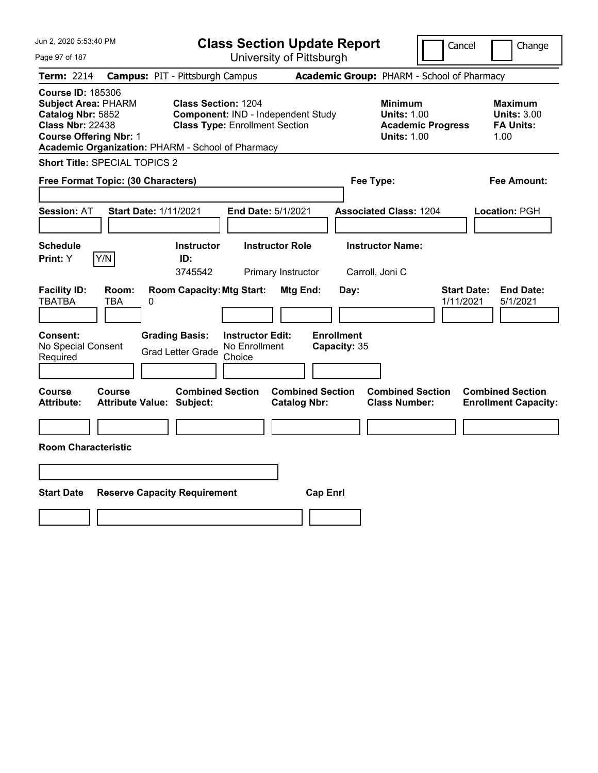| Jun 2, 2020 5:53:40 PM                                                                                                                                                                       |                                                                                                           | <b>Class Section Update Report</b>             |                                                                                        | Cancel<br>Change                                                 |
|----------------------------------------------------------------------------------------------------------------------------------------------------------------------------------------------|-----------------------------------------------------------------------------------------------------------|------------------------------------------------|----------------------------------------------------------------------------------------|------------------------------------------------------------------|
| Page 97 of 187                                                                                                                                                                               |                                                                                                           | University of Pittsburgh                       |                                                                                        |                                                                  |
| Term: 2214                                                                                                                                                                                   | <b>Campus: PIT - Pittsburgh Campus</b>                                                                    |                                                | Academic Group: PHARM - School of Pharmacy                                             |                                                                  |
| <b>Course ID: 185306</b><br><b>Subject Area: PHARM</b><br>Catalog Nbr: 5852<br><b>Class Nbr: 22438</b><br><b>Course Offering Nbr: 1</b><br>Academic Organization: PHARM - School of Pharmacy | <b>Class Section: 1204</b><br>Component: IND - Independent Study<br><b>Class Type: Enrollment Section</b> |                                                | <b>Minimum</b><br><b>Units: 1.00</b><br><b>Academic Progress</b><br><b>Units: 1.00</b> | <b>Maximum</b><br><b>Units: 3.00</b><br><b>FA Units:</b><br>1.00 |
| <b>Short Title: SPECIAL TOPICS 2</b>                                                                                                                                                         |                                                                                                           |                                                |                                                                                        |                                                                  |
| Free Format Topic: (30 Characters)                                                                                                                                                           |                                                                                                           | Fee Type:                                      |                                                                                        | Fee Amount:                                                      |
| <b>Session: AT</b><br><b>Start Date: 1/11/2021</b>                                                                                                                                           | End Date: 5/1/2021                                                                                        |                                                | <b>Associated Class: 1204</b>                                                          | Location: PGH                                                    |
| <b>Schedule</b><br>Y/N<br>Print: Y                                                                                                                                                           | <b>Instructor Role</b><br><b>Instructor</b><br>ID:<br>3745542<br>Primary Instructor                       | Carroll, Joni C                                | <b>Instructor Name:</b>                                                                |                                                                  |
| <b>Facility ID:</b><br>Room:<br><b>TBATBA</b><br>TBA<br>0                                                                                                                                    | <b>Room Capacity: Mtg Start:</b>                                                                          | <b>Mtg End:</b><br>Day:                        |                                                                                        | <b>Start Date:</b><br><b>End Date:</b><br>1/11/2021<br>5/1/2021  |
| Consent:<br>No Special Consent<br>Required                                                                                                                                                   | <b>Grading Basis:</b><br><b>Instructor Edit:</b><br>No Enrollment<br><b>Grad Letter Grade</b><br>Choice   | <b>Enrollment</b><br>Capacity: 35              |                                                                                        |                                                                  |
| Course<br>Course<br><b>Attribute Value: Subject:</b><br>Attribute:                                                                                                                           | <b>Combined Section</b>                                                                                   | <b>Combined Section</b><br><b>Catalog Nbr:</b> | <b>Combined Section</b><br><b>Class Number:</b>                                        | <b>Combined Section</b><br><b>Enrollment Capacity:</b>           |
|                                                                                                                                                                                              |                                                                                                           |                                                |                                                                                        |                                                                  |
| <b>Room Characteristic</b>                                                                                                                                                                   |                                                                                                           |                                                |                                                                                        |                                                                  |
|                                                                                                                                                                                              |                                                                                                           |                                                |                                                                                        |                                                                  |
| <b>Start Date</b><br><b>Reserve Capacity Requirement</b>                                                                                                                                     |                                                                                                           | <b>Cap Enrl</b>                                |                                                                                        |                                                                  |
|                                                                                                                                                                                              |                                                                                                           |                                                |                                                                                        |                                                                  |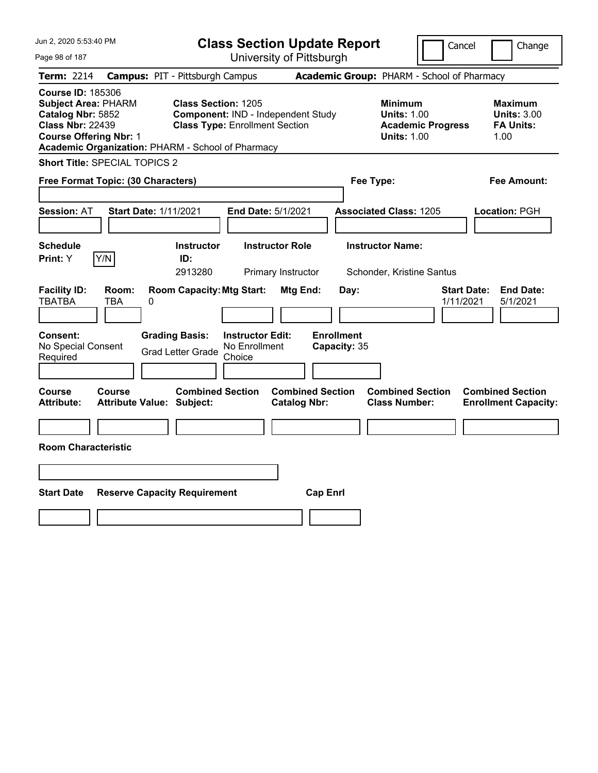| Jun 2, 2020 5:53:40 PM                                                                                                                                                                       |                                                             | <b>Class Section Update Report</b>                                          |                                                |                                            |                                                            | Cancel                   | Change                                                           |
|----------------------------------------------------------------------------------------------------------------------------------------------------------------------------------------------|-------------------------------------------------------------|-----------------------------------------------------------------------------|------------------------------------------------|--------------------------------------------|------------------------------------------------------------|--------------------------|------------------------------------------------------------------|
| Page 98 of 187                                                                                                                                                                               |                                                             | University of Pittsburgh                                                    |                                                |                                            |                                                            |                          |                                                                  |
| Term: 2214                                                                                                                                                                                   | <b>Campus: PIT - Pittsburgh Campus</b>                      |                                                                             |                                                | Academic Group: PHARM - School of Pharmacy |                                                            |                          |                                                                  |
| <b>Course ID: 185306</b><br><b>Subject Area: PHARM</b><br>Catalog Nbr: 5852<br><b>Class Nbr: 22439</b><br><b>Course Offering Nbr: 1</b><br>Academic Organization: PHARM - School of Pharmacy | <b>Class Section: 1205</b>                                  | Component: IND - Independent Study<br><b>Class Type: Enrollment Section</b> |                                                |                                            | <b>Minimum</b><br><b>Units: 1.00</b><br><b>Units: 1.00</b> | <b>Academic Progress</b> | <b>Maximum</b><br><b>Units: 3.00</b><br><b>FA Units:</b><br>1.00 |
| <b>Short Title: SPECIAL TOPICS 2</b>                                                                                                                                                         |                                                             |                                                                             |                                                |                                            |                                                            |                          |                                                                  |
| Free Format Topic: (30 Characters)                                                                                                                                                           |                                                             |                                                                             |                                                | Fee Type:                                  |                                                            |                          | Fee Amount:                                                      |
| <b>Session: AT</b>                                                                                                                                                                           | <b>Start Date: 1/11/2021</b>                                | End Date: 5/1/2021                                                          |                                                | <b>Associated Class: 1205</b>              |                                                            |                          | Location: PGH                                                    |
| <b>Schedule</b><br>Y/N<br>Print: Y                                                                                                                                                           | <b>Instructor</b><br>ID:<br>2913280                         | <b>Instructor Role</b>                                                      | Primary Instructor                             |                                            | <b>Instructor Name:</b><br>Schonder, Kristine Santus       |                          |                                                                  |
| <b>Facility ID:</b><br>Room:<br><b>TBATBA</b><br>TBA                                                                                                                                         | <b>Room Capacity: Mtg Start:</b><br>0                       |                                                                             | Mtg End:                                       | Day:                                       |                                                            | 1/11/2021                | <b>End Date:</b><br><b>Start Date:</b><br>5/1/2021               |
| Consent:<br>No Special Consent<br>Required                                                                                                                                                   | <b>Grading Basis:</b><br><b>Grad Letter Grade</b>           | <b>Instructor Edit:</b><br>No Enrollment<br>Choice                          |                                                | <b>Enrollment</b><br>Capacity: 35          |                                                            |                          |                                                                  |
| Course<br>Course<br>Attribute:                                                                                                                                                               | <b>Combined Section</b><br><b>Attribute Value: Subject:</b> |                                                                             | <b>Combined Section</b><br><b>Catalog Nbr:</b> |                                            | <b>Combined Section</b><br><b>Class Number:</b>            |                          | <b>Combined Section</b><br><b>Enrollment Capacity:</b>           |
|                                                                                                                                                                                              |                                                             |                                                                             |                                                |                                            |                                                            |                          |                                                                  |
| <b>Room Characteristic</b>                                                                                                                                                                   |                                                             |                                                                             |                                                |                                            |                                                            |                          |                                                                  |
|                                                                                                                                                                                              |                                                             |                                                                             |                                                |                                            |                                                            |                          |                                                                  |
| <b>Start Date</b>                                                                                                                                                                            | <b>Reserve Capacity Requirement</b>                         |                                                                             | <b>Cap Enrl</b>                                |                                            |                                                            |                          |                                                                  |
|                                                                                                                                                                                              |                                                             |                                                                             |                                                |                                            |                                                            |                          |                                                                  |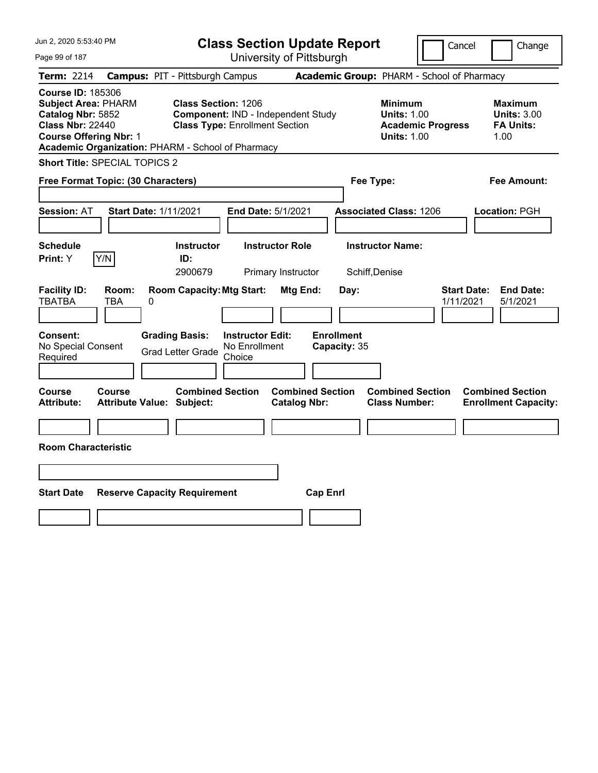| Jun 2, 2020 5:53:40 PM                                                                                                                                                                       |                                                                                                           | <b>Class Section Update Report</b>             |                                                                                        | Cancel<br>Change                                                 |
|----------------------------------------------------------------------------------------------------------------------------------------------------------------------------------------------|-----------------------------------------------------------------------------------------------------------|------------------------------------------------|----------------------------------------------------------------------------------------|------------------------------------------------------------------|
| Page 99 of 187                                                                                                                                                                               |                                                                                                           | University of Pittsburgh                       |                                                                                        |                                                                  |
| Term: 2214                                                                                                                                                                                   | <b>Campus: PIT - Pittsburgh Campus</b>                                                                    |                                                | Academic Group: PHARM - School of Pharmacy                                             |                                                                  |
| <b>Course ID: 185306</b><br><b>Subject Area: PHARM</b><br>Catalog Nbr: 5852<br><b>Class Nbr: 22440</b><br><b>Course Offering Nbr: 1</b><br>Academic Organization: PHARM - School of Pharmacy | <b>Class Section: 1206</b><br>Component: IND - Independent Study<br><b>Class Type: Enrollment Section</b> |                                                | <b>Minimum</b><br><b>Units: 1.00</b><br><b>Academic Progress</b><br><b>Units: 1.00</b> | <b>Maximum</b><br><b>Units: 3.00</b><br><b>FA Units:</b><br>1.00 |
| Short Title: SPECIAL TOPICS 2                                                                                                                                                                |                                                                                                           |                                                |                                                                                        |                                                                  |
| Free Format Topic: (30 Characters)                                                                                                                                                           |                                                                                                           |                                                | Fee Type:                                                                              | Fee Amount:                                                      |
| <b>Session: AT</b><br><b>Start Date: 1/11/2021</b>                                                                                                                                           | End Date: 5/1/2021                                                                                        |                                                | <b>Associated Class: 1206</b>                                                          | Location: PGH                                                    |
| <b>Schedule</b><br>Y/N<br>Print: Y                                                                                                                                                           | <b>Instructor</b><br>ID:<br>2900679                                                                       | <b>Instructor Role</b><br>Primary Instructor   | <b>Instructor Name:</b><br>Schiff, Denise                                              |                                                                  |
| <b>Facility ID:</b><br>Room:<br><b>TBATBA</b><br>TBA<br>0                                                                                                                                    | <b>Room Capacity: Mtg Start:</b>                                                                          | Mtg End:<br>Day:                               |                                                                                        | <b>Start Date:</b><br><b>End Date:</b><br>1/11/2021<br>5/1/2021  |
| Consent:<br>No Special Consent<br>Required                                                                                                                                                   | <b>Grading Basis:</b><br><b>Instructor Edit:</b><br>No Enrollment<br><b>Grad Letter Grade</b><br>Choice   | <b>Enrollment</b><br>Capacity: 35              |                                                                                        |                                                                  |
| Course<br>Course<br><b>Attribute:</b><br><b>Attribute Value: Subject:</b>                                                                                                                    | <b>Combined Section</b>                                                                                   | <b>Combined Section</b><br><b>Catalog Nbr:</b> | <b>Combined Section</b><br><b>Class Number:</b>                                        | <b>Combined Section</b><br><b>Enrollment Capacity:</b>           |
| <b>Room Characteristic</b>                                                                                                                                                                   |                                                                                                           |                                                |                                                                                        |                                                                  |
|                                                                                                                                                                                              |                                                                                                           |                                                |                                                                                        |                                                                  |
| <b>Start Date</b>                                                                                                                                                                            | <b>Reserve Capacity Requirement</b>                                                                       | <b>Cap Enrl</b>                                |                                                                                        |                                                                  |
|                                                                                                                                                                                              |                                                                                                           |                                                |                                                                                        |                                                                  |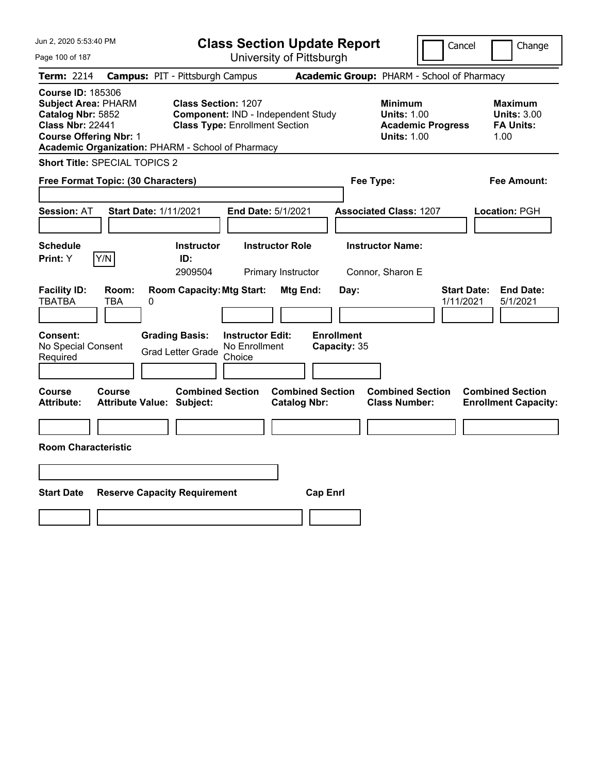| Jun 2, 2020 5:53:40 PM                                                                                                                                                                       |                                                                                                                  | <b>Class Section Update Report</b>             |                                                                                        | Cancel<br>Change                                                 |
|----------------------------------------------------------------------------------------------------------------------------------------------------------------------------------------------|------------------------------------------------------------------------------------------------------------------|------------------------------------------------|----------------------------------------------------------------------------------------|------------------------------------------------------------------|
| Page 100 of 187                                                                                                                                                                              |                                                                                                                  | University of Pittsburgh                       |                                                                                        |                                                                  |
| Term: 2214                                                                                                                                                                                   | <b>Campus: PIT - Pittsburgh Campus</b>                                                                           |                                                | Academic Group: PHARM - School of Pharmacy                                             |                                                                  |
| <b>Course ID: 185306</b><br><b>Subject Area: PHARM</b><br>Catalog Nbr: 5852<br><b>Class Nbr: 22441</b><br><b>Course Offering Nbr: 1</b><br>Academic Organization: PHARM - School of Pharmacy | <b>Class Section: 1207</b><br><b>Component: IND - Independent Study</b><br><b>Class Type: Enrollment Section</b> |                                                | <b>Minimum</b><br><b>Units: 1.00</b><br><b>Academic Progress</b><br><b>Units: 1.00</b> | <b>Maximum</b><br><b>Units: 3.00</b><br><b>FA Units:</b><br>1.00 |
| Short Title: SPECIAL TOPICS 2                                                                                                                                                                |                                                                                                                  |                                                |                                                                                        |                                                                  |
| Free Format Topic: (30 Characters)                                                                                                                                                           |                                                                                                                  |                                                | Fee Type:                                                                              | Fee Amount:                                                      |
| <b>Session: AT</b><br><b>Start Date: 1/11/2021</b>                                                                                                                                           |                                                                                                                  | End Date: 5/1/2021                             | <b>Associated Class: 1207</b>                                                          | Location: PGH                                                    |
| <b>Schedule</b><br>Y/N<br>Print: Y                                                                                                                                                           | <b>Instructor</b><br>ID:<br>2909504                                                                              | <b>Instructor Role</b><br>Primary Instructor   | <b>Instructor Name:</b><br>Connor, Sharon E                                            |                                                                  |
| <b>Facility ID:</b><br>Room:<br><b>TBATBA</b><br>TBA<br>0                                                                                                                                    | <b>Room Capacity: Mtg Start:</b>                                                                                 | Mtg End:<br>Day:                               |                                                                                        | <b>Start Date:</b><br><b>End Date:</b><br>1/11/2021<br>5/1/2021  |
| Consent:<br>No Special Consent<br>Required                                                                                                                                                   | <b>Grading Basis:</b><br><b>Instructor Edit:</b><br>No Enrollment<br><b>Grad Letter Grade</b><br>Choice          | <b>Enrollment</b><br>Capacity: 35              |                                                                                        |                                                                  |
| Course<br>Course<br><b>Attribute:</b><br><b>Attribute Value: Subject:</b>                                                                                                                    | <b>Combined Section</b>                                                                                          | <b>Combined Section</b><br><b>Catalog Nbr:</b> | <b>Combined Section</b><br><b>Class Number:</b>                                        | <b>Combined Section</b><br><b>Enrollment Capacity:</b>           |
| <b>Room Characteristic</b>                                                                                                                                                                   |                                                                                                                  |                                                |                                                                                        |                                                                  |
|                                                                                                                                                                                              |                                                                                                                  |                                                |                                                                                        |                                                                  |
| <b>Start Date</b>                                                                                                                                                                            | <b>Reserve Capacity Requirement</b>                                                                              | <b>Cap Enrl</b>                                |                                                                                        |                                                                  |
|                                                                                                                                                                                              |                                                                                                                  |                                                |                                                                                        |                                                                  |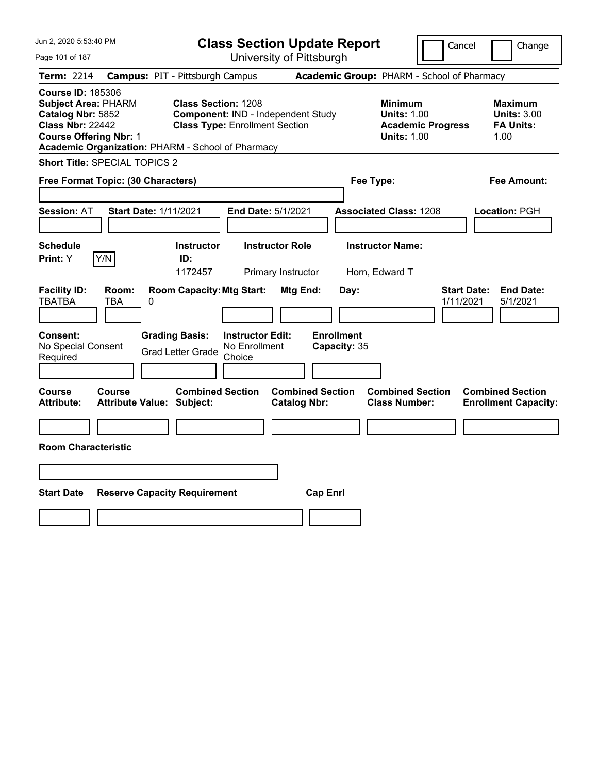| Jun 2, 2020 5:53:40 PM                                                                                                                                                                       |                                                             | <b>Class Section Update Report</b>                                          |                                                |                                            |                                                            | Cancel                   | Change                                                           |
|----------------------------------------------------------------------------------------------------------------------------------------------------------------------------------------------|-------------------------------------------------------------|-----------------------------------------------------------------------------|------------------------------------------------|--------------------------------------------|------------------------------------------------------------|--------------------------|------------------------------------------------------------------|
| Page 101 of 187                                                                                                                                                                              |                                                             | University of Pittsburgh                                                    |                                                |                                            |                                                            |                          |                                                                  |
| Term: 2214                                                                                                                                                                                   | <b>Campus: PIT - Pittsburgh Campus</b>                      |                                                                             |                                                | Academic Group: PHARM - School of Pharmacy |                                                            |                          |                                                                  |
| <b>Course ID: 185306</b><br><b>Subject Area: PHARM</b><br>Catalog Nbr: 5852<br><b>Class Nbr: 22442</b><br><b>Course Offering Nbr: 1</b><br>Academic Organization: PHARM - School of Pharmacy | <b>Class Section: 1208</b>                                  | Component: IND - Independent Study<br><b>Class Type: Enrollment Section</b> |                                                |                                            | <b>Minimum</b><br><b>Units: 1.00</b><br><b>Units: 1.00</b> | <b>Academic Progress</b> | <b>Maximum</b><br><b>Units: 3.00</b><br><b>FA Units:</b><br>1.00 |
| Short Title: SPECIAL TOPICS 2                                                                                                                                                                |                                                             |                                                                             |                                                |                                            |                                                            |                          |                                                                  |
| Free Format Topic: (30 Characters)                                                                                                                                                           |                                                             |                                                                             |                                                | Fee Type:                                  |                                                            |                          | Fee Amount:                                                      |
| <b>Session: AT</b>                                                                                                                                                                           | <b>Start Date: 1/11/2021</b>                                | End Date: 5/1/2021                                                          |                                                |                                            | <b>Associated Class: 1208</b>                              |                          | Location: PGH                                                    |
| <b>Schedule</b><br>Y/N<br>Print: Y                                                                                                                                                           | <b>Instructor</b><br>ID:<br>1172457                         | <b>Instructor Role</b><br>Primary Instructor                                |                                                |                                            | <b>Instructor Name:</b><br>Horn, Edward T                  |                          |                                                                  |
| <b>Facility ID:</b><br>Room:<br><b>TBATBA</b><br>TBA                                                                                                                                         | <b>Room Capacity: Mtg Start:</b><br>0                       |                                                                             | Mtg End:                                       | Day:                                       |                                                            | 1/11/2021                | <b>Start Date:</b><br><b>End Date:</b><br>5/1/2021               |
| Consent:<br>No Special Consent<br>Required                                                                                                                                                   | <b>Grading Basis:</b><br><b>Grad Letter Grade</b>           | <b>Instructor Edit:</b><br>No Enrollment<br>Choice                          |                                                | <b>Enrollment</b><br>Capacity: 35          |                                                            |                          |                                                                  |
| Course<br>Course<br><b>Attribute:</b>                                                                                                                                                        | <b>Combined Section</b><br><b>Attribute Value: Subject:</b> |                                                                             | <b>Combined Section</b><br><b>Catalog Nbr:</b> |                                            | <b>Combined Section</b><br><b>Class Number:</b>            |                          | <b>Combined Section</b><br><b>Enrollment Capacity:</b>           |
| <b>Room Characteristic</b>                                                                                                                                                                   |                                                             |                                                                             |                                                |                                            |                                                            |                          |                                                                  |
|                                                                                                                                                                                              |                                                             |                                                                             |                                                |                                            |                                                            |                          |                                                                  |
| <b>Start Date</b>                                                                                                                                                                            | <b>Reserve Capacity Requirement</b>                         |                                                                             | <b>Cap Enrl</b>                                |                                            |                                                            |                          |                                                                  |
|                                                                                                                                                                                              |                                                             |                                                                             |                                                |                                            |                                                            |                          |                                                                  |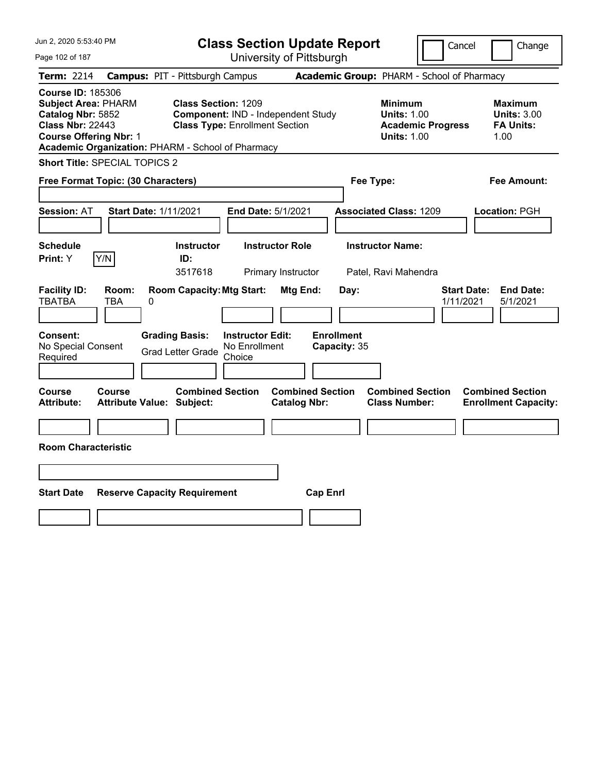| Jun 2, 2020 5:53:40 PM                                                                                                                                                                       |                                            |                                                                     |                                                    | <b>Class Section Update Report</b>             |                                            |                                                            | Cancel                   | Change                                                           |
|----------------------------------------------------------------------------------------------------------------------------------------------------------------------------------------------|--------------------------------------------|---------------------------------------------------------------------|----------------------------------------------------|------------------------------------------------|--------------------------------------------|------------------------------------------------------------|--------------------------|------------------------------------------------------------------|
| Page 102 of 187                                                                                                                                                                              |                                            |                                                                     |                                                    | University of Pittsburgh                       |                                            |                                                            |                          |                                                                  |
| Term: 2214                                                                                                                                                                                   | <b>Campus: PIT - Pittsburgh Campus</b>     |                                                                     |                                                    |                                                | Academic Group: PHARM - School of Pharmacy |                                                            |                          |                                                                  |
| <b>Course ID: 185306</b><br><b>Subject Area: PHARM</b><br>Catalog Nbr: 5852<br><b>Class Nbr: 22443</b><br><b>Course Offering Nbr: 1</b><br>Academic Organization: PHARM - School of Pharmacy |                                            | <b>Class Section: 1209</b><br><b>Class Type: Enrollment Section</b> |                                                    | Component: IND - Independent Study             |                                            | <b>Minimum</b><br><b>Units: 1.00</b><br><b>Units: 1.00</b> | <b>Academic Progress</b> | <b>Maximum</b><br><b>Units: 3.00</b><br><b>FA Units:</b><br>1.00 |
| <b>Short Title: SPECIAL TOPICS 2</b>                                                                                                                                                         |                                            |                                                                     |                                                    |                                                |                                            |                                                            |                          |                                                                  |
| Free Format Topic: (30 Characters)                                                                                                                                                           |                                            |                                                                     |                                                    |                                                |                                            | Fee Type:                                                  |                          | Fee Amount:                                                      |
| <b>Session: AT</b>                                                                                                                                                                           | <b>Start Date: 1/11/2021</b>               |                                                                     |                                                    | End Date: 5/1/2021                             |                                            | <b>Associated Class: 1209</b>                              |                          | Location: PGH                                                    |
| <b>Schedule</b><br>Y/N<br>Print: Y                                                                                                                                                           |                                            | <b>Instructor</b><br>ID:<br>3517618                                 |                                                    | <b>Instructor Role</b><br>Primary Instructor   |                                            | <b>Instructor Name:</b><br>Patel, Ravi Mahendra            |                          |                                                                  |
| <b>Facility ID:</b><br><b>TBATBA</b>                                                                                                                                                         | Room:<br>TBA<br>0                          | <b>Room Capacity: Mtg Start:</b>                                    |                                                    | Mtg End:                                       | Day:                                       |                                                            |                          | <b>Start Date:</b><br><b>End Date:</b><br>1/11/2021<br>5/1/2021  |
| <b>Consent:</b><br>No Special Consent<br>Required                                                                                                                                            |                                            | <b>Grading Basis:</b><br><b>Grad Letter Grade</b>                   | <b>Instructor Edit:</b><br>No Enrollment<br>Choice |                                                | <b>Enrollment</b><br>Capacity: 35          |                                                            |                          |                                                                  |
| Course<br>Attribute:                                                                                                                                                                         | Course<br><b>Attribute Value: Subject:</b> | <b>Combined Section</b>                                             |                                                    | <b>Combined Section</b><br><b>Catalog Nbr:</b> |                                            | <b>Combined Section</b><br><b>Class Number:</b>            |                          | <b>Combined Section</b><br><b>Enrollment Capacity:</b>           |
|                                                                                                                                                                                              |                                            |                                                                     |                                                    |                                                |                                            |                                                            |                          |                                                                  |
| <b>Room Characteristic</b>                                                                                                                                                                   |                                            |                                                                     |                                                    |                                                |                                            |                                                            |                          |                                                                  |
|                                                                                                                                                                                              |                                            |                                                                     |                                                    |                                                |                                            |                                                            |                          |                                                                  |
| <b>Start Date</b>                                                                                                                                                                            | <b>Reserve Capacity Requirement</b>        |                                                                     |                                                    |                                                | <b>Cap Enrl</b>                            |                                                            |                          |                                                                  |
|                                                                                                                                                                                              |                                            |                                                                     |                                                    |                                                |                                            |                                                            |                          |                                                                  |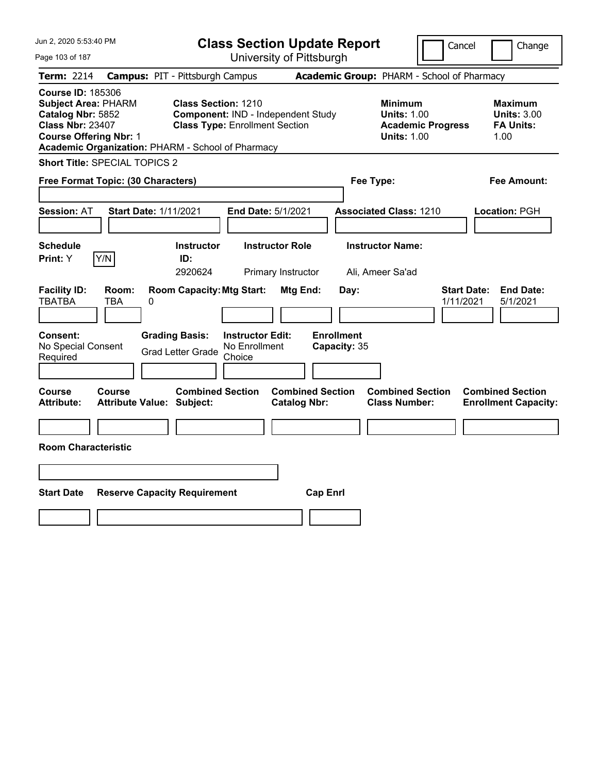| Jun 2, 2020 5:53:40 PM                                                                                                                                                                       |                                                             |                                                                             | <b>Class Section Update Report</b>             |                                                                                        | Cancel<br>Change                                                 |
|----------------------------------------------------------------------------------------------------------------------------------------------------------------------------------------------|-------------------------------------------------------------|-----------------------------------------------------------------------------|------------------------------------------------|----------------------------------------------------------------------------------------|------------------------------------------------------------------|
| Page 103 of 187                                                                                                                                                                              |                                                             |                                                                             | University of Pittsburgh                       |                                                                                        |                                                                  |
| Term: 2214                                                                                                                                                                                   | <b>Campus: PIT - Pittsburgh Campus</b>                      |                                                                             |                                                | Academic Group: PHARM - School of Pharmacy                                             |                                                                  |
| <b>Course ID: 185306</b><br><b>Subject Area: PHARM</b><br>Catalog Nbr: 5852<br><b>Class Nbr: 23407</b><br><b>Course Offering Nbr: 1</b><br>Academic Organization: PHARM - School of Pharmacy | <b>Class Section: 1210</b>                                  | Component: IND - Independent Study<br><b>Class Type: Enrollment Section</b> |                                                | <b>Minimum</b><br><b>Units: 1.00</b><br><b>Academic Progress</b><br><b>Units: 1.00</b> | <b>Maximum</b><br><b>Units: 3.00</b><br><b>FA Units:</b><br>1.00 |
| Short Title: SPECIAL TOPICS 2                                                                                                                                                                |                                                             |                                                                             |                                                |                                                                                        |                                                                  |
| Free Format Topic: (30 Characters)                                                                                                                                                           |                                                             |                                                                             |                                                | Fee Type:                                                                              | Fee Amount:                                                      |
| <b>Session: AT</b>                                                                                                                                                                           | <b>Start Date: 1/11/2021</b>                                | End Date: 5/1/2021                                                          |                                                | <b>Associated Class: 1210</b>                                                          | Location: PGH                                                    |
| <b>Schedule</b><br>Y/N<br>Print: Y                                                                                                                                                           | <b>Instructor</b><br>ID:<br>2920624                         | <b>Instructor Role</b><br>Primary Instructor                                |                                                | <b>Instructor Name:</b><br>Ali, Ameer Sa'ad                                            |                                                                  |
| <b>Facility ID:</b><br>Room:<br><b>TBATBA</b><br>TBA                                                                                                                                         | <b>Room Capacity: Mtg Start:</b><br>0                       |                                                                             | Mtg End:<br>Day:                               |                                                                                        | <b>Start Date:</b><br><b>End Date:</b><br>1/11/2021<br>5/1/2021  |
| Consent:<br>No Special Consent<br>Required                                                                                                                                                   | <b>Grading Basis:</b><br><b>Grad Letter Grade</b>           | <b>Instructor Edit:</b><br>No Enrollment<br>Choice                          | <b>Enrollment</b><br>Capacity: 35              |                                                                                        |                                                                  |
| Course<br>Course<br><b>Attribute:</b>                                                                                                                                                        | <b>Combined Section</b><br><b>Attribute Value: Subject:</b> |                                                                             | <b>Combined Section</b><br><b>Catalog Nbr:</b> | <b>Combined Section</b><br><b>Class Number:</b>                                        | <b>Combined Section</b><br><b>Enrollment Capacity:</b>           |
| <b>Room Characteristic</b>                                                                                                                                                                   |                                                             |                                                                             |                                                |                                                                                        |                                                                  |
|                                                                                                                                                                                              |                                                             |                                                                             |                                                |                                                                                        |                                                                  |
| <b>Start Date</b>                                                                                                                                                                            | <b>Reserve Capacity Requirement</b>                         |                                                                             | <b>Cap Enrl</b>                                |                                                                                        |                                                                  |
|                                                                                                                                                                                              |                                                             |                                                                             |                                                |                                                                                        |                                                                  |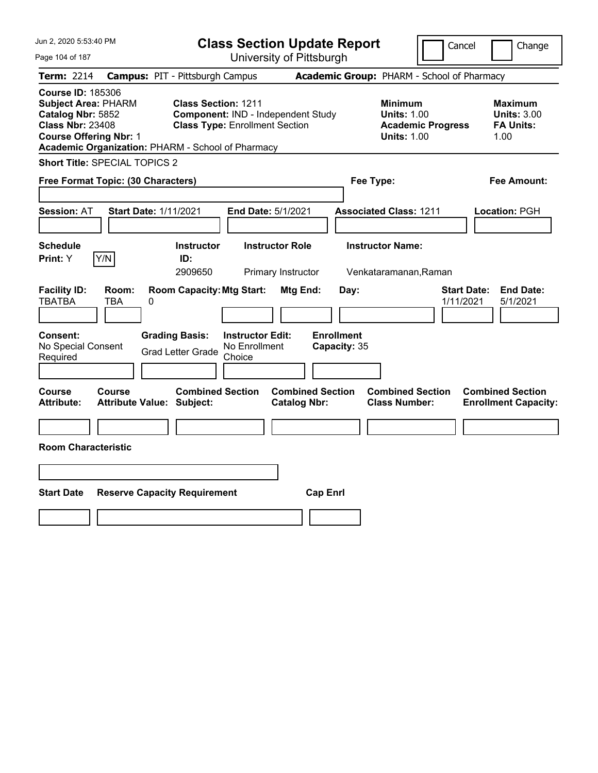| Jun 2, 2020 5:53:40 PM                                                                                                                                                                       |                                                                                                           | <b>Class Section Update Report</b>             |                                                                                        | Cancel<br>Change                                                 |
|----------------------------------------------------------------------------------------------------------------------------------------------------------------------------------------------|-----------------------------------------------------------------------------------------------------------|------------------------------------------------|----------------------------------------------------------------------------------------|------------------------------------------------------------------|
| Page 104 of 187                                                                                                                                                                              |                                                                                                           | University of Pittsburgh                       |                                                                                        |                                                                  |
| Term: 2214                                                                                                                                                                                   | <b>Campus: PIT - Pittsburgh Campus</b>                                                                    |                                                | Academic Group: PHARM - School of Pharmacy                                             |                                                                  |
| <b>Course ID: 185306</b><br><b>Subject Area: PHARM</b><br>Catalog Nbr: 5852<br><b>Class Nbr: 23408</b><br><b>Course Offering Nbr: 1</b><br>Academic Organization: PHARM - School of Pharmacy | <b>Class Section: 1211</b><br>Component: IND - Independent Study<br><b>Class Type: Enrollment Section</b> |                                                | <b>Minimum</b><br><b>Units: 1.00</b><br><b>Academic Progress</b><br><b>Units: 1.00</b> | <b>Maximum</b><br><b>Units: 3.00</b><br><b>FA Units:</b><br>1.00 |
| <b>Short Title: SPECIAL TOPICS 2</b>                                                                                                                                                         |                                                                                                           |                                                |                                                                                        |                                                                  |
| Free Format Topic: (30 Characters)                                                                                                                                                           |                                                                                                           |                                                | Fee Type:                                                                              | Fee Amount:                                                      |
| <b>Session: AT</b><br><b>Start Date: 1/11/2021</b>                                                                                                                                           | End Date: 5/1/2021                                                                                        |                                                | <b>Associated Class: 1211</b>                                                          | Location: PGH                                                    |
| <b>Schedule</b><br>Y/N<br><b>Print: Y</b>                                                                                                                                                    | <b>Instructor</b><br>ID:                                                                                  | <b>Instructor Role</b>                         | <b>Instructor Name:</b>                                                                |                                                                  |
|                                                                                                                                                                                              | 2909650                                                                                                   | Primary Instructor                             | Venkataramanan, Raman                                                                  |                                                                  |
| <b>Facility ID:</b><br>Room:<br><b>TBATBA</b><br>TBA<br>0<br><b>Consent:</b>                                                                                                                 | <b>Room Capacity: Mtg Start:</b><br><b>Grading Basis:</b><br><b>Instructor Edit:</b>                      | <b>Mtg End:</b><br>Day:<br><b>Enrollment</b>   |                                                                                        | <b>Start Date:</b><br><b>End Date:</b><br>1/11/2021<br>5/1/2021  |
| No Special Consent<br>Required                                                                                                                                                               | No Enrollment<br><b>Grad Letter Grade</b><br>Choice                                                       | Capacity: 35                                   |                                                                                        |                                                                  |
| Course<br>Course<br><b>Attribute:</b><br><b>Attribute Value: Subject:</b>                                                                                                                    | <b>Combined Section</b>                                                                                   | <b>Combined Section</b><br><b>Catalog Nbr:</b> | <b>Combined Section</b><br><b>Class Number:</b>                                        | <b>Combined Section</b><br><b>Enrollment Capacity:</b>           |
|                                                                                                                                                                                              |                                                                                                           |                                                |                                                                                        |                                                                  |
| <b>Room Characteristic</b>                                                                                                                                                                   |                                                                                                           |                                                |                                                                                        |                                                                  |
|                                                                                                                                                                                              |                                                                                                           |                                                |                                                                                        |                                                                  |
| <b>Start Date</b>                                                                                                                                                                            | <b>Reserve Capacity Requirement</b>                                                                       | <b>Cap Enrl</b>                                |                                                                                        |                                                                  |
|                                                                                                                                                                                              |                                                                                                           |                                                |                                                                                        |                                                                  |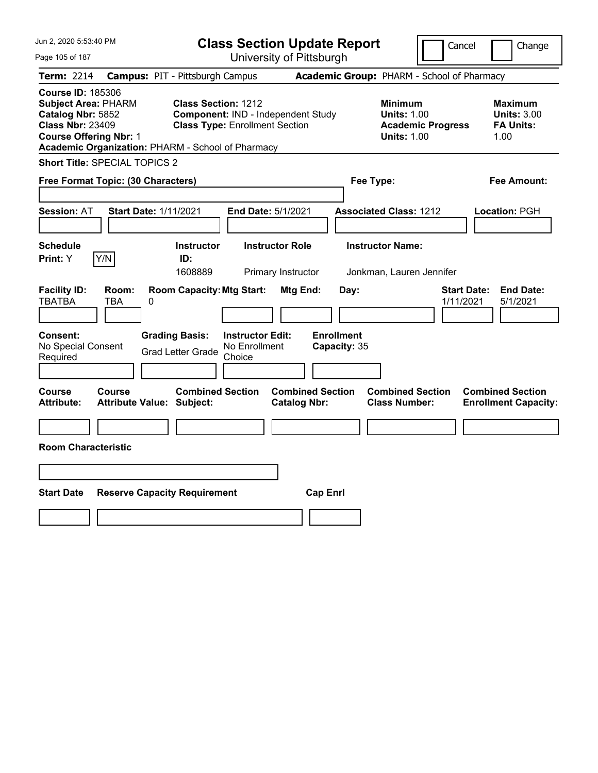| Jun 2, 2020 5:53:40 PM                                                                                                                                                                       |                                                             | <b>Class Section Update Report</b>                                          |                                                |                                   |                                                            | Cancel                                     | Change                                                           |
|----------------------------------------------------------------------------------------------------------------------------------------------------------------------------------------------|-------------------------------------------------------------|-----------------------------------------------------------------------------|------------------------------------------------|-----------------------------------|------------------------------------------------------------|--------------------------------------------|------------------------------------------------------------------|
| Page 105 of 187                                                                                                                                                                              |                                                             | University of Pittsburgh                                                    |                                                |                                   |                                                            |                                            |                                                                  |
| Term: 2214                                                                                                                                                                                   | <b>Campus: PIT - Pittsburgh Campus</b>                      |                                                                             |                                                |                                   |                                                            | Academic Group: PHARM - School of Pharmacy |                                                                  |
| <b>Course ID: 185306</b><br><b>Subject Area: PHARM</b><br>Catalog Nbr: 5852<br><b>Class Nbr: 23409</b><br><b>Course Offering Nbr: 1</b><br>Academic Organization: PHARM - School of Pharmacy | <b>Class Section: 1212</b>                                  | Component: IND - Independent Study<br><b>Class Type: Enrollment Section</b> |                                                |                                   | <b>Minimum</b><br><b>Units: 1.00</b><br><b>Units: 1.00</b> | <b>Academic Progress</b>                   | <b>Maximum</b><br><b>Units: 3.00</b><br><b>FA Units:</b><br>1.00 |
| <b>Short Title: SPECIAL TOPICS 2</b>                                                                                                                                                         |                                                             |                                                                             |                                                |                                   |                                                            |                                            |                                                                  |
| Free Format Topic: (30 Characters)                                                                                                                                                           |                                                             |                                                                             |                                                | Fee Type:                         |                                                            |                                            | Fee Amount:                                                      |
| <b>Session: AT</b>                                                                                                                                                                           | <b>Start Date: 1/11/2021</b>                                | End Date: 5/1/2021                                                          |                                                | <b>Associated Class: 1212</b>     |                                                            |                                            | Location: PGH                                                    |
| <b>Schedule</b><br>Y/N<br>Print: Y                                                                                                                                                           | <b>Instructor</b><br>ID:<br>1608889                         | <b>Instructor Role</b><br>Primary Instructor                                |                                                |                                   | <b>Instructor Name:</b><br>Jonkman, Lauren Jennifer        |                                            |                                                                  |
| <b>Facility ID:</b><br>Room:<br><b>TBATBA</b><br>TBA                                                                                                                                         | <b>Room Capacity: Mtg Start:</b><br>0                       |                                                                             | Mtg End:                                       | Day:                              |                                                            | 1/11/2021                                  | <b>End Date:</b><br><b>Start Date:</b><br>5/1/2021               |
| Consent:<br>No Special Consent<br>Required                                                                                                                                                   | <b>Grading Basis:</b><br><b>Grad Letter Grade</b>           | <b>Instructor Edit:</b><br>No Enrollment<br>Choice                          |                                                | <b>Enrollment</b><br>Capacity: 35 |                                                            |                                            |                                                                  |
| Course<br>Course<br>Attribute:                                                                                                                                                               | <b>Combined Section</b><br><b>Attribute Value: Subject:</b> |                                                                             | <b>Combined Section</b><br><b>Catalog Nbr:</b> |                                   | <b>Combined Section</b><br><b>Class Number:</b>            |                                            | <b>Combined Section</b><br><b>Enrollment Capacity:</b>           |
|                                                                                                                                                                                              |                                                             |                                                                             |                                                |                                   |                                                            |                                            |                                                                  |
| <b>Room Characteristic</b>                                                                                                                                                                   |                                                             |                                                                             |                                                |                                   |                                                            |                                            |                                                                  |
|                                                                                                                                                                                              |                                                             |                                                                             |                                                |                                   |                                                            |                                            |                                                                  |
| <b>Start Date</b>                                                                                                                                                                            | <b>Reserve Capacity Requirement</b>                         |                                                                             | <b>Cap Enrl</b>                                |                                   |                                                            |                                            |                                                                  |
|                                                                                                                                                                                              |                                                             |                                                                             |                                                |                                   |                                                            |                                            |                                                                  |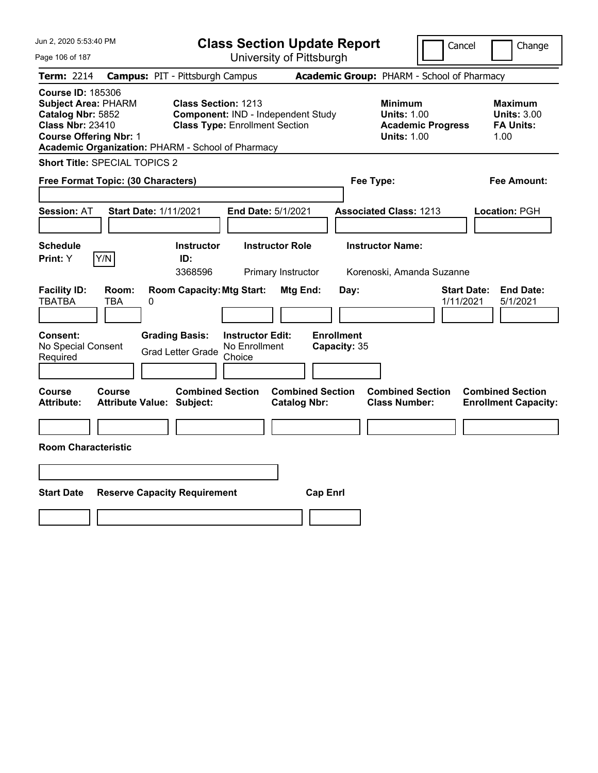| Jun 2, 2020 5:53:40 PM                                                                                                                                                                       |                                            |                                                                                                    |                                                    |                                                | <b>Class Section Update Report</b> |                                                            |                          | Cancel                          | Change                                                   |
|----------------------------------------------------------------------------------------------------------------------------------------------------------------------------------------------|--------------------------------------------|----------------------------------------------------------------------------------------------------|----------------------------------------------------|------------------------------------------------|------------------------------------|------------------------------------------------------------|--------------------------|---------------------------------|----------------------------------------------------------|
| Page 106 of 187                                                                                                                                                                              |                                            |                                                                                                    |                                                    | University of Pittsburgh                       |                                    |                                                            |                          |                                 |                                                          |
| Term: 2214                                                                                                                                                                                   | <b>Campus: PIT - Pittsburgh Campus</b>     |                                                                                                    |                                                    |                                                |                                    | Academic Group: PHARM - School of Pharmacy                 |                          |                                 |                                                          |
| <b>Course ID: 185306</b><br><b>Subject Area: PHARM</b><br>Catalog Nbr: 5852<br><b>Class Nbr: 23410</b><br><b>Course Offering Nbr: 1</b><br>Academic Organization: PHARM - School of Pharmacy |                                            | Class Section: 1213<br>Component: IND - Independent Study<br><b>Class Type: Enrollment Section</b> |                                                    |                                                |                                    | <b>Minimum</b><br><b>Units: 1.00</b><br><b>Units: 1.00</b> | <b>Academic Progress</b> | 1.00                            | <b>Maximum</b><br><b>Units: 3.00</b><br><b>FA Units:</b> |
| <b>Short Title: SPECIAL TOPICS 2</b>                                                                                                                                                         |                                            |                                                                                                    |                                                    |                                                |                                    |                                                            |                          |                                 |                                                          |
| Free Format Topic: (30 Characters)                                                                                                                                                           |                                            |                                                                                                    |                                                    |                                                |                                    | Fee Type:                                                  |                          |                                 | Fee Amount:                                              |
| <b>Session: AT</b>                                                                                                                                                                           | <b>Start Date: 1/11/2021</b>               |                                                                                                    | End Date: 5/1/2021                                 |                                                |                                    | <b>Associated Class: 1213</b>                              |                          | Location: PGH                   |                                                          |
| <b>Schedule</b><br>Y/N<br>Print: Y                                                                                                                                                           |                                            | <b>Instructor</b><br>ID:<br>3368596                                                                |                                                    | <b>Instructor Role</b><br>Primary Instructor   |                                    | <b>Instructor Name:</b><br>Korenoski, Amanda Suzanne       |                          |                                 |                                                          |
| <b>Facility ID:</b><br><b>TBATBA</b>                                                                                                                                                         | Room:<br>TBA<br>0                          | <b>Room Capacity: Mtg Start:</b>                                                                   |                                                    | Mtg End:                                       | Day:                               |                                                            |                          | <b>Start Date:</b><br>1/11/2021 | <b>End Date:</b><br>5/1/2021                             |
| Consent:<br>No Special Consent<br>Required                                                                                                                                                   |                                            | <b>Grading Basis:</b><br><b>Grad Letter Grade</b>                                                  | <b>Instructor Edit:</b><br>No Enrollment<br>Choice |                                                | <b>Enrollment</b><br>Capacity: 35  |                                                            |                          |                                 |                                                          |
| Course<br>Attribute:                                                                                                                                                                         | Course<br><b>Attribute Value: Subject:</b> | <b>Combined Section</b>                                                                            |                                                    | <b>Combined Section</b><br><b>Catalog Nbr:</b> |                                    | <b>Combined Section</b><br><b>Class Number:</b>            |                          | <b>Combined Section</b>         | <b>Enrollment Capacity:</b>                              |
|                                                                                                                                                                                              |                                            |                                                                                                    |                                                    |                                                |                                    |                                                            |                          |                                 |                                                          |
| <b>Room Characteristic</b>                                                                                                                                                                   |                                            |                                                                                                    |                                                    |                                                |                                    |                                                            |                          |                                 |                                                          |
|                                                                                                                                                                                              |                                            |                                                                                                    |                                                    |                                                |                                    |                                                            |                          |                                 |                                                          |
| <b>Start Date</b>                                                                                                                                                                            | <b>Reserve Capacity Requirement</b>        |                                                                                                    |                                                    |                                                | <b>Cap Enrl</b>                    |                                                            |                          |                                 |                                                          |
|                                                                                                                                                                                              |                                            |                                                                                                    |                                                    |                                                |                                    |                                                            |                          |                                 |                                                          |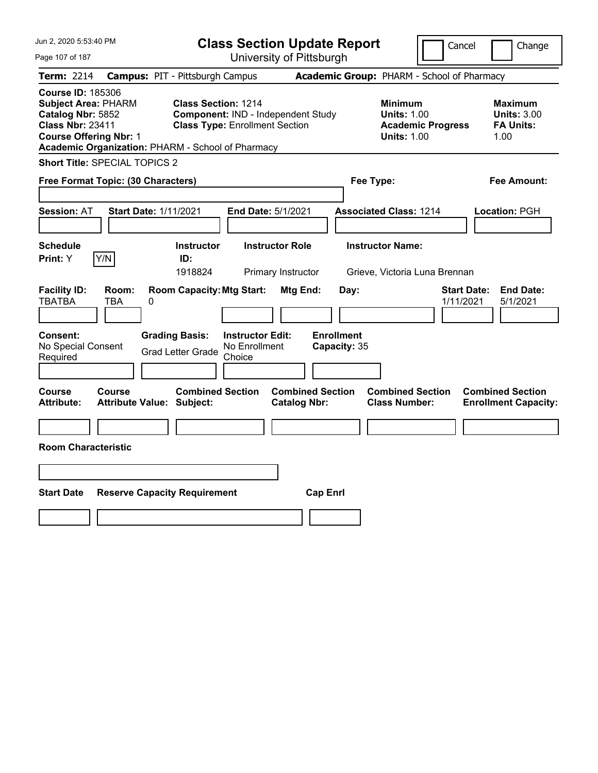| Jun 2, 2020 5:53:40 PM                                                                                                                                                                       |                                                                                                           | <b>Class Section Update Report</b>             | Cancel                                                                                 | Change                                                           |
|----------------------------------------------------------------------------------------------------------------------------------------------------------------------------------------------|-----------------------------------------------------------------------------------------------------------|------------------------------------------------|----------------------------------------------------------------------------------------|------------------------------------------------------------------|
| Page 107 of 187                                                                                                                                                                              |                                                                                                           | University of Pittsburgh                       |                                                                                        |                                                                  |
| Term: 2214                                                                                                                                                                                   | <b>Campus: PIT - Pittsburgh Campus</b>                                                                    |                                                | Academic Group: PHARM - School of Pharmacy                                             |                                                                  |
| <b>Course ID: 185306</b><br><b>Subject Area: PHARM</b><br>Catalog Nbr: 5852<br><b>Class Nbr: 23411</b><br><b>Course Offering Nbr: 1</b><br>Academic Organization: PHARM - School of Pharmacy | <b>Class Section: 1214</b><br>Component: IND - Independent Study<br><b>Class Type: Enrollment Section</b> |                                                | <b>Minimum</b><br><b>Units: 1.00</b><br><b>Academic Progress</b><br><b>Units: 1.00</b> | <b>Maximum</b><br><b>Units: 3.00</b><br><b>FA Units:</b><br>1.00 |
| Short Title: SPECIAL TOPICS 2                                                                                                                                                                |                                                                                                           |                                                |                                                                                        |                                                                  |
| Free Format Topic: (30 Characters)                                                                                                                                                           |                                                                                                           |                                                | Fee Type:                                                                              | Fee Amount:                                                      |
| <b>Session: AT</b><br><b>Start Date: 1/11/2021</b>                                                                                                                                           |                                                                                                           | End Date: 5/1/2021                             | <b>Associated Class: 1214</b>                                                          | Location: PGH                                                    |
| <b>Schedule</b><br>Y/N<br>Print: Y                                                                                                                                                           | <b>Instructor</b><br>ID:<br>1918824                                                                       | <b>Instructor Role</b><br>Primary Instructor   | <b>Instructor Name:</b><br>Grieve, Victoria Luna Brennan                               |                                                                  |
| <b>Facility ID:</b><br>Room:<br><b>TBATBA</b><br>TBA<br>0                                                                                                                                    | <b>Room Capacity: Mtg Start:</b>                                                                          | Mtg End:<br>Day:                               |                                                                                        | <b>End Date:</b><br><b>Start Date:</b><br>1/11/2021<br>5/1/2021  |
| Consent:<br>No Special Consent<br>Required                                                                                                                                                   | <b>Grading Basis:</b><br><b>Instructor Edit:</b><br>No Enrollment<br><b>Grad Letter Grade</b><br>Choice   | <b>Enrollment</b><br>Capacity: 35              |                                                                                        |                                                                  |
| Course<br>Course<br><b>Attribute:</b><br><b>Attribute Value: Subject:</b>                                                                                                                    | <b>Combined Section</b>                                                                                   | <b>Combined Section</b><br><b>Catalog Nbr:</b> | <b>Combined Section</b><br><b>Class Number:</b>                                        | <b>Combined Section</b><br><b>Enrollment Capacity:</b>           |
| <b>Room Characteristic</b>                                                                                                                                                                   |                                                                                                           |                                                |                                                                                        |                                                                  |
|                                                                                                                                                                                              |                                                                                                           |                                                |                                                                                        |                                                                  |
| <b>Start Date</b>                                                                                                                                                                            | <b>Reserve Capacity Requirement</b>                                                                       | <b>Cap Enrl</b>                                |                                                                                        |                                                                  |
|                                                                                                                                                                                              |                                                                                                           |                                                |                                                                                        |                                                                  |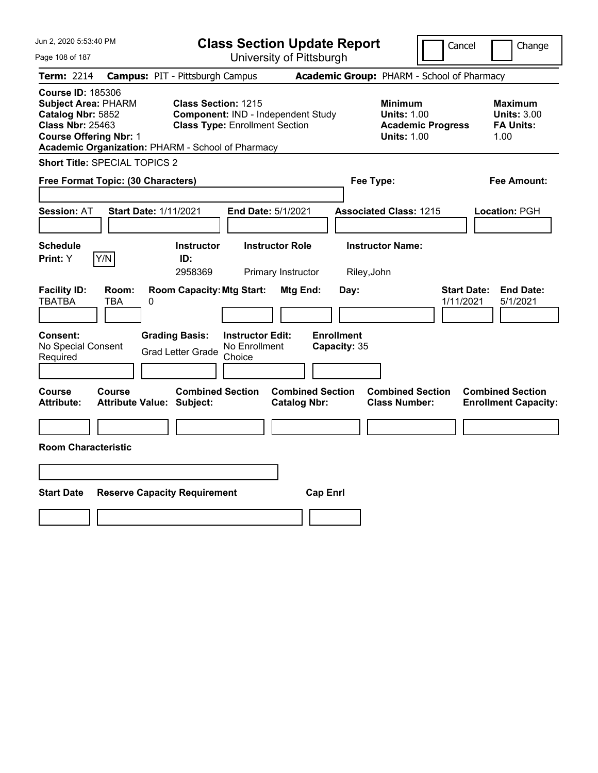| Jun 2, 2020 5:53:40 PM                                                                                                                                                                       |                                                             | <b>Class Section Update Report</b>                                          |                                                |                                                                                        | Cancel<br>Change                                                 |
|----------------------------------------------------------------------------------------------------------------------------------------------------------------------------------------------|-------------------------------------------------------------|-----------------------------------------------------------------------------|------------------------------------------------|----------------------------------------------------------------------------------------|------------------------------------------------------------------|
| Page 108 of 187                                                                                                                                                                              |                                                             | University of Pittsburgh                                                    |                                                |                                                                                        |                                                                  |
| Term: 2214                                                                                                                                                                                   | <b>Campus: PIT - Pittsburgh Campus</b>                      |                                                                             |                                                | Academic Group: PHARM - School of Pharmacy                                             |                                                                  |
| <b>Course ID: 185306</b><br><b>Subject Area: PHARM</b><br>Catalog Nbr: 5852<br><b>Class Nbr: 25463</b><br><b>Course Offering Nbr: 1</b><br>Academic Organization: PHARM - School of Pharmacy | <b>Class Section: 1215</b>                                  | Component: IND - Independent Study<br><b>Class Type: Enrollment Section</b> |                                                | <b>Minimum</b><br><b>Units: 1.00</b><br><b>Academic Progress</b><br><b>Units: 1.00</b> | <b>Maximum</b><br><b>Units: 3.00</b><br><b>FA Units:</b><br>1.00 |
| <b>Short Title: SPECIAL TOPICS 2</b>                                                                                                                                                         |                                                             |                                                                             |                                                |                                                                                        |                                                                  |
| Free Format Topic: (30 Characters)                                                                                                                                                           |                                                             |                                                                             |                                                | Fee Type:                                                                              | Fee Amount:                                                      |
| <b>Session: AT</b>                                                                                                                                                                           | <b>Start Date: 1/11/2021</b>                                | End Date: 5/1/2021                                                          |                                                | <b>Associated Class: 1215</b>                                                          | Location: PGH                                                    |
| <b>Schedule</b><br>Y/N<br>Print: Y                                                                                                                                                           | <b>Instructor</b><br>ID:<br>2958369                         | <b>Instructor Role</b><br>Primary Instructor                                |                                                | <b>Instructor Name:</b><br>Riley, John                                                 |                                                                  |
| <b>Facility ID:</b><br>Room:<br><b>TBATBA</b><br>TBA                                                                                                                                         | <b>Room Capacity: Mtg Start:</b><br>0                       |                                                                             | Mtg End:<br>Day:                               |                                                                                        | <b>Start Date:</b><br><b>End Date:</b><br>1/11/2021<br>5/1/2021  |
| <b>Consent:</b><br>No Special Consent<br>Required                                                                                                                                            | <b>Grading Basis:</b><br><b>Grad Letter Grade</b>           | <b>Instructor Edit:</b><br>No Enrollment<br>Choice                          | <b>Enrollment</b><br>Capacity: 35              |                                                                                        |                                                                  |
| Course<br>Course<br>Attribute:                                                                                                                                                               | <b>Combined Section</b><br><b>Attribute Value: Subject:</b> |                                                                             | <b>Combined Section</b><br><b>Catalog Nbr:</b> | <b>Combined Section</b><br><b>Class Number:</b>                                        | <b>Combined Section</b><br><b>Enrollment Capacity:</b>           |
| <b>Room Characteristic</b>                                                                                                                                                                   |                                                             |                                                                             |                                                |                                                                                        |                                                                  |
|                                                                                                                                                                                              |                                                             |                                                                             |                                                |                                                                                        |                                                                  |
| <b>Start Date</b>                                                                                                                                                                            | <b>Reserve Capacity Requirement</b>                         |                                                                             | <b>Cap Enrl</b>                                |                                                                                        |                                                                  |
|                                                                                                                                                                                              |                                                             |                                                                             |                                                |                                                                                        |                                                                  |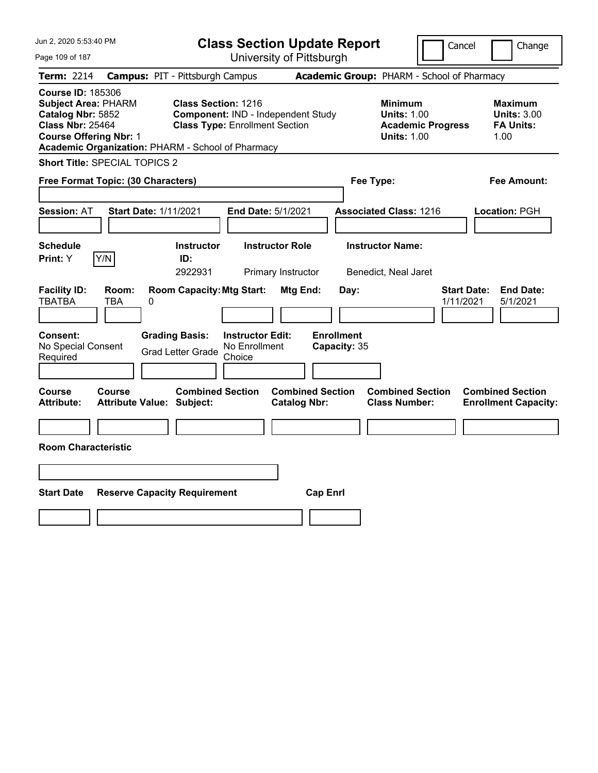| Jun 2, 2020 5:53:40 PM                                                                                                                                                                       |                                        |                                                                                                    |                                                    | <b>Class Section Update Report</b>             |                                   |                                                            | Cancel                   | Change                                                           |
|----------------------------------------------------------------------------------------------------------------------------------------------------------------------------------------------|----------------------------------------|----------------------------------------------------------------------------------------------------|----------------------------------------------------|------------------------------------------------|-----------------------------------|------------------------------------------------------------|--------------------------|------------------------------------------------------------------|
| Page 109 of 187                                                                                                                                                                              |                                        |                                                                                                    |                                                    | University of Pittsburgh                       |                                   |                                                            |                          |                                                                  |
| Term: 2214                                                                                                                                                                                   | <b>Campus: PIT - Pittsburgh Campus</b> |                                                                                                    |                                                    |                                                |                                   | Academic Group: PHARM - School of Pharmacy                 |                          |                                                                  |
| <b>Course ID: 185306</b><br><b>Subject Area: PHARM</b><br>Catalog Nbr: 5852<br><b>Class Nbr: 25464</b><br><b>Course Offering Nbr: 1</b><br>Academic Organization: PHARM - School of Pharmacy |                                        | Class Section: 1216<br>Component: IND - Independent Study<br><b>Class Type: Enrollment Section</b> |                                                    |                                                |                                   | <b>Minimum</b><br><b>Units: 1.00</b><br><b>Units: 1.00</b> | <b>Academic Progress</b> | <b>Maximum</b><br><b>Units: 3.00</b><br><b>FA Units:</b><br>1.00 |
| Short Title: SPECIAL TOPICS 2                                                                                                                                                                |                                        |                                                                                                    |                                                    |                                                |                                   |                                                            |                          |                                                                  |
| Free Format Topic: (30 Characters)                                                                                                                                                           |                                        |                                                                                                    |                                                    |                                                |                                   | Fee Type:                                                  |                          | Fee Amount:                                                      |
| <b>Session: AT</b>                                                                                                                                                                           | <b>Start Date: 1/11/2021</b>           |                                                                                                    |                                                    | End Date: 5/1/2021                             |                                   | <b>Associated Class: 1216</b>                              |                          | Location: PGH                                                    |
| <b>Schedule</b><br>Y/N<br>Print: Y                                                                                                                                                           |                                        | <b>Instructor</b><br>ID:<br>2922931                                                                |                                                    | <b>Instructor Role</b><br>Primary Instructor   |                                   | <b>Instructor Name:</b><br>Benedict, Neal Jaret            |                          |                                                                  |
| <b>Facility ID:</b><br><b>TBATBA</b><br>TBA                                                                                                                                                  | Room:<br>0                             | <b>Room Capacity: Mtg Start:</b>                                                                   |                                                    | Mtg End:                                       | Day:                              |                                                            |                          | <b>Start Date:</b><br><b>End Date:</b><br>1/11/2021<br>5/1/2021  |
| <b>Consent:</b><br>No Special Consent<br>Required                                                                                                                                            |                                        | <b>Grading Basis:</b><br><b>Grad Letter Grade</b>                                                  | <b>Instructor Edit:</b><br>No Enrollment<br>Choice |                                                | <b>Enrollment</b><br>Capacity: 35 |                                                            |                          |                                                                  |
| <b>Course</b><br><b>Course</b><br><b>Attribute:</b>                                                                                                                                          | <b>Attribute Value: Subject:</b>       | <b>Combined Section</b>                                                                            |                                                    | <b>Combined Section</b><br><b>Catalog Nbr:</b> |                                   | <b>Combined Section</b><br><b>Class Number:</b>            |                          | <b>Combined Section</b><br><b>Enrollment Capacity:</b>           |
| <b>Room Characteristic</b>                                                                                                                                                                   |                                        |                                                                                                    |                                                    |                                                |                                   |                                                            |                          |                                                                  |
|                                                                                                                                                                                              |                                        |                                                                                                    |                                                    |                                                |                                   |                                                            |                          |                                                                  |
| <b>Start Date</b>                                                                                                                                                                            | <b>Reserve Capacity Requirement</b>    |                                                                                                    |                                                    |                                                | <b>Cap Enrl</b>                   |                                                            |                          |                                                                  |
|                                                                                                                                                                                              |                                        |                                                                                                    |                                                    |                                                |                                   |                                                            |                          |                                                                  |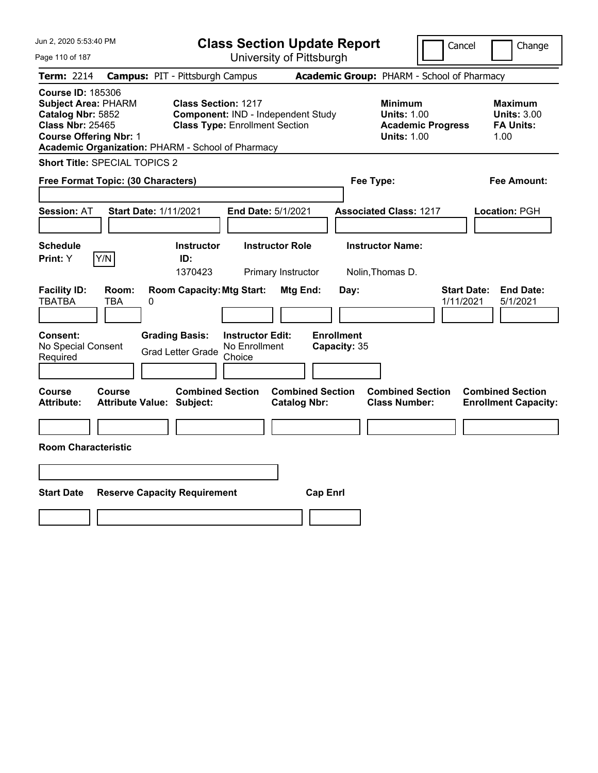| Jun 2, 2020 5:53:40 PM                                                                                                                                                                       |                                                                                                           | <b>Class Section Update Report</b>             |                                                                                        | Cancel<br>Change                                                 |
|----------------------------------------------------------------------------------------------------------------------------------------------------------------------------------------------|-----------------------------------------------------------------------------------------------------------|------------------------------------------------|----------------------------------------------------------------------------------------|------------------------------------------------------------------|
| Page 110 of 187                                                                                                                                                                              |                                                                                                           | University of Pittsburgh                       |                                                                                        |                                                                  |
| <b>Term: 2214</b>                                                                                                                                                                            | <b>Campus: PIT - Pittsburgh Campus</b>                                                                    |                                                | Academic Group: PHARM - School of Pharmacy                                             |                                                                  |
| <b>Course ID: 185306</b><br><b>Subject Area: PHARM</b><br>Catalog Nbr: 5852<br><b>Class Nbr: 25465</b><br><b>Course Offering Nbr: 1</b><br>Academic Organization: PHARM - School of Pharmacy | <b>Class Section: 1217</b><br>Component: IND - Independent Study<br><b>Class Type: Enrollment Section</b> |                                                | <b>Minimum</b><br><b>Units: 1.00</b><br><b>Academic Progress</b><br><b>Units: 1.00</b> | <b>Maximum</b><br><b>Units: 3.00</b><br><b>FA Units:</b><br>1.00 |
| Short Title: SPECIAL TOPICS 2                                                                                                                                                                |                                                                                                           |                                                |                                                                                        |                                                                  |
| Free Format Topic: (30 Characters)                                                                                                                                                           |                                                                                                           |                                                | Fee Type:                                                                              | Fee Amount:                                                      |
| <b>Session: AT</b><br><b>Start Date: 1/11/2021</b>                                                                                                                                           | End Date: 5/1/2021                                                                                        |                                                | <b>Associated Class: 1217</b>                                                          | Location: PGH                                                    |
| <b>Schedule</b><br>Y/N<br>Print: Y                                                                                                                                                           | <b>Instructor</b><br>ID:<br>1370423                                                                       | <b>Instructor Role</b><br>Primary Instructor   | <b>Instructor Name:</b><br>Nolin, Thomas D.                                            |                                                                  |
| <b>Facility ID:</b><br>Room:<br><b>TBATBA</b><br><b>TBA</b><br>0                                                                                                                             | <b>Room Capacity: Mtg Start:</b>                                                                          | Mtg End:<br>Day:                               |                                                                                        | <b>Start Date:</b><br><b>End Date:</b><br>1/11/2021<br>5/1/2021  |
| <b>Consent:</b><br>No Special Consent<br>Required                                                                                                                                            | <b>Grading Basis:</b><br><b>Instructor Edit:</b><br>No Enrollment<br><b>Grad Letter Grade</b><br>Choice   | <b>Enrollment</b><br>Capacity: 35              |                                                                                        |                                                                  |
| Course<br>Course<br><b>Attribute Value: Subject:</b><br><b>Attribute:</b>                                                                                                                    | <b>Combined Section</b>                                                                                   | <b>Combined Section</b><br><b>Catalog Nbr:</b> | <b>Combined Section</b><br><b>Class Number:</b>                                        | <b>Combined Section</b><br><b>Enrollment Capacity:</b>           |
| <b>Room Characteristic</b>                                                                                                                                                                   |                                                                                                           |                                                |                                                                                        |                                                                  |
|                                                                                                                                                                                              |                                                                                                           |                                                |                                                                                        |                                                                  |
| <b>Start Date</b>                                                                                                                                                                            | <b>Reserve Capacity Requirement</b>                                                                       | <b>Cap Enrl</b>                                |                                                                                        |                                                                  |
|                                                                                                                                                                                              |                                                                                                           |                                                |                                                                                        |                                                                  |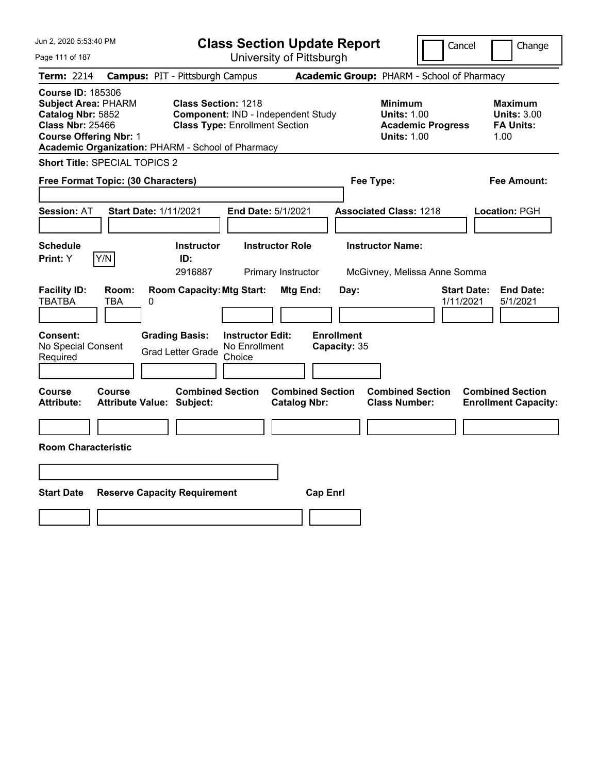| Jun 2, 2020 5:53:40 PM                                                                                                                                                                       |                                            |                                                                                                           |                                                    | <b>Class Section Update Report</b>             |                                   |                                                            |                          | Cancel                          | Change                                                           |
|----------------------------------------------------------------------------------------------------------------------------------------------------------------------------------------------|--------------------------------------------|-----------------------------------------------------------------------------------------------------------|----------------------------------------------------|------------------------------------------------|-----------------------------------|------------------------------------------------------------|--------------------------|---------------------------------|------------------------------------------------------------------|
| Page 111 of 187                                                                                                                                                                              |                                            |                                                                                                           |                                                    | University of Pittsburgh                       |                                   |                                                            |                          |                                 |                                                                  |
| Term: 2214                                                                                                                                                                                   | <b>Campus: PIT - Pittsburgh Campus</b>     |                                                                                                           |                                                    |                                                |                                   | Academic Group: PHARM - School of Pharmacy                 |                          |                                 |                                                                  |
| <b>Course ID: 185306</b><br><b>Subject Area: PHARM</b><br>Catalog Nbr: 5852<br><b>Class Nbr: 25466</b><br><b>Course Offering Nbr: 1</b><br>Academic Organization: PHARM - School of Pharmacy |                                            | <b>Class Section: 1218</b><br>Component: IND - Independent Study<br><b>Class Type: Enrollment Section</b> |                                                    |                                                |                                   | <b>Minimum</b><br><b>Units: 1.00</b><br><b>Units: 1.00</b> | <b>Academic Progress</b> |                                 | <b>Maximum</b><br><b>Units: 3.00</b><br><b>FA Units:</b><br>1.00 |
| <b>Short Title: SPECIAL TOPICS 2</b>                                                                                                                                                         |                                            |                                                                                                           |                                                    |                                                |                                   |                                                            |                          |                                 |                                                                  |
| Free Format Topic: (30 Characters)                                                                                                                                                           |                                            |                                                                                                           |                                                    |                                                |                                   | Fee Type:                                                  |                          |                                 | Fee Amount:                                                      |
| <b>Session: AT</b>                                                                                                                                                                           | <b>Start Date: 1/11/2021</b>               |                                                                                                           | End Date: 5/1/2021                                 |                                                |                                   | <b>Associated Class: 1218</b>                              |                          |                                 | Location: PGH                                                    |
| <b>Schedule</b><br>Y/N<br>Print: Y                                                                                                                                                           |                                            | <b>Instructor</b><br>ID:<br>2916887                                                                       |                                                    | <b>Instructor Role</b><br>Primary Instructor   |                                   | <b>Instructor Name:</b><br>McGivney, Melissa Anne Somma    |                          |                                 |                                                                  |
| <b>Facility ID:</b><br><b>TBATBA</b>                                                                                                                                                         | Room:<br>TBA<br>0                          | <b>Room Capacity: Mtg Start:</b>                                                                          |                                                    | Mtg End:                                       | Day:                              |                                                            |                          | <b>Start Date:</b><br>1/11/2021 | <b>End Date:</b><br>5/1/2021                                     |
| Consent:<br>No Special Consent<br>Required                                                                                                                                                   |                                            | <b>Grading Basis:</b><br><b>Grad Letter Grade</b>                                                         | <b>Instructor Edit:</b><br>No Enrollment<br>Choice |                                                | <b>Enrollment</b><br>Capacity: 35 |                                                            |                          |                                 |                                                                  |
| Course<br>Attribute:                                                                                                                                                                         | Course<br><b>Attribute Value: Subject:</b> | <b>Combined Section</b>                                                                                   |                                                    | <b>Combined Section</b><br><b>Catalog Nbr:</b> |                                   | <b>Combined Section</b><br><b>Class Number:</b>            |                          |                                 | <b>Combined Section</b><br><b>Enrollment Capacity:</b>           |
|                                                                                                                                                                                              |                                            |                                                                                                           |                                                    |                                                |                                   |                                                            |                          |                                 |                                                                  |
| <b>Room Characteristic</b>                                                                                                                                                                   |                                            |                                                                                                           |                                                    |                                                |                                   |                                                            |                          |                                 |                                                                  |
|                                                                                                                                                                                              |                                            |                                                                                                           |                                                    |                                                |                                   |                                                            |                          |                                 |                                                                  |
| <b>Start Date</b>                                                                                                                                                                            | <b>Reserve Capacity Requirement</b>        |                                                                                                           |                                                    |                                                | <b>Cap Enrl</b>                   |                                                            |                          |                                 |                                                                  |
|                                                                                                                                                                                              |                                            |                                                                                                           |                                                    |                                                |                                   |                                                            |                          |                                 |                                                                  |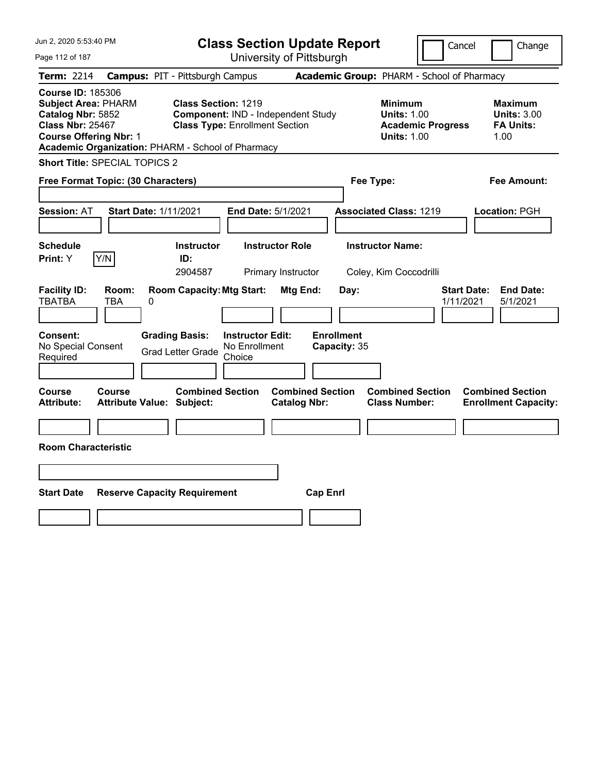| Jun 2, 2020 5:53:40 PM                                                                                                                                                                       |                                        |                                                              |                                                    | <b>Class Section Update Report</b>             |                                            |                                                            | Cancel                   | Change                                                           |
|----------------------------------------------------------------------------------------------------------------------------------------------------------------------------------------------|----------------------------------------|--------------------------------------------------------------|----------------------------------------------------|------------------------------------------------|--------------------------------------------|------------------------------------------------------------|--------------------------|------------------------------------------------------------------|
| Page 112 of 187                                                                                                                                                                              |                                        |                                                              |                                                    | University of Pittsburgh                       |                                            |                                                            |                          |                                                                  |
| Term: 2214                                                                                                                                                                                   | <b>Campus: PIT - Pittsburgh Campus</b> |                                                              |                                                    |                                                | Academic Group: PHARM - School of Pharmacy |                                                            |                          |                                                                  |
| <b>Course ID: 185306</b><br><b>Subject Area: PHARM</b><br>Catalog Nbr: 5852<br><b>Class Nbr: 25467</b><br><b>Course Offering Nbr: 1</b><br>Academic Organization: PHARM - School of Pharmacy |                                        | Class Section: 1219<br><b>Class Type: Enrollment Section</b> |                                                    | Component: IND - Independent Study             |                                            | <b>Minimum</b><br><b>Units: 1.00</b><br><b>Units: 1.00</b> | <b>Academic Progress</b> | <b>Maximum</b><br><b>Units: 3.00</b><br><b>FA Units:</b><br>1.00 |
| Short Title: SPECIAL TOPICS 2                                                                                                                                                                |                                        |                                                              |                                                    |                                                |                                            |                                                            |                          |                                                                  |
| Free Format Topic: (30 Characters)                                                                                                                                                           |                                        |                                                              |                                                    |                                                |                                            | Fee Type:                                                  |                          | Fee Amount:                                                      |
| <b>Session: AT</b>                                                                                                                                                                           | <b>Start Date: 1/11/2021</b>           |                                                              |                                                    | End Date: 5/1/2021                             |                                            | <b>Associated Class: 1219</b>                              |                          | Location: PGH                                                    |
| <b>Schedule</b><br>Y/N<br>Print: Y                                                                                                                                                           |                                        | <b>Instructor</b><br>ID:<br>2904587                          |                                                    | <b>Instructor Role</b><br>Primary Instructor   |                                            | <b>Instructor Name:</b><br>Coley, Kim Coccodrilli          |                          |                                                                  |
| <b>Facility ID:</b><br>Room:<br><b>TBATBA</b><br>TBA                                                                                                                                         | 0                                      | <b>Room Capacity: Mtg Start:</b>                             |                                                    | Mtg End:                                       | Day:<br><b>Enrollment</b>                  |                                                            |                          | <b>Start Date:</b><br><b>End Date:</b><br>1/11/2021<br>5/1/2021  |
| <b>Consent:</b><br>No Special Consent<br>Required                                                                                                                                            | <b>Grading Basis:</b>                  | <b>Grad Letter Grade</b>                                     | <b>Instructor Edit:</b><br>No Enrollment<br>Choice |                                                | Capacity: 35                               |                                                            |                          |                                                                  |
| <b>Course</b><br><b>Course</b><br><b>Attribute:</b>                                                                                                                                          | <b>Attribute Value: Subject:</b>       | <b>Combined Section</b>                                      |                                                    | <b>Combined Section</b><br><b>Catalog Nbr:</b> |                                            | <b>Combined Section</b><br><b>Class Number:</b>            |                          | <b>Combined Section</b><br><b>Enrollment Capacity:</b>           |
|                                                                                                                                                                                              |                                        |                                                              |                                                    |                                                |                                            |                                                            |                          |                                                                  |
| <b>Room Characteristic</b>                                                                                                                                                                   |                                        |                                                              |                                                    |                                                |                                            |                                                            |                          |                                                                  |
|                                                                                                                                                                                              |                                        |                                                              |                                                    |                                                |                                            |                                                            |                          |                                                                  |
| <b>Start Date</b>                                                                                                                                                                            | <b>Reserve Capacity Requirement</b>    |                                                              |                                                    |                                                | <b>Cap Enrl</b>                            |                                                            |                          |                                                                  |
|                                                                                                                                                                                              |                                        |                                                              |                                                    |                                                |                                            |                                                            |                          |                                                                  |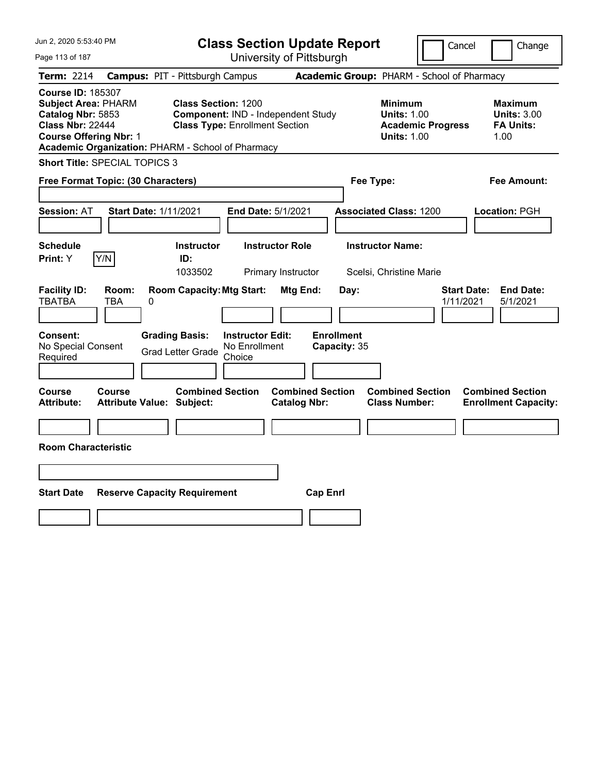| Jun 2, 2020 5:53:40 PM                                                                                                                                                                       |                                            |                                                                     |                                                    | <b>Class Section Update Report</b>             |                                            |                                                            | Cancel                   | Change                                                           |
|----------------------------------------------------------------------------------------------------------------------------------------------------------------------------------------------|--------------------------------------------|---------------------------------------------------------------------|----------------------------------------------------|------------------------------------------------|--------------------------------------------|------------------------------------------------------------|--------------------------|------------------------------------------------------------------|
| Page 113 of 187                                                                                                                                                                              |                                            |                                                                     |                                                    | University of Pittsburgh                       |                                            |                                                            |                          |                                                                  |
| Term: 2214                                                                                                                                                                                   | <b>Campus: PIT - Pittsburgh Campus</b>     |                                                                     |                                                    |                                                | Academic Group: PHARM - School of Pharmacy |                                                            |                          |                                                                  |
| <b>Course ID: 185307</b><br><b>Subject Area: PHARM</b><br>Catalog Nbr: 5853<br><b>Class Nbr: 22444</b><br><b>Course Offering Nbr: 1</b><br>Academic Organization: PHARM - School of Pharmacy |                                            | <b>Class Section: 1200</b><br><b>Class Type: Enrollment Section</b> |                                                    | Component: IND - Independent Study             |                                            | <b>Minimum</b><br><b>Units: 1.00</b><br><b>Units: 1.00</b> | <b>Academic Progress</b> | <b>Maximum</b><br><b>Units: 3.00</b><br><b>FA Units:</b><br>1.00 |
| <b>Short Title: SPECIAL TOPICS 3</b>                                                                                                                                                         |                                            |                                                                     |                                                    |                                                |                                            |                                                            |                          |                                                                  |
| Free Format Topic: (30 Characters)                                                                                                                                                           |                                            |                                                                     |                                                    |                                                | Fee Type:                                  |                                                            |                          | Fee Amount:                                                      |
| <b>Session: AT</b>                                                                                                                                                                           | <b>Start Date: 1/11/2021</b>               |                                                                     | End Date: 5/1/2021                                 |                                                |                                            | <b>Associated Class: 1200</b>                              |                          | Location: PGH                                                    |
| <b>Schedule</b><br>Y/N<br>Print: Y                                                                                                                                                           |                                            | <b>Instructor</b><br>ID:<br>1033502                                 |                                                    | <b>Instructor Role</b><br>Primary Instructor   |                                            | <b>Instructor Name:</b><br>Scelsi, Christine Marie         |                          |                                                                  |
| <b>Facility ID:</b><br><b>TBATBA</b>                                                                                                                                                         | Room:<br>TBA<br>0                          | <b>Room Capacity: Mtg Start:</b>                                    |                                                    | Mtg End:                                       | Day:                                       |                                                            |                          | <b>Start Date:</b><br><b>End Date:</b><br>1/11/2021<br>5/1/2021  |
| <b>Consent:</b><br>No Special Consent<br>Required                                                                                                                                            |                                            | <b>Grading Basis:</b><br><b>Grad Letter Grade</b>                   | <b>Instructor Edit:</b><br>No Enrollment<br>Choice |                                                | <b>Enrollment</b><br>Capacity: 35          |                                                            |                          |                                                                  |
| Course<br>Attribute:                                                                                                                                                                         | Course<br><b>Attribute Value: Subject:</b> | <b>Combined Section</b>                                             |                                                    | <b>Combined Section</b><br><b>Catalog Nbr:</b> |                                            | <b>Combined Section</b><br><b>Class Number:</b>            |                          | <b>Combined Section</b><br><b>Enrollment Capacity:</b>           |
|                                                                                                                                                                                              |                                            |                                                                     |                                                    |                                                |                                            |                                                            |                          |                                                                  |
| <b>Room Characteristic</b>                                                                                                                                                                   |                                            |                                                                     |                                                    |                                                |                                            |                                                            |                          |                                                                  |
|                                                                                                                                                                                              |                                            |                                                                     |                                                    |                                                |                                            |                                                            |                          |                                                                  |
| <b>Start Date</b>                                                                                                                                                                            | <b>Reserve Capacity Requirement</b>        |                                                                     |                                                    |                                                | <b>Cap Enrl</b>                            |                                                            |                          |                                                                  |
|                                                                                                                                                                                              |                                            |                                                                     |                                                    |                                                |                                            |                                                            |                          |                                                                  |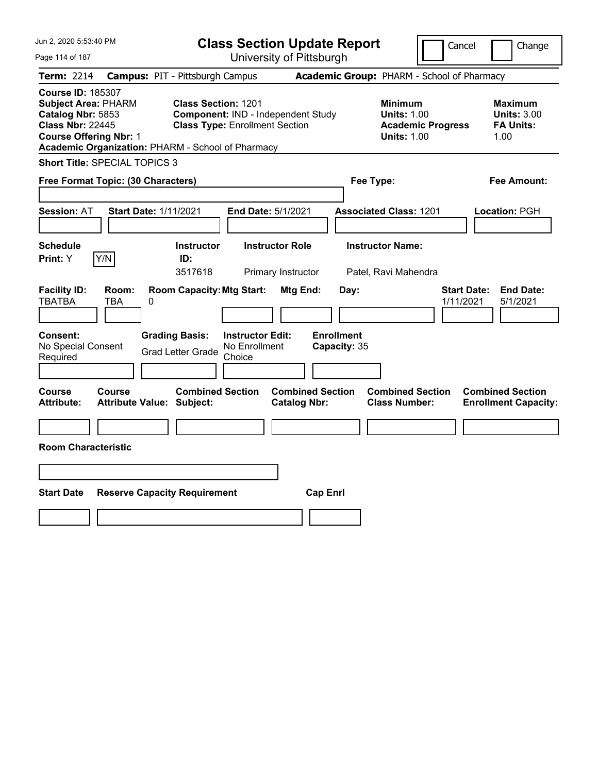| Jun 2, 2020 5:53:40 PM                                                                                                                                                                       |                                                             | <b>Class Section Update Report</b>                                          |                                                |                                                            | Cancel                          | Change                                                           |
|----------------------------------------------------------------------------------------------------------------------------------------------------------------------------------------------|-------------------------------------------------------------|-----------------------------------------------------------------------------|------------------------------------------------|------------------------------------------------------------|---------------------------------|------------------------------------------------------------------|
| Page 114 of 187                                                                                                                                                                              |                                                             |                                                                             | University of Pittsburgh                       |                                                            |                                 |                                                                  |
| Term: 2214                                                                                                                                                                                   | <b>Campus: PIT - Pittsburgh Campus</b>                      |                                                                             |                                                | Academic Group: PHARM - School of Pharmacy                 |                                 |                                                                  |
| <b>Course ID: 185307</b><br><b>Subject Area: PHARM</b><br>Catalog Nbr: 5853<br><b>Class Nbr: 22445</b><br><b>Course Offering Nbr: 1</b><br>Academic Organization: PHARM - School of Pharmacy | <b>Class Section: 1201</b>                                  | Component: IND - Independent Study<br><b>Class Type: Enrollment Section</b> |                                                | <b>Minimum</b><br><b>Units: 1.00</b><br><b>Units: 1.00</b> | <b>Academic Progress</b>        | <b>Maximum</b><br><b>Units: 3.00</b><br><b>FA Units:</b><br>1.00 |
| <b>Short Title: SPECIAL TOPICS 3</b>                                                                                                                                                         |                                                             |                                                                             |                                                |                                                            |                                 |                                                                  |
| Free Format Topic: (30 Characters)                                                                                                                                                           |                                                             |                                                                             |                                                | Fee Type:                                                  |                                 | Fee Amount:                                                      |
| <b>Session: AT</b>                                                                                                                                                                           | <b>Start Date: 1/11/2021</b>                                | End Date: 5/1/2021                                                          |                                                | <b>Associated Class: 1201</b>                              |                                 | Location: PGH                                                    |
| <b>Schedule</b><br>Y/N<br>Print: Y                                                                                                                                                           | <b>Instructor</b><br>ID:<br>3517618                         | <b>Instructor Role</b><br>Primary Instructor                                |                                                | <b>Instructor Name:</b><br>Patel, Ravi Mahendra            |                                 |                                                                  |
| <b>Facility ID:</b><br>Room:<br><b>TBATBA</b><br>TBA                                                                                                                                         | <b>Room Capacity: Mtg Start:</b><br>0                       |                                                                             | Mtg End:<br>Day:                               |                                                            | <b>Start Date:</b><br>1/11/2021 | <b>End Date:</b><br>5/1/2021                                     |
| Consent:<br>No Special Consent<br>Required                                                                                                                                                   | <b>Grading Basis:</b><br><b>Grad Letter Grade</b>           | <b>Instructor Edit:</b><br>No Enrollment<br>Choice                          | <b>Enrollment</b><br>Capacity: 35              |                                                            |                                 |                                                                  |
| Course<br>Course<br><b>Attribute:</b>                                                                                                                                                        | <b>Combined Section</b><br><b>Attribute Value: Subject:</b> |                                                                             | <b>Combined Section</b><br><b>Catalog Nbr:</b> | <b>Combined Section</b><br><b>Class Number:</b>            |                                 | <b>Combined Section</b><br><b>Enrollment Capacity:</b>           |
| <b>Room Characteristic</b>                                                                                                                                                                   |                                                             |                                                                             |                                                |                                                            |                                 |                                                                  |
|                                                                                                                                                                                              |                                                             |                                                                             |                                                |                                                            |                                 |                                                                  |
| <b>Start Date</b>                                                                                                                                                                            | <b>Reserve Capacity Requirement</b>                         |                                                                             | <b>Cap Enrl</b>                                |                                                            |                                 |                                                                  |
|                                                                                                                                                                                              |                                                             |                                                                             |                                                |                                                            |                                 |                                                                  |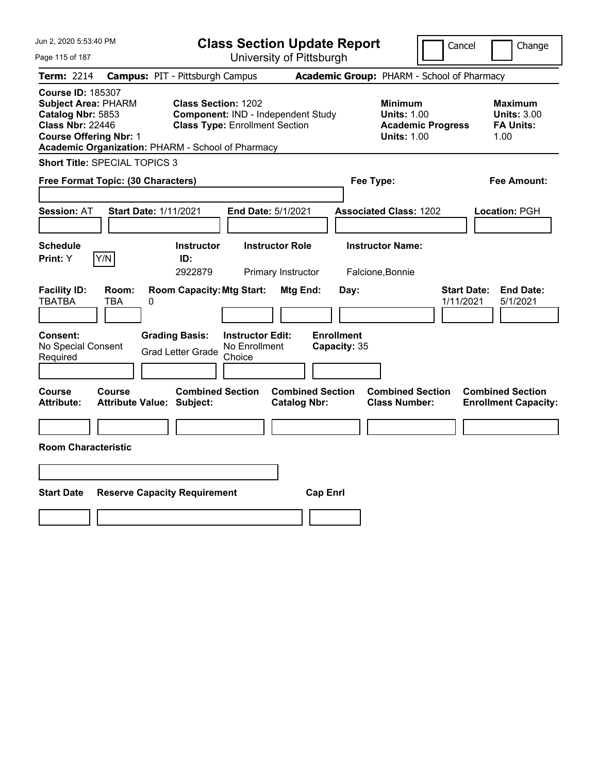| Jun 2, 2020 5:53:40 PM                                                                                                                                                                       |                                                   |                                                                     |                                                    | <b>Class Section Update Report</b>             |                                            |                                                            | Cancel                   | Change                                                           |  |
|----------------------------------------------------------------------------------------------------------------------------------------------------------------------------------------------|---------------------------------------------------|---------------------------------------------------------------------|----------------------------------------------------|------------------------------------------------|--------------------------------------------|------------------------------------------------------------|--------------------------|------------------------------------------------------------------|--|
| Page 115 of 187                                                                                                                                                                              |                                                   |                                                                     |                                                    | University of Pittsburgh                       |                                            |                                                            |                          |                                                                  |  |
| Term: 2214                                                                                                                                                                                   |                                                   | <b>Campus: PIT - Pittsburgh Campus</b>                              |                                                    |                                                | Academic Group: PHARM - School of Pharmacy |                                                            |                          |                                                                  |  |
| <b>Course ID: 185307</b><br><b>Subject Area: PHARM</b><br>Catalog Nbr: 5853<br><b>Class Nbr: 22446</b><br><b>Course Offering Nbr: 1</b><br>Academic Organization: PHARM - School of Pharmacy |                                                   | <b>Class Section: 1202</b><br><b>Class Type: Enrollment Section</b> |                                                    | Component: IND - Independent Study             |                                            | <b>Minimum</b><br><b>Units: 1.00</b><br><b>Units: 1.00</b> | <b>Academic Progress</b> | <b>Maximum</b><br><b>Units: 3.00</b><br><b>FA Units:</b><br>1.00 |  |
| <b>Short Title: SPECIAL TOPICS 3</b>                                                                                                                                                         |                                                   |                                                                     |                                                    |                                                |                                            |                                                            |                          |                                                                  |  |
| Free Format Topic: (30 Characters)                                                                                                                                                           |                                                   |                                                                     |                                                    |                                                | Fee Type:                                  |                                                            |                          | Fee Amount:                                                      |  |
| Session: AT                                                                                                                                                                                  | <b>Start Date: 1/11/2021</b>                      |                                                                     | End Date: 5/1/2021                                 |                                                |                                            | <b>Associated Class: 1202</b>                              |                          | Location: PGH                                                    |  |
| <b>Schedule</b><br><b>Print: Y</b>                                                                                                                                                           | Y/N                                               | <b>Instructor</b><br>ID:<br>2922879                                 |                                                    | <b>Instructor Role</b><br>Primary Instructor   |                                            | <b>Instructor Name:</b><br>Falcione, Bonnie                |                          |                                                                  |  |
| <b>Facility ID:</b><br><b>TBATBA</b>                                                                                                                                                         | Room:<br>TBA<br>0                                 | <b>Room Capacity: Mtg Start:</b>                                    |                                                    | Mtg End:                                       | Day:                                       |                                                            | 1/11/2021                | <b>Start Date:</b><br><b>End Date:</b><br>5/1/2021               |  |
| <b>Consent:</b><br>No Special Consent<br>Required                                                                                                                                            |                                                   | <b>Grading Basis:</b><br><b>Grad Letter Grade</b>                   | <b>Instructor Edit:</b><br>No Enrollment<br>Choice |                                                | <b>Enrollment</b><br>Capacity: 35          |                                                            |                          |                                                                  |  |
| Course<br><b>Attribute:</b>                                                                                                                                                                  | <b>Course</b><br><b>Attribute Value: Subject:</b> | <b>Combined Section</b>                                             |                                                    | <b>Combined Section</b><br><b>Catalog Nbr:</b> |                                            | <b>Combined Section</b><br><b>Class Number:</b>            |                          | <b>Combined Section</b><br><b>Enrollment Capacity:</b>           |  |
|                                                                                                                                                                                              |                                                   |                                                                     |                                                    |                                                |                                            |                                                            |                          |                                                                  |  |
| <b>Room Characteristic</b>                                                                                                                                                                   |                                                   |                                                                     |                                                    |                                                |                                            |                                                            |                          |                                                                  |  |
|                                                                                                                                                                                              |                                                   |                                                                     |                                                    |                                                |                                            |                                                            |                          |                                                                  |  |
| <b>Start Date</b>                                                                                                                                                                            |                                                   | <b>Reserve Capacity Requirement</b>                                 |                                                    | <b>Cap Enrl</b>                                |                                            |                                                            |                          |                                                                  |  |
|                                                                                                                                                                                              |                                                   |                                                                     |                                                    |                                                |                                            |                                                            |                          |                                                                  |  |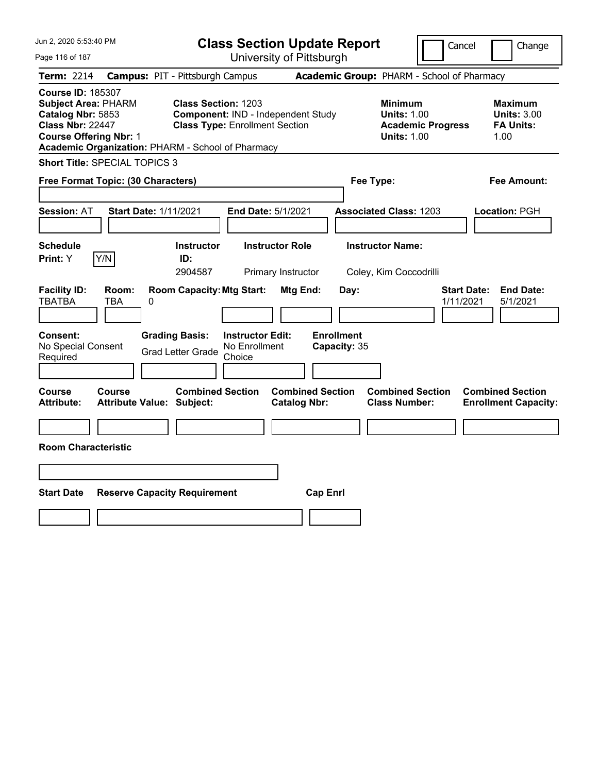| Jun 2, 2020 5:53:40 PM                                                                                                                                                                       |                                                             |                                                                             | <b>Class Section Update Report</b>             |                                                                                        | Cancel<br>Change                                                 |
|----------------------------------------------------------------------------------------------------------------------------------------------------------------------------------------------|-------------------------------------------------------------|-----------------------------------------------------------------------------|------------------------------------------------|----------------------------------------------------------------------------------------|------------------------------------------------------------------|
| Page 116 of 187                                                                                                                                                                              |                                                             | University of Pittsburgh                                                    |                                                |                                                                                        |                                                                  |
| Term: 2214                                                                                                                                                                                   | <b>Campus: PIT - Pittsburgh Campus</b>                      |                                                                             |                                                | Academic Group: PHARM - School of Pharmacy                                             |                                                                  |
| <b>Course ID: 185307</b><br><b>Subject Area: PHARM</b><br>Catalog Nbr: 5853<br><b>Class Nbr: 22447</b><br><b>Course Offering Nbr: 1</b><br>Academic Organization: PHARM - School of Pharmacy | <b>Class Section: 1203</b>                                  | Component: IND - Independent Study<br><b>Class Type: Enrollment Section</b> |                                                | <b>Minimum</b><br><b>Units: 1.00</b><br><b>Academic Progress</b><br><b>Units: 1.00</b> | <b>Maximum</b><br><b>Units: 3.00</b><br><b>FA Units:</b><br>1.00 |
| <b>Short Title: SPECIAL TOPICS 3</b>                                                                                                                                                         |                                                             |                                                                             |                                                |                                                                                        |                                                                  |
| Free Format Topic: (30 Characters)                                                                                                                                                           |                                                             |                                                                             |                                                | Fee Type:                                                                              | Fee Amount:                                                      |
| <b>Session: AT</b>                                                                                                                                                                           | <b>Start Date: 1/11/2021</b>                                | End Date: 5/1/2021                                                          |                                                | <b>Associated Class: 1203</b>                                                          | Location: PGH                                                    |
| <b>Schedule</b><br>Y/N<br>Print: Y                                                                                                                                                           | <b>Instructor</b><br>ID:<br>2904587                         | <b>Instructor Role</b><br>Primary Instructor                                |                                                | <b>Instructor Name:</b><br>Coley, Kim Coccodrilli                                      |                                                                  |
| <b>Facility ID:</b><br>Room:<br><b>TBATBA</b><br>TBA                                                                                                                                         | <b>Room Capacity: Mtg Start:</b><br>0                       |                                                                             | Mtg End:<br>Day:                               |                                                                                        | <b>Start Date:</b><br><b>End Date:</b><br>1/11/2021<br>5/1/2021  |
| Consent:<br>No Special Consent<br>Required                                                                                                                                                   | <b>Grading Basis:</b><br><b>Grad Letter Grade</b>           | <b>Instructor Edit:</b><br>No Enrollment<br>Choice                          | <b>Enrollment</b><br>Capacity: 35              |                                                                                        |                                                                  |
| Course<br>Course<br><b>Attribute:</b>                                                                                                                                                        | <b>Combined Section</b><br><b>Attribute Value: Subject:</b> |                                                                             | <b>Combined Section</b><br><b>Catalog Nbr:</b> | <b>Combined Section</b><br><b>Class Number:</b>                                        | <b>Combined Section</b><br><b>Enrollment Capacity:</b>           |
| <b>Room Characteristic</b>                                                                                                                                                                   |                                                             |                                                                             |                                                |                                                                                        |                                                                  |
|                                                                                                                                                                                              |                                                             |                                                                             |                                                |                                                                                        |                                                                  |
| <b>Start Date</b>                                                                                                                                                                            | <b>Reserve Capacity Requirement</b>                         |                                                                             | <b>Cap Enrl</b>                                |                                                                                        |                                                                  |
|                                                                                                                                                                                              |                                                             |                                                                             |                                                |                                                                                        |                                                                  |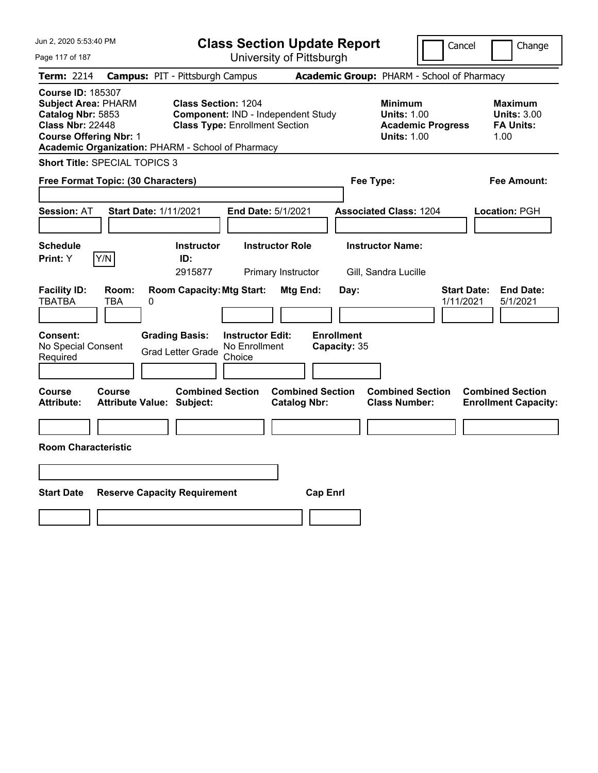| Jun 2, 2020 5:53:40 PM                                                                                                                                                                       |                                                                                                           | <b>Class Section Update Report</b>             |                                                                                        | Cancel<br>Change                                                 |
|----------------------------------------------------------------------------------------------------------------------------------------------------------------------------------------------|-----------------------------------------------------------------------------------------------------------|------------------------------------------------|----------------------------------------------------------------------------------------|------------------------------------------------------------------|
| Page 117 of 187                                                                                                                                                                              |                                                                                                           | University of Pittsburgh                       |                                                                                        |                                                                  |
| <b>Term: 2214</b>                                                                                                                                                                            | <b>Campus: PIT - Pittsburgh Campus</b>                                                                    |                                                | Academic Group: PHARM - School of Pharmacy                                             |                                                                  |
| <b>Course ID: 185307</b><br><b>Subject Area: PHARM</b><br>Catalog Nbr: 5853<br><b>Class Nbr: 22448</b><br><b>Course Offering Nbr: 1</b><br>Academic Organization: PHARM - School of Pharmacy | <b>Class Section: 1204</b><br>Component: IND - Independent Study<br><b>Class Type: Enrollment Section</b> |                                                | <b>Minimum</b><br><b>Units: 1.00</b><br><b>Academic Progress</b><br><b>Units: 1.00</b> | <b>Maximum</b><br><b>Units: 3.00</b><br><b>FA Units:</b><br>1.00 |
| <b>Short Title: SPECIAL TOPICS 3</b>                                                                                                                                                         |                                                                                                           |                                                |                                                                                        |                                                                  |
| Free Format Topic: (30 Characters)                                                                                                                                                           |                                                                                                           | Fee Type:                                      |                                                                                        | Fee Amount:                                                      |
| <b>Start Date: 1/11/2021</b><br><b>Session: AT</b>                                                                                                                                           | End Date: 5/1/2021                                                                                        |                                                | <b>Associated Class: 1204</b>                                                          | Location: PGH                                                    |
| <b>Schedule</b><br>Y/N<br>Print: Y                                                                                                                                                           | Instructor<br><b>Instructor Role</b><br>ID:<br>2915877<br>Primary Instructor                              |                                                | <b>Instructor Name:</b><br>Gill, Sandra Lucille                                        |                                                                  |
| <b>Facility ID:</b><br>Room:<br><b>TBATBA</b><br>TBA<br>0                                                                                                                                    | <b>Room Capacity: Mtg Start:</b>                                                                          | Mtg End:<br>Day:                               |                                                                                        | <b>Start Date:</b><br><b>End Date:</b><br>1/11/2021<br>5/1/2021  |
| Consent:<br>No Special Consent<br>Required                                                                                                                                                   | <b>Grading Basis:</b><br><b>Instructor Edit:</b><br>No Enrollment<br><b>Grad Letter Grade</b><br>Choice   | <b>Enrollment</b><br>Capacity: 35              |                                                                                        |                                                                  |
| Course<br>Course<br><b>Attribute Value: Subject:</b><br>Attribute:                                                                                                                           | <b>Combined Section</b>                                                                                   | <b>Combined Section</b><br><b>Catalog Nbr:</b> | <b>Combined Section</b><br><b>Class Number:</b>                                        | <b>Combined Section</b><br><b>Enrollment Capacity:</b>           |
|                                                                                                                                                                                              |                                                                                                           |                                                |                                                                                        |                                                                  |
| <b>Room Characteristic</b>                                                                                                                                                                   |                                                                                                           |                                                |                                                                                        |                                                                  |
|                                                                                                                                                                                              |                                                                                                           |                                                |                                                                                        |                                                                  |
| <b>Start Date</b><br><b>Reserve Capacity Requirement</b>                                                                                                                                     |                                                                                                           | <b>Cap Enrl</b>                                |                                                                                        |                                                                  |
|                                                                                                                                                                                              |                                                                                                           |                                                |                                                                                        |                                                                  |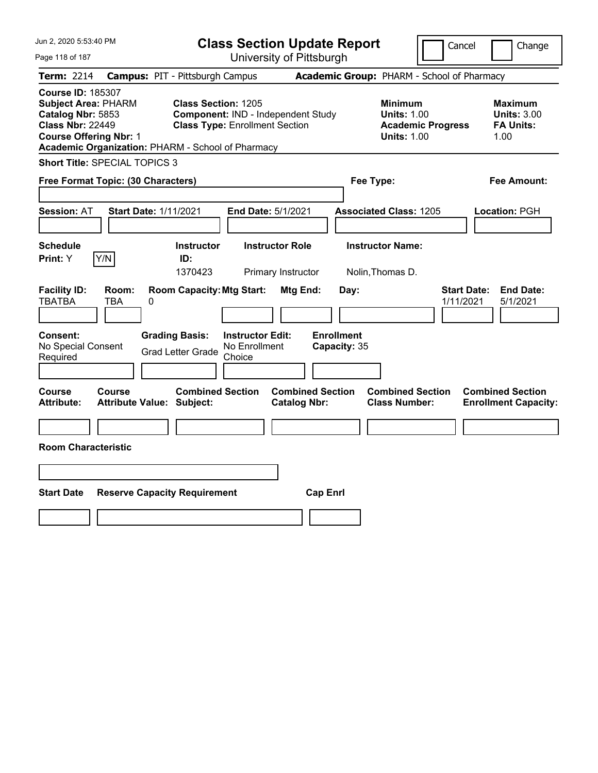| Jun 2, 2020 5:53:40 PM                                                                                                                                                                       |                                                             | <b>Class Section Update Report</b>                                          |                                                |                                                                                        | Cancel<br>Change                                                 |
|----------------------------------------------------------------------------------------------------------------------------------------------------------------------------------------------|-------------------------------------------------------------|-----------------------------------------------------------------------------|------------------------------------------------|----------------------------------------------------------------------------------------|------------------------------------------------------------------|
| Page 118 of 187                                                                                                                                                                              |                                                             | University of Pittsburgh                                                    |                                                |                                                                                        |                                                                  |
| Term: 2214                                                                                                                                                                                   | <b>Campus: PIT - Pittsburgh Campus</b>                      |                                                                             |                                                | Academic Group: PHARM - School of Pharmacy                                             |                                                                  |
| <b>Course ID: 185307</b><br><b>Subject Area: PHARM</b><br>Catalog Nbr: 5853<br><b>Class Nbr: 22449</b><br><b>Course Offering Nbr: 1</b><br>Academic Organization: PHARM - School of Pharmacy | <b>Class Section: 1205</b>                                  | Component: IND - Independent Study<br><b>Class Type: Enrollment Section</b> |                                                | <b>Minimum</b><br><b>Units: 1.00</b><br><b>Academic Progress</b><br><b>Units: 1.00</b> | <b>Maximum</b><br><b>Units: 3.00</b><br><b>FA Units:</b><br>1.00 |
| <b>Short Title: SPECIAL TOPICS 3</b>                                                                                                                                                         |                                                             |                                                                             |                                                |                                                                                        |                                                                  |
| Free Format Topic: (30 Characters)                                                                                                                                                           |                                                             |                                                                             |                                                | Fee Type:                                                                              | Fee Amount:                                                      |
| <b>Session: AT</b>                                                                                                                                                                           | <b>Start Date: 1/11/2021</b>                                | End Date: 5/1/2021                                                          |                                                | <b>Associated Class: 1205</b>                                                          | Location: PGH                                                    |
| <b>Schedule</b><br>Y/N<br>Print: Y                                                                                                                                                           | <b>Instructor</b><br>ID:<br>1370423                         | <b>Instructor Role</b><br>Primary Instructor                                |                                                | <b>Instructor Name:</b><br>Nolin, Thomas D.                                            |                                                                  |
| <b>Facility ID:</b><br>Room:<br><b>TBATBA</b><br>TBA                                                                                                                                         | <b>Room Capacity: Mtg Start:</b><br>0                       |                                                                             | Mtg End:<br>Day:                               |                                                                                        | <b>Start Date:</b><br><b>End Date:</b><br>1/11/2021<br>5/1/2021  |
| Consent:<br>No Special Consent<br>Required                                                                                                                                                   | <b>Grading Basis:</b><br><b>Grad Letter Grade</b>           | <b>Instructor Edit:</b><br>No Enrollment<br>Choice                          | <b>Enrollment</b><br>Capacity: 35              |                                                                                        |                                                                  |
| Course<br>Course<br><b>Attribute:</b>                                                                                                                                                        | <b>Combined Section</b><br><b>Attribute Value: Subject:</b> |                                                                             | <b>Combined Section</b><br><b>Catalog Nbr:</b> | <b>Combined Section</b><br><b>Class Number:</b>                                        | <b>Combined Section</b><br><b>Enrollment Capacity:</b>           |
| <b>Room Characteristic</b>                                                                                                                                                                   |                                                             |                                                                             |                                                |                                                                                        |                                                                  |
|                                                                                                                                                                                              |                                                             |                                                                             |                                                |                                                                                        |                                                                  |
| <b>Start Date</b>                                                                                                                                                                            | <b>Reserve Capacity Requirement</b>                         |                                                                             | <b>Cap Enrl</b>                                |                                                                                        |                                                                  |
|                                                                                                                                                                                              |                                                             |                                                                             |                                                |                                                                                        |                                                                  |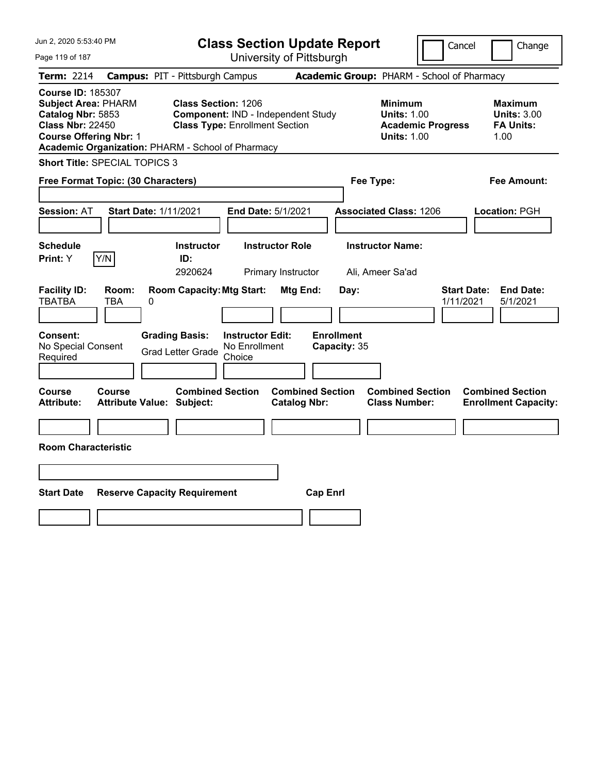| Jun 2, 2020 5:53:40 PM                                                                                                                                                                       |                                            |                                                                     |                                                    | <b>Class Section Update Report</b>             |                                            |                                                            | Cancel                   | Change                                                           |
|----------------------------------------------------------------------------------------------------------------------------------------------------------------------------------------------|--------------------------------------------|---------------------------------------------------------------------|----------------------------------------------------|------------------------------------------------|--------------------------------------------|------------------------------------------------------------|--------------------------|------------------------------------------------------------------|
| Page 119 of 187                                                                                                                                                                              |                                            |                                                                     |                                                    | University of Pittsburgh                       |                                            |                                                            |                          |                                                                  |
| Term: 2214                                                                                                                                                                                   | <b>Campus: PIT - Pittsburgh Campus</b>     |                                                                     |                                                    |                                                | Academic Group: PHARM - School of Pharmacy |                                                            |                          |                                                                  |
| <b>Course ID: 185307</b><br><b>Subject Area: PHARM</b><br>Catalog Nbr: 5853<br><b>Class Nbr: 22450</b><br><b>Course Offering Nbr: 1</b><br>Academic Organization: PHARM - School of Pharmacy |                                            | <b>Class Section: 1206</b><br><b>Class Type: Enrollment Section</b> |                                                    | Component: IND - Independent Study             |                                            | <b>Minimum</b><br><b>Units: 1.00</b><br><b>Units: 1.00</b> | <b>Academic Progress</b> | <b>Maximum</b><br><b>Units: 3.00</b><br><b>FA Units:</b><br>1.00 |
| <b>Short Title: SPECIAL TOPICS 3</b>                                                                                                                                                         |                                            |                                                                     |                                                    |                                                |                                            |                                                            |                          |                                                                  |
| Free Format Topic: (30 Characters)                                                                                                                                                           |                                            |                                                                     |                                                    |                                                | Fee Type:                                  |                                                            |                          | Fee Amount:                                                      |
| Session: AT                                                                                                                                                                                  | <b>Start Date: 1/11/2021</b>               |                                                                     | End Date: 5/1/2021                                 |                                                |                                            | <b>Associated Class: 1206</b>                              |                          | Location: PGH                                                    |
| <b>Schedule</b><br><b>Print: Y</b>                                                                                                                                                           | Y/N                                        | <b>Instructor</b><br>ID:<br>2920624                                 |                                                    | <b>Instructor Role</b><br>Primary Instructor   |                                            | <b>Instructor Name:</b><br>Ali, Ameer Sa'ad                |                          |                                                                  |
| <b>Facility ID:</b><br><b>TBATBA</b>                                                                                                                                                         | Room:<br>TBA<br>0                          | <b>Room Capacity: Mtg Start:</b>                                    |                                                    | Mtg End:                                       | Day:                                       |                                                            | 1/11/2021                | <b>Start Date:</b><br><b>End Date:</b><br>5/1/2021               |
| <b>Consent:</b><br>No Special Consent<br>Required                                                                                                                                            |                                            | <b>Grading Basis:</b><br><b>Grad Letter Grade</b>                   | <b>Instructor Edit:</b><br>No Enrollment<br>Choice |                                                | <b>Enrollment</b><br>Capacity: 35          |                                                            |                          |                                                                  |
| Course<br><b>Attribute:</b>                                                                                                                                                                  | Course<br><b>Attribute Value: Subject:</b> | <b>Combined Section</b>                                             |                                                    | <b>Combined Section</b><br><b>Catalog Nbr:</b> |                                            | <b>Combined Section</b><br><b>Class Number:</b>            |                          | <b>Combined Section</b><br><b>Enrollment Capacity:</b>           |
|                                                                                                                                                                                              |                                            |                                                                     |                                                    |                                                |                                            |                                                            |                          |                                                                  |
| <b>Room Characteristic</b>                                                                                                                                                                   |                                            |                                                                     |                                                    |                                                |                                            |                                                            |                          |                                                                  |
|                                                                                                                                                                                              |                                            |                                                                     |                                                    |                                                |                                            |                                                            |                          |                                                                  |
| <b>Start Date</b>                                                                                                                                                                            | <b>Reserve Capacity Requirement</b>        |                                                                     |                                                    | <b>Cap Enrl</b>                                |                                            |                                                            |                          |                                                                  |
|                                                                                                                                                                                              |                                            |                                                                     |                                                    |                                                |                                            |                                                            |                          |                                                                  |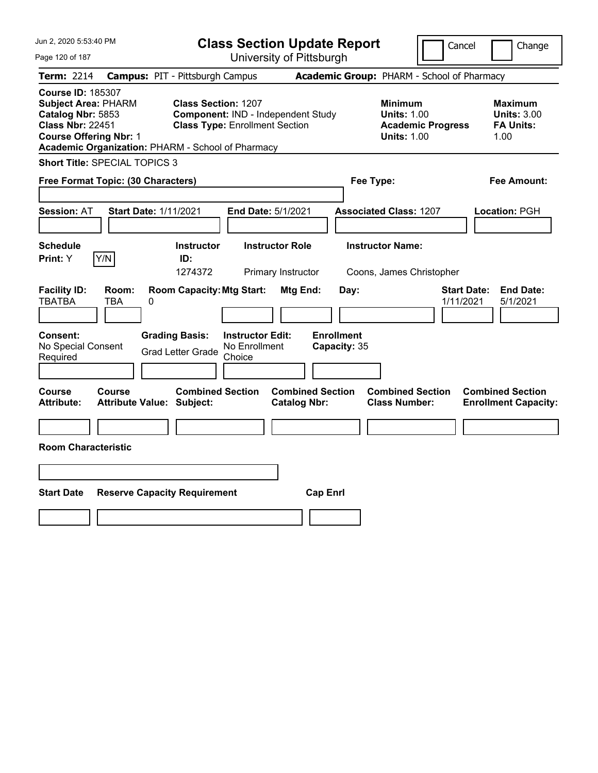| Jun 2, 2020 5:53:40 PM                                                                                                                                                                       |                                                   |                                                                     |                                                    | <b>Class Section Update Report</b>             |                                            |                                                            | Cancel                   |                                                                  | Change           |
|----------------------------------------------------------------------------------------------------------------------------------------------------------------------------------------------|---------------------------------------------------|---------------------------------------------------------------------|----------------------------------------------------|------------------------------------------------|--------------------------------------------|------------------------------------------------------------|--------------------------|------------------------------------------------------------------|------------------|
| Page 120 of 187                                                                                                                                                                              |                                                   |                                                                     |                                                    | University of Pittsburgh                       |                                            |                                                            |                          |                                                                  |                  |
| Term: 2214                                                                                                                                                                                   | <b>Campus: PIT - Pittsburgh Campus</b>            |                                                                     |                                                    |                                                | Academic Group: PHARM - School of Pharmacy |                                                            |                          |                                                                  |                  |
| <b>Course ID: 185307</b><br><b>Subject Area: PHARM</b><br>Catalog Nbr: 5853<br><b>Class Nbr: 22451</b><br><b>Course Offering Nbr: 1</b><br>Academic Organization: PHARM - School of Pharmacy |                                                   | <b>Class Section: 1207</b><br><b>Class Type: Enrollment Section</b> |                                                    | Component: IND - Independent Study             |                                            | <b>Minimum</b><br><b>Units: 1.00</b><br><b>Units: 1.00</b> | <b>Academic Progress</b> | <b>Maximum</b><br><b>Units: 3.00</b><br><b>FA Units:</b><br>1.00 |                  |
| <b>Short Title: SPECIAL TOPICS 3</b>                                                                                                                                                         |                                                   |                                                                     |                                                    |                                                |                                            |                                                            |                          |                                                                  |                  |
| Free Format Topic: (30 Characters)                                                                                                                                                           |                                                   |                                                                     |                                                    |                                                |                                            | Fee Type:                                                  |                          | Fee Amount:                                                      |                  |
| Session: AT                                                                                                                                                                                  | <b>Start Date: 1/11/2021</b>                      |                                                                     | End Date: 5/1/2021                                 |                                                |                                            | <b>Associated Class: 1207</b>                              |                          | Location: PGH                                                    |                  |
| <b>Schedule</b><br>Y/N<br><b>Print: Y</b>                                                                                                                                                    |                                                   | <b>Instructor</b><br>ID:<br>1274372                                 |                                                    | <b>Instructor Role</b><br>Primary Instructor   |                                            | <b>Instructor Name:</b><br>Coons, James Christopher        |                          |                                                                  |                  |
| <b>Facility ID:</b><br><b>TBATBA</b>                                                                                                                                                         | Room:<br>TBA<br>0                                 | <b>Room Capacity: Mtg Start:</b>                                    |                                                    | Mtg End:                                       | Day:                                       |                                                            | 1/11/2021                | <b>Start Date:</b><br>5/1/2021                                   | <b>End Date:</b> |
| <b>Consent:</b><br>No Special Consent<br>Required                                                                                                                                            |                                                   | <b>Grading Basis:</b><br><b>Grad Letter Grade</b>                   | <b>Instructor Edit:</b><br>No Enrollment<br>Choice |                                                | <b>Enrollment</b><br>Capacity: 35          |                                                            |                          |                                                                  |                  |
| Course<br><b>Attribute:</b>                                                                                                                                                                  | <b>Course</b><br><b>Attribute Value: Subject:</b> | <b>Combined Section</b>                                             |                                                    | <b>Combined Section</b><br><b>Catalog Nbr:</b> |                                            | <b>Combined Section</b><br><b>Class Number:</b>            |                          | <b>Combined Section</b><br><b>Enrollment Capacity:</b>           |                  |
|                                                                                                                                                                                              |                                                   |                                                                     |                                                    |                                                |                                            |                                                            |                          |                                                                  |                  |
| <b>Room Characteristic</b>                                                                                                                                                                   |                                                   |                                                                     |                                                    |                                                |                                            |                                                            |                          |                                                                  |                  |
|                                                                                                                                                                                              |                                                   |                                                                     |                                                    |                                                |                                            |                                                            |                          |                                                                  |                  |
| <b>Start Date</b>                                                                                                                                                                            | <b>Reserve Capacity Requirement</b>               |                                                                     |                                                    |                                                | <b>Cap Enrl</b>                            |                                                            |                          |                                                                  |                  |
|                                                                                                                                                                                              |                                                   |                                                                     |                                                    |                                                |                                            |                                                            |                          |                                                                  |                  |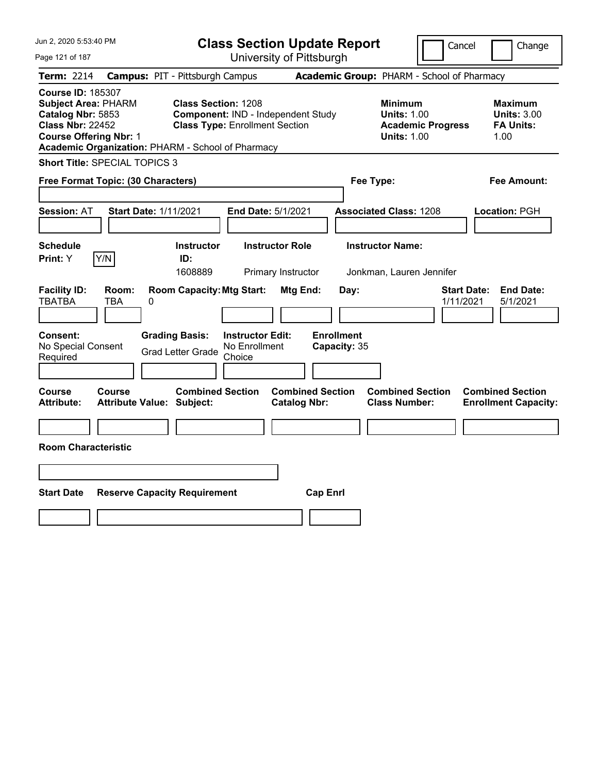| Jun 2, 2020 5:53:40 PM                                                                                                                                                                       |                                                                                                                                             | <b>Class Section Update Report</b>                    |                                                                                        | Cancel<br>Change                                                 |
|----------------------------------------------------------------------------------------------------------------------------------------------------------------------------------------------|---------------------------------------------------------------------------------------------------------------------------------------------|-------------------------------------------------------|----------------------------------------------------------------------------------------|------------------------------------------------------------------|
| Page 121 of 187                                                                                                                                                                              |                                                                                                                                             | University of Pittsburgh                              |                                                                                        |                                                                  |
| Term: 2214                                                                                                                                                                                   | <b>Campus: PIT - Pittsburgh Campus</b>                                                                                                      |                                                       | Academic Group: PHARM - School of Pharmacy                                             |                                                                  |
| <b>Course ID: 185307</b><br><b>Subject Area: PHARM</b><br>Catalog Nbr: 5853<br><b>Class Nbr: 22452</b><br><b>Course Offering Nbr: 1</b><br>Academic Organization: PHARM - School of Pharmacy | <b>Class Section: 1208</b><br>Component: IND - Independent Study<br><b>Class Type: Enrollment Section</b>                                   |                                                       | <b>Minimum</b><br><b>Units: 1.00</b><br><b>Academic Progress</b><br><b>Units: 1.00</b> | <b>Maximum</b><br><b>Units: 3.00</b><br><b>FA Units:</b><br>1.00 |
| <b>Short Title: SPECIAL TOPICS 3</b>                                                                                                                                                         |                                                                                                                                             |                                                       |                                                                                        |                                                                  |
| Free Format Topic: (30 Characters)                                                                                                                                                           |                                                                                                                                             |                                                       | Fee Type:                                                                              | Fee Amount:                                                      |
| <b>Start Date: 1/11/2021</b><br><b>Session: AT</b>                                                                                                                                           | End Date: 5/1/2021                                                                                                                          |                                                       | <b>Associated Class: 1208</b>                                                          | Location: PGH                                                    |
| <b>Schedule</b>                                                                                                                                                                              | <b>Instructor</b>                                                                                                                           | <b>Instructor Role</b>                                | <b>Instructor Name:</b>                                                                |                                                                  |
| Y/N<br>Print: Y                                                                                                                                                                              | ID:<br>1608889                                                                                                                              | Primary Instructor                                    | Jonkman, Lauren Jennifer                                                               |                                                                  |
| <b>Facility ID:</b><br>Room:<br><b>TBATBA</b><br>0<br>TBA<br>Consent:<br>No Special Consent<br>Required                                                                                      | <b>Room Capacity: Mtg Start:</b><br><b>Grading Basis:</b><br><b>Instructor Edit:</b><br>No Enrollment<br><b>Grad Letter Grade</b><br>Choice | Mtg End:<br>Day:<br><b>Enrollment</b><br>Capacity: 35 |                                                                                        | <b>Start Date:</b><br><b>End Date:</b><br>1/11/2021<br>5/1/2021  |
| <b>Course</b><br>Course<br><b>Attribute:</b><br><b>Attribute Value: Subject:</b>                                                                                                             | <b>Combined Section</b>                                                                                                                     | <b>Combined Section</b><br><b>Catalog Nbr:</b>        | <b>Combined Section</b><br><b>Class Number:</b>                                        | <b>Combined Section</b><br><b>Enrollment Capacity:</b>           |
|                                                                                                                                                                                              |                                                                                                                                             |                                                       |                                                                                        |                                                                  |
| <b>Room Characteristic</b>                                                                                                                                                                   |                                                                                                                                             |                                                       |                                                                                        |                                                                  |
|                                                                                                                                                                                              |                                                                                                                                             |                                                       |                                                                                        |                                                                  |
| <b>Start Date</b>                                                                                                                                                                            | <b>Reserve Capacity Requirement</b>                                                                                                         | <b>Cap Enrl</b>                                       |                                                                                        |                                                                  |
|                                                                                                                                                                                              |                                                                                                                                             |                                                       |                                                                                        |                                                                  |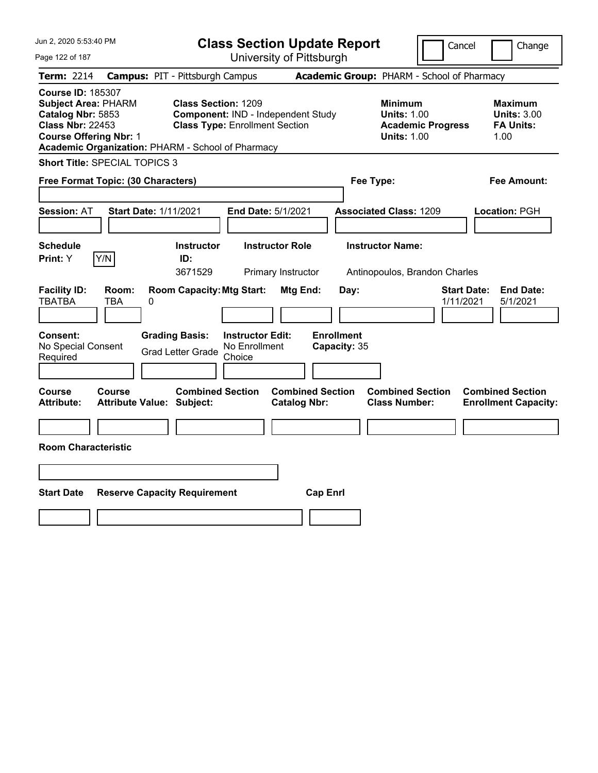| Jun 2, 2020 5:53:40 PM                                                                                                                                                                       |                                                             |                                                                             | <b>Class Section Update Report</b>             |                                                            | Cancel                          | Change                                                           |
|----------------------------------------------------------------------------------------------------------------------------------------------------------------------------------------------|-------------------------------------------------------------|-----------------------------------------------------------------------------|------------------------------------------------|------------------------------------------------------------|---------------------------------|------------------------------------------------------------------|
| Page 122 of 187                                                                                                                                                                              |                                                             |                                                                             | University of Pittsburgh                       |                                                            |                                 |                                                                  |
| Term: 2214                                                                                                                                                                                   | <b>Campus: PIT - Pittsburgh Campus</b>                      |                                                                             | Academic Group: PHARM - School of Pharmacy     |                                                            |                                 |                                                                  |
| <b>Course ID: 185307</b><br><b>Subject Area: PHARM</b><br>Catalog Nbr: 5853<br><b>Class Nbr: 22453</b><br><b>Course Offering Nbr: 1</b><br>Academic Organization: PHARM - School of Pharmacy | <b>Class Section: 1209</b>                                  | Component: IND - Independent Study<br><b>Class Type: Enrollment Section</b> |                                                | <b>Minimum</b><br><b>Units: 1.00</b><br><b>Units: 1.00</b> | <b>Academic Progress</b>        | <b>Maximum</b><br><b>Units: 3.00</b><br><b>FA Units:</b><br>1.00 |
| <b>Short Title: SPECIAL TOPICS 3</b>                                                                                                                                                         |                                                             |                                                                             |                                                |                                                            |                                 |                                                                  |
| Free Format Topic: (30 Characters)                                                                                                                                                           |                                                             |                                                                             |                                                | Fee Type:                                                  |                                 | Fee Amount:                                                      |
| <b>Session: AT</b>                                                                                                                                                                           | <b>Start Date: 1/11/2021</b>                                | End Date: 5/1/2021                                                          |                                                | <b>Associated Class: 1209</b>                              |                                 | Location: PGH                                                    |
| <b>Schedule</b><br>Y/N<br>Print: Y                                                                                                                                                           | <b>Instructor</b><br>ID:<br>3671529                         | <b>Instructor Role</b><br>Primary Instructor                                |                                                | <b>Instructor Name:</b><br>Antinopoulos, Brandon Charles   |                                 |                                                                  |
| <b>Facility ID:</b><br>Room:<br><b>TBATBA</b><br>TBA                                                                                                                                         | <b>Room Capacity: Mtg Start:</b><br>0                       |                                                                             | Mtg End:<br>Day:                               |                                                            | <b>Start Date:</b><br>1/11/2021 | <b>End Date:</b><br>5/1/2021                                     |
| Consent:<br>No Special Consent<br>Required                                                                                                                                                   | <b>Grading Basis:</b><br><b>Grad Letter Grade</b>           | <b>Instructor Edit:</b><br>No Enrollment<br>Choice                          | <b>Enrollment</b><br>Capacity: 35              |                                                            |                                 |                                                                  |
| <b>Course</b><br>Course<br><b>Attribute:</b>                                                                                                                                                 | <b>Combined Section</b><br><b>Attribute Value: Subject:</b> |                                                                             | <b>Combined Section</b><br><b>Catalog Nbr:</b> | <b>Combined Section</b><br><b>Class Number:</b>            |                                 | <b>Combined Section</b><br><b>Enrollment Capacity:</b>           |
|                                                                                                                                                                                              |                                                             |                                                                             |                                                |                                                            |                                 |                                                                  |
| <b>Room Characteristic</b>                                                                                                                                                                   |                                                             |                                                                             |                                                |                                                            |                                 |                                                                  |
|                                                                                                                                                                                              |                                                             |                                                                             |                                                |                                                            |                                 |                                                                  |
| <b>Start Date</b>                                                                                                                                                                            | <b>Reserve Capacity Requirement</b>                         |                                                                             | <b>Cap Enrl</b>                                |                                                            |                                 |                                                                  |
|                                                                                                                                                                                              |                                                             |                                                                             |                                                |                                                            |                                 |                                                                  |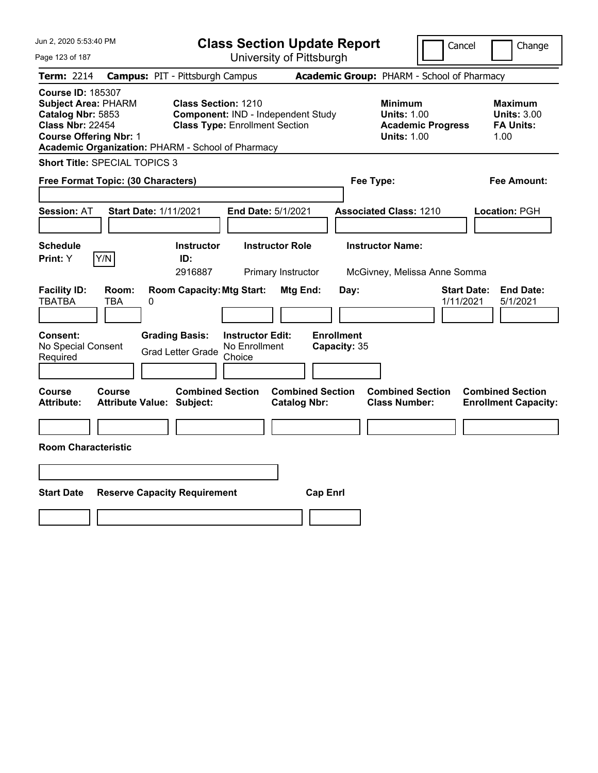| Jun 2, 2020 5:53:40 PM                                                                                                                                                                       | <b>Class Section Update Report</b>                                                                        |                                                | Cancel                                                                                 | Change                                                           |
|----------------------------------------------------------------------------------------------------------------------------------------------------------------------------------------------|-----------------------------------------------------------------------------------------------------------|------------------------------------------------|----------------------------------------------------------------------------------------|------------------------------------------------------------------|
| Page 123 of 187                                                                                                                                                                              | University of Pittsburgh                                                                                  |                                                |                                                                                        |                                                                  |
| <b>Term: 2214</b>                                                                                                                                                                            | <b>Campus: PIT - Pittsburgh Campus</b>                                                                    |                                                | Academic Group: PHARM - School of Pharmacy                                             |                                                                  |
| <b>Course ID: 185307</b><br><b>Subject Area: PHARM</b><br>Catalog Nbr: 5853<br><b>Class Nbr: 22454</b><br><b>Course Offering Nbr: 1</b><br>Academic Organization: PHARM - School of Pharmacy | <b>Class Section: 1210</b><br>Component: IND - Independent Study<br><b>Class Type: Enrollment Section</b> |                                                | <b>Minimum</b><br><b>Units: 1.00</b><br><b>Academic Progress</b><br><b>Units: 1.00</b> | <b>Maximum</b><br><b>Units: 3.00</b><br><b>FA Units:</b><br>1.00 |
| <b>Short Title: SPECIAL TOPICS 3</b>                                                                                                                                                         |                                                                                                           |                                                |                                                                                        |                                                                  |
| Free Format Topic: (30 Characters)                                                                                                                                                           |                                                                                                           | Fee Type:                                      |                                                                                        | Fee Amount:                                                      |
| <b>Start Date: 1/11/2021</b><br><b>Session: AT</b>                                                                                                                                           | End Date: 5/1/2021                                                                                        |                                                | <b>Associated Class: 1210</b>                                                          | Location: PGH                                                    |
| <b>Schedule</b><br>Y/N<br>Print: Y                                                                                                                                                           | <b>Instructor</b><br><b>Instructor Role</b><br>ID:<br>2916887<br>Primary Instructor                       |                                                | <b>Instructor Name:</b><br>McGivney, Melissa Anne Somma                                |                                                                  |
| <b>Facility ID:</b><br>Room:<br><b>TBATBA</b><br>TBA<br>0                                                                                                                                    | <b>Room Capacity: Mtg Start:</b>                                                                          | Mtg End:<br>Day:                               |                                                                                        | <b>Start Date:</b><br><b>End Date:</b><br>1/11/2021<br>5/1/2021  |
| Consent:<br>No Special Consent<br>Required                                                                                                                                                   | <b>Grading Basis:</b><br><b>Instructor Edit:</b><br>No Enrollment<br><b>Grad Letter Grade</b><br>Choice   | <b>Enrollment</b><br>Capacity: 35              |                                                                                        |                                                                  |
| Course<br>Course<br><b>Attribute Value: Subject:</b><br>Attribute:                                                                                                                           | <b>Combined Section</b>                                                                                   | <b>Combined Section</b><br><b>Catalog Nbr:</b> | <b>Combined Section</b><br><b>Class Number:</b>                                        | <b>Combined Section</b><br><b>Enrollment Capacity:</b>           |
|                                                                                                                                                                                              |                                                                                                           |                                                |                                                                                        |                                                                  |
| <b>Room Characteristic</b>                                                                                                                                                                   |                                                                                                           |                                                |                                                                                        |                                                                  |
|                                                                                                                                                                                              |                                                                                                           |                                                |                                                                                        |                                                                  |
| <b>Start Date</b><br><b>Reserve Capacity Requirement</b>                                                                                                                                     |                                                                                                           | <b>Cap Enrl</b>                                |                                                                                        |                                                                  |
|                                                                                                                                                                                              |                                                                                                           |                                                |                                                                                        |                                                                  |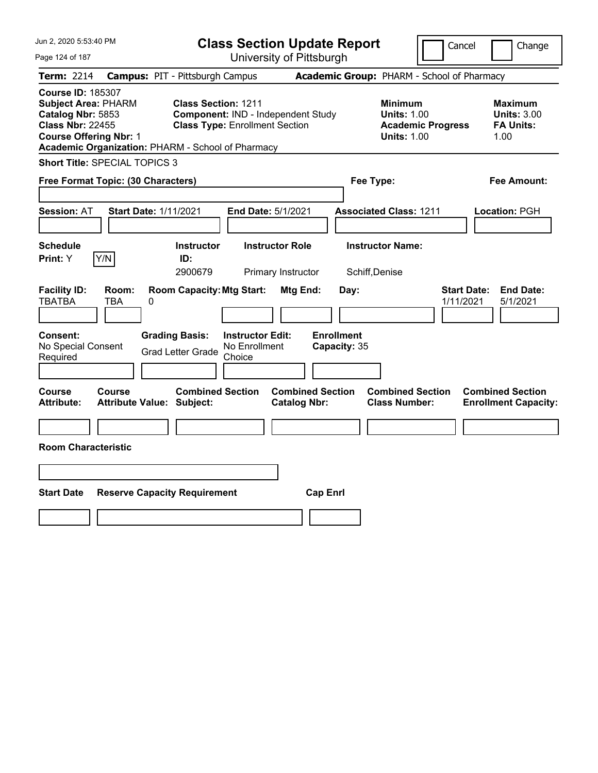| Jun 2, 2020 5:53:40 PM                                                                                                                                                                       | <b>Class Section Update Report</b>                                                                        |                                                | Cancel                                                                                 | Change                                                           |
|----------------------------------------------------------------------------------------------------------------------------------------------------------------------------------------------|-----------------------------------------------------------------------------------------------------------|------------------------------------------------|----------------------------------------------------------------------------------------|------------------------------------------------------------------|
| Page 124 of 187                                                                                                                                                                              | University of Pittsburgh                                                                                  |                                                |                                                                                        |                                                                  |
| <b>Term: 2214</b>                                                                                                                                                                            | <b>Campus: PIT - Pittsburgh Campus</b>                                                                    |                                                | Academic Group: PHARM - School of Pharmacy                                             |                                                                  |
| <b>Course ID: 185307</b><br><b>Subject Area: PHARM</b><br>Catalog Nbr: 5853<br><b>Class Nbr: 22455</b><br><b>Course Offering Nbr: 1</b><br>Academic Organization: PHARM - School of Pharmacy | <b>Class Section: 1211</b><br>Component: IND - Independent Study<br><b>Class Type: Enrollment Section</b> |                                                | <b>Minimum</b><br><b>Units: 1.00</b><br><b>Academic Progress</b><br><b>Units: 1.00</b> | <b>Maximum</b><br><b>Units: 3.00</b><br><b>FA Units:</b><br>1.00 |
| <b>Short Title: SPECIAL TOPICS 3</b>                                                                                                                                                         |                                                                                                           |                                                |                                                                                        |                                                                  |
| Free Format Topic: (30 Characters)                                                                                                                                                           |                                                                                                           | Fee Type:                                      |                                                                                        | Fee Amount:                                                      |
| <b>Start Date: 1/11/2021</b><br><b>Session: AT</b>                                                                                                                                           | End Date: 5/1/2021                                                                                        |                                                | <b>Associated Class: 1211</b>                                                          | Location: PGH                                                    |
| <b>Schedule</b><br>Y/N<br>Print: Y                                                                                                                                                           | Instructor<br><b>Instructor Role</b><br>ID:<br>2900679<br>Primary Instructor                              | Schiff, Denise                                 | <b>Instructor Name:</b>                                                                |                                                                  |
| <b>Facility ID:</b><br>Room:<br><b>TBATBA</b><br>TBA<br>0                                                                                                                                    | <b>Room Capacity: Mtg Start:</b>                                                                          | Mtg End:<br>Day:                               |                                                                                        | <b>Start Date:</b><br><b>End Date:</b><br>1/11/2021<br>5/1/2021  |
| Consent:<br>No Special Consent<br>Required                                                                                                                                                   | <b>Grading Basis:</b><br><b>Instructor Edit:</b><br>No Enrollment<br><b>Grad Letter Grade</b><br>Choice   | <b>Enrollment</b><br>Capacity: 35              |                                                                                        |                                                                  |
| Course<br>Course<br><b>Attribute Value: Subject:</b><br>Attribute:                                                                                                                           | <b>Combined Section</b>                                                                                   | <b>Combined Section</b><br><b>Catalog Nbr:</b> | <b>Combined Section</b><br><b>Class Number:</b>                                        | <b>Combined Section</b><br><b>Enrollment Capacity:</b>           |
|                                                                                                                                                                                              |                                                                                                           |                                                |                                                                                        |                                                                  |
| <b>Room Characteristic</b>                                                                                                                                                                   |                                                                                                           |                                                |                                                                                        |                                                                  |
|                                                                                                                                                                                              |                                                                                                           |                                                |                                                                                        |                                                                  |
| <b>Start Date</b><br><b>Reserve Capacity Requirement</b>                                                                                                                                     |                                                                                                           | <b>Cap Enrl</b>                                |                                                                                        |                                                                  |
|                                                                                                                                                                                              |                                                                                                           |                                                |                                                                                        |                                                                  |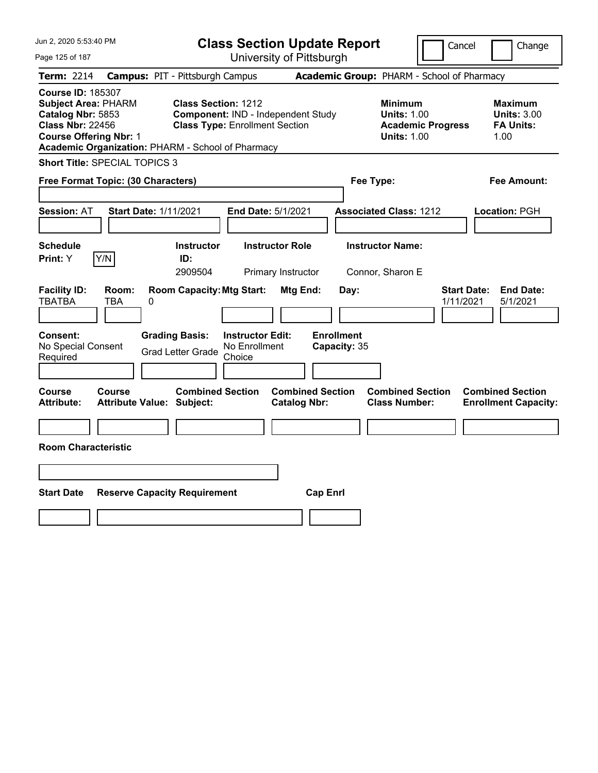| Jun 2, 2020 5:53:40 PM                                                                                                                                                                       |                                                   | <b>Class Section Update Report</b>                                                                        |                                                |                                   |                                                                                        | Cancel<br>Change                                                 |
|----------------------------------------------------------------------------------------------------------------------------------------------------------------------------------------------|---------------------------------------------------|-----------------------------------------------------------------------------------------------------------|------------------------------------------------|-----------------------------------|----------------------------------------------------------------------------------------|------------------------------------------------------------------|
| Page 125 of 187                                                                                                                                                                              |                                                   |                                                                                                           | University of Pittsburgh                       |                                   |                                                                                        |                                                                  |
| Term: 2214                                                                                                                                                                                   | <b>Campus: PIT - Pittsburgh Campus</b>            |                                                                                                           |                                                |                                   | Academic Group: PHARM - School of Pharmacy                                             |                                                                  |
| <b>Course ID: 185307</b><br><b>Subject Area: PHARM</b><br>Catalog Nbr: 5853<br><b>Class Nbr: 22456</b><br><b>Course Offering Nbr: 1</b><br>Academic Organization: PHARM - School of Pharmacy |                                                   | <b>Class Section: 1212</b><br>Component: IND - Independent Study<br><b>Class Type: Enrollment Section</b> |                                                |                                   | <b>Minimum</b><br><b>Units: 1.00</b><br><b>Academic Progress</b><br><b>Units: 1.00</b> | <b>Maximum</b><br><b>Units: 3.00</b><br><b>FA Units:</b><br>1.00 |
| <b>Short Title: SPECIAL TOPICS 3</b>                                                                                                                                                         |                                                   |                                                                                                           |                                                |                                   |                                                                                        |                                                                  |
| Free Format Topic: (30 Characters)                                                                                                                                                           |                                                   |                                                                                                           |                                                | Fee Type:                         |                                                                                        | Fee Amount:                                                      |
| <b>Session: AT</b>                                                                                                                                                                           | <b>Start Date: 1/11/2021</b>                      |                                                                                                           | End Date: 5/1/2021                             |                                   | <b>Associated Class: 1212</b>                                                          | Location: PGH                                                    |
| <b>Schedule</b><br>Y/N<br>Print: Y                                                                                                                                                           | ID:<br>2909504                                    | <b>Instructor</b>                                                                                         | <b>Instructor Role</b><br>Primary Instructor   |                                   | <b>Instructor Name:</b><br>Connor, Sharon E                                            |                                                                  |
| <b>Facility ID:</b><br>Room:<br><b>TBATBA</b><br>TBA                                                                                                                                         | 0                                                 | <b>Room Capacity: Mtg Start:</b>                                                                          | Mtg End:                                       | Day:                              |                                                                                        | <b>Start Date:</b><br><b>End Date:</b><br>1/11/2021<br>5/1/2021  |
| Consent:<br>No Special Consent<br>Required                                                                                                                                                   | <b>Grading Basis:</b><br><b>Grad Letter Grade</b> | <b>Instructor Edit:</b><br>No Enrollment<br>Choice                                                        |                                                | <b>Enrollment</b><br>Capacity: 35 |                                                                                        |                                                                  |
| Course<br>Course<br><b>Attribute:</b>                                                                                                                                                        | <b>Attribute Value: Subject:</b>                  | <b>Combined Section</b>                                                                                   | <b>Combined Section</b><br><b>Catalog Nbr:</b> |                                   | <b>Combined Section</b><br><b>Class Number:</b>                                        | <b>Combined Section</b><br><b>Enrollment Capacity:</b>           |
| <b>Room Characteristic</b>                                                                                                                                                                   |                                                   |                                                                                                           |                                                |                                   |                                                                                        |                                                                  |
|                                                                                                                                                                                              |                                                   |                                                                                                           |                                                |                                   |                                                                                        |                                                                  |
| <b>Start Date</b>                                                                                                                                                                            | <b>Reserve Capacity Requirement</b>               |                                                                                                           | <b>Cap Enrl</b>                                |                                   |                                                                                        |                                                                  |
|                                                                                                                                                                                              |                                                   |                                                                                                           |                                                |                                   |                                                                                        |                                                                  |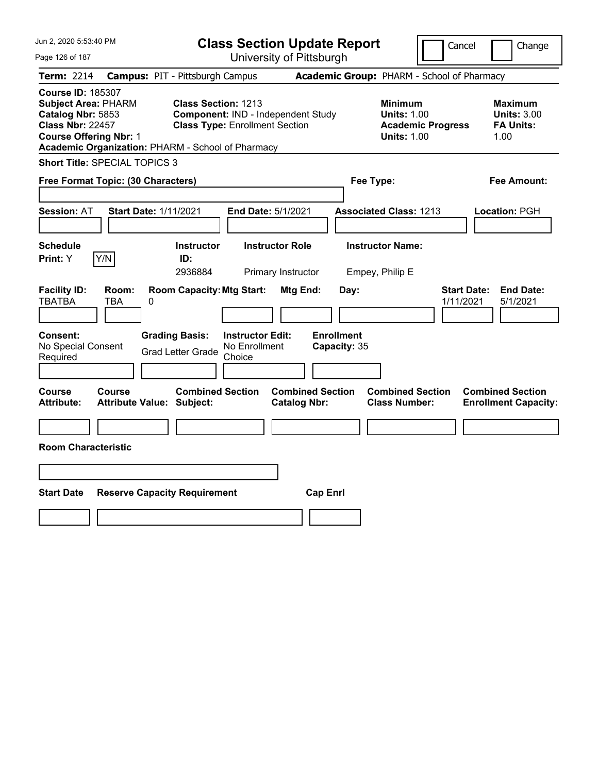| Jun 2, 2020 5:53:40 PM                                                                                                                  |                                                                                 | <b>Class Section Update Report</b>                                          |                                                |                                                                                        | Cancel<br>Change                                                 |
|-----------------------------------------------------------------------------------------------------------------------------------------|---------------------------------------------------------------------------------|-----------------------------------------------------------------------------|------------------------------------------------|----------------------------------------------------------------------------------------|------------------------------------------------------------------|
| Page 126 of 187                                                                                                                         |                                                                                 | University of Pittsburgh                                                    |                                                |                                                                                        |                                                                  |
| Term: 2214                                                                                                                              | <b>Campus: PIT - Pittsburgh Campus</b>                                          |                                                                             |                                                | Academic Group: PHARM - School of Pharmacy                                             |                                                                  |
| <b>Course ID: 185307</b><br><b>Subject Area: PHARM</b><br>Catalog Nbr: 5853<br><b>Class Nbr: 22457</b><br><b>Course Offering Nbr: 1</b> | <b>Class Section: 1213</b><br>Academic Organization: PHARM - School of Pharmacy | Component: IND - Independent Study<br><b>Class Type: Enrollment Section</b> |                                                | <b>Minimum</b><br><b>Units: 1.00</b><br><b>Academic Progress</b><br><b>Units: 1.00</b> | <b>Maximum</b><br><b>Units: 3.00</b><br><b>FA Units:</b><br>1.00 |
| <b>Short Title: SPECIAL TOPICS 3</b>                                                                                                    |                                                                                 |                                                                             |                                                |                                                                                        |                                                                  |
| Free Format Topic: (30 Characters)                                                                                                      |                                                                                 |                                                                             |                                                | Fee Type:                                                                              | Fee Amount:                                                      |
| <b>Session: AT</b>                                                                                                                      | <b>Start Date: 1/11/2021</b>                                                    | End Date: 5/1/2021                                                          |                                                | <b>Associated Class: 1213</b>                                                          | Location: PGH                                                    |
| <b>Schedule</b><br>Y/N<br>Print: Y                                                                                                      | <b>Instructor</b><br>ID:<br>2936884                                             | <b>Instructor Role</b><br>Primary Instructor                                |                                                | <b>Instructor Name:</b><br>Empey, Philip E                                             |                                                                  |
| <b>Facility ID:</b><br>Room:<br><b>TBATBA</b><br>TBA                                                                                    | <b>Room Capacity: Mtg Start:</b><br>0                                           |                                                                             | Mtg End:<br>Day:                               |                                                                                        | <b>Start Date:</b><br><b>End Date:</b><br>1/11/2021<br>5/1/2021  |
| <b>Consent:</b><br>No Special Consent<br>Required                                                                                       | <b>Grading Basis:</b><br><b>Grad Letter Grade</b>                               | <b>Instructor Edit:</b><br>No Enrollment<br>Choice                          | <b>Enrollment</b><br>Capacity: 35              |                                                                                        |                                                                  |
| Course<br>Course<br>Attribute:                                                                                                          | <b>Combined Section</b><br><b>Attribute Value: Subject:</b>                     |                                                                             | <b>Combined Section</b><br><b>Catalog Nbr:</b> | <b>Combined Section</b><br><b>Class Number:</b>                                        | <b>Combined Section</b><br><b>Enrollment Capacity:</b>           |
| <b>Room Characteristic</b>                                                                                                              |                                                                                 |                                                                             |                                                |                                                                                        |                                                                  |
|                                                                                                                                         |                                                                                 |                                                                             |                                                |                                                                                        |                                                                  |
| <b>Start Date</b>                                                                                                                       | <b>Reserve Capacity Requirement</b>                                             |                                                                             | <b>Cap Enrl</b>                                |                                                                                        |                                                                  |
|                                                                                                                                         |                                                                                 |                                                                             |                                                |                                                                                        |                                                                  |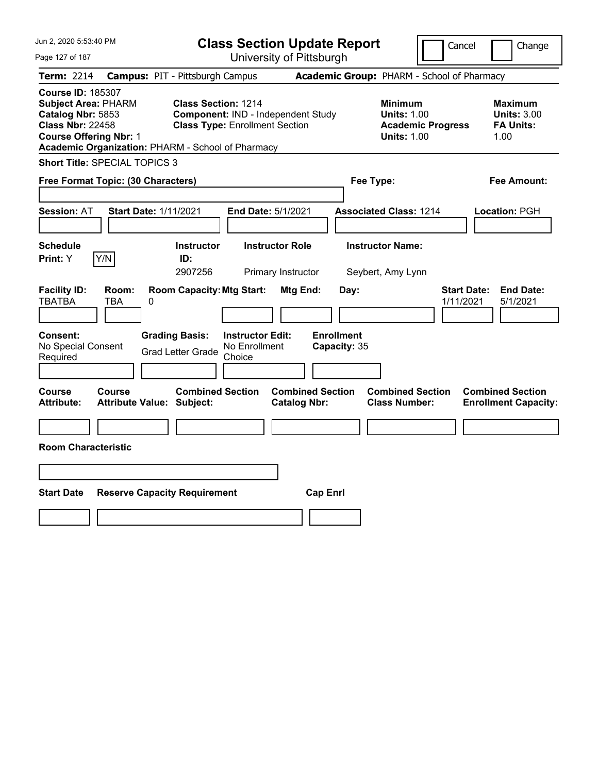| Jun 2, 2020 5:53:40 PM                                                                                                                                                                       | <b>Class Section Update Report</b>                                                                        |                                                | Cancel                                                                                 | Change                                                           |
|----------------------------------------------------------------------------------------------------------------------------------------------------------------------------------------------|-----------------------------------------------------------------------------------------------------------|------------------------------------------------|----------------------------------------------------------------------------------------|------------------------------------------------------------------|
| Page 127 of 187                                                                                                                                                                              | University of Pittsburgh                                                                                  |                                                |                                                                                        |                                                                  |
| <b>Term: 2214</b>                                                                                                                                                                            | <b>Campus: PIT - Pittsburgh Campus</b>                                                                    |                                                | Academic Group: PHARM - School of Pharmacy                                             |                                                                  |
| <b>Course ID: 185307</b><br><b>Subject Area: PHARM</b><br>Catalog Nbr: 5853<br><b>Class Nbr: 22458</b><br><b>Course Offering Nbr: 1</b><br>Academic Organization: PHARM - School of Pharmacy | <b>Class Section: 1214</b><br>Component: IND - Independent Study<br><b>Class Type: Enrollment Section</b> |                                                | <b>Minimum</b><br><b>Units: 1.00</b><br><b>Academic Progress</b><br><b>Units: 1.00</b> | <b>Maximum</b><br><b>Units: 3.00</b><br><b>FA Units:</b><br>1.00 |
| <b>Short Title: SPECIAL TOPICS 3</b>                                                                                                                                                         |                                                                                                           |                                                |                                                                                        |                                                                  |
| Free Format Topic: (30 Characters)                                                                                                                                                           |                                                                                                           | Fee Type:                                      |                                                                                        | Fee Amount:                                                      |
| <b>Start Date: 1/11/2021</b><br><b>Session: AT</b>                                                                                                                                           | End Date: 5/1/2021                                                                                        |                                                | <b>Associated Class: 1214</b>                                                          | Location: PGH                                                    |
| <b>Schedule</b><br>Y/N<br>Print: Y                                                                                                                                                           | <b>Instructor</b><br><b>Instructor Role</b><br>ID:<br>2907256<br>Primary Instructor                       |                                                | <b>Instructor Name:</b><br>Seybert, Amy Lynn                                           |                                                                  |
| <b>Facility ID:</b><br>Room:<br><b>TBATBA</b><br>TBA<br>0                                                                                                                                    | <b>Room Capacity: Mtg Start:</b>                                                                          | Mtg End:<br>Day:                               |                                                                                        | <b>Start Date:</b><br><b>End Date:</b><br>1/11/2021<br>5/1/2021  |
| Consent:<br>No Special Consent<br>Required                                                                                                                                                   | <b>Grading Basis:</b><br><b>Instructor Edit:</b><br>No Enrollment<br><b>Grad Letter Grade</b><br>Choice   | <b>Enrollment</b><br>Capacity: 35              |                                                                                        |                                                                  |
| Course<br>Course<br><b>Attribute Value: Subject:</b><br>Attribute:                                                                                                                           | <b>Combined Section</b>                                                                                   | <b>Combined Section</b><br><b>Catalog Nbr:</b> | <b>Combined Section</b><br><b>Class Number:</b>                                        | <b>Combined Section</b><br><b>Enrollment Capacity:</b>           |
|                                                                                                                                                                                              |                                                                                                           |                                                |                                                                                        |                                                                  |
| <b>Room Characteristic</b>                                                                                                                                                                   |                                                                                                           |                                                |                                                                                        |                                                                  |
|                                                                                                                                                                                              |                                                                                                           |                                                |                                                                                        |                                                                  |
| <b>Start Date</b><br><b>Reserve Capacity Requirement</b>                                                                                                                                     |                                                                                                           | <b>Cap Enrl</b>                                |                                                                                        |                                                                  |
|                                                                                                                                                                                              |                                                                                                           |                                                |                                                                                        |                                                                  |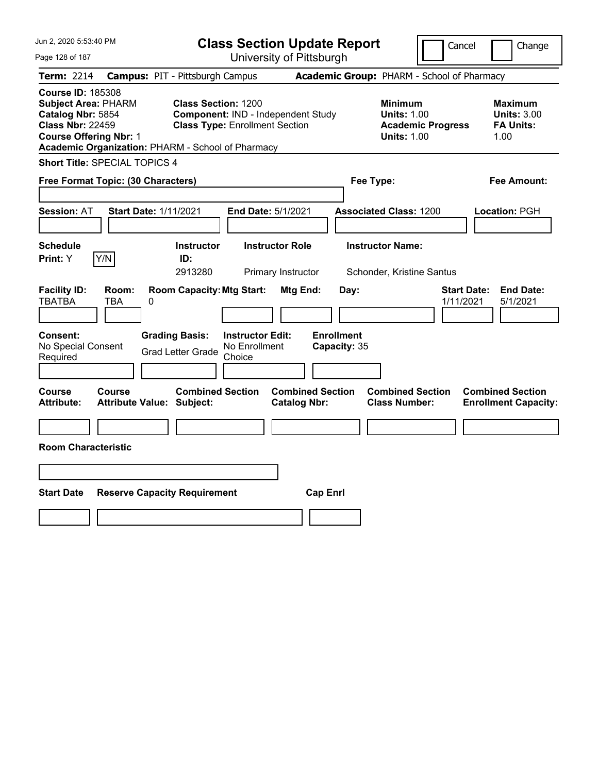| Jun 2, 2020 5:53:40 PM                                                                                                                                                                       |                                            |                                                                                                           |                                                    | <b>Class Section Update Report</b>             |                                           |                                                            |                          | Cancel                          | Change                                                   |
|----------------------------------------------------------------------------------------------------------------------------------------------------------------------------------------------|--------------------------------------------|-----------------------------------------------------------------------------------------------------------|----------------------------------------------------|------------------------------------------------|-------------------------------------------|------------------------------------------------------------|--------------------------|---------------------------------|----------------------------------------------------------|
| Page 128 of 187                                                                                                                                                                              |                                            |                                                                                                           |                                                    | University of Pittsburgh                       |                                           |                                                            |                          |                                 |                                                          |
| Term: 2214                                                                                                                                                                                   | <b>Campus: PIT - Pittsburgh Campus</b>     |                                                                                                           |                                                    |                                                |                                           | Academic Group: PHARM - School of Pharmacy                 |                          |                                 |                                                          |
| <b>Course ID: 185308</b><br><b>Subject Area: PHARM</b><br>Catalog Nbr: 5854<br><b>Class Nbr: 22459</b><br><b>Course Offering Nbr: 1</b><br>Academic Organization: PHARM - School of Pharmacy |                                            | <b>Class Section: 1200</b><br>Component: IND - Independent Study<br><b>Class Type: Enrollment Section</b> |                                                    |                                                |                                           | <b>Minimum</b><br><b>Units: 1.00</b><br><b>Units: 1.00</b> | <b>Academic Progress</b> | 1.00                            | <b>Maximum</b><br><b>Units: 3.00</b><br><b>FA Units:</b> |
| <b>Short Title: SPECIAL TOPICS 4</b>                                                                                                                                                         |                                            |                                                                                                           |                                                    |                                                |                                           |                                                            |                          |                                 |                                                          |
| Free Format Topic: (30 Characters)                                                                                                                                                           |                                            |                                                                                                           |                                                    |                                                |                                           | Fee Type:                                                  |                          |                                 | Fee Amount:                                              |
| <b>Session: AT</b>                                                                                                                                                                           | <b>Start Date: 1/11/2021</b>               |                                                                                                           | End Date: 5/1/2021                                 |                                                |                                           | <b>Associated Class: 1200</b>                              |                          | Location: PGH                   |                                                          |
| <b>Schedule</b>                                                                                                                                                                              |                                            | <b>Instructor</b>                                                                                         |                                                    | <b>Instructor Role</b>                         |                                           | <b>Instructor Name:</b>                                    |                          |                                 |                                                          |
| Y/N<br><b>Print: Y</b>                                                                                                                                                                       |                                            | ID:<br>2913280                                                                                            |                                                    | Primary Instructor                             |                                           | Schonder, Kristine Santus                                  |                          |                                 |                                                          |
| <b>Facility ID:</b><br><b>TBATBA</b><br><b>Consent:</b><br>No Special Consent<br>Required                                                                                                    | Room:<br>TBA<br>0                          | <b>Room Capacity: Mtg Start:</b><br><b>Grading Basis:</b><br><b>Grad Letter Grade</b>                     | <b>Instructor Edit:</b><br>No Enrollment<br>Choice | <b>Mtg End:</b>                                | Day:<br><b>Enrollment</b><br>Capacity: 35 |                                                            |                          | <b>Start Date:</b><br>1/11/2021 | <b>End Date:</b><br>5/1/2021                             |
| Course<br><b>Attribute:</b>                                                                                                                                                                  | Course<br><b>Attribute Value: Subject:</b> | <b>Combined Section</b>                                                                                   |                                                    | <b>Combined Section</b><br><b>Catalog Nbr:</b> |                                           | <b>Combined Section</b><br><b>Class Number:</b>            |                          | <b>Combined Section</b>         | <b>Enrollment Capacity:</b>                              |
| <b>Room Characteristic</b>                                                                                                                                                                   |                                            |                                                                                                           |                                                    |                                                |                                           |                                                            |                          |                                 |                                                          |
| <b>Start Date</b>                                                                                                                                                                            | <b>Reserve Capacity Requirement</b>        |                                                                                                           |                                                    |                                                | <b>Cap Enrl</b>                           |                                                            |                          |                                 |                                                          |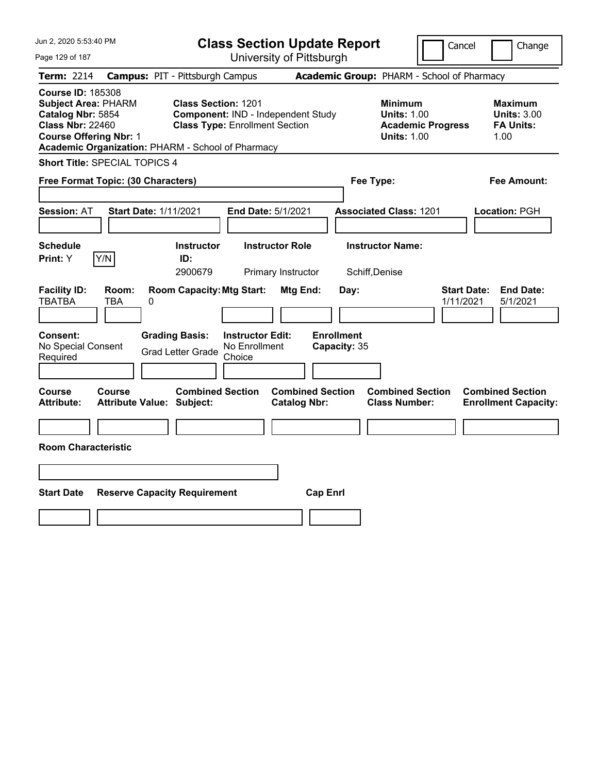| Jun 2, 2020 5:53:40 PM                                                                                                                                                                       |                                                                                                           | <b>Class Section Update Report</b>             |                                                                                        | Cancel<br>Change                                                 |
|----------------------------------------------------------------------------------------------------------------------------------------------------------------------------------------------|-----------------------------------------------------------------------------------------------------------|------------------------------------------------|----------------------------------------------------------------------------------------|------------------------------------------------------------------|
| Page 129 of 187                                                                                                                                                                              |                                                                                                           | University of Pittsburgh                       |                                                                                        |                                                                  |
| Term: 2214                                                                                                                                                                                   | <b>Campus: PIT - Pittsburgh Campus</b>                                                                    |                                                | Academic Group: PHARM - School of Pharmacy                                             |                                                                  |
| <b>Course ID: 185308</b><br><b>Subject Area: PHARM</b><br>Catalog Nbr: 5854<br><b>Class Nbr: 22460</b><br><b>Course Offering Nbr: 1</b><br>Academic Organization: PHARM - School of Pharmacy | <b>Class Section: 1201</b><br>Component: IND - Independent Study<br><b>Class Type: Enrollment Section</b> |                                                | <b>Minimum</b><br><b>Units: 1.00</b><br><b>Academic Progress</b><br><b>Units: 1.00</b> | <b>Maximum</b><br><b>Units: 3.00</b><br><b>FA Units:</b><br>1.00 |
| Short Title: SPECIAL TOPICS 4                                                                                                                                                                |                                                                                                           |                                                |                                                                                        |                                                                  |
| Free Format Topic: (30 Characters)                                                                                                                                                           |                                                                                                           |                                                | Fee Type:                                                                              | Fee Amount:                                                      |
| <b>Session: AT</b><br><b>Start Date: 1/11/2021</b>                                                                                                                                           |                                                                                                           | End Date: 5/1/2021                             | <b>Associated Class: 1201</b>                                                          | Location: PGH                                                    |
| <b>Schedule</b><br>Y/N<br>Print: Y                                                                                                                                                           | <b>Instructor</b><br>ID:<br>2900679                                                                       | <b>Instructor Role</b><br>Primary Instructor   | <b>Instructor Name:</b><br>Schiff, Denise                                              |                                                                  |
| <b>Facility ID:</b><br>Room:<br><b>TBATBA</b><br>TBA<br>0                                                                                                                                    | <b>Room Capacity: Mtg Start:</b>                                                                          | Mtg End:<br>Day:                               |                                                                                        | <b>Start Date:</b><br><b>End Date:</b><br>1/11/2021<br>5/1/2021  |
| Consent:<br>No Special Consent<br>Required                                                                                                                                                   | <b>Grading Basis:</b><br><b>Instructor Edit:</b><br>No Enrollment<br><b>Grad Letter Grade</b><br>Choice   | <b>Enrollment</b><br>Capacity: 35              |                                                                                        |                                                                  |
| Course<br>Course<br><b>Attribute:</b><br><b>Attribute Value: Subject:</b>                                                                                                                    | <b>Combined Section</b>                                                                                   | <b>Combined Section</b><br><b>Catalog Nbr:</b> | <b>Combined Section</b><br><b>Class Number:</b>                                        | <b>Combined Section</b><br><b>Enrollment Capacity:</b>           |
|                                                                                                                                                                                              |                                                                                                           |                                                |                                                                                        |                                                                  |
| <b>Room Characteristic</b>                                                                                                                                                                   |                                                                                                           |                                                |                                                                                        |                                                                  |
|                                                                                                                                                                                              |                                                                                                           |                                                |                                                                                        |                                                                  |
| <b>Start Date</b>                                                                                                                                                                            | <b>Reserve Capacity Requirement</b>                                                                       | <b>Cap Enrl</b>                                |                                                                                        |                                                                  |
|                                                                                                                                                                                              |                                                                                                           |                                                |                                                                                        |                                                                  |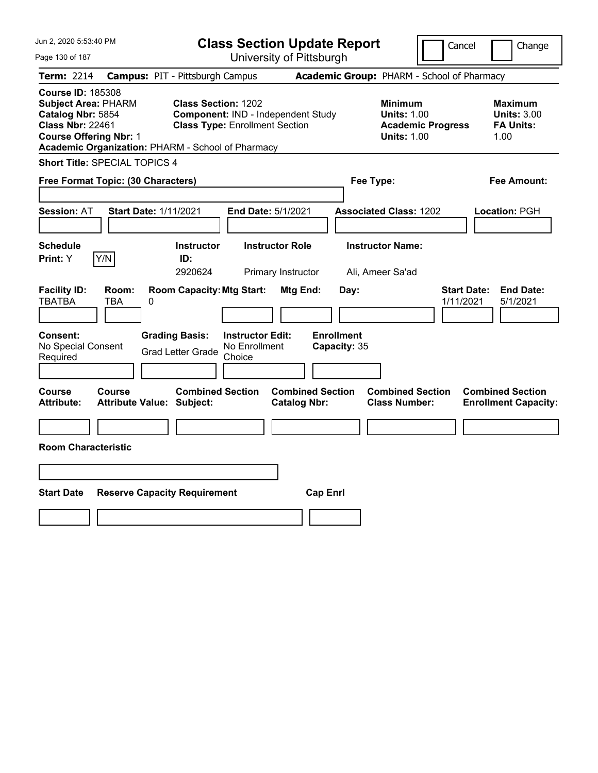| Jun 2, 2020 5:53:40 PM                                                                                                                                                                       |                                                                                                           | <b>Class Section Update Report</b>             | Cancel                                                                                 | Change                                                           |
|----------------------------------------------------------------------------------------------------------------------------------------------------------------------------------------------|-----------------------------------------------------------------------------------------------------------|------------------------------------------------|----------------------------------------------------------------------------------------|------------------------------------------------------------------|
| Page 130 of 187                                                                                                                                                                              |                                                                                                           | University of Pittsburgh                       |                                                                                        |                                                                  |
| Term: 2214                                                                                                                                                                                   | <b>Campus: PIT - Pittsburgh Campus</b>                                                                    |                                                | Academic Group: PHARM - School of Pharmacy                                             |                                                                  |
| <b>Course ID: 185308</b><br><b>Subject Area: PHARM</b><br>Catalog Nbr: 5854<br><b>Class Nbr: 22461</b><br><b>Course Offering Nbr: 1</b><br>Academic Organization: PHARM - School of Pharmacy | <b>Class Section: 1202</b><br>Component: IND - Independent Study<br><b>Class Type: Enrollment Section</b> |                                                | <b>Minimum</b><br><b>Units: 1.00</b><br><b>Academic Progress</b><br><b>Units: 1.00</b> | <b>Maximum</b><br><b>Units: 3.00</b><br><b>FA Units:</b><br>1.00 |
| Short Title: SPECIAL TOPICS 4                                                                                                                                                                |                                                                                                           |                                                |                                                                                        |                                                                  |
| Free Format Topic: (30 Characters)                                                                                                                                                           |                                                                                                           |                                                | Fee Type:                                                                              | Fee Amount:                                                      |
| <b>Session: AT</b><br><b>Start Date: 1/11/2021</b>                                                                                                                                           | End Date: 5/1/2021                                                                                        |                                                | <b>Associated Class: 1202</b>                                                          | Location: PGH                                                    |
| <b>Schedule</b><br>Y/N<br>Print: Y                                                                                                                                                           | <b>Instructor</b><br>ID:<br>2920624                                                                       | <b>Instructor Role</b><br>Primary Instructor   | <b>Instructor Name:</b><br>Ali, Ameer Sa'ad                                            |                                                                  |
| <b>Facility ID:</b><br>Room:<br><b>TBATBA</b><br>TBA<br>0                                                                                                                                    | <b>Room Capacity: Mtg Start:</b>                                                                          | Mtg End:<br>Day:                               |                                                                                        | <b>Start Date:</b><br><b>End Date:</b><br>1/11/2021<br>5/1/2021  |
| Consent:<br>No Special Consent<br>Required                                                                                                                                                   | <b>Grading Basis:</b><br><b>Instructor Edit:</b><br>No Enrollment<br><b>Grad Letter Grade</b><br>Choice   | <b>Enrollment</b><br>Capacity: 35              |                                                                                        |                                                                  |
| Course<br>Course<br><b>Attribute:</b><br><b>Attribute Value: Subject:</b>                                                                                                                    | <b>Combined Section</b>                                                                                   | <b>Combined Section</b><br><b>Catalog Nbr:</b> | <b>Combined Section</b><br><b>Class Number:</b>                                        | <b>Combined Section</b><br><b>Enrollment Capacity:</b>           |
|                                                                                                                                                                                              |                                                                                                           |                                                |                                                                                        |                                                                  |
| <b>Room Characteristic</b>                                                                                                                                                                   |                                                                                                           |                                                |                                                                                        |                                                                  |
|                                                                                                                                                                                              |                                                                                                           |                                                |                                                                                        |                                                                  |
| <b>Start Date</b><br><b>Reserve Capacity Requirement</b>                                                                                                                                     |                                                                                                           | <b>Cap Enrl</b>                                |                                                                                        |                                                                  |
|                                                                                                                                                                                              |                                                                                                           |                                                |                                                                                        |                                                                  |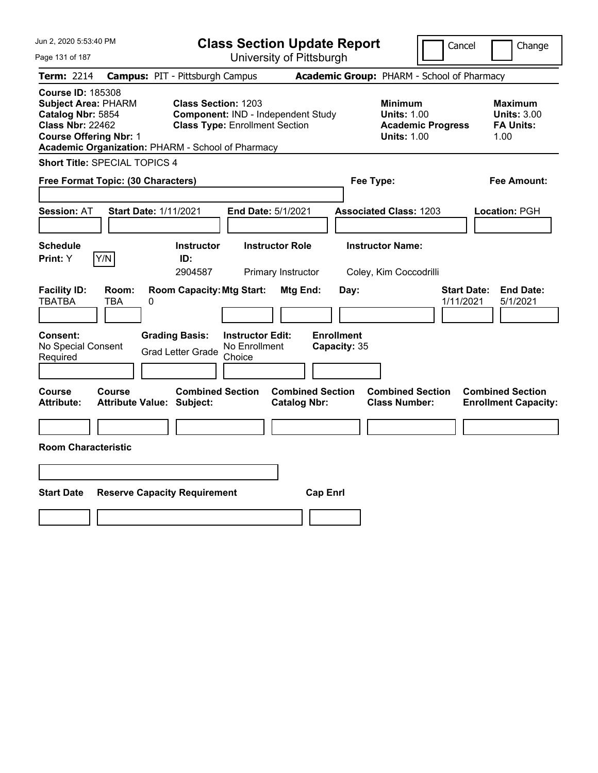| Jun 2, 2020 5:53:40 PM                                                                                                                                                                       |                                            |                                                                     |                                                    | <b>Class Section Update Report</b>             |                                            |                                                            | Cancel                   | Change                                                           |
|----------------------------------------------------------------------------------------------------------------------------------------------------------------------------------------------|--------------------------------------------|---------------------------------------------------------------------|----------------------------------------------------|------------------------------------------------|--------------------------------------------|------------------------------------------------------------|--------------------------|------------------------------------------------------------------|
| Page 131 of 187                                                                                                                                                                              |                                            |                                                                     |                                                    | University of Pittsburgh                       |                                            |                                                            |                          |                                                                  |
| Term: 2214                                                                                                                                                                                   | <b>Campus: PIT - Pittsburgh Campus</b>     |                                                                     |                                                    |                                                | Academic Group: PHARM - School of Pharmacy |                                                            |                          |                                                                  |
| <b>Course ID: 185308</b><br><b>Subject Area: PHARM</b><br>Catalog Nbr: 5854<br><b>Class Nbr: 22462</b><br><b>Course Offering Nbr: 1</b><br>Academic Organization: PHARM - School of Pharmacy |                                            | <b>Class Section: 1203</b><br><b>Class Type: Enrollment Section</b> |                                                    | Component: IND - Independent Study             |                                            | <b>Minimum</b><br><b>Units: 1.00</b><br><b>Units: 1.00</b> | <b>Academic Progress</b> | <b>Maximum</b><br><b>Units: 3.00</b><br><b>FA Units:</b><br>1.00 |
| <b>Short Title: SPECIAL TOPICS 4</b>                                                                                                                                                         |                                            |                                                                     |                                                    |                                                |                                            |                                                            |                          |                                                                  |
| Free Format Topic: (30 Characters)                                                                                                                                                           |                                            |                                                                     |                                                    |                                                |                                            | Fee Type:                                                  |                          | Fee Amount:                                                      |
| <b>Session: AT</b>                                                                                                                                                                           | <b>Start Date: 1/11/2021</b>               |                                                                     | End Date: 5/1/2021                                 |                                                |                                            | <b>Associated Class: 1203</b>                              |                          | Location: PGH                                                    |
| <b>Schedule</b><br>Y/N<br>Print: Y                                                                                                                                                           |                                            | <b>Instructor</b><br>ID:<br>2904587                                 |                                                    | <b>Instructor Role</b><br>Primary Instructor   |                                            | <b>Instructor Name:</b><br>Coley, Kim Coccodrilli          |                          |                                                                  |
| <b>Facility ID:</b><br><b>TBATBA</b>                                                                                                                                                         | Room:<br>TBA<br>0                          | <b>Room Capacity: Mtg Start:</b>                                    |                                                    | Mtg End:                                       | Day:                                       |                                                            |                          | <b>Start Date:</b><br><b>End Date:</b><br>1/11/2021<br>5/1/2021  |
| <b>Consent:</b><br>No Special Consent<br>Required                                                                                                                                            |                                            | <b>Grading Basis:</b><br><b>Grad Letter Grade</b>                   | <b>Instructor Edit:</b><br>No Enrollment<br>Choice |                                                | <b>Enrollment</b><br>Capacity: 35          |                                                            |                          |                                                                  |
| Course<br>Attribute:                                                                                                                                                                         | Course<br><b>Attribute Value: Subject:</b> | <b>Combined Section</b>                                             |                                                    | <b>Combined Section</b><br><b>Catalog Nbr:</b> |                                            | <b>Combined Section</b><br><b>Class Number:</b>            |                          | <b>Combined Section</b><br><b>Enrollment Capacity:</b>           |
|                                                                                                                                                                                              |                                            |                                                                     |                                                    |                                                |                                            |                                                            |                          |                                                                  |
| <b>Room Characteristic</b>                                                                                                                                                                   |                                            |                                                                     |                                                    |                                                |                                            |                                                            |                          |                                                                  |
|                                                                                                                                                                                              |                                            |                                                                     |                                                    |                                                |                                            |                                                            |                          |                                                                  |
| <b>Start Date</b>                                                                                                                                                                            | <b>Reserve Capacity Requirement</b>        |                                                                     |                                                    |                                                | <b>Cap Enrl</b>                            |                                                            |                          |                                                                  |
|                                                                                                                                                                                              |                                            |                                                                     |                                                    |                                                |                                            |                                                            |                          |                                                                  |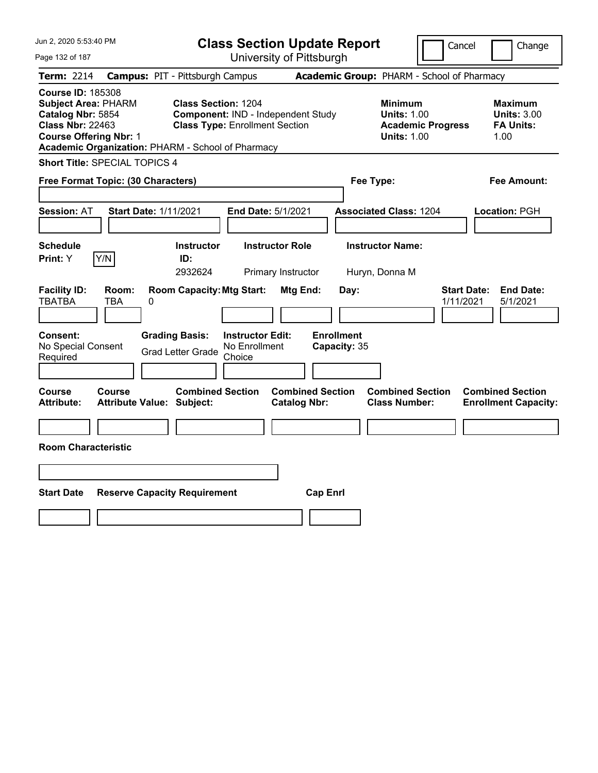| Jun 2, 2020 5:53:40 PM                                                                                                                                                                       |                                                             |                                                                             | <b>Class Section Update Report</b>             |                                                                                        | Cancel<br>Change                                                 |  |  |  |
|----------------------------------------------------------------------------------------------------------------------------------------------------------------------------------------------|-------------------------------------------------------------|-----------------------------------------------------------------------------|------------------------------------------------|----------------------------------------------------------------------------------------|------------------------------------------------------------------|--|--|--|
| Page 132 of 187                                                                                                                                                                              |                                                             | University of Pittsburgh                                                    |                                                |                                                                                        |                                                                  |  |  |  |
| Term: 2214                                                                                                                                                                                   | <b>Campus: PIT - Pittsburgh Campus</b>                      |                                                                             |                                                | Academic Group: PHARM - School of Pharmacy                                             |                                                                  |  |  |  |
| <b>Course ID: 185308</b><br><b>Subject Area: PHARM</b><br>Catalog Nbr: 5854<br><b>Class Nbr: 22463</b><br><b>Course Offering Nbr: 1</b><br>Academic Organization: PHARM - School of Pharmacy | <b>Class Section: 1204</b>                                  | Component: IND - Independent Study<br><b>Class Type: Enrollment Section</b> |                                                | <b>Minimum</b><br><b>Units: 1.00</b><br><b>Academic Progress</b><br><b>Units: 1.00</b> | <b>Maximum</b><br><b>Units: 3.00</b><br><b>FA Units:</b><br>1.00 |  |  |  |
| <b>Short Title: SPECIAL TOPICS 4</b>                                                                                                                                                         |                                                             |                                                                             |                                                |                                                                                        |                                                                  |  |  |  |
| Free Format Topic: (30 Characters)<br>Fee Type:<br>Fee Amount:                                                                                                                               |                                                             |                                                                             |                                                |                                                                                        |                                                                  |  |  |  |
| <b>Session: AT</b>                                                                                                                                                                           | <b>Start Date: 1/11/2021</b>                                | End Date: 5/1/2021                                                          |                                                | <b>Associated Class: 1204</b>                                                          | Location: PGH                                                    |  |  |  |
| <b>Schedule</b><br>Y/N<br>Print: Y                                                                                                                                                           | <b>Instructor</b><br>ID:<br>2932624                         | <b>Instructor Role</b><br>Primary Instructor                                |                                                | <b>Instructor Name:</b><br>Huryn, Donna M                                              |                                                                  |  |  |  |
| <b>Facility ID:</b><br>Room:<br><b>TBATBA</b><br>TBA                                                                                                                                         | <b>Room Capacity: Mtg Start:</b><br>0                       |                                                                             | Mtg End:<br>Day:                               |                                                                                        | <b>Start Date:</b><br><b>End Date:</b><br>1/11/2021<br>5/1/2021  |  |  |  |
| <b>Consent:</b><br>No Special Consent<br>Required                                                                                                                                            | <b>Grading Basis:</b><br><b>Grad Letter Grade</b>           | <b>Instructor Edit:</b><br>No Enrollment<br>Choice                          | <b>Enrollment</b><br>Capacity: 35              |                                                                                        |                                                                  |  |  |  |
| Course<br>Course<br><b>Attribute:</b>                                                                                                                                                        | <b>Combined Section</b><br><b>Attribute Value: Subject:</b> |                                                                             | <b>Combined Section</b><br><b>Catalog Nbr:</b> | <b>Combined Section</b><br><b>Class Number:</b>                                        | <b>Combined Section</b><br><b>Enrollment Capacity:</b>           |  |  |  |
|                                                                                                                                                                                              |                                                             |                                                                             |                                                |                                                                                        |                                                                  |  |  |  |
| <b>Room Characteristic</b>                                                                                                                                                                   |                                                             |                                                                             |                                                |                                                                                        |                                                                  |  |  |  |
|                                                                                                                                                                                              |                                                             |                                                                             |                                                |                                                                                        |                                                                  |  |  |  |
| <b>Start Date</b>                                                                                                                                                                            | <b>Reserve Capacity Requirement</b>                         |                                                                             | <b>Cap Enrl</b>                                |                                                                                        |                                                                  |  |  |  |
|                                                                                                                                                                                              |                                                             |                                                                             |                                                |                                                                                        |                                                                  |  |  |  |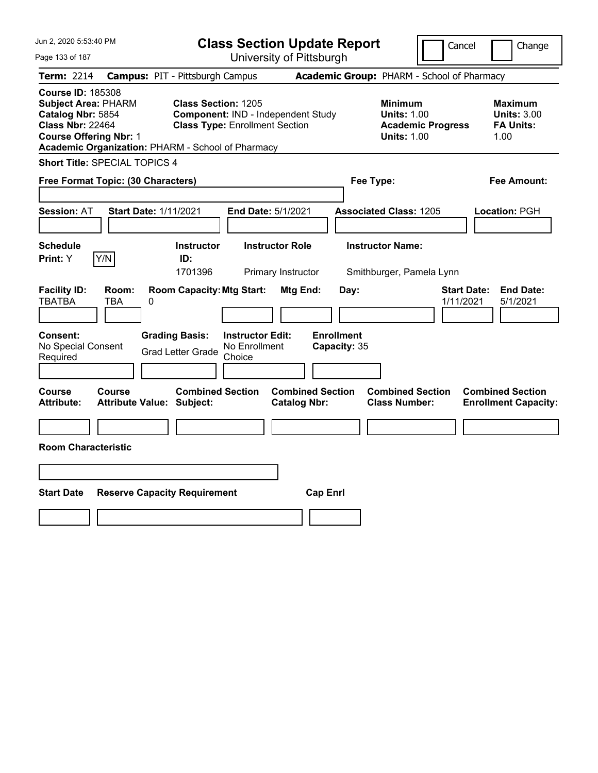| Jun 2, 2020 5:53:40 PM                                                                                                                                                                       |                                            |                                                                                                           |                                                    |                                                | <b>Class Section Update Report</b> |                                                            |                          | Cancel<br>Change                                                 |  |
|----------------------------------------------------------------------------------------------------------------------------------------------------------------------------------------------|--------------------------------------------|-----------------------------------------------------------------------------------------------------------|----------------------------------------------------|------------------------------------------------|------------------------------------|------------------------------------------------------------|--------------------------|------------------------------------------------------------------|--|
| Page 133 of 187                                                                                                                                                                              |                                            |                                                                                                           |                                                    | University of Pittsburgh                       |                                    |                                                            |                          |                                                                  |  |
| Term: 2214                                                                                                                                                                                   | <b>Campus: PIT - Pittsburgh Campus</b>     |                                                                                                           |                                                    |                                                |                                    | Academic Group: PHARM - School of Pharmacy                 |                          |                                                                  |  |
| <b>Course ID: 185308</b><br><b>Subject Area: PHARM</b><br>Catalog Nbr: 5854<br><b>Class Nbr: 22464</b><br><b>Course Offering Nbr: 1</b><br>Academic Organization: PHARM - School of Pharmacy |                                            | <b>Class Section: 1205</b><br>Component: IND - Independent Study<br><b>Class Type: Enrollment Section</b> |                                                    |                                                |                                    | <b>Minimum</b><br><b>Units: 1.00</b><br><b>Units: 1.00</b> | <b>Academic Progress</b> | <b>Maximum</b><br><b>Units: 3.00</b><br><b>FA Units:</b><br>1.00 |  |
| <b>Short Title: SPECIAL TOPICS 4</b>                                                                                                                                                         |                                            |                                                                                                           |                                                    |                                                |                                    |                                                            |                          |                                                                  |  |
| Free Format Topic: (30 Characters)<br>Fee Type:<br>Fee Amount:                                                                                                                               |                                            |                                                                                                           |                                                    |                                                |                                    |                                                            |                          |                                                                  |  |
| <b>Session: AT</b>                                                                                                                                                                           | <b>Start Date: 1/11/2021</b>               |                                                                                                           | End Date: 5/1/2021                                 |                                                |                                    | <b>Associated Class: 1205</b>                              |                          | Location: PGH                                                    |  |
| <b>Schedule</b><br>Y/N<br><b>Print: Y</b>                                                                                                                                                    |                                            | <b>Instructor</b><br>ID:<br>1701396                                                                       |                                                    | <b>Instructor Role</b><br>Primary Instructor   |                                    | <b>Instructor Name:</b><br>Smithburger, Pamela Lynn        |                          |                                                                  |  |
| <b>Facility ID:</b><br><b>TBATBA</b>                                                                                                                                                         | Room:<br>TBA<br>0                          | <b>Room Capacity: Mtg Start:</b>                                                                          |                                                    | <b>Mtg End:</b>                                | Day:                               |                                                            |                          | <b>Start Date:</b><br><b>End Date:</b><br>1/11/2021<br>5/1/2021  |  |
| <b>Consent:</b><br>No Special Consent<br>Required                                                                                                                                            |                                            | <b>Grading Basis:</b><br><b>Grad Letter Grade</b>                                                         | <b>Instructor Edit:</b><br>No Enrollment<br>Choice |                                                | <b>Enrollment</b><br>Capacity: 35  |                                                            |                          |                                                                  |  |
| Course<br><b>Attribute:</b>                                                                                                                                                                  | Course<br><b>Attribute Value: Subject:</b> | <b>Combined Section</b>                                                                                   |                                                    | <b>Combined Section</b><br><b>Catalog Nbr:</b> |                                    | <b>Combined Section</b><br><b>Class Number:</b>            |                          | <b>Combined Section</b><br><b>Enrollment Capacity:</b>           |  |
|                                                                                                                                                                                              |                                            |                                                                                                           |                                                    |                                                |                                    |                                                            |                          |                                                                  |  |
| <b>Room Characteristic</b>                                                                                                                                                                   |                                            |                                                                                                           |                                                    |                                                |                                    |                                                            |                          |                                                                  |  |
|                                                                                                                                                                                              |                                            |                                                                                                           |                                                    |                                                |                                    |                                                            |                          |                                                                  |  |
| <b>Start Date</b>                                                                                                                                                                            | <b>Reserve Capacity Requirement</b>        |                                                                                                           |                                                    |                                                | <b>Cap Enrl</b>                    |                                                            |                          |                                                                  |  |
|                                                                                                                                                                                              |                                            |                                                                                                           |                                                    |                                                |                                    |                                                            |                          |                                                                  |  |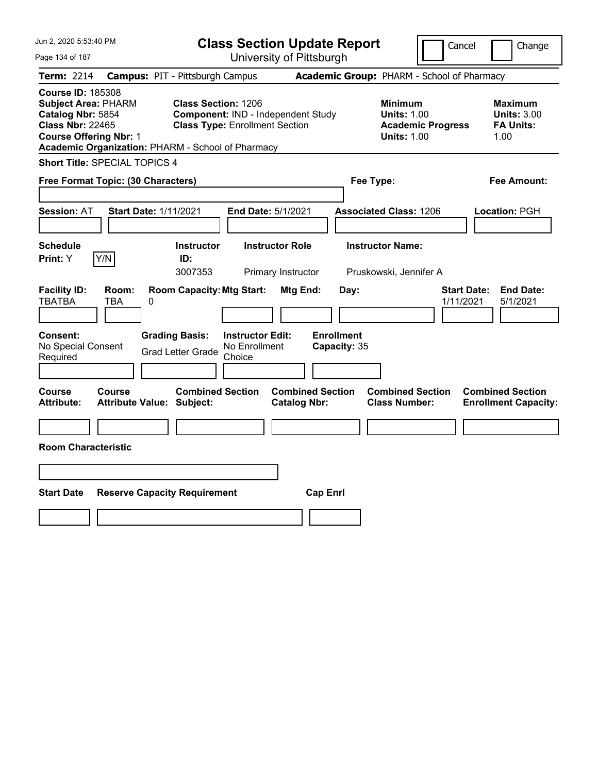| Jun 2, 2020 5:53:40 PM                                                                                                                  |                                                   |                                                                                       |                                                    | <b>Class Section Update Report</b>             |                                            |                                                            |                          | Cancel<br>Change                                                 |  |
|-----------------------------------------------------------------------------------------------------------------------------------------|---------------------------------------------------|---------------------------------------------------------------------------------------|----------------------------------------------------|------------------------------------------------|--------------------------------------------|------------------------------------------------------------|--------------------------|------------------------------------------------------------------|--|
| Page 134 of 187                                                                                                                         |                                                   |                                                                                       |                                                    | University of Pittsburgh                       |                                            |                                                            |                          |                                                                  |  |
| Term: 2214                                                                                                                              | <b>Campus: PIT - Pittsburgh Campus</b>            |                                                                                       |                                                    |                                                | Academic Group: PHARM - School of Pharmacy |                                                            |                          |                                                                  |  |
| <b>Course ID: 185308</b><br><b>Subject Area: PHARM</b><br>Catalog Nbr: 5854<br><b>Class Nbr: 22465</b><br><b>Course Offering Nbr: 1</b> | Academic Organization: PHARM - School of Pharmacy | <b>Class Section: 1206</b><br><b>Class Type: Enrollment Section</b>                   |                                                    | Component: IND - Independent Study             |                                            | <b>Minimum</b><br><b>Units: 1.00</b><br><b>Units: 1.00</b> | <b>Academic Progress</b> | <b>Maximum</b><br><b>Units: 3.00</b><br><b>FA Units:</b><br>1.00 |  |
|                                                                                                                                         | <b>Short Title: SPECIAL TOPICS 4</b>              |                                                                                       |                                                    |                                                |                                            |                                                            |                          |                                                                  |  |
| Free Format Topic: (30 Characters)<br>Fee Type:<br>Fee Amount:                                                                          |                                                   |                                                                                       |                                                    |                                                |                                            |                                                            |                          |                                                                  |  |
| <b>Session: AT</b>                                                                                                                      | <b>Start Date: 1/11/2021</b>                      |                                                                                       | End Date: 5/1/2021                                 |                                                |                                            | <b>Associated Class: 1206</b>                              |                          | Location: PGH                                                    |  |
| <b>Schedule</b>                                                                                                                         |                                                   | <b>Instructor</b>                                                                     |                                                    | <b>Instructor Role</b>                         |                                            | <b>Instructor Name:</b>                                    |                          |                                                                  |  |
| <b>Print: Y</b>                                                                                                                         | Y/N                                               | ID:<br>3007353                                                                        |                                                    | Primary Instructor                             |                                            | Pruskowski, Jennifer A                                     |                          |                                                                  |  |
| <b>Facility ID:</b><br><b>TBATBA</b><br><b>Consent:</b><br>No Special Consent<br>Required                                               | Room:<br>TBA<br>0                                 | <b>Room Capacity: Mtg Start:</b><br><b>Grading Basis:</b><br><b>Grad Letter Grade</b> | <b>Instructor Edit:</b><br>No Enrollment<br>Choice | <b>Mtg End:</b>                                | Day:<br><b>Enrollment</b><br>Capacity: 35  |                                                            |                          | <b>Start Date:</b><br><b>End Date:</b><br>1/11/2021<br>5/1/2021  |  |
| Course<br><b>Attribute:</b>                                                                                                             | Course<br><b>Attribute Value: Subject:</b>        | <b>Combined Section</b>                                                               |                                                    | <b>Combined Section</b><br><b>Catalog Nbr:</b> |                                            | <b>Combined Section</b><br><b>Class Number:</b>            |                          | <b>Combined Section</b><br><b>Enrollment Capacity:</b>           |  |
| <b>Room Characteristic</b>                                                                                                              |                                                   |                                                                                       |                                                    |                                                |                                            |                                                            |                          |                                                                  |  |
|                                                                                                                                         |                                                   |                                                                                       |                                                    |                                                |                                            |                                                            |                          |                                                                  |  |
| <b>Start Date</b>                                                                                                                       | <b>Reserve Capacity Requirement</b>               |                                                                                       |                                                    | <b>Cap Enrl</b>                                |                                            |                                                            |                          |                                                                  |  |
|                                                                                                                                         |                                                   |                                                                                       |                                                    |                                                |                                            |                                                            |                          |                                                                  |  |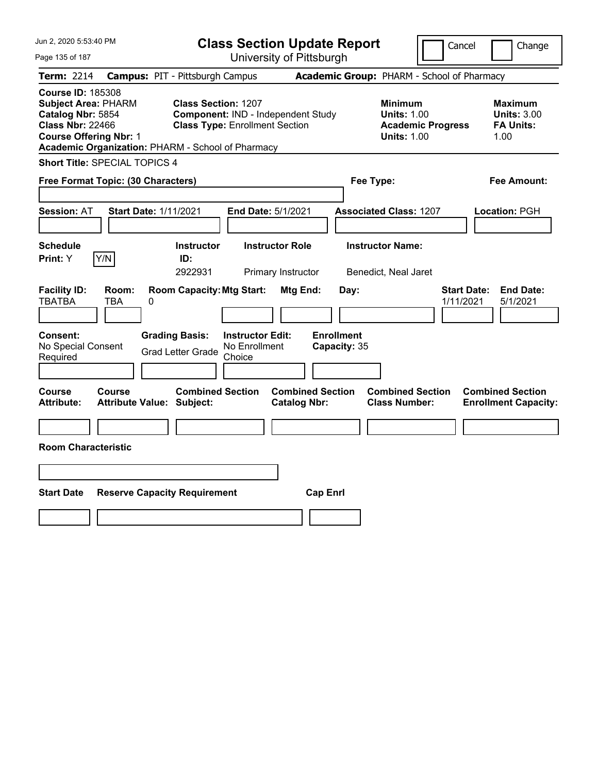| Jun 2, 2020 5:53:40 PM                                                                                                                                                                       |                                                                                                                  | <b>Class Section Update Report</b>             | Cancel                                                                                 | Change                                                           |
|----------------------------------------------------------------------------------------------------------------------------------------------------------------------------------------------|------------------------------------------------------------------------------------------------------------------|------------------------------------------------|----------------------------------------------------------------------------------------|------------------------------------------------------------------|
| Page 135 of 187                                                                                                                                                                              |                                                                                                                  | University of Pittsburgh                       |                                                                                        |                                                                  |
| Term: 2214                                                                                                                                                                                   | <b>Campus: PIT - Pittsburgh Campus</b>                                                                           |                                                | Academic Group: PHARM - School of Pharmacy                                             |                                                                  |
| <b>Course ID: 185308</b><br><b>Subject Area: PHARM</b><br>Catalog Nbr: 5854<br><b>Class Nbr: 22466</b><br><b>Course Offering Nbr: 1</b><br>Academic Organization: PHARM - School of Pharmacy | <b>Class Section: 1207</b><br><b>Component: IND - Independent Study</b><br><b>Class Type: Enrollment Section</b> |                                                | <b>Minimum</b><br><b>Units: 1.00</b><br><b>Academic Progress</b><br><b>Units: 1.00</b> | <b>Maximum</b><br><b>Units: 3.00</b><br><b>FA Units:</b><br>1.00 |
| Short Title: SPECIAL TOPICS 4                                                                                                                                                                |                                                                                                                  |                                                |                                                                                        |                                                                  |
| Free Format Topic: (30 Characters)                                                                                                                                                           |                                                                                                                  | Fee Type:                                      |                                                                                        | Fee Amount:                                                      |
| <b>Session: AT</b><br><b>Start Date: 1/11/2021</b>                                                                                                                                           | End Date: 5/1/2021                                                                                               |                                                | <b>Associated Class: 1207</b>                                                          | Location: PGH                                                    |
| <b>Schedule</b><br>Y/N<br>Print: Y                                                                                                                                                           | <b>Instructor</b><br><b>Instructor Role</b><br>ID:<br>2922931                                                    | Primary Instructor                             | <b>Instructor Name:</b><br>Benedict, Neal Jaret                                        |                                                                  |
| <b>Facility ID:</b><br>Room:<br><b>TBATBA</b><br>TBA<br>0                                                                                                                                    | <b>Room Capacity: Mtg Start:</b>                                                                                 | Mtg End:<br>Day:                               |                                                                                        | <b>Start Date:</b><br><b>End Date:</b><br>1/11/2021<br>5/1/2021  |
| Consent:<br>No Special Consent<br>Required                                                                                                                                                   | <b>Grading Basis:</b><br><b>Instructor Edit:</b><br>No Enrollment<br><b>Grad Letter Grade</b><br>Choice          | <b>Enrollment</b><br>Capacity: 35              |                                                                                        |                                                                  |
| Course<br>Course<br><b>Attribute:</b><br><b>Attribute Value: Subject:</b>                                                                                                                    | <b>Combined Section</b>                                                                                          | <b>Combined Section</b><br><b>Catalog Nbr:</b> | <b>Combined Section</b><br><b>Class Number:</b>                                        | <b>Combined Section</b><br><b>Enrollment Capacity:</b>           |
| <b>Room Characteristic</b>                                                                                                                                                                   |                                                                                                                  |                                                |                                                                                        |                                                                  |
|                                                                                                                                                                                              |                                                                                                                  |                                                |                                                                                        |                                                                  |
|                                                                                                                                                                                              |                                                                                                                  |                                                |                                                                                        |                                                                  |
| <b>Start Date</b>                                                                                                                                                                            | <b>Reserve Capacity Requirement</b>                                                                              | <b>Cap Enrl</b>                                |                                                                                        |                                                                  |
|                                                                                                                                                                                              |                                                                                                                  |                                                |                                                                                        |                                                                  |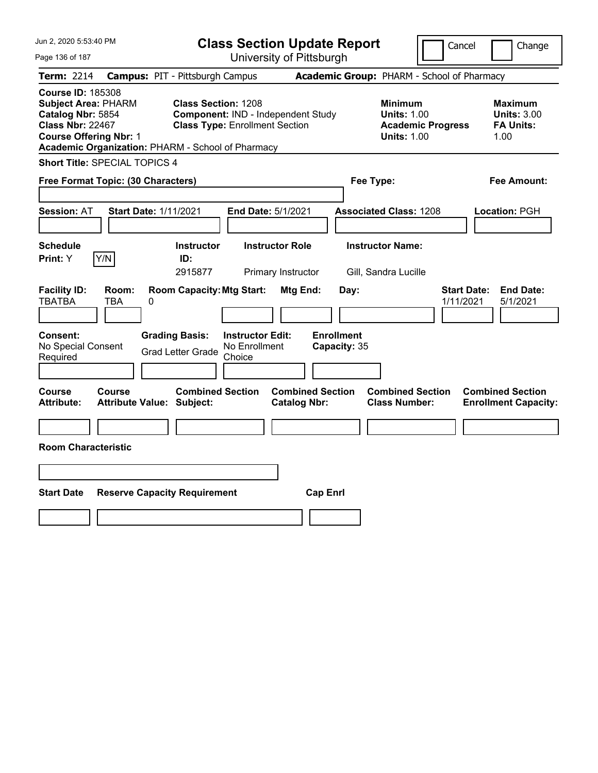| Jun 2, 2020 5:53:40 PM                                                                                                                                                                       | <b>Class Section Update Report</b>                                                                        |                                                                                        | Cancel<br>Change                                                 |  |  |  |  |  |  |
|----------------------------------------------------------------------------------------------------------------------------------------------------------------------------------------------|-----------------------------------------------------------------------------------------------------------|----------------------------------------------------------------------------------------|------------------------------------------------------------------|--|--|--|--|--|--|
| Page 136 of 187                                                                                                                                                                              | University of Pittsburgh                                                                                  |                                                                                        |                                                                  |  |  |  |  |  |  |
| Term: 2214                                                                                                                                                                                   | <b>Campus: PIT - Pittsburgh Campus</b>                                                                    | Academic Group: PHARM - School of Pharmacy                                             |                                                                  |  |  |  |  |  |  |
| <b>Course ID: 185308</b><br><b>Subject Area: PHARM</b><br>Catalog Nbr: 5854<br><b>Class Nbr: 22467</b><br><b>Course Offering Nbr: 1</b><br>Academic Organization: PHARM - School of Pharmacy | <b>Class Section: 1208</b><br>Component: IND - Independent Study<br><b>Class Type: Enrollment Section</b> | <b>Minimum</b><br><b>Units: 1.00</b><br><b>Academic Progress</b><br><b>Units: 1.00</b> | <b>Maximum</b><br><b>Units: 3.00</b><br><b>FA Units:</b><br>1.00 |  |  |  |  |  |  |
| <b>Short Title: SPECIAL TOPICS 4</b>                                                                                                                                                         |                                                                                                           |                                                                                        |                                                                  |  |  |  |  |  |  |
| Free Format Topic: (30 Characters)<br>Fee Type:<br>Fee Amount:                                                                                                                               |                                                                                                           |                                                                                        |                                                                  |  |  |  |  |  |  |
| <b>Session: AT</b><br><b>Start Date: 1/11/2021</b>                                                                                                                                           | End Date: 5/1/2021                                                                                        | <b>Associated Class: 1208</b>                                                          | Location: PGH                                                    |  |  |  |  |  |  |
| <b>Schedule</b><br>Y/N<br><b>Print: Y</b>                                                                                                                                                    | <b>Instructor</b><br><b>Instructor Role</b><br>ID:                                                        | <b>Instructor Name:</b>                                                                |                                                                  |  |  |  |  |  |  |
|                                                                                                                                                                                              | 2915877<br>Primary Instructor                                                                             | Gill, Sandra Lucille                                                                   |                                                                  |  |  |  |  |  |  |
| <b>Facility ID:</b><br>Room:<br><b>TBATBA</b><br>TBA<br>0                                                                                                                                    | <b>Room Capacity: Mtg Start:</b><br>Mtg End:                                                              | Day:                                                                                   | <b>Start Date:</b><br><b>End Date:</b><br>1/11/2021<br>5/1/2021  |  |  |  |  |  |  |
| <b>Consent:</b><br><b>Grading Basis:</b><br>No Special Consent<br>Required                                                                                                                   | <b>Instructor Edit:</b><br>No Enrollment<br><b>Grad Letter Grade</b><br>Choice                            | <b>Enrollment</b><br>Capacity: 35                                                      |                                                                  |  |  |  |  |  |  |
| Course<br>Course<br><b>Attribute:</b><br><b>Attribute Value: Subject:</b>                                                                                                                    | <b>Combined Section</b><br><b>Combined Section</b><br><b>Catalog Nbr:</b>                                 | <b>Combined Section</b><br><b>Class Number:</b>                                        | <b>Combined Section</b><br><b>Enrollment Capacity:</b>           |  |  |  |  |  |  |
|                                                                                                                                                                                              |                                                                                                           |                                                                                        |                                                                  |  |  |  |  |  |  |
| <b>Room Characteristic</b>                                                                                                                                                                   |                                                                                                           |                                                                                        |                                                                  |  |  |  |  |  |  |
|                                                                                                                                                                                              |                                                                                                           |                                                                                        |                                                                  |  |  |  |  |  |  |
| <b>Start Date</b><br><b>Reserve Capacity Requirement</b>                                                                                                                                     | <b>Cap Enrl</b>                                                                                           |                                                                                        |                                                                  |  |  |  |  |  |  |
|                                                                                                                                                                                              |                                                                                                           |                                                                                        |                                                                  |  |  |  |  |  |  |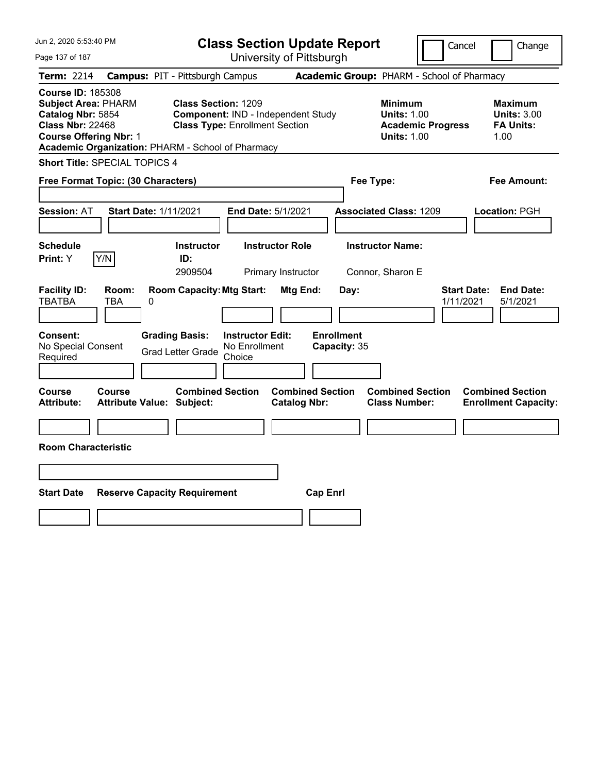| Jun 2, 2020 5:53:40 PM                                                                                                                                                                       |                                                                                                           | <b>Class Section Update Report</b>             | Cancel                                                                                 | Change                                                           |
|----------------------------------------------------------------------------------------------------------------------------------------------------------------------------------------------|-----------------------------------------------------------------------------------------------------------|------------------------------------------------|----------------------------------------------------------------------------------------|------------------------------------------------------------------|
| Page 137 of 187                                                                                                                                                                              |                                                                                                           | University of Pittsburgh                       |                                                                                        |                                                                  |
| Term: 2214                                                                                                                                                                                   | <b>Campus: PIT - Pittsburgh Campus</b>                                                                    |                                                | Academic Group: PHARM - School of Pharmacy                                             |                                                                  |
| <b>Course ID: 185308</b><br><b>Subject Area: PHARM</b><br>Catalog Nbr: 5854<br><b>Class Nbr: 22468</b><br><b>Course Offering Nbr: 1</b><br>Academic Organization: PHARM - School of Pharmacy | <b>Class Section: 1209</b><br>Component: IND - Independent Study<br><b>Class Type: Enrollment Section</b> |                                                | <b>Minimum</b><br><b>Units: 1.00</b><br><b>Academic Progress</b><br><b>Units: 1.00</b> | <b>Maximum</b><br><b>Units: 3.00</b><br><b>FA Units:</b><br>1.00 |
| Short Title: SPECIAL TOPICS 4                                                                                                                                                                |                                                                                                           |                                                |                                                                                        |                                                                  |
| Free Format Topic: (30 Characters)                                                                                                                                                           |                                                                                                           | Fee Type:                                      |                                                                                        | Fee Amount:                                                      |
| <b>Session: AT</b><br><b>Start Date: 1/11/2021</b>                                                                                                                                           | End Date: 5/1/2021                                                                                        |                                                | <b>Associated Class: 1209</b>                                                          | Location: PGH                                                    |
| <b>Schedule</b><br>Y/N<br>Print: Y                                                                                                                                                           | <b>Instructor</b><br><b>Instructor Role</b><br>ID:<br>2909504                                             | Primary Instructor                             | <b>Instructor Name:</b><br>Connor, Sharon E                                            |                                                                  |
| <b>Facility ID:</b><br>Room:<br><b>TBATBA</b><br>TBA<br>0                                                                                                                                    | <b>Room Capacity: Mtg Start:</b>                                                                          | Mtg End:<br>Day:                               | 1/11/2021                                                                              | <b>Start Date:</b><br><b>End Date:</b><br>5/1/2021               |
| Consent:<br>No Special Consent<br>Required                                                                                                                                                   | <b>Grading Basis:</b><br><b>Instructor Edit:</b><br>No Enrollment<br><b>Grad Letter Grade</b><br>Choice   | <b>Enrollment</b><br>Capacity: 35              |                                                                                        |                                                                  |
| Course<br>Course<br><b>Attribute:</b><br><b>Attribute Value: Subject:</b>                                                                                                                    | <b>Combined Section</b>                                                                                   | <b>Combined Section</b><br><b>Catalog Nbr:</b> | <b>Combined Section</b><br><b>Class Number:</b>                                        | <b>Combined Section</b><br><b>Enrollment Capacity:</b>           |
| <b>Room Characteristic</b>                                                                                                                                                                   |                                                                                                           |                                                |                                                                                        |                                                                  |
|                                                                                                                                                                                              |                                                                                                           |                                                |                                                                                        |                                                                  |
|                                                                                                                                                                                              |                                                                                                           |                                                |                                                                                        |                                                                  |
| <b>Start Date</b><br><b>Reserve Capacity Requirement</b>                                                                                                                                     |                                                                                                           | <b>Cap Enrl</b>                                |                                                                                        |                                                                  |
|                                                                                                                                                                                              |                                                                                                           |                                                |                                                                                        |                                                                  |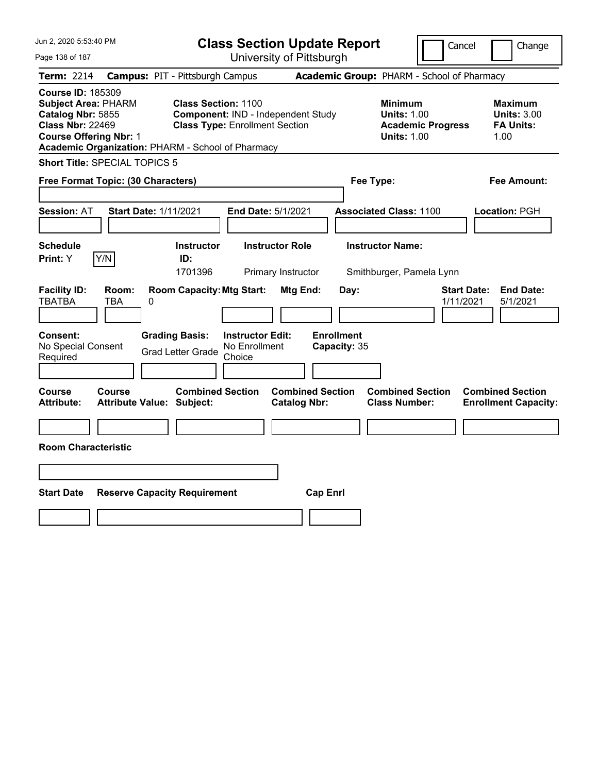| Jun 2, 2020 5:53:40 PM                                                                                                                                                                       |                                            |                                                                                                           |                                                    |                                                | <b>Class Section Update Report</b> |                                                            |                          | Cancel<br>Change                                                 |  |
|----------------------------------------------------------------------------------------------------------------------------------------------------------------------------------------------|--------------------------------------------|-----------------------------------------------------------------------------------------------------------|----------------------------------------------------|------------------------------------------------|------------------------------------|------------------------------------------------------------|--------------------------|------------------------------------------------------------------|--|
| Page 138 of 187                                                                                                                                                                              |                                            |                                                                                                           |                                                    | University of Pittsburgh                       |                                    |                                                            |                          |                                                                  |  |
| Term: 2214                                                                                                                                                                                   | <b>Campus: PIT - Pittsburgh Campus</b>     |                                                                                                           |                                                    |                                                |                                    | Academic Group: PHARM - School of Pharmacy                 |                          |                                                                  |  |
| <b>Course ID: 185309</b><br><b>Subject Area: PHARM</b><br>Catalog Nbr: 5855<br><b>Class Nbr: 22469</b><br><b>Course Offering Nbr: 1</b><br>Academic Organization: PHARM - School of Pharmacy |                                            | <b>Class Section: 1100</b><br>Component: IND - Independent Study<br><b>Class Type: Enrollment Section</b> |                                                    |                                                |                                    | <b>Minimum</b><br><b>Units: 1.00</b><br><b>Units: 1.00</b> | <b>Academic Progress</b> | <b>Maximum</b><br><b>Units: 3.00</b><br><b>FA Units:</b><br>1.00 |  |
| <b>Short Title: SPECIAL TOPICS 5</b>                                                                                                                                                         |                                            |                                                                                                           |                                                    |                                                |                                    |                                                            |                          |                                                                  |  |
| Free Format Topic: (30 Characters)<br>Fee Type:<br>Fee Amount:                                                                                                                               |                                            |                                                                                                           |                                                    |                                                |                                    |                                                            |                          |                                                                  |  |
| <b>Session: AT</b>                                                                                                                                                                           | <b>Start Date: 1/11/2021</b>               |                                                                                                           |                                                    | End Date: 5/1/2021                             |                                    | <b>Associated Class: 1100</b>                              |                          | Location: PGH                                                    |  |
| <b>Schedule</b><br>Y/N<br><b>Print: Y</b>                                                                                                                                                    |                                            | <b>Instructor</b><br>ID:<br>1701396                                                                       |                                                    | <b>Instructor Role</b><br>Primary Instructor   |                                    | <b>Instructor Name:</b><br>Smithburger, Pamela Lynn        |                          |                                                                  |  |
| <b>Facility ID:</b><br><b>TBATBA</b>                                                                                                                                                         | Room:<br>TBA<br>0                          | <b>Room Capacity: Mtg Start:</b>                                                                          |                                                    | Mtg End:                                       | Day:                               |                                                            |                          | <b>Start Date:</b><br><b>End Date:</b><br>1/11/2021<br>5/1/2021  |  |
| <b>Consent:</b><br>No Special Consent<br>Required                                                                                                                                            |                                            | <b>Grading Basis:</b><br><b>Grad Letter Grade</b>                                                         | <b>Instructor Edit:</b><br>No Enrollment<br>Choice |                                                | <b>Enrollment</b><br>Capacity: 35  |                                                            |                          |                                                                  |  |
| Course<br><b>Attribute:</b>                                                                                                                                                                  | Course<br><b>Attribute Value: Subject:</b> | <b>Combined Section</b>                                                                                   |                                                    | <b>Combined Section</b><br><b>Catalog Nbr:</b> |                                    | <b>Combined Section</b><br><b>Class Number:</b>            |                          | <b>Combined Section</b><br><b>Enrollment Capacity:</b>           |  |
|                                                                                                                                                                                              |                                            |                                                                                                           |                                                    |                                                |                                    |                                                            |                          |                                                                  |  |
| <b>Room Characteristic</b>                                                                                                                                                                   |                                            |                                                                                                           |                                                    |                                                |                                    |                                                            |                          |                                                                  |  |
|                                                                                                                                                                                              |                                            |                                                                                                           |                                                    |                                                |                                    |                                                            |                          |                                                                  |  |
| <b>Start Date</b>                                                                                                                                                                            | <b>Reserve Capacity Requirement</b>        |                                                                                                           |                                                    |                                                | <b>Cap Enrl</b>                    |                                                            |                          |                                                                  |  |
|                                                                                                                                                                                              |                                            |                                                                                                           |                                                    |                                                |                                    |                                                            |                          |                                                                  |  |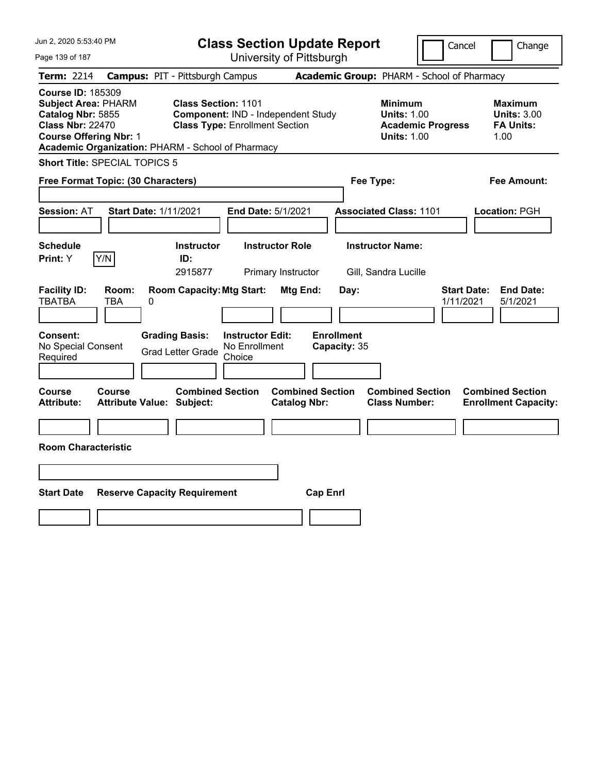| Jun 2, 2020 5:53:40 PM                                                                                                                                                                       |                                            |                                                              |                                                    | <b>Class Section Update Report</b>             |                                   |                                                            | Cancel                   | Change                                                           |  |
|----------------------------------------------------------------------------------------------------------------------------------------------------------------------------------------------|--------------------------------------------|--------------------------------------------------------------|----------------------------------------------------|------------------------------------------------|-----------------------------------|------------------------------------------------------------|--------------------------|------------------------------------------------------------------|--|
| Page 139 of 187                                                                                                                                                                              |                                            |                                                              |                                                    | University of Pittsburgh                       |                                   |                                                            |                          |                                                                  |  |
| Term: 2214                                                                                                                                                                                   | <b>Campus: PIT - Pittsburgh Campus</b>     |                                                              |                                                    |                                                |                                   | Academic Group: PHARM - School of Pharmacy                 |                          |                                                                  |  |
| <b>Course ID: 185309</b><br><b>Subject Area: PHARM</b><br>Catalog Nbr: 5855<br><b>Class Nbr: 22470</b><br><b>Course Offering Nbr: 1</b><br>Academic Organization: PHARM - School of Pharmacy |                                            | Class Section: 1101<br><b>Class Type: Enrollment Section</b> |                                                    | Component: IND - Independent Study             |                                   | <b>Minimum</b><br><b>Units: 1.00</b><br><b>Units: 1.00</b> | <b>Academic Progress</b> | <b>Maximum</b><br><b>Units: 3.00</b><br><b>FA Units:</b><br>1.00 |  |
| <b>Short Title: SPECIAL TOPICS 5</b>                                                                                                                                                         |                                            |                                                              |                                                    |                                                |                                   |                                                            |                          |                                                                  |  |
| Free Format Topic: (30 Characters)<br>Fee Type:<br>Fee Amount:                                                                                                                               |                                            |                                                              |                                                    |                                                |                                   |                                                            |                          |                                                                  |  |
| <b>Session: AT</b>                                                                                                                                                                           | <b>Start Date: 1/11/2021</b>               |                                                              |                                                    | End Date: 5/1/2021                             |                                   | <b>Associated Class: 1101</b>                              |                          | Location: PGH                                                    |  |
| <b>Schedule</b><br>Print: Y                                                                                                                                                                  | Y/N                                        | <b>Instructor</b><br>ID:<br>2915877                          |                                                    | <b>Instructor Role</b><br>Primary Instructor   |                                   | <b>Instructor Name:</b><br>Gill, Sandra Lucille            |                          |                                                                  |  |
| <b>Facility ID:</b><br><b>TBATBA</b>                                                                                                                                                         | Room:<br>TBA<br>0                          | <b>Room Capacity: Mtg Start:</b>                             |                                                    | Mtg End:                                       | Day:                              |                                                            |                          | <b>Start Date:</b><br><b>End Date:</b><br>1/11/2021<br>5/1/2021  |  |
| <b>Consent:</b><br>No Special Consent<br>Required                                                                                                                                            |                                            | <b>Grading Basis:</b><br><b>Grad Letter Grade</b>            | <b>Instructor Edit:</b><br>No Enrollment<br>Choice |                                                | <b>Enrollment</b><br>Capacity: 35 |                                                            |                          |                                                                  |  |
| Course<br>Attribute:                                                                                                                                                                         | Course<br><b>Attribute Value: Subject:</b> | <b>Combined Section</b>                                      |                                                    | <b>Combined Section</b><br><b>Catalog Nbr:</b> |                                   | <b>Combined Section</b><br><b>Class Number:</b>            |                          | <b>Combined Section</b><br><b>Enrollment Capacity:</b>           |  |
|                                                                                                                                                                                              |                                            |                                                              |                                                    |                                                |                                   |                                                            |                          |                                                                  |  |
| <b>Room Characteristic</b>                                                                                                                                                                   |                                            |                                                              |                                                    |                                                |                                   |                                                            |                          |                                                                  |  |
|                                                                                                                                                                                              |                                            |                                                              |                                                    |                                                |                                   |                                                            |                          |                                                                  |  |
| <b>Start Date</b>                                                                                                                                                                            | <b>Reserve Capacity Requirement</b>        |                                                              |                                                    | <b>Cap Enrl</b>                                |                                   |                                                            |                          |                                                                  |  |
|                                                                                                                                                                                              |                                            |                                                              |                                                    |                                                |                                   |                                                            |                          |                                                                  |  |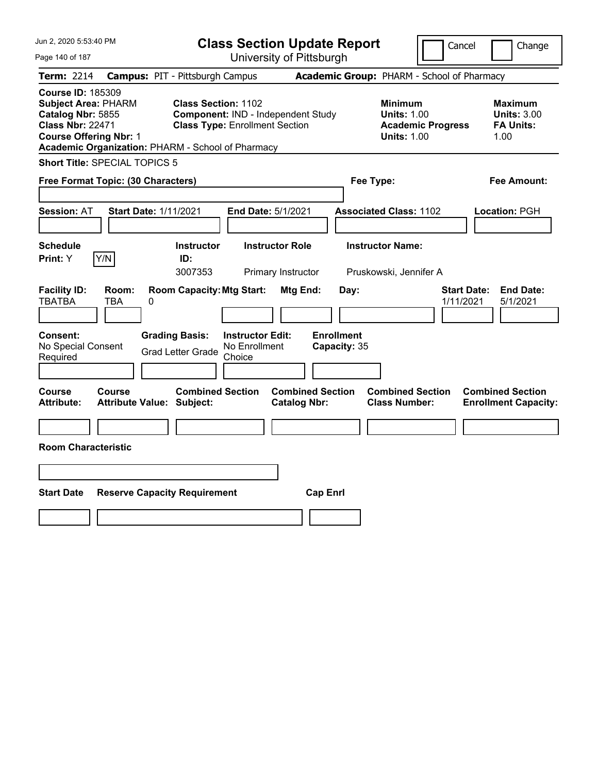| Jun 2, 2020 5:53:40 PM                                                                                                                                                                       |                                                                                                       | <b>Class Section Update Report</b>                                          |                                                |                                           |                                                                                        | Cancel<br>Change                                                 |
|----------------------------------------------------------------------------------------------------------------------------------------------------------------------------------------------|-------------------------------------------------------------------------------------------------------|-----------------------------------------------------------------------------|------------------------------------------------|-------------------------------------------|----------------------------------------------------------------------------------------|------------------------------------------------------------------|
| Page 140 of 187                                                                                                                                                                              |                                                                                                       |                                                                             | University of Pittsburgh                       |                                           |                                                                                        |                                                                  |
| Term: 2214                                                                                                                                                                                   | <b>Campus: PIT - Pittsburgh Campus</b>                                                                |                                                                             |                                                |                                           | Academic Group: PHARM - School of Pharmacy                                             |                                                                  |
| <b>Course ID: 185309</b><br><b>Subject Area: PHARM</b><br>Catalog Nbr: 5855<br><b>Class Nbr: 22471</b><br><b>Course Offering Nbr: 1</b><br>Academic Organization: PHARM - School of Pharmacy | <b>Class Section: 1102</b>                                                                            | Component: IND - Independent Study<br><b>Class Type: Enrollment Section</b> |                                                |                                           | <b>Minimum</b><br><b>Units: 1.00</b><br><b>Academic Progress</b><br><b>Units: 1.00</b> | <b>Maximum</b><br><b>Units: 3.00</b><br><b>FA Units:</b><br>1.00 |
| <b>Short Title: SPECIAL TOPICS 5</b>                                                                                                                                                         |                                                                                                       |                                                                             |                                                |                                           |                                                                                        |                                                                  |
| Free Format Topic: (30 Characters)                                                                                                                                                           |                                                                                                       |                                                                             |                                                | Fee Type:                                 |                                                                                        | Fee Amount:                                                      |
| <b>Session: AT</b><br><b>Schedule</b><br>Y/N<br><b>Print: Y</b>                                                                                                                              | <b>Start Date: 1/11/2021</b><br><b>Instructor</b><br>ID:                                              | End Date: 5/1/2021<br><b>Instructor Role</b>                                |                                                |                                           | <b>Associated Class: 1102</b><br><b>Instructor Name:</b>                               | Location: PGH                                                    |
| <b>Facility ID:</b><br>Room:<br><b>TBATBA</b><br><b>TBA</b><br><b>Consent:</b><br>No Special Consent<br>Required                                                                             | 3007353<br><b>Room Capacity: Mtg Start:</b><br>0<br><b>Grading Basis:</b><br><b>Grad Letter Grade</b> | <b>Instructor Edit:</b><br>No Enrollment<br>Choice                          | Primary Instructor<br>Mtg End:                 | Day:<br><b>Enrollment</b><br>Capacity: 35 | Pruskowski, Jennifer A                                                                 | <b>Start Date:</b><br><b>End Date:</b><br>1/11/2021<br>5/1/2021  |
| Course<br>Course<br><b>Attribute:</b><br><b>Room Characteristic</b>                                                                                                                          | <b>Combined Section</b><br><b>Attribute Value: Subject:</b>                                           |                                                                             | <b>Combined Section</b><br><b>Catalog Nbr:</b> |                                           | <b>Combined Section</b><br><b>Class Number:</b>                                        | <b>Combined Section</b><br><b>Enrollment Capacity:</b>           |
| <b>Start Date</b>                                                                                                                                                                            | <b>Reserve Capacity Requirement</b>                                                                   |                                                                             | <b>Cap Enrl</b>                                |                                           |                                                                                        |                                                                  |
|                                                                                                                                                                                              |                                                                                                       |                                                                             |                                                |                                           |                                                                                        |                                                                  |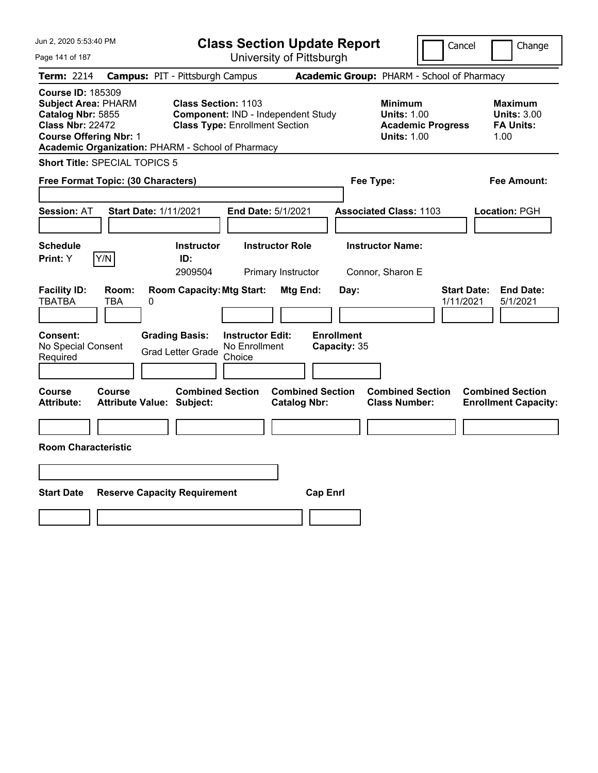| Jun 2, 2020 5:53:40 PM                                                                                                                                                                       |                                                                |                                                              |                                                    | <b>Class Section Update Report</b>             |                                            |                                                            | Cancel                   | Change                                                           |  |  |
|----------------------------------------------------------------------------------------------------------------------------------------------------------------------------------------------|----------------------------------------------------------------|--------------------------------------------------------------|----------------------------------------------------|------------------------------------------------|--------------------------------------------|------------------------------------------------------------|--------------------------|------------------------------------------------------------------|--|--|
| Page 141 of 187                                                                                                                                                                              |                                                                |                                                              |                                                    | University of Pittsburgh                       |                                            |                                                            |                          |                                                                  |  |  |
| Term: 2214                                                                                                                                                                                   | <b>Campus: PIT - Pittsburgh Campus</b>                         |                                                              |                                                    |                                                | Academic Group: PHARM - School of Pharmacy |                                                            |                          |                                                                  |  |  |
| <b>Course ID: 185309</b><br><b>Subject Area: PHARM</b><br>Catalog Nbr: 5855<br><b>Class Nbr: 22472</b><br><b>Course Offering Nbr: 1</b><br>Academic Organization: PHARM - School of Pharmacy |                                                                | Class Section: 1103<br><b>Class Type: Enrollment Section</b> |                                                    | Component: IND - Independent Study             |                                            | <b>Minimum</b><br><b>Units: 1.00</b><br><b>Units: 1.00</b> | <b>Academic Progress</b> | <b>Maximum</b><br><b>Units: 3.00</b><br><b>FA Units:</b><br>1.00 |  |  |
| <b>Short Title: SPECIAL TOPICS 5</b>                                                                                                                                                         |                                                                |                                                              |                                                    |                                                |                                            |                                                            |                          |                                                                  |  |  |
|                                                                                                                                                                                              | Free Format Topic: (30 Characters)<br>Fee Type:<br>Fee Amount: |                                                              |                                                    |                                                |                                            |                                                            |                          |                                                                  |  |  |
| <b>Session: AT</b>                                                                                                                                                                           | <b>Start Date: 1/11/2021</b>                                   |                                                              |                                                    | End Date: 5/1/2021                             |                                            | <b>Associated Class: 1103</b>                              |                          | Location: PGH                                                    |  |  |
| <b>Schedule</b><br>Y/N<br>Print: Y                                                                                                                                                           |                                                                | <b>Instructor</b><br>ID:<br>2909504                          |                                                    | <b>Instructor Role</b><br>Primary Instructor   |                                            | <b>Instructor Name:</b><br>Connor, Sharon E                |                          |                                                                  |  |  |
| <b>Facility ID:</b><br><b>TBATBA</b>                                                                                                                                                         | Room:<br>TBA<br>0                                              | <b>Room Capacity: Mtg Start:</b>                             |                                                    | Mtg End:                                       | Day:                                       |                                                            |                          | <b>Start Date:</b><br><b>End Date:</b><br>1/11/2021<br>5/1/2021  |  |  |
| <b>Consent:</b><br>No Special Consent<br>Required                                                                                                                                            |                                                                | <b>Grading Basis:</b><br><b>Grad Letter Grade</b>            | <b>Instructor Edit:</b><br>No Enrollment<br>Choice |                                                | <b>Enrollment</b><br>Capacity: 35          |                                                            |                          |                                                                  |  |  |
| Course<br>Attribute:                                                                                                                                                                         | Course<br><b>Attribute Value: Subject:</b>                     | <b>Combined Section</b>                                      |                                                    | <b>Combined Section</b><br><b>Catalog Nbr:</b> |                                            | <b>Combined Section</b><br><b>Class Number:</b>            |                          | <b>Combined Section</b><br><b>Enrollment Capacity:</b>           |  |  |
|                                                                                                                                                                                              |                                                                |                                                              |                                                    |                                                |                                            |                                                            |                          |                                                                  |  |  |
| <b>Room Characteristic</b>                                                                                                                                                                   |                                                                |                                                              |                                                    |                                                |                                            |                                                            |                          |                                                                  |  |  |
|                                                                                                                                                                                              |                                                                |                                                              |                                                    |                                                |                                            |                                                            |                          |                                                                  |  |  |
| <b>Start Date</b>                                                                                                                                                                            | <b>Reserve Capacity Requirement</b>                            |                                                              |                                                    |                                                | <b>Cap Enrl</b>                            |                                                            |                          |                                                                  |  |  |
|                                                                                                                                                                                              |                                                                |                                                              |                                                    |                                                |                                            |                                                            |                          |                                                                  |  |  |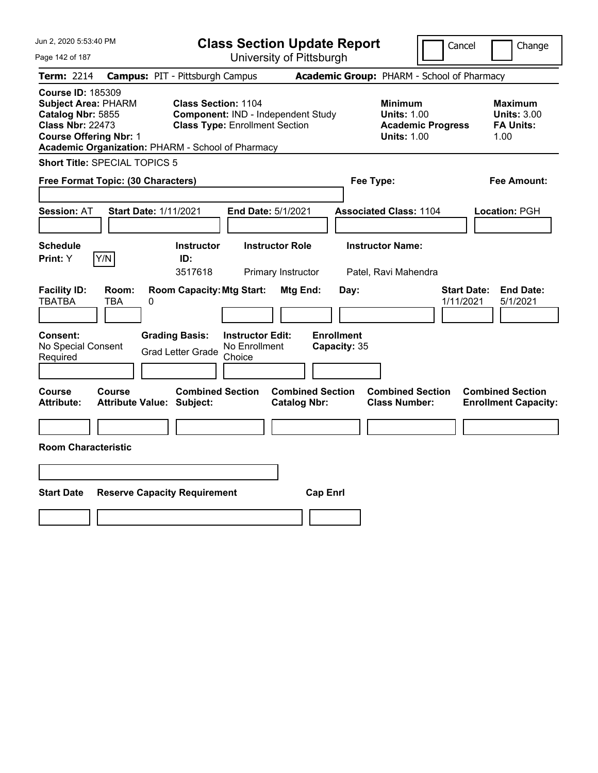| Jun 2, 2020 5:53:40 PM                                                                                                                                                                       |                                            |                                                                     |                                                    | <b>Class Section Update Report</b>             |                                   |                                                            | Cancel                   | Change                                                           |  |
|----------------------------------------------------------------------------------------------------------------------------------------------------------------------------------------------|--------------------------------------------|---------------------------------------------------------------------|----------------------------------------------------|------------------------------------------------|-----------------------------------|------------------------------------------------------------|--------------------------|------------------------------------------------------------------|--|
| Page 142 of 187                                                                                                                                                                              |                                            |                                                                     |                                                    | University of Pittsburgh                       |                                   |                                                            |                          |                                                                  |  |
| Term: 2214                                                                                                                                                                                   | <b>Campus: PIT - Pittsburgh Campus</b>     |                                                                     |                                                    |                                                |                                   | Academic Group: PHARM - School of Pharmacy                 |                          |                                                                  |  |
| <b>Course ID: 185309</b><br><b>Subject Area: PHARM</b><br>Catalog Nbr: 5855<br><b>Class Nbr: 22473</b><br><b>Course Offering Nbr: 1</b><br>Academic Organization: PHARM - School of Pharmacy |                                            | <b>Class Section: 1104</b><br><b>Class Type: Enrollment Section</b> |                                                    | Component: IND - Independent Study             |                                   | <b>Minimum</b><br><b>Units: 1.00</b><br><b>Units: 1.00</b> | <b>Academic Progress</b> | <b>Maximum</b><br><b>Units: 3.00</b><br><b>FA Units:</b><br>1.00 |  |
| <b>Short Title: SPECIAL TOPICS 5</b>                                                                                                                                                         |                                            |                                                                     |                                                    |                                                |                                   |                                                            |                          |                                                                  |  |
| Free Format Topic: (30 Characters)<br>Fee Type:<br>Fee Amount:                                                                                                                               |                                            |                                                                     |                                                    |                                                |                                   |                                                            |                          |                                                                  |  |
| <b>Session: AT</b>                                                                                                                                                                           | <b>Start Date: 1/11/2021</b>               |                                                                     |                                                    | End Date: 5/1/2021                             |                                   | <b>Associated Class: 1104</b>                              |                          | Location: PGH                                                    |  |
| <b>Schedule</b><br>Y/N<br>Print: Y                                                                                                                                                           |                                            | <b>Instructor</b><br>ID:<br>3517618                                 |                                                    | <b>Instructor Role</b><br>Primary Instructor   |                                   | <b>Instructor Name:</b><br>Patel, Ravi Mahendra            |                          |                                                                  |  |
| <b>Facility ID:</b><br><b>TBATBA</b>                                                                                                                                                         | Room:<br>TBA<br>0                          | <b>Room Capacity: Mtg Start:</b>                                    |                                                    | Mtg End:                                       | Day:                              |                                                            |                          | <b>Start Date:</b><br><b>End Date:</b><br>1/11/2021<br>5/1/2021  |  |
| <b>Consent:</b><br>No Special Consent<br>Required                                                                                                                                            |                                            | <b>Grading Basis:</b><br><b>Grad Letter Grade</b>                   | <b>Instructor Edit:</b><br>No Enrollment<br>Choice |                                                | <b>Enrollment</b><br>Capacity: 35 |                                                            |                          |                                                                  |  |
| Course<br>Attribute:                                                                                                                                                                         | Course<br><b>Attribute Value: Subject:</b> | <b>Combined Section</b>                                             |                                                    | <b>Combined Section</b><br><b>Catalog Nbr:</b> |                                   | <b>Combined Section</b><br><b>Class Number:</b>            |                          | <b>Combined Section</b><br><b>Enrollment Capacity:</b>           |  |
|                                                                                                                                                                                              |                                            |                                                                     |                                                    |                                                |                                   |                                                            |                          |                                                                  |  |
| <b>Room Characteristic</b>                                                                                                                                                                   |                                            |                                                                     |                                                    |                                                |                                   |                                                            |                          |                                                                  |  |
|                                                                                                                                                                                              |                                            |                                                                     |                                                    |                                                |                                   |                                                            |                          |                                                                  |  |
| <b>Start Date</b>                                                                                                                                                                            | <b>Reserve Capacity Requirement</b>        |                                                                     |                                                    | <b>Cap Enrl</b>                                |                                   |                                                            |                          |                                                                  |  |
|                                                                                                                                                                                              |                                            |                                                                     |                                                    |                                                |                                   |                                                            |                          |                                                                  |  |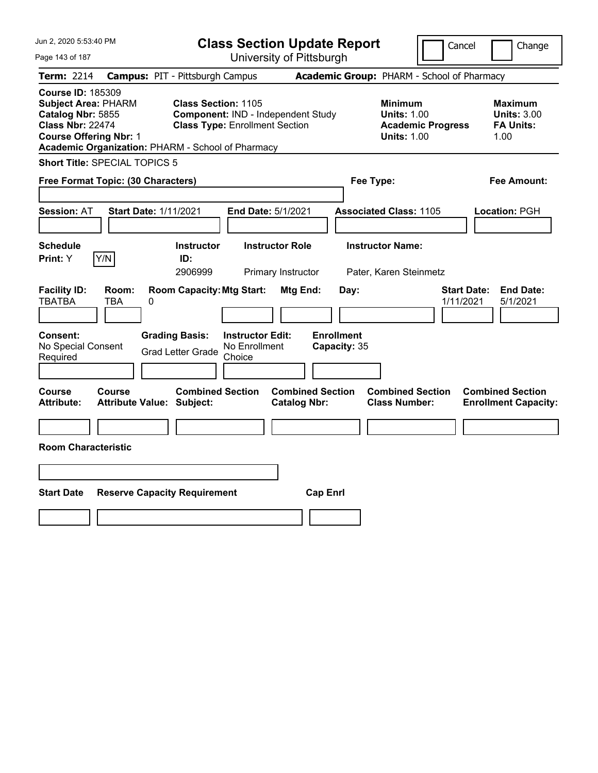| Jun 2, 2020 5:53:40 PM                                                                                                                                                                       |                                            |                                                                                                           |                                                    | <b>Class Section Update Report</b>             |                                           |                                                            | Cancel                   | Change                                                           |  |
|----------------------------------------------------------------------------------------------------------------------------------------------------------------------------------------------|--------------------------------------------|-----------------------------------------------------------------------------------------------------------|----------------------------------------------------|------------------------------------------------|-------------------------------------------|------------------------------------------------------------|--------------------------|------------------------------------------------------------------|--|
| Page 143 of 187                                                                                                                                                                              |                                            |                                                                                                           |                                                    | University of Pittsburgh                       |                                           |                                                            |                          |                                                                  |  |
| Term: 2214                                                                                                                                                                                   | <b>Campus: PIT - Pittsburgh Campus</b>     |                                                                                                           |                                                    |                                                |                                           | Academic Group: PHARM - School of Pharmacy                 |                          |                                                                  |  |
| <b>Course ID: 185309</b><br><b>Subject Area: PHARM</b><br>Catalog Nbr: 5855<br><b>Class Nbr: 22474</b><br><b>Course Offering Nbr: 1</b><br>Academic Organization: PHARM - School of Pharmacy |                                            | <b>Class Section: 1105</b><br>Component: IND - Independent Study<br><b>Class Type: Enrollment Section</b> |                                                    |                                                |                                           | <b>Minimum</b><br><b>Units: 1.00</b><br><b>Units: 1.00</b> | <b>Academic Progress</b> | <b>Maximum</b><br><b>Units: 3.00</b><br><b>FA Units:</b><br>1.00 |  |
| <b>Short Title: SPECIAL TOPICS 5</b>                                                                                                                                                         |                                            |                                                                                                           |                                                    |                                                |                                           |                                                            |                          |                                                                  |  |
| Free Format Topic: (30 Characters)<br>Fee Type:<br>Fee Amount:                                                                                                                               |                                            |                                                                                                           |                                                    |                                                |                                           |                                                            |                          |                                                                  |  |
| <b>Session: AT</b>                                                                                                                                                                           | <b>Start Date: 1/11/2021</b>               |                                                                                                           |                                                    | End Date: 5/1/2021                             |                                           | <b>Associated Class: 1105</b>                              |                          | Location: PGH                                                    |  |
| <b>Schedule</b>                                                                                                                                                                              |                                            | <b>Instructor</b>                                                                                         |                                                    | <b>Instructor Role</b>                         |                                           | <b>Instructor Name:</b>                                    |                          |                                                                  |  |
| Y/N<br><b>Print: Y</b>                                                                                                                                                                       |                                            | ID:<br>2906999                                                                                            |                                                    | Primary Instructor                             |                                           | Pater, Karen Steinmetz                                     |                          |                                                                  |  |
| <b>Facility ID:</b><br><b>TBATBA</b><br><b>Consent:</b><br>No Special Consent<br>Required                                                                                                    | Room:<br>TBA<br>0                          | <b>Room Capacity: Mtg Start:</b><br><b>Grading Basis:</b><br><b>Grad Letter Grade</b>                     | <b>Instructor Edit:</b><br>No Enrollment<br>Choice | Mtg End:                                       | Day:<br><b>Enrollment</b><br>Capacity: 35 |                                                            |                          | <b>Start Date:</b><br><b>End Date:</b><br>1/11/2021<br>5/1/2021  |  |
| Course<br><b>Attribute:</b>                                                                                                                                                                  | Course<br><b>Attribute Value: Subject:</b> | <b>Combined Section</b>                                                                                   |                                                    | <b>Combined Section</b><br><b>Catalog Nbr:</b> |                                           | <b>Combined Section</b><br><b>Class Number:</b>            |                          | <b>Combined Section</b><br><b>Enrollment Capacity:</b>           |  |
| <b>Room Characteristic</b>                                                                                                                                                                   |                                            |                                                                                                           |                                                    |                                                |                                           |                                                            |                          |                                                                  |  |
| <b>Start Date</b>                                                                                                                                                                            | <b>Reserve Capacity Requirement</b>        |                                                                                                           |                                                    |                                                | <b>Cap Enrl</b>                           |                                                            |                          |                                                                  |  |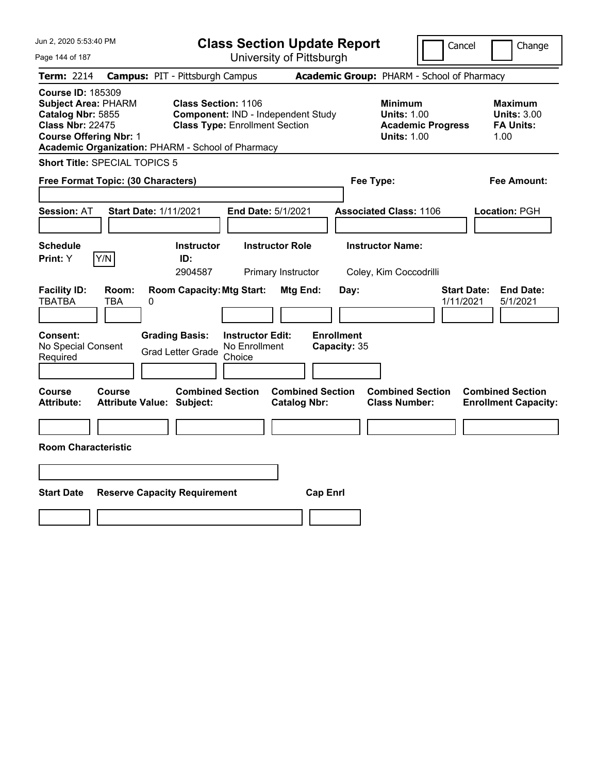| Jun 2, 2020 5:53:40 PM                                                                                                                  |                                                   | <b>Class Section Update Report</b>                                                                        |                                                |                           |                                                                                        | Cancel<br>Change                                                 |
|-----------------------------------------------------------------------------------------------------------------------------------------|---------------------------------------------------|-----------------------------------------------------------------------------------------------------------|------------------------------------------------|---------------------------|----------------------------------------------------------------------------------------|------------------------------------------------------------------|
| Page 144 of 187                                                                                                                         |                                                   |                                                                                                           | University of Pittsburgh                       |                           |                                                                                        |                                                                  |
| Term: 2214                                                                                                                              | <b>Campus: PIT - Pittsburgh Campus</b>            |                                                                                                           |                                                |                           | Academic Group: PHARM - School of Pharmacy                                             |                                                                  |
| <b>Course ID: 185309</b><br><b>Subject Area: PHARM</b><br>Catalog Nbr: 5855<br><b>Class Nbr: 22475</b><br><b>Course Offering Nbr: 1</b> | Academic Organization: PHARM - School of Pharmacy | <b>Class Section: 1106</b><br>Component: IND - Independent Study<br><b>Class Type: Enrollment Section</b> |                                                |                           | <b>Minimum</b><br><b>Units: 1.00</b><br><b>Academic Progress</b><br><b>Units: 1.00</b> | <b>Maximum</b><br><b>Units: 3.00</b><br><b>FA Units:</b><br>1.00 |
| <b>Short Title: SPECIAL TOPICS 5</b>                                                                                                    |                                                   |                                                                                                           |                                                |                           |                                                                                        |                                                                  |
| Free Format Topic: (30 Characters)                                                                                                      |                                                   |                                                                                                           |                                                | Fee Type:                 |                                                                                        | Fee Amount:                                                      |
| <b>Session: AT</b>                                                                                                                      | <b>Start Date: 1/11/2021</b>                      | End Date: 5/1/2021                                                                                        |                                                |                           | <b>Associated Class: 1106</b>                                                          | Location: PGH                                                    |
| <b>Schedule</b><br>Y/N<br>Print: Y                                                                                                      | <b>Instructor</b><br>ID:                          |                                                                                                           | <b>Instructor Role</b>                         |                           | <b>Instructor Name:</b>                                                                |                                                                  |
|                                                                                                                                         | 2904587                                           |                                                                                                           | Primary Instructor                             |                           | Coley, Kim Coccodrilli                                                                 |                                                                  |
| <b>Facility ID:</b><br><b>TBATBA</b><br>TBA<br>Consent:<br>No Special Consent                                                           | Room:<br>0<br><b>Grading Basis:</b>               | <b>Room Capacity: Mtg Start:</b><br><b>Instructor Edit:</b>                                               | Mtg End:                                       | Day:<br><b>Enrollment</b> |                                                                                        | <b>End Date:</b><br><b>Start Date:</b><br>1/11/2021<br>5/1/2021  |
| Required                                                                                                                                | <b>Grad Letter Grade</b>                          | No Enrollment<br>Choice                                                                                   |                                                | Capacity: 35              |                                                                                        |                                                                  |
|                                                                                                                                         |                                                   |                                                                                                           |                                                |                           |                                                                                        |                                                                  |
| Course<br><b>Course</b><br><b>Attribute:</b>                                                                                            | <b>Attribute Value: Subject:</b>                  | <b>Combined Section</b>                                                                                   | <b>Combined Section</b><br><b>Catalog Nbr:</b> |                           | <b>Combined Section</b><br><b>Class Number:</b>                                        | <b>Combined Section</b><br><b>Enrollment Capacity:</b>           |
|                                                                                                                                         |                                                   |                                                                                                           |                                                |                           |                                                                                        |                                                                  |
| <b>Room Characteristic</b>                                                                                                              |                                                   |                                                                                                           |                                                |                           |                                                                                        |                                                                  |
|                                                                                                                                         |                                                   |                                                                                                           |                                                |                           |                                                                                        |                                                                  |
| <b>Start Date</b>                                                                                                                       | <b>Reserve Capacity Requirement</b>               |                                                                                                           | <b>Cap Enrl</b>                                |                           |                                                                                        |                                                                  |
|                                                                                                                                         |                                                   |                                                                                                           |                                                |                           |                                                                                        |                                                                  |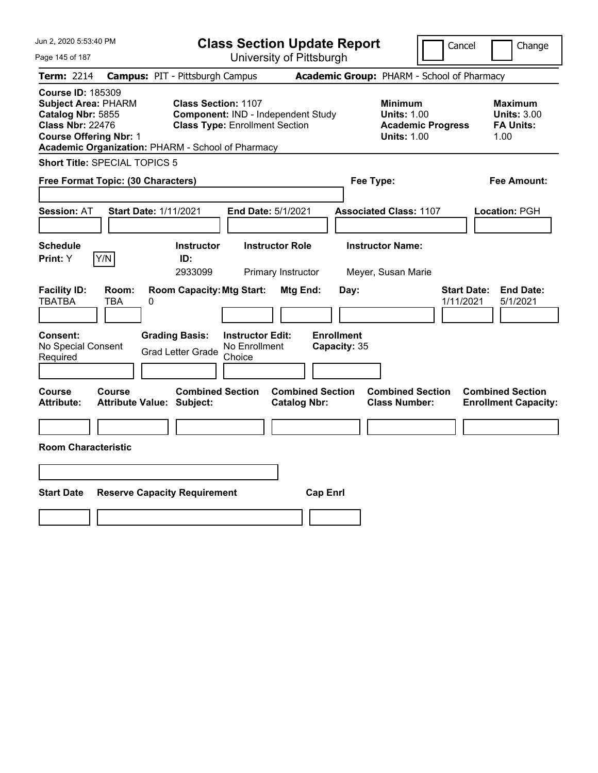| Jun 2, 2020 5:53:40 PM                                                                                                                                                                       |                                                                     |                                                    | <b>Class Section Update Report</b>             |                                   |                                                                                        | Cancel                          | Change                                                           |
|----------------------------------------------------------------------------------------------------------------------------------------------------------------------------------------------|---------------------------------------------------------------------|----------------------------------------------------|------------------------------------------------|-----------------------------------|----------------------------------------------------------------------------------------|---------------------------------|------------------------------------------------------------------|
| Page 145 of 187                                                                                                                                                                              |                                                                     |                                                    | University of Pittsburgh                       |                                   |                                                                                        |                                 |                                                                  |
| Term: 2214                                                                                                                                                                                   | <b>Campus: PIT - Pittsburgh Campus</b>                              |                                                    |                                                |                                   | Academic Group: PHARM - School of Pharmacy                                             |                                 |                                                                  |
| <b>Course ID: 185309</b><br><b>Subject Area: PHARM</b><br>Catalog Nbr: 5855<br><b>Class Nbr: 22476</b><br><b>Course Offering Nbr: 1</b><br>Academic Organization: PHARM - School of Pharmacy | <b>Class Section: 1107</b><br><b>Class Type: Enrollment Section</b> |                                                    | Component: IND - Independent Study             |                                   | <b>Minimum</b><br><b>Units: 1.00</b><br><b>Academic Progress</b><br><b>Units: 1.00</b> |                                 | <b>Maximum</b><br><b>Units: 3.00</b><br><b>FA Units:</b><br>1.00 |
| <b>Short Title: SPECIAL TOPICS 5</b>                                                                                                                                                         |                                                                     |                                                    |                                                |                                   |                                                                                        |                                 |                                                                  |
| Free Format Topic: (30 Characters)                                                                                                                                                           |                                                                     |                                                    |                                                | Fee Type:                         |                                                                                        |                                 | Fee Amount:                                                      |
| <b>Session: AT</b>                                                                                                                                                                           | <b>Start Date: 1/11/2021</b>                                        | End Date: 5/1/2021                                 |                                                |                                   | <b>Associated Class: 1107</b>                                                          |                                 | Location: PGH                                                    |
| <b>Schedule</b>                                                                                                                                                                              | <b>Instructor</b>                                                   |                                                    | <b>Instructor Role</b>                         |                                   | <b>Instructor Name:</b>                                                                |                                 |                                                                  |
| Y/N<br><b>Print:</b> Y                                                                                                                                                                       | ID:<br>2933099                                                      |                                                    | Primary Instructor                             |                                   | Meyer, Susan Marie                                                                     |                                 |                                                                  |
| <b>Facility ID:</b><br>Room:<br><b>TBATBA</b><br>TBA<br>0                                                                                                                                    | <b>Room Capacity: Mtg Start:</b>                                    |                                                    | Mtg End:                                       | Day:                              |                                                                                        | <b>Start Date:</b><br>1/11/2021 | <b>End Date:</b><br>5/1/2021                                     |
| Consent:<br>No Special Consent<br>Required                                                                                                                                                   | <b>Grading Basis:</b><br><b>Grad Letter Grade</b>                   | <b>Instructor Edit:</b><br>No Enrollment<br>Choice |                                                | <b>Enrollment</b><br>Capacity: 35 |                                                                                        |                                 |                                                                  |
|                                                                                                                                                                                              |                                                                     |                                                    |                                                |                                   |                                                                                        |                                 |                                                                  |
| Course<br>Course<br><b>Attribute:</b>                                                                                                                                                        | <b>Combined Section</b><br><b>Attribute Value: Subject:</b>         |                                                    | <b>Combined Section</b><br><b>Catalog Nbr:</b> |                                   | <b>Combined Section</b><br><b>Class Number:</b>                                        |                                 | <b>Combined Section</b><br><b>Enrollment Capacity:</b>           |
|                                                                                                                                                                                              |                                                                     |                                                    |                                                |                                   |                                                                                        |                                 |                                                                  |
| <b>Room Characteristic</b>                                                                                                                                                                   |                                                                     |                                                    |                                                |                                   |                                                                                        |                                 |                                                                  |
|                                                                                                                                                                                              |                                                                     |                                                    |                                                |                                   |                                                                                        |                                 |                                                                  |
| <b>Start Date</b>                                                                                                                                                                            | <b>Reserve Capacity Requirement</b>                                 |                                                    | <b>Cap Enrl</b>                                |                                   |                                                                                        |                                 |                                                                  |
|                                                                                                                                                                                              |                                                                     |                                                    |                                                |                                   |                                                                                        |                                 |                                                                  |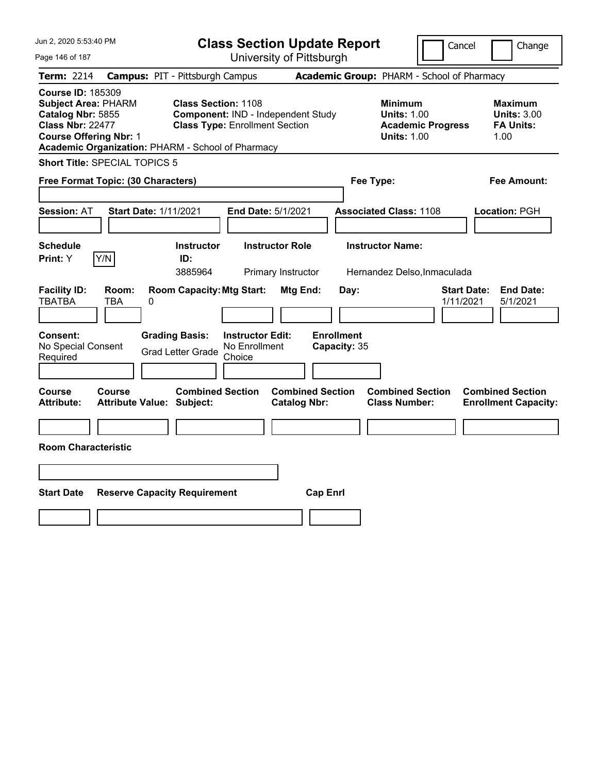| Jun 2, 2020 5:53:40 PM<br><b>Class Section Update Report</b><br>Cancel                                                                                                                       |                                        |                                                                                                           |                                                    |                                                |                                           |                                                            |                          | Change                                                           |
|----------------------------------------------------------------------------------------------------------------------------------------------------------------------------------------------|----------------------------------------|-----------------------------------------------------------------------------------------------------------|----------------------------------------------------|------------------------------------------------|-------------------------------------------|------------------------------------------------------------|--------------------------|------------------------------------------------------------------|
| Page 146 of 187                                                                                                                                                                              |                                        |                                                                                                           |                                                    | University of Pittsburgh                       |                                           |                                                            |                          |                                                                  |
| Term: 2214                                                                                                                                                                                   | <b>Campus: PIT - Pittsburgh Campus</b> |                                                                                                           |                                                    |                                                |                                           | Academic Group: PHARM - School of Pharmacy                 |                          |                                                                  |
| <b>Course ID: 185309</b><br><b>Subject Area: PHARM</b><br>Catalog Nbr: 5855<br><b>Class Nbr: 22477</b><br><b>Course Offering Nbr: 1</b><br>Academic Organization: PHARM - School of Pharmacy |                                        | <b>Class Section: 1108</b><br>Component: IND - Independent Study<br><b>Class Type: Enrollment Section</b> |                                                    |                                                |                                           | <b>Minimum</b><br><b>Units: 1.00</b><br><b>Units: 1.00</b> | <b>Academic Progress</b> | <b>Maximum</b><br><b>Units: 3.00</b><br><b>FA Units:</b><br>1.00 |
| <b>Short Title: SPECIAL TOPICS 5</b>                                                                                                                                                         |                                        |                                                                                                           |                                                    |                                                |                                           |                                                            |                          |                                                                  |
| Free Format Topic: (30 Characters)                                                                                                                                                           |                                        |                                                                                                           |                                                    |                                                |                                           | Fee Type:                                                  |                          | Fee Amount:                                                      |
| <b>Session: AT</b>                                                                                                                                                                           | <b>Start Date: 1/11/2021</b>           |                                                                                                           | End Date: 5/1/2021                                 |                                                |                                           | <b>Associated Class: 1108</b>                              |                          | Location: PGH                                                    |
| <b>Schedule</b>                                                                                                                                                                              |                                        | <b>Instructor</b>                                                                                         |                                                    | <b>Instructor Role</b>                         |                                           | <b>Instructor Name:</b>                                    |                          |                                                                  |
| Y/N<br><b>Print:</b> Y                                                                                                                                                                       |                                        | ID:<br>3885964                                                                                            |                                                    | Primary Instructor                             |                                           | Hernandez Delso, Inmaculada                                |                          |                                                                  |
| <b>Facility ID:</b><br><b>TBATBA</b><br>TBA<br><b>Consent:</b><br>No Special Consent<br>Required                                                                                             | Room:<br>0                             | <b>Room Capacity: Mtg Start:</b><br><b>Grading Basis:</b><br><b>Grad Letter Grade</b>                     | <b>Instructor Edit:</b><br>No Enrollment<br>Choice | <b>Mtg End:</b>                                | Day:<br><b>Enrollment</b><br>Capacity: 35 |                                                            |                          | <b>Start Date:</b><br><b>End Date:</b><br>1/11/2021<br>5/1/2021  |
|                                                                                                                                                                                              |                                        |                                                                                                           |                                                    |                                                |                                           |                                                            |                          |                                                                  |
| Course<br>Course<br><b>Attribute:</b>                                                                                                                                                        | <b>Attribute Value: Subject:</b>       | <b>Combined Section</b>                                                                                   |                                                    | <b>Combined Section</b><br><b>Catalog Nbr:</b> |                                           | <b>Combined Section</b><br><b>Class Number:</b>            |                          | <b>Combined Section</b><br><b>Enrollment Capacity:</b>           |
|                                                                                                                                                                                              |                                        |                                                                                                           |                                                    |                                                |                                           |                                                            |                          |                                                                  |
| <b>Room Characteristic</b>                                                                                                                                                                   |                                        |                                                                                                           |                                                    |                                                |                                           |                                                            |                          |                                                                  |
|                                                                                                                                                                                              |                                        |                                                                                                           |                                                    |                                                |                                           |                                                            |                          |                                                                  |
| <b>Start Date</b>                                                                                                                                                                            | <b>Reserve Capacity Requirement</b>    |                                                                                                           |                                                    |                                                | <b>Cap Enrl</b>                           |                                                            |                          |                                                                  |
|                                                                                                                                                                                              |                                        |                                                                                                           |                                                    |                                                |                                           |                                                            |                          |                                                                  |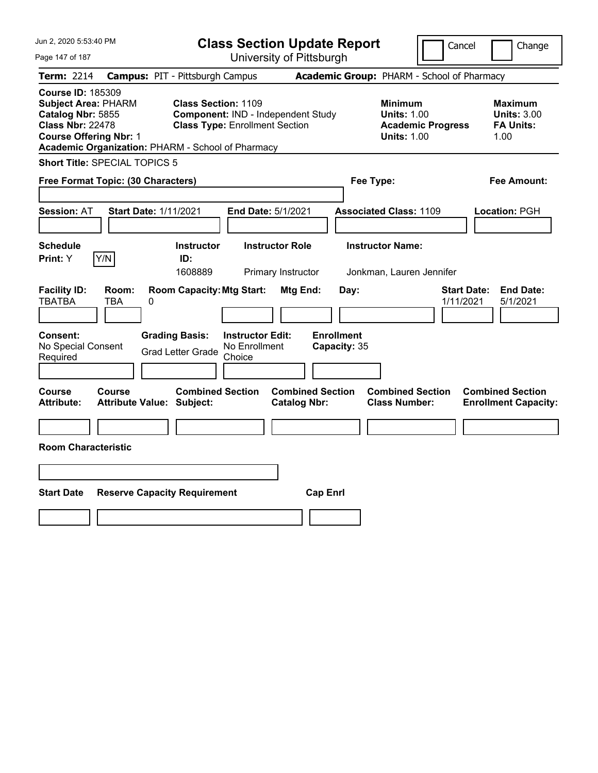| Jun 2, 2020 5:53:40 PM                                                                                                                                                                       |                                        |                                                                     |                                                    | <b>Class Section Update Report</b>             |                                   |                                                            | Cancel                   | Change                                                           |
|----------------------------------------------------------------------------------------------------------------------------------------------------------------------------------------------|----------------------------------------|---------------------------------------------------------------------|----------------------------------------------------|------------------------------------------------|-----------------------------------|------------------------------------------------------------|--------------------------|------------------------------------------------------------------|
| Page 147 of 187                                                                                                                                                                              |                                        |                                                                     |                                                    | University of Pittsburgh                       |                                   |                                                            |                          |                                                                  |
| Term: 2214                                                                                                                                                                                   | <b>Campus: PIT - Pittsburgh Campus</b> |                                                                     |                                                    |                                                |                                   | Academic Group: PHARM - School of Pharmacy                 |                          |                                                                  |
| <b>Course ID: 185309</b><br><b>Subject Area: PHARM</b><br>Catalog Nbr: 5855<br><b>Class Nbr: 22478</b><br><b>Course Offering Nbr: 1</b><br>Academic Organization: PHARM - School of Pharmacy |                                        | <b>Class Section: 1109</b><br><b>Class Type: Enrollment Section</b> |                                                    | Component: IND - Independent Study             |                                   | <b>Minimum</b><br><b>Units: 1.00</b><br><b>Units: 1.00</b> | <b>Academic Progress</b> | <b>Maximum</b><br><b>Units: 3.00</b><br><b>FA Units:</b><br>1.00 |
| <b>Short Title: SPECIAL TOPICS 5</b>                                                                                                                                                         |                                        |                                                                     |                                                    |                                                |                                   |                                                            |                          |                                                                  |
| Free Format Topic: (30 Characters)                                                                                                                                                           |                                        |                                                                     |                                                    |                                                |                                   | Fee Type:                                                  |                          | Fee Amount:                                                      |
| <b>Session: AT</b>                                                                                                                                                                           | <b>Start Date: 1/11/2021</b>           |                                                                     | End Date: 5/1/2021                                 |                                                |                                   | <b>Associated Class: 1109</b>                              |                          | Location: PGH                                                    |
| <b>Schedule</b>                                                                                                                                                                              |                                        | <b>Instructor</b>                                                   |                                                    | <b>Instructor Role</b>                         |                                   | <b>Instructor Name:</b>                                    |                          |                                                                  |
| Y/N<br><b>Print:</b> Y                                                                                                                                                                       |                                        | ID:<br>1608889                                                      |                                                    | Primary Instructor                             |                                   | Jonkman, Lauren Jennifer                                   |                          |                                                                  |
| <b>Facility ID:</b><br>Room:<br><b>TBATBA</b><br>TBA                                                                                                                                         | 0                                      | <b>Room Capacity: Mtg Start:</b>                                    |                                                    | Mtg End:                                       | Day:                              |                                                            | 1/11/2021                | <b>Start Date:</b><br><b>End Date:</b><br>5/1/2021               |
| <b>Consent:</b><br>No Special Consent<br>Required                                                                                                                                            |                                        | <b>Grading Basis:</b><br><b>Grad Letter Grade</b>                   | <b>Instructor Edit:</b><br>No Enrollment<br>Choice |                                                | <b>Enrollment</b><br>Capacity: 35 |                                                            |                          |                                                                  |
| Course<br>Course<br><b>Attribute:</b>                                                                                                                                                        | <b>Attribute Value: Subject:</b>       | <b>Combined Section</b>                                             |                                                    | <b>Combined Section</b><br><b>Catalog Nbr:</b> |                                   | <b>Combined Section</b><br><b>Class Number:</b>            |                          | <b>Combined Section</b><br><b>Enrollment Capacity:</b>           |
|                                                                                                                                                                                              |                                        |                                                                     |                                                    |                                                |                                   |                                                            |                          |                                                                  |
| <b>Room Characteristic</b>                                                                                                                                                                   |                                        |                                                                     |                                                    |                                                |                                   |                                                            |                          |                                                                  |
|                                                                                                                                                                                              |                                        |                                                                     |                                                    |                                                |                                   |                                                            |                          |                                                                  |
| <b>Start Date</b>                                                                                                                                                                            | <b>Reserve Capacity Requirement</b>    |                                                                     |                                                    |                                                | <b>Cap Enrl</b>                   |                                                            |                          |                                                                  |
|                                                                                                                                                                                              |                                        |                                                                     |                                                    |                                                |                                   |                                                            |                          |                                                                  |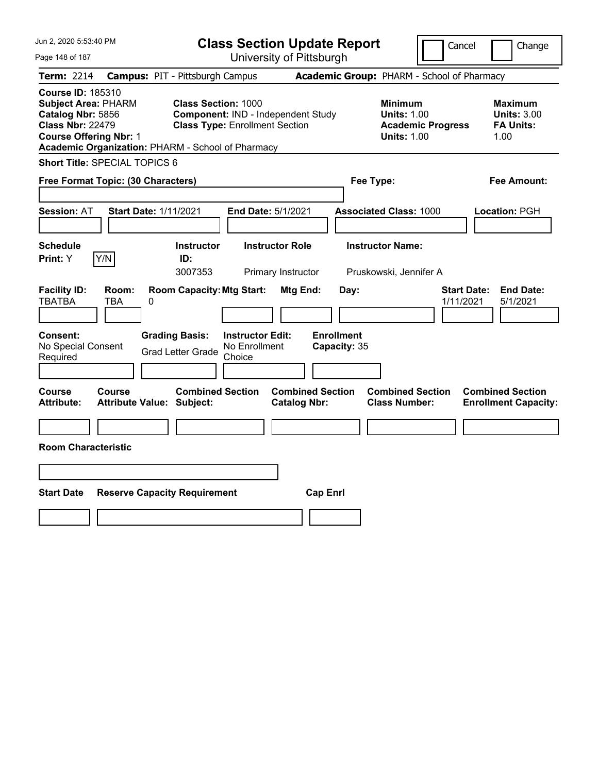| Jun 2, 2020 5:53:40 PM                                                                                                                                                                       |                                                                                                                                             | <b>Class Section Update Report</b>                    |                                                                                        | Cancel<br>Change                                                 |
|----------------------------------------------------------------------------------------------------------------------------------------------------------------------------------------------|---------------------------------------------------------------------------------------------------------------------------------------------|-------------------------------------------------------|----------------------------------------------------------------------------------------|------------------------------------------------------------------|
| Page 148 of 187                                                                                                                                                                              |                                                                                                                                             | University of Pittsburgh                              |                                                                                        |                                                                  |
| Term: 2214                                                                                                                                                                                   | <b>Campus: PIT - Pittsburgh Campus</b>                                                                                                      |                                                       | Academic Group: PHARM - School of Pharmacy                                             |                                                                  |
| <b>Course ID: 185310</b><br><b>Subject Area: PHARM</b><br>Catalog Nbr: 5856<br><b>Class Nbr: 22479</b><br><b>Course Offering Nbr: 1</b><br>Academic Organization: PHARM - School of Pharmacy | <b>Class Section: 1000</b><br>Component: IND - Independent Study<br><b>Class Type: Enrollment Section</b>                                   |                                                       | <b>Minimum</b><br><b>Units: 1.00</b><br><b>Academic Progress</b><br><b>Units: 1.00</b> | <b>Maximum</b><br><b>Units: 3.00</b><br><b>FA Units:</b><br>1.00 |
| <b>Short Title: SPECIAL TOPICS 6</b>                                                                                                                                                         |                                                                                                                                             |                                                       |                                                                                        |                                                                  |
| Free Format Topic: (30 Characters)                                                                                                                                                           |                                                                                                                                             | Fee Type:                                             |                                                                                        | Fee Amount:                                                      |
| <b>Session: AT</b><br><b>Start Date: 1/11/2021</b>                                                                                                                                           | End Date: 5/1/2021                                                                                                                          |                                                       | <b>Associated Class: 1000</b>                                                          | Location: PGH                                                    |
| <b>Schedule</b>                                                                                                                                                                              | <b>Instructor</b>                                                                                                                           | <b>Instructor Role</b>                                | <b>Instructor Name:</b>                                                                |                                                                  |
| Y/N<br><b>Print:</b> Y                                                                                                                                                                       | ID:<br>3007353                                                                                                                              | Primary Instructor                                    | Pruskowski, Jennifer A                                                                 |                                                                  |
| <b>Facility ID:</b><br>Room:<br><b>TBATBA</b><br>TBA<br>0<br><b>Consent:</b><br>No Special Consent<br>Required                                                                               | <b>Room Capacity: Mtg Start:</b><br><b>Grading Basis:</b><br><b>Instructor Edit:</b><br>No Enrollment<br><b>Grad Letter Grade</b><br>Choice | Mtg End:<br>Day:<br><b>Enrollment</b><br>Capacity: 35 |                                                                                        | <b>Start Date:</b><br><b>End Date:</b><br>1/11/2021<br>5/1/2021  |
| Course<br>Course<br><b>Attribute:</b><br><b>Attribute Value: Subject:</b>                                                                                                                    | <b>Combined Section</b>                                                                                                                     | <b>Combined Section</b><br><b>Catalog Nbr:</b>        | <b>Combined Section</b><br><b>Class Number:</b>                                        | <b>Combined Section</b><br><b>Enrollment Capacity:</b>           |
|                                                                                                                                                                                              |                                                                                                                                             |                                                       |                                                                                        |                                                                  |
| <b>Room Characteristic</b>                                                                                                                                                                   |                                                                                                                                             |                                                       |                                                                                        |                                                                  |
|                                                                                                                                                                                              |                                                                                                                                             |                                                       |                                                                                        |                                                                  |
| <b>Start Date</b><br><b>Reserve Capacity Requirement</b>                                                                                                                                     |                                                                                                                                             | <b>Cap Enrl</b>                                       |                                                                                        |                                                                  |
|                                                                                                                                                                                              |                                                                                                                                             |                                                       |                                                                                        |                                                                  |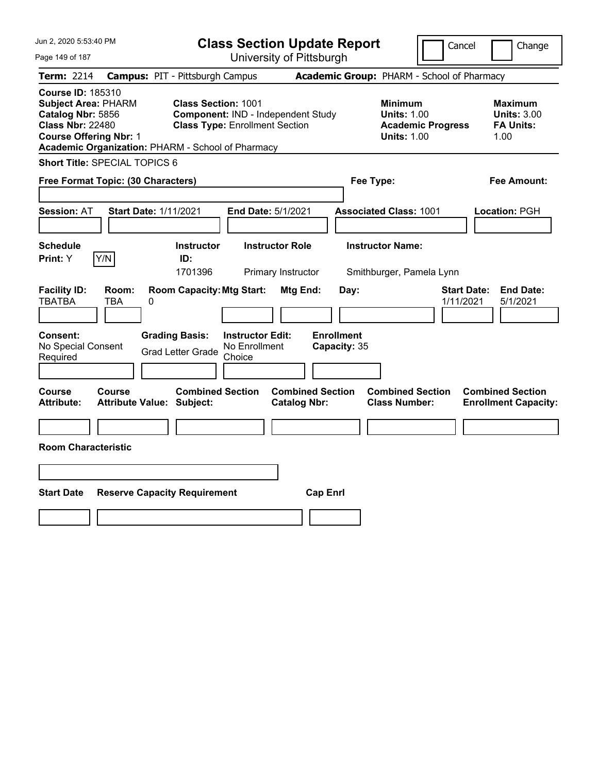| Jun 2, 2020 5:53:40 PM                                                                                                                                                                       |                                                                                                           | <b>Class Section Update Report</b>             |                                                                                        | Cancel<br>Change                                                 |
|----------------------------------------------------------------------------------------------------------------------------------------------------------------------------------------------|-----------------------------------------------------------------------------------------------------------|------------------------------------------------|----------------------------------------------------------------------------------------|------------------------------------------------------------------|
| Page 149 of 187                                                                                                                                                                              |                                                                                                           | University of Pittsburgh                       |                                                                                        |                                                                  |
| Term: 2214                                                                                                                                                                                   | <b>Campus: PIT - Pittsburgh Campus</b>                                                                    |                                                | Academic Group: PHARM - School of Pharmacy                                             |                                                                  |
| <b>Course ID: 185310</b><br><b>Subject Area: PHARM</b><br>Catalog Nbr: 5856<br><b>Class Nbr: 22480</b><br><b>Course Offering Nbr: 1</b><br>Academic Organization: PHARM - School of Pharmacy | <b>Class Section: 1001</b><br>Component: IND - Independent Study<br><b>Class Type: Enrollment Section</b> |                                                | <b>Minimum</b><br><b>Units: 1.00</b><br><b>Academic Progress</b><br><b>Units: 1.00</b> | <b>Maximum</b><br><b>Units: 3.00</b><br><b>FA Units:</b><br>1.00 |
| Short Title: SPECIAL TOPICS 6                                                                                                                                                                |                                                                                                           |                                                |                                                                                        |                                                                  |
| Free Format Topic: (30 Characters)                                                                                                                                                           |                                                                                                           |                                                | Fee Type:                                                                              | Fee Amount:                                                      |
| <b>Start Date: 1/11/2021</b><br><b>Session: AT</b>                                                                                                                                           | End Date: 5/1/2021                                                                                        |                                                | <b>Associated Class: 1001</b>                                                          | Location: PGH                                                    |
| <b>Schedule</b><br>Y/N<br>Print: Y                                                                                                                                                           | <b>Instructor</b><br>ID:<br>1701396                                                                       | <b>Instructor Role</b><br>Primary Instructor   | <b>Instructor Name:</b><br>Smithburger, Pamela Lynn                                    |                                                                  |
| <b>Facility ID:</b><br>Room:<br><b>TBATBA</b><br>0<br>TBA                                                                                                                                    | <b>Room Capacity: Mtg Start:</b>                                                                          | Mtg End:<br>Day:                               |                                                                                        | <b>Start Date:</b><br><b>End Date:</b><br>1/11/2021<br>5/1/2021  |
| Consent:<br>No Special Consent<br>Required                                                                                                                                                   | <b>Grading Basis:</b><br><b>Instructor Edit:</b><br>No Enrollment<br><b>Grad Letter Grade</b><br>Choice   | <b>Enrollment</b><br>Capacity: 35              |                                                                                        |                                                                  |
| <b>Course</b><br>Course<br><b>Attribute:</b><br><b>Attribute Value: Subject:</b>                                                                                                             | <b>Combined Section</b>                                                                                   | <b>Combined Section</b><br><b>Catalog Nbr:</b> | <b>Combined Section</b><br><b>Class Number:</b>                                        | <b>Combined Section</b><br><b>Enrollment Capacity:</b>           |
|                                                                                                                                                                                              |                                                                                                           |                                                |                                                                                        |                                                                  |
| <b>Room Characteristic</b>                                                                                                                                                                   |                                                                                                           |                                                |                                                                                        |                                                                  |
|                                                                                                                                                                                              |                                                                                                           |                                                |                                                                                        |                                                                  |
| <b>Start Date</b>                                                                                                                                                                            | <b>Reserve Capacity Requirement</b>                                                                       | <b>Cap Enrl</b>                                |                                                                                        |                                                                  |
|                                                                                                                                                                                              |                                                                                                           |                                                |                                                                                        |                                                                  |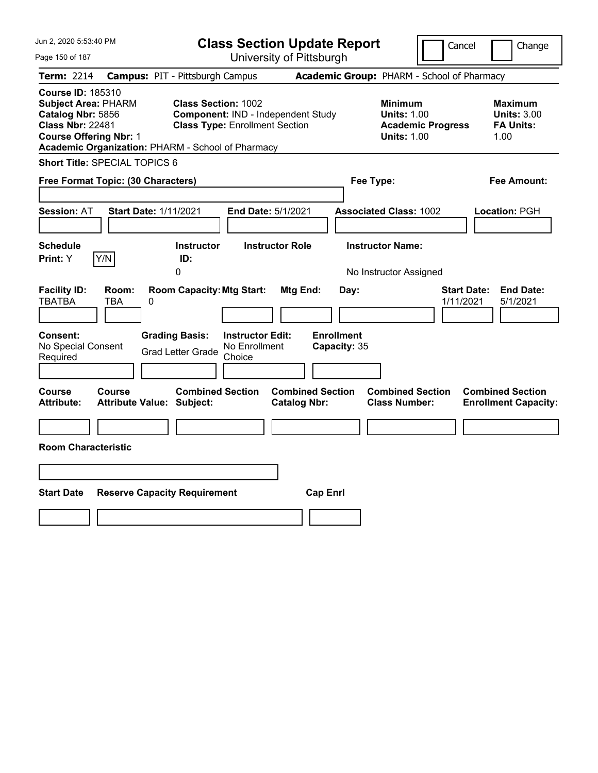| Jun 2, 2020 5:53:40 PM                                                                                                                                                                       |                                                                                                           | <b>Class Section Update Report</b>             | Cancel                                                                                 | Change                                                           |
|----------------------------------------------------------------------------------------------------------------------------------------------------------------------------------------------|-----------------------------------------------------------------------------------------------------------|------------------------------------------------|----------------------------------------------------------------------------------------|------------------------------------------------------------------|
| Page 150 of 187                                                                                                                                                                              |                                                                                                           | University of Pittsburgh                       |                                                                                        |                                                                  |
| Term: 2214                                                                                                                                                                                   | <b>Campus: PIT - Pittsburgh Campus</b>                                                                    |                                                | Academic Group: PHARM - School of Pharmacy                                             |                                                                  |
| <b>Course ID: 185310</b><br><b>Subject Area: PHARM</b><br>Catalog Nbr: 5856<br><b>Class Nbr: 22481</b><br><b>Course Offering Nbr: 1</b><br>Academic Organization: PHARM - School of Pharmacy | <b>Class Section: 1002</b><br>Component: IND - Independent Study<br><b>Class Type: Enrollment Section</b> |                                                | <b>Minimum</b><br><b>Units: 1.00</b><br><b>Academic Progress</b><br><b>Units: 1.00</b> | <b>Maximum</b><br><b>Units: 3.00</b><br><b>FA Units:</b><br>1.00 |
| <b>Short Title: SPECIAL TOPICS 6</b>                                                                                                                                                         |                                                                                                           |                                                |                                                                                        |                                                                  |
| Free Format Topic: (30 Characters)                                                                                                                                                           |                                                                                                           | Fee Type:                                      |                                                                                        | Fee Amount:                                                      |
| <b>Session: AT</b><br><b>Start Date: 1/11/2021</b>                                                                                                                                           | End Date: 5/1/2021                                                                                        |                                                | <b>Associated Class: 1002</b>                                                          | Location: PGH                                                    |
| <b>Schedule</b><br>Y/N<br><b>Print:</b> Y                                                                                                                                                    | <b>Instructor</b><br>ID:                                                                                  | <b>Instructor Role</b>                         | <b>Instructor Name:</b>                                                                |                                                                  |
|                                                                                                                                                                                              | 0                                                                                                         |                                                | No Instructor Assigned                                                                 |                                                                  |
| <b>Facility ID:</b><br>Room:<br><b>TBATBA</b><br>TBA<br>0                                                                                                                                    | <b>Room Capacity: Mtg Start:</b>                                                                          | Mtg End:<br>Day:                               | 1/11/2021                                                                              | <b>Start Date:</b><br><b>End Date:</b><br>5/1/2021               |
| <b>Consent:</b><br>No Special Consent<br>Required                                                                                                                                            | <b>Grading Basis:</b><br><b>Instructor Edit:</b><br>No Enrollment<br><b>Grad Letter Grade</b><br>Choice   | <b>Enrollment</b><br>Capacity: 35              |                                                                                        |                                                                  |
| Course<br>Course<br><b>Attribute:</b><br><b>Attribute Value: Subject:</b>                                                                                                                    | <b>Combined Section</b>                                                                                   | <b>Combined Section</b><br><b>Catalog Nbr:</b> | <b>Combined Section</b><br><b>Class Number:</b>                                        | <b>Combined Section</b><br><b>Enrollment Capacity:</b>           |
|                                                                                                                                                                                              |                                                                                                           |                                                |                                                                                        |                                                                  |
| <b>Room Characteristic</b>                                                                                                                                                                   |                                                                                                           |                                                |                                                                                        |                                                                  |
|                                                                                                                                                                                              |                                                                                                           |                                                |                                                                                        |                                                                  |
| <b>Start Date</b><br><b>Reserve Capacity Requirement</b>                                                                                                                                     |                                                                                                           | <b>Cap Enrl</b>                                |                                                                                        |                                                                  |
|                                                                                                                                                                                              |                                                                                                           |                                                |                                                                                        |                                                                  |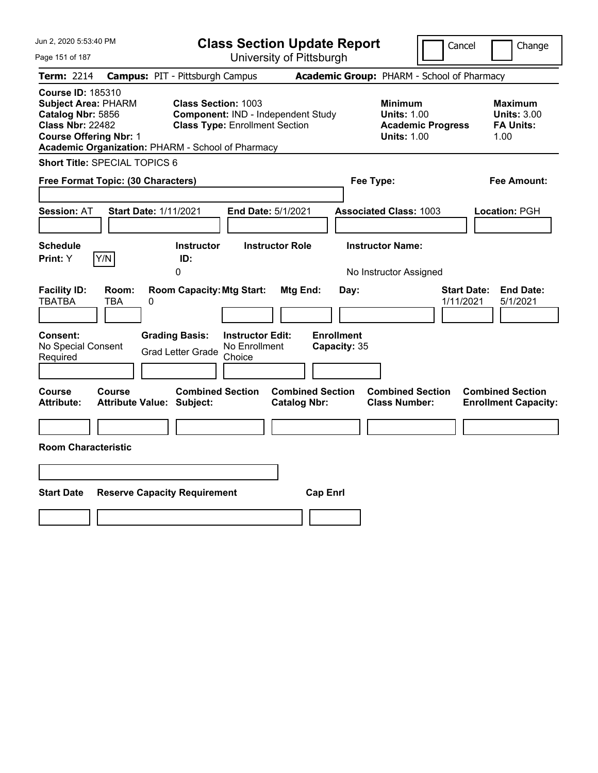| Jun 2, 2020 5:53:40 PM                                                                                                                                                                       |                                            |                                                                                                           |                                                    | <b>Class Section Update Report</b>             |                                            |                                                            | Cancel                   | Change                                                           |
|----------------------------------------------------------------------------------------------------------------------------------------------------------------------------------------------|--------------------------------------------|-----------------------------------------------------------------------------------------------------------|----------------------------------------------------|------------------------------------------------|--------------------------------------------|------------------------------------------------------------|--------------------------|------------------------------------------------------------------|
| Page 151 of 187                                                                                                                                                                              |                                            |                                                                                                           |                                                    | University of Pittsburgh                       |                                            |                                                            |                          |                                                                  |
| Term: 2214                                                                                                                                                                                   | <b>Campus: PIT - Pittsburgh Campus</b>     |                                                                                                           |                                                    |                                                | Academic Group: PHARM - School of Pharmacy |                                                            |                          |                                                                  |
| <b>Course ID: 185310</b><br><b>Subject Area: PHARM</b><br>Catalog Nbr: 5856<br><b>Class Nbr: 22482</b><br><b>Course Offering Nbr: 1</b><br>Academic Organization: PHARM - School of Pharmacy |                                            | <b>Class Section: 1003</b><br>Component: IND - Independent Study<br><b>Class Type: Enrollment Section</b> |                                                    |                                                |                                            | <b>Minimum</b><br><b>Units: 1.00</b><br><b>Units: 1.00</b> | <b>Academic Progress</b> | <b>Maximum</b><br><b>Units: 3.00</b><br><b>FA Units:</b><br>1.00 |
| <b>Short Title: SPECIAL TOPICS 6</b>                                                                                                                                                         |                                            |                                                                                                           |                                                    |                                                |                                            |                                                            |                          |                                                                  |
| Free Format Topic: (30 Characters)                                                                                                                                                           |                                            |                                                                                                           |                                                    |                                                |                                            | Fee Type:                                                  |                          | Fee Amount:                                                      |
| <b>Session: AT</b><br><b>Schedule</b>                                                                                                                                                        | <b>Start Date: 1/11/2021</b>               | <b>Instructor</b>                                                                                         | End Date: 5/1/2021                                 | <b>Instructor Role</b>                         |                                            | <b>Associated Class: 1003</b><br><b>Instructor Name:</b>   |                          | Location: PGH                                                    |
| Y/N<br><b>Print:</b> Y                                                                                                                                                                       |                                            | ID:                                                                                                       |                                                    |                                                |                                            |                                                            |                          |                                                                  |
|                                                                                                                                                                                              |                                            | 0                                                                                                         |                                                    |                                                |                                            | No Instructor Assigned                                     |                          |                                                                  |
| <b>Facility ID:</b><br><b>TBATBA</b>                                                                                                                                                         | Room:<br>TBA<br>0                          | <b>Room Capacity: Mtg Start:</b>                                                                          |                                                    | Mtg End:                                       | Day:                                       |                                                            | 1/11/2021                | <b>Start Date:</b><br><b>End Date:</b><br>5/1/2021               |
| <b>Consent:</b><br>No Special Consent<br>Required                                                                                                                                            |                                            | <b>Grading Basis:</b><br><b>Grad Letter Grade</b>                                                         | <b>Instructor Edit:</b><br>No Enrollment<br>Choice |                                                | <b>Enrollment</b><br>Capacity: 35          |                                                            |                          |                                                                  |
| Course<br><b>Attribute:</b>                                                                                                                                                                  | Course<br><b>Attribute Value: Subject:</b> | <b>Combined Section</b>                                                                                   |                                                    | <b>Combined Section</b><br><b>Catalog Nbr:</b> |                                            | <b>Combined Section</b><br><b>Class Number:</b>            |                          | <b>Combined Section</b><br><b>Enrollment Capacity:</b>           |
|                                                                                                                                                                                              |                                            |                                                                                                           |                                                    |                                                |                                            |                                                            |                          |                                                                  |
| <b>Room Characteristic</b>                                                                                                                                                                   |                                            |                                                                                                           |                                                    |                                                |                                            |                                                            |                          |                                                                  |
|                                                                                                                                                                                              |                                            |                                                                                                           |                                                    |                                                |                                            |                                                            |                          |                                                                  |
| <b>Start Date</b>                                                                                                                                                                            | <b>Reserve Capacity Requirement</b>        |                                                                                                           |                                                    |                                                | <b>Cap Enrl</b>                            |                                                            |                          |                                                                  |
|                                                                                                                                                                                              |                                            |                                                                                                           |                                                    |                                                |                                            |                                                            |                          |                                                                  |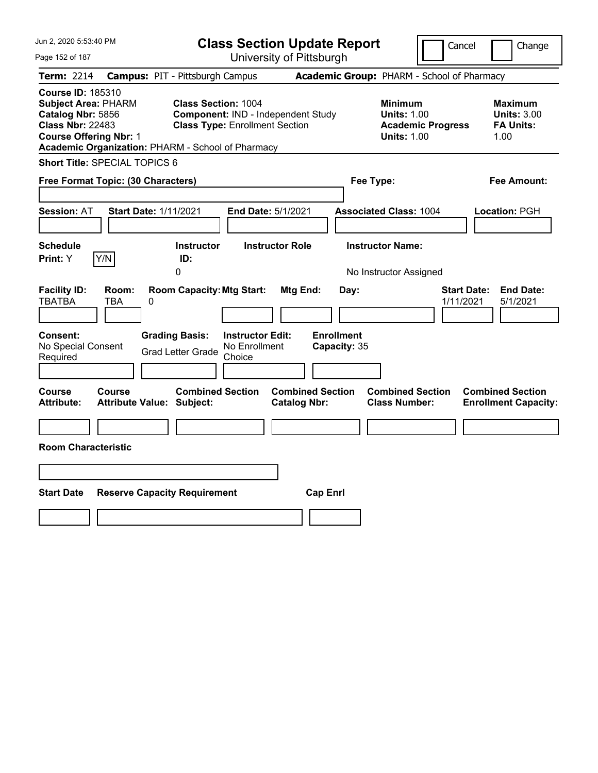| Jun 2, 2020 5:53:40 PM                                                                                                                                                                       |                                                                |                                                                             | <b>Class Section Update Report</b>                    |                                                            | Cancel                          | Change                                                           |
|----------------------------------------------------------------------------------------------------------------------------------------------------------------------------------------------|----------------------------------------------------------------|-----------------------------------------------------------------------------|-------------------------------------------------------|------------------------------------------------------------|---------------------------------|------------------------------------------------------------------|
| Page 152 of 187                                                                                                                                                                              |                                                                |                                                                             | University of Pittsburgh                              |                                                            |                                 |                                                                  |
| Term: 2214                                                                                                                                                                                   | <b>Campus: PIT - Pittsburgh Campus</b>                         |                                                                             |                                                       | Academic Group: PHARM - School of Pharmacy                 |                                 |                                                                  |
| <b>Course ID: 185310</b><br><b>Subject Area: PHARM</b><br>Catalog Nbr: 5856<br><b>Class Nbr: 22483</b><br><b>Course Offering Nbr: 1</b><br>Academic Organization: PHARM - School of Pharmacy | <b>Class Section: 1004</b>                                     | Component: IND - Independent Study<br><b>Class Type: Enrollment Section</b> |                                                       | <b>Minimum</b><br><b>Units: 1.00</b><br><b>Units: 1.00</b> | <b>Academic Progress</b>        | <b>Maximum</b><br><b>Units: 3.00</b><br><b>FA Units:</b><br>1.00 |
| Short Title: SPECIAL TOPICS 6                                                                                                                                                                |                                                                |                                                                             |                                                       |                                                            |                                 |                                                                  |
| Free Format Topic: (30 Characters)                                                                                                                                                           |                                                                |                                                                             |                                                       | Fee Type:                                                  |                                 | Fee Amount:                                                      |
| <b>Session: AT</b>                                                                                                                                                                           | <b>Start Date: 1/11/2021</b>                                   | End Date: 5/1/2021                                                          |                                                       | <b>Associated Class: 1004</b>                              |                                 | Location: PGH                                                    |
| <b>Schedule</b>                                                                                                                                                                              | <b>Instructor</b>                                              | <b>Instructor Role</b>                                                      |                                                       | <b>Instructor Name:</b>                                    |                                 |                                                                  |
| Y/N<br>Print: Y                                                                                                                                                                              | ID:<br>0                                                       |                                                                             |                                                       | No Instructor Assigned                                     |                                 |                                                                  |
| <b>Facility ID:</b><br>Room:<br><b>TBATBA</b><br>TBA<br><b>Consent:</b><br>No Special Consent                                                                                                | <b>Room Capacity: Mtg Start:</b><br>0<br><b>Grading Basis:</b> | <b>Instructor Edit:</b><br>No Enrollment                                    | Mtg End:<br>Day:<br><b>Enrollment</b><br>Capacity: 35 |                                                            | <b>Start Date:</b><br>1/11/2021 | <b>End Date:</b><br>5/1/2021                                     |
| Required                                                                                                                                                                                     | <b>Grad Letter Grade</b>                                       | Choice                                                                      |                                                       |                                                            |                                 |                                                                  |
|                                                                                                                                                                                              |                                                                |                                                                             |                                                       |                                                            |                                 |                                                                  |
| Course<br>Course<br>Attribute:                                                                                                                                                               | <b>Combined Section</b><br><b>Attribute Value: Subject:</b>    |                                                                             | <b>Combined Section</b><br><b>Catalog Nbr:</b>        | <b>Combined Section</b><br><b>Class Number:</b>            |                                 | <b>Combined Section</b><br><b>Enrollment Capacity:</b>           |
|                                                                                                                                                                                              |                                                                |                                                                             |                                                       |                                                            |                                 |                                                                  |
| <b>Room Characteristic</b>                                                                                                                                                                   |                                                                |                                                                             |                                                       |                                                            |                                 |                                                                  |
|                                                                                                                                                                                              |                                                                |                                                                             |                                                       |                                                            |                                 |                                                                  |
| <b>Start Date</b>                                                                                                                                                                            | <b>Reserve Capacity Requirement</b>                            |                                                                             | <b>Cap Enrl</b>                                       |                                                            |                                 |                                                                  |
|                                                                                                                                                                                              |                                                                |                                                                             |                                                       |                                                            |                                 |                                                                  |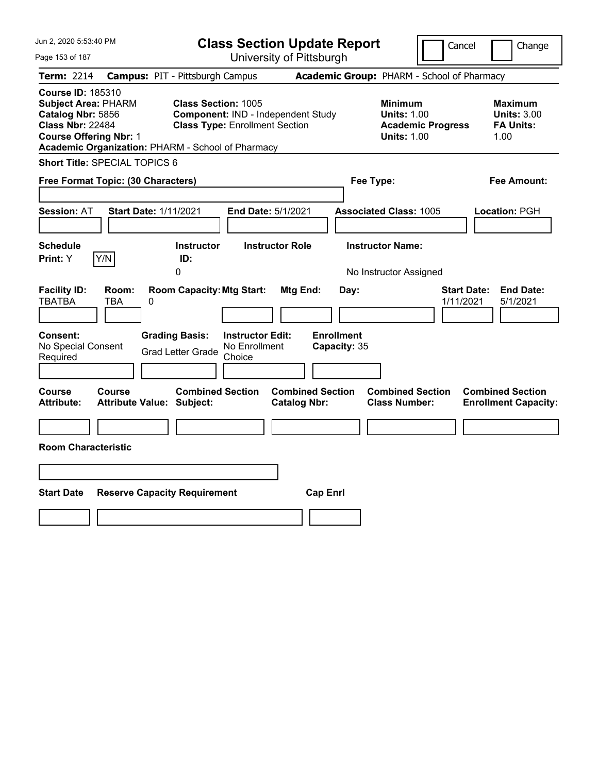| Jun 2, 2020 5:53:40 PM                                                                                                                                                                       |                                            |                                                                     |                                                    | <b>Class Section Update Report</b>             |                                            |                                                            | Cancel                   | Change                                                           |
|----------------------------------------------------------------------------------------------------------------------------------------------------------------------------------------------|--------------------------------------------|---------------------------------------------------------------------|----------------------------------------------------|------------------------------------------------|--------------------------------------------|------------------------------------------------------------|--------------------------|------------------------------------------------------------------|
| Page 153 of 187                                                                                                                                                                              |                                            |                                                                     |                                                    | University of Pittsburgh                       |                                            |                                                            |                          |                                                                  |
| Term: 2214                                                                                                                                                                                   | <b>Campus: PIT - Pittsburgh Campus</b>     |                                                                     |                                                    |                                                | Academic Group: PHARM - School of Pharmacy |                                                            |                          |                                                                  |
| <b>Course ID: 185310</b><br><b>Subject Area: PHARM</b><br>Catalog Nbr: 5856<br><b>Class Nbr: 22484</b><br><b>Course Offering Nbr: 1</b><br>Academic Organization: PHARM - School of Pharmacy |                                            | <b>Class Section: 1005</b><br><b>Class Type: Enrollment Section</b> |                                                    | Component: IND - Independent Study             |                                            | <b>Minimum</b><br><b>Units: 1.00</b><br><b>Units: 1.00</b> | <b>Academic Progress</b> | <b>Maximum</b><br><b>Units: 3.00</b><br><b>FA Units:</b><br>1.00 |
| Short Title: SPECIAL TOPICS 6                                                                                                                                                                |                                            |                                                                     |                                                    |                                                |                                            |                                                            |                          |                                                                  |
| Free Format Topic: (30 Characters)                                                                                                                                                           |                                            |                                                                     |                                                    |                                                | Fee Type:                                  |                                                            |                          | Fee Amount:                                                      |
| <b>Session: AT</b><br><b>Schedule</b>                                                                                                                                                        | <b>Start Date: 1/11/2021</b>               | <b>Instructor</b>                                                   | End Date: 5/1/2021                                 | <b>Instructor Role</b>                         |                                            | <b>Associated Class: 1005</b><br><b>Instructor Name:</b>   |                          | Location: PGH                                                    |
| Y/N<br>Print: Y                                                                                                                                                                              |                                            | ID:                                                                 |                                                    |                                                |                                            |                                                            |                          |                                                                  |
|                                                                                                                                                                                              |                                            | 0                                                                   |                                                    |                                                |                                            | No Instructor Assigned                                     |                          |                                                                  |
| <b>Facility ID:</b><br><b>TBATBA</b>                                                                                                                                                         | Room:<br>TBA<br>0                          | <b>Room Capacity: Mtg Start:</b>                                    |                                                    | Mtg End:                                       | Day:                                       |                                                            | 1/11/2021                | <b>Start Date:</b><br><b>End Date:</b><br>5/1/2021               |
| <b>Consent:</b><br>No Special Consent<br>Required                                                                                                                                            |                                            | <b>Grading Basis:</b><br><b>Grad Letter Grade</b>                   | <b>Instructor Edit:</b><br>No Enrollment<br>Choice |                                                | <b>Enrollment</b><br>Capacity: 35          |                                                            |                          |                                                                  |
| Course<br>Attribute:                                                                                                                                                                         | Course<br><b>Attribute Value: Subject:</b> | <b>Combined Section</b>                                             |                                                    | <b>Combined Section</b><br><b>Catalog Nbr:</b> |                                            | <b>Combined Section</b><br><b>Class Number:</b>            |                          | <b>Combined Section</b><br><b>Enrollment Capacity:</b>           |
|                                                                                                                                                                                              |                                            |                                                                     |                                                    |                                                |                                            |                                                            |                          |                                                                  |
| <b>Room Characteristic</b>                                                                                                                                                                   |                                            |                                                                     |                                                    |                                                |                                            |                                                            |                          |                                                                  |
|                                                                                                                                                                                              |                                            |                                                                     |                                                    |                                                |                                            |                                                            |                          |                                                                  |
| <b>Start Date</b>                                                                                                                                                                            | <b>Reserve Capacity Requirement</b>        |                                                                     |                                                    | <b>Cap Enrl</b>                                |                                            |                                                            |                          |                                                                  |
|                                                                                                                                                                                              |                                            |                                                                     |                                                    |                                                |                                            |                                                            |                          |                                                                  |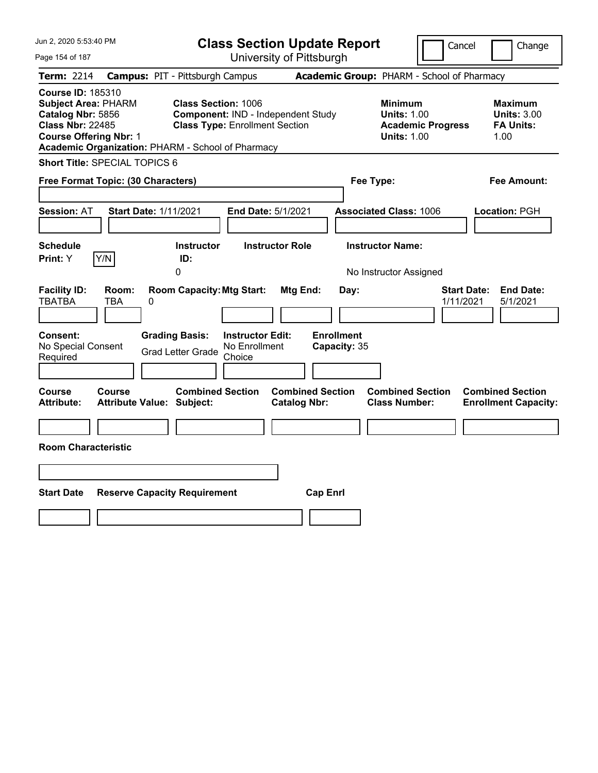| Jun 2, 2020 5:53:40 PM                                                                                                                                                                       |                                            |                                                                     |                                                    | <b>Class Section Update Report</b>             |                                            |                                                            | Cancel                   | Change                                                           |
|----------------------------------------------------------------------------------------------------------------------------------------------------------------------------------------------|--------------------------------------------|---------------------------------------------------------------------|----------------------------------------------------|------------------------------------------------|--------------------------------------------|------------------------------------------------------------|--------------------------|------------------------------------------------------------------|
| Page 154 of 187                                                                                                                                                                              |                                            |                                                                     |                                                    | University of Pittsburgh                       |                                            |                                                            |                          |                                                                  |
| Term: 2214                                                                                                                                                                                   | <b>Campus: PIT - Pittsburgh Campus</b>     |                                                                     |                                                    |                                                | Academic Group: PHARM - School of Pharmacy |                                                            |                          |                                                                  |
| <b>Course ID: 185310</b><br><b>Subject Area: PHARM</b><br>Catalog Nbr: 5856<br><b>Class Nbr: 22485</b><br><b>Course Offering Nbr: 1</b><br>Academic Organization: PHARM - School of Pharmacy |                                            | <b>Class Section: 1006</b><br><b>Class Type: Enrollment Section</b> |                                                    | Component: IND - Independent Study             |                                            | <b>Minimum</b><br><b>Units: 1.00</b><br><b>Units: 1.00</b> | <b>Academic Progress</b> | <b>Maximum</b><br><b>Units: 3.00</b><br><b>FA Units:</b><br>1.00 |
| <b>Short Title: SPECIAL TOPICS 6</b>                                                                                                                                                         |                                            |                                                                     |                                                    |                                                |                                            |                                                            |                          |                                                                  |
| Free Format Topic: (30 Characters)                                                                                                                                                           |                                            |                                                                     |                                                    |                                                |                                            | Fee Type:                                                  |                          | Fee Amount:                                                      |
| <b>Session: AT</b>                                                                                                                                                                           | <b>Start Date: 1/11/2021</b>               |                                                                     | End Date: 5/1/2021                                 |                                                |                                            | <b>Associated Class: 1006</b>                              |                          | Location: PGH                                                    |
| <b>Schedule</b><br><b>Print:</b> Y                                                                                                                                                           | Y/N                                        | <b>Instructor</b><br>ID:                                            |                                                    | <b>Instructor Role</b>                         |                                            | <b>Instructor Name:</b>                                    |                          |                                                                  |
|                                                                                                                                                                                              |                                            | 0                                                                   |                                                    |                                                |                                            | No Instructor Assigned                                     |                          |                                                                  |
| <b>Facility ID:</b><br><b>TBATBA</b>                                                                                                                                                         | Room:<br>TBA<br>0                          | <b>Room Capacity: Mtg Start:</b>                                    |                                                    | Mtg End:                                       | Day:                                       |                                                            |                          | <b>Start Date:</b><br><b>End Date:</b><br>1/11/2021<br>5/1/2021  |
| <b>Consent:</b><br>No Special Consent<br>Required                                                                                                                                            |                                            | <b>Grading Basis:</b><br><b>Grad Letter Grade</b>                   | <b>Instructor Edit:</b><br>No Enrollment<br>Choice |                                                | <b>Enrollment</b><br>Capacity: 35          |                                                            |                          |                                                                  |
| Course<br><b>Attribute:</b>                                                                                                                                                                  | Course<br><b>Attribute Value: Subject:</b> | <b>Combined Section</b>                                             |                                                    | <b>Combined Section</b><br><b>Catalog Nbr:</b> |                                            | <b>Combined Section</b><br><b>Class Number:</b>            |                          | <b>Combined Section</b><br><b>Enrollment Capacity:</b>           |
|                                                                                                                                                                                              |                                            |                                                                     |                                                    |                                                |                                            |                                                            |                          |                                                                  |
| <b>Room Characteristic</b>                                                                                                                                                                   |                                            |                                                                     |                                                    |                                                |                                            |                                                            |                          |                                                                  |
|                                                                                                                                                                                              |                                            |                                                                     |                                                    |                                                |                                            |                                                            |                          |                                                                  |
| <b>Start Date</b>                                                                                                                                                                            | <b>Reserve Capacity Requirement</b>        |                                                                     |                                                    | <b>Cap Enrl</b>                                |                                            |                                                            |                          |                                                                  |
|                                                                                                                                                                                              |                                            |                                                                     |                                                    |                                                |                                            |                                                            |                          |                                                                  |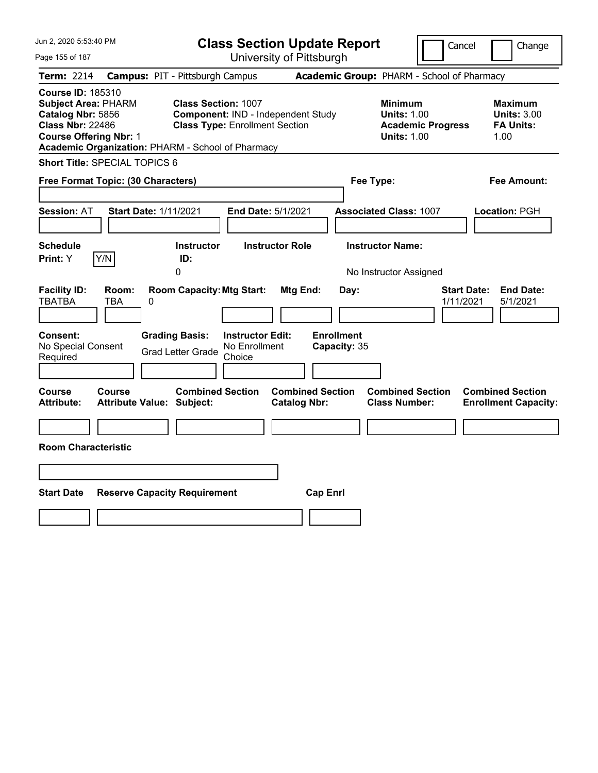| Jun 2, 2020 5:53:40 PM                                                                                                                                                                       |                                                                | <b>Class Section Update Report</b>                                          |                                                |                           |                                                                                        | Cancel                          | Change                                                           |
|----------------------------------------------------------------------------------------------------------------------------------------------------------------------------------------------|----------------------------------------------------------------|-----------------------------------------------------------------------------|------------------------------------------------|---------------------------|----------------------------------------------------------------------------------------|---------------------------------|------------------------------------------------------------------|
| Page 155 of 187                                                                                                                                                                              |                                                                | University of Pittsburgh                                                    |                                                |                           |                                                                                        |                                 |                                                                  |
| Term: 2214                                                                                                                                                                                   | <b>Campus: PIT - Pittsburgh Campus</b>                         |                                                                             |                                                |                           | Academic Group: PHARM - School of Pharmacy                                             |                                 |                                                                  |
| <b>Course ID: 185310</b><br><b>Subject Area: PHARM</b><br>Catalog Nbr: 5856<br><b>Class Nbr: 22486</b><br><b>Course Offering Nbr: 1</b><br>Academic Organization: PHARM - School of Pharmacy | <b>Class Section: 1007</b>                                     | Component: IND - Independent Study<br><b>Class Type: Enrollment Section</b> |                                                |                           | <b>Minimum</b><br><b>Units: 1.00</b><br><b>Academic Progress</b><br><b>Units: 1.00</b> |                                 | <b>Maximum</b><br><b>Units: 3.00</b><br><b>FA Units:</b><br>1.00 |
| <b>Short Title: SPECIAL TOPICS 6</b>                                                                                                                                                         |                                                                |                                                                             |                                                |                           |                                                                                        |                                 |                                                                  |
| Free Format Topic: (30 Characters)                                                                                                                                                           |                                                                |                                                                             |                                                | Fee Type:                 |                                                                                        |                                 | Fee Amount:                                                      |
| <b>Session: AT</b><br><b>Schedule</b><br>Y/N<br>Print: Y                                                                                                                                     | <b>Start Date: 1/11/2021</b><br><b>Instructor</b><br>ID:       | End Date: 5/1/2021<br><b>Instructor Role</b>                                |                                                |                           | <b>Associated Class: 1007</b><br><b>Instructor Name:</b>                               |                                 | Location: PGH                                                    |
|                                                                                                                                                                                              | 0                                                              |                                                                             |                                                |                           | No Instructor Assigned                                                                 |                                 |                                                                  |
| <b>Facility ID:</b><br>Room:<br><b>TBATBA</b><br>TBA<br>Consent:                                                                                                                             | <b>Room Capacity: Mtg Start:</b><br>0<br><b>Grading Basis:</b> | <b>Instructor Edit:</b>                                                     | Mtg End:                                       | Day:<br><b>Enrollment</b> |                                                                                        | <b>Start Date:</b><br>1/11/2021 | <b>End Date:</b><br>5/1/2021                                     |
| No Special Consent<br>Required                                                                                                                                                               | <b>Grad Letter Grade</b>                                       | No Enrollment<br>Choice                                                     |                                                | Capacity: 35              |                                                                                        |                                 |                                                                  |
| Course<br><b>Course</b><br><b>Attribute:</b>                                                                                                                                                 | <b>Combined Section</b><br><b>Attribute Value: Subject:</b>    |                                                                             | <b>Combined Section</b><br><b>Catalog Nbr:</b> |                           | <b>Combined Section</b><br><b>Class Number:</b>                                        |                                 | <b>Combined Section</b><br><b>Enrollment Capacity:</b>           |
|                                                                                                                                                                                              |                                                                |                                                                             |                                                |                           |                                                                                        |                                 |                                                                  |
| <b>Room Characteristic</b>                                                                                                                                                                   |                                                                |                                                                             |                                                |                           |                                                                                        |                                 |                                                                  |
|                                                                                                                                                                                              |                                                                |                                                                             |                                                |                           |                                                                                        |                                 |                                                                  |
| <b>Start Date</b>                                                                                                                                                                            | <b>Reserve Capacity Requirement</b>                            |                                                                             | <b>Cap Enrl</b>                                |                           |                                                                                        |                                 |                                                                  |
|                                                                                                                                                                                              |                                                                |                                                                             |                                                |                           |                                                                                        |                                 |                                                                  |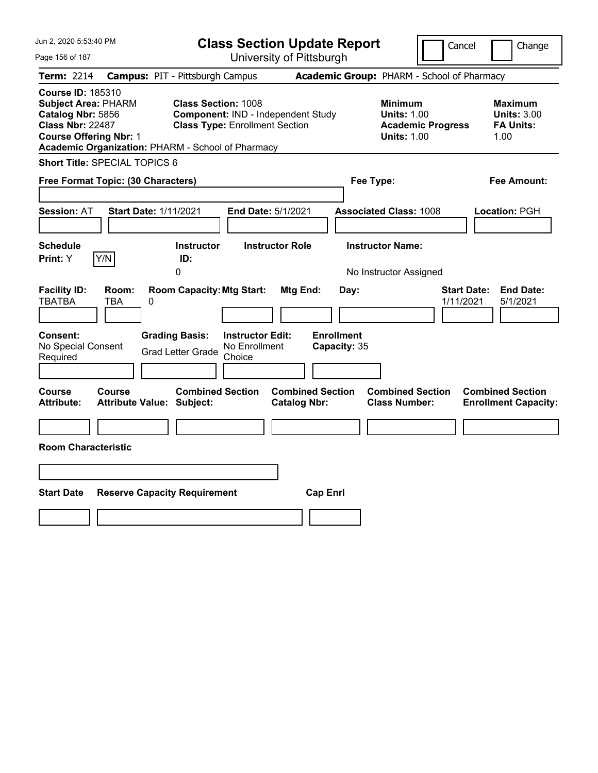| Jun 2, 2020 5:53:40 PM                                                                                                                                                                       |                                            |                                                                     |                                                    | <b>Class Section Update Report</b>             |                                            |                                                            | Cancel                   | Change                                                           |
|----------------------------------------------------------------------------------------------------------------------------------------------------------------------------------------------|--------------------------------------------|---------------------------------------------------------------------|----------------------------------------------------|------------------------------------------------|--------------------------------------------|------------------------------------------------------------|--------------------------|------------------------------------------------------------------|
| Page 156 of 187                                                                                                                                                                              |                                            |                                                                     |                                                    | University of Pittsburgh                       |                                            |                                                            |                          |                                                                  |
| Term: 2214                                                                                                                                                                                   | <b>Campus: PIT - Pittsburgh Campus</b>     |                                                                     |                                                    |                                                | Academic Group: PHARM - School of Pharmacy |                                                            |                          |                                                                  |
| <b>Course ID: 185310</b><br><b>Subject Area: PHARM</b><br>Catalog Nbr: 5856<br><b>Class Nbr: 22487</b><br><b>Course Offering Nbr: 1</b><br>Academic Organization: PHARM - School of Pharmacy |                                            | <b>Class Section: 1008</b><br><b>Class Type: Enrollment Section</b> |                                                    | Component: IND - Independent Study             |                                            | <b>Minimum</b><br><b>Units: 1.00</b><br><b>Units: 1.00</b> | <b>Academic Progress</b> | <b>Maximum</b><br><b>Units: 3.00</b><br><b>FA Units:</b><br>1.00 |
| <b>Short Title: SPECIAL TOPICS 6</b>                                                                                                                                                         |                                            |                                                                     |                                                    |                                                |                                            |                                                            |                          |                                                                  |
| Free Format Topic: (30 Characters)                                                                                                                                                           |                                            |                                                                     |                                                    |                                                |                                            | Fee Type:                                                  |                          | Fee Amount:                                                      |
| <b>Session: AT</b>                                                                                                                                                                           | <b>Start Date: 1/11/2021</b>               |                                                                     |                                                    | End Date: 5/1/2021                             |                                            | <b>Associated Class: 1008</b>                              |                          | Location: PGH                                                    |
| <b>Schedule</b><br><b>Print:</b> Y                                                                                                                                                           | Y/N                                        | <b>Instructor</b><br>ID:                                            |                                                    | <b>Instructor Role</b>                         |                                            | <b>Instructor Name:</b>                                    |                          |                                                                  |
|                                                                                                                                                                                              |                                            | 0                                                                   |                                                    |                                                |                                            | No Instructor Assigned                                     |                          |                                                                  |
| <b>Facility ID:</b><br><b>TBATBA</b>                                                                                                                                                         | Room:<br>TBA<br>0                          | <b>Room Capacity: Mtg Start:</b>                                    |                                                    | Mtg End:                                       | Day:<br><b>Enrollment</b>                  |                                                            | 1/11/2021                | <b>Start Date:</b><br><b>End Date:</b><br>5/1/2021               |
| <b>Consent:</b><br>No Special Consent<br>Required                                                                                                                                            |                                            | <b>Grading Basis:</b><br><b>Grad Letter Grade</b>                   | <b>Instructor Edit:</b><br>No Enrollment<br>Choice |                                                | Capacity: 35                               |                                                            |                          |                                                                  |
| Course<br><b>Attribute:</b>                                                                                                                                                                  | Course<br><b>Attribute Value: Subject:</b> | <b>Combined Section</b>                                             |                                                    | <b>Combined Section</b><br><b>Catalog Nbr:</b> |                                            | <b>Combined Section</b><br><b>Class Number:</b>            |                          | <b>Combined Section</b><br><b>Enrollment Capacity:</b>           |
|                                                                                                                                                                                              |                                            |                                                                     |                                                    |                                                |                                            |                                                            |                          |                                                                  |
| <b>Room Characteristic</b>                                                                                                                                                                   |                                            |                                                                     |                                                    |                                                |                                            |                                                            |                          |                                                                  |
|                                                                                                                                                                                              |                                            |                                                                     |                                                    |                                                |                                            |                                                            |                          |                                                                  |
| <b>Start Date</b>                                                                                                                                                                            | <b>Reserve Capacity Requirement</b>        |                                                                     |                                                    |                                                | <b>Cap Enrl</b>                            |                                                            |                          |                                                                  |
|                                                                                                                                                                                              |                                            |                                                                     |                                                    |                                                |                                            |                                                            |                          |                                                                  |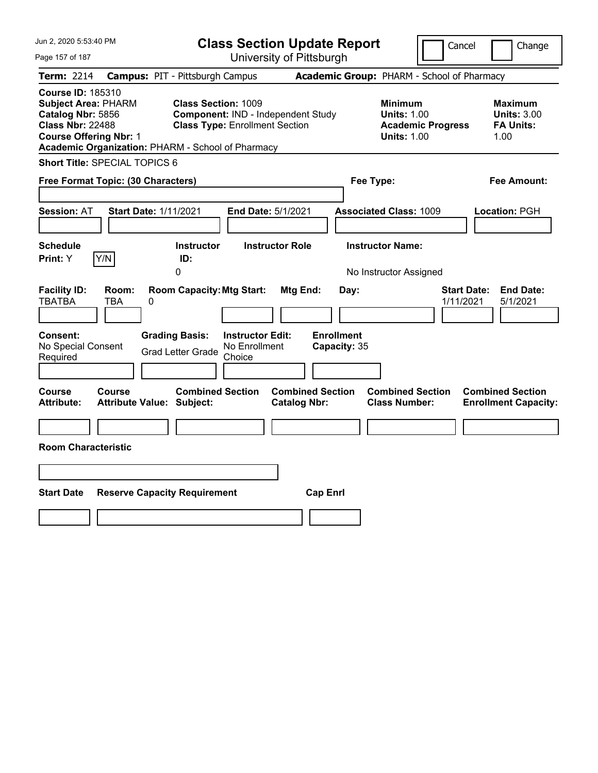| Jun 2, 2020 5:53:40 PM                                                                                                                                                                       |                                                                                                                                             | <b>Class Section Update Report</b>                    | Cancel                                                                                 | Change                                                           |
|----------------------------------------------------------------------------------------------------------------------------------------------------------------------------------------------|---------------------------------------------------------------------------------------------------------------------------------------------|-------------------------------------------------------|----------------------------------------------------------------------------------------|------------------------------------------------------------------|
| Page 157 of 187                                                                                                                                                                              |                                                                                                                                             | University of Pittsburgh                              |                                                                                        |                                                                  |
| Term: 2214                                                                                                                                                                                   | <b>Campus: PIT - Pittsburgh Campus</b>                                                                                                      |                                                       | Academic Group: PHARM - School of Pharmacy                                             |                                                                  |
| <b>Course ID: 185310</b><br><b>Subject Area: PHARM</b><br>Catalog Nbr: 5856<br><b>Class Nbr: 22488</b><br><b>Course Offering Nbr: 1</b><br>Academic Organization: PHARM - School of Pharmacy | <b>Class Section: 1009</b><br>Component: IND - Independent Study<br><b>Class Type: Enrollment Section</b>                                   |                                                       | <b>Minimum</b><br><b>Units: 1.00</b><br><b>Academic Progress</b><br><b>Units: 1.00</b> | <b>Maximum</b><br><b>Units: 3.00</b><br><b>FA Units:</b><br>1.00 |
| Short Title: SPECIAL TOPICS 6                                                                                                                                                                |                                                                                                                                             |                                                       |                                                                                        |                                                                  |
| Free Format Topic: (30 Characters)                                                                                                                                                           |                                                                                                                                             | Fee Type:                                             |                                                                                        | Fee Amount:                                                      |
| <b>Start Date: 1/11/2021</b><br><b>Session: AT</b>                                                                                                                                           | End Date: 5/1/2021                                                                                                                          |                                                       | <b>Associated Class: 1009</b>                                                          | Location: PGH                                                    |
| <b>Schedule</b>                                                                                                                                                                              | <b>Instructor Role</b><br><b>Instructor</b>                                                                                                 |                                                       | <b>Instructor Name:</b>                                                                |                                                                  |
| Y/N<br>Print: Y                                                                                                                                                                              | ID:<br>0                                                                                                                                    |                                                       | No Instructor Assigned                                                                 |                                                                  |
| <b>Facility ID:</b><br>Room:<br><b>TBATBA</b><br><b>TBA</b><br>0<br>Consent:<br>No Special Consent<br>Required                                                                               | <b>Room Capacity: Mtg Start:</b><br><b>Grading Basis:</b><br><b>Instructor Edit:</b><br>No Enrollment<br><b>Grad Letter Grade</b><br>Choice | Mtg End:<br>Day:<br><b>Enrollment</b><br>Capacity: 35 | 1/11/2021                                                                              | <b>Start Date:</b><br><b>End Date:</b><br>5/1/2021               |
| Course<br>Course<br><b>Attribute:</b><br><b>Attribute Value: Subject:</b>                                                                                                                    | <b>Combined Section</b>                                                                                                                     | <b>Combined Section</b><br><b>Catalog Nbr:</b>        | <b>Combined Section</b><br><b>Class Number:</b>                                        | <b>Combined Section</b><br><b>Enrollment Capacity:</b>           |
|                                                                                                                                                                                              |                                                                                                                                             |                                                       |                                                                                        |                                                                  |
| <b>Room Characteristic</b>                                                                                                                                                                   |                                                                                                                                             |                                                       |                                                                                        |                                                                  |
| <b>Start Date</b>                                                                                                                                                                            | <b>Reserve Capacity Requirement</b>                                                                                                         | <b>Cap Enrl</b>                                       |                                                                                        |                                                                  |
|                                                                                                                                                                                              |                                                                                                                                             |                                                       |                                                                                        |                                                                  |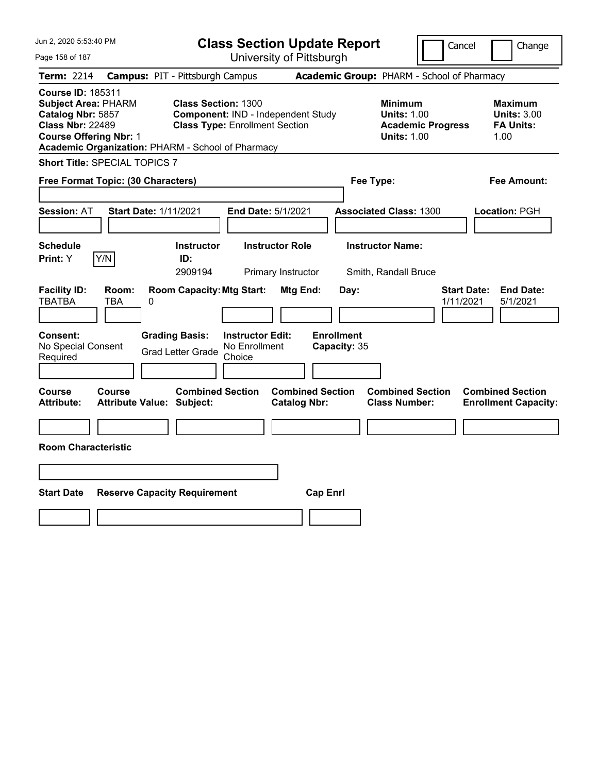| Jun 2, 2020 5:53:40 PM                                                                                                                                                                       |                                            |                                                                     |                                                    | <b>Class Section Update Report</b>             |                                            |                                                            | Cancel                   |                                                                  | Change |
|----------------------------------------------------------------------------------------------------------------------------------------------------------------------------------------------|--------------------------------------------|---------------------------------------------------------------------|----------------------------------------------------|------------------------------------------------|--------------------------------------------|------------------------------------------------------------|--------------------------|------------------------------------------------------------------|--------|
| Page 158 of 187                                                                                                                                                                              |                                            |                                                                     |                                                    | University of Pittsburgh                       |                                            |                                                            |                          |                                                                  |        |
| Term: 2214                                                                                                                                                                                   | <b>Campus: PIT - Pittsburgh Campus</b>     |                                                                     |                                                    |                                                | Academic Group: PHARM - School of Pharmacy |                                                            |                          |                                                                  |        |
| <b>Course ID: 185311</b><br><b>Subject Area: PHARM</b><br>Catalog Nbr: 5857<br><b>Class Nbr: 22489</b><br><b>Course Offering Nbr: 1</b><br>Academic Organization: PHARM - School of Pharmacy |                                            | <b>Class Section: 1300</b><br><b>Class Type: Enrollment Section</b> |                                                    | Component: IND - Independent Study             |                                            | <b>Minimum</b><br><b>Units: 1.00</b><br><b>Units: 1.00</b> | <b>Academic Progress</b> | <b>Maximum</b><br><b>Units: 3.00</b><br><b>FA Units:</b><br>1.00 |        |
| <b>Short Title: SPECIAL TOPICS 7</b>                                                                                                                                                         |                                            |                                                                     |                                                    |                                                |                                            |                                                            |                          |                                                                  |        |
| Free Format Topic: (30 Characters)                                                                                                                                                           |                                            |                                                                     |                                                    |                                                |                                            | Fee Type:                                                  |                          | Fee Amount:                                                      |        |
| <b>Session: AT</b>                                                                                                                                                                           | <b>Start Date: 1/11/2021</b>               |                                                                     | End Date: 5/1/2021                                 |                                                |                                            | <b>Associated Class: 1300</b>                              |                          | Location: PGH                                                    |        |
| <b>Schedule</b><br>Y/N<br><b>Print:</b> Y                                                                                                                                                    |                                            | <b>Instructor</b><br>ID:<br>2909194                                 |                                                    | <b>Instructor Role</b><br>Primary Instructor   |                                            | <b>Instructor Name:</b><br>Smith, Randall Bruce            |                          |                                                                  |        |
| <b>Facility ID:</b><br><b>TBATBA</b>                                                                                                                                                         | Room:<br>TBA<br>0                          | <b>Room Capacity: Mtg Start:</b>                                    |                                                    | Mtg End:                                       | Day:                                       |                                                            | 1/11/2021                | <b>Start Date:</b><br><b>End Date:</b><br>5/1/2021               |        |
| <b>Consent:</b><br>No Special Consent<br>Required                                                                                                                                            |                                            | <b>Grading Basis:</b><br><b>Grad Letter Grade</b>                   | <b>Instructor Edit:</b><br>No Enrollment<br>Choice |                                                | <b>Enrollment</b><br>Capacity: 35          |                                                            |                          |                                                                  |        |
| Course<br><b>Attribute:</b>                                                                                                                                                                  | Course<br><b>Attribute Value: Subject:</b> | <b>Combined Section</b>                                             |                                                    | <b>Combined Section</b><br><b>Catalog Nbr:</b> |                                            | <b>Combined Section</b><br><b>Class Number:</b>            |                          | <b>Combined Section</b><br><b>Enrollment Capacity:</b>           |        |
|                                                                                                                                                                                              |                                            |                                                                     |                                                    |                                                |                                            |                                                            |                          |                                                                  |        |
| <b>Room Characteristic</b>                                                                                                                                                                   |                                            |                                                                     |                                                    |                                                |                                            |                                                            |                          |                                                                  |        |
|                                                                                                                                                                                              |                                            |                                                                     |                                                    |                                                |                                            |                                                            |                          |                                                                  |        |
| <b>Start Date</b>                                                                                                                                                                            | <b>Reserve Capacity Requirement</b>        |                                                                     |                                                    |                                                | <b>Cap Enrl</b>                            |                                                            |                          |                                                                  |        |
|                                                                                                                                                                                              |                                            |                                                                     |                                                    |                                                |                                            |                                                            |                          |                                                                  |        |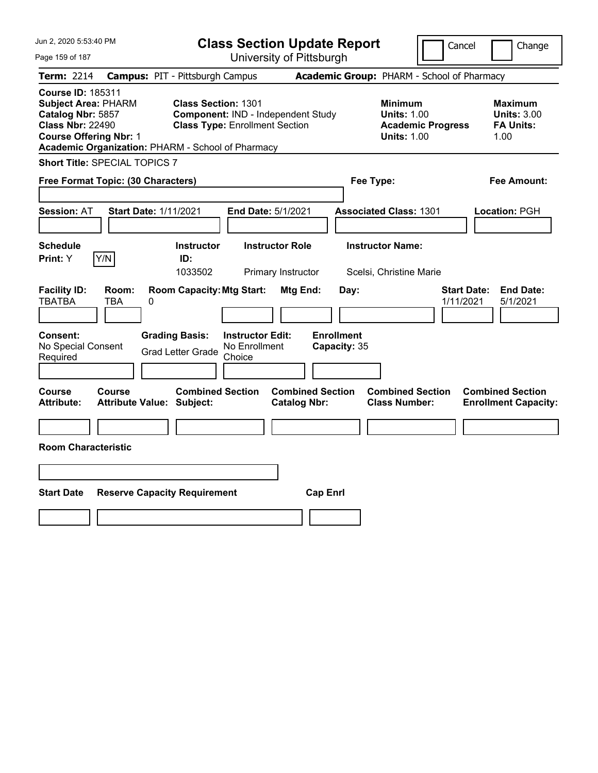| Jun 2, 2020 5:53:40 PM                                                                                                                                                                       |                                                   |                                                                     |                                                    | <b>Class Section Update Report</b>             |                                   |                                                            | Cancel                   | Change                                                           |
|----------------------------------------------------------------------------------------------------------------------------------------------------------------------------------------------|---------------------------------------------------|---------------------------------------------------------------------|----------------------------------------------------|------------------------------------------------|-----------------------------------|------------------------------------------------------------|--------------------------|------------------------------------------------------------------|
| Page 159 of 187                                                                                                                                                                              |                                                   |                                                                     |                                                    | University of Pittsburgh                       |                                   |                                                            |                          |                                                                  |
| Term: 2214                                                                                                                                                                                   | <b>Campus: PIT - Pittsburgh Campus</b>            |                                                                     |                                                    |                                                |                                   | Academic Group: PHARM - School of Pharmacy                 |                          |                                                                  |
| <b>Course ID: 185311</b><br><b>Subject Area: PHARM</b><br>Catalog Nbr: 5857<br><b>Class Nbr: 22490</b><br><b>Course Offering Nbr: 1</b><br>Academic Organization: PHARM - School of Pharmacy |                                                   | <b>Class Section: 1301</b><br><b>Class Type: Enrollment Section</b> |                                                    | Component: IND - Independent Study             |                                   | <b>Minimum</b><br><b>Units: 1.00</b><br><b>Units: 1.00</b> | <b>Academic Progress</b> | <b>Maximum</b><br><b>Units: 3.00</b><br><b>FA Units:</b><br>1.00 |
| <b>Short Title: SPECIAL TOPICS 7</b>                                                                                                                                                         |                                                   |                                                                     |                                                    |                                                |                                   |                                                            |                          |                                                                  |
| Free Format Topic: (30 Characters)                                                                                                                                                           |                                                   |                                                                     |                                                    |                                                |                                   | Fee Type:                                                  |                          | Fee Amount:                                                      |
| <b>Session: AT</b>                                                                                                                                                                           | <b>Start Date: 1/11/2021</b>                      |                                                                     |                                                    | End Date: 5/1/2021                             |                                   | <b>Associated Class: 1301</b>                              |                          | Location: PGH                                                    |
| <b>Schedule</b><br>Y/N<br>Print: Y                                                                                                                                                           |                                                   | <b>Instructor</b><br>ID:<br>1033502                                 |                                                    | <b>Instructor Role</b><br>Primary Instructor   |                                   | <b>Instructor Name:</b><br>Scelsi, Christine Marie         |                          |                                                                  |
| <b>Facility ID:</b><br><b>TBATBA</b>                                                                                                                                                         | Room:<br>TBA<br>0                                 | <b>Room Capacity: Mtg Start:</b>                                    |                                                    | Mtg End:                                       | Day:                              |                                                            |                          | <b>Start Date:</b><br><b>End Date:</b><br>1/11/2021<br>5/1/2021  |
| <b>Consent:</b><br>No Special Consent<br>Required                                                                                                                                            |                                                   | <b>Grading Basis:</b><br><b>Grad Letter Grade</b>                   | <b>Instructor Edit:</b><br>No Enrollment<br>Choice |                                                | <b>Enrollment</b><br>Capacity: 35 |                                                            |                          |                                                                  |
| Course<br><b>Attribute:</b>                                                                                                                                                                  | <b>Course</b><br><b>Attribute Value: Subject:</b> | <b>Combined Section</b>                                             |                                                    | <b>Combined Section</b><br><b>Catalog Nbr:</b> |                                   | <b>Combined Section</b><br><b>Class Number:</b>            |                          | <b>Combined Section</b><br><b>Enrollment Capacity:</b>           |
| <b>Room Characteristic</b>                                                                                                                                                                   |                                                   |                                                                     |                                                    |                                                |                                   |                                                            |                          |                                                                  |
|                                                                                                                                                                                              |                                                   |                                                                     |                                                    |                                                |                                   |                                                            |                          |                                                                  |
| <b>Start Date</b>                                                                                                                                                                            | <b>Reserve Capacity Requirement</b>               |                                                                     |                                                    |                                                | <b>Cap Enrl</b>                   |                                                            |                          |                                                                  |
|                                                                                                                                                                                              |                                                   |                                                                     |                                                    |                                                |                                   |                                                            |                          |                                                                  |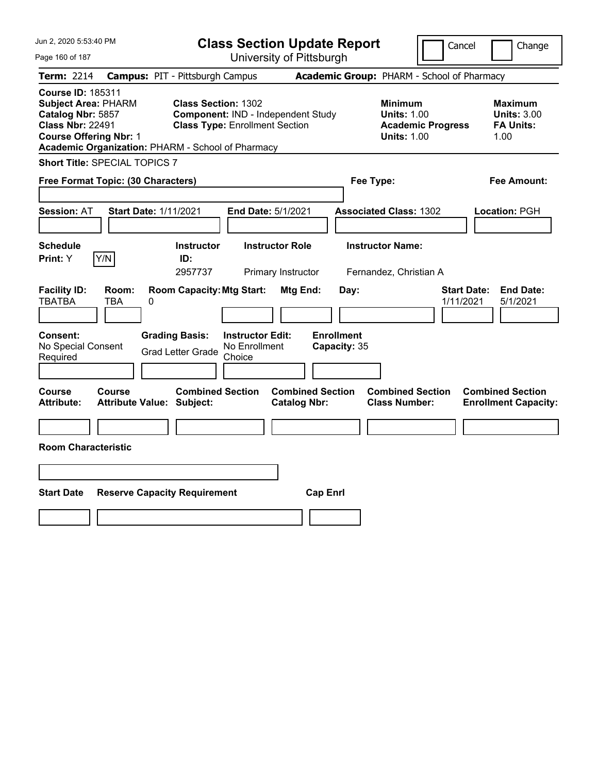| Jun 2, 2020 5:53:40 PM                                                                                                                                                                       |                                                   |                                                                     |                                                    | <b>Class Section Update Report</b>             |                                            |                                                            | Cancel                   | Change                                                           |  |
|----------------------------------------------------------------------------------------------------------------------------------------------------------------------------------------------|---------------------------------------------------|---------------------------------------------------------------------|----------------------------------------------------|------------------------------------------------|--------------------------------------------|------------------------------------------------------------|--------------------------|------------------------------------------------------------------|--|
| Page 160 of 187                                                                                                                                                                              |                                                   |                                                                     |                                                    | University of Pittsburgh                       |                                            |                                                            |                          |                                                                  |  |
| Term: 2214                                                                                                                                                                                   | <b>Campus: PIT - Pittsburgh Campus</b>            |                                                                     |                                                    |                                                | Academic Group: PHARM - School of Pharmacy |                                                            |                          |                                                                  |  |
| <b>Course ID: 185311</b><br><b>Subject Area: PHARM</b><br>Catalog Nbr: 5857<br><b>Class Nbr: 22491</b><br><b>Course Offering Nbr: 1</b><br>Academic Organization: PHARM - School of Pharmacy |                                                   | <b>Class Section: 1302</b><br><b>Class Type: Enrollment Section</b> |                                                    | Component: IND - Independent Study             |                                            | <b>Minimum</b><br><b>Units: 1.00</b><br><b>Units: 1.00</b> | <b>Academic Progress</b> | <b>Maximum</b><br><b>Units: 3.00</b><br><b>FA Units:</b><br>1.00 |  |
| <b>Short Title: SPECIAL TOPICS 7</b>                                                                                                                                                         |                                                   |                                                                     |                                                    |                                                |                                            |                                                            |                          |                                                                  |  |
| Free Format Topic: (30 Characters)                                                                                                                                                           |                                                   |                                                                     |                                                    |                                                | Fee Type:                                  |                                                            |                          | Fee Amount:                                                      |  |
| <b>Session: AT</b>                                                                                                                                                                           | <b>Start Date: 1/11/2021</b>                      |                                                                     |                                                    | End Date: 5/1/2021                             |                                            | <b>Associated Class: 1302</b>                              |                          | Location: PGH                                                    |  |
| <b>Schedule</b><br>Y/N<br>Print: Y                                                                                                                                                           |                                                   | <b>Instructor</b><br>ID:<br>2957737                                 |                                                    | <b>Instructor Role</b><br>Primary Instructor   |                                            | <b>Instructor Name:</b><br>Fernandez, Christian A          |                          |                                                                  |  |
| <b>Facility ID:</b><br><b>TBATBA</b>                                                                                                                                                         | Room:<br>TBA<br>0                                 | <b>Room Capacity: Mtg Start:</b>                                    |                                                    | Mtg End:                                       | Day:                                       |                                                            |                          | <b>Start Date:</b><br><b>End Date:</b><br>1/11/2021<br>5/1/2021  |  |
| <b>Consent:</b><br>No Special Consent<br>Required                                                                                                                                            |                                                   | <b>Grading Basis:</b><br><b>Grad Letter Grade</b>                   | <b>Instructor Edit:</b><br>No Enrollment<br>Choice |                                                | <b>Enrollment</b><br>Capacity: 35          |                                                            |                          |                                                                  |  |
| Course<br><b>Attribute:</b>                                                                                                                                                                  | <b>Course</b><br><b>Attribute Value: Subject:</b> | <b>Combined Section</b>                                             |                                                    | <b>Combined Section</b><br><b>Catalog Nbr:</b> |                                            | <b>Combined Section</b><br><b>Class Number:</b>            |                          | <b>Combined Section</b><br><b>Enrollment Capacity:</b>           |  |
| <b>Room Characteristic</b>                                                                                                                                                                   |                                                   |                                                                     |                                                    |                                                |                                            |                                                            |                          |                                                                  |  |
|                                                                                                                                                                                              |                                                   |                                                                     |                                                    |                                                |                                            |                                                            |                          |                                                                  |  |
| <b>Start Date</b>                                                                                                                                                                            | <b>Reserve Capacity Requirement</b>               |                                                                     |                                                    | <b>Cap Enrl</b>                                |                                            |                                                            |                          |                                                                  |  |
|                                                                                                                                                                                              |                                                   |                                                                     |                                                    |                                                |                                            |                                                            |                          |                                                                  |  |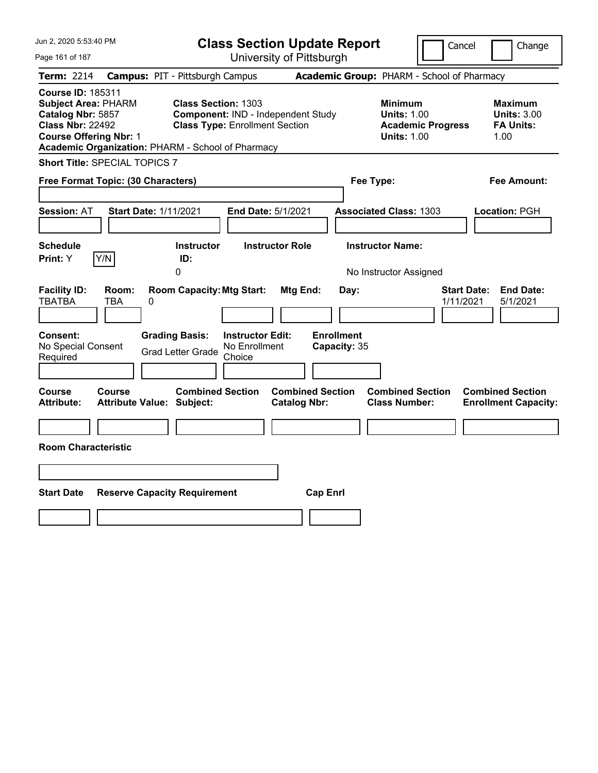| Jun 2, 2020 5:53:40 PM                                                                                                                                                                       |                                                                                                           | <b>Class Section Update Report</b>             | Cancel                                                                                 | Change                                                    |
|----------------------------------------------------------------------------------------------------------------------------------------------------------------------------------------------|-----------------------------------------------------------------------------------------------------------|------------------------------------------------|----------------------------------------------------------------------------------------|-----------------------------------------------------------|
| Page 161 of 187                                                                                                                                                                              |                                                                                                           | University of Pittsburgh                       |                                                                                        |                                                           |
| Term: 2214                                                                                                                                                                                   | <b>Campus: PIT - Pittsburgh Campus</b>                                                                    |                                                | Academic Group: PHARM - School of Pharmacy                                             |                                                           |
| <b>Course ID: 185311</b><br><b>Subject Area: PHARM</b><br>Catalog Nbr: 5857<br><b>Class Nbr: 22492</b><br><b>Course Offering Nbr: 1</b><br>Academic Organization: PHARM - School of Pharmacy | <b>Class Section: 1303</b><br>Component: IND - Independent Study<br><b>Class Type: Enrollment Section</b> |                                                | <b>Minimum</b><br><b>Units: 1.00</b><br><b>Academic Progress</b><br><b>Units: 1.00</b> | Maximum<br><b>Units: 3.00</b><br><b>FA Units:</b><br>1.00 |
| <b>Short Title: SPECIAL TOPICS 7</b>                                                                                                                                                         |                                                                                                           |                                                |                                                                                        |                                                           |
| Free Format Topic: (30 Characters)                                                                                                                                                           |                                                                                                           | Fee Type:                                      |                                                                                        | Fee Amount:                                               |
| <b>Start Date: 1/11/2021</b><br><b>Session: AT</b>                                                                                                                                           | End Date: 5/1/2021                                                                                        |                                                | <b>Associated Class: 1303</b>                                                          | Location: PGH                                             |
| <b>Schedule</b><br>Y/N<br>Print: Y                                                                                                                                                           | <b>Instructor</b><br>ID:                                                                                  | <b>Instructor Role</b>                         | <b>Instructor Name:</b>                                                                |                                                           |
|                                                                                                                                                                                              | 0                                                                                                         |                                                | No Instructor Assigned                                                                 |                                                           |
| <b>Facility ID:</b><br>Room:<br><b>TBATBA</b><br>TBA<br>0                                                                                                                                    | <b>Room Capacity: Mtg Start:</b>                                                                          | Mtg End:<br>Day:                               | 1/11/2021                                                                              | <b>End Date:</b><br><b>Start Date:</b><br>5/1/2021        |
| Consent:<br>No Special Consent<br>Required                                                                                                                                                   | <b>Grading Basis:</b><br><b>Instructor Edit:</b><br>No Enrollment<br><b>Grad Letter Grade</b><br>Choice   | <b>Enrollment</b><br>Capacity: 35              |                                                                                        |                                                           |
| Course<br>Course<br><b>Attribute Value: Subject:</b><br>Attribute:                                                                                                                           | <b>Combined Section</b>                                                                                   | <b>Combined Section</b><br><b>Catalog Nbr:</b> | <b>Combined Section</b><br><b>Class Number:</b>                                        | <b>Combined Section</b><br><b>Enrollment Capacity:</b>    |
|                                                                                                                                                                                              |                                                                                                           |                                                |                                                                                        |                                                           |
| <b>Room Characteristic</b>                                                                                                                                                                   |                                                                                                           |                                                |                                                                                        |                                                           |
|                                                                                                                                                                                              |                                                                                                           |                                                |                                                                                        |                                                           |
| <b>Start Date</b><br><b>Reserve Capacity Requirement</b>                                                                                                                                     |                                                                                                           | <b>Cap Enrl</b>                                |                                                                                        |                                                           |
|                                                                                                                                                                                              |                                                                                                           |                                                |                                                                                        |                                                           |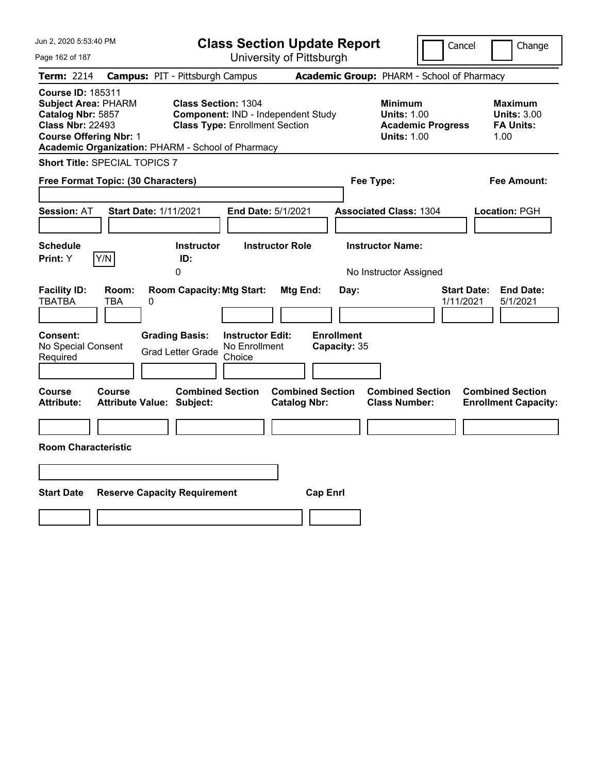| Jun 2, 2020 5:53:40 PM                                                                                                                                                                       |                                            |                                                                     |                                                    | <b>Class Section Update Report</b>             |                                            |                                                            |                          | Cancel<br>Change                                                 |
|----------------------------------------------------------------------------------------------------------------------------------------------------------------------------------------------|--------------------------------------------|---------------------------------------------------------------------|----------------------------------------------------|------------------------------------------------|--------------------------------------------|------------------------------------------------------------|--------------------------|------------------------------------------------------------------|
| Page 162 of 187                                                                                                                                                                              |                                            |                                                                     |                                                    | University of Pittsburgh                       |                                            |                                                            |                          |                                                                  |
| Term: 2214                                                                                                                                                                                   | <b>Campus: PIT - Pittsburgh Campus</b>     |                                                                     |                                                    |                                                | Academic Group: PHARM - School of Pharmacy |                                                            |                          |                                                                  |
| <b>Course ID: 185311</b><br><b>Subject Area: PHARM</b><br>Catalog Nbr: 5857<br><b>Class Nbr: 22493</b><br><b>Course Offering Nbr: 1</b><br>Academic Organization: PHARM - School of Pharmacy |                                            | <b>Class Section: 1304</b><br><b>Class Type: Enrollment Section</b> |                                                    | Component: IND - Independent Study             |                                            | <b>Minimum</b><br><b>Units: 1.00</b><br><b>Units: 1.00</b> | <b>Academic Progress</b> | <b>Maximum</b><br><b>Units: 3.00</b><br><b>FA Units:</b><br>1.00 |
| <b>Short Title: SPECIAL TOPICS 7</b>                                                                                                                                                         |                                            |                                                                     |                                                    |                                                |                                            |                                                            |                          |                                                                  |
| Free Format Topic: (30 Characters)                                                                                                                                                           |                                            |                                                                     |                                                    |                                                | Fee Type:                                  |                                                            |                          | Fee Amount:                                                      |
| Session: AT<br><b>Schedule</b><br>Y/N<br>Print: Y                                                                                                                                            | <b>Start Date: 1/11/2021</b>               | <b>Instructor</b><br>ID:                                            |                                                    | End Date: 5/1/2021<br><b>Instructor Role</b>   |                                            | <b>Associated Class: 1304</b><br><b>Instructor Name:</b>   |                          | Location: PGH                                                    |
|                                                                                                                                                                                              |                                            | 0                                                                   |                                                    |                                                |                                            | No Instructor Assigned                                     |                          |                                                                  |
| <b>Facility ID:</b><br><b>TBATBA</b>                                                                                                                                                         | Room:<br>TBA<br>0                          | <b>Room Capacity: Mtg Start:</b>                                    |                                                    | Mtg End:                                       | Day:                                       |                                                            |                          | <b>Start Date:</b><br><b>End Date:</b><br>1/11/2021<br>5/1/2021  |
| <b>Consent:</b><br>No Special Consent<br>Required                                                                                                                                            |                                            | <b>Grading Basis:</b><br><b>Grad Letter Grade</b>                   | <b>Instructor Edit:</b><br>No Enrollment<br>Choice |                                                | <b>Enrollment</b><br>Capacity: 35          |                                                            |                          |                                                                  |
| <b>Course</b><br><b>Attribute:</b>                                                                                                                                                           | Course<br><b>Attribute Value: Subject:</b> | <b>Combined Section</b>                                             |                                                    | <b>Combined Section</b><br><b>Catalog Nbr:</b> |                                            | <b>Combined Section</b><br><b>Class Number:</b>            |                          | <b>Combined Section</b><br><b>Enrollment Capacity:</b>           |
|                                                                                                                                                                                              |                                            |                                                                     |                                                    |                                                |                                            |                                                            |                          |                                                                  |
| <b>Room Characteristic</b>                                                                                                                                                                   |                                            |                                                                     |                                                    |                                                |                                            |                                                            |                          |                                                                  |
|                                                                                                                                                                                              |                                            |                                                                     |                                                    |                                                |                                            |                                                            |                          |                                                                  |
| <b>Start Date</b>                                                                                                                                                                            | <b>Reserve Capacity Requirement</b>        |                                                                     |                                                    | <b>Cap Enrl</b>                                |                                            |                                                            |                          |                                                                  |
|                                                                                                                                                                                              |                                            |                                                                     |                                                    |                                                |                                            |                                                            |                          |                                                                  |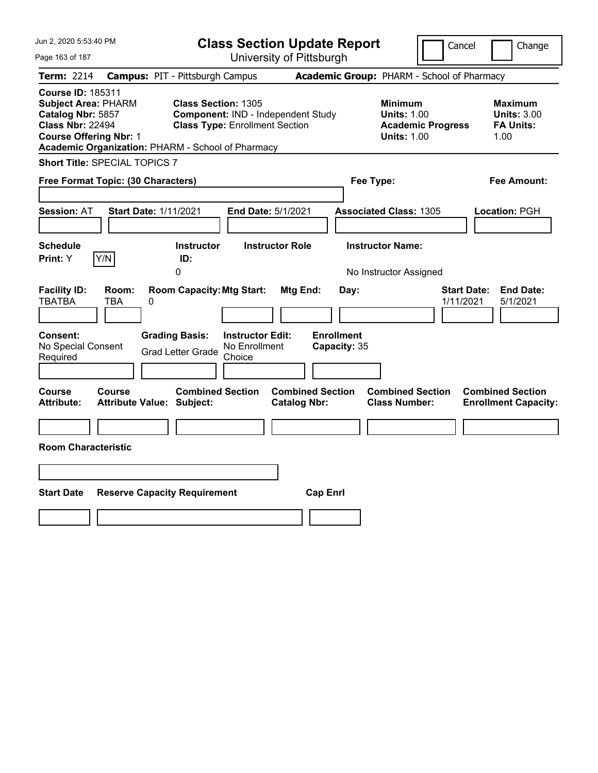| Jun 2, 2020 5:53:40 PM                                                                                                                  |                                                   |                                                                                            |                                                    | <b>Class Section Update Report</b>             |                                            |                                                            |                          | Cancel<br>Change                                                 |
|-----------------------------------------------------------------------------------------------------------------------------------------|---------------------------------------------------|--------------------------------------------------------------------------------------------|----------------------------------------------------|------------------------------------------------|--------------------------------------------|------------------------------------------------------------|--------------------------|------------------------------------------------------------------|
| Page 163 of 187                                                                                                                         |                                                   |                                                                                            |                                                    | University of Pittsburgh                       |                                            |                                                            |                          |                                                                  |
| Term: 2214                                                                                                                              | <b>Campus: PIT - Pittsburgh Campus</b>            |                                                                                            |                                                    |                                                | Academic Group: PHARM - School of Pharmacy |                                                            |                          |                                                                  |
| <b>Course ID: 185311</b><br><b>Subject Area: PHARM</b><br>Catalog Nbr: 5857<br><b>Class Nbr: 22494</b><br><b>Course Offering Nbr: 1</b> | Academic Organization: PHARM - School of Pharmacy | <b>Class Section: 1305</b><br><b>Class Type: Enrollment Section</b>                        |                                                    | Component: IND - Independent Study             |                                            | <b>Minimum</b><br><b>Units: 1.00</b><br><b>Units: 1.00</b> | <b>Academic Progress</b> | <b>Maximum</b><br><b>Units: 3.00</b><br><b>FA Units:</b><br>1.00 |
|                                                                                                                                         | <b>Short Title: SPECIAL TOPICS 7</b>              |                                                                                            |                                                    |                                                |                                            |                                                            |                          |                                                                  |
|                                                                                                                                         | Free Format Topic: (30 Characters)                |                                                                                            |                                                    |                                                |                                            | Fee Type:                                                  |                          | Fee Amount:                                                      |
| Session: AT<br><b>Schedule</b><br>Print: Y                                                                                              | <b>Start Date: 1/11/2021</b><br>Y/N               | <b>Instructor</b><br>ID:                                                                   |                                                    | End Date: 5/1/2021<br><b>Instructor Role</b>   |                                            | <b>Associated Class: 1305</b><br><b>Instructor Name:</b>   |                          | Location: PGH                                                    |
| <b>Facility ID:</b><br><b>TBATBA</b><br><b>Consent:</b><br>No Special Consent<br>Required                                               | Room:<br>TBA<br>0                                 | 0<br><b>Room Capacity: Mtg Start:</b><br><b>Grading Basis:</b><br><b>Grad Letter Grade</b> | <b>Instructor Edit:</b><br>No Enrollment<br>Choice | Mtg End:                                       | Day:<br><b>Enrollment</b><br>Capacity: 35  | No Instructor Assigned                                     |                          | <b>Start Date:</b><br><b>End Date:</b><br>1/11/2021<br>5/1/2021  |
| <b>Course</b><br><b>Attribute:</b><br><b>Room Characteristic</b>                                                                        | Course<br><b>Attribute Value: Subject:</b>        | <b>Combined Section</b>                                                                    |                                                    | <b>Combined Section</b><br><b>Catalog Nbr:</b> |                                            | <b>Combined Section</b><br><b>Class Number:</b>            |                          | <b>Combined Section</b><br><b>Enrollment Capacity:</b>           |
| <b>Start Date</b>                                                                                                                       | <b>Reserve Capacity Requirement</b>               |                                                                                            |                                                    |                                                | <b>Cap Enrl</b>                            |                                                            |                          |                                                                  |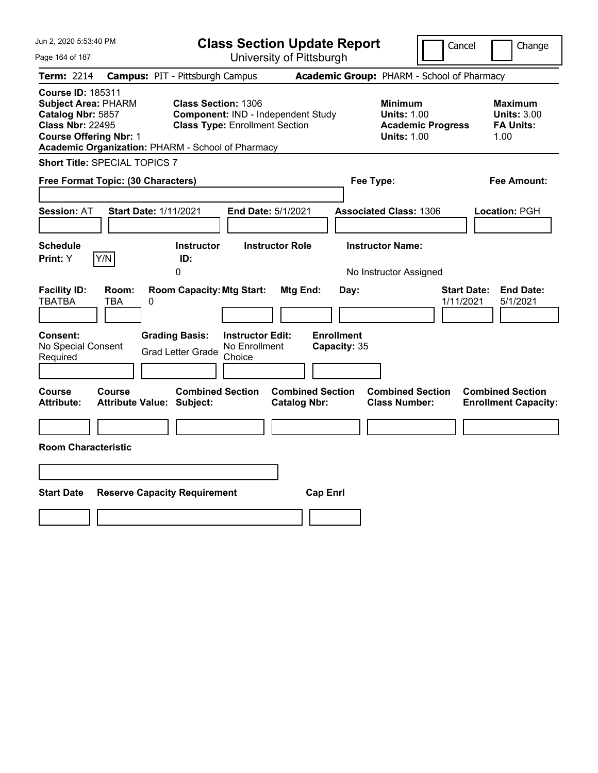| Jun 2, 2020 5:53:40 PM                                                                                                                  |                                                                                            | <b>Class Section Update Report</b>                                          |                                                       |                                                                                        | Cancel<br>Change                                                 |
|-----------------------------------------------------------------------------------------------------------------------------------------|--------------------------------------------------------------------------------------------|-----------------------------------------------------------------------------|-------------------------------------------------------|----------------------------------------------------------------------------------------|------------------------------------------------------------------|
| Page 164 of 187                                                                                                                         |                                                                                            | University of Pittsburgh                                                    |                                                       |                                                                                        |                                                                  |
| Term: 2214                                                                                                                              | <b>Campus: PIT - Pittsburgh Campus</b>                                                     |                                                                             |                                                       | Academic Group: PHARM - School of Pharmacy                                             |                                                                  |
| <b>Course ID: 185311</b><br><b>Subject Area: PHARM</b><br>Catalog Nbr: 5857<br><b>Class Nbr: 22495</b><br><b>Course Offering Nbr: 1</b> | <b>Class Section: 1306</b><br>Academic Organization: PHARM - School of Pharmacy            | Component: IND - Independent Study<br><b>Class Type: Enrollment Section</b> |                                                       | <b>Minimum</b><br><b>Units: 1.00</b><br><b>Academic Progress</b><br><b>Units: 1.00</b> | <b>Maximum</b><br><b>Units: 3.00</b><br><b>FA Units:</b><br>1.00 |
| <b>Short Title: SPECIAL TOPICS 7</b>                                                                                                    |                                                                                            |                                                                             |                                                       |                                                                                        |                                                                  |
| Free Format Topic: (30 Characters)                                                                                                      |                                                                                            |                                                                             |                                                       | Fee Type:                                                                              | Fee Amount:                                                      |
| <b>Session: AT</b><br><b>Schedule</b><br>Y/N<br><b>Print:</b> Y                                                                         | <b>Start Date: 1/11/2021</b><br><b>Instructor</b><br>ID:<br>0                              | End Date: 5/1/2021<br><b>Instructor Role</b>                                |                                                       | <b>Associated Class: 1306</b><br><b>Instructor Name:</b><br>No Instructor Assigned     | Location: PGH                                                    |
| <b>Facility ID:</b><br>Room:<br><b>TBATBA</b><br>TBA<br>Consent:<br>No Special Consent<br>Required                                      | <b>Room Capacity: Mtg Start:</b><br>0<br><b>Grading Basis:</b><br><b>Grad Letter Grade</b> | <b>Instructor Edit:</b><br>No Enrollment<br>Choice                          | Mtg End:<br>Day:<br><b>Enrollment</b><br>Capacity: 35 |                                                                                        | <b>Start Date:</b><br><b>End Date:</b><br>1/11/2021<br>5/1/2021  |
| Course<br>Course<br><b>Attribute:</b><br><b>Room Characteristic</b>                                                                     | <b>Combined Section</b><br><b>Attribute Value: Subject:</b>                                |                                                                             | <b>Combined Section</b><br><b>Catalog Nbr:</b>        | <b>Combined Section</b><br><b>Class Number:</b>                                        | <b>Combined Section</b><br><b>Enrollment Capacity:</b>           |
| <b>Start Date</b>                                                                                                                       | <b>Reserve Capacity Requirement</b>                                                        |                                                                             | <b>Cap Enrl</b>                                       |                                                                                        |                                                                  |
|                                                                                                                                         |                                                                                            |                                                                             |                                                       |                                                                                        |                                                                  |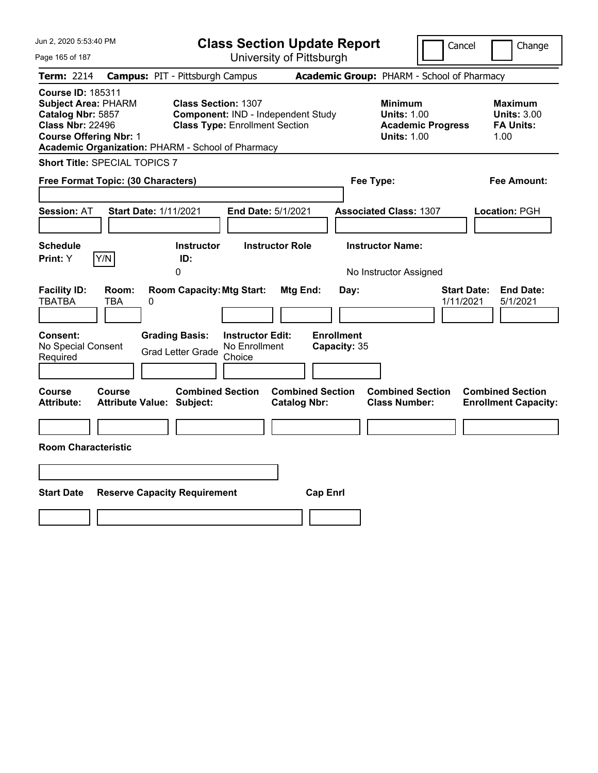| Jun 2, 2020 5:53:40 PM                                                                                                                  |                                                   |                                                                                       |                                                    | <b>Class Section Update Report</b>             |                                            |                                                                                    |                          | Cancel                          | Change                                                           |
|-----------------------------------------------------------------------------------------------------------------------------------------|---------------------------------------------------|---------------------------------------------------------------------------------------|----------------------------------------------------|------------------------------------------------|--------------------------------------------|------------------------------------------------------------------------------------|--------------------------|---------------------------------|------------------------------------------------------------------|
| Page 165 of 187                                                                                                                         |                                                   |                                                                                       |                                                    | University of Pittsburgh                       |                                            |                                                                                    |                          |                                 |                                                                  |
| Term: 2214                                                                                                                              | <b>Campus: PIT - Pittsburgh Campus</b>            |                                                                                       |                                                    |                                                | Academic Group: PHARM - School of Pharmacy |                                                                                    |                          |                                 |                                                                  |
| <b>Course ID: 185311</b><br><b>Subject Area: PHARM</b><br>Catalog Nbr: 5857<br><b>Class Nbr: 22496</b><br><b>Course Offering Nbr: 1</b> | Academic Organization: PHARM - School of Pharmacy | <b>Class Section: 1307</b><br><b>Class Type: Enrollment Section</b>                   |                                                    | Component: IND - Independent Study             |                                            | <b>Minimum</b><br><b>Units: 1.00</b><br><b>Units: 1.00</b>                         | <b>Academic Progress</b> |                                 | <b>Maximum</b><br><b>Units: 3.00</b><br><b>FA Units:</b><br>1.00 |
|                                                                                                                                         | <b>Short Title: SPECIAL TOPICS 7</b>              |                                                                                       |                                                    |                                                |                                            |                                                                                    |                          |                                 |                                                                  |
|                                                                                                                                         | Free Format Topic: (30 Characters)                |                                                                                       |                                                    |                                                | Fee Type:                                  |                                                                                    |                          |                                 | Fee Amount:                                                      |
| Session: AT<br><b>Schedule</b><br>Print: Y                                                                                              | <b>Start Date: 1/11/2021</b><br>Y/N               | <b>Instructor</b><br>ID:<br>0                                                         |                                                    | End Date: 5/1/2021<br><b>Instructor Role</b>   |                                            | <b>Associated Class: 1307</b><br><b>Instructor Name:</b><br>No Instructor Assigned |                          |                                 | Location: PGH                                                    |
| <b>Facility ID:</b><br><b>TBATBA</b><br><b>Consent:</b><br>No Special Consent<br>Required                                               | Room:<br>TBA<br>0                                 | <b>Room Capacity: Mtg Start:</b><br><b>Grading Basis:</b><br><b>Grad Letter Grade</b> | <b>Instructor Edit:</b><br>No Enrollment<br>Choice | Mtg End:                                       | Day:<br><b>Enrollment</b><br>Capacity: 35  |                                                                                    |                          | <b>Start Date:</b><br>1/11/2021 | <b>End Date:</b><br>5/1/2021                                     |
| <b>Course</b><br><b>Attribute:</b><br><b>Room Characteristic</b>                                                                        | Course<br><b>Attribute Value: Subject:</b>        | <b>Combined Section</b>                                                               |                                                    | <b>Combined Section</b><br><b>Catalog Nbr:</b> |                                            | <b>Combined Section</b><br><b>Class Number:</b>                                    |                          |                                 | <b>Combined Section</b><br><b>Enrollment Capacity:</b>           |
| <b>Start Date</b>                                                                                                                       | <b>Reserve Capacity Requirement</b>               |                                                                                       |                                                    | <b>Cap Enrl</b>                                |                                            |                                                                                    |                          |                                 |                                                                  |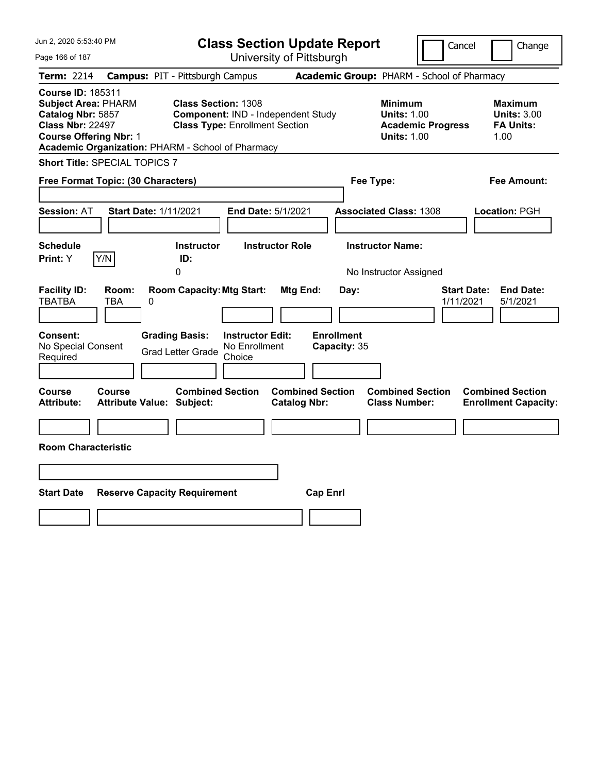| <b>Class Section Update Report</b><br>Cancel<br>Change<br>University of Pittsburgh<br>Page 166 of 187<br><b>Campus: PIT - Pittsburgh Campus</b><br>Academic Group: PHARM - School of Pharmacy<br>Term: 2214<br><b>Course ID: 185311</b><br><b>Class Section: 1308</b><br><b>Subject Area: PHARM</b><br><b>Minimum</b><br><b>Maximum</b><br>Catalog Nbr: 5857<br>Component: IND - Independent Study<br><b>Units: 1.00</b><br><b>Units: 3.00</b><br><b>Class Nbr: 22497</b><br><b>Class Type: Enrollment Section</b><br><b>Academic Progress</b><br><b>FA Units:</b><br><b>Course Offering Nbr: 1</b><br><b>Units: 1.00</b><br>1.00<br>Academic Organization: PHARM - School of Pharmacy<br><b>Short Title: SPECIAL TOPICS 7</b><br>Free Format Topic: (30 Characters)<br>Fee Type:<br>Fee Amount:<br><b>Start Date: 1/11/2021</b><br>End Date: 5/1/2021<br><b>Associated Class: 1308</b><br><b>Session: AT</b><br>Location: PGH |  |
|--------------------------------------------------------------------------------------------------------------------------------------------------------------------------------------------------------------------------------------------------------------------------------------------------------------------------------------------------------------------------------------------------------------------------------------------------------------------------------------------------------------------------------------------------------------------------------------------------------------------------------------------------------------------------------------------------------------------------------------------------------------------------------------------------------------------------------------------------------------------------------------------------------------------------------|--|
|                                                                                                                                                                                                                                                                                                                                                                                                                                                                                                                                                                                                                                                                                                                                                                                                                                                                                                                                |  |
|                                                                                                                                                                                                                                                                                                                                                                                                                                                                                                                                                                                                                                                                                                                                                                                                                                                                                                                                |  |
|                                                                                                                                                                                                                                                                                                                                                                                                                                                                                                                                                                                                                                                                                                                                                                                                                                                                                                                                |  |
|                                                                                                                                                                                                                                                                                                                                                                                                                                                                                                                                                                                                                                                                                                                                                                                                                                                                                                                                |  |
|                                                                                                                                                                                                                                                                                                                                                                                                                                                                                                                                                                                                                                                                                                                                                                                                                                                                                                                                |  |
| <b>Schedule</b><br><b>Instructor Name:</b><br><b>Instructor</b><br><b>Instructor Role</b>                                                                                                                                                                                                                                                                                                                                                                                                                                                                                                                                                                                                                                                                                                                                                                                                                                      |  |
| Y/N<br>Print: Y<br>ID:                                                                                                                                                                                                                                                                                                                                                                                                                                                                                                                                                                                                                                                                                                                                                                                                                                                                                                         |  |
| 0<br>No Instructor Assigned                                                                                                                                                                                                                                                                                                                                                                                                                                                                                                                                                                                                                                                                                                                                                                                                                                                                                                    |  |
| <b>Facility ID:</b><br><b>Room Capacity: Mtg Start:</b><br><b>Start Date:</b><br><b>End Date:</b><br>Room:<br>Mtg End:<br>Day:<br><b>TBATBA</b><br>1/11/2021<br>5/1/2021<br>TBA<br>0                                                                                                                                                                                                                                                                                                                                                                                                                                                                                                                                                                                                                                                                                                                                           |  |
| <b>Enrollment</b><br><b>Consent:</b><br><b>Grading Basis:</b><br><b>Instructor Edit:</b><br>No Special Consent<br>No Enrollment<br>Capacity: 35<br><b>Grad Letter Grade</b><br>Required<br>Choice                                                                                                                                                                                                                                                                                                                                                                                                                                                                                                                                                                                                                                                                                                                              |  |
| <b>Combined Section</b><br><b>Combined Section</b><br><b>Combined Section</b><br>Course<br><b>Combined Section</b><br>Course<br><b>Attribute Value: Subject:</b><br><b>Catalog Nbr:</b><br><b>Class Number:</b><br>Attribute:<br><b>Enrollment Capacity:</b>                                                                                                                                                                                                                                                                                                                                                                                                                                                                                                                                                                                                                                                                   |  |
|                                                                                                                                                                                                                                                                                                                                                                                                                                                                                                                                                                                                                                                                                                                                                                                                                                                                                                                                |  |
| <b>Room Characteristic</b>                                                                                                                                                                                                                                                                                                                                                                                                                                                                                                                                                                                                                                                                                                                                                                                                                                                                                                     |  |
|                                                                                                                                                                                                                                                                                                                                                                                                                                                                                                                                                                                                                                                                                                                                                                                                                                                                                                                                |  |
| <b>Start Date</b><br><b>Reserve Capacity Requirement</b><br><b>Cap Enrl</b>                                                                                                                                                                                                                                                                                                                                                                                                                                                                                                                                                                                                                                                                                                                                                                                                                                                    |  |
|                                                                                                                                                                                                                                                                                                                                                                                                                                                                                                                                                                                                                                                                                                                                                                                                                                                                                                                                |  |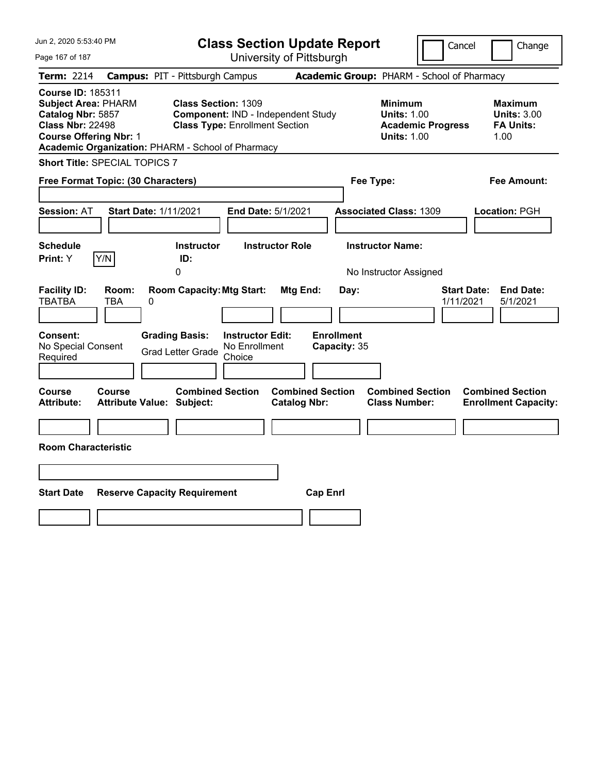| Jun 2, 2020 5:53:40 PM                                                                                                                                                                       |                                                             |                                                                             | <b>Class Section Update Report</b>             |                                                                                        | Cancel<br>Change                                                |
|----------------------------------------------------------------------------------------------------------------------------------------------------------------------------------------------|-------------------------------------------------------------|-----------------------------------------------------------------------------|------------------------------------------------|----------------------------------------------------------------------------------------|-----------------------------------------------------------------|
| Page 167 of 187                                                                                                                                                                              |                                                             |                                                                             | University of Pittsburgh                       |                                                                                        |                                                                 |
| Term: 2214                                                                                                                                                                                   | <b>Campus: PIT - Pittsburgh Campus</b>                      |                                                                             |                                                | Academic Group: PHARM - School of Pharmacy                                             |                                                                 |
| <b>Course ID: 185311</b><br><b>Subject Area: PHARM</b><br>Catalog Nbr: 5857<br><b>Class Nbr: 22498</b><br><b>Course Offering Nbr: 1</b><br>Academic Organization: PHARM - School of Pharmacy | <b>Class Section: 1309</b>                                  | Component: IND - Independent Study<br><b>Class Type: Enrollment Section</b> |                                                | <b>Minimum</b><br><b>Units: 1.00</b><br><b>Academic Progress</b><br><b>Units: 1.00</b> | Maximum<br><b>Units: 3.00</b><br><b>FA Units:</b><br>1.00       |
| <b>Short Title: SPECIAL TOPICS 7</b>                                                                                                                                                         |                                                             |                                                                             |                                                |                                                                                        |                                                                 |
| Free Format Topic: (30 Characters)                                                                                                                                                           |                                                             |                                                                             |                                                | Fee Type:                                                                              | Fee Amount:                                                     |
| <b>Session: AT</b><br><b>Schedule</b>                                                                                                                                                        | <b>Start Date: 1/11/2021</b><br><b>Instructor</b>           | End Date: 5/1/2021<br><b>Instructor Role</b>                                |                                                | <b>Associated Class: 1309</b><br><b>Instructor Name:</b>                               | Location: PGH                                                   |
| Y/N<br>Print: Y                                                                                                                                                                              | ID:                                                         |                                                                             |                                                |                                                                                        |                                                                 |
| <b>Facility ID:</b><br>Room:<br><b>TBATBA</b><br>TBA                                                                                                                                         | 0<br><b>Room Capacity: Mtg Start:</b><br>0                  |                                                                             | Mtg End:<br>Day:                               | No Instructor Assigned                                                                 | <b>End Date:</b><br><b>Start Date:</b><br>1/11/2021<br>5/1/2021 |
| Consent:<br>No Special Consent<br>Required                                                                                                                                                   | <b>Grading Basis:</b><br><b>Grad Letter Grade</b>           | <b>Instructor Edit:</b><br>No Enrollment<br>Choice                          | <b>Enrollment</b><br>Capacity: 35              |                                                                                        |                                                                 |
| Course<br>Course<br>Attribute:                                                                                                                                                               | <b>Combined Section</b><br><b>Attribute Value: Subject:</b> |                                                                             | <b>Combined Section</b><br><b>Catalog Nbr:</b> | <b>Combined Section</b><br><b>Class Number:</b>                                        | <b>Combined Section</b><br><b>Enrollment Capacity:</b>          |
|                                                                                                                                                                                              |                                                             |                                                                             |                                                |                                                                                        |                                                                 |
| <b>Room Characteristic</b>                                                                                                                                                                   |                                                             |                                                                             |                                                |                                                                                        |                                                                 |
|                                                                                                                                                                                              |                                                             |                                                                             |                                                |                                                                                        |                                                                 |
| <b>Start Date</b>                                                                                                                                                                            | <b>Reserve Capacity Requirement</b>                         |                                                                             | <b>Cap Enrl</b>                                |                                                                                        |                                                                 |
|                                                                                                                                                                                              |                                                             |                                                                             |                                                |                                                                                        |                                                                 |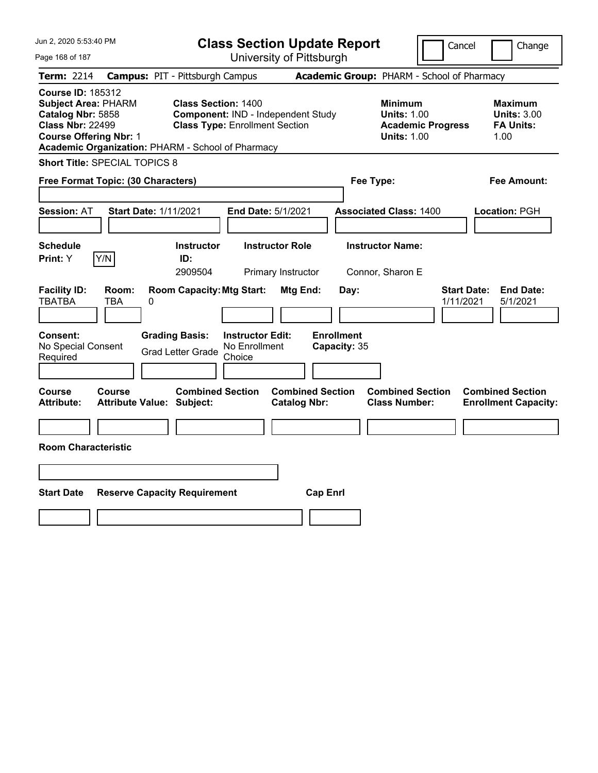| Jun 2, 2020 5:53:40 PM                                                                                                                                                                       |                                                   |                                                                                                           | <b>Class Section Update Report</b>             |                                                                                        | Cancel                          | Change                                                           |
|----------------------------------------------------------------------------------------------------------------------------------------------------------------------------------------------|---------------------------------------------------|-----------------------------------------------------------------------------------------------------------|------------------------------------------------|----------------------------------------------------------------------------------------|---------------------------------|------------------------------------------------------------------|
| Page 168 of 187                                                                                                                                                                              |                                                   |                                                                                                           | University of Pittsburgh                       |                                                                                        |                                 |                                                                  |
| Term: 2214                                                                                                                                                                                   | <b>Campus: PIT - Pittsburgh Campus</b>            |                                                                                                           |                                                | Academic Group: PHARM - School of Pharmacy                                             |                                 |                                                                  |
| <b>Course ID: 185312</b><br><b>Subject Area: PHARM</b><br>Catalog Nbr: 5858<br><b>Class Nbr: 22499</b><br><b>Course Offering Nbr: 1</b><br>Academic Organization: PHARM - School of Pharmacy |                                                   | <b>Class Section: 1400</b><br>Component: IND - Independent Study<br><b>Class Type: Enrollment Section</b> |                                                | <b>Minimum</b><br><b>Units: 1.00</b><br><b>Academic Progress</b><br><b>Units: 1.00</b> |                                 | <b>Maximum</b><br><b>Units: 3.00</b><br><b>FA Units:</b><br>1.00 |
| <b>Short Title: SPECIAL TOPICS 8</b>                                                                                                                                                         |                                                   |                                                                                                           |                                                |                                                                                        |                                 |                                                                  |
| Free Format Topic: (30 Characters)                                                                                                                                                           |                                                   |                                                                                                           |                                                | Fee Type:                                                                              |                                 | Fee Amount:                                                      |
| <b>Session: AT</b>                                                                                                                                                                           | <b>Start Date: 1/11/2021</b>                      | End Date: 5/1/2021                                                                                        |                                                | <b>Associated Class: 1400</b>                                                          |                                 | Location: PGH                                                    |
| <b>Schedule</b><br>Y/N<br>Print: Y                                                                                                                                                           | <b>Instructor</b><br>ID:<br>2909504               | <b>Instructor Role</b><br>Primary Instructor                                                              |                                                | <b>Instructor Name:</b><br>Connor, Sharon E                                            |                                 |                                                                  |
| <b>Facility ID:</b><br>Room:<br><b>TBATBA</b><br>TBA                                                                                                                                         | <b>Room Capacity: Mtg Start:</b><br>0             |                                                                                                           | Mtg End:<br>Day:                               |                                                                                        | <b>Start Date:</b><br>1/11/2021 | <b>End Date:</b><br>5/1/2021                                     |
| Consent:<br>No Special Consent<br>Required                                                                                                                                                   | <b>Grading Basis:</b><br><b>Grad Letter Grade</b> | <b>Instructor Edit:</b><br>No Enrollment<br>Choice                                                        | <b>Enrollment</b><br>Capacity: 35              |                                                                                        |                                 |                                                                  |
| <b>Course</b><br>Course<br><b>Attribute:</b>                                                                                                                                                 | <b>Attribute Value: Subject:</b>                  | <b>Combined Section</b>                                                                                   | <b>Combined Section</b><br><b>Catalog Nbr:</b> | <b>Combined Section</b><br><b>Class Number:</b>                                        |                                 | <b>Combined Section</b><br><b>Enrollment Capacity:</b>           |
|                                                                                                                                                                                              |                                                   |                                                                                                           |                                                |                                                                                        |                                 |                                                                  |
| <b>Room Characteristic</b>                                                                                                                                                                   |                                                   |                                                                                                           |                                                |                                                                                        |                                 |                                                                  |
|                                                                                                                                                                                              |                                                   |                                                                                                           |                                                |                                                                                        |                                 |                                                                  |
| <b>Start Date</b>                                                                                                                                                                            | <b>Reserve Capacity Requirement</b>               |                                                                                                           | <b>Cap Enrl</b>                                |                                                                                        |                                 |                                                                  |
|                                                                                                                                                                                              |                                                   |                                                                                                           |                                                |                                                                                        |                                 |                                                                  |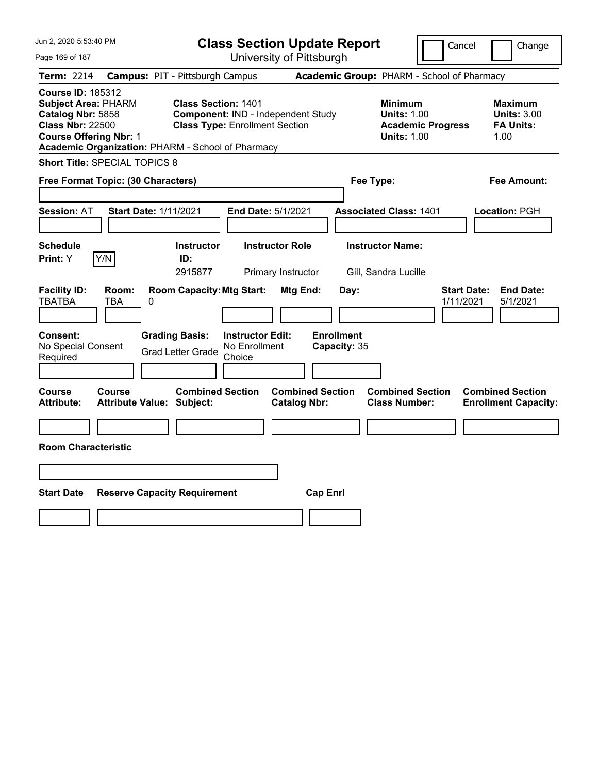| Jun 2, 2020 5:53:40 PM                                                                                                                                                                       |                                            |                                                                                       |                                                    | <b>Class Section Update Report</b>             |                                            |                                                            | Cancel                   | Change                                                           |  |
|----------------------------------------------------------------------------------------------------------------------------------------------------------------------------------------------|--------------------------------------------|---------------------------------------------------------------------------------------|----------------------------------------------------|------------------------------------------------|--------------------------------------------|------------------------------------------------------------|--------------------------|------------------------------------------------------------------|--|
| Page 169 of 187                                                                                                                                                                              |                                            |                                                                                       |                                                    | University of Pittsburgh                       |                                            |                                                            |                          |                                                                  |  |
| <b>Term: 2214</b>                                                                                                                                                                            | <b>Campus: PIT - Pittsburgh Campus</b>     |                                                                                       |                                                    |                                                | Academic Group: PHARM - School of Pharmacy |                                                            |                          |                                                                  |  |
| <b>Course ID: 185312</b><br><b>Subject Area: PHARM</b><br>Catalog Nbr: 5858<br><b>Class Nbr: 22500</b><br><b>Course Offering Nbr: 1</b><br>Academic Organization: PHARM - School of Pharmacy |                                            | <b>Class Section: 1401</b><br><b>Class Type: Enrollment Section</b>                   |                                                    | Component: IND - Independent Study             |                                            | <b>Minimum</b><br><b>Units: 1.00</b><br><b>Units: 1.00</b> | <b>Academic Progress</b> | <b>Maximum</b><br><b>Units: 3.00</b><br><b>FA Units:</b><br>1.00 |  |
| <b>Short Title: SPECIAL TOPICS 8</b>                                                                                                                                                         |                                            |                                                                                       |                                                    |                                                |                                            |                                                            |                          |                                                                  |  |
| Free Format Topic: (30 Characters)                                                                                                                                                           |                                            |                                                                                       |                                                    |                                                | Fee Type:                                  |                                                            |                          | Fee Amount:                                                      |  |
| <b>Session: AT</b>                                                                                                                                                                           | <b>Start Date: 1/11/2021</b>               |                                                                                       | End Date: 5/1/2021                                 |                                                |                                            | <b>Associated Class: 1401</b>                              |                          | Location: PGH                                                    |  |
| <b>Schedule</b>                                                                                                                                                                              |                                            | <b>Instructor</b>                                                                     |                                                    | <b>Instructor Role</b>                         |                                            | <b>Instructor Name:</b>                                    |                          |                                                                  |  |
| Y/N<br>Print: Y                                                                                                                                                                              |                                            | ID:<br>2915877                                                                        |                                                    | Primary Instructor                             |                                            | Gill, Sandra Lucille                                       |                          |                                                                  |  |
| <b>Facility ID:</b><br><b>TBATBA</b><br>Consent:<br>No Special Consent<br>Required                                                                                                           | Room:<br><b>TBA</b><br>0                   | <b>Room Capacity: Mtg Start:</b><br><b>Grading Basis:</b><br><b>Grad Letter Grade</b> | <b>Instructor Edit:</b><br>No Enrollment<br>Choice | Mtg End:                                       | Day:<br><b>Enrollment</b><br>Capacity: 35  |                                                            | 1/11/2021                | <b>Start Date:</b><br><b>End Date:</b><br>5/1/2021               |  |
|                                                                                                                                                                                              |                                            |                                                                                       |                                                    |                                                |                                            |                                                            |                          |                                                                  |  |
| Course<br><b>Attribute:</b>                                                                                                                                                                  | Course<br><b>Attribute Value: Subject:</b> | <b>Combined Section</b>                                                               |                                                    | <b>Combined Section</b><br><b>Catalog Nbr:</b> |                                            | <b>Combined Section</b><br><b>Class Number:</b>            |                          | <b>Combined Section</b><br><b>Enrollment Capacity:</b>           |  |
|                                                                                                                                                                                              |                                            |                                                                                       |                                                    |                                                |                                            |                                                            |                          |                                                                  |  |
| <b>Room Characteristic</b>                                                                                                                                                                   |                                            |                                                                                       |                                                    |                                                |                                            |                                                            |                          |                                                                  |  |
|                                                                                                                                                                                              |                                            |                                                                                       |                                                    |                                                |                                            |                                                            |                          |                                                                  |  |
| <b>Start Date</b>                                                                                                                                                                            | <b>Reserve Capacity Requirement</b>        |                                                                                       |                                                    | <b>Cap Enrl</b>                                |                                            |                                                            |                          |                                                                  |  |
|                                                                                                                                                                                              |                                            |                                                                                       |                                                    |                                                |                                            |                                                            |                          |                                                                  |  |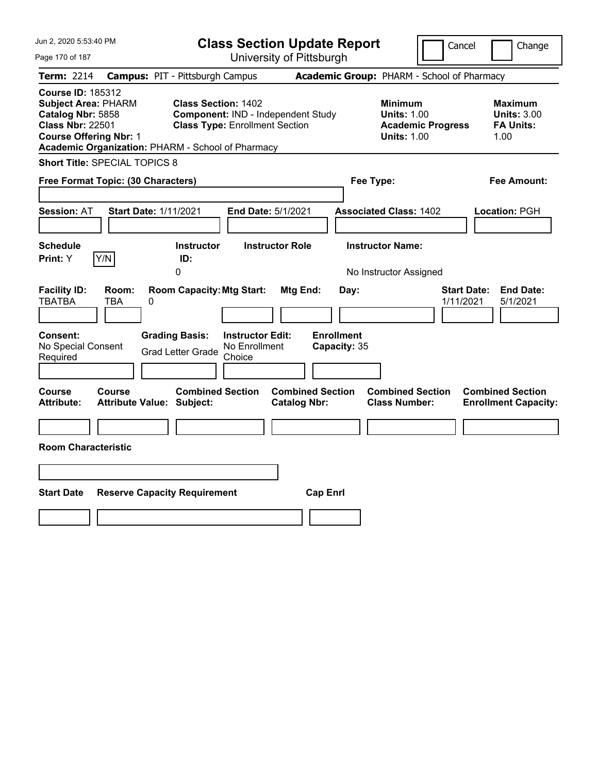| Jun 2, 2020 5:53:40 PM                                                                                                                  |                   |                                                                                                                          |                                                    | <b>Class Section Update Report</b>             |                                            |                                                            | Cancel                   |                    | Change                                                           |
|-----------------------------------------------------------------------------------------------------------------------------------------|-------------------|--------------------------------------------------------------------------------------------------------------------------|----------------------------------------------------|------------------------------------------------|--------------------------------------------|------------------------------------------------------------|--------------------------|--------------------|------------------------------------------------------------------|
| Page 170 of 187                                                                                                                         |                   |                                                                                                                          |                                                    | University of Pittsburgh                       |                                            |                                                            |                          |                    |                                                                  |
| Term: 2214                                                                                                                              |                   | <b>Campus: PIT - Pittsburgh Campus</b>                                                                                   |                                                    |                                                | Academic Group: PHARM - School of Pharmacy |                                                            |                          |                    |                                                                  |
| <b>Course ID: 185312</b><br><b>Subject Area: PHARM</b><br>Catalog Nbr: 5858<br><b>Class Nbr: 22501</b><br><b>Course Offering Nbr: 1</b> |                   | <b>Class Section: 1402</b><br><b>Class Type: Enrollment Section</b><br>Academic Organization: PHARM - School of Pharmacy |                                                    | Component: IND - Independent Study             |                                            | <b>Minimum</b><br><b>Units: 1.00</b><br><b>Units: 1.00</b> | <b>Academic Progress</b> |                    | <b>Maximum</b><br><b>Units: 3.00</b><br><b>FA Units:</b><br>1.00 |
| Short Title: SPECIAL TOPICS 8                                                                                                           |                   |                                                                                                                          |                                                    |                                                |                                            |                                                            |                          |                    |                                                                  |
| Free Format Topic: (30 Characters)                                                                                                      |                   |                                                                                                                          |                                                    |                                                | Fee Type:                                  |                                                            |                          |                    | Fee Amount:                                                      |
| <b>Session: AT</b>                                                                                                                      |                   | <b>Start Date: 1/11/2021</b>                                                                                             | End Date: 5/1/2021                                 |                                                | <b>Associated Class: 1402</b>              |                                                            |                          |                    | Location: PGH                                                    |
| <b>Schedule</b>                                                                                                                         |                   | <b>Instructor</b>                                                                                                        |                                                    | <b>Instructor Role</b>                         |                                            | <b>Instructor Name:</b>                                    |                          |                    |                                                                  |
| Print: Y                                                                                                                                | Y/N               | ID:<br>0                                                                                                                 |                                                    |                                                |                                            | No Instructor Assigned                                     |                          |                    |                                                                  |
| <b>Facility ID:</b><br><b>TBATBA</b><br>Consent:<br>No Special Consent<br>Required                                                      | Room:<br>TBA<br>0 | <b>Room Capacity: Mtg Start:</b><br><b>Grading Basis:</b><br><b>Grad Letter Grade</b>                                    | <b>Instructor Edit:</b><br>No Enrollment<br>Choice | Mtg End:                                       | Day:<br><b>Enrollment</b><br>Capacity: 35  |                                                            | 1/11/2021                | <b>Start Date:</b> | <b>End Date:</b><br>5/1/2021                                     |
| Course<br><b>Attribute:</b>                                                                                                             | Course            | <b>Combined Section</b><br><b>Attribute Value: Subject:</b>                                                              |                                                    | <b>Combined Section</b><br><b>Catalog Nbr:</b> |                                            | <b>Combined Section</b><br><b>Class Number:</b>            |                          |                    | <b>Combined Section</b><br><b>Enrollment Capacity:</b>           |
| <b>Room Characteristic</b>                                                                                                              |                   |                                                                                                                          |                                                    |                                                |                                            |                                                            |                          |                    |                                                                  |
| <b>Start Date</b>                                                                                                                       |                   | <b>Reserve Capacity Requirement</b>                                                                                      |                                                    | <b>Cap Enrl</b>                                |                                            |                                                            |                          |                    |                                                                  |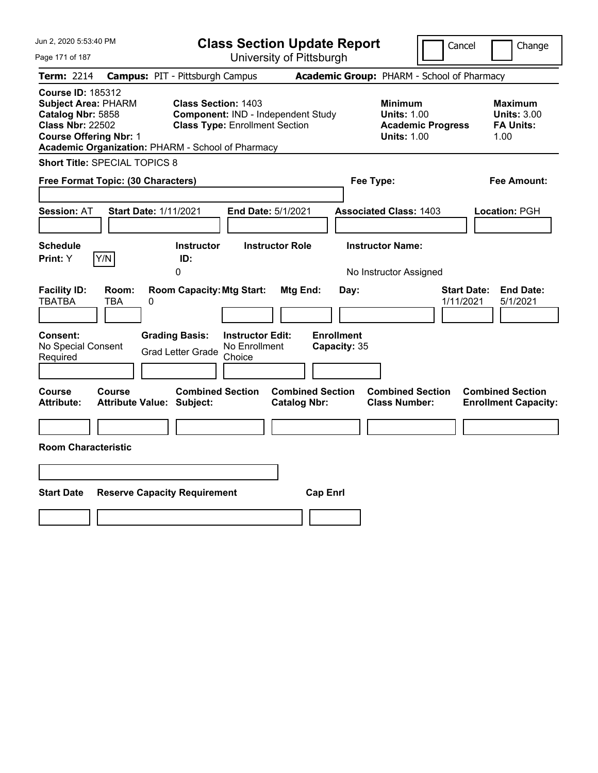| Jun 2, 2020 5:53:40 PM                                                                                                                                                                       |                                                                                                           | <b>Class Section Update Report</b>             | Cancel                                                                                 | Change                                                           |
|----------------------------------------------------------------------------------------------------------------------------------------------------------------------------------------------|-----------------------------------------------------------------------------------------------------------|------------------------------------------------|----------------------------------------------------------------------------------------|------------------------------------------------------------------|
| Page 171 of 187                                                                                                                                                                              |                                                                                                           | University of Pittsburgh                       |                                                                                        |                                                                  |
| <b>Term: 2214</b>                                                                                                                                                                            | <b>Campus: PIT - Pittsburgh Campus</b>                                                                    |                                                | Academic Group: PHARM - School of Pharmacy                                             |                                                                  |
| <b>Course ID: 185312</b><br><b>Subject Area: PHARM</b><br>Catalog Nbr: 5858<br><b>Class Nbr: 22502</b><br><b>Course Offering Nbr: 1</b><br>Academic Organization: PHARM - School of Pharmacy | <b>Class Section: 1403</b><br>Component: IND - Independent Study<br><b>Class Type: Enrollment Section</b> |                                                | <b>Minimum</b><br><b>Units: 1.00</b><br><b>Academic Progress</b><br><b>Units: 1.00</b> | <b>Maximum</b><br><b>Units: 3.00</b><br><b>FA Units:</b><br>1.00 |
| <b>Short Title: SPECIAL TOPICS 8</b>                                                                                                                                                         |                                                                                                           |                                                |                                                                                        |                                                                  |
| Free Format Topic: (30 Characters)                                                                                                                                                           |                                                                                                           | Fee Type:                                      |                                                                                        | Fee Amount:                                                      |
| <b>Session: AT</b><br><b>Start Date: 1/11/2021</b><br><b>Schedule</b>                                                                                                                        | End Date: 5/1/2021<br><b>Instructor</b>                                                                   | <b>Instructor Role</b>                         | <b>Associated Class: 1403</b><br><b>Instructor Name:</b>                               | Location: PGH                                                    |
| Y/N<br><b>Print:</b> Y                                                                                                                                                                       | ID:                                                                                                       |                                                |                                                                                        |                                                                  |
|                                                                                                                                                                                              | 0                                                                                                         |                                                | No Instructor Assigned                                                                 |                                                                  |
| <b>Facility ID:</b><br>Room:<br><b>TBATBA</b><br>TBA<br>0                                                                                                                                    | <b>Room Capacity: Mtg Start:</b>                                                                          | Mtg End:<br>Day:                               | 1/11/2021                                                                              | <b>Start Date:</b><br><b>End Date:</b><br>5/1/2021               |
| <b>Consent:</b><br>No Special Consent<br>Required                                                                                                                                            | <b>Grading Basis:</b><br><b>Instructor Edit:</b><br>No Enrollment<br><b>Grad Letter Grade</b><br>Choice   | <b>Enrollment</b><br>Capacity: 35              |                                                                                        |                                                                  |
| Course<br>Course<br><b>Attribute:</b><br><b>Attribute Value: Subject:</b>                                                                                                                    | <b>Combined Section</b>                                                                                   | <b>Combined Section</b><br><b>Catalog Nbr:</b> | <b>Combined Section</b><br><b>Class Number:</b>                                        | <b>Combined Section</b><br><b>Enrollment Capacity:</b>           |
|                                                                                                                                                                                              |                                                                                                           |                                                |                                                                                        |                                                                  |
| <b>Room Characteristic</b>                                                                                                                                                                   |                                                                                                           |                                                |                                                                                        |                                                                  |
|                                                                                                                                                                                              |                                                                                                           |                                                |                                                                                        |                                                                  |
| <b>Start Date</b>                                                                                                                                                                            | <b>Reserve Capacity Requirement</b>                                                                       | <b>Cap Enrl</b>                                |                                                                                        |                                                                  |
|                                                                                                                                                                                              |                                                                                                           |                                                |                                                                                        |                                                                  |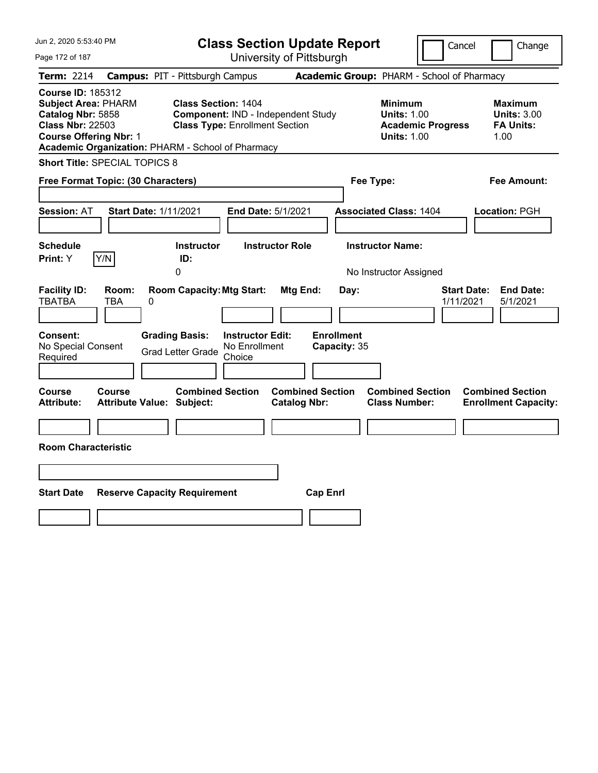| Jun 2, 2020 5:53:40 PM                                                                                                                                                                       |                                            |                                                                     |                                                    | <b>Class Section Update Report</b>             |                                            |                                                            | Cancel                   | Change                                                           |
|----------------------------------------------------------------------------------------------------------------------------------------------------------------------------------------------|--------------------------------------------|---------------------------------------------------------------------|----------------------------------------------------|------------------------------------------------|--------------------------------------------|------------------------------------------------------------|--------------------------|------------------------------------------------------------------|
| Page 172 of 187                                                                                                                                                                              |                                            |                                                                     |                                                    | University of Pittsburgh                       |                                            |                                                            |                          |                                                                  |
| Term: 2214                                                                                                                                                                                   | <b>Campus: PIT - Pittsburgh Campus</b>     |                                                                     |                                                    |                                                | Academic Group: PHARM - School of Pharmacy |                                                            |                          |                                                                  |
| <b>Course ID: 185312</b><br><b>Subject Area: PHARM</b><br>Catalog Nbr: 5858<br><b>Class Nbr: 22503</b><br><b>Course Offering Nbr: 1</b><br>Academic Organization: PHARM - School of Pharmacy |                                            | <b>Class Section: 1404</b><br><b>Class Type: Enrollment Section</b> |                                                    | Component: IND - Independent Study             |                                            | <b>Minimum</b><br><b>Units: 1.00</b><br><b>Units: 1.00</b> | <b>Academic Progress</b> | <b>Maximum</b><br><b>Units: 3.00</b><br><b>FA Units:</b><br>1.00 |
| <b>Short Title: SPECIAL TOPICS 8</b>                                                                                                                                                         |                                            |                                                                     |                                                    |                                                |                                            |                                                            |                          |                                                                  |
| Free Format Topic: (30 Characters)                                                                                                                                                           |                                            |                                                                     |                                                    |                                                |                                            | Fee Type:                                                  |                          | Fee Amount:                                                      |
| Session: AT                                                                                                                                                                                  | <b>Start Date: 1/11/2021</b>               |                                                                     |                                                    | End Date: 5/1/2021                             |                                            | <b>Associated Class: 1404</b>                              |                          | Location: PGH                                                    |
| <b>Schedule</b><br>Y/N<br><b>Print:</b> Y                                                                                                                                                    |                                            | <b>Instructor</b><br>ID:<br>0                                       |                                                    | <b>Instructor Role</b>                         |                                            | <b>Instructor Name:</b><br>No Instructor Assigned          |                          |                                                                  |
| <b>Facility ID:</b><br><b>TBATBA</b>                                                                                                                                                         | Room:<br>TBA<br>0                          | <b>Room Capacity: Mtg Start:</b>                                    |                                                    | Mtg End:                                       | Day:                                       |                                                            | 1/11/2021                | <b>Start Date:</b><br><b>End Date:</b><br>5/1/2021               |
| <b>Consent:</b><br>No Special Consent<br>Required                                                                                                                                            |                                            | <b>Grading Basis:</b><br><b>Grad Letter Grade</b>                   | <b>Instructor Edit:</b><br>No Enrollment<br>Choice |                                                | <b>Enrollment</b><br>Capacity: 35          |                                                            |                          |                                                                  |
| Course<br><b>Attribute:</b>                                                                                                                                                                  | Course<br><b>Attribute Value: Subject:</b> | <b>Combined Section</b>                                             |                                                    | <b>Combined Section</b><br><b>Catalog Nbr:</b> |                                            | <b>Combined Section</b><br><b>Class Number:</b>            |                          | <b>Combined Section</b><br><b>Enrollment Capacity:</b>           |
|                                                                                                                                                                                              |                                            |                                                                     |                                                    |                                                |                                            |                                                            |                          |                                                                  |
| <b>Room Characteristic</b>                                                                                                                                                                   |                                            |                                                                     |                                                    |                                                |                                            |                                                            |                          |                                                                  |
|                                                                                                                                                                                              |                                            |                                                                     |                                                    |                                                |                                            |                                                            |                          |                                                                  |
| <b>Start Date</b>                                                                                                                                                                            | <b>Reserve Capacity Requirement</b>        |                                                                     |                                                    |                                                | <b>Cap Enrl</b>                            |                                                            |                          |                                                                  |
|                                                                                                                                                                                              |                                            |                                                                     |                                                    |                                                |                                            |                                                            |                          |                                                                  |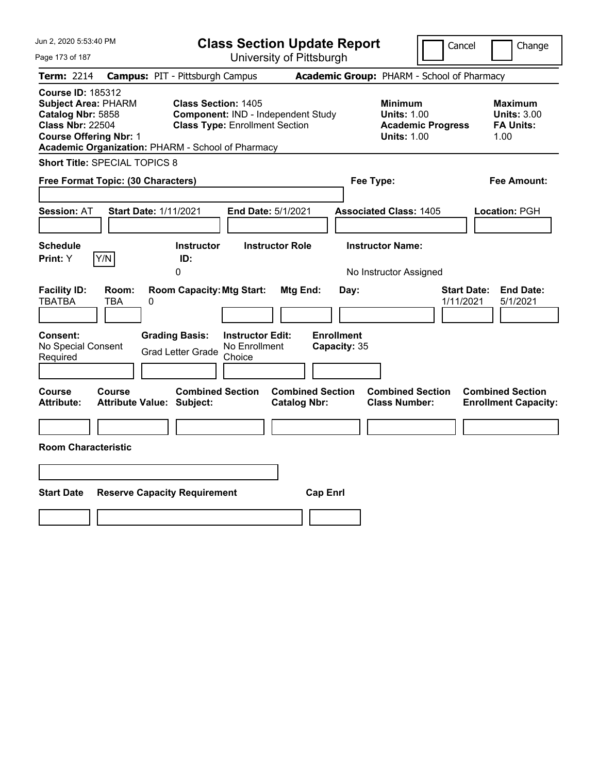| Jun 2, 2020 5:53:40 PM                                                                                                                                                                       |                                                                                            | <b>Class Section Update Report</b>                                          |                                                |                      |                                                            | Cancel                   | Change                                                           |
|----------------------------------------------------------------------------------------------------------------------------------------------------------------------------------------------|--------------------------------------------------------------------------------------------|-----------------------------------------------------------------------------|------------------------------------------------|----------------------|------------------------------------------------------------|--------------------------|------------------------------------------------------------------|
| Page 173 of 187                                                                                                                                                                              |                                                                                            |                                                                             | University of Pittsburgh                       |                      |                                                            |                          |                                                                  |
| Term: 2214                                                                                                                                                                                   | <b>Campus: PIT - Pittsburgh Campus</b>                                                     |                                                                             | Academic Group: PHARM - School of Pharmacy     |                      |                                                            |                          |                                                                  |
| <b>Course ID: 185312</b><br><b>Subject Area: PHARM</b><br>Catalog Nbr: 5858<br><b>Class Nbr: 22504</b><br><b>Course Offering Nbr: 1</b><br>Academic Organization: PHARM - School of Pharmacy | <b>Class Section: 1405</b>                                                                 | Component: IND - Independent Study<br><b>Class Type: Enrollment Section</b> |                                                |                      | <b>Minimum</b><br><b>Units: 1.00</b><br><b>Units: 1.00</b> | <b>Academic Progress</b> | <b>Maximum</b><br><b>Units: 3.00</b><br><b>FA Units:</b><br>1.00 |
| <b>Short Title: SPECIAL TOPICS 8</b>                                                                                                                                                         |                                                                                            |                                                                             |                                                |                      |                                                            |                          |                                                                  |
| Free Format Topic: (30 Characters)                                                                                                                                                           |                                                                                            |                                                                             |                                                | Fee Type:            |                                                            |                          | Fee Amount:                                                      |
| Session: AT                                                                                                                                                                                  | <b>Start Date: 1/11/2021</b>                                                               | End Date: 5/1/2021                                                          |                                                |                      | <b>Associated Class: 1405</b>                              |                          | Location: PGH                                                    |
| <b>Schedule</b><br>Y/N<br><b>Print:</b> Y                                                                                                                                                    | <b>Instructor</b><br>ID:<br>0                                                              | <b>Instructor Role</b>                                                      |                                                |                      | <b>Instructor Name:</b><br>No Instructor Assigned          |                          |                                                                  |
| <b>Facility ID:</b><br>Room:<br><b>TBATBA</b><br>TBA<br><b>Consent:</b><br>No Special Consent<br>Required                                                                                    | <b>Room Capacity: Mtg Start:</b><br>0<br><b>Grading Basis:</b><br><b>Grad Letter Grade</b> | <b>Instructor Edit:</b><br>No Enrollment<br>Choice                          | Mtg End:<br><b>Enrollment</b>                  | Day:<br>Capacity: 35 |                                                            | 1/11/2021                | <b>Start Date:</b><br><b>End Date:</b><br>5/1/2021               |
| Course<br>Course<br><b>Attribute:</b><br><b>Room Characteristic</b>                                                                                                                          | <b>Combined Section</b><br><b>Attribute Value: Subject:</b>                                |                                                                             | <b>Combined Section</b><br><b>Catalog Nbr:</b> |                      | <b>Combined Section</b><br><b>Class Number:</b>            |                          | <b>Combined Section</b><br><b>Enrollment Capacity:</b>           |
|                                                                                                                                                                                              |                                                                                            |                                                                             |                                                |                      |                                                            |                          |                                                                  |
| <b>Start Date</b>                                                                                                                                                                            | <b>Reserve Capacity Requirement</b>                                                        |                                                                             | <b>Cap Enrl</b>                                |                      |                                                            |                          |                                                                  |
|                                                                                                                                                                                              |                                                                                            |                                                                             |                                                |                      |                                                            |                          |                                                                  |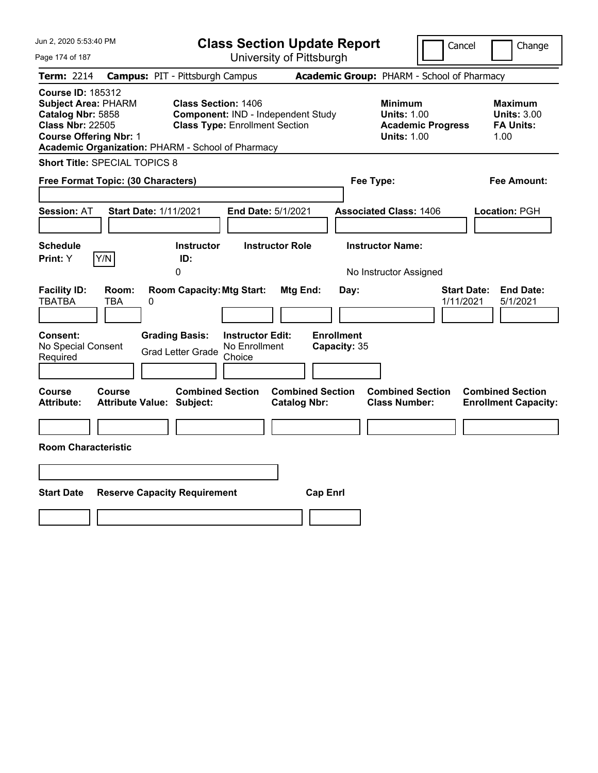| Jun 2, 2020 5:53:40 PM                                                                                                                                                                       |                                            |                                                                                                           |                         | <b>Class Section Update Report</b>             |                           |                                                            | Cancel                   | Change                                                           |
|----------------------------------------------------------------------------------------------------------------------------------------------------------------------------------------------|--------------------------------------------|-----------------------------------------------------------------------------------------------------------|-------------------------|------------------------------------------------|---------------------------|------------------------------------------------------------|--------------------------|------------------------------------------------------------------|
| Page 174 of 187                                                                                                                                                                              |                                            |                                                                                                           |                         | University of Pittsburgh                       |                           |                                                            |                          |                                                                  |
| Term: 2214                                                                                                                                                                                   | <b>Campus: PIT - Pittsburgh Campus</b>     |                                                                                                           |                         |                                                |                           | Academic Group: PHARM - School of Pharmacy                 |                          |                                                                  |
| <b>Course ID: 185312</b><br><b>Subject Area: PHARM</b><br>Catalog Nbr: 5858<br><b>Class Nbr: 22505</b><br><b>Course Offering Nbr: 1</b><br>Academic Organization: PHARM - School of Pharmacy |                                            | <b>Class Section: 1406</b><br>Component: IND - Independent Study<br><b>Class Type: Enrollment Section</b> |                         |                                                |                           | <b>Minimum</b><br><b>Units: 1.00</b><br><b>Units: 1.00</b> | <b>Academic Progress</b> | <b>Maximum</b><br><b>Units: 3.00</b><br><b>FA Units:</b><br>1.00 |
| <b>Short Title: SPECIAL TOPICS 8</b>                                                                                                                                                         |                                            |                                                                                                           |                         |                                                |                           |                                                            |                          |                                                                  |
| Free Format Topic: (30 Characters)                                                                                                                                                           |                                            |                                                                                                           |                         |                                                |                           | Fee Type:                                                  |                          | Fee Amount:                                                      |
| <b>Session: AT</b>                                                                                                                                                                           | <b>Start Date: 1/11/2021</b>               |                                                                                                           |                         | End Date: 5/1/2021                             |                           | <b>Associated Class: 1406</b>                              |                          | Location: PGH                                                    |
| <b>Schedule</b><br>Y/N<br><b>Print:</b> Y                                                                                                                                                    |                                            | <b>Instructor</b><br>ID:                                                                                  |                         | <b>Instructor Role</b>                         |                           | <b>Instructor Name:</b>                                    |                          |                                                                  |
|                                                                                                                                                                                              |                                            | 0                                                                                                         |                         |                                                |                           | No Instructor Assigned                                     |                          |                                                                  |
| <b>Facility ID:</b><br><b>TBATBA</b><br><b>Consent:</b>                                                                                                                                      | Room:<br>TBA<br>0                          | <b>Room Capacity: Mtg Start:</b><br><b>Grading Basis:</b>                                                 | <b>Instructor Edit:</b> | Mtg End:                                       | Day:<br><b>Enrollment</b> |                                                            |                          | <b>Start Date:</b><br><b>End Date:</b><br>1/11/2021<br>5/1/2021  |
| No Special Consent<br>Required                                                                                                                                                               |                                            | <b>Grad Letter Grade</b>                                                                                  | No Enrollment<br>Choice |                                                | Capacity: 35              |                                                            |                          |                                                                  |
| Course<br><b>Attribute:</b>                                                                                                                                                                  | Course<br><b>Attribute Value: Subject:</b> | <b>Combined Section</b>                                                                                   |                         | <b>Combined Section</b><br><b>Catalog Nbr:</b> |                           | <b>Combined Section</b><br><b>Class Number:</b>            |                          | <b>Combined Section</b><br><b>Enrollment Capacity:</b>           |
|                                                                                                                                                                                              |                                            |                                                                                                           |                         |                                                |                           |                                                            |                          |                                                                  |
| <b>Room Characteristic</b>                                                                                                                                                                   |                                            |                                                                                                           |                         |                                                |                           |                                                            |                          |                                                                  |
|                                                                                                                                                                                              |                                            |                                                                                                           |                         |                                                |                           |                                                            |                          |                                                                  |
| <b>Start Date</b>                                                                                                                                                                            | <b>Reserve Capacity Requirement</b>        |                                                                                                           |                         |                                                | <b>Cap Enrl</b>           |                                                            |                          |                                                                  |
|                                                                                                                                                                                              |                                            |                                                                                                           |                         |                                                |                           |                                                            |                          |                                                                  |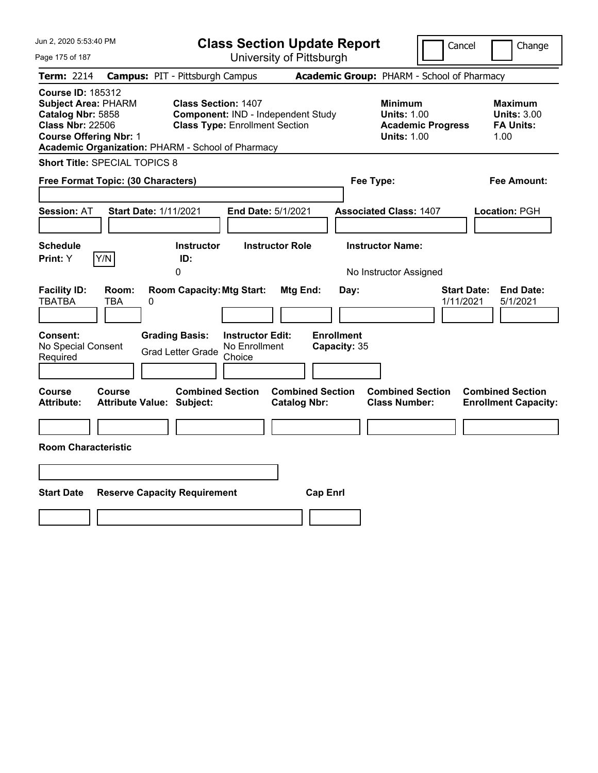| Jun 2, 2020 5:53:40 PM                                                                                                                                                                       |                                                             |                                                                             | <b>Class Section Update Report</b>             |                                                            | Cancel                          | Change                                                           |
|----------------------------------------------------------------------------------------------------------------------------------------------------------------------------------------------|-------------------------------------------------------------|-----------------------------------------------------------------------------|------------------------------------------------|------------------------------------------------------------|---------------------------------|------------------------------------------------------------------|
| Page 175 of 187                                                                                                                                                                              |                                                             |                                                                             | University of Pittsburgh                       |                                                            |                                 |                                                                  |
| Term: 2214                                                                                                                                                                                   | <b>Campus: PIT - Pittsburgh Campus</b>                      |                                                                             |                                                | Academic Group: PHARM - School of Pharmacy                 |                                 |                                                                  |
| <b>Course ID: 185312</b><br><b>Subject Area: PHARM</b><br>Catalog Nbr: 5858<br><b>Class Nbr: 22506</b><br><b>Course Offering Nbr: 1</b><br>Academic Organization: PHARM - School of Pharmacy | <b>Class Section: 1407</b>                                  | Component: IND - Independent Study<br><b>Class Type: Enrollment Section</b> |                                                | <b>Minimum</b><br><b>Units: 1.00</b><br><b>Units: 1.00</b> | <b>Academic Progress</b>        | <b>Maximum</b><br><b>Units: 3.00</b><br><b>FA Units:</b><br>1.00 |
| <b>Short Title: SPECIAL TOPICS 8</b>                                                                                                                                                         |                                                             |                                                                             |                                                |                                                            |                                 |                                                                  |
| Free Format Topic: (30 Characters)                                                                                                                                                           |                                                             |                                                                             |                                                | Fee Type:                                                  |                                 | Fee Amount:                                                      |
| Session: AT                                                                                                                                                                                  | <b>Start Date: 1/11/2021</b>                                | End Date: 5/1/2021                                                          |                                                | <b>Associated Class: 1407</b>                              |                                 | Location: PGH                                                    |
| <b>Schedule</b><br>Y/N<br><b>Print:</b> Y                                                                                                                                                    | <b>Instructor</b><br>ID:<br>0                               | <b>Instructor Role</b>                                                      |                                                | <b>Instructor Name:</b><br>No Instructor Assigned          |                                 |                                                                  |
| <b>Facility ID:</b><br>Room:<br><b>TBATBA</b><br>TBA                                                                                                                                         | <b>Room Capacity: Mtg Start:</b><br>0                       |                                                                             | Mtg End:<br>Day:                               |                                                            | <b>Start Date:</b><br>1/11/2021 | <b>End Date:</b><br>5/1/2021                                     |
| <b>Consent:</b><br>No Special Consent<br>Required                                                                                                                                            | <b>Grading Basis:</b><br><b>Grad Letter Grade</b>           | <b>Instructor Edit:</b><br>No Enrollment<br>Choice                          | <b>Enrollment</b><br>Capacity: 35              |                                                            |                                 |                                                                  |
| Course<br>Course<br><b>Attribute:</b>                                                                                                                                                        | <b>Combined Section</b><br><b>Attribute Value: Subject:</b> |                                                                             | <b>Combined Section</b><br><b>Catalog Nbr:</b> | <b>Combined Section</b><br><b>Class Number:</b>            |                                 | <b>Combined Section</b><br><b>Enrollment Capacity:</b>           |
|                                                                                                                                                                                              |                                                             |                                                                             |                                                |                                                            |                                 |                                                                  |
| <b>Room Characteristic</b>                                                                                                                                                                   |                                                             |                                                                             |                                                |                                                            |                                 |                                                                  |
|                                                                                                                                                                                              |                                                             |                                                                             |                                                |                                                            |                                 |                                                                  |
| <b>Start Date</b>                                                                                                                                                                            | <b>Reserve Capacity Requirement</b>                         |                                                                             | <b>Cap Enrl</b>                                |                                                            |                                 |                                                                  |
|                                                                                                                                                                                              |                                                             |                                                                             |                                                |                                                            |                                 |                                                                  |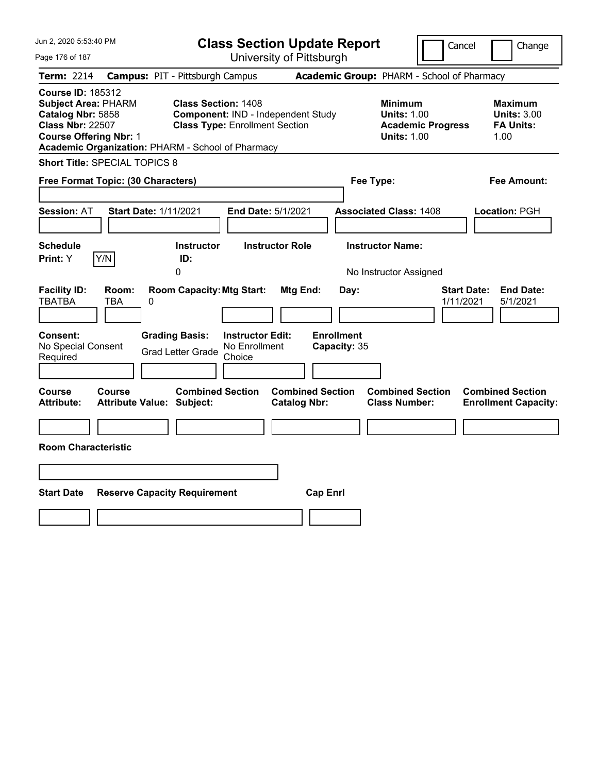| Jun 2, 2020 5:53:40 PM                                                                                                                  |                          |                                                                                 |                                                    | <b>Class Section Update Report</b>             |                                            |                                                            | Cancel                   | Change                                                           |
|-----------------------------------------------------------------------------------------------------------------------------------------|--------------------------|---------------------------------------------------------------------------------|----------------------------------------------------|------------------------------------------------|--------------------------------------------|------------------------------------------------------------|--------------------------|------------------------------------------------------------------|
| Page 176 of 187                                                                                                                         |                          |                                                                                 |                                                    | University of Pittsburgh                       |                                            |                                                            |                          |                                                                  |
| <b>Term: 2214</b>                                                                                                                       |                          | <b>Campus: PIT - Pittsburgh Campus</b>                                          |                                                    |                                                | Academic Group: PHARM - School of Pharmacy |                                                            |                          |                                                                  |
| <b>Course ID: 185312</b><br><b>Subject Area: PHARM</b><br>Catalog Nbr: 5858<br><b>Class Nbr: 22507</b><br><b>Course Offering Nbr: 1</b> |                          | <b>Class Section: 1408</b><br>Academic Organization: PHARM - School of Pharmacy | <b>Class Type: Enrollment Section</b>              | Component: IND - Independent Study             |                                            | <b>Minimum</b><br><b>Units: 1.00</b><br><b>Units: 1.00</b> | <b>Academic Progress</b> | <b>Maximum</b><br><b>Units: 3.00</b><br><b>FA Units:</b><br>1.00 |
| Short Title: SPECIAL TOPICS 8                                                                                                           |                          |                                                                                 |                                                    |                                                |                                            |                                                            |                          |                                                                  |
| Free Format Topic: (30 Characters)                                                                                                      |                          |                                                                                 |                                                    |                                                | Fee Type:                                  |                                                            |                          | Fee Amount:                                                      |
| <b>Session: AT</b><br><b>Schedule</b>                                                                                                   |                          | <b>Start Date: 1/11/2021</b><br><b>Instructor</b>                               | End Date: 5/1/2021                                 | <b>Instructor Role</b>                         | <b>Associated Class: 1408</b>              | <b>Instructor Name:</b>                                    |                          | Location: PGH                                                    |
| Print: Y                                                                                                                                | Y/N                      | ID:                                                                             |                                                    |                                                |                                            |                                                            |                          |                                                                  |
|                                                                                                                                         |                          | 0                                                                               |                                                    |                                                |                                            | No Instructor Assigned                                     |                          |                                                                  |
| <b>Facility ID:</b><br><b>TBATBA</b>                                                                                                    | Room:<br><b>TBA</b><br>0 | <b>Room Capacity: Mtg Start:</b>                                                |                                                    | Mtg End:                                       | Day:                                       |                                                            | 1/11/2021                | <b>Start Date:</b><br><b>End Date:</b><br>5/1/2021               |
| Consent:<br>No Special Consent<br>Required                                                                                              |                          | <b>Grading Basis:</b><br><b>Grad Letter Grade</b>                               | <b>Instructor Edit:</b><br>No Enrollment<br>Choice |                                                | <b>Enrollment</b><br>Capacity: 35          |                                                            |                          |                                                                  |
| Course<br><b>Attribute:</b>                                                                                                             | Course                   | <b>Combined Section</b><br><b>Attribute Value: Subject:</b>                     |                                                    | <b>Combined Section</b><br><b>Catalog Nbr:</b> |                                            | <b>Combined Section</b><br><b>Class Number:</b>            |                          | <b>Combined Section</b><br><b>Enrollment Capacity:</b>           |
|                                                                                                                                         |                          |                                                                                 |                                                    |                                                |                                            |                                                            |                          |                                                                  |
| <b>Room Characteristic</b>                                                                                                              |                          |                                                                                 |                                                    |                                                |                                            |                                                            |                          |                                                                  |
|                                                                                                                                         |                          |                                                                                 |                                                    |                                                |                                            |                                                            |                          |                                                                  |
|                                                                                                                                         |                          |                                                                                 |                                                    |                                                |                                            |                                                            |                          |                                                                  |
| <b>Start Date</b>                                                                                                                       |                          | <b>Reserve Capacity Requirement</b>                                             |                                                    | <b>Cap Enrl</b>                                |                                            |                                                            |                          |                                                                  |
|                                                                                                                                         |                          |                                                                                 |                                                    |                                                |                                            |                                                            |                          |                                                                  |
|                                                                                                                                         |                          |                                                                                 |                                                    |                                                |                                            |                                                            |                          |                                                                  |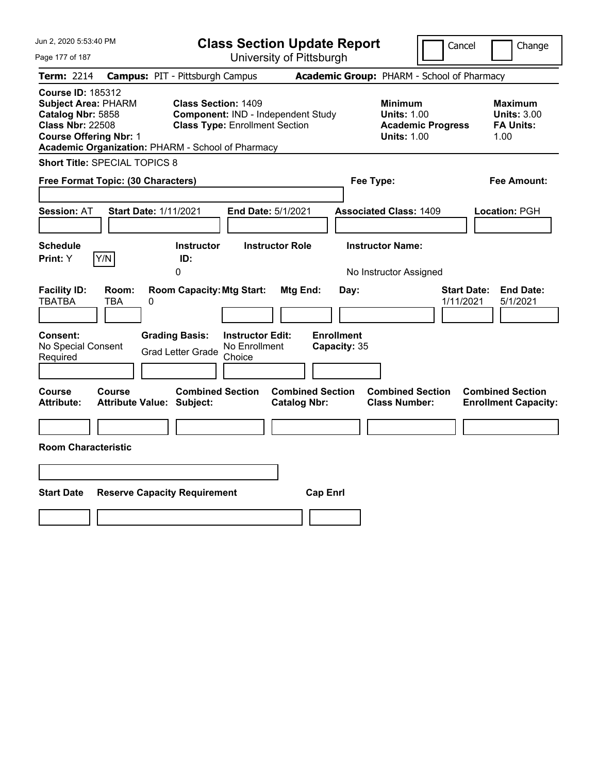| Jun 2, 2020 5:53:40 PM                                                                                                                                                                       |                                            |                                                                     |                         | <b>Class Section Update Report</b>             |                           |                                                            | Cancel                   | Change                                                           |
|----------------------------------------------------------------------------------------------------------------------------------------------------------------------------------------------|--------------------------------------------|---------------------------------------------------------------------|-------------------------|------------------------------------------------|---------------------------|------------------------------------------------------------|--------------------------|------------------------------------------------------------------|
| Page 177 of 187                                                                                                                                                                              |                                            |                                                                     |                         | University of Pittsburgh                       |                           |                                                            |                          |                                                                  |
| Term: 2214                                                                                                                                                                                   | <b>Campus: PIT - Pittsburgh Campus</b>     |                                                                     |                         |                                                |                           | Academic Group: PHARM - School of Pharmacy                 |                          |                                                                  |
| <b>Course ID: 185312</b><br><b>Subject Area: PHARM</b><br>Catalog Nbr: 5858<br><b>Class Nbr: 22508</b><br><b>Course Offering Nbr: 1</b><br>Academic Organization: PHARM - School of Pharmacy |                                            | <b>Class Section: 1409</b><br><b>Class Type: Enrollment Section</b> |                         | Component: IND - Independent Study             |                           | <b>Minimum</b><br><b>Units: 1.00</b><br><b>Units: 1.00</b> | <b>Academic Progress</b> | <b>Maximum</b><br><b>Units: 3.00</b><br><b>FA Units:</b><br>1.00 |
| <b>Short Title: SPECIAL TOPICS 8</b>                                                                                                                                                         |                                            |                                                                     |                         |                                                |                           |                                                            |                          |                                                                  |
| Free Format Topic: (30 Characters)                                                                                                                                                           |                                            |                                                                     |                         |                                                |                           | Fee Type:                                                  |                          | Fee Amount:                                                      |
| <b>Session: AT</b>                                                                                                                                                                           | <b>Start Date: 1/11/2021</b>               |                                                                     |                         | End Date: 5/1/2021                             |                           | <b>Associated Class: 1409</b>                              |                          | Location: PGH                                                    |
| <b>Schedule</b><br><b>Print:</b> Y                                                                                                                                                           | Y/N                                        | <b>Instructor</b><br>ID:                                            |                         | <b>Instructor Role</b>                         |                           | <b>Instructor Name:</b>                                    |                          |                                                                  |
|                                                                                                                                                                                              |                                            | 0                                                                   |                         |                                                |                           | No Instructor Assigned                                     |                          |                                                                  |
| <b>Facility ID:</b><br><b>TBATBA</b><br><b>Consent:</b>                                                                                                                                      | Room:<br>TBA<br>0                          | <b>Room Capacity: Mtg Start:</b><br><b>Grading Basis:</b>           | <b>Instructor Edit:</b> | Mtg End:                                       | Day:<br><b>Enrollment</b> |                                                            |                          | <b>Start Date:</b><br><b>End Date:</b><br>1/11/2021<br>5/1/2021  |
| No Special Consent<br>Required                                                                                                                                                               |                                            | <b>Grad Letter Grade</b>                                            | No Enrollment<br>Choice |                                                | Capacity: 35              |                                                            |                          |                                                                  |
| Course<br><b>Attribute:</b>                                                                                                                                                                  | Course<br><b>Attribute Value: Subject:</b> | <b>Combined Section</b>                                             |                         | <b>Combined Section</b><br><b>Catalog Nbr:</b> |                           | <b>Combined Section</b><br><b>Class Number:</b>            |                          | <b>Combined Section</b><br><b>Enrollment Capacity:</b>           |
|                                                                                                                                                                                              |                                            |                                                                     |                         |                                                |                           |                                                            |                          |                                                                  |
| <b>Room Characteristic</b>                                                                                                                                                                   |                                            |                                                                     |                         |                                                |                           |                                                            |                          |                                                                  |
|                                                                                                                                                                                              |                                            |                                                                     |                         |                                                |                           |                                                            |                          |                                                                  |
| <b>Start Date</b>                                                                                                                                                                            | <b>Reserve Capacity Requirement</b>        |                                                                     |                         |                                                | <b>Cap Enrl</b>           |                                                            |                          |                                                                  |
|                                                                                                                                                                                              |                                            |                                                                     |                         |                                                |                           |                                                            |                          |                                                                  |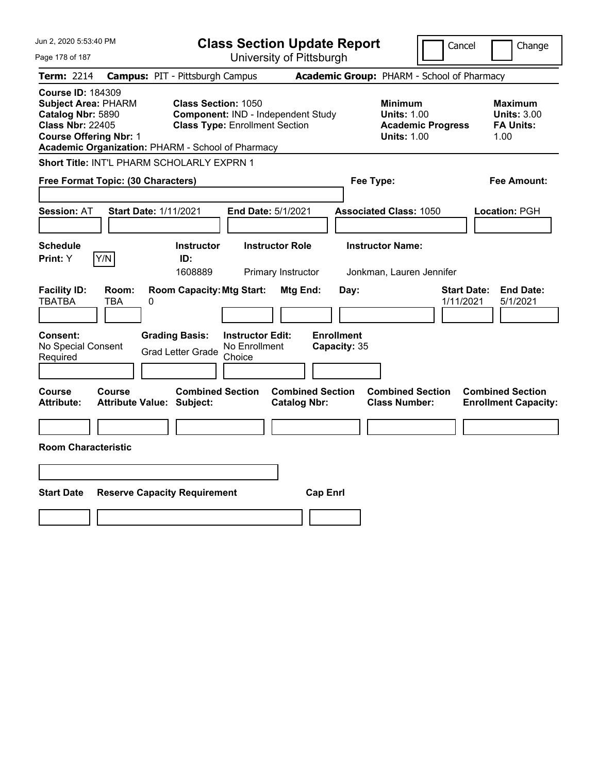| Jun 2, 2020 5:53:40 PM                                                                                                                                                                       |                                                                                                                                             | <b>Class Section Update Report</b>                    | Cancel                                                                                 | Change                                                    |
|----------------------------------------------------------------------------------------------------------------------------------------------------------------------------------------------|---------------------------------------------------------------------------------------------------------------------------------------------|-------------------------------------------------------|----------------------------------------------------------------------------------------|-----------------------------------------------------------|
| Page 178 of 187                                                                                                                                                                              |                                                                                                                                             | University of Pittsburgh                              |                                                                                        |                                                           |
| <b>Term: 2214</b>                                                                                                                                                                            | <b>Campus: PIT - Pittsburgh Campus</b>                                                                                                      |                                                       | Academic Group: PHARM - School of Pharmacy                                             |                                                           |
| <b>Course ID: 184309</b><br><b>Subject Area: PHARM</b><br>Catalog Nbr: 5890<br><b>Class Nbr: 22405</b><br><b>Course Offering Nbr: 1</b><br>Academic Organization: PHARM - School of Pharmacy | <b>Class Section: 1050</b><br>Component: IND - Independent Study<br><b>Class Type: Enrollment Section</b>                                   |                                                       | <b>Minimum</b><br><b>Units: 1.00</b><br><b>Academic Progress</b><br><b>Units: 1.00</b> | Maximum<br><b>Units: 3.00</b><br><b>FA Units:</b><br>1.00 |
| Short Title: INT'L PHARM SCHOLARLY EXPRN 1                                                                                                                                                   |                                                                                                                                             |                                                       |                                                                                        |                                                           |
| Free Format Topic: (30 Characters)                                                                                                                                                           |                                                                                                                                             |                                                       | Fee Type:                                                                              | Fee Amount:                                               |
| <b>Session: AT</b><br>Start Date: 1/11/2021                                                                                                                                                  |                                                                                                                                             | End Date: 5/1/2021                                    | <b>Associated Class: 1050</b>                                                          | Location: PGH                                             |
| <b>Schedule</b>                                                                                                                                                                              | <b>Instructor</b>                                                                                                                           | <b>Instructor Role</b>                                | <b>Instructor Name:</b>                                                                |                                                           |
| Y/N<br><b>Print:</b> Y                                                                                                                                                                       | ID:<br>1608889                                                                                                                              | Primary Instructor                                    | Jonkman, Lauren Jennifer                                                               |                                                           |
| <b>Facility ID:</b><br>Room:<br><b>TBATBA</b><br>0<br>TBA<br><b>Consent:</b><br>No Special Consent<br>Required                                                                               | <b>Room Capacity: Mtg Start:</b><br><b>Grading Basis:</b><br><b>Instructor Edit:</b><br>No Enrollment<br><b>Grad Letter Grade</b><br>Choice | Mtg End:<br>Day:<br><b>Enrollment</b><br>Capacity: 35 | <b>Start Date:</b><br>1/11/2021                                                        | <b>End Date:</b><br>5/1/2021                              |
| Course<br><b>Course</b><br><b>Attribute:</b><br><b>Attribute Value: Subject:</b>                                                                                                             | <b>Combined Section</b>                                                                                                                     | <b>Combined Section</b><br><b>Catalog Nbr:</b>        | <b>Combined Section</b><br><b>Class Number:</b>                                        | <b>Combined Section</b><br><b>Enrollment Capacity:</b>    |
| <b>Room Characteristic</b>                                                                                                                                                                   |                                                                                                                                             |                                                       |                                                                                        |                                                           |
|                                                                                                                                                                                              |                                                                                                                                             |                                                       |                                                                                        |                                                           |
| <b>Start Date</b>                                                                                                                                                                            | <b>Reserve Capacity Requirement</b>                                                                                                         | <b>Cap Enrl</b>                                       |                                                                                        |                                                           |
|                                                                                                                                                                                              |                                                                                                                                             |                                                       |                                                                                        |                                                           |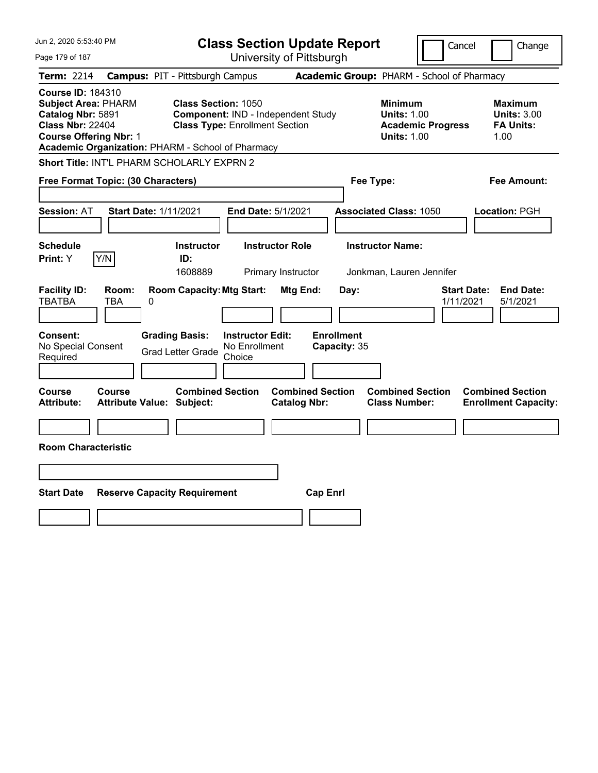| Jun 2, 2020 5:53:40 PM                                                                                                                                                                       |                                                                                            |                                                                             | <b>Class Section Update Report</b>                    |                                                                                        | Cancel<br>Change                                                |
|----------------------------------------------------------------------------------------------------------------------------------------------------------------------------------------------|--------------------------------------------------------------------------------------------|-----------------------------------------------------------------------------|-------------------------------------------------------|----------------------------------------------------------------------------------------|-----------------------------------------------------------------|
| Page 179 of 187                                                                                                                                                                              |                                                                                            | University of Pittsburgh                                                    |                                                       |                                                                                        |                                                                 |
| <b>Term: 2214</b>                                                                                                                                                                            | <b>Campus: PIT - Pittsburgh Campus</b>                                                     |                                                                             |                                                       | Academic Group: PHARM - School of Pharmacy                                             |                                                                 |
| <b>Course ID: 184310</b><br><b>Subject Area: PHARM</b><br>Catalog Nbr: 5891<br><b>Class Nbr: 22404</b><br><b>Course Offering Nbr: 1</b><br>Academic Organization: PHARM - School of Pharmacy | <b>Class Section: 1050</b>                                                                 | Component: IND - Independent Study<br><b>Class Type: Enrollment Section</b> |                                                       | <b>Minimum</b><br><b>Units: 1.00</b><br><b>Academic Progress</b><br><b>Units: 1.00</b> | Maximum<br><b>Units: 3.00</b><br><b>FA Units:</b><br>1.00       |
| Short Title: INT'L PHARM SCHOLARLY EXPRN 2                                                                                                                                                   |                                                                                            |                                                                             |                                                       |                                                                                        |                                                                 |
| Free Format Topic: (30 Characters)                                                                                                                                                           |                                                                                            |                                                                             |                                                       | Fee Type:                                                                              | Fee Amount:                                                     |
| <b>Session: AT</b>                                                                                                                                                                           | Start Date: 1/11/2021                                                                      | End Date: 5/1/2021                                                          |                                                       | <b>Associated Class: 1050</b>                                                          | Location: PGH                                                   |
| <b>Schedule</b>                                                                                                                                                                              | <b>Instructor</b>                                                                          | <b>Instructor Role</b>                                                      |                                                       | <b>Instructor Name:</b>                                                                |                                                                 |
| Y/N<br><b>Print:</b> Y                                                                                                                                                                       | ID:<br>1608889                                                                             | Primary Instructor                                                          |                                                       | Jonkman, Lauren Jennifer                                                               |                                                                 |
| <b>Facility ID:</b><br>Room:<br><b>TBATBA</b><br>TBA<br><b>Consent:</b><br>No Special Consent<br>Required                                                                                    | <b>Room Capacity: Mtg Start:</b><br>0<br><b>Grading Basis:</b><br><b>Grad Letter Grade</b> | <b>Instructor Edit:</b><br>No Enrollment<br>Choice                          | Mtg End:<br>Day:<br><b>Enrollment</b><br>Capacity: 35 |                                                                                        | <b>End Date:</b><br><b>Start Date:</b><br>1/11/2021<br>5/1/2021 |
| Course<br><b>Course</b><br><b>Attribute:</b>                                                                                                                                                 | <b>Combined Section</b><br><b>Attribute Value: Subject:</b>                                |                                                                             | <b>Combined Section</b><br><b>Catalog Nbr:</b>        | <b>Combined Section</b><br><b>Class Number:</b>                                        | <b>Combined Section</b><br><b>Enrollment Capacity:</b>          |
| <b>Room Characteristic</b>                                                                                                                                                                   |                                                                                            |                                                                             |                                                       |                                                                                        |                                                                 |
| <b>Start Date</b>                                                                                                                                                                            | <b>Reserve Capacity Requirement</b>                                                        |                                                                             | <b>Cap Enrl</b>                                       |                                                                                        |                                                                 |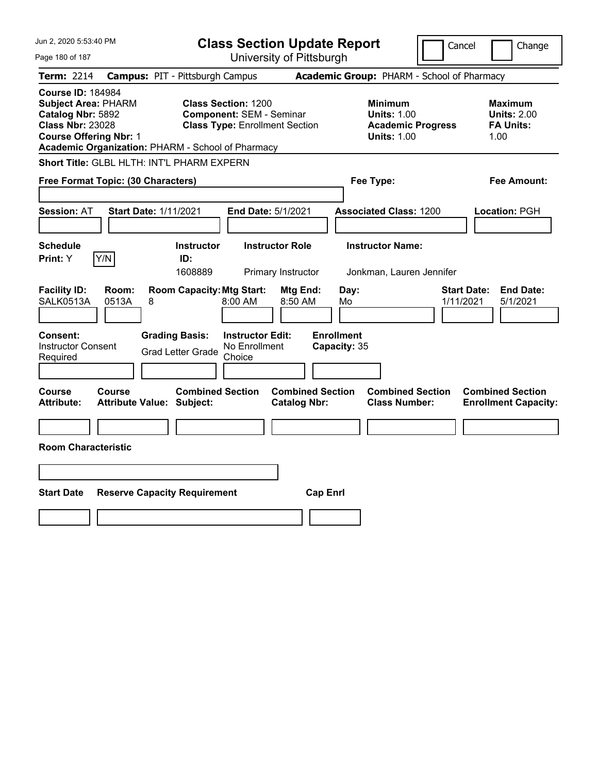| Jun 2, 2020 5:53:40 PM                                                                                                                                                                       | <b>Class Section Update Report</b>                                                                      | Cancel                                                                                 | Change                                                           |
|----------------------------------------------------------------------------------------------------------------------------------------------------------------------------------------------|---------------------------------------------------------------------------------------------------------|----------------------------------------------------------------------------------------|------------------------------------------------------------------|
| Page 180 of 187                                                                                                                                                                              | University of Pittsburgh                                                                                |                                                                                        |                                                                  |
| Term: 2214                                                                                                                                                                                   | <b>Campus: PIT - Pittsburgh Campus</b>                                                                  | Academic Group: PHARM - School of Pharmacy                                             |                                                                  |
| <b>Course ID: 184984</b><br><b>Subject Area: PHARM</b><br>Catalog Nbr: 5892<br><b>Class Nbr: 23028</b><br><b>Course Offering Nbr: 1</b><br>Academic Organization: PHARM - School of Pharmacy | <b>Class Section: 1200</b><br><b>Component: SEM - Seminar</b><br><b>Class Type: Enrollment Section</b>  | <b>Minimum</b><br><b>Units: 1.00</b><br><b>Academic Progress</b><br><b>Units: 1.00</b> | <b>Maximum</b><br><b>Units: 2.00</b><br><b>FA Units:</b><br>1.00 |
| Short Title: GLBL HLTH: INT'L PHARM EXPERN                                                                                                                                                   |                                                                                                         |                                                                                        |                                                                  |
| Free Format Topic: (30 Characters)                                                                                                                                                           |                                                                                                         | Fee Type:                                                                              | Fee Amount:                                                      |
| <b>Session: AT</b><br><b>Start Date: 1/11/2021</b>                                                                                                                                           | End Date: 5/1/2021                                                                                      | <b>Associated Class: 1200</b>                                                          | Location: PGH                                                    |
| <b>Schedule</b><br>Y/N<br>Print: Y                                                                                                                                                           | <b>Instructor Role</b><br><b>Instructor</b><br>ID:<br>1608889<br>Primary Instructor                     | <b>Instructor Name:</b><br>Jonkman, Lauren Jennifer                                    |                                                                  |
| <b>Facility ID:</b><br>Room:<br>SALK0513A<br>0513A<br>8                                                                                                                                      | <b>Room Capacity: Mtg Start:</b><br>Mtg End:<br>8:00 AM<br>8:50 AM                                      | Day:<br>1/11/2021<br>Mo                                                                | <b>Start Date:</b><br><b>End Date:</b><br>5/1/2021               |
| Consent:<br><b>Instructor Consent</b><br>Required                                                                                                                                            | <b>Grading Basis:</b><br><b>Instructor Edit:</b><br>No Enrollment<br><b>Grad Letter Grade</b><br>Choice | <b>Enrollment</b><br>Capacity: 35                                                      |                                                                  |
| Course<br>Course<br><b>Attribute:</b><br><b>Attribute Value: Subject:</b>                                                                                                                    | <b>Combined Section</b><br><b>Combined Section</b><br><b>Catalog Nbr:</b>                               | <b>Combined Section</b><br><b>Class Number:</b>                                        | <b>Combined Section</b><br><b>Enrollment Capacity:</b>           |
| <b>Room Characteristic</b>                                                                                                                                                                   |                                                                                                         |                                                                                        |                                                                  |
|                                                                                                                                                                                              |                                                                                                         |                                                                                        |                                                                  |
| <b>Start Date</b><br><b>Reserve Capacity Requirement</b>                                                                                                                                     | <b>Cap Enrl</b>                                                                                         |                                                                                        |                                                                  |
|                                                                                                                                                                                              |                                                                                                         |                                                                                        |                                                                  |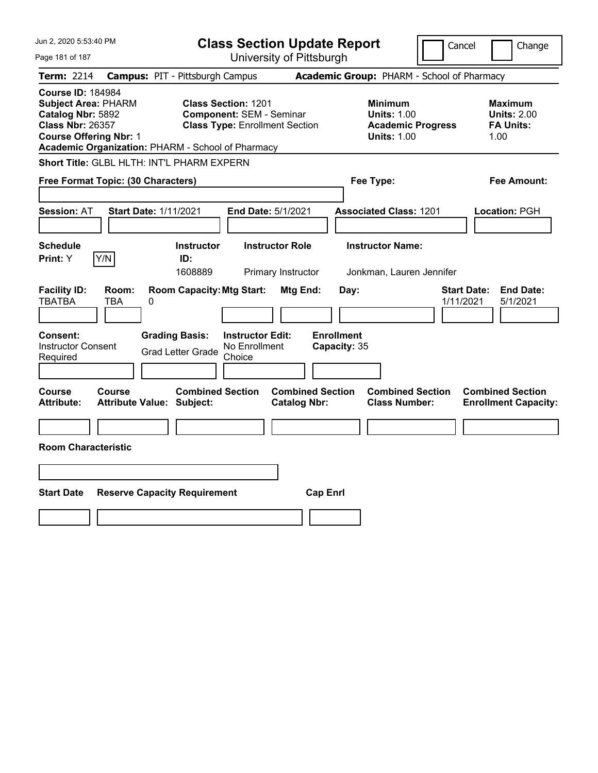| Jun 2, 2020 5:53:40 PM                                                                                                                                                                       | <b>Class Section Update Report</b>                                                                      |                                                                                        | Cancel<br>Change                                                 |
|----------------------------------------------------------------------------------------------------------------------------------------------------------------------------------------------|---------------------------------------------------------------------------------------------------------|----------------------------------------------------------------------------------------|------------------------------------------------------------------|
| Page 181 of 187                                                                                                                                                                              | University of Pittsburgh                                                                                |                                                                                        |                                                                  |
| <b>Term: 2214</b>                                                                                                                                                                            | <b>Campus: PIT - Pittsburgh Campus</b>                                                                  | Academic Group: PHARM - School of Pharmacy                                             |                                                                  |
| <b>Course ID: 184984</b><br><b>Subject Area: PHARM</b><br>Catalog Nbr: 5892<br><b>Class Nbr: 26357</b><br><b>Course Offering Nbr: 1</b><br>Academic Organization: PHARM - School of Pharmacy | <b>Class Section: 1201</b><br><b>Component: SEM - Seminar</b><br><b>Class Type: Enrollment Section</b>  | <b>Minimum</b><br><b>Units: 1.00</b><br><b>Academic Progress</b><br><b>Units: 1.00</b> | <b>Maximum</b><br><b>Units: 2.00</b><br><b>FA Units:</b><br>1.00 |
| Short Title: GLBL HLTH: INT'L PHARM EXPERN                                                                                                                                                   |                                                                                                         |                                                                                        |                                                                  |
| Free Format Topic: (30 Characters)                                                                                                                                                           |                                                                                                         | Fee Type:                                                                              | Fee Amount:                                                      |
| <b>Session: AT</b><br><b>Start Date: 1/11/2021</b>                                                                                                                                           | End Date: 5/1/2021                                                                                      | <b>Associated Class: 1201</b>                                                          | Location: PGH                                                    |
| <b>Schedule</b><br>Y/N<br>Print: Y                                                                                                                                                           | <b>Instructor</b><br><b>Instructor Role</b><br>ID:<br>1608889<br>Primary Instructor                     | <b>Instructor Name:</b><br>Jonkman, Lauren Jennifer                                    |                                                                  |
| <b>Facility ID:</b><br>Room:<br><b>TBATBA</b><br>TBA<br>0                                                                                                                                    | <b>Room Capacity: Mtg Start:</b><br>Mtg End:                                                            | Day:                                                                                   | <b>Start Date:</b><br><b>End Date:</b><br>1/11/2021<br>5/1/2021  |
| <b>Consent:</b><br><b>Instructor Consent</b><br>Required                                                                                                                                     | <b>Grading Basis:</b><br><b>Instructor Edit:</b><br>No Enrollment<br><b>Grad Letter Grade</b><br>Choice | <b>Enrollment</b><br>Capacity: 35                                                      |                                                                  |
| Course<br>Course<br><b>Attribute Value: Subject:</b><br><b>Attribute:</b>                                                                                                                    | <b>Combined Section</b><br><b>Combined Section</b><br><b>Catalog Nbr:</b>                               | <b>Combined Section</b><br><b>Class Number:</b>                                        | <b>Combined Section</b><br><b>Enrollment Capacity:</b>           |
| <b>Room Characteristic</b>                                                                                                                                                                   |                                                                                                         |                                                                                        |                                                                  |
|                                                                                                                                                                                              |                                                                                                         |                                                                                        |                                                                  |
| <b>Start Date</b><br><b>Reserve Capacity Requirement</b>                                                                                                                                     |                                                                                                         | <b>Cap Enrl</b>                                                                        |                                                                  |
|                                                                                                                                                                                              |                                                                                                         |                                                                                        |                                                                  |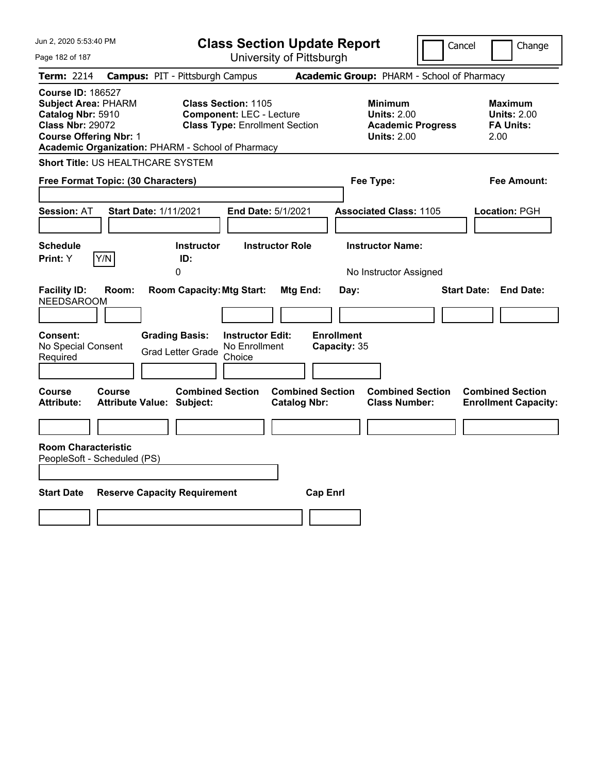| Jun 2, 2020 5:53:40 PM                                                                                                                                                                       | <b>Class Section Update Report</b>                                                                      | Cancel                                                                                 | Change                                                           |
|----------------------------------------------------------------------------------------------------------------------------------------------------------------------------------------------|---------------------------------------------------------------------------------------------------------|----------------------------------------------------------------------------------------|------------------------------------------------------------------|
| Page 182 of 187                                                                                                                                                                              | University of Pittsburgh                                                                                |                                                                                        |                                                                  |
| Term: 2214                                                                                                                                                                                   | <b>Campus: PIT - Pittsburgh Campus</b>                                                                  | Academic Group: PHARM - School of Pharmacy                                             |                                                                  |
| <b>Course ID: 186527</b><br><b>Subject Area: PHARM</b><br>Catalog Nbr: 5910<br><b>Class Nbr: 29072</b><br><b>Course Offering Nbr: 1</b><br>Academic Organization: PHARM - School of Pharmacy | <b>Class Section: 1105</b><br><b>Component: LEC - Lecture</b><br><b>Class Type: Enrollment Section</b>  | <b>Minimum</b><br><b>Units: 2.00</b><br><b>Academic Progress</b><br><b>Units: 2.00</b> | <b>Maximum</b><br><b>Units: 2.00</b><br><b>FA Units:</b><br>2.00 |
| <b>Short Title: US HEALTHCARE SYSTEM</b>                                                                                                                                                     |                                                                                                         |                                                                                        |                                                                  |
| Free Format Topic: (30 Characters)                                                                                                                                                           |                                                                                                         | Fee Type:                                                                              | Fee Amount:                                                      |
| <b>Session: AT</b><br><b>Start Date: 1/11/2021</b>                                                                                                                                           | End Date: 5/1/2021                                                                                      | <b>Associated Class: 1105</b>                                                          | Location: PGH                                                    |
| <b>Schedule</b><br>Print: Y<br>Y/N                                                                                                                                                           | <b>Instructor Role</b><br><b>Instructor</b><br>ID:<br>0                                                 | <b>Instructor Name:</b><br>No Instructor Assigned                                      |                                                                  |
| <b>Facility ID:</b><br>Room:<br><b>NEEDSAROOM</b>                                                                                                                                            | <b>Room Capacity: Mtg Start:</b><br>Mtg End:                                                            | Day:                                                                                   | <b>Start Date:</b><br><b>End Date:</b>                           |
| Consent:<br>No Special Consent<br>Required                                                                                                                                                   | <b>Grading Basis:</b><br><b>Instructor Edit:</b><br>No Enrollment<br><b>Grad Letter Grade</b><br>Choice | <b>Enrollment</b><br>Capacity: 35                                                      |                                                                  |
| Course<br>Course<br><b>Attribute:</b><br><b>Attribute Value: Subject:</b>                                                                                                                    | <b>Combined Section</b><br><b>Catalog Nbr:</b>                                                          | <b>Combined Section</b><br><b>Combined Section</b><br><b>Class Number:</b>             | <b>Combined Section</b><br><b>Enrollment Capacity:</b>           |
| <b>Room Characteristic</b><br>PeopleSoft - Scheduled (PS)                                                                                                                                    |                                                                                                         |                                                                                        |                                                                  |
| <b>Start Date</b><br><b>Reserve Capacity Requirement</b>                                                                                                                                     |                                                                                                         | <b>Cap Enrl</b>                                                                        |                                                                  |
|                                                                                                                                                                                              |                                                                                                         |                                                                                        |                                                                  |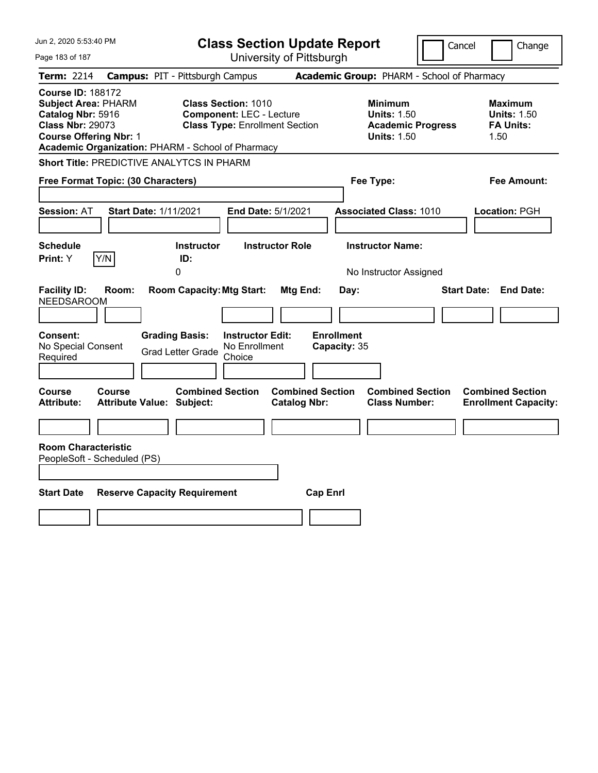| Jun 2, 2020 5:53:40 PM                                                                                                                                                                       | <b>Class Section Update Report</b>                                                                                                                      |                                                                                        | Cancel<br>Change                                                 |
|----------------------------------------------------------------------------------------------------------------------------------------------------------------------------------------------|---------------------------------------------------------------------------------------------------------------------------------------------------------|----------------------------------------------------------------------------------------|------------------------------------------------------------------|
| Page 183 of 187                                                                                                                                                                              | University of Pittsburgh                                                                                                                                |                                                                                        |                                                                  |
| <b>Term: 2214</b>                                                                                                                                                                            | <b>Campus: PIT - Pittsburgh Campus</b>                                                                                                                  | Academic Group: PHARM - School of Pharmacy                                             |                                                                  |
| <b>Course ID: 188172</b><br><b>Subject Area: PHARM</b><br>Catalog Nbr: 5916<br><b>Class Nbr: 29073</b><br><b>Course Offering Nbr: 1</b><br>Academic Organization: PHARM - School of Pharmacy | <b>Class Section: 1010</b><br><b>Component: LEC - Lecture</b><br><b>Class Type: Enrollment Section</b>                                                  | <b>Minimum</b><br><b>Units: 1.50</b><br><b>Academic Progress</b><br><b>Units: 1.50</b> | <b>Maximum</b><br><b>Units: 1.50</b><br><b>FA Units:</b><br>1.50 |
| <b>Short Title: PREDICTIVE ANALYTCS IN PHARM</b>                                                                                                                                             |                                                                                                                                                         |                                                                                        |                                                                  |
| Free Format Topic: (30 Characters)                                                                                                                                                           |                                                                                                                                                         | Fee Type:                                                                              | Fee Amount:                                                      |
| <b>Session: AT</b><br><b>Start Date: 1/11/2021</b>                                                                                                                                           | <b>End Date: 5/1/2021</b>                                                                                                                               | <b>Associated Class: 1010</b>                                                          | Location: PGH                                                    |
| <b>Schedule</b><br>Print: Y<br>Y/N                                                                                                                                                           | <b>Instructor</b><br><b>Instructor Role</b><br>ID:<br>$\mathbf{0}$                                                                                      | <b>Instructor Name:</b><br>No Instructor Assigned                                      |                                                                  |
| <b>Facility ID:</b><br>Room:<br><b>NEEDSAROOM</b><br><b>Consent:</b><br>No Special Consent<br>Required                                                                                       | <b>Room Capacity: Mtg Start:</b><br>Mtg End:<br><b>Grading Basis:</b><br><b>Instructor Edit:</b><br>No Enrollment<br><b>Grad Letter Grade</b><br>Choice | Day:<br><b>Enrollment</b><br>Capacity: 35                                              | <b>End Date:</b><br><b>Start Date:</b>                           |
| Course<br>Course<br><b>Attribute Value: Subject:</b><br><b>Attribute:</b>                                                                                                                    | <b>Combined Section</b><br><b>Catalog Nbr:</b>                                                                                                          | <b>Combined Section</b><br><b>Combined Section</b><br><b>Class Number:</b>             | <b>Combined Section</b><br><b>Enrollment Capacity:</b>           |
| <b>Room Characteristic</b><br>PeopleSoft - Scheduled (PS)                                                                                                                                    |                                                                                                                                                         |                                                                                        |                                                                  |
| <b>Start Date</b><br><b>Reserve Capacity Requirement</b>                                                                                                                                     |                                                                                                                                                         | <b>Cap Enrl</b>                                                                        |                                                                  |
|                                                                                                                                                                                              |                                                                                                                                                         |                                                                                        |                                                                  |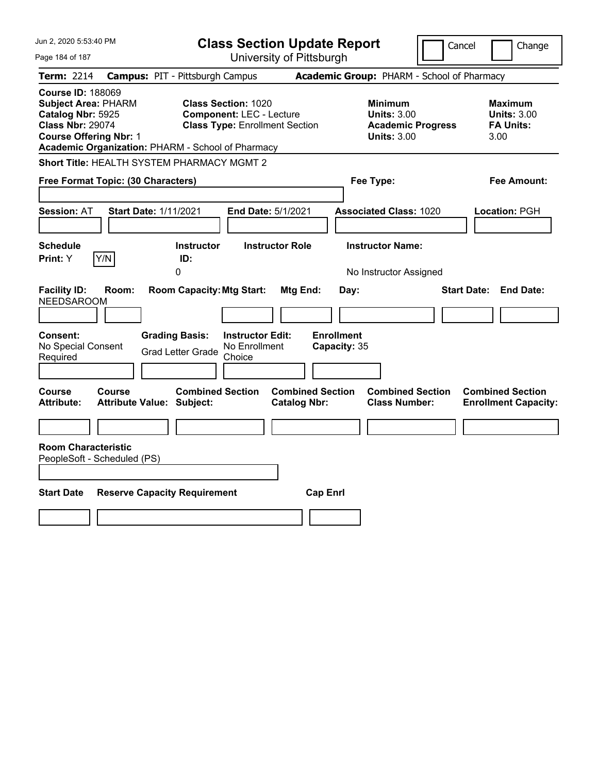| Jun 2, 2020 5:53:40 PM                                                                                                                                                                       | <b>Class Section Update Report</b>                                                                                                                      |                                                                                        | Cancel<br>Change                                          |
|----------------------------------------------------------------------------------------------------------------------------------------------------------------------------------------------|---------------------------------------------------------------------------------------------------------------------------------------------------------|----------------------------------------------------------------------------------------|-----------------------------------------------------------|
| Page 184 of 187                                                                                                                                                                              | University of Pittsburgh                                                                                                                                |                                                                                        |                                                           |
| <b>Term: 2214</b>                                                                                                                                                                            | <b>Campus: PIT - Pittsburgh Campus</b>                                                                                                                  | Academic Group: PHARM - School of Pharmacy                                             |                                                           |
| <b>Course ID: 188069</b><br><b>Subject Area: PHARM</b><br>Catalog Nbr: 5925<br><b>Class Nbr: 29074</b><br><b>Course Offering Nbr: 1</b><br>Academic Organization: PHARM - School of Pharmacy | <b>Class Section: 1020</b><br><b>Component: LEC - Lecture</b><br><b>Class Type: Enrollment Section</b>                                                  | <b>Minimum</b><br><b>Units: 3.00</b><br><b>Academic Progress</b><br><b>Units: 3.00</b> | Maximum<br><b>Units: 3.00</b><br><b>FA Units:</b><br>3.00 |
| Short Title: HEALTH SYSTEM PHARMACY MGMT 2                                                                                                                                                   |                                                                                                                                                         |                                                                                        |                                                           |
| Free Format Topic: (30 Characters)                                                                                                                                                           |                                                                                                                                                         | Fee Type:                                                                              | Fee Amount:                                               |
| Start Date: 1/11/2021<br><b>Session: AT</b>                                                                                                                                                  | End Date: 5/1/2021                                                                                                                                      | <b>Associated Class: 1020</b>                                                          | <b>Location: PGH</b>                                      |
| <b>Schedule</b><br>Print: Y<br>Y/N                                                                                                                                                           | <b>Instructor Role</b><br><b>Instructor</b><br>ID:<br>0                                                                                                 | <b>Instructor Name:</b><br>No Instructor Assigned                                      |                                                           |
| <b>Facility ID:</b><br>Room:<br><b>NEEDSAROOM</b><br>Consent:<br>No Special Consent<br>Required                                                                                              | <b>Room Capacity: Mtg Start:</b><br>Mtg End:<br><b>Grading Basis:</b><br><b>Instructor Edit:</b><br>No Enrollment<br><b>Grad Letter Grade</b><br>Choice | Day:<br><b>Enrollment</b><br>Capacity: 35                                              | <b>End Date:</b><br><b>Start Date:</b>                    |
| <b>Course</b><br>Course<br><b>Attribute:</b><br><b>Attribute Value: Subject:</b><br><b>Room Characteristic</b><br>PeopleSoft - Scheduled (PS)                                                | <b>Combined Section</b><br><b>Combined Section</b><br><b>Catalog Nbr:</b>                                                                               | <b>Combined Section</b><br><b>Class Number:</b>                                        | <b>Combined Section</b><br><b>Enrollment Capacity:</b>    |
| <b>Start Date</b><br><b>Reserve Capacity Requirement</b>                                                                                                                                     |                                                                                                                                                         | <b>Cap Enrl</b>                                                                        |                                                           |
|                                                                                                                                                                                              |                                                                                                                                                         |                                                                                        |                                                           |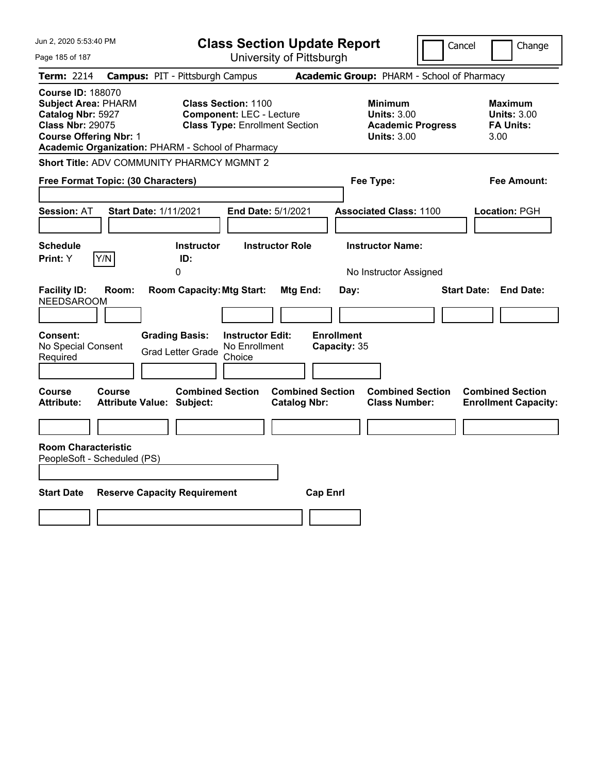| Jun 2, 2020 5:53:40 PM                                                                                                                                                                       | <b>Class Section Update Report</b>                                                                                                                      | Cancel                                                                                 | Change                                                    |
|----------------------------------------------------------------------------------------------------------------------------------------------------------------------------------------------|---------------------------------------------------------------------------------------------------------------------------------------------------------|----------------------------------------------------------------------------------------|-----------------------------------------------------------|
| Page 185 of 187                                                                                                                                                                              | University of Pittsburgh                                                                                                                                |                                                                                        |                                                           |
| <b>Term: 2214</b>                                                                                                                                                                            | <b>Campus: PIT - Pittsburgh Campus</b>                                                                                                                  | Academic Group: PHARM - School of Pharmacy                                             |                                                           |
| <b>Course ID: 188070</b><br><b>Subject Area: PHARM</b><br>Catalog Nbr: 5927<br><b>Class Nbr: 29075</b><br><b>Course Offering Nbr: 1</b><br>Academic Organization: PHARM - School of Pharmacy | <b>Class Section: 1100</b><br><b>Component: LEC - Lecture</b><br><b>Class Type: Enrollment Section</b>                                                  | <b>Minimum</b><br><b>Units: 3.00</b><br><b>Academic Progress</b><br><b>Units: 3.00</b> | Maximum<br><b>Units: 3.00</b><br><b>FA Units:</b><br>3.00 |
| Short Title: ADV COMMUNITY PHARMCY MGMNT 2                                                                                                                                                   |                                                                                                                                                         |                                                                                        |                                                           |
| Free Format Topic: (30 Characters)                                                                                                                                                           |                                                                                                                                                         | Fee Type:                                                                              | Fee Amount:                                               |
| <b>Session: AT</b><br>Start Date: 1/11/2021                                                                                                                                                  | End Date: 5/1/2021                                                                                                                                      | <b>Associated Class: 1100</b>                                                          | <b>Location: PGH</b>                                      |
| Schedule<br>Y/N<br>Print: Y                                                                                                                                                                  | <b>Instructor Role</b><br><b>Instructor</b><br>ID:<br>0                                                                                                 | <b>Instructor Name:</b><br>No Instructor Assigned                                      |                                                           |
| <b>Facility ID:</b><br>Room:<br><b>NEEDSAROOM</b><br>Consent:<br>No Special Consent<br>Required                                                                                              | <b>Room Capacity: Mtg Start:</b><br>Mtg End:<br><b>Grading Basis:</b><br><b>Instructor Edit:</b><br>No Enrollment<br><b>Grad Letter Grade</b><br>Choice | Day:<br><b>Enrollment</b><br>Capacity: 35                                              | <b>Start Date:</b><br><b>End Date:</b>                    |
| Course<br><b>Course</b><br><b>Attribute:</b><br><b>Attribute Value: Subject:</b>                                                                                                             | <b>Combined Section</b><br><b>Combined Section</b><br><b>Catalog Nbr:</b>                                                                               | <b>Combined Section</b><br><b>Class Number:</b>                                        | <b>Combined Section</b><br><b>Enrollment Capacity:</b>    |
| <b>Room Characteristic</b><br>PeopleSoft - Scheduled (PS)                                                                                                                                    |                                                                                                                                                         |                                                                                        |                                                           |
| <b>Start Date</b><br><b>Reserve Capacity Requirement</b>                                                                                                                                     |                                                                                                                                                         | <b>Cap Enrl</b>                                                                        |                                                           |
|                                                                                                                                                                                              |                                                                                                                                                         |                                                                                        |                                                           |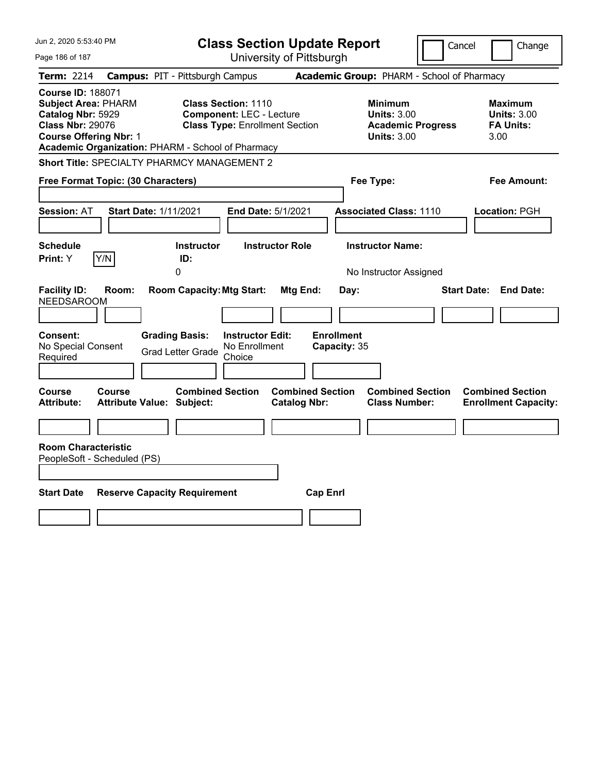| Jun 2, 2020 5:53:40 PM                                                                                                                  | <b>Class Section Update Report</b>                                                                                                                          |                                                                                        | Cancel<br>Change                                                 |
|-----------------------------------------------------------------------------------------------------------------------------------------|-------------------------------------------------------------------------------------------------------------------------------------------------------------|----------------------------------------------------------------------------------------|------------------------------------------------------------------|
| Page 186 of 187                                                                                                                         | University of Pittsburgh                                                                                                                                    |                                                                                        |                                                                  |
| <b>Term: 2214</b>                                                                                                                       | <b>Campus: PIT - Pittsburgh Campus</b>                                                                                                                      | Academic Group: PHARM - School of Pharmacy                                             |                                                                  |
| <b>Course ID: 188071</b><br><b>Subject Area: PHARM</b><br>Catalog Nbr: 5929<br><b>Class Nbr: 29076</b><br><b>Course Offering Nbr: 1</b> | <b>Class Section: 1110</b><br><b>Component: LEC - Lecture</b><br><b>Class Type: Enrollment Section</b><br>Academic Organization: PHARM - School of Pharmacy | <b>Minimum</b><br><b>Units: 3.00</b><br><b>Academic Progress</b><br><b>Units: 3.00</b> | <b>Maximum</b><br><b>Units: 3.00</b><br><b>FA Units:</b><br>3.00 |
|                                                                                                                                         | Short Title: SPECIALTY PHARMCY MANAGEMENT 2                                                                                                                 |                                                                                        |                                                                  |
| Free Format Topic: (30 Characters)                                                                                                      |                                                                                                                                                             | Fee Type:                                                                              | Fee Amount:                                                      |
| <b>Session: AT</b>                                                                                                                      | <b>Start Date: 1/11/2021</b><br>End Date: 5/1/2021                                                                                                          | <b>Associated Class: 1110</b>                                                          | <b>Location: PGH</b>                                             |
| <b>Schedule</b><br>Print: Y<br> Y/N                                                                                                     | <b>Instructor Role</b><br><b>Instructor</b><br>ID:<br>0                                                                                                     | <b>Instructor Name:</b><br>No Instructor Assigned                                      |                                                                  |
| <b>Facility ID:</b><br>Room:<br><b>NEEDSAROOM</b>                                                                                       | <b>Room Capacity: Mtg Start:</b><br>Mtg End:                                                                                                                | Day:                                                                                   | <b>Start Date:</b><br><b>End Date:</b>                           |
| Consent:<br>No Special Consent<br>Required                                                                                              | <b>Grading Basis:</b><br><b>Instructor Edit:</b><br>No Enrollment<br><b>Grad Letter Grade</b><br>Choice                                                     | <b>Enrollment</b><br>Capacity: 35                                                      |                                                                  |
| Course<br>Course<br><b>Attribute:</b>                                                                                                   | <b>Combined Section</b><br><b>Combined Section</b><br><b>Attribute Value: Subject:</b><br><b>Catalog Nbr:</b>                                               | <b>Combined Section</b><br><b>Class Number:</b>                                        | <b>Combined Section</b><br><b>Enrollment Capacity:</b>           |
|                                                                                                                                         |                                                                                                                                                             |                                                                                        |                                                                  |
| <b>Room Characteristic</b><br>PeopleSoft - Scheduled (PS)<br><b>Start Date</b>                                                          | <b>Reserve Capacity Requirement</b>                                                                                                                         | <b>Cap Enrl</b>                                                                        |                                                                  |
|                                                                                                                                         |                                                                                                                                                             |                                                                                        |                                                                  |